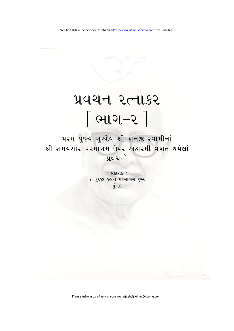# प्रवयन २त्नाडर <u>[ભાગ-૨</u>]

૫૨મ પુજ્ય ગુરુદેવ શ્રી કાનજી સ્વામીનાં શ્રી સમયસાર પરમાગમ ઉપર અઢારમી વખત થયેલાં પ્રવચનો

> $: 3.51815$ श्र इंदर्ड्ड डड़ान परमागम ट्रस्ट મંબઇ

Please inform us of any errors on rajesh.@AtmaDharma.com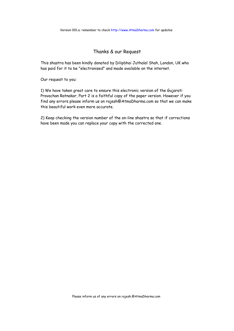#### Thanks & our Request

This shastra has been kindly donated by Dilipbhai Juthalal Shah, London, UK who has paid for it to be "electronised" and made available on the internet.

Our request to you:

1) We have taken great care to ensure this electronic version of the Gujarati Pravachan Ratnakar, Part 2 is a faithful copy of the paper version. However if you find any errors please inform us on rajesh@AtmaDharma.com so that we can make this beautiful work even more accurate.

2) Keep checking the version number of the on-line shastra so that if corrections have been made you can replace your copy with the corrected one.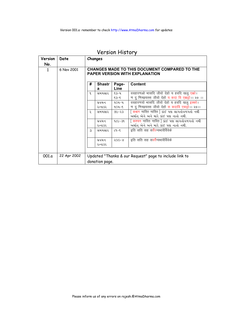|  |  | Version History |
|--|--|-----------------|
|--|--|-----------------|

| Version | Date        |                                                                                               | Changes        |           |                                                        |
|---------|-------------|-----------------------------------------------------------------------------------------------|----------------|-----------|--------------------------------------------------------|
| No.     |             |                                                                                               |                |           |                                                        |
| 1       | 6 Nov 2001  | <b>CHANGES MADE TO THIS DOCUMENT COMPARED TO THE</b><br><b>PAPER VERSION WITH EXPLANATION</b> |                |           |                                                        |
|         |             | #                                                                                             | <b>Shastr</b>  | Page-     | <b>Content</b>                                         |
|         |             |                                                                                               | a              | Line      |                                                        |
|         |             | 9                                                                                             | સમયસાર         | ૬૩–૫      | ववहारणओ भासदि जीवो देहो य हवदि खलू एको।                |
|         |             |                                                                                               |                | $5 - 53$  | ण दु णिच्छयस्स जीवो देहो य कदा वि एकड़ो।। २७ ।।        |
|         |             |                                                                                               | પ્રવચન         | $9OY - Y$ | ववहारणयो भासदि जीवो देहो य हवदि खलु इक्को।             |
|         |             |                                                                                               | રત્નાકર        | $904 - 5$ | ण दु णिच्छयस्स जीवो देहो स कदावि एकट्ठो।। २७।।         |
|         |             | २                                                                                             | સમયસાર         | ७૯-२३     |                                                        |
|         |             |                                                                                               |                |           | અર્થાત એને અને મારે કાંઈ પણ નાતો નથી.                  |
|         |             |                                                                                               | પ્રવચન         | ૧૮૯–૩૧    | [ कश्चन नास्ति नास्ति ] કાંઈ પણ લાગતોવળગતો નથી         |
|         |             |                                                                                               | રત્નાકર        |           | અર્થાત્ એને અને મારે કાંઈ પણ નાતો નથી.                 |
|         |             | $\mathcal{S}$                                                                                 | સમયસાર         | $2 - 8$   | इति सति सह सर्वेरन्यभावैर्विवेके                       |
|         |             |                                                                                               | પ્રવચન         | $500-X$   | इति सति सह सवर्रैन्यभावैर्विवेके                       |
|         |             |                                                                                               | રત્નાકર        |           |                                                        |
|         |             |                                                                                               |                |           |                                                        |
| 001.a   | 22 Apr 2002 |                                                                                               |                |           | Updated "Thanks & our Request" page to include link to |
|         |             |                                                                                               | donation page. |           |                                                        |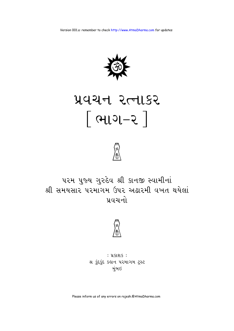

# प्रवयन २त्नाडर <u>િભાગ-૨</u> |



## ૫૨મ પુજ્ય ગુરુદેવ શ્રી કાનજી સ્વામીનાં શ્રી સમયસાર પરમાગમ ઉપર અઢારમી વખત થયેલાં <u>प्र</u>ुपयनो



## : **પ્રકાશક**: શ્ર કુંદકુંદ કહાન પરમાગમ ટ્રસ્ટ મુંબઇ

Please inform us of any errors on rajesh.@AtmaDharma.com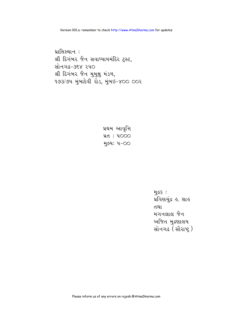<u>મૂદ્ર</u>ક : પ્રવિણચુંદ્ર હૃ. શાહ તથા મગનલાલ જૈન અજિત મુદ્રણાલય સોનગઢ (સૌરાષ્ટ્ર)

પ્રથમ આવૃત્તિ પ્રત: ૫૦૦૦ મુલ્ય: ૫-૦૦

પ્રાપ્તિસ્થાન : શ્રી દિગંબર જૈન સવાધ્યાયમંદિર ટ્રસ્ટ, सोनगढ-उद्दूष २५० શ્રી દિગંબર જૈન મુમુક્ષુ મંડળ, १७३/७५ मुंબाદેવી રોડ, મુંબઇ-४०० ००२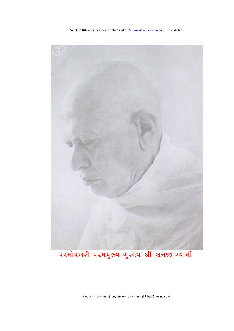

પરમોપકારી પરમપુજ્ય ગુરુદેવ શ્રી કાનજી સ્વામી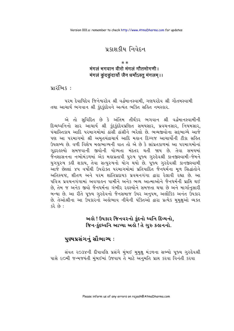## प्रशश श्रीय निवेदन

#### $* *$

## मंगलं भगवान वीरो मंगलं गौतमोगणी । मंगलं कूंदकूंदार्यो जैन धर्मोऽस्तू मंगलम् ।।

 $u$ ।२ंलि $s$ ः

પરમ દેવાધિદેવ જિનેશ્વરદેવ શ્રી વર્દ્ધમાનસ્વામી. ગણધરદેવ શ્રી ગૌતમસ્વામી તથા આચાર્ય ભગવાન શ્રી કુંદકુંદદેવને અત્યંત ભક્તિ સહિત નમસ્કાર.

એ તો સુવિદિત છે કે અંતિમ તીર્થંકર ભગવાન શ્રી વર્દ્ધમાનસ્વામીની દિવ્યધ્વનિનો સાર આચાર્ય શ્રી કુંદકુંદદેવપ્રણિત સમયસાર, પ્રવચનસાર, નિયમસાર, પંચાસ્તિકાય આદિ પરમાગમોમાં ઠાંસી ઠાંસીને ભરેલો છે. ભવ્યજીવોના સદભાગ્યે આજે પણ આ પરમાગમો શ્રી અમતચંદ્રાચાર્ય આદિ મહાન દિગ્ગજ આચાર્યોની ટીકા સહિત ઉપલબ્ધ છે. વળી વિશેષ મહાભાગ્યની વાત તો એ છે કે સાંપ્રતકાળમાં આ પરમાગમોનાં ગઢરઙસ્યો સમજવાની જીવોની યોગ્યતા મંદતર થતી જાય છે. તેવા સમયમાં જૈનશાસનના નભોમંડળમાં એક મહાપ્રતાપી પુરુષ પૂજ્ય ગુરુદેવશ્રી કાનજીસ્વામી-જેમને યુગપુરુષ કહી શકાય, તેવા સત્પુરુષનો યોગ થયો છે. ૫જ્ય ગુરુદેવશ્રી કાનજીસ્વામી આજે છેલ્લાં ૪૫ વર્ષોથી ઉપરોક્ત પરમાગમોમાં પ્રતિપાદિત જૈનયર્મના મળ સિદ્ધાંતોને અતિસ્પષ્ટ, શીતળ અને પરમ શાંતિપ્રદાયક પ્રવચનગંગા દ્વારા રેલાવી રહ્યા છે. આ પવિત્ર પ્રવચનગંગામાં અવગાહન પામીને અનેક ભવ્ય આત્માઓને જૈનધર્મની પ્રાપ્તિ થઈ છે. તેમ જ અનેક જીવો જૈનધર્મના ગંભીર રહસ્યોને સમજતા થયા છે અને માર્ગાનસારી બન્યા છે. આ રીતે ૫જ્ય ગુરુદેવનો જૈનસમાજ ઉપર અનુ૫મ, અલૌકિક અનંત ઉપકાર છે. તેઓશ્રીના આ ઉપકારનો અલોભાવ નીચેની પંક્તિઓ દ્વારા પ્રત્યેક મમક્ષઓ વ્યક્ત  $: 63.62$ 

## અહો ! ઉપકાર જિનવરનો કુંદનો ધ્વનિ દિવ્યનો. જિન-કુંદધ્વનિ આપ્યા અહો ! તે ગુરુ કહાનનો.

## પુણ્યપ્રસંગનું સૌભાગ્ય :

સંવત ૨૦૩૪ની દીપાવલિ પ્રસંગે મુંબઈ મુમુક્ષુ મંડળના સભ્યો પૂજ્ય ગુરુદેવશ્રી પાસે ૯૦મી જન્મજયંતી મુંબઈમાં ઉજવાય તે માટે અનુમતિ પ્રાપ્ત કરવા વિનંતી કરવા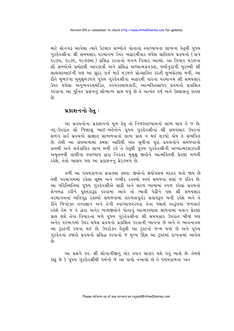માટે સોનગઢ આવેલા ત્યારે કેટલાક સભ્યોને પોતાના સ્વાધ્યાયના લાભના હેતુથી પૂજ્ય ગુરુદેવશ્રીના શ્રી સમયસાર પરમાગમ ઉપર અઢારમીવાર થયેલ સાતિશય પ્રવચનો (સને ૧૯૭૫, ૧૯૭૬, ૧૯૭૭માં) પ્રસિદ્ધ કરવાનો મંગળ વિચાર આવ્યો. આ વિચાર મંડળના સૌ સભ્યોએ પ્રમોદથી આવકાર્યો અને પ્રસિદ્ધ અધ્યાત્મપ્રવક્તા, ધર્માનુરાગી મુરબ્બી શ્રી લાલચંદભાઈની પણ આ સુંદર કાર્ય માટે મંડળને પ્રોત્સાહિત કરતી શુભપ્રેરણા મળી. આ રીતે મુંબઈના મુમુક્ષમંડળને પુજ્ય ગુરુદેવશ્રીના અઢારમી વારના પરમાગમ શ્રી સમયસાર ઉપર થયેલા અનુભવરસમંડિત, પરમકલ્યાણકારી, આત્મહિતસાધક પ્રવચનો પ્રકાશિત કરવાના આ પનિત પ્રસંગનં સૌભાગ્ય પ્રાપ્ત થયં છે તે અત્યંત ઙર્ષ અને ઉલ્લાસનં કારણ  $63$ 

## પ્રકાશનનો હેતુ:

આ પ્રવચનોના પ્રકાશનનો મૂળ હેતુ તો નિજસ્વાધ્યાયનો લાભ થાય તે જ છે. તદ્દ-ઉપરાંત સૌ જિજ્ઞાસુ ભાઈ-બર્લ્ડનોને પૂજ્ય ગુરુદેવશ્રીનાં શ્રી સમયસાર ઉપરનાં સળંગ સર્વ પ્રવચનો સાક્ષાત સાંભળવાનો લાભ પ્રાપ્ત ન થઈ શકયો હોય તે સંભવિત છે. તેથી આ ગ્રંથમાળામાં ક્રમશઃ આદિથી અંત સુધીનાં પૂરાં પ્રવચનોને સમજવાનો કાયમી અને સર્વકાલિક લાભ મળી રહે તે હેતુથી પૂજ્ય ગુરુદેવશ્રીની અઘ્યાત્મરસઝરતી અમૃતમયી વાણીના સ્વાઘ્યાય દ્વારા નિરંતર મુમુક્ષુ જીવોને આત્મકિતથી પ્રેરણા મળતી રહેશે, તેવો આશય પણ આ પ્રકાશનનું પ્રેરકબળ છે.

વળી આ પંચમકાળના પ્રવાહમાં કમશ: જીવોનો ક્ષયોપશમ મંદતર થતો જાય છે તેથી પરમાગમમાં રહેલા સુક્ષ્મ અને ગંભીર રહસ્યો સ્વયં સમજવાં ઘણાં જ કઠિન છે. આ પરિસ્થિતિમાં પૂજ્ય ગુરુદેવશ્રીએ સાદી અને સરળ ભાષામાં સ્પષ્ટ કરેલાં પ્રવચનો લેખબદ્ધ કરીને પુસ્તકારૂઢ કરવામાં આવે તો ભાવી પેઢીને પણ શ્રી સમયસાર પરમાગમનાં અતિગૃઢ રહેસ્યો સમજવામાં સરળતાપૂર્વક સહાયરૂપ બની રહેશે અને તે રીતે જિનોક્ત તત્ત્વેજ્ઞાન અને તેની સ્વાઘ્યાયપરંપરા તેના યથાર્થ સ્વરૂપમાં જળવાઈ રહેશે તેમ જ તે દ્વારા અનેક ભવ્યજીવોને પોતાનું આત્મકલ્યાણ સાધવામાં મહાન પ્રેરણા પ્રાપ્ત થશે તેવા વિચારના બળે પુજ્ય ગુરુદેવશ્રીના શ્રી સમયસાર ઉપરાંત બીજા પણ અનેક પરમાગમો ઉપર થયેલ પ્રવચનો પ્રકાશિત કરવાની ભાવના છે અને તે ભાવનાવશ આ ટ્રસ્ટની રચના થઈ છે. ઉપરોક્ત હેતુથી આ ટ્રસ્ટનો જન્મ થયો છે અને પૂજ્ય ગુરુદેવનાં હજારો પ્રવચનો પ્રસિદ્ધ કરવાનો જ મુખ્ય ઉદ્દેશ આ ટ્રસ્ટમાં રાખવામાં આવેલ  $\hat{\rho}$ 

આ પ્રસંગે સ્વ. શ્રી સોગાનીજીનું એક વચન સાકાર થશે તેવું ભાસે છે. તેમણે કહ્યું છે કે પૂજ્ય ગુરુદેવશ્રીથી ધર્મનો જે આ પાયો નંખાયો છે તે પંચમકાળના અંત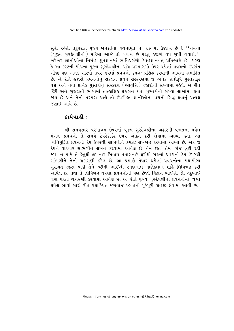સુધી રહેશે. તદુપરાંત પૂજ્ય બેનશ્રીનાં વચનામૃત નં. ૨૭ માં ઉલ્લેખ છે કે ''તેમનો ્યું છે.<br>(પૂજ્ય ગુરુદેવશ્રીનો ) મહિમા આજે તો ગવાય છે પરંતુ હજારો વર્ષ સુધી ગવાશે.'' ખરેખર જ્ઞાનીઓના નિર્મળ શ્રુતજ્ઞાનમાં ભાવિપ્રસંગો કેવળજ્ઞાનવત પ્રતિભાસે છે, કારણ કે આ ટ્સ્ટની યોજના પુજ્ય ગુરુદેવશ્રીના પાંચ પરમાગમો ઉપર થયેલાં પ્રવચનો ઉપરાંત <u>બીજા પણ અનેક શાસ્ત્રો ઉપર થયેલાં પ્રવચનો ક્રમશ: પ્રસિદ્ધ કરવાની ભાવના સમાહિત</u> છે. એ રીતે હજારો પ્રવચનોનું સંકલન પ્રથમ સંસ્કરણમાં જ અનેક ગ્રંથોરૂપે પુસ્તકારૂઢ થશે અને તેવા પ્રત્યેક પુસ્તકોનું સંસ્કરણ (આવૃત્તિ) હજારોની સંખ્યામાં રહેશે. એ રીતે હિંદી અને ગુજરાતી ભાષામાં તાત્કાલિક પ્રકાશન થતાં પુસ્તકોની સંખ્યા લાખોમાં થવા જાય છે અને તેની પરંપરા ચાલે તો ઉપરોક્ત જ્ઞાનીઓનાં વચનો સિદ્ધ થવાનં પ્રત્યક્ષ જણાઈ આવે છે

### કાર્યવાહી:

શ્રી સમયસાર પરમાગમ ઉપરનાં પૂજ્ય ગુરુદેવશ્રીના અઢારમી વખતના થયેલ મંગળ પ્રવચનો તે સમયે ટેપરેકોર્ડર ઉપર અંકિત કરી લેવામાં આવ્યાં હતાં. આ ધ્વનિમુદ્રિત પ્રવચનો ટેપ ઉપરથી સાંભળીને ક્રમશ: લેખબદ્ધ કરવામાં આવ્યાં છે. એક જ ટેપને વારંવાર સાંભળીને લેખન કરવામાં આવેલ છે. તેમ છતાં તેમાં કાંઈ ત્રુટી રહી જવા ન પામે તે કેતથી લખનાર સિવાય તપાસનારે ફરીથી સઘળાં પ્રવચનો ટેપ ઉપરથી સાંભળીને તેની ચકાસણી કરેલ છે. આ પ્રમાણે તૈયાર થયેલાં પ્રવચનોના યથાયોગ્ય સુસંગત ફકરા પાડી તેને ફરીથી ભાઈશ્રી રમણલાલ માણેકલાલ શાહે લિપિબદ્ધ કરી આપેલ છે. તથા તે લિપિબદ્ધ થયેલાં પ્રવચનોની પણ છેલ્લે વિદ્વાન ભાઈશ્રી ડો. ચંદભાઈ દ્વારા પૂરતી ચકાસણી કરવામાં આવેલ છે. આ રીતે પુજ્ય ગુરુદેવશ્રીનાં પ્રવચનોમાં વ્યક્ત થયેલ ભાવો સારી રીતે યથાસ્થિત જળવાઈ રહે તેની પુરેપુરી કાળજી લેવામાં આવી છે.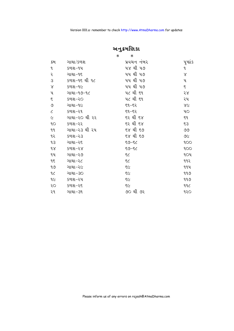|                | $\ast$        | $\ast$      |                |
|----------------|---------------|-------------|----------------|
| ક્રમ           | ગાથા/કળશ      | પ્રવચન નંબર | પૃષ્ઠાંક       |
| $\mathfrak{q}$ | કળશ–૧૫        | ૫૪ થી ૫૭    | L              |
| २              | ગાથા–૧૬       | ૫૫ થી ૫૭    | $\propto$      |
| З              | કળશ-૧૬ થી ૧૮  | ૫૫ થી ૫૭    | પ              |
| $\lambda$      | કળશ-૧૯        | ૫૫ થી ૫૭    | ξ              |
| પ              | ગાથા-૧૭-૧૮    | ૫૮ થી ૬૧    | 58             |
| ξ              | કળશ–૨૦        | ૫૮ થી ૬૧    | ૨૫             |
| ৩              | ગાથા-૧૯       | $59 - 52$   | X <sub>C</sub> |
| $\epsilon$     | કળશ–૨૧        | $52 - 53$   | ЧO             |
| $\varsigma$    | ગાથા−૨૦ થી ૨૨ | ૬૨ થી ૬૪    | $\xi$          |
| 9O             | કળશ–૨૨        | ૬૨ થી ૬૪    | 53             |
| 99             | ગાથા−૨૩ થી ૨૫ | ૬૪ થી ૬૭    | ৩৩             |
| ૧૨             | $592 - 23$    | ६४ थी ६७    | 96             |
| qз             | ગાથા–ર૬       | $59 - 52$   | 900            |
| $\delta$       | કળશ–૨૪        | $59 - 52$   | 900            |
| ૧૫             | ગાથા–૨૭       | 55          | <b>904</b>     |
| 95             | ગાથા–૨૮       | ξC          | ૧૧૨            |
| ৭৩             | ગાથા-૨૯       | 55          | ૧૧૫            |
| 9<             | ગાથા–૩૦       | 55          | ঀঀ৩            |
| 9C             | કળશ–૨૫        | 55          | 999            |
| २०             | કળશ–ર૬        | 55          | 996            |
| ૨૧             | ગાથા–૩૧       | ૭૦ થી ૭૨    | १२०            |

 $\mathcal{H}_{\mathbb{Z}}$ કમણિકા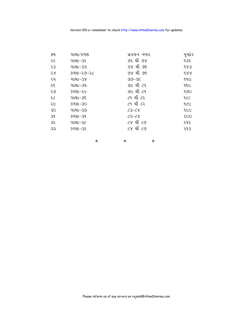| ક્રમ | ગાથા/કળશ  | પ્રવચન નબર | પૃષ્ઠાંક |
|------|-----------|------------|----------|
| ૨૨   | ગાથા–૩૨   | ૭૨ થી ૭૪   | 932      |
| 53   | ગાથા−૩૩   | ૭૪ થી ૭૬   | 983      |
| 58   | કળશ–૨૭–૨૮ | ૭૪ થી ૭૬   | 988      |
| ૨૫   | ગાથા−૩૪   | $99 - 96$  | ૧૫૯      |
| ૨૬   | ગાથા-૩૫   | ૭૯ થી ૮૧   | १६८      |
| २७   | કળશ–૨૯    | ૭૯ થી ૮૧   | 990      |
| ૨૮   | ગાથા−૩૬   | ૮૧ થી ૮૨   | 229      |
| २८   | કળશ-૩૦    | ૮૧ થી ૮૨   | 922      |
| 30   | ગાથા−૩૭   | $23 - 68$  | 9C       |
| 39   | કળશ–૩૧    | $23 - 28$  | 200      |
| 35   | ગાથા-૩૮   | ૮૪ થી ૮૭   | ૨૧૨      |
| 33   | કળશ-૩૨    | ૮૪ થી ૮૭   | ૨૧૩      |

∙ ∙ ∙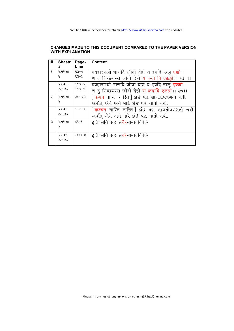#### **CHANGES MADE TO THIS DOCUMENT COMPARED TO THE PAPER VERSION WITH EXPLANATION**

| #             | <b>Shastr</b> | Page-     | <b>Content</b>                                     |
|---------------|---------------|-----------|----------------------------------------------------|
|               | a             | Line      |                                                    |
| 9             | સમયસા         | $\xi$ 3-4 | ववहारणओ भासदि जीवो देहो य हवदि खलु एक्को।          |
|               | Ç             | $5 - 57$  | ण दु णिच्छयस्स जीवो देहो य कदा वि एक्कट्ठो।। २७ ।। |
|               | પ્રવચન        | ૧૦૫–૫     | ववहारणयो भासदि जीवो देहो य हवदि खलु इक्को।         |
|               | રત્નાકર       | $904 - 5$ | ण दु णिच्छयस्स जीवो देहो स कदावि एकडो।। २७।।       |
| २             | સમયસા         | $65 - 30$ |                                                    |
|               | Ç             |           | અર્થાત્ એને અને મારે કાંઈ પણ નાતો નથી.             |
|               | પ્રવચન        | $92 - 39$ | [ कश्चन नास्ति नास्ति ] sis पश લાગતોવળગતો નથી      |
|               | રત્નાકર       |           | અર્થાત એને અને મારે કાંઈ પણ નાતો નથી.              |
| $\mathcal{S}$ | સમયસા         | $C9 - 5$  | इति सति सह सर्वेरन्यभावैर्विवेके                   |
|               | Ç             |           |                                                    |
|               | પ્રવચન        | $500 - 8$ | इति सति सह स <mark>वर्रै</mark> न्यभावैर्विवेके    |
|               | રત્નાકર       |           |                                                    |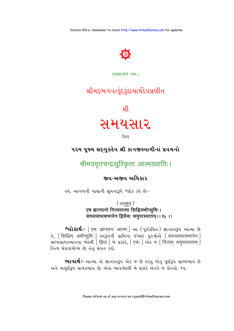

## परमात्मने नम:।

## શ્રીમદ્દભગવત્કુંદકુંદાચાર્યદેવપ્રણીત

श्री

## સમયસાર

ઉપર

## ૫૨મ પૂજ્ય સદ્ગુરુદેવ શ્રી કાનજીસ્વામીનાં પ્રવચનો

श्रीमदमृतचन्द्रसूरिकृता आत्मख्याति:।

જીવ-અજીવ અધિકાર

હવે, આગળની ગાથાની સૂચનારૂપે શ્લોક કહે છે:-

(अनुष्टुभ्) एष ज्ञानघनो नित्यमात्मा सिद्धिमभीप्सुभिः। साध्यसाधकभावेन द्विधैकः समुपास्यताम् ।। ९५ ।।

श्लोशर्थः- [ एष: ज्ञानघन: आत्मा ] આ ( पूर्यsथित ) જ્ઞાનસ્વરૂપ આત્મા છે ते, [सिद्धिम् अभीप्सुभि: ] स्वरूपनी प्राप्तिना ४२७९ पुरुषोस्रे [साध्यसाधकभावेन ] साध्यसाधडल्गावना लेहथी [द्विधा ] ले प्रडारे, [एक: ] એક ४ [ नित्यम समुपास्यताम ] નિત્ય સેવવાયોગ્ય છે; તેનું સેવન કરો.

ભાવાર્થઃ- આત્મા તો જ્ઞાનસ્વરૂપ એક જ છે પરંતુ એનું પર્ણરૂપ સાધ્યભાવ છે અને અપૂર્ણરૂપ સાધકભાવ છે; એવા ભાવભેદથી બે પ્રકારે એકને જ સેવવો. ૧૫.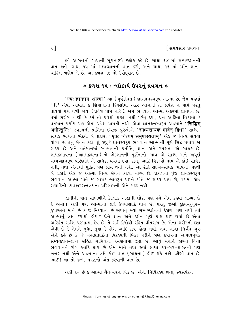∣સિમયસાર પ્રવચન

इવે આગળની ગાથાની સુચનારૂપે શ્લોક કહે છે. ગાથા ૧૪ માં સમ્યગ્દર્શનની વાત હતી, ગાથા ૧૫ માં સમ્યગ્જ્ઞાનની વાત કરી, અને ગાથા ૧૬ માં દર્શન-જ્ઞાન-ચારિત્ર ત્રણેય લે છે. આ કળશ ૧૬ નો ઉપોદઘાત છે.

## **∗ કળશ ૧૫ : શ્લોકાર્થ ઉપરનું પ્રવચન ∗**

<mark>' एष: ज्ञानघन: आत्मा '</mark> આ ( પૂર્વકથિત ) જ્ઞાનઘનસ્વરૂપ આત્મા છે. જેમ પહેલાં 'ઘી ' એવાં આવતાં કે શિયાળાના દિવસોમાં અંદર આંગળી તો પ્રવેશ ન પામે પરંત તાવેથો પણ વળી જાય. (પ્રવેશ પામે નહિ ). એમ ભગવાન આત્મા અંદરમાં જ્ઞાનઘન છે. તેમાં શરીર, વાણી કે કર્મ તો પ્રવેશી શક્તાં નથી પરંતુ દયા, દાન આદિના વિકલ્પો કે વર્તમાન પર્યાય પણ એમાં પ્રવેશ પામતી નથી. એવા જ્ઞાનઘનસ્વરૂપ આત્માને **' सिद्धिम** अभीप्सुभि: ' स्वउपनी प्राप्तिना छथ्छ पुरुषोसे 'साध्यसाधक भावेन द्विधा ' साध्य-સાધક ભાવના ભેદથી બે પ્રકારે, 'एक: नित्यम् समुपास्यताम्' એક જ નિત્ય સેવવા યોગ્ય છે; તેનું સેવન કરો. શું કહ્યું ? જ્ઞાનસ્વરૂપ ભગવાન આત્માની પૂર્ણ સિદ્ધ પર્યાય એ સાધ્ય છે અને વર્તમાનમાં સ્વભાવની પ્રતીતિ, જ્ઞાન અને રમણતા એ સાધક છે. જ્ઞાયકભાવના (આત્મદ્રવ્યના) બે ભેદજ્ઞાનની પૃર્ણતાનો ભાવ એ સાધ્ય અને અપૃર્ણ સમ્યગ્જ્ઞાનરૂપ પરિણતિ એ સાધક. વચમાં દયા, દાન, આદિ વિકલ્પો થાય એ કાંઈ સાધક નથી, તથા એનાથી મુક્તિ પણ પ્રાપ્ત થતી નથી. આ રીતે સાધ્ય-સાધક ભાવના ભેદથી બે પ્રકારે એક જ આત્મા નિત્ય સેવન કરવા યોગ્ય છે. પ્રકાશનો પુંજ જ્ઞાયકસ્વરૂપ ભગવાન આત્મા પોતે જ સાધક ભાવરૂપ થઈને પોતે જ સાધ્ય થાય છે, વચમાં કોઈ રાગાદિની-વ્યવહારરત્નત્રયના પરિણામની એને મદદ નથી.

જ્ઞાનીની વાત સાંભળીને કેટલાક અજ્ઞાની લોકો પણ હવે એમ કહેવા લાગ્યા છે કે અમોને અહીં પણ આત્માના લક્ષે ઉપવાસાદિ થાય છે. પરંતુ જેઓ કુદેવ-કુગુરુ-કુશાસ્ત્રને માને છે કે જે મિથ્યાત્વ છે અર્થાત્ જ્યાં સમ્યગ્દર્શનનાં ઠેકાણાં પણ નથી ત્યાં આત્માનું લક્ષ કયાંથી હોય? જેને જ્ઞાન અને દર્શન પૂર્ણ પ્રાપ્ત થઈ ગયાં છે એવા અરિકંત સર્વજ્ઞ પરમાત્મા દેવ છે. તે સર્વ દોષોથી રહિત વીતરાગ છે. એના શરીરની દશા એવી છે કે તેમને ક્ષુધા, તુષા કે રોગ આદિ દોષ લોતા નથી. તથા સાચા નિર્ગ્રંથ ગુરુ એને કહે છે કે જે મહાવ્રતાદિના વિકલ્પથી ભિન્ન પડીને ત્રણ કપાયના અભાવપૂર્વક સમ્યગ્દર્શન-જ્ઞાન સહિત ચારિત્રની રમણતામાં ઝૂલે છે. આવું યથાર્થ જાણ્યા વિના ભગવાનને રોગ આદિ થાય છે એમ માને તથા<sup>ે</sup>જ્યાં સાચા દેવ-ગુરુ-શાસ્ત્રની પણ ખબર નથી એને આત્માના લક્ષે કોઈ વાત (સાધના) હોઈ શકે નહીં. ઝીણી વાત છે. ભાઈ! આ તો જન્મ-મરણનો અંત કરવાની વાત છે

અહીં કહે છે કે આત્મા ચૈતન્યઘન પિંડ છે. એની નિર્વિકલ્પ શ્રદ્ધા. સ્વસંવેદન

 $\overline{\mathcal{E}}$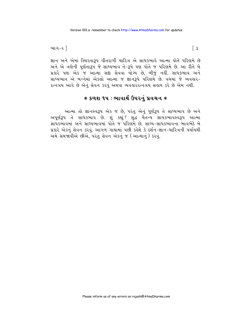ભાગ-૨ ી

જ્ઞાન અને એમાં સ્થિરતારૂપ વીતરાગી ચારિત્ર એ સાધકભાવે આત્મા પોતે પરિણમે છે અને એ ત્રણેની પૂર્ણતારૂપ જે સાધ્યભાવ તે-રૂપે પણ પોતે જ પરિણમે છે. આ રીતે બે પ્રકારે પણ એક જ આત્મા સદ્દા સેવવા યોગ્ય છે, બીજું નહીં. સાધકભાવ અને સાધ્યભાવ એ બન્નેમાં એકલો આત્મા જ જ્ઞાનરૂપે પરિણમે છે. વચમાં જે વ્યવહાર-રત્નત્રય આવે છે એનું સેવન કરવું અથવા વ્યવહારરત્નત્રય સહાય કરે છે એમ નથી.

## $*$  કળશ ૧૫ : ભાવાર્થ ઉપરનું પ્રવચન $*$

આત્મા તો જ્ઞાનસ્વરૂપ એક જ છે, પરંતુ એનું પૂર્ણરૂપ તે સાધ્યભાવ છે અને અપૂર્ણરૂપ તે સાધકભાવ છે. શું કહ્યું? શુદ્ધ ચૈતન્ય જ્ઞાયકભાવસ્વરૂપ આત્મા સાધકભાવમાં અને સાધ્યભાવમાં પોતે જ પરિણમે છે. સાધ્ય-સાધકભાવના ભાવભેદે બે પ્રકારે એકનું સેવન કરવું. આગળ ગાથામાં પછી કહેશે કે દર્શન-જ્ઞાન-ચારિત્રની પર્યાયથી અમે સમજાવીએ છીએ. પરંતુ સેવન એકનું જ (આત્માનું) કરવું.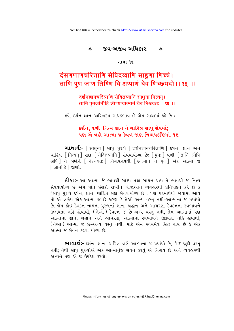#### જીવ-અજીવ અધિકાર  $\ast$  $\ast$

#### ગાથા-૧૬

## दंसणणाणचरित्ताणि सेविदव्वाणि साहुणा णिच्चं। ताणि पूण जाण तिण्णि वि अप्पाणं चेव णिच्छयदो।। १६ ।।

दर्शनज्ञानचरित्राणि सेवितव्यानि साधुना नित्यम् । तानि पुनर्जानीहि त्रीण्यप्यात्मानं चैव निश्चयतः ।। १६ ।।

ર્લ્વ. દર્શન-જ્ઞાન-ચારિત્રરૂપ સાધકભાવ છે એમ ગાથામાં કર્લ્ડ છે :−

દર્શન. વળી નિત્ય જ્ઞાન ને ચારિત્ર સાધુ સેવવાં; ૫ણ એ ત્રણે આત્મા જ કેવળ જાણ નિશ્ચયદૃષ્ટિમાં ૧૬.

**ગાથાર્થઃ**- [साधुना ] સાધુ પુરુષે [ दर्शनज्ञानचरित्राणि ] દર્શન, જ્ઞાન અને थारित्र [नित्यम ] सद्य [सेवितव्यानि ] सेववायोग्य छे; [ पन: ] वणी [ तानि त्रीणि अपि । ते त्रशेने [निश्चयत: ] निश्चयनयथी [आत्मानं च एव ] એક આत्मा જ [जानीहि ] %! शो.

**ટી.કા:-** આ આત્મા જે ભાવથી સાધ્ય તથા સાધન થાય તે ભાવથી જ નિત્ય સેવવાયોગ્ય છે એમ પોતે ઇરાદો રાખીને બીજાઓને વ્યવહારથી પ્રતિપાદન કરે છે કે 'સાધુ પુરુષે દર્શન, જ્ઞાન, ચારિત્ર સદા સેવવાયોગ્ય છે'. પણ પરમાર્થથી જોવામાં આવે તો એ ત્રણેય એક આત્મા જ છે કારણ કે તેઓ અન્ય વસ્તુ નથી-આત્માના જ પર્યાયો છે. જેમ કોઈ દેવદત્ત નામના પુરુષનાં જ્ઞાન, શ્રદ્ધાન અને આચરણ, દેવદત્તના સ્વભાવને ઉલ્લંઘતાં નહિ હોવાથી, (તેઓ ) દેવદત્ત જ છે-અન્ય વસ્તુ નથી, તેમ આત્મામાં પણ આત્માનાં જ્ઞાન, શ્રદ્ધાન અને આચરણ, આત્માના સ્વભાવને ઉલંઘતાં નહિ હોવાથી, (તેઓ ) આત્મા જ છે-અન્ય વસ્તુ નથી. માટે એમ સ્વયમેવ સિદ્ધ થાય છે કે એક આત્મા જ સેવન કરવા યોગ્ય છે.

**ભાવાર્થઃ**- દર્શન, જ્ઞાન, ચારિત્ર-ત્રણે આત્માના જ પર્યાયો છે, કોઈ જાુદી વસ્તુ નથી; તેથી સાધુ પુરુષોએ એક આત્માનુંજ સેવન કરવું એ નિશ્ચય છે અને વ્યવહારથી અન્યને પણ એ જ ઉપદેશ કરવો.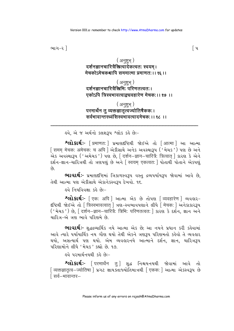ભાગ-૨ ી

## (अनुष्ट्भ्) दर्शनज्ञानचारित्रैस्रित्वॉर्वेकत्वतः स्वयम्। मेचकोऽमेचकश्चापि सममात्मा प्रमाणत: । । १६ । ।

(अनुष्ट्भ) दर्शनज्ञानचारित्रैस्त्रिभि: परिणतत्वत:। एकोऽपि त्रिस्वभावत्वाक्चवहारेण मेचक:।। १७ ।।

## (अनुष्ट्भ्) परमार्थेन तु व्यक्तज्ञातूॅलज्योतिषैककः। सर्वभावान्तरध्वंसिस्वभावत्वादमेचक:।। १८ ।।

ફવે. એ જ અર્થનો કલશરૂપ શ્લોક કરે છે:-

**શ્લોકાર્થઃ-** [ प्रमाणत: ] પ્રમાણદૃષ્ટિથી જોઈએ તો [ आत्मा ] આ આત્મા [ समम मेचक: अमेचक: च अपि ] એડીસાથે અનેક અવસ્થારૂપ ('મેચક') પણ છે અને .<br>એક અવસ્થારૂપ ('અમેચક') પણ છે. [ दर्शन–ज्ञान–चारित्रै: त्रित्वात ] કારણ કે એને દર્શન-જ્ઞાન-ચારિત્રથી તો ત્રણપણ છે અને [ स्वयम एकत्वत: ] પોતાથી પોતાને એકપણ  $\hat{\mathfrak{g}}$ 

ભાવાર્થઃ- પ્રમાણદંષ્ટિમાં ત્રિકાળસ્વરૂપ વસ્તુ દ્રવ્યપર્યાયરૂપ જોવામાં આવે છે. તેથી આત્મા પણ એકીસાથે એકાનેકસ્વરૂપ દેખવો. ૧૬.

<u>હવે નિયવિવક્ષા કહે છેઃ-</u>

श्लोशर्थः- [एक: अपि ] આत्मा એક છે તોપણ [व्यवहारेण ] વ્યવહાર-दृष्टिथी श्रे धर्भे तो स्त्रिस्वभावत्वात् । त्रश-स्वलावपशाने सीधे मिचकः । अने अधर३प ચારિત્ર-એ ત્રણ ભાવે પરિણમે છે.

ભાવાર્થઃ- શુદ્ધદ્રવ્યાર્થિક નયે આત્મા એક છે; આ નયને પ્રધાન કરી કહેવામાં આવે ત્યારે પર્યાયાર્થિક નય ગૌણ થયો તેથી એકને ત્રણરૂપ પરિણમતો કહેવો તે વ્યવહાર થયો, અસત્યાર્થ ૫ણ થયો. એમ વ્યવહારનયે આત્માને દર્શન, જ્ઞાન, ચારિત્રરૂપ <u>પરિણામોને લીધે 'મેચક' કહ્યો છે. ૧૭.</u>

<u>હવે પરમાર્થનયથી કહે છેઃ-</u>

શ્લોકાર્થઃ- [ परमार्थेन तु] શુદ્ધ નિશ્ચયનયથી જોવામાં આવે તો [ व्यक्तज्ञातृत्व–ज्योतिषा ] प्रगट ज्ञायऽतारुयोतिभात्रथी [ एकक: ] આत्मा એકस्વરૂપ છે ∫ सर्व—भावान्तर—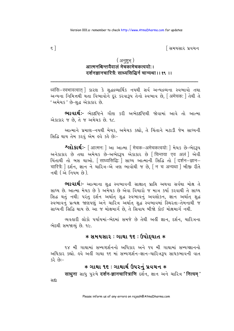િસમયસાર પ્રવચન

## (अनुष्ट्भ्) आत्मनश्चिन्तयैवालं मेचकामेचकत्वयो:। दर्शनज्ञानचारित्रै: साध्यसिद्धिर्न चान्यथा।। १९ ।।

અન્યના નિમિત્તથી થતા વિભાવોને દર કરવારૂપ તેનો સ્વભાવ છે, [ अमेचक: ] તેથી તે 'અમેચક' છે-શુદ્ધ એકાકાર છે.

ભાવાર્થઃ- ભેદદષ્ટિને ગૌણ કરી અભેદદષ્ટિથી જોવામાં આવે તો આત્મા એકાકાર જ છે, તે જ અમેચક છે. ૧૮.

આત્માને પ્રમાણ-નયથી મેચક, અમેચક કહ્યો, તે ચિંતાને મટાડી જેમ સાધ્યની સિદ્ધિ થાય તેમ કરવું એમ હવે કહે છેઃ-

श्लो डार्थः- [आत्मन: ] આ આत्मा [ मेचक-अमेचकत्वयो: ] मेथs છे-लेदृश् અનેકાકાર છે તથા અમેચક છે-અભેદરૂપ એકાકાર છે સિન્તया एव अलं । એવી ચિંતાથી તો બસ થાઓ. [ साध्यसिद्धि: ] સાધ્ય આત્માની સિદ્ધિ તો [ दर्शन-ज्ञान-चारित्रै: स्थिन, ज्ञान ने यारित्र-से त्रश भावोथी ४ छे, [ न च अन्यथा ] जी था रीते નથી (એ નિયમ છે).

ભાવાર્થઃ- આત્માના શુદ્ધ સ્વભાવની સાક્ષાત્ પ્રાપ્તિ અથવા સર્વથા મોક્ષ તે સાધ્ય છે. આત્મા મેચક છે કે અમેચક છે એવા વિચારો જ માત્ર કર્યા કરવાથી તે સાધ્ય સિદ્ધ થતું નથી; પરંતુ દર્શન અર્થાત શુદ્ધ સ્વભાવનું અવલોકન, જ્ઞાન અર્થાત શુદ્ધ સ્વભાવનું પ્રત્યક્ષ જાણપણું અને ચારિત્ર અર્થાત શુદ્ધ સ્વભાવમાં સ્થિરતા-તેમનાથી જ સાધ્યની સિદ્ધિ થાય છે. આ જ મોક્ષમાર્ગ છે. તે સિવાય બીજો કોઈ મોક્ષમાર્ગ નથી.

વ્યવહારી લોકો પર્યાયમાં-ભેદમાં સમજે છે તેથી અહીં જ્ઞાન, દર્શન, ચારિત્રના ભેદથી સમજાવ્યં છે. ૧૯.

### $*$  સમયસાર : ગાથા ૧૬ : ઉપોદઘાત  $*$

૧૪ મી ગાથામાં સમ્યગ્દર્શનનો અધિકાર અને ૧૫ મી ગાથામાં સમ્યગ્જ્ઞાનનો અધિકાર કહ્યો. હવે અહીં ગાથા ૧૬ માં સમ્યગ્દર્શન-જ્ઞાન-ચારિત્રરૂપ સાધકભાવની વાત  $-i6362$ 

## **∗ ગાથા ૧૬ : ગાથાર્થ ઉપરનું પ્રવચન ∗**

साधुना साधु पुरुषे दर्शन-ज्ञानचारित्राणि દर्शन, જ્ઞાન અને ચારિત્ર 'नित्यम्'

સદા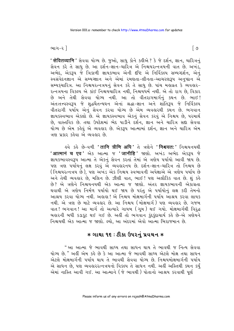ભાગ-૨ ી

**' सेवितव्यानि '** સેવવા યોગ્ય છે. જુઓ, સાધુ કોને કહીએ ? કે જે દર્શન, જ્ઞાન, ચારિત્રનું સેવન કરે તે સાધુ છે. આ દર્શન-જ્ઞાન-ચારિત્ર એ નિશ્ચયરત્નત્રયની વાત છે. અખંડ, અભેદ, એકરૂપ જે ત્રિકાળી જ્ઞાયકભાવ એની દષ્ટિ એ નિર્વિકલ્પ સમ્યગ્દર્શન, એનું સ્વસંવેદનજ્ઞાન એ સમ્યગ્જ્ઞાન અને એમાં રમણતા-લીનતા-આચરણરૂપ અનુષ્ઠાન એ સમ્યકચારિત્ર. આ નિશ્ચયરત્નત્રયનું સેવન કરે તે સાધુ છે. પાંચ મહાવ્રત કે વ્યવહાર-રત્નત્રયના વિકલ્પ એ કાંઈ નિશ્ચયચારિત્ર નથી. નિશ્ચયર્ધર્મ નથી. એ તો રાગ છે. વિકાર છે અને તેથી સેવવા યોગ્ય નથી. આ તો વીતરાગમાર્ગનું કથન છે. ભાઈ! અંતઃતત્ત્વસ્વરૂપ જે શુદ્ધચૈતન્યઘન એનાં શ્રદ્ધા-જ્ઞાન અને શાંતિરૂપ જે નિર્વિકલ્પ વીતરાગી પર્યાય એનું સેવન કરવા યોગ્ય છે એમ વ્યવહારથી કથન છે. ભગવાન જ્ઞાયકસ્વભાવ એકલો છે. એ જ્ઞાયકસ્વભાવ એકનું સેવન કરવું એ નિશ્ચય છે, પરમાર્થ છે, વાસ્તવિક છે. તથા ઉપદેશમાં ભેદ પાડીને દર્શન, જ્ઞાન અને ચારિત્ર સદ્દા સેવવા યોગ્ય છે એમ કહેવું એ વ્યવહાર છે. એક**રૂ**પ આત્મામાં દર્શન, જ્ઞાન અને ચારિત્ર એમ ત્રણ પ્રકાર કહેવા એ વ્યવહાર છે.

ड़वे કड़े છે-વળી 'तानि त्रीणि अपि ' ते ત્રણેને 'निश्चयतः ' નિશ્ચયનયથી <mark>'आत्मानं च एव'</mark> એક આત્મા જ '**जानीहि'** જાણો. અખંડ અભેદ એકરૂપ જે જ્ઞાયકભાવસ્વરૂપ આત્મા તે એકનું સેવન કરતાં તેમાં એ ત્રણેય પર્યાયો આવી જાય છે. પણ ત્રણ પર્યાયનું લક્ષ કરવું એ વ્યવહારનય છે. દર્શન-જ્ઞાન-ચારિત્ર તો નિશ્ચય છે ( નિશ્ચયરત્નત્રય છે ), પણ અખંડ એક નિશ્ચય સ્વભાવની અપેક્ષાએ એ ત્રણેય પર્યાય છે અને તેથી વ્યવહાર છે. મલિન છે. ઝીણી વાત. ભાઈ ! પણ અલૌકિક વાત છે. શું કહે છે? એ ત્રણેને નિશ્ચયનયથી એક આત્મા જ જાણો. અંતર જ્ઞાયકભાવની એકાંગ્રતા થવાથી એ ત્રણેય નિર્મળ પર્યાયો થઈ જાય છે પરંતુ એ પર્યાયોનું લક્ષ કરી તેમનો આશ્રય કરવા યોગ્ય નથી. અહાહા ! એ નિશ્ચય મોક્ષમાર્ગની પર્યાય આશ્રય કરવા લાયક નથી. એ ત્રણ છે માટે વ્યવહાર છે. આ નિશ્ચય (મોક્ષમાર્ગ) પણ વ્યવહાર છે. ગજબ વાત ! ભગવાન ! આ માર્ગતો અત્યારે ગાયબ (ગૂમ) થઈ ગયો. મોક્ષમાર્ગથી વિરૂદ્ધ બહારની બધી કડાકુટ થઈ ગઈ છે. અહીં તો ભગવાન કુંદુકુંદાચાર્ય કહે છે-એ ત્રણેયને નિશ્ચયથી એક આત્મા જ જાણો. લ્યો. આ અંદરમાં એવો આત્મા બિરાજમાન છે.

## $*$  ગાથા ૧૬ : ટીકા ઉપરનું પ્રવચન  $*$

"આ આત્મા જે ભાવથી સાધ્ય તથા સાધન થાય તે ભાવથી જ નિત્ય સેવવા યોગ્ય છે." અહીં એમ કહે છે કે આ આત્મા જે ભાવથી સાધ્ય એટલે મોક્ષ તથા સાધન એટલે મોક્ષમાર્ગની પર્યાય થાય તે ભાવથી સેવવા યોગ્ય છે. નિશ્ચયમોક્ષમાર્ગની પર્યાય એ સાધન છે. પણ વ્યવહારરત્નત્રયનો વિકલ્પ તે સાધન નથી. અહીં અસ્તિથી કથન કર્યં એમાં નાસ્તિ આવી ગઈ. આ આત્માને (જે ભાવથી ) પોતાનો આશ્રય કરવાથી પર્ણ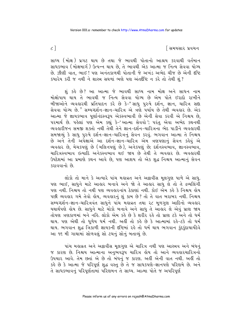િસમયસાર પ્રવચન

સાધ્ય (મોક્ષ) પ્રગટ થાય છે તથા જે ભાવથી પોતાનો આશ્રય કરવાથી વર્તમાન સાધકભાવ (મોક્ષમાર્ગ) ઉત્પન્ન થાય છે, તે ભાવથી એક આત્મા જ નિત્ય સેવવા યોગ્ય છે. ઝીણી વાત. ભાઈ ! પણ અનંતકાળથી પોતાની જે અખંડ અભેદ ચીજ છે એની દષ્ટિ કયારેય કરી જ નથી ને શાસ્ત્ર સઘળાં ભણે પણ અંતર્દીષ્ટ ન કરે તો તેથી શું?

શં કહે છે? આ આત્મા જે ભાવથી સાધ્ય નામ મોક્ષ અને સાધન નામ મોક્ષોપાય થાય તે ભાવથી જ નિત્ય સેવવા યોગ્ય છે એમ પોતે ઈરાદો રાખીને બીજાઓને વ્યવહારથી પ્રતિપાદન કરે છે કે–"સાધુ પુરુષે દર્શન, જ્ઞાન, ચારિત્ર સદ્ય સેવવા યોગ્ય છે." સમ્યગ્દર્શન-જ્ઞાન-ચારિત્ર એ ત્રણે પર્યાય છે તેથી વ્યવહાર છે. એક આત્મા જે જ્ઞાયકભાવ પૂર્ણાનંદસ્વરૂપ એકસ્વભાવી છે એની સેવા કરવી એ નિશ્ચય છે, પરમાર્થ છે. પહેલાં પણ એમ કહ્યું કે-'આત્મા સેવવો '; પરંતુ એવા અભેદ કથનથી વ્યવહારીજન સમજી શક્તો નથી તેથી તેને જ્ઞાન-દર્શન-ચારિત્રના ભેદ પાડીને વ્યવહારથી સમજાવ્યું કે સાધુ પુરુષે દર્શન-જ્ઞાન-ચારિત્રનું સેવન કરવું. ભગવાન આત્મા તે નિશ્ચય છે અને તેની અપેક્ષાએ આ દર્શન-જ્ઞાન-ચારિત્ર એમ ત્રણપણાનું સેવન કહેવું એ વ્યવહાર છે, મેચકપણું છે (મલિનપણું છે), અનેકપણું છે; દર્શનસ્વભાવ, જ્ઞાનસ્વભાવ, ચારિત્રસ્વભાવ ઇત્યાદિ અનેકસ્વભાવ થઈ જાય છે તેથી તે વ્યવહાર છે. વ્યવહારથી ઉપદેશમાં આ પ્રમાણે કથન આવે છે, પણ આશય તો એક શુદ્ધ નિશ્ચય આત્માનું સેવન  $$31$ વવાનો છે

લોકો તો માને કે અત્યારે પાંચ મહાવ્રત અને અજ્ઞવીસ મૂલગુણ પાળે એ સાધુ. પણ ભાઈ, સાધુને માટે આહાર બનાવે અને જો તે આહાર સાધુ લે તો તે દ્રવ્યલિંગી પણ નથી. નિશ્ચય તો નથી પણ વ્યવહારનાંય ઠેકાણાં નથી. કોઈ એમ કહે કે નિશ્ચય હોય પછી વ્યવહાર ગમે તેવો હોય, વ્યવહારનું શું કામ છે? તો તે વાત બરાબર નથી. નિશ્ચય સમ્યગ્દર્શન-જ્ઞાન-ચારિત્રવંત સાધુને પાંચ મહાવ્રત તથા ૨૮ મૂળગુણ આદિનો વ્યવહાર યથાર્થપણે હોય છે. સાધુને માટે ચોકો બનાવે અને સાધુ તે આહાર લે એવું પ્રાણ જાય તોપણ ત્રણકાળમાં બને નહિ. લોકો એમ કહે છે કે શરીર રહે તો પ્રાણ ટકે અને તો ધર્મ થાય. પણ એથી તો ધળેય ધર્મ નથી. અહીં તો કહે છે કે આત્મામાં રહે-ટકે તો ધર્મ થાય. ભગવાન શુદ્ધ ત્રિકાળી જ્ઞાયકની દષ્ટિમાં રહે તો ધર્મ થાય ભગવાન કુંદકુંદાચાર્યદેવે આ ૧૬ મી ગાથામાં સોળવલું સો ટચનું સોનું બતાવ્યું છે.

પાંચ મહાવ્રત અને અક્રાવીસ મૂલગુણ એ ચારિત્ર નથી પણ આસ્ત્રવ અને બંધનું જ કારણ છે. નિશ્ચય આત્માના અનુભવરૂપ ચારિત્ર હોય તો આને વ્યવહારચારિત્રનો ઉપચાર આવે. તેમ છતાં એ છે તો બંધનું જ કારણ. અહીં એની વાત નથી. અહીં તો કહે છે કે આત્મા જે પરિપૂર્ણ શુદ્ધ વસ્તુ છે તે જ સાધકપણે-જ્ઞાનપણે પરિણમે છે. અને તે સાધકભાવનું પરિપર્ણતામાં પરિણમન તે સાધ્ય. આત્મા પોતે જ અપરિપર્ણ

 $\zeta$ ]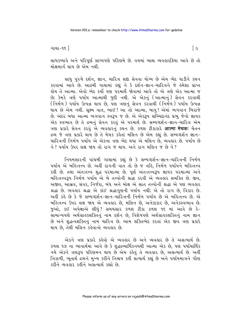ગાથા−૧૬ ∃

સાધકભાવે અને પરિપૂર્ણ સાધ્યપણે પરિણમે છે. વચમાં બાહ્ય વ્યવહારક્રિયા આવે છે તો મોક્ષમાર્ગ થાય છે એમ નથી.

સાધુ પુરુષે દર્શન, જ્ઞાન, ચારિત્ર સદ્દા સેવવા યોગ્ય છે એમ ભેદ પાડીને કથન કરવામાં આવે છે. આઠમી ગાથામાં કહ્યં ને કે દર્શન-જ્ઞાન-ચારિત્રને જે હંમેશા પ્રાપ્ત લ્રોય તે આત્મા. એવો ભેદ કર્યો પણ પરમાર્થે જોવામાં આવે તો એ ત્રણે એક આત્મા જ છે; કેમકે ત્રણે પર્યાય આત્માથી જુદી નથી. એ એકનું (આત્માનું) સેવન કરવાથી ( નિર્મળ ) પર્યાય ઉત્પન્ન થાય છે, પણ ત્રણનું સેવન કરવાથી ( નિર્મળ ) પર્યાય ઉત્પન્ન થાય છે એમ નથી. સુક્ષ્મ વાત, ભાઈ ! આ તો આત્મા, બાપુ ! એમાં ભગવાન બિરાજે છે. અંદર બધા આત્મા ભગવાન સ્વરૂપ જ છે. એ એકરૂપ સચ્ચિદાનંદ પ્રભુ જેનો જ્ઞાયક એક સ્વભાવ છે તે દ્રવ્યનું સેવન કરવું એ પરમાર્થ છે. સમ્યગ્દર્શન-જ્ઞાન-ચારિત્ર એમ ત્રણ પ્રકારે સેવન કરવું એ વ્યવહારનું કથન છે. કળશ ટીકાકારે **आत्मा मेचक:** ચેતન દ્રવ્ય જે ત્રણ પ્રકારે થાય છે તે મેચક કહેતાં મલિન છે એમ કહ્યું છે. સમ્યગ્દર્શન જ્ઞાન-ચારિત્રની નિર્મળ પર્યાય એ એકના ત્રણ ભેદ થયા એ મલિન છે. વ્યવહાર છે. પર્યાય છે ને ? પર્યાય ઉપર લક્ષ જાય તો રાગ જ થાય. અને રાગ મલિન જ છે ને ?

નિયમસારની પાંચમી ગાથામાં કહ્યું છે કે સમ્યગ્દર્શન-જ્ઞાન-ચારિત્રની નિર્મળ પર્યાય એ બહિ:તત્ત્વ છે. અહીં રાગની વાત તો છે જ નહિ, નિર્મળ પર્યાયને બહિ:તત્ત્વ કહી છે. તથા અંતઃતત્ત્વ શુદ્ધ પરમાત્મા છે. પૂર્ણ અંતઃતત્ત્વરૂપ જ્ઞાયક પરમાત્મા અને બર્કિ:તત્ત્વરૂપ નિર્મળ પર્યાય એ બે તત્ત્વોની શ્રદ્ધા કરવી એ વ્યવહાર સમક્તિ છે. જીવ. અજીવ, આસવ, સંવર, નિર્જરા, બંધ અને મોક્ષ એ સાત તત્ત્વોની શ્રદ્ધા એ પણ વ્યવહાર શ્રદ્ધા છે. વ્યવહાર શ્રદ્ધા એ કાંઈ શ્રદ્ધાગુણની પર્યાય નથી; એ તો રાગ છે, વિકાર છે. અહીં કહે છે કે જે સમ્યગ્દર્શન-જ્ઞાન-ચારિત્રની નિર્મળ પર્યાય છે એ બહિઃતત્ત્વ છે. એ બહિ: તત્ત્વ ઉપર લક્ષ જાય એ વ્યવહાર છે, મલિન છે, અનેકાકાર છે, અનેકસ્વભાવ છે. જુઓ, કઈ અપેક્ષાએ લીધું? સમયસાર કળશ ટીકા કળશ ૧૬ માં આવે છે કે-સામાન્યપણે અર્થગ્રાહકશક્તિનું નામ દર્શન છે, વિશેષપણે અર્થગ્રાહકશક્તિનું નામ જ્ઞાન છે અને શુદ્ધત્વશક્તિનું નામ ચારિત્ર છે. આમ શક્તિભેદ કરતાં એક જીવ ત્રણ પ્રકારે થાય છે. તેથી મલિન કરેવાનો વ્યવહાર છે.

એકને ત્રણ પ્રકારે કહેવો એ વ્યવહાર છે અને વ્યવહાર છે તે અસત્યાર્થ છે. કળશ ૧૭ ના ભાવાર્થમાં આવે છે કે શુદ્ધદ્રવ્યાર્થિકનયથી આત્મા એક છે, પણ પર્યાયાર્થિક નયે એકને ત્રણરૂપ પરિણમન થાય છે એમ કહેવું તે વ્યવહાર છે, અસત્યાર્થ છે. અહીં ત્રિકાળી, ભૂતાર્થ દ્રવ્યને મુખ્ય કરીને નિશ્ચય કહી સત્યાર્થ કહ્યું છે અને પર્યાયમાત્રને ગૌણ કરીને વ્યવહાર કહીને અસત્યાર્થ કહ્યો છે

 $\lceil c \rceil$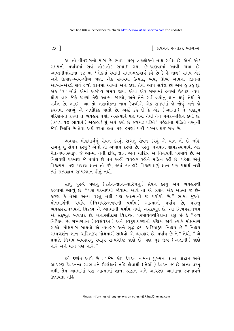∣ પ્રવચન રત્નાકર ભાગ−ર

 $90<sup>-1</sup>$ 

આ તો વીતરાગનો માર્ગ છે. ભાઈ ! પ્રભુ ત્રણલોકનો નાથ સર્વજ્ઞ છે. એની એક સમયની પર્યાયમાં સર્વ લોકાલોક સમાઈ ગયા છે-જાણવામાં આવી ગયા છે. આપ્તમીમાંસાના ૪૮ માં શ્લોકમાં સ્વામી સમંતભદ્રાચાર્ય કહે છે કે-હે નાથ! સમય એક અને ઉત્પાદ-વ્યય-ઘ્રૌવ્ય ત્રણ. એક સમયમાં ઉત્પાદ, વ્યય, ઘ્રૌવ્ય આપના જ્ઞાનમાં આવ્યાં-એટલે સર્વ દ્રવ્યો જ્ઞાનમાં આવ્યાં અને કહ્યાં તેથી આપ સર્વજ્ઞ છો એમ કું કુકું છું. એક 'ક' બોલે એમાં અસંખ્ય સમય જાય. એવા એક સમયમાં દ્રવ્યમાં ઉત્પાદ, વ્યય, ઘ્રૌવ્ય ત્રણ જેણે જાણ્યાં તેણે આત્મા જાણ્યો, અને તેને સર્વ દ્રવ્યોનું જ્ઞાન થયું. તેથી તે સર્વજ્ઞ છે. ભાઈ! આ તો ત્રણલોકના નાથ કેવળીએ એક સમયમાં જે જોયું અને જે કથનમાં આવ્યું એ અલૌકિક વાતો છે. અહીં કહે છે કે એક (આત્મા) ને ત્રણરૂપ પરિણમતો કહેવો તે વ્યવહાર થયો, અસત્યાર્થ પણ થયો તેથી તેને મેચક-મલિન કહ્યો છે. ( કળશ ૧૭ ભાવાર્થ ) અહાહા ! શું અર્થ કર્યો છે જયચંદ્ર પંડિતે ! પહેલાંના પંડિતો વસ્તુની જેવી સ્થિતિ છે તેવા અર્થ કરતા હતા. પણ હમણાં ઘણી ગરબડ થઈ ગઈ છે.

વ્યવહાર મોક્ષમાર્ગનું સેવન કરવું, રાગનું સેવન કરવું એ વાત તો છે નહિ. રાગનું શું સેવન કરવું ? એનો તો અભાવ કરવો છે. પરંતુ ભગવાન જ્ઞાયકસ્વભાવી એક यैतन्यघनस्वरूप જે આત્મા તેની દૃષ્ટિ, જ્ઞાન અને ચારિત્ર એ નિશ્ચયથી પરમાર્થ છે. એ નિશ્ચયથી પરમાર્થ જે ૫ર્યાય છે તેને અહીં વ્યવહાર કહીને મલિન કહી છે. ૫હેલાં એનું વિકલ્પમાં પણ યથાર્થ જ્ઞાન તો કરે, જ્યાં વ્યવહારે વિકલ્પવાળું જ્ઞાન પણ યથાર્થ નથી त्यां सत्यज्ञान-सम्यग्ज्ञान डोतुं नथी.

સાધુ પુરુષે ત્રણનું (દર્શન-જ્ઞાન-ચારિત્રનું) સેવન કરવું એમ વ્યવહારથી કહેવામાં આવ્યું છે, " પણ પરમાર્થથી જોવામાં આવે તો એ ત્રણેય એક આત્મા જ છે-કારણ કે તેઓ અન્ય વસ્તુ નથી પણ આત્માની જ પર્યાયો છે." ભાષા જુઓ. મોક્ષમાર્ગની પર્યાય (નિશ્ચયરત્નત્રયની પર્યાય) આત્માની પર્યાય છે. પરન્ત વ્યવહારરત્નત્રયનો વિકલ્પ એ આત્માની પર્યાય નથી, અસદ્દભૂત છે. આ નિશ્ચયરત્નત્રય એ સદ્દભૂત વ્યવહાર છે. બનારસીદાસ વિરચિત પરમાર્થવચનિકામાં કહ્યું છે કે "દ્રવ્ય નિષ્ક્રિય છે. સમ્યગ્જ્ઞાન (સ્વસંવેદન) અને સ્વરૂપાચરણની કણિકા જાગે ત્યારે મોક્ષમાર્ગ સાચો. મોક્ષમાર્ગ સાધવો એ વ્યવહાર અને શુદ્ધ દ્રવ્ય અક્રિયારૂપ નિશ્ચય છે." નિશ્ચય સમ્યગ્દર્શન-જ્ઞાન-ચારિત્રરૂપ મોક્ષમાર્ગ સાધવો એ વ્યવહાર છે. પર્યાય છે ને ? તેથી. "એ પ્રમાણે નિશ્ચય-વ્યવહારનું સ્વરૂપ સમ્યગ્દષ્ટિ જાણે છે, પણ મૃઢ જીવ (અજ્ઞાની) જાણે નહિ અને માને પણ નહિ."

इये દખ્ટાંત આપે છે: ' જેમ કોઈ દેવદત્ત નામના પુરુષનાં જ્ઞાન, શ્રદ્ધાન અને આચરણ દેવદત્તના સ્વભાવને ઉલ્લંઘતાં નહિ હોવાથી (તેઓ) દેવદત્ત જ છે અન્ય વસ્ત<del>્</del> નથી. તેમ આત્મામાં પણ આત્માનાં જ્ઞાન, શ્રદ્ધાન અને આચરણ આત્માના સ્વભાવને रित्संघतां नडि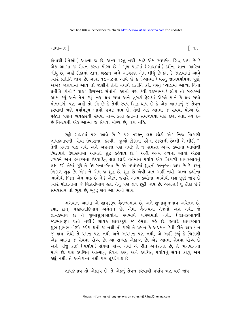ગાથા $-95$ 

હોવાથી (તેઓ ) આત્મા જ છે, અન્ય વસ્તુ નથી. માટે એમ સ્વયમેવ સિદ્ધ થાય છે કે એક આત્મા જ સેવન કરવા યોગ્ય છે." મુળ પાઠમાં (ગાથામાં) દર્શન, જ્ઞાન, ચારિત્ર લીધું છે, અહીં ટીકામાં જ્ઞાન, શ્રદ્ધાન અને આચરણ એમ લીધું છે કેમ કે જાણવામાં આવે ત્યારે પ્રતીતિ થાય છે. ગાથા ૧૭-૧૮માં આવે છે કે (આત્મા) વસ્તુ જ્ઞાનપર્યાયમાં પૂર્ણ, અખંડ જાણવામાં આવે તો જાણીને તેની યથાર્થ પ્રતીતિ કરે. વસ્ત ખ્યાલમાં આવ્યા વિના પ્રતીતિ કોની ? વાહ ! દિગમ્બર સંતોની કથની પણ કેવી રહસ્યમય ! લોકો તો બહારમાં આમ કર્યું અને તેમ કર્યું, નગ્ન થઈ ગયા અને લુગડાં ફેરવ્યાં એટલે માને કે થઈ ગયો મોક્ષમાર્ગ. પણ અહીં તો કહે છે કે-તેથી સ્વયં સિદ્ધ થાય છે કે એક આત્માનું જ સેવન કરવાથી ત્રણે પર્યાયરૂપ ભાવો પ્રગટ થાય છે. તેથી એક આત્મા જ સેવવા યોગ્ય છે. પહેલાં ત્રણેને વ્યવહારથી સેવવા યોગ્ય કહ્યા હતા-તે સમજાવવા માટે કહ્યા હતા. હવે કહે છે નિશ્ચયથી એક આત્મા જ સેવવા યોગ્ય છે, ત્રણ નહિ.

છક્રી ગાથામાં પણ આવે છે કે પર તરફ્નું લક્ષ છોડી એક નિજ ત્રિકાળી જ્ઞાયકભાવની સેવા-ઉપાસના કરવી. જુઓ ટીકાના પહેલા ફકરાની છેલ્લી બે લીટી-" તેથી પ્રમત્ત પણ નથી અને અપ્રમત્ત પણ નથી; તે જ સમસ્ત અન્ય દ્રવ્યોના ભાવોથી ભિન્નપણે ઉપાસવામાં આવતો શુદ્ધ કહેવાય છે." અહીં અન્ય દ્રવ્યના ભાવો એટલે દ્રવ્યકર્મ અને દ્રવ્યકર્મના ઉદયાદિનું લક્ષ છોડી વર્તમાન પર્યાય એક ત્રિકાળી જ્ઞાયકભાવનું લક્ષ કરી તેમાં ઝૂકે તે ઉપાસના-સેવા છે. એ પર્યાયમાં શુદ્ધનો અનુભવ થાય છે કે વસ્તુ ત્રિકાળ શુદ્ધ છે. એમ ને એમ જ શુદ્ધ છે, શુદ્ધ છે એવી વાત અર્લી નથી. અન્ય દ્રવ્યોના ભાવોથી ભિન્ન એમ પાઠ છે ને ? એટલે જ્યારે અન્ય દ્રવ્યોના ભાવોથી લક્ષ છૂટી જાય છે ત્યારે પોતાનામાં જે વિકારીભાવ હતા તેનું પણ લક્ષ છુટી જાય છે. અહાહા ! શું ટીકા છે? સમયસાર તો ભૂપ છે, ભૂપ; સર્વ આગમનો સાર.

ભગવાન આત્મા એ જ્ઞાયકરૂપ ચૈતન્યભાવ છે, અને શુભાશુભભાવ અચેતન છે. દયા, દાન, મહાવ્રતાદિભાવ અચેતન છે, એમાં ચૈતન્યના તેજનો અંશ નથી. જે જ્ઞાયકભાવ છે તે શુભાશુભભાવોના સ્વભાવે પરિણમતો નથી. (જ્ઞાયકભાવથી જડભાવરૂપ થતો નથી) જ્ઞાયક જ્ઞાયકરૂપે જ હંમેશાં રહે છે. જ્યારે જ્ઞાયકભાવ શુભાશુભભાવોરૂપે કદીય થતો જ નથી તો પછી તે પ્રમત્ત કે અપ્રમત્ત કેવી રીતે થાય? ન જ થાય. તેથી તે પ્રમત્ત પણ નથી અને અપ્રમત્ત પણ નથી, એ અહીં કહ્યું કે ત્રિકાળી એક આત્મા જ સેવવા યોગ્ય છે. આ સમ્યક એકાન્ત છે. એક આત્મા સેવવા યોગ્ય છે અને બીજું કાંઈ (૫ર્યાય) સેવવા યોગ્ય નથી એ રીતે અનેકાન્ત છે, તે ભગવાનનો માર્ગ છે. પણ કથંચિત આત્માનું સેવન કરવું અને કથંચિત પર્યાયનું સેવન કરવું એમ કહ્યું નથી. તે અનેકાન્ત નથી પણ ફદડીવાદ છે.

જ્ઞાયકભાવ તો એકરૂપ છે. તે એકનું સેવન કરવાથી પર્યાય ત્રણ થઈ જાય

 $\lceil 99 \rceil$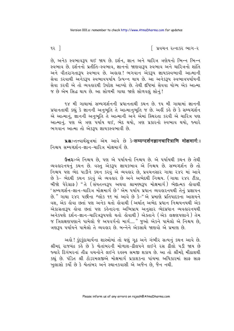92 T

િ પ્રવચન રત્નાકર ભાગ−ર

છે, અનેક સ્વભાવરૂપ થઈ જાય છે. દર્શન, જ્ઞાન અને ચારિત્ર ત્રણેયનો ભિન્ન ભિન્ન સ્વભાવ છે. દર્શનનો પ્રતીતિ-સ્વભાવ. જ્ઞાનનો જાણવારૂપ સ્વભાવ અને ચારિત્રનો શાંતિ અને વીતરાગતારૂપ સ્વભાવ છે. અહાહા! ભગવાન એકરૂપ જ્ઞાયકસ્વભાવી આત્માની સેવા કરવાથી અનેકરૂપ સ્વભાવપર્યાય ઉત્પન્ન થાય છે. આ અનેકરૂપ સ્વભાવપર્યાયની સેવા કરવી એ તો વ્યવહારથી ઉપદેશ આપ્યો છે. તેથી દષ્ટિમાં સેવવા યોગ્ય એક આત્મા જ છે એમ સિદ્ધ થાય છે. આ સોળમી ગાથા જાણે સોળવલં સોનં!

૧૪ મી ગાથામાં સમ્યગ્દર્શનની પ્રધાનતાથી કથન છે. ૧૫ મી ગાથામાં જ્ઞાનની પ્રધાનતાથી કહ્યું કે જ્ઞાનની અનુભૂતિ તે આત્માનુભૂતિ જ છે. અહીં કહે છે કે સમ્યગ્દર્શન એ આત્માનું, જ્ઞાનની અનુભૂતિ તે આત્માની અને એમાં સ્થિરતા કરવી એ ચારિત્ર પણ આત્માનું. પણ એ ત્રણ પર્યાય થઈ, ભેદ થયો, ત્રણ પ્રકારનો સ્વભાવ થયો, જ્યારે ભગવાન આત્મા તો એકરૂપ જ્ઞાયકસ્વભાવી છે.

u .- तत्त्वार्थसूत्रमां એम આવે છે કे-सम्यग्दर्शनज्ञानचारित्राणि मोक्षमार्गः। નિશ્ચય સમ્યગ્દર્શન-જ્ઞાન-ચારિત્ર મોક્ષમાર્ગ છે.

**ઉત્તરઃ**-એ નિશ્ચય છે, પણ એ પર્યાયનો નિશ્ચય છે. એ પર્યાયથી કથન છે તેથી વ્યવહારનયનું કથન છે. વસ્તુ એકરૂપ જ્ઞાયકભાવ એ નિશ્ચય છે. સમ્યગ્દર્શન છે તો નિશ્ચય પણ ભેદ પાડીને કથન કરવું એ વ્યવહાર છે, પ્રવચનસાર ગાથા ૨૪૨ માં આવે બીજો પેરેગ્રાફ) "તે (સંયતત્ત્વરૂપ અથવા શ્રામણ્યરૂપ મોક્ષમાર્ગ) ભેદાત્મક કોવાથી ' સમ્યગ્દર્શન-જ્ઞાન-ચારિત્ર મોક્ષમાર્ગ છે' એમ પર્યાય પ્રધાન વ્યવહારનયથી તેનું પ્રજ્ઞાપન છે." ગાથા ૨૪૨ પછીના શ્લોક ૧૬ માં આવે છે કે–"એ પ્રમાણે પ્રતિપાદકના આશયને વશ, એક લેવા છતાં પણ અનેક થતો લેવાથી (અર્થાત્ અભેદ પ્રધાન નિશ્ચયનયથી એક એકાગ્રતારૂપ લોવા છતાં પણ કહેનારના અભિપ્રાય અનુસાર ભેદપ્રધાન વ્યવહારનયથી અનેકપણે દર્શન-જ્ઞાન-ચારિત્રરૂપપણે થતો હોવાથી) એક્તાને (એક લક્ષણપણાને) તેમ જ ત્રિલક્ષણપણાને પામેલો જે અપવર્ગનો માર્ગ...." જુઓ એકને પામેલો એ નિશ્ચય છે, ત્રણરૂપ પર્યાયને પામેલો તે વ્યવહાર છે. બન્નેને એકસાથે જાણવો એ પ્રમાણ છે.

અલે! કુંદુકુંદાચાર્યના શાસ્ત્રોમાં તો ઘણું ગુઢ અને ગંભીર સત્યનું કથન આવે છે. શ્રીમદ રાજચંદ્ર કહે છે કે ચેતાંબરની મોળાશ-ઢીલપને લઈને રસ ઢીલો પડી જાય છે જ્યારે દિગંબરનાં તીવ્ર વચનોને લઈને રહસ્ય સમજી શકાય છે. આ તો શ્રીમદ્દે મીઠાશથી કહ્યું છે. પંડિત શ્રી ટોડરમલજીએ મોક્ષમાર્ગ પ્રકાશકના પાંચમા અધિકારમાં સાફ સાફ ખુલાસો કર્યો છે કે શ્વેતાંબર અને સ્થાનકવાસી એ અજૈન છે, જૈન નથી.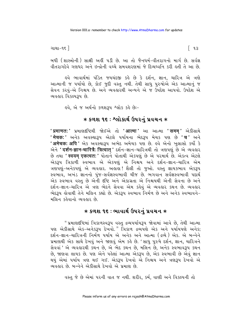ગાથા−૧૬ ]

બધી (શાસ્ત્રોની) સાક્ષી અહીં ૫ડી છે. આ તો જૈનધર્મ-વીતરાગનો માર્ગ છે. સર્વજ્ઞ વીતરાગદેવે ગણધર અને ઈન્દ્રોની વચ્ચે સમવશરણમાં જે દિવ્યધ્વનિ કરી હતી તે આ છે.

હવે ભાવાર્થમાં પંડિત જયચંદજી કહે છે કે દર્શન, જ્ઞાન, ચારિત્ર એ ત્રણે આત્માની જ પર્યાયો છે, કોઈ જુદી વસ્તુ નથી. તેથી સાધુ પુરુષોએ એક આત્માનું જ સેવન કરવ-એ નિશ્ચય છે. અને વ્યવહારથી અન્યને એ જ ઉપદેશ આપવો. ઉપદેશ એ વ્યવહાર વિકલ્પરૂપ છે.

ફવે. એ જ અર્થનો કળશરૂપ શ્લોક કરે છે:-

## $*$  કળશ ૧૬ : શ્લોકાર્થ ઉપરનું પ્રવચન  $*$

<mark>' प्रमाणत: '</mark> પ્રમાણદષ્ટિથી જોઈએ તો **'आत्मा'** આ આત્મા **' समम '** એકીસાથે **' मेचक:'** અનેક અવસ્થારૂપ એટલે પર્યાયના ભેદરૂપ મેચક પણ છે 'च' અને **'अमेचक: अपि'** એક અવસ્થારૂપ અભેદ અમેચક પણ છે. હવે એનો ખલાસો કર્યો કે એને 'दर्शन-ज्ञान-चारित्रै: त्रित्वात् ' દર્શન-જ્ઞાન-ચારિત્રથી તો ત્રણપણું છે એ વ્યવહાર છે તથા **' स्वयम् एकत्वतः'** પોતાને પોતાથી એકપણું છે એ પરમાર્થ છે. એકત્વ એટલે એક<mark>ટાપ ત્રિકાળી સ્વભાવ એ એકપણ એ નિશ્</mark>રય અને દર્શન-જ્ઞાન-ચારિત્ર એમ ત્રણપણું-અનેકપણું એ વ્યવહાર. અહાહા! શૈલી તો જુઓ. વસ્તુ જ્ઞાયકભાવ એકરૂપ સ્વભાવ, અખંડ જ્ઞાનનો પુંજ-સર્વજ્ઞસ્વભાવી ચીજ છે. ભગવાન સર્વજ્ઞસ્વભાવી પદાર્થ એક સ્વભાવ વસ્ત છે એની દૃષ્ટિ અને એકાગ્રતા એ નિશ્ચયથી એની સેવના છે અને દર્શન-જ્ઞાન-ચારિત્ર એ ત્રણ ભેદને સેવવા એમ કહેવં એ વ્યવહાર કથન છે. વ્યવહાર ભેદરૂપ હોવાથી તેને મલિન કહ્યો છે. એકરૂપ સ્વભાવ નિર્મળ છે અને અનેક સ્વભાવને-મલિન કહેવાનો વ્યવહાર છે.

## $*$  કળશ ૧૬ : ભાવાર્થ ઉપરનું પ્રવચન  $*$

" પ્રમાણદષ્ટિમાં ત્રિકાળસ્વરૂપ વસ્તુ દ્રવ્યપર્યાયરૂપ જોવામાં આવે છે, તેથી આત્મા ૫ણ એકીસાથે એક-અનેકરૂપ દેખવો." ત્રિકાળ દ્રવ્યપણે એક અને પર્યાયપણે અનેક; દર્શન-જ્ઞાન-ચારિત્રની નિર્મળ ૫ર્યાય એ અનેક અને આત્મા (દ્રવ્યે) એક. એ બન્નેને પ્રમાણથી એક સાથે દેખવું અને જાણવું એમ કર્લ છે. 'સાધુ પુરુષે દર્શન, જ્ઞાન, ચારિત્રને છે, જાણવા લાયક છે. પણ એને પહેલાં આત્મા એકરૂપ છે, એક સ્વભાવી છે એવું જ્ઞાન થયું એમાં ૫ર્યાય ત્રણ થઈ ગઈ. એકરૂપ દેખવો એ નિશ્ચય અને ત્રણરૂપ દેખવો એ વ્યવહાર છે. બન્નેને એકીસાથે દેખવો એ પ્રમાણ છે.

વસ્તુ જે છે એમાં પરની વાત જ નથી. શરીર, કર્મ, વાણી અને વિકલ્પની તો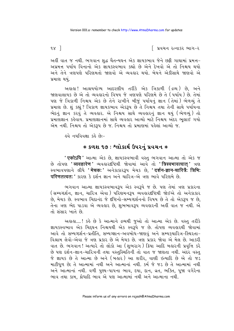∣ પ્રવચન રત્નાકર ભાગ−ર

અહીં વાત જ નથી. ભગવાન શુદ્ધ ચૈતન્યઘન એક જ્ઞાયકભાવ જેને છઢી ગાથામાં પ્રમત્ત-અપ્રમત્ત પર્યાય વિનાનો એક જ્ઞાયકસ્વભાવ કહ્યો છે એને દેખવો એ તો નિશ્ચય થયો અને તેને ત્રણપણે પરિણમતો જાણવો એ વ્યવહાર થયો. બેયને એકીસાથે જાણવો એ પ્રમાણ થયં.

અલલ! આશ્રયયોગ્ય આદરણીય તરીકે એક ત્રિકાળી (દ્રવ્ય) છે. અને જાણવાલાયક છે એ તો વ્યવહારનો વિષય જે ત્રણપણે પરિણમે છે તે (પર્યાય) છે. તેમાં પણ જે ત્રિકાળી નિશ્ચય એક છે તેને રાખીને બીજું પર્યાયનું જ્ઞાન (તેમાં) ભેળવ્યું તે પ્રમાણ છે. શું કહ્યું ? ત્રિકાળ જ્ઞાયકભાવ એકરૂપ છે તે નિશ્ચય તથા તેની સાથે પર્યાયના ભેદનું જ્ઞાન કરવું તે વ્યવહાર. એ નિશ્ચય સાથે વ્યવહારનું જ્ઞાન થયું (ભેળવ્યું) તો પ્રમાણેજ્ઞાન કહેવાય. પ્રમાણજ્ઞાનમાં સાથે વ્યવહાર આવ્યો માટે નિશ્ચય અંદર ભૂલાઈ ગયો એમ નથી. નિશ્ચય તો એકરૂપ છે જ. નિશ્ચય તો પ્રમાણમાં પહેલાં આવ્યો જ.

<u>હવે નયવિવક્ષા કહે છે:-</u>

## $*$  કળશ ૧૭ : શ્લોકાર્થ ઉપરનું પ્રવચન  $*$

**' एकोऽपि '** આત્મા એક છે. જ્ઞાયકસ્વભાવી વસ્તુ ભગવાન આત્મા તો એક જ છે તોપણ '**व्यवहारेण'** વ્યવહારદષ્ટિથી જોવામાં આવે તો 'त्रिस्वभावत्वात' ત્રણ સ્વભાવપણાને લીધે 'मेचक:' અનેકાકારરૂપ મેચક છે, 'दर्शन-ज्ञान-चारित्रै: त्रिभि: परिणतत्वतः' કારણ કે દર્શન જ્ઞાન અને ચારિત્ર-એ ત્રણ ભાવે પરિણમે છે.

ભગવાન આત્મા જ્ઞાયકસ્વભાવરૂપ એક સ્વરૂપે જ છે. પણ તેમાં ત્રણ પ્રકારના (સમ્યગ્દર્શન, જ્ઞાન, ચારિત્ર એવા ) પરિણમનરૂપ વ્યવહારદષ્ટિથી જોઈએ તો અનેકાકાર છે, મેચક છે. સ્વભાવ ચિદાનંદ જે દ્દષ્ટિનો-સમ્યગ્દર્શનનો વિષય છે તે તો એકરૂપ જ છે, તેના ત્રણ ભેદ પાડવા એ વ્યવહાર છે, શુભભાવરૂપ વ્યવહારની અહીં વાત જ નથી. એ તો સંસાર ખાતે છે.

અહાહા....! કહે છે કે આત્માને દ્રવ્યથી જુઓ તો આત્મા એક છે. વસ્તુ તરીકે જ્ઞાયકસ્વભાવ એક ચિદ્દઘન નિશ્ચયથી એક સ્વરૂપે જ છે. તોપણ વ્યવહારથી જોવામાં આવે તો સમ્યગ્દર્શન-પ્રતીતિ, સમ્યગ્જ્ઞાન-અવબોધ-જાણવું અને સમ્યક્ર્યારિત્ર-સ્થિરતા-વિશ્રામ લેવો-એવા જે ત્રણ પ્રકાર છે એ મેચક છે. ત્રણ પ્રકાર જોવા એ મેલ છે. આકરી વાત છે. ભગવાન! અત્યારે તો લોકો આ (શુભરાગ) ક્રિયા આદિ બહારની પ્રવૃત્તિ કરે છે પણ દર્શન-જ્ઞાન-ચારિત્રની તથા વસ્તુસ્થિતિની તો વાત જ જાણતા નથી. અંદર વસ્તુ જે જ્ઞાયક છે તે આત્મા છે અને (બહાર) આ શરીર, વાણી ઇત્યાદિ છે એ તો જડ માટીધૂળ છે; તે આત્મામાં નથી અને આત્માનાં નથી. કર્મ જે જડ છે તે આત્મામાં નથી અને આત્માનાં નથી. વળી પુણ્ય-પાપના ભાવ, દયા, દાન, વ્રત, ભક્તિ, પૂજા વગેરેના ભાવ તથા કામ, ક્રોધાદિ ભાવ એ પણ આત્મામાં નથી અને આત્માના નથી.

 $98<sup>1</sup>$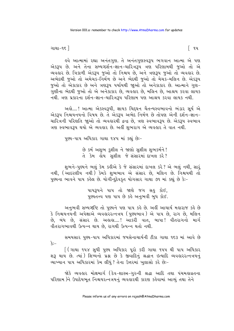ગાથા−૧૬ ∃

હવે આત્મામાં રહ્યા અનંતગુણ. તે અનંતગુણસ્વરૂપ ભગવાન આત્મા એ પણ એકરૂપ છે. અને તેના સમ્યગ્દર્શન-જ્ઞાન-ચારિત્રરૂપ ત્રણ પરિણામથી જુઓ તો એ વ્યવહાર છે. ત્રિકાળી એકરૂપ જુઓ તો નિશ્ચય છે, અને ત્રણરૂપ જુઓ તો વ્યવહાર છે. અભેદથી જુઓ તો અમેચક-નિર્મળ છે અને ભેદથી જુઓ તો મેચક-મલિન છે. એકરૂપ જુઓ તો એકાકાર છે અને ત્રણરૂપ પર્યાયથી જાુઓ તો અનેકાકાર છે. આત્માને ગુણ-ગુણીના ભેદથી જુઓ તો એ અનેકાકાર છે, વ્યવહાર છે, મલિન છે, આશ્રય કરવા લાયક નથી. ત્રણ પ્રકારના દર્શન-જ્ઞાન-ચારિત્રરૂપ પરિણામ પણ આશ્રય કરવા લાયક નથી.

અલો....! આત્મા એકસ્વરૂપી. જ્ઞાયક ચિદઘન ચૈતન્યસ્વભાવનો ભંડાર સર્ય એ એક્ટમ નિશ્ચયનયનો વિષય છે. તે એક્ટમ અભેદ નિર્મળ છે તોપણ એની દર્શન-જ્ઞાન-ચારિત્રની પરિણતિ જાઓ તો વ્યવહારથી દ્વન્દ્વ છે. ત્રણ સ્વભાવરૂપ છે. એકરૂપ સ્વભાવ ત્રણ સ્વભાવરૂપ થયો એ વ્યવહાર છે. અહીં શભરાગ એ વ્યવહાર તે વાત નથી.

પુણ્ય-પાપ અધિકાર ગાથા ૧૪૫ માં કહ્યું છેઃ-

છે કર્મ અશુભ કુશીલ ને જાણો સુશીલ શુભકર્મને! તે કેમ હોય સશીલ જે સંસારમાં દાખલ કરે?

શુભને-પુણ્યને ભલું કેમ કહીએ કે જે સંસારમાં દાખલ કરે? એ ભલું નથી, સારૂં નથી, (આદરણીય નથી) કેમકે શુભભાવ એ સંસાર છે, મલિન છે. નિશ્ચયથી તો પુણ્યના ભાવને પાપ કહેલ છે. યોગીન્દુદેવકુત યોગસાર ગાથા ૭૧ માં કહ્યું છે કેઃ-

> પાપરૂપને પાપ તો જાણે જગ સહ કોઈ. પુણ્યતત્ત્વ પણ પાપ છે કહે અનુભવી બુધ કોઈ.

અનુભવી સમ્યગ્દષ્ટિ તો પુણ્યને પણ પાપ કહે છે. અહીં આચાર્ય મહારાજ કહે છે કે નિશ્વયનયની અપેક્ષાએ વ્યવહારરત્નત્રય (પુચ્યભાવ) એ પાપ છે. રાગ છે. મલિન છે. બંધ છે. સંસાર છે. અલલશ....! આકરી વાત. બાપા! વીતરાગનો માર્ગ વીતરાગભાવથી ઉત્પન્ન થાય છે. રાગથી ઉત્પન્ન થતો નથી.

સમયસાર પુણ્ય-પાપ અધિકારમાં જયસેનાચાર્યની ટીકા ગાથા ૧૬૩ માં આવે છે  $\hat{s}$ :-

[ (ગાથા ૧૫૪ સુધી પુણ્ય અધિકાર પૂરો કરી ગાથા ૧૫૫ થી પાપ અધિકાર શરૂ થાય છે. ત્યાં) શિષ્યનો પ્રશ્ન છે કે જીવાદિનું શ્રદ્ધાન ઇત્યાદિ વ્યવહારરત્નત્રયનું વ્યાખ્યાન પાપ અધિકારમાં કેમ લીધું ? તેના ઉત્તરમાં ખુલાસો કરે છેઃ-

જોકે વ્યવહાર મોક્ષમાર્ગ (દેવ-શાસ્ત્ર-ગુરુની શ્રદ્ધા આદિ તથા પંચમહાવ્રતના પરિણામ )ને ઉપાદેયભૂત નિશ્ચયરત્નત્રયનું વ્યવહારથી કારણ કહેવામાં આવ્યું તથા તેને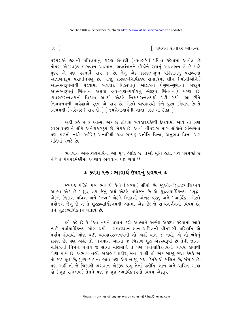િ પ્રવચન રત્નાકર ભાગ−ર

૫રં૫રાએ જીવની ૫વિત્રતાનું કારણ કોવાથી (વ્યવકારે) ૫વિત્ર કર્કવામાં આવેલ છે તોપણ એકસ્વરૂપ ભગવાન આત્માના અવલંબનને છોડીને રાગનું અવલંબન લે છે માટે પુણ્ય એ પણ પરમાર્થે પાપ જ છે. તેનું એક કારણઃ∹શુભ પરિણામનું પરદ્રવ્યના .<br>આલંબનરૂપ પરાધીનપણું છે. બીજાું કારણઃ-નિર્વિકલ્પ સમાધિમાં લીન (યોગીઓને) આત્મસ્વરૂપમાંથી પડવામાં વ્યવહાર વિકલ્પોનું આલંબન (ગુણ-ગુણીના ભેદરૂપ આત્મસ્વરૂપનું ચિંતવન અથવા દ્રવ્ય-ગુણ-પર્યોયનું ભેદરૂપ ચિંતવન) કારણ છે. વ્યવહારરત્નત્રયનો વિકલ્પ આવ્યો એટલે નિશ્ચયરત્નત્રયથી ૫ડી ગયો. આ રીતે નિશ્ચયનયની અપેક્ષાએ પુણ્ય એ પાપ છે. એટલે વ્યવહારથી જેને પુણ્ય કહેવાય છે તે નિશ્ચયથી (ખરેખર) પાપ છે. ] [ જયસેનાચાર્યની ગાથા ૧૬૩ ની ટીકા. ]

અહીં કહે છે કે આત્મા એક છે તોપણ વ્યવહારદષ્ટિથી દેખવામાં આવે તો ત્રણ સ્વભાવપણાને લીધે અનેકાકારરૂપ છે, મેચક છે. આવો વીતરાગ માર્ગ લોકોને સાંભળવા પણ મળતો નથી. અરેરે! અનાદિથી જીવ સમ્યક પ્રતીતિ વિના, અનુભવ વિના ચાર ગતિમાં રખડે છે.

ભગવાન અમૃતચંદ્રાચાર્યનો આ મૂળ શ્લોક છે. તેઓ મુનિ હતા. પંચ પરમેષ્ઠી છે ને ? તે પંચપરમેષ્ઠીમાં આચાર્ય ભગવાન થઈ ગયા !!

## **∗ કળશ ૧૭ : ભાવાર્થ ઉપરનું પ્રવચન ∗**

જયચંદ પંડિતે પણ ભાવાર્થ કેવો (સરસ) લીધો છે. જાૂઓઃ-'શુદ્ધદ્રવ્યાર્થિકનયે આત્મા એક છે.' શુદ્ધ દ્રવ્ય જેનું અર્થ એટલે પ્રયોજન છે એ શુદ્ધદ્રવ્યાર્થિકનય. 'શુદ્ધ' એટલે ત્રિકાળ પવિત્ર અને 'દ્રવ્ય<sup>,</sup> એટલે ત્રિકાળી અંખડ વસ્ત અને 'આર્થિક' એટલે પ્રયોજન જેનું છે તે-તે શુદ્ધવ્ર્વાર્થિકનયથી આત્મા એક છે; જે સમ્યગ્દર્શનનો વિષય છે, તેને શુદ્ધ વ્યાર્થિકનય બતાવે છે.

હવે કહે છે કે 'આ નયને પ્રધાન કરી આત્માને અભેદ એકરૂપ કહેવામાં આવે ત્યારે પર્યાયાર્થિકનય ગૌણ થયો.' સમ્યગ્દર્શન-જ્ઞાન-ચારિત્રની વીતરાગી પરિણતિ એ પર્યાય હોવાથી ગૌણ થઈ. વ્યવહારરત્નત્રયની તો અહીં વાત જ નથી, એ તો બંધનું કારણ છે. પણ અહીં તો ભગવાન આત્મા જે ત્રિકાળ શુદ્ધ એકસ્વરૂપી છે તેની જ્ઞાન-ચારિત્રની નિર્મળ પર્યાય જે સાચો મોક્ષમાર્ગ તે પણ પર્યાયાર્થિકનયનો વિષય કોવાથી ગૌણ થાય છે, અભાવ નહીં. અહાહા ! શરીર, મન, વાણી તો એક બાજા રહ્યા કેમકે એ તો જડ ધૂળ છે; પુણ્ય-પાપના ભાવ પણ એક બાજા રહ્યા કેમકે એ મલિન છે; સંસાર છે; પણ અહીં તો જે ત્રિકાળી ભગવાન એકરૂપ પ્રભુ તેનાં પ્રતીતિ, જ્ઞાન અને ચારિત્ર-સાચા લે- (શુદ્ધ રત્નત્રય) તેમને પણ જે શુદ્ધ દ્રવ્યાર્થિકનયનો વિષય એકરૂપ

 $95$ ]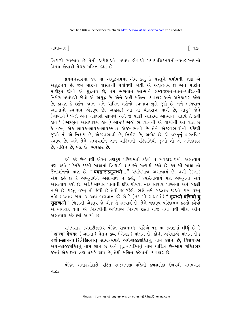ગાથા−૧૬ ]

∫ ૧૭

ત્રિકાળી સ્વભાવ છે તેની અપેક્ષાઓ. પર્યાય લેવાથી પર્યાયાર્થિકનયનો-વ્યવહારનયનો વિષય લોવાથી મેચક-મલિન કહ્યાં છે.

પ્રવચનસારમાં ૪૬ મા અશુદ્ધનયમાં એમ કહ્યું કે વસ્તુને પર્યાયથી જાણે એ અશુદ્ધનય છે. જેમ માટીને વાસણની પર્યાયથી જોવી એ અશુદ્ધનય છે અને માટીને માટીરૂપે જોવી એ શુદ્ધનય છે; તેમ ભગવાન આત્માને સમ્યગ્દર્શન-જ્ઞાન-ચારિત્રની નિર્મળ પર્યાયથી જોવો એ અશદ્ધ છે. એને અહીં મલિન. વ્યવહાર અને અનેકાકાર કહેલ છે, કારણ કે દર્શન, જ્ઞાન અને ચારિત્ર-ત્રણેનો સ્વભાવ જુદો જુદો છે અને ભગવાન આત્માનો સ્વભાવ એકરૂપ છે. અલલ! આ તો વીતરાગ માર્ગ છે, બાપુ! જેને ( વાણીને ) ઇન્દ્રો અને ગણધરો સાંભળે અને જે વાણી અંતરમાં આત્માને બતાવે તે કેવી હોય ? ( અદ્દભુત અસાધારણ હોય ) ભાઈ ! અહીં ભગવાનની એ વાણીની આ વાત છે કે વસ્તુ એક જ્ઞાયક-જ્ઞાયક-જ્ઞાયકમાત્ર એકસ્વભાવી છે તેને એકસ્વભાવીની દષ્ટિથી જુઓ તો એ નિશ્ચય છે, એકસ્વભાવી છે, નિર્મળ છે, અભેદ છે. એ વસ્તુનું વાસ્તવિક સ્વરૂપ છે. અને તેને સમ્યગ્દર્શન-જ્ઞાન-ચારિત્રની પરિણતિથી જુઓ તો એ અનેકાકાર છે. મલિન છે, ભેદ છે, વ્યવહાર છે.

ઙ્વે કર્ક છે-'તેથી એકને ત્રણરૂપ પરિણમતો કર્કવો તે વ્યવહાર થયો, અસત્યાર્થ પણ થયો.' કેમકે ૧૧મી ગાથામાં ત્રિકાળી જ્ઞાયકને સત્યાર્થ કહ્યો છે. ૧૧ મી ગાથા તો જૈનદર્શનનો પ્રાણ છે. **" ववहारोऽभूयत्थो... "** પર્યાયમાત્ર અસત્યાર્થ છે. વળી કેટલાક એમ કહે છે કે અભુતાર્થને અસત્યાર્થ ન કહો, "જયસેનાચાર્યે પણ અભુતનો અર્થ અસત્યાર્થ કર્યો છે. અરે! માણસ પોતાની દષ્ટિ પોષવા માટે સારાય શાસ્ત્રના અર્થ બદલી નાખે છે. પરંતુ વસ્તુ તો જેવી છે તેવી જ રહેશે. ભલે તમે બદલાઈ જાઓ, પણ વસ્તુ નહિ બદલાઈ જાય. આચાર્ય ભગવાન કહે છે કે (૧૧ મી ગાથામાં) **" મયત્થો देसिदो द्** सङ्घणओ " ત્રિકાળી એકરૂપ જે ચીજ તે સત્યાર્થ છે. તેને ત્રણરૂપ પરિણમન કરતો કહેવો એ વ્યવહાર થયો. એ ત્રિકાળીની અપેક્ષાએ ત્રિકાળ ટક્તી ચીજ નથી તેથી ગૌણ કરીને અસત્યાર્થ કહેવામાં આવ્યો છે

સમયસાર કળશટીકાકાર પંડિત રાજમલજી પાંડેએ ૧૬ મા કળશમાં લીધું છે કે " आत्मा मेचक: ( આત્મા ) ચેતન દ્રવ્ય ( મેચક ) મલિન છે. કોની અપેક્ષાએ મલિન છે? दर्शन-ज्ञान-चारित्रैस्रित्वात् सामान्यपशे अर्थग्राङ्डशक्तिनुं नाम दर्शन છે. વિશેષપણે અર્થ-ગ્રાહકશક્તિનું નામ જ્ઞાન છે અને શદ્ધત્વશક્તિનું નામ ચારિત્ર છે-આમ શક્તિભેદ કરતાં એક જીવ ત્રણ પ્રકારે થાય છે, તેથી મલિન કહેવાનો વ્યવહાર છે."

પંડિત બનારસીદાસે પંડિત રાજમલજી પાંડેની કળશટીકા ઉપરથી સમયસાર નાટક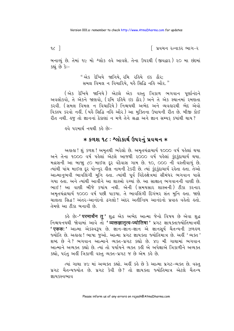િ પ્રવચન રત્નાકર ભાગ−ર

બનાવ્યું છે. તેમાં ૧૯ મો શ્લોક હવે આવશે. તેના ઉપરથી (જીવદ્વાર) ૨૦ મા છંદમાં કહ્યું છે કે:-

> "એક દેખિયે જાનિયે. રમિ રહિયે ઇક ઠૌર; સમલ વિમલ ન વિચારિયે, યહૈ સિદ્ધિ નહિ ઔર."

(એક દેખિયે જાનિયે) એટલે એક વસ્તુ ત્રિકાળ ભગવાન પૂર્ણાનંદને અવલોકવો, તે એકને જાણવો, (રમિ રહિયે ઇક ઠૌર<sup>)</sup> અને તે એક સ્થાનમાં રમણતા કરવી. (સમલ વિમલ ન વિચારિયે ) નિશ્ચયથી અભેદ અને વ્યવહારથી ભેદ એવો વિકલ્પ કરવો નહીં. (યહૈ સિદ્ધિ નહિ ઔર) આ મુક્તિના ઉપાયની રીત છે. બીજી કોઈ रीत नथी. इ तो ज्ञाननां ठेड़ाशां न मणे तेने श्रद्धा अने ज्ञान सम्यइ ड्यांथी थाय ?

<u>હવે પરમાર્થ નયથી કહે છેઃ-</u>

## **∗ કળશ ૧૮ : શ્લોકાર્થ ઉપરનું પ્રવચન ∗**

અહાહા ! શું કળશ ! અમૃતથી ભરેલો છે. અમૃતચંદ્રાચાર્ય ૧૦૦૦ વર્ષ પહેલાં થયા અને તેના ૧૦૦૦ વર્ષ પહેલાં એટલે આજથી ૨૦૦૦ વર્ષ પહેલાં કુંદકુંદાચાર્ય થયા. મદ્રાસની આ બાજા ૮૦ માઈલ દૂર વંદેવાસ ગામ છે. ૧૦, ૦૦૦ ની વસ્તીવાળું છે. ત્યાંથી પાંચ માઈલ દૂર પોન્નૂર હીલ નામની ટેકરી છે. ત્યાં કુંદકુંદાચાર્ય રહેતા હતા. તેઓ આત્માનુભવી ભાવલિંગી મુનિ હતા. ત્યાંથી પૂર્વ વિદેહ્ક્ષેત્રમાં સીમંધર ભગવાન પાસે ગયા હતા. અને ત્યાંથી આવીને આ શાસ્ત્રો રચ્યાં છે. આ સાક્ષાત ભગવાનની વાણી છે. ભાઈ! આ વાણી બીજે કયાંય નથી. એની (સમયસાર શાસ્ત્રની) ટીકા કરનાર અમતચંદ્રાચાર્ય ૧૦૦૦ વર્ષ પછી પાકયા. તે ભાવલિંગી દિગંબર સંત મનિ કતા. જાણે ચાલતા સિદ્ધ! અંતર-આનંદનો ઢગલો! અંદર અતીન્દ્રિય આનંદનો પ્રવાહ વહેતો હતો. તેમણે આ ટીકા બનાવી છે.

કહે છેઃ–<mark>' परमार्थेन तु '</mark> શુદ્ધ એક અભેદ આત્મા જેનો વિષય છે એવા શુદ્ધ<br>નિશ્ચયનયથી જોવામાં આવે તો **' व्यक्तज्ञातृत्व-ज्योतिषा '** પ્રગટ જ્ઞાયક્તાજ્યોતિમાત્રથી **' एकक: '** આત્મા એકસ્વરૂપ છે. જ્ઞાન-જ્ઞાન-જ્ઞાન એ જ્ઞાનસૂર્ય ચૈતન્યની ઝળહળ જ્યોતિ છે. અહાહા ! ભાષા જુઓ. આત્મા પ્રગટ જ્ઞાયક્તા જ્યોતિમાત્ર છે. અહીં 'વ્યક્ત ' શબ્દ છે ને? ભગવાન આત્માને વ્યક્ત-પ્રગટ કહ્યો છે. ૪૯ મી ગાથામાં ભગવાન આત્માને અવ્યક્ત કહ્યો છે. ત્યાં તો પર્યાયને વ્યક્ત કહી એ અપેક્ષાએ ત્રિકાળીને અવ્યક્ત કહ્યો, પરંતુ અહીં ત્રિકાળી વસ્તુ વ્યક્ત-પ્રગટ જ છે એમ કહે છે.

ત્યાં ગાથા ૪૯ માં અવ્યક્ત કહ્યો. અહીં કહે છે કે આત્મા પ્રગટ-વ્યક્ત છે. વસ્તુ પ્રગટ ચૈતન્યજ્યોત છે. પ્રગટ કેવી છે? તો જ્ઞાયક્તા જ્યોતિમાત્ર એટલે ચૈતન્ય <u>જ્ઞાય કસ્વભાવ</u>

 $\alpha$ ]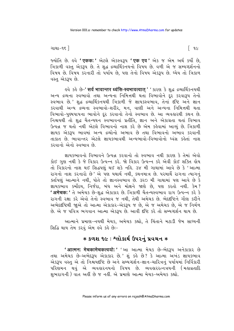ગાથા−૧૬ ]

 $\lceil 9c \rceil$ 

જ્યોતિ છે. હવે 'एकक:' એટલે એકસ્વરૂપ 'एक एव' એક જ એમ અર્થ કર્યો છે. ત્રિકાળી વસ્ત એકરૂપ છે. તે શુદ્ધ દ્રવ્યાર્થિકનયનો વિષય છે. વળી એ જ સમ્યગ્દર્શનનો વિષય છે. વિષય કરનારી તો પર્યાય છે. પણ તેનો વિષય એક્રમ છે. ઘ્યેય તો ત્રિકાળ વસ્ત એકરૂપ છે.

ड़वे sड़े છे-' सर्व भावान्तर ध्वंसि-स्वभावत्वात् ' ' sारश डे शुद्ध द्रव्यार्थिडनयथी અન્ય દ્રવ્યના સ્વભાવો તથા અન્યના નિમિત્તથી થતાં વિભાવોને દર કરવારૂપ તેનો સ્વભાવ છે.' શુદ્ધ દ્રવ્યાર્થિકનયથી ત્રિકાળી જે જ્ઞાયકસ્વભાવ, તેનાં દૃષ્ટિ અને જ્ઞાન કરવાથી અન્ય દ્રવ્યના સ્વભાવો-શરીર, મન, વાણી અને અન્યના નિમિત્તથી થતા વિભાવો-પુણ્યપાપના ભાવોને દર કરવાનો તેનો સ્વભાવ છે. આ વ્યવહારથી કથન છે. નિશ્ચયથી તો શદ્ધ ચૈતન્યઘન સ્વભાવનાં પ્રતીતિ, જ્ઞાન અને એકાગ્રતા થતાં વિભાવ ઉત્પન્ન જ થતો નથી એટલે વિભાવનો નાશ કરે છે એમ કહેવામાં આવ્યું છે. ત્રિકાળી જ્ઞાયક એકટપ ભાવમાં અન્ય દ્રવ્યોનો અભાવ છે તથા વિભાવનો અભાવ કરવાની તાકાત છે. ભાવાન્તર એટલે જ્ઞાયકભાવથી અન્યભાવો-વિભાવોનો ધ્વંસ કહેતાં નાશ કરવાનો એનો સ્વભાવ છે.

જ્ઞાયકભાવનો વિભાવને ઉત્પન્ન કરવાનો તો સ્વભાવ નથી કારણ કે તેમાં એવો કોઈ ગુણ નથી કે જે વિકાર ઉત્પન્ન કરે. જો વિકાર ઉત્પન્ન કરે એવી કોઈ શક્તિ હોય તો વિકારનો નાશ થઈ સિદ્ધપણું થઈ શકે નહિ. ૩૪ મી ગાથામાં આવે છે કે 'આત્મા રાગનો નાશ કરનારો છે' એ પણ યથાર્થ નથી, કથનમાત્ર છે. પરમાર્થે રાગના ત્યાગનું ક્તપિણું આત્માને નથી, પોતે તો જ્ઞાનસ્વભાવ છે. ૩૨૦ મી ગાથામાં પણ આવે છે કે જ્ઞાયકભાવ કર્મોદય, નિર્જરા, બંધ અને મોક્ષને જાણે છે, પણ કરતો નથી. કેમ? 'अमेचक:' તે અમેચક છે-શુદ્ધ એકાકાર છે. ત્રિકાળી ચૈતન્યસ્વભાવ રાગ ઉત્પન્ન કરે કે રાગની રક્ષા કરે એવો તેનો સ્વભાવ જ નથી. તેથી અમેચક છે. ભેદદષ્ટિને ગૌણ કરીને અભેદદષ્ટિથી જાએ તો આત્મા એકાકાર-એકરૂપ જ છે. એ જ અમેચક છે. એ જ નિર્મળ છે. એ જ પવિત્ર ભગવાન આત્મા એકરૂપ છે. આવી દૃષ્ટિ કરે તો સમ્યગ્દર્શન થાય છે.

આત્માને પ્રમાણ-નયથી મેચક, અમેચક કહ્યો, તે ચિંતાને મટાડી જેમ સાધ્યની સિદ્ધિ થાય તેમ કરવું એમ હવે કહે છેઃ-

## $*$  કળશ ૧૯ : શ્લોકાર્થ ઉપરનું પ્રવચન  $*$

'आत्मन: मेचकामेचकत्वयो:' 'આ આત્મા મેચક છે-ભેદરૂપ અનેકાકાર છે તથા અમેચક છે-અભેદરૂપ એકાકાર છે.' શું કહે છે? કે આત્મા અખંડ જ્ઞાયકભાવ એકરૂપ વસ્તુ એ તો નિશ્ચયદ્દષ્ટિ છે અને સમ્યગ્દર્શન-જ્ઞાન-ચારિત્રનું પર્યાયમાં નિર્વિકારી ૫રિણમન થવું એ વ્યવહારનયનો વિષય છે. વ્યવહારરત્નત્રયની (મહાવ્રતાદિ શુભરાગની) વાત અહીં છે જ નહીં. એ પ્રમાણે આત્મા મેચક-અમેચક કહ્યો.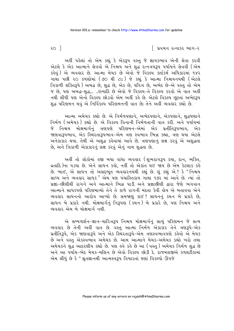િ પ્રવચન રત્નાકર ભાગ−ર

અહીં પહેલાં તો એમ કહ્યું કે એકરૂપ વસ્તુ જે જ્ઞાયકભાવ એની સેવા કરવી એટલે કે એક આત્માને સેવવો એ નિશ્ચય અને શુદ્ધ રત્નત્રયરૂપ પર્યાયને સેવવી (એમ કહેવું) એ વ્યવહાર છે. આત્મા મેચક છે એવો જે વિકલ્પ કર્તાકર્મ અધિકારમાં ૧૪૨ ગાથા પછી ૨૦ કળશોમાં (૭૦ થી ૮૯) જે કહ્યું કે આત્મા નિશ્ચયનયથી (એટલે ત્રિકાળી શક્તિરૂપે ) અબદ્ધ છે, શુદ્ધ છે, એક છે, પવિત્ર છે, અભેદ છે-એ વસ્તુ તો એમ જ છે, પણ અબદ્ધ-શુદ્ધ,.. .. છત્યાદિ છે એવો જે વિકલ્પ-તે વિકલ્પ કરવો એ વાત અહીં નથી લીધી પણ એનો વિકલ્પ છોડવો એમ અહીં કહે છે. એટલે વિકલ્પ છટતાં અભેદરૂપ શુદ્ધ પરિણમન થવું એ નિર્વિકલ્પ પરિણમનની વાત છે; તેને અહીં વ્યવહાર કહ્યો છે.

આત્મા અમેચક કહ્યો છે. એ નિર્મળપણાને, અભેદપણાને, એકપણાને, શુદ્ધપણાને નિર્મળ (અમેચક) કહ્યો છે. એ વિકલ્પ વિનાની નિર્મળતાની વાત કરી. અને પર્યાયમાં જે નિશ્ચય મોક્ષમાર્ગનું ત્રણપણે પરિણમન–એમાં એક પ્રતીતિરૂપભાવ, એ.ક જાણવારૂપભાવ, એક સ્થિરતારૂપભાવ-એમ ત્રણ સ્વભાવ ભિન્ન કહ્યા, ત્રણ થયા એટલે અનેકાકાર થયા. તેથી એ અશુદ્ધ કહેવામાં આવે છે. ત્રણપણાનું લક્ષ કરવું એ અશુદ્ધતા છે, અને ત્રિકાળી એકાકારનું લક્ષ કરવું એનું નામ શુદ્ધતા છે.

અહીં તો લોકોમાં હજી બધા વાંધા વ્યવહાર (શુભરાગરૂપ દયા, દાન, ભક્તિ, વ્રતાદિ)ના ૫ડયા છે. એને સાધન કહો, નહીં તો એકાંત થઈ જાય છે એમ કેટલાક કહે છે. ભાઈ, એ સાધન તો અસદ્દભુત વ્યવહારનયથી કહ્યું છે. શું કહ્યું એ ? કે "નિશ્ચય સાધ્ય અને વ્યવહાર સાધક" એમ પણ પંચાસ્તિકાય ગાથા ૧૭૨ માં આવે છે. ત્યાં તો પ્રજ્ઞા-છીણીથી રાગને અને આત્માને ભિન્ન પાડી અને પ્રજ્ઞાછીણી દ્વારા જેણે ભગવાન આત્માને સાધકપણે પરિણમાવ્યો તેને તે કાળે રાગની મંદતા કેવી લોય એ બતાવવા એને વ્યવહાર સાધનનો આરોપ આપ્યો છે. સમજાણું કાંઈ? સાધનનું કથન બે પ્રકારે છે, સાધન બે પ્રકારે નથી. મોક્ષમાર્ગનું નિરૂપણ (કથન) બે પ્રકારે છે, પણ નિશ્ચય અને વ્યવહાર એમ બે મોક્ષમાર્ગ નથી.

એ સમ્યગ્દર્શન-જ્ઞાન-ચારિત્રરૂપ નિશ્ચય મોક્ષમાર્ગનું સાચું પરિણમન જે સત્ય વ્યવહાર છે તેની અહીં વાત છે. વસ્તુ આત્મા નિર્મળ એકાકાર તેને ત્રણરૂપે-એક પ્રતીતિરૂપે, એક જાણવારૂપે અને એક સ્થિરતારૂપે-એમ ત્રણસ્વભાવપણે કહેવો એ મેચક છે અને વસ્તુ એકસ્વભાવ અમેચક છે. આમ આત્માને મેચક-અમેચક કહ્યો ખરો તથા અમેચકને શુદ્ધ આદરણીય કહ્યો છે. પણ હવે કહે છે આ (વસ્તુ) અમેચક નિર્મળ શુદ્ધ છે અને આ પર્યાય-ભેદ મેચક-મલિન છે એવો વિકલ્પ છોડી દે. રાજમલજીએ કળશટીકામાં એમ લીધું છે કે "શ્રતજ્ઞાનથી આત્મસ્વરૂપ વિચારતાં ઘણાં વિકલ્પો ઊપજે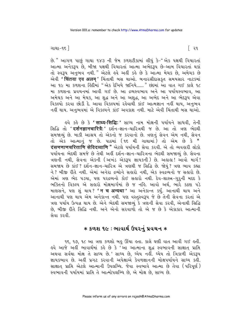છે." આગળ પાછું ગાથા ૧૪૩ ની જેમ કળશટીકામાં લીધું કે-"એક પક્ષથી વિચારતાં આત્મા અનેકરૂપ છે, બીજા પક્ષથી વિચારતાં આત્મા અભેદરૂપ છે-આમ વિચારતાં થકાં તો સ્વરૂપ અનુભવ નથી." એટલે હવે અહીં કહે છે કે આત્મા મેચક છે, અમેચક છે એવી 'चिंतया एव अलम्' ચિંતાથી બસ થાઓ. બનારસીદાસકૃત સમયસાર નાટકમાં આ ૧૯ મા કળશના હિંદીમાં "એક દેખિયે જાનિયે ...... " છંદમાં આ વાત ગઈ કાલે ૧૮ મા કળશના પ્રવચનમાં આવી ગઈ છે. આ દ્રવ્યસ્વભાવ અને આ પર્યાયસ્વભાવ. આ અમેચક અને આ મેચક, આ શુદ્ધ અને આ અશુદ્ધ, આ અભેદ અને આ ભેદરૂપ<sup>ં</sup>એવા નહીં થાય. અનુભવમાં એ વિકલ્પને કાંઈ અવકાશ નથી. માટે એવી ચિંતાથી બસ થાઓ.

ઙુવે કહે છે કે **' साध्य-सिद्धि:'** સાધ્ય નામ મોક્ષની પર્યાયને સાધવી, તેની સિદ્ધિ તો **'दर्शनज्ञानचारित्रै:'** દર્શન-જ્ઞાન-ચારિત્રથી જ છે. આ તો ત્રણ ભેદથી સમજાવ્યું છે. બાકી આશ્રય તો એકનો જ કરવાનો છે. ત્રણનું સેવન એમ નથી, સેવન તો એક આત્માનું જ છે. પાઠમાં (૧૬ મી ગાથામાં) તો એમ છે કે " दंसणणाणचरित्ताणि सेविदव्वाणि " એટલે પર્યાયની સેવા કરવી. એ તો વ્યવહારી લોકો પર્યાયના ભેદથી સમજે છે તેથી અહીં દર્શન-જ્ઞાન-ચારિત્રના ભેદથી સમજાવ્યું છે. સેવના ત્રણની નથી, સેવના એકની (અખંડ એકરૂપ જ્ઞાયકની) છે. અહાહા! આવો માર્ગ! સમજાય છે કાંઈ? દર્શન-જ્ઞાન-ચારિત્ર એ ત્રણથી જ સિદ્ધિ છે. જોયું? ત્રણ ભાવ કહ્યા ને ? બીજી રીતે નથી. એમાં અનેરા દ્રવ્યોને સહારો નથી, એક સ્વદ્રવ્યનો જ સહારો છે. એમાં ત્રણ ભેદ ૫ડયા, ૫ણ ૫૨દ્રવ્યનો કોઈ સહારો નથી. દેવ-શાસ્ત્ર-ગુરૂની મદદ કે ભક્તિનો વિકલ્પ એ સહારો મોક્ષમાર્ગમાં છે જ નહિ. આવો અર્થ, ભારે કઠણ પડે માણસને, પણ શું થાય? **'न च अन्यथा'** આ અનેકાન્ત કર્યું. આનાથી થાય અને આનાથી પણ થાય એમ અનેકાન્ત નથી. પણ વસ્તુસ્વરૂપ જે છે તેની સેવના કરતાં એ ત્રણ ૫ર્યાય ઉત્પન્ન થાય છે. એને ભેદથી સમજાવ્યું કે ત્રણની સેવા કરવી, એનાથી સિદ્ધિ છે. બીજી રીતે સિદ્ધિ નથી. અને એનો સરવાળો તો એ જ છે કે એકાકાર આત્માની સેવા કરવી.

## $\ast$  કળશ ૧૯ ∶ભાવાર્થ ઉપરનું પ્રવચન  $\ast$

૧૬, ૧૭, ૧૮ આ ત્રણ કળશો બહુ ઊંચા હતા. કાલે ઘણી વાત આવી ગઈ હતી. હવે આજે અહીં ભાવાર્થમાં કહે છે કે 'આ આત્માના શુદ્ધ સ્વભાવની સાક્ષાત્ પ્રાપ્તિ અથવા સર્વથા મોક્ષ તે સાધ્ય છે.' સાધ્ય છે, ધ્યેય નહીં. ધ્યેય તો ત્રિકાળી એકરૂપ જ્ઞાયકભાવ છે. અહીં પ્રગટ કરવાની અપેક્ષાએ કેવળજ્ઞાનની મોક્ષપર્યાયને સાધ્ય કહી. સાક્ષાત પ્રાપ્તિ એટલે આત્માની ઉપલબ્ધિ. જેવા સ્વભાવે આત્મા છે તેવા (પરિપૂર્ણ) સ્વભાવની પર્યાયમાં પ્રાપ્તિ તે આત્મોપલબ્ધિ છે, એ મોક્ષ છે, સાધ્ય છે.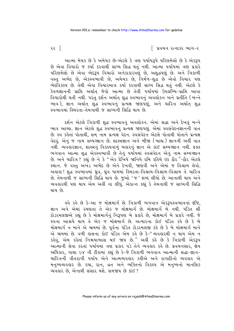રર $\begin{bmatrix} 2 & 3 \end{bmatrix}$ 

આત્મા મેચક છે કે અમેચક છે–એટલે કે ત્રણ પર્યાયરૂપે પરિણમેલો છે કે એકરૂપ છે એવા વિચારો જ કર્યા કરવાથી સાધ્ય સિદ્ધ થતું નથી. આત્મા પર્યાયમાં ત્રણ પ્રકારે પરિણમેલો છે એવા ભેદરૂપ વિચારો અનેકાકારપણું છે, અશુદ્ધપણું છે. અને ત્રિકાળી વસ્તુ અભેદ છે, એકસ્વભાવી છે, અમેચક છે, નિર્મળ-શુદ્ધ છે એવો વિચાર પણ ભેદવિકલ્પ છે. તેથી એવા વિચારમાત્ર કર્યા કરવાથી સાધ્ય સિદ્ધ થતં નથી. એટલે કે .<br>કેવળજ્ઞાનની પ્રાપ્તિ અર્થાત જેવો આત્મા છે તેવી પર્યાયમાં ઉપલબ્ધિ–પ્રાપ્તિ આવા વિચારોથી થતી નથી. પરંતુ દર્શન અર્થાત્ શુદ્ધ સ્વભાવનું અવલોકન અને પ્રતીતિ (બન્ને ભાવ), જ્ઞાન અર્થાત શુદ્ધ સ્વભાવનું પ્રત્યક્ષ જાણપણું, અને ચારિત્ર અર્થાત શુદ્ધ .<br>સ્વભાવમાં સ્થિરતા-તેમનાથી જ સાધ્યની સિદ્ધિ થાય છે.

દર્શન એટલે ત્રિકાળી શુદ્ધ સ્વભાવનું અવલોકન. એમાં શ્રદ્ધા અને દેખવું બન્ને ભાવ આવ્યા. જ્ઞાન એટલે શુદ્ધ સ્વભાવનું પ્રત્યક્ષ જાણપણું. એમાં સ્વસંવેદનજ્ઞાનની વાત છે. સ્વ કહેતાં પોતાથી, સમ<sup>ે</sup>નામ પ્રત્યક્ષ<sup>ે</sup> વેદન. સ્વસંવેદન એટલે પોતાથી પોતાને પ્રત્યક્ષ વેદવું. એનું જ નામ સમ્યગ્જ્ઞાન છે. શાસ્ત્રજ્ઞાન અને બીજા (બાહ્ય) જ્ઞાનની અહીં વાત નથી. વ્યવહારજ્ઞાન, શાસ્ત્રનું વિકલ્પવાળું બહારનું જ્ઞાન એ કાંઈ સમ્યગ્જ્ઞાન નથી. ફક્ત ભગવાન આત્મા યુદ્ધ એકસ્વભાવી છે તેનું પર્યોયમાં સ્વસંવેદન એનું નામ સમ્યગ્જ્ઞાન B. અને ચારિત્ર ? કહ્યું છે ને કે "એક દેખિયે જાનિયે રમિ રહિયે ઇક ઠૌર "-ઠૌર એટલે સ્થાન. જે વસ્તુ અખંડ અભેદ છે એને દેખવી, જાણવી અને એમાં જ વિશ્રામ લેવો. અલલ! શુદ્ધ સ્વભાવમાં ઘ્રુવ, ઘ્રુવ ધામમાં સ્થિરતા-વિશ્રામ-વિશ્રામ-વિશ્રામ તે ચારિત્ર છે. તેમનાથી જ સાધ્યની સિદ્ધિ થાય છે. જુઓ 'જ ' શબ્દ લીધો છે. આનાથી થાય અને વ્યવહારથી પણ થાય એમ અહીં ના લીધું. એકાન્ત કહ્યું કે તેમનાથી જ સાધ્યની સિદ્ધિ થાય છે

કવે કહે છે કે-આ જ મોક્ષમાર્ગ છે. ત્રિકાળી ભગવાન એકરૂપસ્વભાવનાં *દ*ષ્ટિ, જ્ઞાન અને એમાં રમણતા તે એક જ મોક્ષમાર્ગ છે. મોક્ષમાર્ગ બે નથી. પંડિત શ્રી ટોડરમલજીએ કહ્યું છે કે મોક્ષમાર્ગનું નિરૂપણ બે પ્રકારે છે, મોક્ષમાર્ગ બે પ્રકારે નથી. જે સ્વના આશ્રયે થાય તે એક જ મોક્ષમાર્ગ છે. અત્યારના કોઈ પંડિત કહે છે કે બે મોક્ષમાર્ગ ન માને એ ભ્રમમાં છે. પૂર્વના પંડિત ટોડરમલજી કહે છે કે બે મોક્ષમાર્ગ માને એ ભ્રમમાં છે. વળી હાલના કોઈ પંડિત એમ કહે છે કે-"વ્યવહારથી ન થાય એમ ન કહેવું, એમ કહેતાં નિશ્ચયાભાસ થઈ જાય છે." અહીં કહે છે કે ત્રિકાળી એકરૂપ આત્માની સેવા કરતાં પર્યાયમાં ત્રણ પ્રકાર પડે તેને વ્યવહાર કહે છે. પ્રવચનસાર, જ્ઞેય અધિકાર, ગાથા ૯૪ ની ટીકામાં કહ્યું છે કે-જે ત્રિકાળી ભગવાન આત્માની શ્રદ્ધા-જ્ઞાન-ચારિત્રની વીતરાગી ૫ર્યાય એને આત્મવ્યવહાર કહીએ અને રાગાદિનો વ્યવહાર એ મનુષ્યવ્યવહાર છે. દયા, દાન, વ્રત અને ભક્તિનો વિકલ્પ એ મનુષ્યનો માનસિક વ્યવહાર છે. એનાથી સંસાર થશે. સમજાય છે કાંઈ ?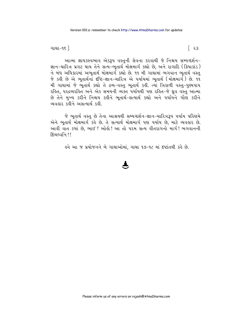ગાથા−૧૬ ∃

આત્મા જ્ઞાયકસ્વભાવ એકરૂપ વસ્તુની સેવના કરવાથી જે નિશ્ચય સમ્યગ્દર્શન-જ્ઞાન-ચારિત્ર પ્રગટ થાય તેને સત્ય-ભુતાર્થ મોક્ષમાર્ગ કહ્યો છે, અને રાગાદિ (ક્રિયાકાંડ) ને બંધ અધિકારમાં અભુતાર્થ મોક્ષમાર્ગ કહ્યો છે. ૧૧ મી ગાથામાં ભગવાન ભુતાર્થ વસ્તુ જે કહી છે એ ભુતાર્થનાં દષ્ટિ-જ્ઞાન-ચારિત્ર એ પર્યાયમાં ભુતાર્થ (મોક્ષમાર્ગ) છે. ૧૧ મી ગાથામાં જે ભુતાર્થ કહ્યો તે દ્રવ્ય-વસ્તુ ભુતાર્થ કહી. ત્યાં ત્રિકાળી વસ્તુ-પુણ્યપાપ રહિત. ૫૨૬વ્યરહિત અને એક સમયની વ્યક્ત પર્યાયથી પણ રહિત-જે ધ્રવ વસ્ત આત્મા છે તેને મુખ્ય કરીને નિશ્ચય કહીને ભુતાર્થ-સત્યાર્થ કહ્યો અને પર્યાયને ગૌણ કરીને વ્યવહાર કહીને અસત્યાર્થ કહી.

જે ભુતાર્થ વસ્તુ છે તેના આશ્રયથી સમ્યગ્દર્શન−જ્ઞાન−ચારિત્રરૂપ પર્યાય પરિણમે એને ભુતાર્થ મોક્ષમાર્ગ કહે છે. તે સત્યાર્થ મોક્ષમાર્ગ પણ પર્યાય છે, માટે વ્યવહાર છે. આવી વાત કયાં છે, ભાઈ? ઓલ્રો! આ તો પરમ સત્ય વીતરાગનો માર્ગ! ભગવાનની <u> हिव्यध्वनि ।।</u>

૬વે આ જ પ્રયોજનને બે ગાથાઓમાં, ગાથા ૧૭-૧૮ માં દર્ષ્ટાતથી કર્લ છે.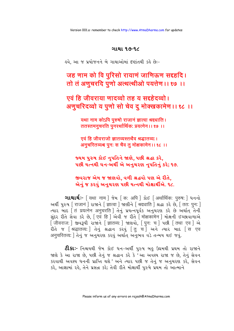#### ગાથા ૧૭-૧૮

૬વે, આ જ પ્રયોજનને બે ગાથાઓમાં દષ્ટાંતથી કહે છેઃ-

जह णाम को वि परिसो रायाणं जाणिऊण सद्दहदि। तो तं अणुचरदि पुणो अत्थत्थीओ पयत्तेण ।। १७ ।।

एवं हि जीवराया णादव्वो तह य सद्दहेदव्वो। अणुचरिदव्वो य पुणो सो चेव दु मोक्खकामेण ।। १८ ।।

> यथा नाम कोऽपि पुरुषो राजानं ज्ञात्वा श्रद्दधाति । ततस्तमनचरति पुनर्श्थार्थिकः प्रयत्नेन ।। १७ ।।

एवं हि जीवराजो ज्ञातव्यस्तथैव श्रद्धातव्य:। अनुचरितव्यश्च पुनः स चैव तु मोक्षकामेन ।। १८ ।।

જ્યમ પુરુષ કોઈ નૃપતિને જાણે, પછી શ્રદ્ધા કરે, ૫છી યત્નથી ધન-અર્થી એ અનુચરણ નૃપતિનું કરે; ૧૭.

જીવરાજ એમ જ જાણવો, વળી શ્રદ્ધવો પણ એ રીતે, એનું જ કરવું અનુચરણ પછી યત્નથી મોક્ષાર્થીએ. ૧૮.

अर्थी पुरुष [ राजानं ] राश्नने [ ज्ञात्वा ] श्राशीने [ श्रद्दधाति ] श्रद्धा ऽरे छे. [ ततः पनः ] त्यार आहु तिं प्रयत्नेन अनुचरति । तेनुं प्रयत्नपूर्यक अनुयरश करे છे अर्थात तेनी सुंदृर रीते सेवा કरे છे, [एवं हि ] એवी જ रीते [ मोक्षकामेन ] मोक्षनी ઈચ્છાવાળાએ [जीवराज: ] જીવરૂપી રાજાને [ज्ञातव्य: ] જાણવો, [पुन: च ] पछी [तथा एव ] એ रीते ४ | श्रद्धातव्यः | तेनुं श्रद्धान ऽरवुं | तु च | અने त्यार आहु | स एव अनुचरितव्यः । तेनुं ४ अनुयरश ऽरवुं अर्थात अनुभव वडे तन्मय थर्छ ४वुं.

**ટી.કાઃ**- નિશ્ચયથી જેમ કોઈ ધન<sup>્</sup>અર્થી પુરુષ બહુ ઉદ્યમથી પ્રથમ તો રાજાને જાણે કે આ રાજા છે. પછી તેનું જ શ્રદ્ધાન કરે કે 'આ અવશ્ય રાજા જ છે. તેનું સેવન કરવાથી અવશ્ય ધનની પ્રાપ્તિ થશે ' અને ત્યાર ૫છી જ તેનું જ અનુચરણ કરે, સેવન કરે. આજ્ઞામાં રહે, તેને પ્રસન્ન કરે; તેવી રીતે મોક્ષાર્થી પુરુષે પ્રથમ તો આત્માને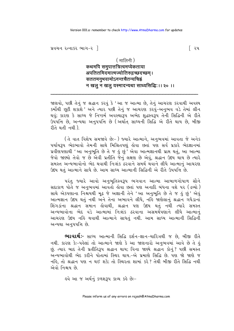પ્રવચન રત્નાકર ભાગ $-$ ર $\parallel$ 

#### ( मालिनी )

# कथमपि समुपात्तत्रित्वमप्येकताया अपतितमिदमात्मज्योतिरुद्गच्छदच्छम्। सततमनभवामोऽनन्तचैतन्यचिहं न खलु न खलु यस्मादन्यथा साध्यसिद्धि: ।। २० ।।

જાણવો, પછી તેનું જ શ્રદ્ધાન કરવું કે 'આ જ આત્મા છે, તેનું આચરણ કરવાથી અવશ્ય કર્મોથી છૂટી શકાશે 'અને ત્યાર પછી તેનું જ આચરણ કરવું-અનુભવ વડે તેમાં લીન થવં; કારણે કે સાધ્ય જે નિષ્કર્મ અવસ્થારૂપ અભેદ શદ્ધસ્વરૂપ તેની સિદ્ધિની એ રીતે ઉપપત્તિ છે. અન્યથા અન૫૫ત્તિ છે (અર્થાત સાઘ્યની સિદ્ધિ એ રીતે થાય છે. બીજી રીતે થતી નથી).

(તે વાત વિશેષ સમજાવે છેઃ-) જ્યારે આત્માને, અનુભવમાં આવતા જે અનેક પર્યાયરૂપ ભેદભાવો તેમની સાથે મિશ્રિતપણું હોવા છતાં પણ સર્વ પ્રકારે ભેદજ્ઞાનમાં પ્રવીણપણાથી 'આ અનુભૂતિ છે તે જ હું છું<sup>'</sup> એવા આત્મજ્ઞાનથી પ્રાપ્ત થતું, આ આત્મા જેવો જાણ્યો તેવો જ છે એવી પ્રતીતિ જેનું લક્ષણ છે એવું. શ્રદ્ધાન ઉદય થાય છે ત્યારે સમસ્ત અન્યભાવોનો ભેદ થવાથી નિ:શંક ઠરવાને સમર્થ થવાને લીધે આત્માનં આચરણ ઉદય થતું આત્માને સાધે છે. આમ સાધ્ય આત્માની સિદ્ધિની એ રીતે ઉપપત્તિ છે.

પરંતુ જ્યારે આવો અનુભુતિસ્વરૂપ ભગવાન આત્મા આબાળગોપાળ સૌને સદાકાળ પોતે જ અનુભવમાં આવતો હોવા છતાં પણ અનાદિ બંધના વશે ૫૨ (દ્રવ્યો) સાથે એકપણાના નિશ્ચયથી મુઢ જે અજ્ઞાની તેને 'આ અનુભૂતિ છે તે જ હું છું' એવું આત્મજ્ઞાન ઉદય થતું નથી અને તેના અભાવને લીધે, નહિ જાણેલાનું શ્રદ્ધાન ગધેડાનાં શિંગડાંના શ્રદ્ધાન સમાન હોવાથી, શ્રદ્ધાન પણ ઉદય થતું નથી ત્યારે સમસ્ત અન્યભાવોના ભેદ વડે આત્મામાં નિઃશંક ઠરવાના અસમર્થપણાને લીધે આત્માનં આચરણ ઉદય નહિ થવાથી આત્માને સાધતું નથી. આમ સાધ્ય આત્માની સિદ્ધિની અન્યથા અનુપપત્તિ છે.

**ભાવાર્થઃ**- સાધ્ય આત્માની સિદ્ધિ દર્શન-જ્ઞાન-ચારિત્રથી જ છે, બીજી રીતે નથી. કારણ કેઃ-પહેલાં તો આત્માને જાણે કે આ જાણનારો અનુભવમાં આવે છે તે હું છું. ત્યાર બાદ તેની પ્રતીતિરૂપ શ્રદ્ધાન થાય; વિના જાણ્યે શ્રદ્ધાન કોનું? પછી સમસ્ત અન્યભાવોથી ભેદ કરીને પોતામાં સ્થિર થાય.-એ પ્રમાણે સિદ્ધિ છે. પણ જો જાણે જ નહિ, તો શ્રદ્ધાન પણ ન થઈ શકે; તો સ્થિરતા શામાં કરે? તેથી બીજી રીતે સિદ્ધિ નથી એવો નિશ્ચય છે.

ઙવે આ જ અર્થનું કળશરૂપ કાવ્ય કહે છેઃ−

િ ૨૫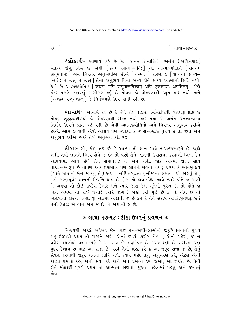ર૬ ી

િ ગાથા−૧૭−૧૮

**શ્લોકાર્થઃ**- આચાર્ય કહે છે કેઃ [अनन्तचैतन्यचिह्नं] અનંત (અવિનશ્વર) अनुभवाम: | અમે નિરંતર અનુભવીએ છીએ | यस्मात | કારણ કે | अन्यथा साध्य-सिद्धिः न खल न खल । तेना अनुभव विना अन्य रीते साध्य आत्मानी सिद्धि नथी. <u>sे</u>वी છે આत्म कथोति? क्थिम अपि समुपात्तत्रित्वम अपि एकताया: अपतितम लेश्चे કોઈ પ્રકારે ત્રણપણું અંગીકાર કર્યું છે તોપણ જે એકપણાથી ચ્યત થઈ નથી અને [अच्छम् उदगच्छत्] %े निर्भणपशे उद्दय पामी रड़ी छे.

ભાવાર્થઃ- આચાર્ય કહે છે કે જેને કોઈ પ્રકારે પર્યાયદષ્ટિથી ત્રણપણું પ્રાપ્ત છે તોપણ શદ્ધદ્રવ્યદષ્ટિથી જે એકપણાથી રહિત નથી થઈ તથા જે અનંત ચૈતન્યસ્વરૂપ નિર્મળ ઉદયને પ્રાપ્ત થઈ રડી છે એવી આત્મજ્યોતિનો અમે નિરંતર અનુભવ કરીએ છીએ. આમ કહેવાથી એવો આશય પણ જાણવો કે જે સમ્યગ્દષ્ટિ પુરુષ છે તે, જેવો અમે અનભવ કરીએ છીએ તેવો અનભવ કરે. ૨૦.

**ટીકાઃ-** હવે, કોઈ તર્ક કરે કે આત્મા તો જ્ઞાન સાથે તાદાત્મ્યસ્વરૂપે છે, જાૂદો નથી, તેથી જ્ઞાનને નિત્ય સેવે જ છે; તો પછી તેને જ્ઞાનની ઉપાસના કરવાની શિક્ષા કેમ આપવામાં આવે છે? તેનું સમાધાનઃ તે એમ નથી. જોકે આત્મા જ્ઞાન સાથે તાદાત્મ્યસ્વરૂપ છે તોપણ એક ક્ષણમાત્ર પણ જ્ઞાનને સેવતો નથી; કારણ કે સ્વયંબુદ્ધત્વ (પોતે પોતાની મેળે જાણવું તે) અથવા બોધિતબદ્ધત્વ (બીજાના જણાવવાથી જાણવું તે) -એ કારણપર્વક જ્ઞાનની ઉત્પત્તિ થાય છે. (કાં તો કાળલબ્ધિ આવે ત્યારે પોતે જ જાણી લે અથવા તો કોઈ ઉપદેશ દેનાર મળે ત્યારે જાણે-જેમ સતેલો પુરુષ કાં તો પોતે જ જાગે અથવા તો કોઈ જગાડે ત્યારે જાગે.) અહીં ફરી પૂછે છે કે જો એમ છે તો જાણવાના કારણ પહેલાં શું આત્મા અજ્ઞાની જ છે કેમ કે તેને સદાય અપ્રતિબદ્ધપણું છે? તેનો ઉત્તર: એ વાત એમ જ છે. તે અજ્ઞાની જ છે.

# **∗ ગાથા ૧૭-૧૮ : ટીકા ઉપરનું પ્રવચન ∗**

નિશ્ચયથી એટલે ખરેખર જેમ કોઈ ધન-અર્થી-લક્ષ્મીની જરૂરિયાતવાળો પુરુષ બહુ ઉઘમથી પ્રથમ તો રાજાને જાણે. એનાં કપડાં, શરીર, વૈભવ, એનો ચહેરો, કપાળ વગેરે લક્ષણોથી પ્રથમ જાણે કે આ રાજા છે. લક્ષ્મીવંત છે, ઉપજ ઘણી છે, શરીરમાં પણ પુણ્ય દેખાય છે માટે આ રાજા છે. પછી તેની શ્રદ્ધા કરે કે આ જરૂર રાજા જ છે, તેનું સેવન કરવાથી જરૂર ધનની પ્રાપ્તિ થશે. ત્યાર પછી તેનું અનુચરણ કરે, એટલે એની આજ્ઞા પ્રમાણે રહે, એની સેવા કરે અને એને પ્રસન્ન કરે. જુઓ, આ દર્પ્ટાંત છે. તેવી રીતે મોક્ષાર્થી પુરુષે પ્રથમ તો આત્માને જાણવો. જુઓ, પહેલામાં પહેલું એને કરવાનું હોય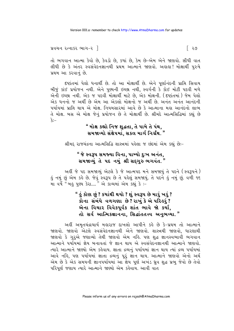```
પ્રવચન રત્નાકર ભાગ-ર\parallel
```
તો ભગવાન આત્મા કેવો છે, કેવડો છે, કયાં છે, કેમ છે-એમ એને જાણવો. સીધી વાત લીધી છે કે અંતર સ્વસંવેદનજ્ઞાનથી પ્રથમ આત્માને જાણવો. અહાહા! મોક્ષાર્થી પુરુષે પ્રથમ આ કરવાનં છે.

દૃષ્ટાંતમાં પેલો ધનાર્થી છે. તો આ મોક્ષાર્થી છે. એને પૃર્ણાનંદની પ્રાપ્તિ સિવાય બીજું કાંઈ પ્રયોજન નથી. એને પુણ્યની ઇચ્છા નથી, સ્વર્ગની કે કોઈ મોટી પદવી મળે એની ઇચ્છા નથી. એક જ પદવી મોક્ષાર્થી માટે છે, એક મોક્ષની. (દૃષ્ટાંતમાં) જેમ પેલો એક ધનનો જ અર્થી છે એમ આ એકલો મોક્ષનો જ અર્થી છે. અનંત અનંત આનંદની પર્યાયમાં પ્રાપ્તિ થાય એ મોક્ષ. નિયમસારમાં આવે છે કે આત્માના મહા આનંદનો લાભ તે મોક્ષ. બસ એ મોક્ષ જેનું પ્રયોજન છે તે મોક્ષાર્થી છે. શ્રીમદે આત્મસિદ્ધિમાં કહ્યું છે  $\hat{\mathbf{x}}$ :-

# " મોક્ષ કહ્યો નિજ શુદ્ધતા, તે પામે તે પંથ, સમજાવ્યો સંક્ષેપમાં. સકલ માર્ગ નિર્ગ્રંથ. "

શ્રીમદ્દ રાજચંદ્રના આત્મસિદ્ધિ શાસ્ત્રમાં પહેલા જ છંદમાં એમ કહ્યું છેઃ-

# " જે સ્વરૂપ સમજ્યા વિના, પામ્યો દુઃખ અનંત, સમજાવ્યું તે પદ નમું શ્રી સદગુરુ ભગવંત."

અહીં જે પદ સમજાવ્યું એટલે કે જે આત્મપદ મને સમજાયું તે પદને (સ્વરૂપને) હું નમું છું એમ કહે છે. જેવું સ્વરૂપ છે તે પહેલું સમજાયું. તે પદને હું નમું છું. વળી ૧૬<br>મા વર્ષે "બહુ પુણ્ય કેરા...." એ કાવ્યમાં એમ કહ્યું કે :-

# " હું કોણ છું ? કયાંથી થયો ? શું સ્વરૂપ છે મારું ખરું ? કોના સંબંધે વળગણા છે? રાખું કે એ પરિઙરું? એના વિચાર વિવેકપૂર્વક શાંત ભાવે જો કર્યા, તો સર્વ આત્મિકજ્ઞાનના, સિદ્ધાંતતત્ત્વ અનુભવ્યા."

અહીં અમૃતચંદ્રાચાર્ય મહારાજ દાખલો આપીને કહે છે કે-પ્રથમ તો આત્માને જાણવો. જાણવો એટલે સ્વસંવેદનજ્ઞાનથી એને જાણવો. શાસ્ત્રથી જાણવો, ધારણાથી જાણવો કે ગુરૂએ જણાવ્યો તેથી જાણવો એમ નહિ. પણ શુદ્ધ જ્ઞાનસ્વભાવી ભગવાન આત્માને પર્યાયમાં જ્ઞેય બનાવતાં જે જ્ઞાન થાય એ સ્વસંવેદનજ્ઞાનથી આત્માને જાણવો. ત્યારે આત્માને જાણ્યો એમ કહેવાય. જ્ઞાતા દ્રવ્યનું પર્યાયમાં જ્ઞાન થાય ત્યાં દ્રવ્ય પર્યાયમાં આવે નહિ, પણ પર્યાયમાં જ્ઞાતા દ્રવ્યનું પુરં જ્ઞાન થાય. આત્માને જાણવો એનો અર્થ એમ છે કે એક સમયની જ્ઞાનપર્યાયમાં આ જ્ઞેય પૂર્ણ અખંડ ધ્રુવ શુદ્ધ પ્રભુ જેવો છે તેવો પરિપર્ણ જણાય ત્યારે આત્માને જાણ્યો એમ કહેવાય. આવી વાત

િ ૨૭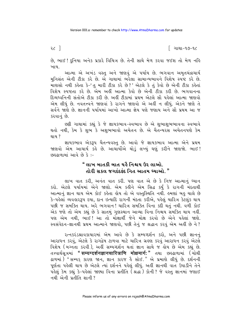૨૮ ી

િ ગાથા−૧૭−૧૮

છે, ભાઈ ! દુનિયા અનેક પ્રકારે વિચિત્ર છે. તેની સાથે મેળ કરવા જઈશ તો મેળ નહિ ખાય..

આત્મા એ અખંડ વસ્તુ અને જાણવું એ પર્યાય છે. ભગવાન અમૃતચંદ્રાચાર્ય મનિસંત એની ટીકા કરે છે. એ ગાથામાં ભરેલા સામાન્યભાવને વિશેષ સ્પષ્ટ કરે છે. માણસો નથી કહેતા કે-'તુ મારી ટીકા કરે છે?' એટલે કે તું કેવો છે એની ટીકા કહેતાં વિશેષ સ્પષ્ટતા કરે છે. એમ અહીં આત્મા કેવો છે એની ટીકા કરી છે. ભગવાનના દિવ્યધ્વનિની સંતોએ ટીકા કરી છે. અહીં ટીકામાં પ્રથમ એટલે સૌ પહેલાં આત્મા જાણવો એમ લીધું છે. નવતત્ત્વને જાણવાં કે રાગને જાણવો એ અહીં ન લીધું. એકને જાણે તે સર્વને જાણે છે. જ્ઞાનની પર્યાયમાં આખો આત્મા જ્ઞેય પણે જણાય અને સૌ પ્રથમ આ જ કરવાનં છે.

છકી ગાથામાં કહ્યું કે જે જ્ઞાયકભાવ-સ્વભાવ છે એ શુભાશુભભાવના સ્વભાવે થતો નથી, કેમ કે શભ કે અશભભાવો અચેતન છે. એ ચૈતન્યરસ અચેતનપણે કેમ થાય ?

જ્ઞાયકભાવ એકરૂપ ચૈતન્યવસ્તુ છે. આવો જે જ્ઞાયકભાવ આત્મા એને પ્રથમ જાણવો એમ આચાર્ય કહે છે. આચાર્યોએ થોડું લખ્યું ઘણું કરીને જાણજો. ભાઈ! છહુઢાળામાં આવે છે કે :-

#### " લાખ બાતકી બાત યહૈ નિશ્ચય ઉર લાઓ. તોરી સકલ જગદંદકંદ નિત આતમ ધ્યાઓ. "

લાખ વાત કરી, અનંત વાત કરી. પણ વાત એ છે કે નિજ આત્માનું ધ્યાન કરો. એટલે પર્યાયમાં એને જાણો. એમ કઢીને એમ સિદ્ધ કર્યું કે રાગની મંદતાથી આત્માનું જ્ઞાન થાય એમ કોઈ કહેતા હોય તો એ વસ્તુસ્થિતિ નથી. હમણાં બહુ ચાલે છે કે-પહેલાં વ્યવહારરૂપ દયા, દાન ઇત્યાદિ રાગની મંદતા કરીએ, પહેલું ચારિત્ર કેટલુંક થાય પછી જ સમક્તિ થાય. અરે ભગવાન! ચારિત્ર સમક્તિ વિના કદી થતું નથી. વળી કોઈ એક જણે તો એમ કહ્યું છે કે સાતમું ગુણસ્થાન આવ્યા વિના નિશ્ચય સમક્તિ થાય નહીં. પણ એમ નથી, ભાઈ ! આ તો મોક્ષાર્થી જેને મોક્ષ કરવો છે એને પહેલાં જાણે. સ્વસંવેદન-જ્ઞાનથી પ્રથમ આત્માને જાણવો, પછી તેનું જ શ્રદ્ધાન કરવું એમ અહીં છે ને?

રત્નકરંડશ્રાવકાચારમાં એમ આવે છે કે સમ્યગ્દર્શન કરો, અને પછી જ્ઞાનનું આરાધન કરવું, એટલે કે રાગદ્વેષ ટાળવા માટે ચારિત્ર ગ્રહણ કરવું આરાધન કરવું એટલે વિશેષ (મગ્નતા કરવી), અહીં સમ્યગ્દર્શન થતાં જ્ઞાન સાથે જ હોય છે એમ કહ્યું છે. तत्त्वार्थसूत्रमां "सम्यग्दर्शनज्ञानचारित्राणि मोक्षमार्गः" तथा છड्ढाणामां (योथी ઢાળમાં) "સમ્યક્ કારણ જાન, જ્ઞાન કારજ હૈ સોઈ." એ પ્રમાણે લીધું છે. દર્શનની પૂર્ણતા પહેલી થાય છે એટલે ત્યાં દર્શનને પહેલું લીધું. અહીં જ્ઞાનથી વાત ઉપાડીને તેને पड़ेલुं કેમ કહ્યું કે-પહેલાં જાણ્યા વિના પ્રતીતિ (श्रद्धा) કોની? જે વસ્તુ જ્ઞાનમાં જણાઈ નથી એની પ્રતીતિ શાની?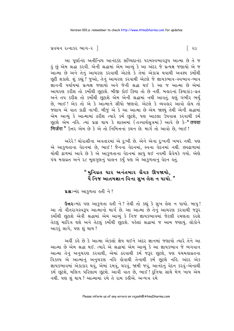પ્રવચન રત્નાકર ભાગ $-$ ર $\overline{\phantom{a}}$ 

આ પુર્ણાનંદ અતીન્દ્રિય આનંદકંદ સચ્ચિદાનંદ પરમસ્વભાવરૂપ આત્મા છે તે જ હું છું એમ શ્રદ્ધા કરવી. એની શ્રદ્ધામાં એમ આવ્યું કે આ અંદર જે પ્રત્યક્ષ જણાયો એ જ આત્મા છે અને તેનું આચરણ કરવાથી એટલે કે તેમાં એકાગ્ર થવાથી અવશ્ય કર્મોથી છૂટી શકાશે. શું કહ્યું ? જુઓ, તેનું આચરણ કરવાથી એટલે જે જ્ઞાયકભાવ-સ્વભાવ-ભાવ જ્ઞાનની પર્યાયમાં પ્રત્યક્ષ જણાયો અને જેની શ્રદ્ધા થઈ કે આ જ આત્મા છે એમાં આચરણ કરીશ તો કર્મોથી છટાશે. બીજી કોઈ ક્રિયા તો છે નહીં. બહારનાં ક્રિયાકાંડ-વ્રત અને તપ કરીશ તો કર્મોથી છુટાશે એમ એની શ્રદ્ધામાં નથી આવતું. ઘણું ગંભીર ભર્યું છે, ભાઈ ! એક તો એ કે આત્માને સીધો જાણવો. એટલે કે વ્યવહાર આવો હોય તો જણાય એ વાત કાઢી નાખી. બીજું એ કે આ આત્મા છે એમ જાણ્યું તેથી એની શ્રદ્ધામાં એમ આવ્યું કે આત્મામાં ઠરીશ ત્યારે કર્મ છુટશે, પણ આટલા ઉપવાસ કરવાથી કર્મ છૂટશે એમ નહિ. ત્યાં પ્રશ્ન થાય કે શાસ્ત્રમાં (તત્ત્વાર્થસૂત્રમાં) આવે છે કે-" तपवा निर्जरा" ઉત્તર એમ છે કે એ તો નિમિત્તનાં કથન છે. માર્ગ તો આવો છે, ભાઈ !

અરેરે ! ચોરાસીના અવતારમાં એ દુઃખી છે. એને એના દુઃખની ખબર નથી. પણ એ આકળતાના વેદનમાં છે. ભાઈ! જૈનના વેદનમાં, સ્વના વેદનમાં નથી. છલ્ઢાળામાં ચોથી ઢાળમાં આવે છે કે એ આકળતાના વેદનમાં સાધુ થઈ નવમી ગ્રૈવેયકે ગયો. એણે પંચ મહાવ્રત અને ૨૮ મૂલગુણનું પાલન કર્યું ૫ણ એ આકુળતાનું વેદન હતું.

# "મુનિવ્રત ધાર અનંતબાર ગ્રૈવક ઊપજાયો. પૈ નિજ આતમજ્ઞાન વિના સુખ લેશ ન પાયો. "

ua :- મંદ આકળતા હતી ને?

ઉત્તરઃ-મંદ પણ આકુળતા હતી ને? તેથી તો કહ્યું કે સુખ લેશ ન પાયો. બાપુ! આ તો વીતરાગસ્વરૂપ આત્માનો માર્ગ છે. આ આત્મા છે તેનું આચરણ કરવાથી જરૂર કર્મોથી છુટાશે એવી શ્રદ્ધામાં એમ આવ્યું કે નિજ જ્ઞાયકભાવમાં જેટલી રમણતા કરશે તેટલું ચારિત્ર થશે અને તેટલું કર્મોથી છૂટાશે. પહેલાં શ્રદ્ધામાં જ આમ જણાયું. લોકોને આકરું લાગે, પણ શું થાય ?

અહીં કહે છે કે આત્મા એકલો જ્ઞેય થઈને અંદર જ્ઞાનમાં જણાયો ત્યારે તેને આ આત્મા છે એમ શ્રદ્ધા થઈ. ત્યારે એ શ્રદ્ધામાં એમ આવ્યું કે આ જ્ઞાયકભાવ જે ભગવાન આત્મા તેનું અનુચરણ કરવાથી, એમાં ઠરવાથી કર્મ જરૂર છુટશે, પણ પંચમહાવ્રતના વિકલ્પ એ આત્માનું અનુચરણ નહિ હોવાથી તેનાથી કર્મ છૂટશે નહિ. અંદર એક જ્ઞાયકભાવમાં એકાકાર થવું, એમાં રમવું, ચરવું, જામી જવું, આનંદનું વેદન કરવું-એનાથી કર્મ છૂટશે, મલિન પરિણામ છૂટશે. આવી વાત છે, ભાઈ! દુનિયા સાથે મેળ ખાય એમ નથી. પણ શું થાય ? આત્મામાં રમે તે રામ કહીએ. અન્યત્ર રમે

િ ર૯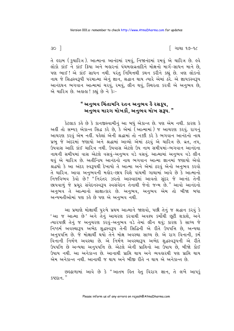િ ગાથા ૧૭−૧૮

તે હરામ (કુચારિત્ર). આત્માના આનંદમાં રમવું, નિજાનંદમાં રમવું એ ચારિત્ર છે. હવે લોકો કાંઈ ને કાંઈ ક્રિયા અને બહારનાં પંચમહાવ્રતાદિને મોક્ષનો માર્ગ-સાધન માને છે, પણ ભાઈ! એ કાંઈ સાધન નથી. પરંતુ નિમિત્તથી કથન કરીને કહ્યું છે. ત્રણ લોકનો નાથ જે સિદ્ધસ્વરૂપી પરમાત્મા એનું જ્ઞાન, શ્રદ્ધાન થાય ત્યારે એમાં ઠરે. એ જ્ઞાયકસ્વરૂપ આનંદઘન ભગવાન આત્મામાં ચરવું, રમવું, લીન થવું, સ્થિરતા કરવી એ અનુભવ છે, એ ચારિત્ર છે. અલલ! કહ્યું છે ને કેઃ-

# " અનુભવ ચિંતામનિ રતન અનુભવ હૈ રસકૂપ, અનંભવ મારગ મોખકૌ. અનંભવ મોખ સરૂપ."

કેટલાક કહે છે કે કાનજીસ્વામીનું આ બધું એકાન્ત છે. પણ એમ નથી. કારણ કે અહીં તો સમ્યક્ એકાન્ત સિદ્ધ કરે છે, કે એમાં (આત્મામાં) જ આચરણ કરવું. રાગનું આચરણ કરવું એમ નહીં. પહેલાં એની શ્રદ્ધામાં તો નક્કી કરે કે ભગવાન આનંદનો નાથ પ્રભુ જે અંદરમાં જણાયો અને શ્રદ્ધામાં આવ્યો એમાં ઠરવું એ ચારિત્ર છે. વ્રત, તપ, ઉપવાસ આદિ કાંઈ ચારિત્ર નથી. ઉપવાસ એટલે ઉપ નામ સમીપમાં-ભગવાન આનંદના નાથની સમીપમાં વાસ એટલે વસવું-અનુભવ વડે વસવું. આત્મામાં અનુભવ વડે લીન થવું એ ચારિત્ર છે. અતીન્દ્રિય આનંદનો નાથ ભગવાન આત્મા જ્ઞાનમાં જણાયો એવો શ્રદ્ધયો કે આ અંદર સ્વરૂપથી દેખાયો તે આત્મા અને એમાં ઠરવું એનો અનુભવ કરવો તે ચારિત્ર. આવા અનભવની મલોર-છાપ વિશે પાંચમી ગાથામાં આવે છે કે આત્માનો નિજવિભવ કેવો છે? "નિરંતર ઝરતો આસ્વાદમાં આવતો સુંદર જે આનંદ તેની છાપવાળું જે પ્રચુર સંવેદનસ્વરૂપ સ્વસંવેદન તેનાથી જેનો જન્મ છે." આવો આનંદનો અનુભવ તે આત્માનો સાક્ષાત્કાર છે. અનુભવ, અનુભવ એમ તો બીજા બધા અન્યમતીઓમાં પણ કહે છે પણ એ અનુભવ નથી.

આ પ્રમાણે મોક્ષાર્થી પુરુષે પ્રથમ આત્માને જાણવો, પછી તેનું જ શ્રદ્ધાન કરવું કે 'આ જ આત્મા છે' અને તેનું આચરણ કરવાથી અવશ્ય કર્મોથી છૂટી શકાશે, અને ત્યારપછી તેનું જ અનુચરણ કરવું-અનુભવ વડે તેમાં લીન થવું; કારણ કે સાધ્ય જે નિષ્કર્મ અવસ્થારૂપ અભેદ શુદ્ધસ્વરૂપ તેની સિદ્ધિની એ રીતે ઉપપત્તિ છે, અન્યથા અનુપપત્તિ છે. જે મોક્ષાર્થી થયો તેને મોક્ષ અવસ્થા સાધ્ય છે. એ રાગ વિનાની, કર્મ વિનાની નિર્મળ અવસ્થા છે. એ નિર્મળ અવસ્થારૂપ અભેદ શુદ્ધસ્વરૂપની એ રીતે ઉપપત્તિ છે અન્યથા અનુપપત્તિ છે. એટલે એની પ્રાંતિનો આ ઉપાય છે. બીજો કોઈ ઉપાય નથી. આ અનેકાન્ત છે. આનાથી પ્રાપ્તિ થાય અને વ્યવહારથી પણ પ્રાપ્તિ થાય એમ અનેકાન્ત નથી. આનાથી જ થાય અને બીજી રીતે ન થાય એ અનેકાન્ત છે.

છહ્ઢાળામાં આવે છે કે "આતમ હિત હેત વિરાગ જ્ઞાન, તે લખે આપકું  $SPEI<sub>1</sub>$  "

 $30<sup>-1</sup>$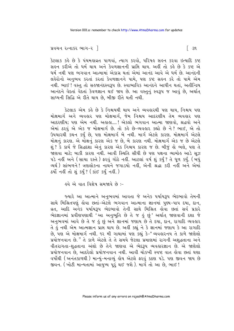#### પ્રવચન રત્નાકર ભાગ $-$ ર $\parallel$

કેટલાક કહે છે કે પંચમહાવ્રત પાળવાં, ત્યાગ કરવો, પરિષહ સહન કરવા ઇત્યાદિ કષ્ટ સહન કરીએ તો ધર્મ થાય અને કેવળજ્ઞાનની પ્રાપ્તિ થાય. અહીં તો કહે છે કે કષ્ટ એ ધર્મ નથી પણ ભગવાન આત્મામાં એકાગ્ર થતાં એમાં આનંદ આવે એ ધર્મ છે. આનંદની લહેરોનો અનુભવ કરતાં કરતાં કેવળજ્ઞાનને પામે, પણ કષ્ટ સહન કરે તો પામે એમ નથી. ભાઈ ! વસ્તુ તો સહજાનંદસ્વરૂપ છે. સ્વાભાવિક આનંદને આધીન થતાં, અતીન્દ્રિય આનંદને વેદતાં વેદતાં કેવળજ્ઞાન થઈ જાય છે. આ વસ્તુનું સ્વરૂપ જ આવું છે, અર્થાત સાધ્યની સિદ્ધિ એ રીતે થાય છે. બીજી રીતે થતી નથી.

કેટલાક એમ કહે છે કે નિશ્ચયથી થાય અને વ્યવહારથી પણ થાય, નિશ્ચય પણ મોક્ષમાર્ગ અને વ્યવહાર પણ મોક્ષમાર્ગ, જેમ નિશ્ચય આદરણીય તેમ વ્યવહાર પણ આદરણીય; પણ એમ નથી. અહાહા....! એકલો ભગવાન આત્મા જાણવો, શ્રદ્ધવો અને એમાં ઠરવું એ એક જ મોક્ષમાર્ગ છે. તો કહે છે-વ્યવહાર કહ્યો છે ને ? ભાઈ, એ તો ઉપચારથી કથન કર્યું છે, પણ મોક્ષમાર્ગ બે નથી. માર્ગ એટલે કારણ. મોક્ષમાર્ગ એટલે મોક્ષનું કારણ. એ મોક્ષનું કારણ એક જ છે, બે કારણ નથી. મોક્ષમાર્ગ એક જ છે એટલે શું ? કે કાર્ય જે સિદ્ધદશા એનું કારણ એક નિશ્ચય કારણ જ છે. બીજું હો ભલે, પણ તે જાણવા માટે; બાકી કારણ નથી. આવી સ્થિતિ સીધી છે પણ પક્ષના વ્યામોહ આડે સૂઝ ૫ડે નહીં અને ( સાચા ૨સ્તે ) ફરવું ગોઠે નહીં. આટલાં વર્ષ શું કર્યું ? તે ધૂળ કર્યું. ( બધું વ્યર્થ) સાંભળને !ત્રણલોકના નાથને જગાડયો નહીં, એની શ્રદ્ધા કરી નહીં અને એમાં ઠર્યો નહીં તો શું કર્યું ? ( કાંઈ કર્યું નહીં. )

<u>હવે એ વાત વિશેષ સમજાવે છે :-</u>

જ્યારે આ આત્માને અનુભવમાં આવતા જે અનેક પર્યાયરૂપ ભેદભાવો તેમની સાથે મિશ્રિતપણું લોવા છતાં-એટલે ભગવાન આત્માના જ્ઞાનમાં પુણ્ય-પાપ દયા, દાન, વ્રત, આદિ અનેક પર્યાયરૂપ ભેદભાવો તેની સાથે મિશ્રિત હોવા છતાં સર્વ પ્રકારે ભેદજ્ઞાનમાં પ્રવીણપણાથી 'આ અનુભૂતિ છે તે જ હું છું' અર્થાત્ જાણવાની દશા જે અનુભવમાં આવે છે તે જ કું છું અને જ્ઞાનમાં જણાય છે તે દયા, દાન, રાગાદિ વ્યવહાર તે હું નથી એમ આત્મજ્ઞાન પ્રાપ્ત થાય છે. અહીં કહ્યું ને કે જ્ઞાનમાં જણાય કે આ રાગાદિ છે, પણ એ મોક્ષમાર્ગ નથી. ૧૨ મી ગાથામાં પણ કહ્યું કે-"વ્યવહારનય તે કાળે જાણેલો પ્રયોજનવાન છે." તે કાળે એટલે તે તે સમયે જેટલા પ્રમાણમાં રાગની અશુદ્ધતાના અને વીતરાગતા-શુદ્ધતાના અંશો છે તેને જાણવા એ ભેદરૂપ વ્યવહારજ્ઞાન છે. એ જાણેલો પ્રયોજનવાન છે, આદરેલો પ્રયોજનવાન નથી. આવી ચોકખી સ્પષ્ટ વાત હોવા છતાં ઘણા વર્ષોથી (અનંતકાળથી) માન્યું-મનાવ્યું હોય એટલે ફરવું કઠણ પડે. પણ જીવન જાય છે જીવન. (ખોટી માન્યતામાં આયુષ્ય પૂરૂં થઈ જશે). માર્ગ તો આ છે, ભાઈ !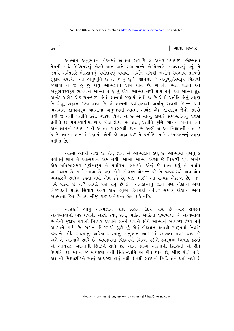િ ગાથા ૧૭−૧૮

3२ ]

આત્માને અનુભવના વેદનમાં આવતા રાગાદિ જે અનેક પર્યાયરૂપ ભેદભાવો તેમની સાથે મિશ્રિતપણું એટલે જ્ઞાન અને રાગ બન્ને એકમેકપણે લાગવાપણું હતું. તે જ્યારે સર્વપ્રકારે ભેદજ્ઞાનનું પ્રવીણપણું થવાથી અર્થાત રાગથી ખસીને સ્વભાવ તરફનો ઝૂકાવ થવાથી 'આ અનુભૂતિ છે તે જ કું છું' –જ્ઞાનમાં જે અનુભૂતિસ્વરૂપ ત્રિકાળી જણાયો તે જ હું છું એવું આત્મજ્ઞાન પ્રાપ્ત થાય છે. રાગથી ભિન્ન પડીને આ અનુભવસ્વરૂપ ભગવાન આત્મા તે હું છું એવા આત્મજ્ઞાનથી પ્રાપ્ત થતું, આ આત્મા શુદ્ધ અખંડ અભેદ એક ચૈતન્યરૂપ જેવો જ્ઞાનમાં જણાયો તેવો જ છે એવી પ્રતીતિ જેનું લક્ષણ છે એવું, શ્રદ્ધાન ઉદય થાય છે. ભેદજ્ઞાનની પ્રવીણતાથી અર્થાત રાગથી ભિન્ન ૫ડી ભગવાન જ્ઞાનસ્વરૂપ આત્માના અનુભવથી આત્મા અખંડ એક જ્ઞાયકરૂપ જેવો જાણ્યો તેવી જ તેની પ્રતીતિ કરી. જાણ્યા વિના એ છે એ માન્યું કોણે? સમ્યગ્દર્શનનું લક્ષણ પ્રતીતિ છે. પંચાઘ્યાયીમાં ચાર બોલ લીધા છે. શ્રદ્ધા, પ્રતીતિ, રૂચિ, જ્ઞાનની પર્યાય. ત્યાં એને જ્ઞાનની પર્યાય ગણી એ તો વ્યવહારથી કથન છે. અહીં તો આ નિશ્ચયની વાત છે કે જે આત્મા જ્ઞાનમાં જણાયો એની જે શ્રદ્ધા થઈ તે પ્રતીતિ. માટે સમ્યગ્દર્શનનું લક્ષણ प्रतीति *छे* 

આત્મા આખી ચીજ છે. તેનું જ્ઞાન એ આત્મજ્ઞાન કહ્યું છે. આત્મામાં ગુણનું કે પર્યાયનું જ્ઞાન તે આત્મજ્ઞાન એમ નથી. આખો આત્મા એટલે જે ત્રિકાળી ઘ્રુવ અખંડ એક પ્રતિભાસમય પૂર્ણસ્વરૂપ તે પર્યાયમાં જણાયો, એનું જે જ્ઞાન થયું તે પર્યાય આત્મજ્ઞાન છે. સાદી ભાષા છે, પણ લોકો એકાન્ત એકાન્ત કરે છે. વ્યવહારથી થાય એમ વ્યવહારને સાધન કહેતા નથી એમ કહે છે, પણ ભાઈ ! આ સમ્યક્ એકાન્ત છે, 'જ' ાવડાડે કે સાથે કે કરસા કર્યો છે. જે કે કર્યો પાછે કે આ સાથે પડી પડી છે,<br>બધે પડયો છે ને ? શ્રીમદે પણ કહ્યું છે કે "અનેકાન્તનું જ્ઞાન પણ એકાન્ત એવા<br>નિજપદની પ્રાપ્તિ સિવાય અન્ય કોઈ લેતુએ લિતકારી નથી." સમ્યક્ એકાન્ત એવા આત્માના હિત સિવાય બીજું કોઈ અનેકાન્ત હોઈ શકે નહિ.

અહાહા! આવું આત્મજ્ઞાન થતાં શ્રદ્ધાન ઉદય થાય છે ત્યારે સમસ્ત અન્યભાવોનો ભેદ થવાથી એટલે દયા, દાન, ભક્તિ આદિના શુભભાવો જે અન્યભાવો છે તેની જુદાઈ થવાથી નિઃશંક ઠરવાને સમર્થ થવાને લીધે આત્માનું આચરણ ઉદય થતું આત્માને સાધે છે. રાગના વિકલ્પથી જુદો છું એવું ભેદજ્ઞાન થવાથી સ્વરૂપમાં નિઃશંક ઠરવાને લીધે આત્માનું ચારિત્ર-આત્માનું અનુષ્ઠાન-આત્મામાં રમણતા પ્રગટ થાય છે અને તે આત્માને સાથે છે. વ્યવહારના વિકલ્પથી ભિન્ન પડીને સ્વરૂપમાં નિઃશંક ઠરતાં એ આચરણ આત્માની સિદ્ધિને સાધે છે. આમ સાધ્ય આત્માની સિદ્ધિની એ રીતે ઉપપત્તિ છે. સાધ્ય જે મોક્ષદશા તેની સિદ્ધિ-પ્રાપ્તિ એ રીતે થાય છે. બીજી રીતે નહિ. અજ્ઞાની મિથ્યાદષ્ટિને સ્વનું આચરણ લોતું નથી. (તેથી સાધ્યની સિદ્ધિ તેને થતી નથી.)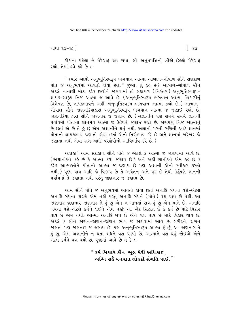ગાથા ૧૭-૧૮ ી

 $\begin{bmatrix} 33 \end{bmatrix}$ 

ટીકાના પહેલા બે પેરેગ્રાફ થઈ ગયા. હવે અનુપપત્તિનો ત્રીજો છેલ્લો પેરેગ્રાફ રહ્યો. તેમાં હવે કહે છે :-

" જ્યારે આવો અનુભુતિસ્વરૂપ ભગવાન આત્મા આબાળ–ગોપાળ સૌને સદાકાળ પોતે જ અનુભવમાં આવતો હોવા છતાં "જુઓ, શું કહે છે? આબાળ-ગોપાળ સૌને એટલે નાનાથી મોટા દરેક જીવોને જાણવામાં તો સદાકાળ (નિરંતર) અનભતિસ્વરૂપ-જ્ઞાયક-સ્વરૂપ નિજ આત્મા જ આવે છે. (અનુભૂતિસ્વરૂપ ભગવાન આત્મા ત્રિકાળીનું વિશેષણ છે, જ્ઞાયકભાવને અહીં અનુભુતિસ્વરૂપ ભગવાન આત્મા કહ્યો છે.) આબાલ-ગોપાલ સૌને જાણનકિયાદ્વારા અનુભુતિસ્વરૂપ ભગવાન આત્મા જ જણાઈ રહ્યો છે. જાણનકિયા દ્વારા સૌને જાણનાર જ જણાય છે. (અજ્ઞાનીને પણ સમયે સમયે જ્ઞાનની પર્યાયમાં પોતાનો જ્ઞાનમય આત્મા જ ઉર્દ્ધપણે જણાઈ રહ્યો છે. જાણપણું નિજ આત્માનું છે છતાં એ છે તે હું છું એમ અજ્ઞાનીને થતું નથી. અજ્ઞાની પરની રુચિની આડે જ્ઞાનમાં પોતાનો જ્ઞાયકભાવ જણાતો હોવા છતાં એનો તિરોભાવ કરે છે અને જ્ઞાનમાં ખરેખર જે જણાતા નથી એવા રાગ આદિ પરજ્ઞેયોનો આવિર્ભાવ કરે છે )

અહાહા ! આમ સદાકાળ સૌને પોતે જ એટલે કે આત્મા જ જાણવામાં આવે છે. (અજ્ઞાનીઓ કહે છે કે આત્મા કયાં જણાય છે? અને અહીં જ્ઞાનીઓ એમ કહે છે કે દરેક આત્માઓને પોતાનો આત્મા જ જણાય છે પણ અજ્ઞાની એનો સ્વીકાર કરતો નથી.) પુણ્ય પાપ આદિ જે વિકલ્પ છે તે અચેતન અને પર છે તેથી ઉર્દ્ધપણે જ્ઞાનની પર્યાયમાં તે જણાતા નથી પરંતુ જાણનાર જ જણાય છે.

આમ સૌને પોતે જ અનુભવમાં આવતો હોવા છતાં અનાદિ બંધના વશે-એટલે અનાદિ બંધના કારણે એમ નહીં પરંતુ અનાદિ બંધને (પોતે) વશ થાય છે તેથી; આ જાણનાર-જાણનાર-જાણનાર તે હું છું એમ ન માનતાં રાગ હું છું એમ માને છે. અનાદિ બંધના વશે-એટલે કર્મને લઈને એમ નહીં; આ એક સિદ્ધાંત છે કે કર્મ છે માટે વિકાર થાય છે એમ નથી. આત્મા અનાદિ બંધ છે એને વશ થાય છે માટે વિકાર થાય છે. એટલે કે સૌને જાણન-જાણન-જાણન ભાવ જ જાણવામાં આવે છે. શરીરને, રાગને જાણતાં પણ જાણનાર જ જણાય છે. પણ અનુભૂતિસ્વરૂપ આત્મા હું છું, આ જાણનાર તે હું છું, એમ અજ્ઞાનીને ન થતાં બંધને વશ પડયો છે. આત્માને વશ થવું જોઈએ એને બદલે કર્મને વશ થયો છે. પૂજામાં આવે છે ને કે :-

#### " કર્મ બિચારે કૌન, ભૂલ મેરી અધિકાઈ, અગ્નિ સહૈ ઘનઘાત લોહકી સંગતિ પાઈ. "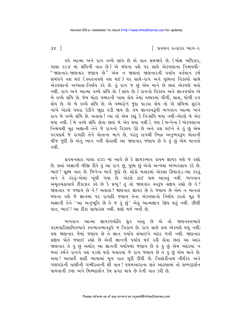∣ પ્રવચન રત્નાકર ભાગ−ર

 $38<sup>1</sup>$ 

ઙુવે આત્મા અને રાગ વચ્ચે સાંધ છે એ વાત સમજાવે છે. (મોક્ષ અધિકાર, ગાથા ૨૯૪ માં સંધિની વાત છે) એ બંધના વશે ૫૨ સાથે એકપણાના નિશ્ચયથી-" જાણનાર-જાણનાર જણાય છે" એમ ન જાણતાં જાણનારની પર્યાય વર્તમાન કર્મ સંબંધને વશ થઈ (સ્વતંત્રપણે વશ થઈ) પર સાથે-રાગ અને પુણ્યના વિકલ્પો સાથે એકપણાનો અઘ્યાસ-નિર્ણય કરે છે. કું રાગ જ છું એમ માને છે છતાં એકપણે થતો નથી. રાગ અને આત્મા વચ્ચે સંધિ છે. (સાંધ છે.) રાગનો વિકલ્પ અને જ્ઞાનપર્યાય એ બે વચ્ચે સંધિ છે. જેમ મોટા પથ્થરની ખાણ ક્રોય તેમાં પથ્થરમાં પીળી. લાલ. ધોળી રગ હોય છે. એ બે વચ્ચે સંધિ છે. એ પથ્થરોને જુદા પાડવા હોય તો એ સંધિમાં સુરંગ નાંખે એટલે પથરા ઉડીને જાુદા ૫ડી જાય છે. તેમ જ્ઞાનસ્વરૂપી ભગવાન આત્મા અને રાગ બે વચ્ચે સંધિ છે. અહાહા ! ત્યાં તો એમ કહ્યું કે નિઃસંધિ થયા નથી-એટલે બે એક થયા નથી. (બે વચ્ચે સંધિ લોવા છતાં બે એક થયા નથી ). પણ (બન્નેના ) એકપણાના નિશ્ચયથી મૂઢ અજ્ઞાની તેને જે રાગનો વિકલ્પ ઉઠે છે અને વશ થઈને તે હું છું એમ પરપદાર્થ જે રાગાદિ તેને પોતાના માને છે, પરંતુ રાગથી ભિન્ન અનુભવરૂપ પોતાની ચીજ જુદી છે એનું ભાન નહીં હોવાથી આ જાણનાર જણાય છે તે હું છું એમ માનતો નશી

પ્રવચનસાર ગાથા ૨૦૦ માં આવે છે કે જ્ઞાયકભાવ કાયમ જ્ઞાયક પણે જ રહ્યો છે. છતાં અજ્ઞાની બીજી રીતે હું આ રાગ છું, પુણ્ય છું એવો અન્યથા અધ્યવસાય કરે છે. ભાઈ ! સૂક્ષ્મ વાત છે. જિનેન્દ્ર માર્ગ જુદો છે. લોકો બહારમાં એકલા ક્રિયાકાંડ-આ કરવું અને તે કરવું-એમાં ખુંચી ગયા છે. એટલે કાંઈ હાથ આવતું નથી. ભગવાન અમૃતચંદ્રાચાર્ય ટીકાકાર કહે છે કે પ્રભુ! તું તો જાણનાર સ્વરૂપ સંદાય રહ્યો છે ને? જાણનાર જ જણાય છે ને ? અહાહા ! જાણનાર જ્ઞાયક છે તે જણાય છે એમ ન માનતાં બંધના વશે જે જ્ઞાનમાં ૫૨ રાગાદિ જણાય તેના એકપણાનો નિર્ણય કરતો મૂઢ જે અજ્ઞાની તેને 'આ અનુભૂતિ છે તે જ કું છું' એવું આત્મજ્ઞાન ઉદય થતું નથી. ઝીણી વાત, ભાઈ! આ ટીકા સાધારણ નથી. ઘણો મર્મ ભર્યો છે.

ભગવાન આત્મા જ્ઞાયકજ્યોતિ ધ્રુવ વસ્તુ છે એ તો જાણનસ્વભાવે ૫૨મપારિણામિકભાવે સ્વભાવભાવરૂપે જ ત્રિકાળ છે. રાગ સાથે દ્રવ્ય એકપણે થયું નથી; પણ જાણનાર જેમાં જણાય છે તે જ્ઞાન પર્યાય લંબાઈને અંદર જતી નથી. જાણનાર સદ્દાય પોતે જણાઈ રહ્યો છે એવી જ્ઞાનની પર્યાય થઈ રહી હોવા છતાં આ અંદર જાણનાર તે કું છું અર્થાત આ જ્ઞાનની પર્યાયમાં જણાય છે તે કું છું એમ અંદરમાં ન જતાં કર્મને રાગને વશ પડયો થકો બહારમાં જે રાગ જણાય છે તે હું છું એમ માને છે. અહા! આચાર્યે સાદી ભાષામાં મૂળ વાત મૂકી દીધી છે. ત્રિલોકીનાથ તીર્થંકર અને ગણધરોની વાણીની ગંભીરતાની શી વાત ! પંચમઆરાના સંતે આટલામાં તો સમ્યક્દર્શન પામવાની કળા અને મિથ્યાદર્શન કેમ પ્રગટ થાય છે તેની વાત કરી છે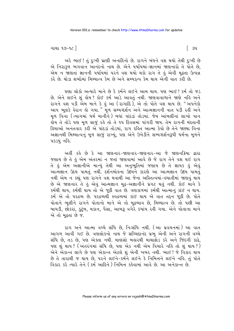િટપ

ગાથા ૧૭–૧૮ $\overline{\phantom{a}}$ 

અરે ભાઈ ! તું દુઃખી પ્રાણી અનાદિનો છે. રાગને બંધને વશ થયો તેથી દુઃખી છે એ નિરાકુળ ભગવાન આનંદનો નાથ છે. એને પર્યાયમાં-જ્ઞાનમાં જાણનારો તે પોતે છે, એમ ન જાણતાં જ્ઞાનની પર્યાયમાં પરને વશ થયો થકો રાગ તે હું એવી મુઢતા ઉત્પન્ન કરે છે. થોડા શબ્દોમાં મિથ્યાત્વ કેમ છે અને સમ્યકત્વ કેમ થાય એની વાત કરી છે.

ઘણા લોકો અત્યારે માને છે કે કર્મને લઈને આમ થાય. પણ ભાઈ ! કર્મ તો જડ છે. એને લઈને શું લોય? કોઈ કર્મ આડે આવતું નથી. જાણવાવાળાને જાણે નહિ અને રાગને વશ પડી એમ માને કે કું આ (રાગાદિ), એ તો પોતે વશ થાય છે. "અપનેકો આપ ભૂલકે હેરાન હો ગયા." મૂળ સમ્યગ્દર્શન અને આત્મજ્ઞાનની વાત ૫ડી રહી અને મૂળ વિના (ત્યાગમાં ધર્મ માનીને) બધાં પાંદડાં તોડયાં. જેમ આંબલીનાં લાખો પાન .<br>લોય તે તોડે પણ મૂળ સાજું રહે તો તે ૧૫ દિવસમાં પાંગરી જાય. તેમ રાગની મંદતાની ક્રિયાઓ અનંતવાર કરી એ પાંદડાં તોડયાં, રાગ રહિત આત્મા કેવો છે તેને જાણ્યા વિના અજ્ઞાનથી મિથ્યાત્વનું મૂળ સાજું રાખ્યું, પણ એને ઉખેડીને સમ્યગ્દર્શનરૂપી ધર્મના મૂળને पड़डयुं नड़ि.

અહીં કહે છે કે આ જાણનાર–જાણનાર–જાણનાર–આ જે જાણનક્રિયા દ્વારા જણાય છે તે હું એમ અંતરમાં ન જતાં જાણવામાં આવે છે જે રાગ તેને વશ થઈ રાગ તે હું એમ અજ્ઞાનીએ માન્યું તેથી આ અનુભૂતિમાં જણાય છે તે જ્ઞાયક હું એવું આત્મજ્ઞાન ઉદય પામતું નથી. દર્શનમોહના ઉદયને કારણે આ આત્મજ્ઞાન ઉદય પામતું નથી એમ ન કહ્યું પણ રાગને વશ થવાથી આ જેના અસ્તિત્વમાં-લ્યાતીમાં જાણવું થાય છે એ જાણનાર તે હું એવું આત્મજ્ઞાન મુઢ-અજ્ઞાનીને પ્રગટ થતું નથી. કોઈ માને કે કર્મથી થાય, કર્મથી થાય તો એ જૂઠી વાત છે. ત્રણકાળમાં કર્મથી આત્માનું કાંઈ ન થાય. કર્મ એ તો પરદ્રવ્ય છે. પરદ્રવ્યથી સ્વદ્રવ્યમાં કાંઈ થાય એ વાત તદ્દન જૂઠી છે. પોતે પોતાને ભૂલીને રાગને પોતાનો માને એ તો મૂઢભાવ છે, મિથ્યાત્વ છે. તો પછી આ બાયડી, છોકરાં, કુટુંબ, મકાન, પૈસા, આબરૂ વગેરે કયાંય રહી ગયા. એને પોતાના માને એ તો મઢતા છે જ.

રાગ અને આત્મા વચ્ચે સંધિ છે, નિઃસંધિ નથી. (આ પ્રવચનમાં) આ વાત આગળ આવી ગઈ છે. ત્રણલોકનો નાથ જે સચ્ચિદાનંદ પ્રભુ એની અને રાગની વચ્ચે સંધિ છે, તડ છે, પણ એક્તા નથી. માણસો બહારથી માથાફોડ કરે અને જિંદગી કાઢે, પણ શું થાય ? (અંતરંગમાં સંધિ છે, પણ એક નથી એમ વિચારે નહિ તો શું થાય ?) ....<br>એને એકાન્ત લાગે છે પણ એકાન્ત એટલે શું એની ખબર નથી. ભાઈ ! જે વિકાર થાય છે તે તારાથી જ થાય છે. ૫૨ને લઈને-કર્મને લઈને કે નિમિત્તને લઈને નહિ. તું પોતે વિકાર કરે ત્યારે તેને (કર્મ આદિને) નિમિત્ત કહેવામાં આવે છે. આ અનેકાન્ત છે.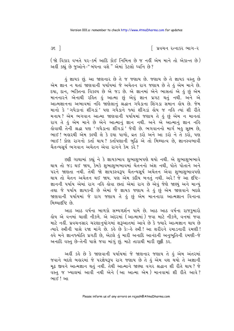∣ પ્રવચન રત્નાકર ભાગ−ર

(જો વિકાર વખતે ૫૨-કર્મ આદિ કોઈ નિમિત્ત છે જ નહીં એમ માને તો એકાન્ત છે) અહીં કહ્યું છે જુઓને-"બંધના વશે" એમાં કેટલો ધ્વનિ છે?

કું જ્ઞાયક છું. આ જાણનાર છે તે જ જણાય છે. જણાય છે તે જ્ઞાયક વસ્તુ છે એમ જ્ઞાન ન થતાં જાણવાની પર્યાયમાં જે અચેતન રાગ જણાય છે તે કું એમ માને છે. દયા, દાન, ભક્તિના વિકલ્પ છે એ જડ છે. એ જ્ઞાનમાં એને ભાસતાં એ હું છું એમ માનનારને એનાથી રહિત હું આત્મા છું એવું જ્ઞાન પ્રગટ થતું નથી. અને એ આત્મજ્ઞાનના અભાવમાં નહિ જાણેલાનું શ્રદ્ધાન ગધેડાના શિંગડા સમાન લોય છે. જેમ માનો કે 'ગધેડાનાં શીંગડાં' પણ ગધેડાને જ્યાં શીંગડાં હોય જ નહિ ત્યાં શી રીતે મનાય? એમ ભગવાન આત્મા જાણવાની પર્યાયમાં જણાય તે હું છું એમ ન માનતાં રાગ તે હું એમ માને છે એને આત્માનું જ્ઞાન નથી. અને એ આત્માનું જ્ઞાન નહિ डोવાથી તેની શ્રદ્ધા પણ 'ગધેડાના શીંગડાં ' જેવી છે. ભગવાનનો માર્ગ બહુ સૂક્ષ્મ છે, ભાઈ! બહારથી એમ કલ્પી લે કે દયા પાળો, વ્રત કરો અને આ કરો ને તે કરો, પણ ભાઈ! કોણ રાગનો કર્તા થાય? કર્તાપણાની બુદ્ધિ એ તો મિથ્યાત્વ છે, જ્ઞાનસ્વભાવી ચૈતન્યસૂર્ય ભગવાન અચેતન એવા રાગને કેમ કરે?

છટી ગાથામાં કહ્યું ને કે જ્ઞાયકભાવ શુભાશુભપણે થયો નથી. એ શુભાશુભભાવે થાય તો જડ થઈ જાય, કેમકે શુભાશુભભાવમાં ચેતનનો અંશ નથી, પોતે પોતાને અને પરને જાણતા નથી. તેથી જો જ્ઞાયકસ્વરૂપ ચૈતન્યસૂર્ય અચેતન એવા શુભાશુભાવપણે થાય તો ચેતન અચેતન થઈ જાય. પણ એમ કદીય બનતું નથી. અરે! જે આ દષ્ટિ− જ્ઞાનની પર્યાય એમાં રાગ નહિ હોવા છતાં એમાં રાગ છે એવું જેણે જાણ્યું અને માન્યું તથા જે પર્યાય જ્ઞાયકની છે એમાં જે જ્ઞાયક જણાય તે કું છું એમ જાણવાને બદલે જાણવાની પર્યાયમાં જે રાગ જણાય તે કું છું એમ માનનારા આત્મજ્ઞાન વિનાના મિથ્યાદષ્ટિ છે.

આઠ આઠ વર્ષના બાળકો સમ્યગ્દર્શન પામે છે. આઠ આઠ વર્ષના રાજકુમારો હોય એ વનમાં ચાલી નીકળે. એ અંદરમાં (આત્મામાં) જવા માટે નીકળે, વનમાં જવા માટે નહીં. પ્રવચનસાર ચરણાનુયોગમાં શરૂઆતમાં આવે છે કે જ્યારે આત્મજ્ઞાન થાય છે ત્યારે સ્ત્રીની પાસે રજા માંગે છે. કહે છે કેઃ-હે સ્ત્રી! આ શરીરને રમાડનારી રમણી! ઙ્વે મને જ્ઞાનજ્યોતિ પ્રગટી છે, એટલે કું મારી અનાદિ આનંદની અનુભૂતિની રમણી−જે અનાદિ વસ્તુ છે-તેની પાસે જવા માંગું છું. માટે તારાથી મારી છુટ્ટી કર.

અહીં કહે છે કે જાણવાની પર્યાયમાં જે જાણનાર જણાય તે હું એમ અંતરમાં જવાને બદલે બહારમાં જે પરજ્ઞેયરૂપ રાગ જણાય છે તે હું એમ વશ થયો તે અજ્ઞાની મુઢ જીવને આત્મજ્ઞાન થતું નથી. તેથી આત્માને જાણ્યા વગર શ્રદ્ધાન શી રીતે થાય ? જે વસ્તુ જ ખ્યાલમાં આવી નથી એને (આ આત્મા એમ) માનવામાં શી રીતે આવે? ભાઈ ! આ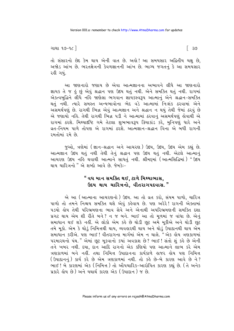ગાથા ૧૭-૧૮ ી

ି ଓ

તો સંસારનો છેદ કેમ થાય એની વાત છે. અલે! આ સમયસાર અદ્વિતીય ચક્ષુ છે, અજોડ આંખ છે. ભરતક્ષેત્રની કેવળજ્ઞાનની આંખ છે. ભાગ્ય જગતનું કે આ સમયસાર રહી ગયં.

આ જાણનારો જણાય છે એવા આત્મજ્ઞાનના અભાવને લીધે આ જાણનારો જ્ઞાયક તે જ હું છું એવું શ્રદ્ધાન પણ ઉદય થતું નથી. એને સમક્તિ થતું નથી. રાગમાં એકત્વબદ્ધિને લીધે નહિ જાણેલા ભગવાન જ્ઞાયકસ્વરૂપ આત્માન એને શ્રદ્ધાન-સમક્તિ થતં નથી. ત્યારે સમસ્ત અન્યભાવોના ભેદ વડે આત્મામાં નિઃશંક ઠરવામાં એને અસમર્થપણું છે. રાગથી ભિન્ન એવું આત્મજ્ઞાન અને શ્રદ્ધાન ન થયું તેથી જેમાં ઠરવું છે એ જણાયો નહિ. તેથી રાગથી ભિન્ન ૫ડી ને આત્મામાં ઠરવાનું અસમર્થપણું હોવાથી એ રાગમાં ઠરશે. મિથ્યાદીષ્ટિ ગમે તેટલા શુભભાવરૂપ ક્રિયાકાંડ કરે, મુનિપણું ધારે અને વ્રત-નિયમ પાળે તોપણ એ રાગમાં ઠરશે. આત્મજ્ઞાન-શ્રદ્ધાન વિના એ બધી રાગની રમતોમાં રમે છે.

જુઓ, ત્રણેમાં (જ્ઞાન-શ્રદ્ધાન અને આચરણ) ઉદય, ઉદય, ઉદય એમ કહ્યું છે. આત્મજ્ઞાન ઉદય થતું નથી તેથી તેનું શ્રદ્ધાન પણ ઉદય થતું નથી. એટલે આત્માનું આચરણ ઉદય નહિ થવાથી આત્માને સાધતું નથી. શ્રીમદમાં (આત્મસિદ્ધિમાં) "ઉદય થાય ચારિત્રનો " એ શબ્દો આવે છે. જેમકે:-

#### " વધ માન સમક્તિ થઈ, ટાળે મિથ્યાભાસ, ઉદય થાય ચારિત્રનો. વીતરાગપદવાસ."

એ આ (આત્માના આચરણનો ) ઉદય. આ તો વ્રત કરો, સંયમ પાળો, ચારિત્ર પાળો તો તમને નિશ્ચય સમક્તિ થશે એવું કહેવાય છે. પણ અરેરે! રાગની એક્તામાં ૫ડયો ક્ષેય તેથી પરિભ્રમણના ભાવ સેવ<sup>ે</sup>અને એનાથી અપરિભ્રમણની સમક્તિ દશા પ્રગટ થાય એમ શી રીતે બને? ન જ બને. ભાઈ આ તો મૂળમાં જ વાંધા છે. એનું સમાધાન થઈ શકે નહીં. એ લોકો એમ કહે છે થોડી છુટ અમે મુકીએ અને થોડી છુટ તમે મૂકો. એમ કે થોડું નિમિત્તથી થાય, વ્યવહારથી થાય અને થોડું ઉપાદાનથી થાય એમ સમાધાન કરીએ. પણ ભાઈ! વીતરાગના માર્ગમાં એમ ન ચાલે. "એક લોય ત્રણકાળમાં ૫૨મારથનો પંથ." એમાં છૂટ મુકવાનો કયાં અવકાશ છે? ભાઈ! સંતો શું કહે છે એની તને ખબર નથી. દયા, દાન આદિ રાગનો એક કણિયો પણ આત્માને લાભ કરે એમ ત્રણકાળમાં બને નહીં. તથા નિમિત્ત ઉપાદાનના કાર્યકાળે હાજર હોય પણ નિમિત્ત (ઉપાદાનનું) કાર્ય કરે છે એમ ત્રણકાળમાં નથી. તો કહે છે-બે કારણ આવે છે ને? ભાઈ! બે કારણમાં એક (નિમિત્ત) તો ઔપચારિક-આરોપિત કારણ કહ્યું છે. (તે અનેક પ્રકારે હોય છે) અને યથાર્થ કારણ એક (ઉપાદાન ) જ છે.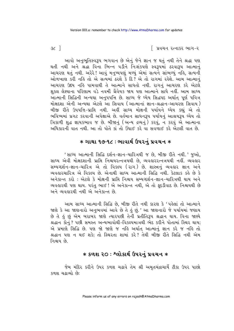િ પ્રવચન રત્નાકર ભાગ−ર

 $3c$ ]

આવો અનુભૂતિસ્વરૂપ ભગવાન છે એનું જેને જ્ઞાન જ થતું નથી તેને શ્રદ્ધા પણ થતી નથી અને શ્રદ્ધા વિના ભિન્ન પડીને નિઃશંકપણે સ્વરૂપમાં ઠરવારૂપ આત્માનં આચરણ થતું નથી. અરેરે ! આવું મનુષ્યપણું મળ્યું એમાં સત્યને સાંભળ્યું નહિ, સત્યની ઓળખાણ કરી નહિ તો એ સત્યમાં ઠરશે કે દિ? એ તો રાગમાં રહેશે. આમ આત્માનં આચરણ ઉદય નહિ પામવાથી તે આત્માને સાધતો નથી. રાગનં આચરણ કરે એટલે શકલ લેશ્યાના પરિણામ વડે નવમી ગ્રૈવેયક જાય પણ આત્માને સાધે નહીં. આમ સાધ્ય આત્માની સિદ્ધિની અન્યથા અનુપપત્તિ છે. સાધ્ય જે ધ્યેય સિદ્ધપદ અર્થાત પૂર્ણ પવિત્ર મોક્ષદશા એની અન્યથા એટલે આ સિવાય (આત્માનાં જ્ઞાન-શ્રદ્ધાન-આચરણ સિવાય) બીજી રીતે ઉપપત્તિ-પ્રાપ્તિ નથી. અહીં સાધ્ય મોક્ષની પર્યાયને ધ્યેય કહ્યું એ તો ભવિષ્યમાં પ્રગટ કરવાની અપેક્ષાએ છે. વર્તમાન સાધનરૂપ પર્યાયનું આશ્રયરૂપ ધ્યેય તો ત્રિકાળી શુદ્ધ જ્ઞાયકભાવ જ છે. બીજાનું (અન્ય દ્રવ્યનું) કરવું, ન કરવું એ આત્માના અધિકારની વાત નથી. આ તો પોતે કાં તો ઉંધાઈ કરે વા સવળાઈ કરે એટલી વાત છે.

### **∗ ગાથા ૧૭-૧૮ : ભાવાર્થ ઉપરનું પ્રવચન ∗**

'સાધ્ય આત્માની સિદ્ધિ દર્શન-જ્ઞાન-ચારિત્રથી જ છે, બીજી રીતે નથી.' જુઓ, સાધ્ય એવી મોક્ષદશાની પ્રાપ્તિ નિશ્ચયરત્નત્રયથી છે, વ્યવહારરત્નત્રયથી નહીં. વ્યવહાર સમ્યગ્દર્શન-જ્ઞાન-ચારિત્ર એ તો વિકલ્પ (રાગ) છે. શાસ્ત્રનું વ્યવહાર જ્ઞાન અને વ્યવહારચારિત્ર એ વિકલ્પ છે. એનાથી સાધ્ય આત્માની સિદ્ધિ નથી. કેટલાક કહે છે કે અનેકાન્ત કરો : એટલે કે મોક્ષની પ્રાપ્તિ નિશ્ચય સમ્યગ્દર્શન-જ્ઞાન-ચારિત્રથી થાય અને વ્યવહારથી પણ થાય. પરંતુ ભાઈ ! એ અનેકાન્ત નથી, એ તો ફદડીવાદ છે. નિશ્ચયથી છે અને વ્યવહારથી નથી એ અનેકાન્ત છે.

આમ સાધ્ય આત્માની સિદ્ધિ છે, બીજી રીતે નથી કારણ કે 'પહેલાં તો આત્માને જાણે કે આ જાણનારો અનુભવમાં આવે છે તે કું છું.' આ જાણનારો જે પર્યાયમાં જણાય છે તે કું છું એમ બરાબર જાણે ત્યારપછી તેની પ્રતીતિરૂપ શ્રદ્ધાન થાય. વિના જાણ્યે શ્રદ્ધાન કોનું ? પછી સમસ્ત અન્યભાવોથી-વિકલ્પમાત્રથી ભેદ કરીને પોતામાં સ્થિર થાય; એ પ્રમાણે સિદ્ધિ છે. પણ જો જાણે જ નહિ અર્થાત્ આત્માનું જ્ઞાન કરે જ નહિ તો શ્રદ્ધાન પણ ન થઈ શકે; તો સ્થિરતા શામાં કરે? તેથી બીજી રીતે સિદ્ધિ નથી એમ નિશ્ચય છે

# **∗ કળશ ૨૦ : શ્લોકાર્થ ઉપરનું પ્રવચન ∗**

જેમ મંદિર કરીને ઉપર કળશ ચઢાવે તેમ શ્રી અમૃતચંદ્રાચાર્યે ટીકા ઉપર પાછો કળશ ચઢાવ્યો છે: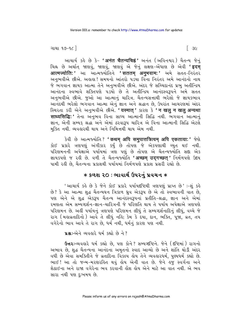ગાથા ૧૭–૧૮ $\overline{\phantom{a}}$ 

આચાર્ય કહે છે કે- **'अनंत चैतन्यचिह्नं'** અનંત (અવિનશ્વર) ચૈતન્ય જેનું ચિહ્ન છે અર્થાત્ જાણવું, જાણવું, જાણવું એ જેનું લક્ષણ<sup>\_</sup>એંધાણ છે એવી **'इदम** आत्मज्योति:' આ આત્મજ્યોતિને 'सततम् अनुभवाम:' અમે સતત-નિરંતર અનુભવીએ છીએ. અલલા! સમયનો આંતરો પડયા વિના નિરંતર અમે આનંદનો નાથ જે ભગવાન જ્ઞાયક આત્મા તેને અનભવીએ છીએ. અંદર જે સચ્ચિદાનંદ પ્રભ અતીન્દ્રિય આનંદના સ્વભાવે શક્તિપણે પડયો છે તે અતીન્દ્રિય આનંદસ્વરૂપને અમે સતત અનુભવીએ છીએ. જુઓ આ આત્માનું ચારિત્ર. ચૈતન્યસત્તાથી ભરેલો જે જ્ઞાયકભાવ આનંદથી ભરેલો ભગવાન આત્મા એન જ્ઞાન અને શ્રદ્ધાન છે. ઉપરાંત આચરણમાં અંદર સ્થિરતા કરી એને અનુભવીએ છીએ. ' यस्मात' કારણ કે ' न खल न खल अन्यथा साध्यसिद्धिः' तेना અनભવ વિના સાધ્ય આત્માની સિદ્ધિ નથી. ભગવાન આત્માન જ્ઞાન, એની સમ્યક શ્રદ્ધા અને એમાં ઠરવારૂપ ચારિત્ર એ વિના આત્માની સિદ્ધિ એટલે મુક્તિ નથી. વ્યવહારથી થાય અને નિમિત્તથી થાય એમ નથી.

sેવી છે આત્મજ્યોતિ? ' कथम् अपि समुपात्तत्रित्वम् अपि एकताया: ' જેણે કોઈ પ્રકારે ત્રણપણું અંગીકાર કર્યું છે તોપણ જે એકપણાથી ચ્યુત થઈ નથી. પરિણમનની અપેક્ષાએ પર્યાયમાં ત્રણ પણું છે તોપણ એ ચૈતન્યર્જ્યોતિ સદ્દા એક જ્ઞાયકપણે જ રહી છે. વળી તે ચૈતન્યજ્યોતિ 'अच्छम उदगच्छत' નિર્મળપણે ઉદય પામી રહી છે, ચૈતન્યના પ્રકાશથી પર્યાયમાં નિર્મળપણે પ્રકાશ પ્રસરી રહ્યો છે.

# **∗ કળશ ૨૦ : ભાવાર્થ ઉપરનું પ્રવચન ∗**

'આચાર્ય કહે છે કે જેને કોઈ પ્રકારે પર્યાયદષ્ટિથી ત્રણપણું પ્રાપ્ત છે' :-શું કહે છે? કે આ આત્મા શુદ્ધ ચૈતન્યઘન ત્રિકાળ ઘ્રુવ એકરૂપ છે એ તો સ્વભાવની વાત છે, પણ એને એ શુદ્ધ એકરૂપ ચૈતન્ય આનંદસ્વરૂપનાં પ્રતીતિ-શ્રદ્ધા, જ્ઞાન અને એમાં રમણતા એમ સમ્યગ્દર્શન-જ્ઞાન-ચારિત્રની જે પરિણતિ થાય તે પર્યાય અપેક્ષાએ ત્રણપણે પરિણમન છે. અહીં પર્યાયનું ત્રણપણે પરિણમન લીધું તે સમ્યગ્દર્શનાદિનું લીધું, વચ્ચે જે રાગ (મહાવ્રતાદિનો) આવે તે લીધું નહિ; કેમ કે દયા, દાન, ભક્તિ, પૂજા, વ્રત, તપ વગેરેનો ભાવ આવે તે રાગ છે, ધર્મ નથી, ધર્મનું કારણ પણ નથી.

**પ્રશ્ન:-**એને વ્યવહારે ધર્મ કહ્યો છે ને?

ઉત્તર: વ્યવહારે ધર્મ કહ્યો છે, પણ કોને? સમ્યગ્દષ્ટિને. જેને (દષ્ટિમાં) રાગનો અભાવ છે, શુદ્ધ ચૈતન્યના આનંદના અમૃતનો સ્વાદ આવ્યો છે અને શાંતિ થોડી અંદર વધી છે એવા સમક્તિીને જે વ્રતાદિના વિકલ્પ હોય તેને વ્યવહારધર્મ, પુણ્યધર્મ કહ્યો છે. ભાઈ! આ તો જન્મ-મરણરહિત થવું હોય એની વાત છે. જેને હજુ સ્વર્ગના અને શેઠાઈના અને રાજા વગેરેના ભવ કરવાની હોંશ હોય એને માટે આ વાત નથી. એ ભવ સારા નથી પણ દુઃખમય છે.

િ ૩૯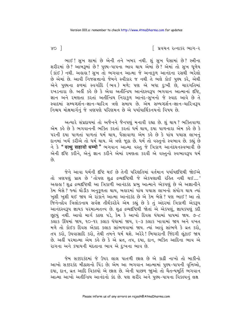∣ પ્રવચન રત્નાકર ભાગ−ર

ભાઈ! સુખ શામાં છે એની તને ખબર નથી. શું સુખ પૈસામાં છે? સ્ત્રીના શરીરમાં છે? આંબરૂમાં છે? પુણ્ય-પાપના ભાવ થાય એમાં છે? એમાં તો સુખ ધુળેય ( કાંઈ ) નથી. અહાહા ! સુખ તો ભગવાન આત્મા જે અનાકુળ આનંદના રસથી ભરેલો છે એમાં છે. આવી નિજસત્તાનો જેમને સ્વીકાર જ નથી તે ભલે કોઈ પુણ્ય કરે, એથી એને પુણ્યના ફળમાં સ્વર્ગાદિ (ભવ) મળે; પણ એ બધા દુઃખી છે, ચારગતિમાં રખડનારા છે. અહીં કહે છે કે એવા અતીન્દ્રિય આનંદસ્વરૂપ ભગવાન આત્માનાં દષ્ટિ, જ્ઞાન અને રમણતા કરતાં અતીન્દ્રિય નિરાકુળ આનંદ-સુખનો જે સ્વાદ આવે છે તે સ્વાદમાં સમ્યગ્દર્શન-જ્ઞાન-ચારિત્ર ત્રણે સમાય છે. એમ સમ્યગ્દર્શન-જ્ઞાન-ચારિત્ર3પ નિશ્ચય મોક્ષમાર્ગનું જે ત્રણપણે પરિણમન છે એ પર્યાયાર્થિકનયનો વિષય છે.

અત્યારે સંપ્રદાયમાં તો અજૈનને જૈનપણું મનાવી રહ્યા છે. શું થાય ? ભક્તિવાળા એમ કહે છે કે ભગવાનની ભક્તિ કરતાં કરતાં ધર્મ થાય, દયા પાળનારા એમ કહે છે કે પરની દયા પાળતાં પાળતાં ધર્મ થાય, પૈસાવાળા એમ કરે છે કે પાંચ પચાસ લાખનું દાનમાં ખર્ચ કરીએ તો ધર્મ થાય. એ ત્રણે જૂઠા છે. ધર્મ તો વસ્તુનો સ્વભાવ છે. કહ્યું છે ને કે **" वत्थु सहावो धम्मो "** ભગવાન<sup>ં</sup> આત્મા વસ્તુ જે ત્રિકાળ આનંદઘનસ્વભાવી છે એની દષ્ટિ કરીને, એનું જ્ઞાન કરીને એમાં રમણતા કરવી એ વસ્તુનો સ્વભાવરૂપ ધર્મ  $\hat{\rho}_3$ 

જેને આવા ધર્મની દષ્ટિ થઈ છે તેની પરિણતિમાં વર્તમાન પર્યાયદષ્ટિથી જોઈએ તો ત્રણપણું પ્રાપ્ત છે 'તોપણ શુદ્ધ દ્રવ્યદષ્ટિથી જે એકપણાથી રહિત નથી થઈ....' અહાહા ! શુદ્ધ દ્રવ્યદષ્ટિથી આ ત્રિકાળી આનંદકંદ પ્રભુ આત્માને એકપણું છે એ અજ્ઞાનીને કેમ બેસે ? જ્યાં થોડીક અનુકૂળતા થાય, બહારમાં પાંચ પચાસ લાખનો સંયોગ થાય ત્યાં ખુશી ખુશી થઈ જાય એ રાંકોને આત્મા આનંદકંદ છે એ કેમ બેસે ? પણ ભાઈ ! આ તો ્ડુ…<br>જિનેન્દ્રદેવ ત્રિલોકનાથ સર્વજ્ઞ તીર્થંકરદેવે એમ કહ્યું છે કે તું અંદરમાં ત્રિકાળી એક**રૂ**પ આનંદસ્વરૂપ જ્ઞાયક પરમાત્મતત્ત્વ છે. શુદ્ધ દ્રવ્યદ્દષ્ટિથી જોતાં એ એકપણું, જ્ઞાયકપણું કદી છૂટયું નથી. આવો માર્ગ કઠણ પડે, કેમ કે આખો દિવસ ઘંઘામાં પાપમાં જાય. ૭−૮ કલાક ઊંઘમાં જાય, ૧૦-૧૨ કલાક ધંધામાં જાય, ૨-૩ કલાક ખાવામાં જાય અને વખત મળે તો કોઈક દિવસ એકાદ કલાક સાંભળવામાં જાય. ત્યાં આવું સાંભળે કે વ્રત કરો, તપ કરો, ઉપવાસાદિ કરો, તેથી તમને ધર્મ થશે. અરેરે ! બિચારાની જિંદગી લુંટાઈ જાય છે. અહીં પરમાત્મા એમ કહે છે કે એ વ્રત, તપ, દયા, દાન, ભક્તિ આદિના ભાવ એ રાગના અને કપાયની મંદતાના ભાવ એ દુઃખના ભાવ છે.

જેમ સક્કરકંદમાં જે ઉપર લાલ પાતળી છાલ છે એ કાઢી નાખો તો બાકીનો આખો સક્કરકંદ મીઠાશનો પિંડ છે; એમ આ ભગવાન આત્મામાં પુણ્ય-પાપની વૃત્તિઓ, દયા, દાન, વ્રત આદિ વિકલ્પો એ છાલ છે. એની પાછળ જાુઓ તો ચૈતન્યમૂર્તિ ભગવાન આત્મા આખો અતીન્દ્રિય આનંદનો કંદ છે. પણ શરીર અને પુણ્ય-પાપના વિકલ્પનું લક્ષ

 $\gamma$ o ]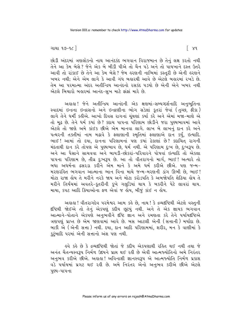ગાથા ૧૭-૧૮ ી

છોડી અંદરમાં ત્રણલોકનો નાથ આનંદકંદ ભગવાન વિરાજમાન છે તેનું લક્ષ કરતો નથી તેને આ કેમ બેસે? જેને એક બે બીડી પીએ તો ચૈન પડે અને તો પાયખાને દસ્ત ઉતરે આવી તો રાંકાઈ છે તેને આ કેમ બેસે? જેમ લરણની નાભિમાં કસ્તુરી છે એની લરણને ખબર નથી; એને એમ લાગે કે આવી ગંધ બહારથી આવે છે એટલે બહારમાં રખડે છે. તેમ આ પરમાત્મા અંદર અતીન્દ્રિય આનંદનો રસકંદ પડયો છે એની એને ખબર નથી એટલે બિચારો બહારમાં આનંદ-સખ માટે ફાંફાં મારે છે.

અહાહા ! જેને અતીન્દ્રિય આનંદની એક ક્ષણમાં-સમ્યગ્દર્શનાદિ અનુભુતિના સ્વાદમાં ઇન્દ્રના ઇન્દ્રાસનો અને ઇન્દ્રાણીના ભોગ સડેલાં કુતરાં જેવાં (તુચ્છ, ફીકા) લાગે તેને ધર્મી કઢીએ. આખો દિવસ રાગનાં ચુંથણાં કર્યા કરે અને એમાં મજા-માણે એ તો મુઢ છે. તેને ઘર્મ કયાં છે? કદાચ પાપના પરિણામ છોડીને જરા પુણ્યભાવમાં આવે એટલે તો જાણે અમે કાંઈક છીએ એમ માનવા લાગે. લાખ બે લાખનું દાન કરે અને પત્થરની તક્તીમાં નામ મઢાવે કે ફ્લાણાની સ્મૃતિમાં ફ્લાણાએ દાન કર્યું, ઇત્યાદિ. ભાઈ! આમાં તો દયા, દાનના પરિશામનાં પણ કયાં ઠેકાણાં છે? કદાચિત રાગની મંદતાથી દાન કરે તોપણ એ પુણ્યભાવ છે, ધર્મ નથી. એ પરિણામ દુઃખ છે, દુઃખરૂપ છે. અને આ પૈસાને સાચવવા અને બાયડી-છોકરાં-પરિવારને પોષવાં ઇત્યાદિ તો એકલા પાપના પરિણામ છે, તીવ્ર દુઃખરૂપ છે. આ તો વીતરાગનો માર્ગ, ભાઈ !અત્યારે તો <u>બધા અધર્મના ઢસરડા કરીને એમ માને કે અમે ધર્મ કરીએ છીએ. પણ જન્મ-</u> મરણરહિત ભગવાન આત્માના ભાન વિના માથે જન્મ-મરણની ડાંગ ઊભી છે. ભાઈ! મોટા રાજા હોય તે મરીને નરકે જાય અને મોટા કરોડપતિ કે અબજોપતિ શેઠિયા હોય તે મરીને તિર્યંચમાં અવતરે-કૂતરીની કૂખે ગલુડિયાં થાય કે બકરીને પેટે લાવરાં થાય. માયા, કપટ આદિ ક્રિયાઓના ફળ એવાં જ હોય, બીજું કાંઈ ન હોય.

અહાહા! વીતરાગદેવ પરમેશ્વર આમ કહે છે, નાથ! કે દ્રવ્યદૃષ્ટિથી એટલે વસ્તુની દષ્ટિથી જોઈએ તો તેનું એકપણું કદીય છૂટયું નથી. અને તે એક જ્ઞાયક ભગવાન આત્માને-પોતાને એકપણે અનુભવીને દષ્ટિ જ્ઞાન અને રમણતા કરે તેને પર્યાયદષ્ટિએ ત્રણપણું પ્રાપ્ત છે એમ જાણવામાં આવે છે. બસ આટલી એની (સત્તાની) મર્યાદા છે. બાકી એ (એની સત્તા) નથી. દયા, દાન આદિ પરિણામમાં, શરીર, મન કે વાણીમાં કે કુટુંબાદિ પરમાં એની સત્તાનો અંશ પણ નથી.

હવે કહે છે કે દ્રવ્યદષ્ટિથી જોતાં જે કદીય એકપણાથી રહિત થઈ નથી તથા જે અનંત ચૈતન્યસ્વરૂપ નિર્મળ ઉદયને પ્રાપ્ત થઈ રહી છે એવી આત્મજ્યોતિનો અમે નિરંતર અનુભવ કરીએ છીએ. અલલ! અવિનાશી જ્ઞાનસ્વરૂપ એ આત્મજ્યોતિ નિર્મળ પ્રકાશ વડે પર્યાયમાં પ્રગટ થઈ રહી છે. અમે નિરંતર એનો અનુભવ કરીએ છીએ એટલે પુણ્ય-પાપના

િ ૪૧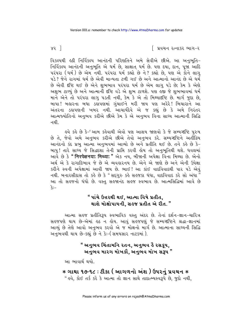∣ પ્રવચન રત્નાકર ભાગ−ર

વિકલ્પથી હઠી નિર્વિકલ્પ આનંદની પરિણતિને અમે સેવીએ છીએ. આ અનુભૂતિ-નિર્વિકલ્પ આનંદની અનુભૂતિ એ ધર્મ છે, સાક્ષાત ધર્મ છે. પણ દયા, દાન, પૂજા આદિ પરંપરા (ઘર્મ) છે એમ નથી. પરંપરા ઘર્મ કહ્યો છે ને? કહ્યો છે. પણ એ કોને લાગ પડે ? જેને રાગમાં ધર્મ છે એવી માન્યતા ટળી ગઈ છે અને આત્માનો આનંદ છે એ ધર્મ છે એવી દૃષ્ટિ થઈ છે એને શભભાવ પરંપરા ધર્મ છે એમ લાગ પડે છે; કેમ કે એણે અશુભ ટાળ્યું છે અને આત્માની દૃષ્ટિ વડે એ શુભ ટાળશે. પણ હજી જે શુભભાવમાં ધર્મ માને એને તો પરંપરા લાગુ પડતી નથી, કેમ કે એ તો મિથ્યાદષ્ટિ છે. માર્ગ જુદા છે, બાપા ! બહારના બધા ડહાપણમાં ગુંચાઈને મરી જાય પણ અરેરે ! બિચારાને આ અંતરના ડહાપણની ખબર નથી. આચાર્યદેવે એ જ કહ્યું છે કે અમે નિરંતર આત્મજ્યોતિનો અનુભવ કરીએ છીએ કેમ કે એ અનુભવ વિના સાધ્ય આત્માની સિદ્ધિ નથી

ઙ્વે કર્લ્ડ છે કે−' આમ કહેવાથી એવો પણ આશય જાણવો કે જે સમ્યગ્દષ્ટિ પુરુષ છે તે, જેવો અમે અનુભવ કરીએ છીએ તેવો અનુભવ કરે. સમ્યગ્દષ્ટિને અતીંદ્રિય આનંદનો કંદ પ્રભુ આત્મા અનુભવમાં આવ્યો છે અને પ્રતીતિ થઈ છે. તને કહે છે કે-બાપુ! તારે સાધ્ય જે સિદ્ધદર્શા તેની પ્રાપ્તિ કરવી લોય તો અનુભૂતિથી થશે. ધવલમાં આવે છે કે " निरपेक्षनया: मिथ्या: " એક નય, બીજાની અપેક્ષા વિના મિથ્યા છે. એનો અર્થ એ કે રાગાદિભાવ જે છે એ વ્યવહારનય છે. એને એ જાણે છે અને એની ઉપેક્ષા કરીને સ્વની અપેક્ષામાં આવી જાય છે. ભાઈ! આ કાંઈ વાદવિવાદથી પાર પડે એવું નથી. બનારસીદાસ તો કહે છે કે "સદ્ગુરુ કહે સહજકા ધંધા, વાદવિવાદ કરે સો અંધા  $^{\overline{r}}$ આ તો સહજનો ધંધો છે. વસ્ત સહજાનંદ સહજ સ્વભાવ છે. આત્મસિદ્ધિમાં આવે છે  $\hat{\mathbf{x}}$ :—

# " પાંચે ઉત્તરથી થઈ. આત્મા વિષે પ્રતીત. થાશે મોક્ષોપાયની, સહજ પ્રતીત એ રીત."

આત્મા સહજ પ્રતીતિરૂપ સ્વભાવિક વસ્તુ અંદર છે. તેનાં દર્શન-જ્ઞાન-ચારિત્ર સહજપણે થાય છે-એમાં હઠ ન હોય. આવું સહજપણું જે સમ્યગ્દષ્ટિને શ્રદ્ધા-જ્ઞાનમાં આવ્યં છે તેણે આવો અનભવ કરવો એ જ મોક્ષનો માર્ગ છે. આત્માના સાધ્યની સિદ્ધિ અનુભવથી થાય છે-કહ્યું છે ને કેઃ- (સમયસાર નાટકમાં).

# " અનુભવ ચિંતામનિ ૨તન, અનુભવ હૈ ૨સકૂપ, અનુભવ મારગ મોખકૌ, અનુભવ મોખ સ3૫<sup>΄"</sup>

આ ભાવાર્થ થયો.

∗ ગાથા ૧૭-૧૮ : ટીકા ( આગળનો અંશ ) ઉપરનું પ્રવચન ∗ " હવે. કોઈ તર્ક કરે કે આત્મા તો જ્ઞાન સાથે તાદાત્મ્યસ્વરૂપે છે. જુદો નથી.

 $83<sup>-1</sup>$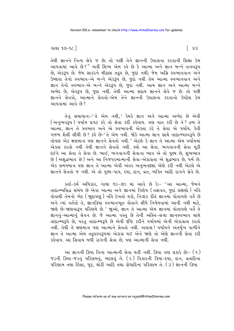તેથી જ્ઞાનને નિત્ય સેવે જ છે; તો પછી તેને જ્ઞાનની ઉપાસના કરવાની શિક્ષા કેમ આપવામાં આવે છે?" અહીં શિષ્ય એમ કહે છે કે આત્મા અને જ્ઞાન બન્ને તત્સ્વરૂપ છે, એકરૂપ છે. જેમ સાકરને મીઠાશ તદ્રુપ છે, જુદાં નથી; જેમ અગ્નિ સ્વભાવવાન અને ઉષ્ણતા તેનો સ્વભાવ-એ બન્ને એકરૂપ છે, જુદા નથી તેમ આત્મા સ્વભાવવાન અને જ્ઞાન તેનો સ્વભાવ-એ બન્ને એકરૂપ છે, જુદા નથી. આમ જ્ઞાન અને આત્મા બન્ને અભેદ છે, એકરૂપ છે, જુદા નથી. તેથી આત્મા સદાય જ્ઞાનને સેવે જ છે. તો પછી જ્ઞાનને સેવવો. આત્માને સેવવો-એમ તેને જ્ઞાનની ઉપાસના કરવાનો ઉપદેશ કેમ આપવામાં આવે છે?

તેનું સમાધાનઃ-'તે એમ નથી,' કેમકે જ્ઞાન અને આત્મા અભેદ છે એવી<br>(અનુભવરૂપ) પર્યાય પ્રગટ કરે તો સેવા કરી કહેવાય. ત્રણ વાત કરી છે ને? દ્રવ્ય તે આત્મા, જ્ઞાન તે સ્વભાવ અને એ સ્વભાવની એક્તા કરે તે સેવા એ પર્યાય. કેવી ગજબ શૈલી લીધી છે? કહે છે-'તે એમ નથી. જોકે આત્મા જ્ઞાન સાથે તાદાત્મ્યસ્વરૂપે છે તોપણ એક ક્ષણમાત્ર પણ જ્ઞાનને સેવતો નથી.' એટલે કે જ્ઞાન તે આત્મા એમ પર્યાયમાં એક્તા કરતો નથી તેથી જ્ઞાનને સેવતો નથી. લ્યો આ સેવા. ભગવાનની સેવા મકી દઈને આ સેવા તે સેવા છે. ભાઈ, ભગવાનની સેવાના ભાવ એ તો પુણ્ય છે, શુભભાવ છે (અશુદ્ધભાવ છે) અને આ નિજપરમાત્માની સેવા-એકાગ્રતા એ શુદ્ધભાવ છે, ધર્મ છે. એક સમયમાત્ર પણ જ્ઞાન તે આત્મા એવી અંતર અનુભવદશા એણે કરી નથી એટલે એ જ્ઞાનને સેવતો જ નથી. એ તો પુણ્ય-પાપ, દયા, દાન, વ્રત, ભક્તિ આદિ રાગને સેવે છે.

કર્તા-કર્મ અધિકાર, ગાથા ૬૯-૭૦ માં આવે છે કેઃ- 'આ આત્મા, જેમને તાદાત્મ્યસિદ્ધ સંબંધ છે એવા આત્મા અને જ્ઞાનમાં વિશેષ (તફાવત, જુદાં લક્ષણો) નહિ હોવાથી તેમનો ભેદ (જાુદાપણું) નહિ દેખતો થકો, નિઃશંક રીતે જ્ઞાનમાં પોતાપણે વર્તે છે અને ત્યાં વર્તતો તે. જ્ઞાનક્રિયા સ્વભાવભત હોવાને લીધે નિષેધવામાં આવી નથી માટે. જાણે છે-જાણવારૂપ પરિણમે છે.' જાૂઓ, જ્ઞાન તે આત્મા એમ જ્ઞાનમાં પોતાપણે વર્તે તે જ્ઞાનનું-આત્માનું સેવન છે. જે આત્મા વસ્તુ છે તેની અસ્તિ-સત્તા જ્ઞાનસ્વભાવ સાથે તાદાત્મ્યરૂપે છે, પરંતુ તાદાત્મ્યરૂપે છે એવી દૃષ્ટિ કરીને પર્યાયમાં એની એકાગ્રતા કરતો નથી. તેથી તે ક્ષણમાત્ર પણ આત્માને સેવતો નથી. અહાહા ! પર્યાયને અંતર્મખ વાળીને જ્ઞાન તે આત્મા એમ તદ્રપસ્વરૂપમાં એકાગ્ર થઈ એને જાણે તો એણે જ્ઞાનની સેવા કરી કહેવાય. આ સિવાય બધી રાગની સેવા છે, પણ આત્માની સેવા નથી.

આ જ્ઞાનની ક્રિયા વિના આત્માની સેવા થતી નથી. ક્રિયા ત્રણ પ્રકારે છેઃ- (૧) જડની ક્રિયા-જડનું પરિણમવું, બદલવું તે. (૨) વિકારની ક્રિયા-દયા, દાન, વ્રતાદિના પરિણામ તથા હિંસા, જૂઠ, ચોરી આદિ તથા ક્રોધાદિના પરિણામ તે. (૩) જ્ઞાનની ક્રિયા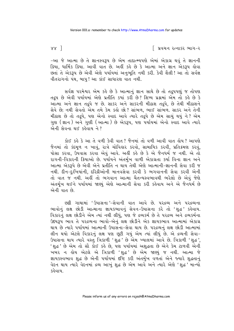$88<sup>1</sup>$ 

∣ પ્રવચન રત્નાકર ભાગ−ર

-આ જે આત્મા છે તે જ્ઞાનસ્વરૂપ છે એમ તાદાત્મ્યપણે એમાં એકાગ્ર થવું તે જ્ઞાનની ક્રિયા, ધાર્મિક ક્રિયા. આવી વાત છે. અહીં કહે છે કે આત્મા અને જ્ઞાન એકરૂપ હોવા છતાં તે એકરૂપ છે એવી એણે પર્યાયમાં અનુભૂતિ નથી કરી. કેવી શૈલી! આ તો સર્વજ્ઞ વીતરાગનો પંથ, બાપુ! આ કાંઈ સાધારણ વાત નથી.

સર્વજ્ઞ પરમેશ્વર એમ કહે છે કે આત્માનું જ્ઞાન સાથે છે તો તદ્રુપપણું જ તોપણ તદ્રૂપ છે એવી પર્યાયમાં એણે પ્રતીતિ કયાં કરી છે? શિષ્ય પ્રશ્નમાં એમ તો કહે છે કે આત્મા અને જ્ઞાન તદ્રુપે જ છે. સાકર અને સાકરની મીઠાશ તદ્રુપે, છે તેથી મીઠાશને સેવે છે; નથી સેવતો એમ તમે કેમ કહો છો? સાંભળ, ભાઈ સાંભળ. સાકર અને તેની મીઠાશ છે તો તદ્રુપે, પણ એનો સ્વાદ આવે ત્યારે તદ્રુપે છે એમ સાચું થયું ને? એમ ગુણ (જ્ઞાન ) અને ગુણી (આત્મા ) છે એકરૂપ, પણ પર્યાયમાં એનો સ્વાદ આવે ત્યારે એની સેવના થઈ કહેવાય ને ?

કોઈ કહે કે આ તે વળી કેવી વાત? જૈનમાં તો વળી આવી વાત હોય? આપણે જૈનમાં તો કંદમૂળ ન ખાવું, રાત્રે ચોવિહાર કરવો, સામાયિક કરવી, પ્રતિક્રમણ કરવું, પોસા કરવા, ઉપવાસ કરવા એવું આવે. અહીં કહે છે કે એ જૈનધર્મ જ નથી. એ તો રાગની-વિકારની ક્રિયાઓ છે. પર્યાયને અંતર્મુખ વાળી એકાગ્રતા કર્યા વિના જ્ઞાન અને આત્મા એકરૂપે છે એવી એને પ્રતીતિ ન થાય તેથી એણે આત્માની-જ્ઞાનની સેવા કરી જ નથી. દીન–દુઃખિયાંની, દરિદ્રીઓની માનવસેવા કરવી કે ભગવાનની સેવા કરવી એની તો વાત જ નથી. અહીં તો ભગવાન આત્મા ચૈતન્યસ્વભાવથી ભરેલો છે એવું જેણે અંતર્મુખ થઈને પર્યાયમાં જાણ્યું એણે આત્માની સેવા કરી કહેવાય અને એ જૈનઘર્મ છે એની વાત છે.

છઢી ગાથામાં 'ઉપાસના'-સેવાની વાત આવે છે. ૫૨૬વ્ય અને ૫૨૬વ્યના ભાવોનું લક્ષ છોડી આત્માના જ્ઞાયકભાવનું સેવન-ઉપાસના કરે તો 'શુદ્ધ' કહેવાય. વિકારનું લક્ષ છોડીને એમ ત્યાં નથી લીધું, પણ જે દ્રવ્યકર્મ છે તે પરદ્રવ્ય અને દ્રવ્યકર્મના ઉદયરૂપ ભાવ તે પરદ્રવ્યના ભાવો-એનું લક્ષ છોડીને એક જ્ઞાયકભાવ આત્મામાં એકાગ્ર થાય છે ત્યારે પર્યાયમાં આત્માની ઉપાસના−સેવા થાય છે. ૫રદ્રવ્યનું લક્ષ છોડી આત્મામાં તીન થયો એટલે વિકારનું લક્ષ પણ છૂટી ગયું એમ ત્યાં લીધું છે. એ દ્રવ્યની સેવા-ઉપાસના થાય ત્યારે વસ્તુ ત્રિકાળી 'શુદ્ધ' છે એમ ખ્યાલમાં આવે છે. ત્રિકાળી 'શુદ્ધ', 'શુદ્ધ' છે એમ તો સૌ કોઈ કહે છે, પણ પર્યાયમાં અશુદ્ધતા છે એને કેમ ટાળવી એની ખબર ન હોય એટલે એ ત્રિકાળી 'શુદ્ધ' છે એમ જાણ્યું જ નથી. આત્મા જે જ્ઞાયકસ્વભાવ શદ્ધ છે એની પર્યાયમાં દષ્ટિ કરી અંતર્મખ વળતાં એને જ્યારે શદ્ધતાનું વેદન થાય ત્યારે વેદનમાં દ્રવ્ય આખું શુદ્ધ છે એમ આવે અને ત્યારે એણે 'શુદ્ધ ' માન્યો કઢેવાય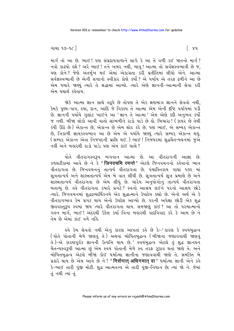ગાથા ૧૭-૧૮ ી

માર્ગતો આ છે. ભાઈ! પણ સંપ્રદાયવાળાને લાગે કે આ તે વળી કઈ જાતનો માર્ગ? નવો કાઢયો હશે ? અરે ભાઈ ! તને ખબર નથી, બાપુ ! આત્મા તો સર્વજ્ઞસ્વભાવી છે જ, પણ કોને? જેણે અંતર્મુખ થઈ એમાં એકાગ્રતા કરી પ્રતીતિમાં લીધો એને. આત્મા સર્વજ્ઞસ્વભાવી છે એની સત્તાનો સ્વીકાર કોણે કર્યો? એ પર્યાય એ તરફ ઢળીને આ છે એમ જ્યારે જાણ્ય ત્યારે તે શ્રદ્ધામાં આવ્યો. ત્યારે એણે જ્ઞાનની-આત્માની સેવા કરી એમ યથાર્થ કહેવાય

જોકે આત્મા જ્ઞાન સાથે તદ્રપે છે તોપણ તે એક ક્ષણમાત્ર જ્ઞાનને સેવતો નથી, કેમકે પણ્ય-પાપ. દયા. દાન. આદિ જે વિકલ્પ તે આત્મા એમ એની દષ્ટિ પર્યાયમાં પડી છે. જ્ઞાનની પર્યાયે ગુલાંટ ખાઈને આ 'જ્ઞાન તે આત્મા' એમ એણે કદી અનુભવ કર્યો જ નથી. બીજા લોકો આવી વાતો સાંભળીને રાડો પાડે છે હોં. બિચારા ! ( કાયરે છે તેથી કંપી ઊઠે છે) એકાન્ત છે. એકાન્ત છે એમ શોર કરે છે. પણ ભાઈ. એ સમ્યક એકાન્ત છે, ત્રિકાળી જ્ઞાયકસ્વભાવ આ છે એમ એ પર્યાયે જાણ્યું ત્યારે સમ્યક એકાન્ત થયું. ુ, …ુ. … … … … … … …<br>( સમ્યક એકાન્ત એવા નિજપદની પ્રાપ્તિ થઈ. ) ભાઈ ! નિજવરમાં શુદ્ધચૈતન્યઘનમાં જુએ નહીં અને બહારથી રાડો પાડે: પણ એમ કાંઈ ચાલે ?

પોતે વીતરાગસ્વરૂપ ભગવાન આત્મા છે. આ વીતરાગની આજ્ઞા છે. કળશટીકામાં આવે છે ને કે 'जिनवचमि रमन्ते ' એટલે જિનવચનનો કહેવાનો ભાવ સૂત્રતાત્પર્ય અને શાસ્ત્રતાત્પર્યે એમ બે વાત લીધી છે. સૂત્રતાત્પર્ય સૂત્ર પ્રમાણે છે અને શોસ્ત્રતાત્પર્ય વીતરાગતા છે એમ લીધું છે. ચારેય અનયોગોનું તાત્પર્ય વીતરાગતા બતાલ્યું છે. હવે વીતરાગતા કયારે પ્રગટે? સ્વનો આશ્રય લઈને પરનો આશ્રય છોડે ત્યારે. જિનવચનમાં શુદ્ધવ્યાર્થિકનયે એક શુદ્ધાત્માને ઉપાદેય કહ્યો છે. એનો અર્થ એ કે વીતરાગભાવ કેમ પ્રગટ થાય એનો ઉપદેશ આપ્યો છે. પરની અપેક્ષા છોડી એક શદ્ધ જીવવસ્તુરૂપ સ્વમાં જાય ત્યારે વીતરાગતા થાય. સમજાણું કાંઈ? આ તો પરમાત્માનો ગહન માર્ગ. ભાઈ ! અંદરથી ઉકેલ કર્યા વિના બહારથી વાદવિવાદ કરે કે આમ છે ને તેમ છે એમાં કાંઈ વળે નહિ.

હવે કેમ સેવતો નથી એનું કારણ આપતાં કહે છે કેઃ-'કારણ કે સ્વયંબુદ્ધત્વ (પોતે પોતાની મેળે જાણવું તે) અથવા બોધિતબુદ્ધત્વ (બીજાના જણાવવાથી જાણવું તે)-એ કારણપૂર્વક જ્ઞાનની ઉત્પત્તિ થાય છે.' સ્વયંબુદ્ધત્વ એટલે હું શુદ્ધ જ્ઞાનઘન ચૈતન્યસ્વરૂપી આત્મા છું એમ સ્વયં પોતાની મેળે સ્વ તરફ ઝૂકાવ થતાં જાણે તે. અને બોધિતબુદ્ધત્વ એટલે બીજા કોઈ ધર્માત્મા જ્ઞાનીના જણાવવાથી જાણે તે. સમક્તિ બે પ્રકારે થાય છે એમ આવે છે ને? 'निर्सगात अधिगमात वा ' ધર્માત્મા જ્ઞાની એને કહે કે-ભાઈ તારી પુંજી મોટી. શુદ્ધ આત્મતત્ત્વ એ તારી પુંજી-નિધાન છે; ત્યાં જો ને. જેમાં તં નથી ત્યાં તં

િ૪૫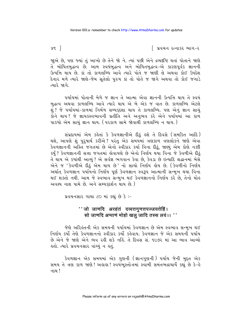િ પ્રવચન રત્નાકર ભાગ−ર

જાુએ છે, પણ જ્યાં તું આખો છે તેને જો ને. ત્યાં પછી એને દ્રવ્યદૃષ્ટિ થતાં પોતાને જાણે તે બોધિતબુદ્ધત્વ છે. આમ સ્વયંબુદ્ધત્વ અને બોધિતબુદ્ધત્વ-એ કારણપૂર્વક જ્ઞાનની ઉત્પત્તિ થાય છે. કાં તો કાળલબ્ધિ આવે ત્યારે પોતે જ જાણી લે અથવા કોઈ ઉપદેશ દેનાર મળે ત્યારે જાણે-જેમ સુતેલો પુરુષ કાં તો પોતે જ જાગે અથવા તો કોઈ જગાડે ત્યારે જાગે

પર્યાયમાં પોતાની મેળે જ જ્ઞાન તે આત્મા એવા જ્ઞાનની ઉત્પત્તિ થાય તે સ્વયં બુદ્ધત્વ અથવા કાળલબ્ધિ આવે ત્યારે થાય એ બે એક જ વાત છે. કાળલબ્ધિ એટલે શું ? જે પર્યાયમાં-કાળમાં નિર્મળ સમ્યકદશા થાય તે કાળલબ્ધિ. પણ એનું જ્ઞાન સાચું કોને થાય? જે જ્ઞાયકસ્વભાવની પ્રતીતિ અને અનુભવ કરે એને પર્યાયમાં આ કાળ પાકયો એમ સાચું જ્ઞાન થાય. ( પરકાળ સામે જોવાથી કાળલબ્ધિ ન થાય.)

સંપ્રદાયમાં એમ કહેતાં કે કેવળજ્ઞાનીએ દીઠું હશે તે દિવસે (સમકિત આદિ) થશે, આપણે શું પુરૂષાર્થ કરીએ ? પરંતુ એક સમયમાં ત્રણકાળ ત્રણલોકને જાણે એવા કેવળજ્ઞાનની અસ્તિ જગતમાં છે એનો સ્વીકાર કર્યા વિના દીઠું, જાણ્યું એમ કોણે નક્કી કર્યું ? કેવળજ્ઞાનની સત્તા જગતમાં હોવાપણે છે એનો નિર્ણય થયા વિના જે કેવળીએ દીઠું તે થાય એ કયાંથી આવ્યું ? એ સર્વજ્ઞ ભગવાન કેવા છે, કેવડા છે ઇત્યાદિ શ્રદ્ધાનમાં બેસે એને જ 'કેવળીએ દીઠું એમ થાય છે' નો સાચો નિર્ણય હોય છે. (કેવળીનો નિર્ણય અર્થાત કેવળજ્ઞાન ૫ર્યાયનો નિર્ણય પૂર્ણ કેવળજ્ઞાન સ્વરૂપ આત્માની સન્મુખ થયા વિના થઈ શક્તો નથી. આમ જે સ્વભાવ સન્મુખ થઈ કેવળજ્ઞાનનો નિર્ણય કરે છે, તેનો મોહ અવશ્ય નાશ પામે છે. અને સમ્યકદર્શન થાય છે.)

પ્રવચનસાર ગાથા ૮૦ માં કહ્યું છે કે :-

#### '' जो जाणदि अरहंतं दव्वत्तगुणत्तपज्जयत्तेहिं। सो जाणदि अप्पाणं मोहो खलु जादि तस्स लयं।। ''

જેણે અરિલ્ંતની એક સમયની પર્યાયમાં કેવળજ્ઞાન છે એમ સ્વભાવ સન્મખ થઈ નિર્ણય કર્યો તેણે કેવળજ્ઞાનનો સ્વીકાર કર્યો કહેવાય. કેવળજ્ઞાન જે એક સમયની પર્યાય છે એને જે જાણે એને ભવ રહી શકે નહિં. તે દિવસ સં. ૧૯૭૨ માં આ ભાવ આવ્યો હતો. ત્યારે પ્રવચનસાર વાંચ્યું ન હતું.

કેવળજ્ઞાન એક સમયમાં એક ગુણની (જ્ઞાનગુણની) પર્યાય જેની મુદ્દત એક સમય તે ત્રણ કાળ જાણે ! અહાહા ! સ્વયંભુસ્તોત્રમાં સ્વામી સમંતભદ્રાચાર્યે કહ્યું છે કે-હે नाथ $!$ 

 $x \in$  ]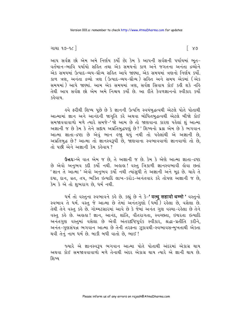#### ગાથા ૧૭–૧૮ $\overline{\phantom{a}}$

આપ સર્વજ્ઞ છો એમ અમે નિર્ણય કર્યો છે; કેમ કે આપની સર્વજ્ઞની પર્યાયમાં ભૂત-વર્તમાન-ભાવિ પર્યાયો સહિત તથા એક સમયનો કાળ અને જગતના અનંતા દ્રવ્યોને એક સમયમાં ઉત્પાદ-વ્યય-ઘ્રૌવ્ય સહિત આપે જાણ્યા. એક સમયમાં ત્રણનો નિર્ણય કર્યો. કાળ ત્રણ. અનંતા દ્રવ્યો ત્રણ (ઉત્પાદ-વ્યય-ઘ્રૌવ્ય ) સહિત અને સમય એકમાં (એક સમયમાં) આપે જાણ્યાં. આમ એક સમયમાં ત્રણ. સર્વજ્ઞ સિવાય કોઈ કહી શકે નહિ તેથી આપ સર્વજ્ઞ છો એમ અમે નિશ્ચય કર્યો છે. આ રીતે કેવળજ્ઞાનનો સ્વીકાર કર્યો કઢેવાય

હવે ફરીથી શિષ્ય પૂછે છે કે જ્ઞાનની ઉત્પત્તિ સ્વયંબુદ્ધત્વથી એટલે પોતે પોતાથી આત્મામાં જ્ઞાન અને આનંદની જાગૃતિ કરે અથવા બોધિતંબુદ્ધત્વથી એટલે બીજો કોઈ સમજાવવાવાળો મળે ત્યારે સમજે-'જો આમ છે તો જાણવાના કારણ પહેલાં શું આત્મા અજ્ઞાની જ છે કેમ કે તેને સદ્દાય અપ્રતિબુદ્ધપણું છે?' શિષ્યનો પ્રશ્ન એમ છે કે ભગવાન આત્મા જ્ઞાતા-દ્રષ્ટા છે એવું ભાન હજાું થયું નથી તો પહેલાંથી એ અજ્ઞાની છે, અપ્રતિબુદ્ધ છે? આત્મા તો જ્ઞાનસ્વરૂપી છે, જાણવાના સ્વભાવવાળો જ્ઞાનવાળો તો છે, તો પછી એને અજ્ઞાની કેમ કહેવાય ?

ઉત્તરઃ-એ વાત એમ જ છે, તે અજ્ઞાની જ છે. કેમ કે એણે આત્મા જ્ઞાતા-દ્રષ્ટા છે એવો અનુભવ કદી કર્યો નથી. અહાહા! વસ્તુ ત્રિકાળી જ્ઞાનસ્વભાવી હોવા છતાં 'જ્ઞાન તે આત્મા' એવો અનુભવ કર્યો નથી ત્યાંસુધી તે અજ્ઞાની અને મુઢ છે. ચાહે તે દયા, દાન, વ્રત, તપ, ભક્તિ ઇત્યાદિ લાખ-કરોડ-અનંતવાર કરે તોપણ અજ્ઞાની જ છે, કેમ કે એ તો શભરાગ છે. ધર્મ નથી.

धर्म तो वस्तुना स्वलावने sरे છे. sह्युं છे ने डे-' वत्थु सहावो धम्मो ' वस्तुनो સ્વભાવ તે ધર્મ. વસ્તુ જે આત્મા છે તેમાં અનંતગુણો (ધર્મો) રહેલા છે, વસેલા છે. તેથી તેને વસ્તુ કહે છે. ગોમ્મટસારમાં આવે છે કે જેમાં અનંત ગુણ વસ્યા-રહેલા છે તેને વસ્તુ કહે છે. અહાહા! જ્ઞાન, આનંદ, શાંતિ, વીતરાગતા, સ્વચ્છતા, ઇશ્વરતા ઇત્યાદિ અનંતગુણ વસ્તુમાં વસેલા છે એવી અંતરદષ્ટિપૂર્વક સ્વીકાર, શ્રદ્ધા-પ્રતીતિ કરીને, અનંત-ગુણસંપન્ન ભગવાન આત્મા છે તેની તરફના ઝૂકાવથી-સ્વભાવસન્મુખતાથી એકતા થવી તેનું નામ ધર્મ છે. બાકી બધી વાતો છે, ભાઈ !

જ્યારે એ જ્ઞાનસ્વરૂપ ભગવાન આત્મા પોતે પોતાથી અંદરમાં એકાગ્ર થાય અથવા કોઈ સમજાવવાવાળો મળે તેનાથી અંદર એકાગ્ર થાય ત્યારે એ જ્ઞાની થાય છે. શિષ્ય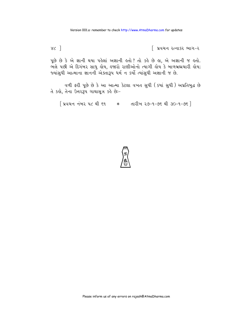| પ્રવચન રત્નાકર ભાગ-ર

 $x<sup>2</sup>$ 

પૂછે છે કે એ જ્ઞાની થયા પહેલાં અજ્ઞાની હતો? તો કહે છે હા, એ અજ્ઞાની જ હતો. ભેલે પછી એ દિગંબર સાધુ લોય, લ્જારો રાણીઓનો ત્યાગી લોય કે બાળબ્રહ્મચારી લોય; જ્યાંસુધી આત્માના જ્ઞાનની એક્તારૂપ ધર્મન કર્યો ત્યાંસુધી અજ્ઞાની જ છે.

વળી ફરી પૂછે છે કે આ આત્મા કેટલા વખત સુધી (કયાં સુધી) અપ્રતિબુદ્ધ છે તે કહો, તેના ઉત્તરરૂપ ગાથાસૂત્ર કહે છે:-

[ प्रवयन नंजर पट थी sq \* तारीज २७-१-७९ थी 30-१-७९ ]

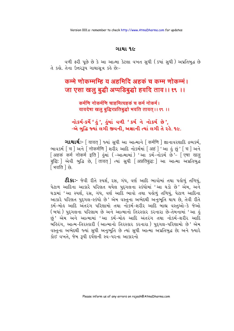#### ગાથા ૧૯

વળી ફરી પછે છે કે આ આત્મા કેટલા વખત સુધી (કયાં સુધી) અપ્રતિબુદ્ધ છે તે કહો. તેના ઉત્તર3૫ ગાથાસત્ર કહે છે:-

# कम्मे णोकम्मम्हि य अहमिदि अहकं च कम्म णोकम्मं। जा एसा खलू बुद्धी अप्पडिबुद्धो हवदि ताव।। १९ ।।

#### कर्मणि नोकर्मणि चाहमित्यहकं च कर्म नोकर्म। यावदेषा खलु बुद्धिरप्रतिबुद्धो भवति तावत् ।। १९ ।।

નોકર્મ-કર્મે ' હું', હુંમાં વળી ' કર્મ ને નોકર્મ છે', -એ બુદ્ધિ જ્યાં લગી જીવની, અજ્ઞાની ત્યાં લગી તે રહે. ૧૯.

**ગાથાર્થઃ**- [ यावत ] જ્યાં સુધી આ આત્માને [ कर्मणि ] જ્ઞાનાવરણાદિ દ્રવ્યકર્મ, लायर्ड्भ [ च ] अने [ नोकर्मणि ] शरीर આદિ नोडर्भमां [ अहं ] ' આ इं छुं ' [ च ] अने [अहकं कर्म नोकर्म इति | इंगां ( -આत्मामां ) 'આ કર્મ-नोडर्भ છे'- [एषा खल बद्धि: जिथे अदि छे, [तावत ] त्यां सुधी [अप्रतिबद्ध: ] આ આत्मा अप्रतिषद्ध िभवति । છे.

**ટી.કાઃ-** જેવી રીતે સ્પર્શ, રસ, ગંધ, વર્ણ આદિ ભાવોમાં તથા પહોળું તળિયું, પેટાળ આદિના આકારે પરિણત થયેલ પુદગલના સ્કંધોમાં 'આ ઘડો છે' એમ. અને ઘડામાં 'આ સ્પર્શ, રસ, ગંધ, વર્ણ આદિ ભાવો તથા પહોળું તળિયું, પેટાળ આદિના આકારે પરિણત પુદગલ-સ્કંધો છે' એમ વસ્તુના અભેદથી અનુભૂતિ થાય છે. તેવી રીતે કર્મ-મોલ આદિ અંતરંગ પરિણામો તથા નોકર્મ-શરીર આદિ બાહ્ય વસ્તુઓ-કે જેઓ (બધાં) પુદગલના પરિણામ છે અને આત્માનો તિરસ્કાર કરનારા છે-તેમનામાં 'આ હું છું' એમ અને આત્મામાં 'આ કર્મ-મોહ આદિ અંતરંગ તથા નોકર્મ-શરીર આદિ બહિરંગ, આત્મ-તિરસ્કારી (આત્માનો તિરસ્કાર કરનારા) પુદ્દગલ-પરિણામો છે' એમ વસ્તુના અભેદથી જ્યાં સુધી અનુભૂતિ છે ત્યાં સુધી આત્મા અપ્રતિબુદ્ધ છે; અને જ્યારે કોઈ વખતે. જેમ રૂપી દર્પણની સ્વ-પરના આકારનો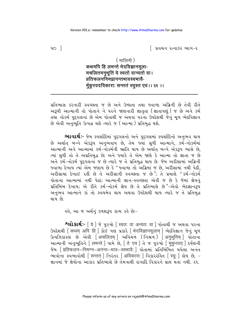િ પ્રવચન રત્નાકર ભાગ−ર

 $\sqrt{2}$ 

#### $($  मालिनी)

### कथमपि हि लभन्ते भेदविज्ञानमुला-मचलितमनभूतिं ये स्वतो वान्यतो वा। प्रतिफलननिमग्रानन्तभावस्वभावै-र्मकुरवदविकाराः सन्ततं स्यस्त एव ।। २१ ।।

પ્રતિભાસ કરનારી સ્વચ્છતા જ છે અને ઉષ્ણતા તથા જ્વાળા અગ્રિની છે તેવી રીતે અરૂપી આત્માની તો પોતાને ને પરને જાણનારી જ્ઞાતતા (જ્ઞાતાપણું) જ છે અને કર્મ તથા નોકર્મ પુદગલનાં છે એમ પોતાથી જ અથવા પરના ઉપદેશથી જેનું મળ ભેદવિજ્ઞાન છે એવી અનુભતિ ઉત્પન્ન થશે ત્યારે જ (આત્મા ) પ્રતિબદ્ધ થશે.

ભાવાર્થઃ- જેમ સ્પર્શાદિમાં પુદ્ગલનો અને પુદ્ગલમાં સ્પર્શાદિનો અનુભવ થાય છે અર્થાત્ બન્ને એકરૂપ અનુભવાય છે, તેમ જ્યાં સુધી આત્માને, કર્મ-નોકર્મમાં આત્માની અને આત્મામાં કર્મ-નોકર્મની ભ્રાંતિ થાય છે અર્થાત બન્ને એકરૂપ ભાસે છે. ત્યાં સુધી તો તે અપ્રતિબુદ્ધ છે; અને જ્યારે તે એમ જાણે કે આત્મા તો જ્ઞાતા જ છે અને કર્મ-નોકર્મ પુદગલનાં જ છે ત્યારે જ તે પ્રતિબુદ્ધ થાય છે. જેમ અરીસામાં અગ્નિની જ્વાળા દેખાય ત્યાં એમ જણાય છે કે "જ્વાળા તો અગ્નિમાં જ છે. અરીસામાં નથી પેઠી. અરીસામાં દેખાઈ રહી છે તે અરીસાની સ્વચ્છતા જ છે"; તે પ્રમાણે "કર્મ-નોકર્મ પોતાના આત્મામાં નથી પેઠાં; આત્માની જ્ઞાન-સ્વચ્છતા એવી જ છે કે જેમાં જ્ઞેયનું પ્રતિબિંબ દેખાય; એ રીતે કર્મ-નોકર્મ જ્ઞેય છે તે પ્રતિભાસે છે"-એવો ભેદજ્ઞાનરૂપ અનુભવ આત્માને કાં તો સ્વયમેવ થાય અથવા ઉપદેશથી થાય ત્યારે જ તે પ્રતિબુદ્ધ થાય છે.

૬વે, આ જ અર્થનું કળશરૂપ કાવ્ય કહે છેઃ−

श्लोशर्थः- [ये ] જે પુરુષો [ स्वत: वा अन्यत: वा ] પોતાથી જ અથવા પરના ७५६शथी क्थिम अपि हि । अे धु पुश प्रशरे मिदविज्ञानमलाम । लेहविज्ञान क्षेनुं भूण ઉત્પત્તિકારણ છે એવી [अचलितम] અવિચળ (નિશ્ચળ) [अनुभूतिम] પોતાના આત્માની અનુભતિને [ लभन्ते ] પામે છે, [ ते एव ] ते જ પુરુષો [ मकरवत ] દર્પણની <u> જેમ [प्रतिफलन–निमग्न–अनन्त–भाव–रचमावैः ] पोतामां प्रतिબિંબિત थयेલा અनंत</u> लावोना स्वलावोथी [सन्ततं ] निरंतर [अविकाराः ] विशररडित [स्यः ] डोय छे. -જ્ઞાનમાં જે જ્ઞેયોના આકાર પતિભાસે છે તેમનાથી રાગાદિ વિકારને પામ થતા નથી. રવ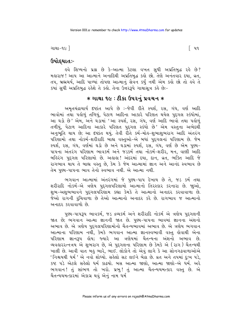ગાથા−૧૯ ]

# ઉપોદઘા**ત**ઃ-

ઙ્વે શિષ્યનો પ્રશ્ન છે કે−આત્મા કેટલા વખત સુધી અપ્રતિબુદ્ધ રહે છે? મહારાજ! આપ આ આત્માને અનાદિથી અપ્રતિબુદ્ધ કહો છો. તેણે અનંતવાર દયા, વ્રત, તપ, બ્રહ્મચર્ય, આદિ પાળ્યાં તોપણ આત્માનું સેવન કર્યું નથી એમ કહો છો તો હવે તે કયાં સુધી અપ્રતિબુદ્ધ રહેશે તે કહો. તેના ઉત્તરરૂપે ગાથાસૂત્ર કહે છેઃ-

# $*$  ગાથા ૧૯ : ટીકા ઉપરનું પ્રવચન $*$

અમૃતચંદ્રાચાર્ય દૃષ્ટાંત આપે છે :-જેવી રીતે સ્પર્શ, રસ, ગંધ, વર્ણ આદિ ભાવોમાં તથા પહોળું તળિયું, પેટાળ આદિના આકારે પરિણત થયેલ પુદ્ગલ સ્કંધોમાં, આ ઘડો છે' એમ, અને ઘડામાં 'આ સ્પર્શ, રસ, ગંધ, વર્ણ આદિ ભાવો તથા પહોળું તળીયું, પેટાળ આદિના આકારે પરિણત પુદ્દગલ સ્કંધો છે' એમ વસ્તુના અભેદથી અનુભતિ થાય છે; આ દૃષ્ટાંત થયું. તેવી રીતે કર્મ-મોહ-શુભાશભરાગ આદિ અંતરંગ પરિણામો તથા નોકર્મ-શરીરાદિ બાહ્ય વસ્તુઓ-એ બધાં પુદ્ગલનાં પરિણામ છે. જેમ ............<br>સ્પર્શ, ૨સ, ગંધ, વર્ણમાં ઘડો છે અને ઘડામાં સ્પર્શ, ૨સ, ગંધ, વર્ણ છે એમ પુણ્ય− પાપના અંતરંગ પરિણામ ભાવકર્મ અને જડકર્મ તથા નોકર્મ-શરીર, મન, વાણી આદિ બહિરંગ પુદ્દગલ પરિણામો છે. અહાહા! અંદરમાં દયા, દાન, વ્રત, ભક્તિ આદિ જે રાગભાવ થાય તે બાહ્ય વસ્તુ છે. કેમ કે જેમ આત્મામાં જ્ઞાન અને આનંદ સ્વભાવ છે તેમ પણ્ય-પાપના ભાવ તેનો સ્વભાવ નથી. એ આત્મા નથી.

ભગવાન આત્મામાં અંતરંગમાં જે પુણ્ય-પાપ દેખાય છે તે, જડ કર્મ તથા શરીરાદિ નોકર્મ-એ ત્રણેય પુદગલપરિણામો આત્માનો તિરસ્કાર કરનારા છે. જાઓ, શભ-અશભભાવને પુદગલપરિણામ કહ્યા કેમકે તે આત્માનો અનાદર કરવાવાળા છે. જેઓ રાગની રૂચિવાળા છે તેઓ આત્માનો અનાદર કરે છે. રાગભાવ જ આત્માનો અનાદર કરવાવાળો છે.

પુણ્ય-પાપરૂપ ભાવકર્મ, જડ દ્રવ્યકર્મ અને શરીરાદિ નોકર્મ એ ત્રણેય પુદ્દગલની જાત છે; ભગવાન આત્મા જ્ઞાનની જાત છે. પુણ્ય-પાપના ભાવમાં જ્ઞાનના અંશનો અભાવ છે. એ ત્રણેય પુદગલપરિણામોનો ચૈતન્યભાવમાં અભાવ છે. એ ત્રણેય ભગવાન આત્માના પરિણામ નથી, કેમકે ભગવાન આત્મા જ્ઞાનસ્વભાવી વસ્તુ હોવાથી એના પરિણામ જ્ઞાનરૂપ હોય; જ્યારે આ ત્રણેયમાં ચૈતન્યના અંશનો અભાવ છે. વ્યવહારરત્નત્રય એ શુભરાગ છે, એ પુદ્દગલના પરિણામ છે કેમકે એ (રાગ) ચૈતન્યથી ખાલી છે. આવી વાત બહુ ભારે, ભાઈ. લોકોને તો એવું લાગે કે આ સોનગઢવાળાઓએ ' નિશ્ચયથી ધર્મ ' એ નવો શોધ્યો. સહેલો સટ લઈને બેઠા છે. વ્રત અને તપમાં દઃખ પડે. કષ્ટ પડે એટલે સહેલો ધર્મ કાઢયો. બસ આત્મા જાણો, આત્મા જાણો–એ ધર્મ. અરે ભગવાન! તું સાંભળ તો ખરો. પ્રભુ! તું આત્મા ચૈતન્યચમત્કાર વસ્તુ છે. એ ચૈતન્યચમત્કારમાં એકાગ્ર થવું એનું નામ ધર્મ

 $\lceil 49 \rceil$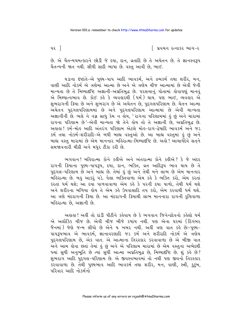∣ પ્રવચન રત્નાકર ભાગ−ર

છે. એ ચૈતન્યચમત્કારને છોડી જે દયા, દાન, વ્રતાદિ છે તે અચેતન છે. તે જ્ઞાનસ્વરૂપ ચૈતન્યની જાત નથી. સીધી સાદી ભાષા છે. વસ્તુ આવી છે, ભાઈ.

ઘડાના દષ્ટાંતે-એ પુણ્ય-પાપ આદિ ભાવકર્મ, અને દ્રવ્યકર્મ તથા શરીર, મન, વાણી આદિ નોકર્મ એ ત્રણેમાં આત્મા છે અને એ ત્રણેય ચીજ આત્મામાં છે એવી જેની માન્યતા છે તે મિથ્યાદ્દષ્ટિ અજ્ઞાની-અપ્રતિબદ્ધ છે. પરસત્તાનં પોતામાં લોવાપણું માનવં એ મિથ્યાત્વભાવ છે. કોઈ કહે કે વ્યવહારથી (ધર્મ) થાય. ૫ણ ભાઈ, વ્યવહાર એ શુભરાગની ક્રિયા છે અને શુભરાગ છે એ અચેતન છે, પુદગલપરિણામ છે. ચેતન આત્મા અચેતન પુદ્દગલપરિણામમાં છે અને પુદ્દગલપરિણામ આત્મામાં છે એવી માન્યતા અજ્ઞાનીની છે. ભલે ને નગ્ન સાધુ કેમ ન લોય, 'રાગના પરિણામમાં હું છું અને મારામાં રાગના પરિણામ છે'-એવી માન્યતા જો તેને હોય તો તે અજ્ઞાની છે, અપ્રતિબુદ્ધ છે. અલલ! કર્મ-મોલ આદિ અંતરંગ પરિણામ એટલે મોલ-રાગ-દ્વેષાદિ ભાવકર્મ અને જડ કર્મ તથા નોકર્મ-શરીરાદિ-એ બધી બાહ્ય વસ્તુઓ છે. આ બાહ્ય વસ્તુમાં હું છું અને બાહ્ય વસ્તુ મારામાં છે એમ માનનાર બહિરાત્મા-મિથ્યાદષ્ટિ છે. અહો! આચાર્યદેવે સતને સમજાવનારી મીઠી અને મધુર ટીકા કરી છે.

ભગવાન! બહિરાત્મા કોને કહીએ અને અંતરાત્મા કોને કહીએ? કે જે અંદર રાગની ક્રિયાના પુણ્ય-પાપરૂપ, દયા, દાન, ભક્તિ, વ્રત આદિરૂપ ભાવ થાય છે તે પુદગલ-પરિણામ છે અને બાહ્ય છે. તેમાં કું છું અને તેથી મને લાભ છે એમ માનનાર .<br>બર્લ્ડિરાત્મા છે. બહુ આકરૂં પડે. પેલા ભક્તિવાળા એમ કર્લ્ડ કે ભક્તિ કરો, એમ કરતાં કરતાં ધર્મ થશે; આ દયા પાળવાવાળા એમ કહે કે પરની દયા પાળો, તેથી ધર્મ થશે અને શરીરના બળિયા હોય તે એમ કહે ઉપવાસાદિ તપ કરો, એમ કરવાથી ધર્મ થશે. આ ત્રણે મંદરાગની ક્રિયા છે. આ મંદરાગની ક્રિયાથી લાભ માનનારા રાગની રૂચિવાળા બહિરાત્મા છે. અજ્ઞાની છે.

અહ્રાહ્ય ! અહીં તો દાંડી પીટીને કહેવાય છે કે ભગવાન જિનેન્દ્રદેવનો કહેલો ધર્મ એ અલૌકિક ચીજ છે. એવી ચીજ બીજે કયાંય નથી. પણ એના ઘરમાં (દિગંબર જૈનમાં) જેણે જન્મ લીધો છે એને ય ખબર નથી. અહીં ત્રણ વાત કહે છેઃ-પુણ્ય-પાપરૂપભાવ એ ભાવકર્મ, જ્ઞાનાવરણાદિ જડ કર્મ અને શરીરાદિ નોકર્મ એ ત્રણેય પુદ્ગલપરિણામ છે, એક વાત. એ આત્માના તિરસ્કાર કરવાવાળા છે એ બીજી વાત અને આમ હોવા છતાં તેમાં હું છું અને એ પરિણામ મારામાં છે એમ વસ્તુના અભેદથી જ્યાં સુધી અનુભૂતિ છે ત્યાં સુધી આત્મા અપ્રતિબુદ્ધ છે, મિથ્યાદષ્ટિ છે. શું કહે છે? શુભરાગ આદિ પુદ્ગલ-પરિણામ છે. એ જીવસ્વભાવમાં તો નથી પણ જીવનો તિરસ્કાર કરવાવાળા છે. તેથી પુણ્યભાવ આદિ ભાવકર્મ તથા શરીર, મન, વાણી, સ્ત્રી, કુટુંબ, परिवार आहि नोक्ष्मीनो

પર 1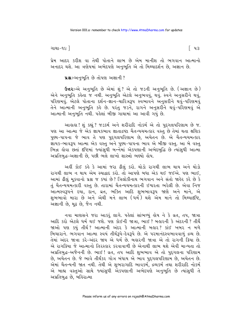ગાથા−૧૯ ∃

પ્રેમ આદર કરીશ વા તેથી પોતાને લાભ છે એમ માનીશ તો ભગવાન આત્માનો અનાદર થશે. આ ત્રણેયમાં અભેદપણે અનુભૂતિ એ તો મિથ્યાદર્શન છે, અજ્ઞાન છે.

ua :- અનુભૂતિ છે તોપણ અજ્ઞાની?

ઉત્તરઃ-એ અનુભૂતિ છે એમાં શું ? એ તો જડની અનુભૂતિ છે. (અજ્ઞાન છે) એને અનુભૂતિ કહેતા જ નથી. અનુભૂતિ એટલે અનુભવવું, થવું. સ્વને અનુસરીને થવું, પરિણમવં. એટલે પોતાના દર્શન-જ્ઞાન-ચારિત્રરૂપ સ્વભાવને અનસરીને થવં-પરિણમવં તેને આત્માની અનભતિ કહે છે. પરંત જડને. રાગને અનસર્રીને થવં-પરિણમવં એ આત્માની અનભતિ નથી. પહેલાં બીજી ગાથામાં આ આવી ગયું છે.

આહાહા ! શું કહ્યું ? જડકર્મ અને શરીરાદિ નોકર્મ એ તો પુદ્દગલપરિણામ છે જ. પણ આ આત્મા જે એક જ્ઞાયકભાવ જ્ઞાતાદ્રષ્ટા ચૈતન્યચમત્કાર વસ્તુ છે તેમાં થતા ક્ષણિક પુણ્ય-પાપના જે ભાવ તે પણ પુદગલપરિણામ છે. અચેતન છે. એ ચૈતન્યચમત્કાર .<br>જ્ઞાયક-ભાવરૂપ આત્મા એક વસ્તુ અને પુણ્ય-પાપના ભાવ એ બીજી વસ્તુ. આ બે વસ્તુ ભિન્ન લોવા છતાં દષ્ટિમાં જ્યાંસુધી બન્નેમાં એકપણાની અભેદબુદ્ધિ છે ત્યાંસુધી આત્મા અપ્રતિબદ્ધ-અજ્ઞાની છે, પછી ભલે લાખો શાસ્ત્રો ભણ્યો હોય.

અહીં કોઈ કહે કે આમાં જરા ઢીલું કરો. થોડો રાગથી લાભ થાય અને થોડો રાગથી લાભ ન થાય એમ સ્યાદ્વાદ કરો. તો આપણે બધા એક થઈ જઈએ. પણ ભાઈ, આમાં ઢીલું મુકવાનો પ્રશ્ન જ કયાં છે? ત્રિલોકીનાથ ભગવાન અને સંતો જાહેર કરે છે કે તું ચૈતન્યચમત્કારી વસ્તુ છે. તારામાં ચૈતન્યચમત્કારની ઈશ્વરતા ભરેલી છે. એવા નિજ આત્મસ્વરૂપને દયા. દાન. વ્રત. ભક્તિ આદિ શભભાવરૂપ જાણે અને માને. એ શુભભાવો મારા છે અને એથી મને લાભ (ઘર્મ) થશે એમ માને તો મિથ્યાદષ્ટિ, અજ્ઞાની છે, મૃઢ છે, જૈન નથી.

નવા માણસને જરા આકરું લાગે. પહેલાં સાંભળ્યું હોય ને કે વ્રત, તપ, જાત્રા આદિ કરો એટલે ધર્મ થઈ જશે. પણ કોઈની જાત્રા. ભાઈ ? બહારની કે અંદરની ? તીર્થે જાઓ પણ કયં તીર્થ? આત્માની અંદર કે આત્માની બહાર? કાંઈ ખબર ન મળે બિચારાને. ભગવાન આત્મા સ્વયં તીર્થરૂપે-દેવરૂપે છે. એ પરમાનંદસ્વભાવવાળું દ્રવ્ય છે. તેમાં અંદર જાત્રા કરે-અંદર જાય એ ધર્મ છે. બહારની જાત્રા એ તો રાગની ક્રિયા છે. એ રાગકિયા જે આત્માનો તિરસ્કાર કરવાવાળી છે એનાથી લાભ થશે એવી માન્યતા તો અપ્રતિબુદ્ધ-અર્જૈનની છે. ભાઈ ! વ્રત, તપ આદિ શુભભાવ એ તો પુદ્ગલના પરિણામ છે, અચેતન છે. જે ભાવે તીર્થંકર ગોત્ર બંધાય એ ભાવ પુદ્ગલપરિણામ છે, અચેતન છે. એમાં ચૈતન્યની જાત નથી. તેથી એ શુભરાગાદિ ભાવકર્મ, દ્રવ્યકર્મ તથા શરીરાદિ નોકર્મ એ બાહ્ય વસ્તુઓ સાથે જ્યાંસુધી એકપણાની અભેદપણે અનુભૂતિ છે ત્યાંસુધી તે અપ્રતિબુદ્ધ છે, બહિરાત્મા

િપ૩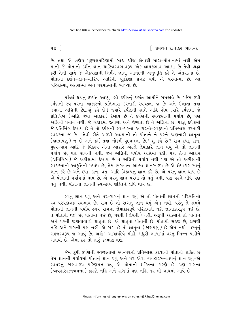િ પ્રવચન રત્નાકર ભાગ−ર

છે. તથા એ ત્રણેય પુદ્દગલપરિણામો બાહ્ય ચીજ હોવાથી મારા-પોતાનામાં નથી એમ માની જે પોતાનો દર્શન-જ્ઞાન-ચારિત્રસ્વભાવ3૫ એક જ્ઞાયકભાવ આત્મા છે તેવી શ્રદ્ધા કરી તેની સાથે જ એકપણાની નિર્મળ જ્ઞાન, આનંદની અનુભૂતિ કરે તે અંતરાત્મા છે. પોતાના દર્શન-જ્ઞાન-ચારિત્ર આદિની પૂર્ણદશા પ્રગટ થવી ેએ પરમાત્મા છે. આ બહિરાત્મા. અંતરાત્મા અને પરમાત્માની વ્યાખ્યા છે.

પહેલાં ઘડાનું દષ્ટાંત આપ્યું. હવે દર્પણનું દષ્ટાંત આપીને સમજાવે છે. 'જેમ રૂપી દર્પણની સ્વ-પરના આકારનો પ્રતિભાસ કરનારી સ્વચ્છતા જ છે અને ઉષ્ણતા તથા જ્વાળા અગ્નિની છે....શું કહે છે? જ્યારે દર્પણની સામે અગ્નિ હોય ત્યારે દર્પણમાં જે પ્રતિબિંબ (અગ્નિ જેવો આકાર) દેખાય છે તે દર્પણની સ્વચ્છતાની પર્યાય છે, પણ અગ્નિની પર્યાય નથી. જે બહારમાં જ્વાળા અને ઉષ્ણતા છે તે અગ્નિનાં છે. પરંતુ દર્પણમાં જે પ્રતિબિંબ દેખાય છે તે તો દર્પણની સ્વ−પરના આકારનો−સ્વરૂપનો પ્રતિભાસ કરનારી સ્વચ્છતા જ છે. 'તેવી રીતે અરૂપી આત્માની તો પોતાને ને પરને જાણનારી જ્ઞાતુતા (शातापशुं) જ છે અને કર્મ તથા નોકર્મ પુદ્ગલનાં છે.' શું કહે છે ? રાગ-દયા, દાન, પુણ્ય-પાપ આદિ જે વિકલ્પ એના આકારે એટલે જ્ઞેયાકારે જ્ઞાન થયું એ તો જ્ઞાનની પર્યાય છે, પણ રાગની નથી. જેમ અગ્નિની પર્યાય અગ્નિમાં રહી, પણ તેનો આકાર (પ્રતિબિંબ ) જે અરીસામાં દેખાય છે તે અગ્નિની પર્યાય નથી પણ એ તો અરીસાની સ્વચ્છતાની આકુતિની પર્યાય છે, તેમ ભગવાન આત્મા જ્ઞાનસ્વરૂપ છે એ જ્ઞેયાકાર સ્વનું જ્ઞાન કરે છે અને દયા, દાન, વ્રત, આદિ વિકલ્પનું જ્ઞાન કરે છે. એ પરનું જ્ઞાન થાય છે એ પોતાની પર્યાયમાં થાય છે. એ પરનું જ્ઞાન પરમાં તો થતું નથી, પણ પરને લીધે પણ થતં નથી. પોતાના જ્ઞાનની સ્વચ્છત્વ શક્તિને લીધે થાય છે.

સ્વનું જ્ઞાન થવું અને ૫૨-રાગનું જ્ઞાન થવું એ તો પોતાની જ્ઞાનની પરિણતિનો સ્વ-પરપ્રકાશક સ્વભાવ છે. રાગ છે તો રાગનું જ્ઞાન થયું એમ નથી. પરંતુ તે સમયે પોતાની જ્ઞાનની પર્યાય સ્વયં રાગના જ્ઞેયાકારરૂપે પરિણમતી થકી જ્ઞાનાકારરૂપ થઈ છે. તે પોતાથી થઈ છે, પોતામાં થઈ છે, પરથી (જ્ઞેયથી) નહીં. અરૂપી આત્માને તો પોતાને અને પરની જાણવાવાળી જ્ઞાતૃતા છે. એ જ્ઞાતૃતા પોતાની છે, પોતાથી સહજ છે, રાગથી નહિ અને રાગની પણ નહીં. એ રાગ છે તો જ્ઞાતૃતા (જાણપણું) છે એમ નથી. વસ્તુનું સહજસ્વરૂપ જ આવું છે. અહો ! આચાર્યદેવે મીઠી, મધુરી ભાષામાં વસ્તુ ભિન્ન પાડીને બતાવી છે. એમાં ઠર તો તારૂં કલ્યાણ થશે.

જેમ રૂપી દર્પણની સ્વચ્છતામાં સ્વ-પરનો પ્રતિભાસ કરવાની પોતાની શક્તિ છે તેમ જ્ઞાનની પર્યાયમાં પોતાનું જ્ઞાન થવું અને ૫૨ એવા વ્યવહારરત્નત્રયનું જ્ઞાન થવું-એ સ્વપરનું જાણવારૂપ પરિણમન થવું એ પોતાની શક્તિના કારણે છે, પણ રાગના ( વ્યવહારરત્નત્રયના ) કારણે નહિ અને રાગમાં પણ નહિ. ૧૨ મી ગાથમાં આવે છે

 $\nu \times$  1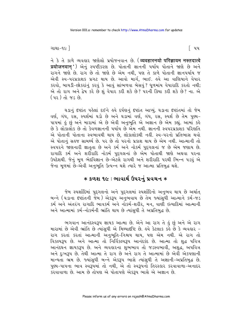ગાથા−૧૯ ]

ने કે તે કાળે વ્યવહાર જાણેલો પ્રયોજનવાન છે. (व्यवहारनयो परिज्ञायम नस्तदात्वे प्रयोजनवान') એનું સ્પષ્ટીકરણ છે. પોતાની જ્ઞાનની પર્યાય પોતાને જાણે છે અને રાગને જાણે છે. રાગ છે તો જાણે છે એમ નથી, પણ તે કાળે પોતાની જ્ઞાનપર્યાય જ એવી સ્વ-પરપ્રકાશક પ્રગટ થાય છે. આવો માર્ગ. ભાઈ. <u>હવે આ વાણિયાને વેપાર</u> કરવો, બાયડી-છોકરાંનું કરવું કે આવું સાંભળવા બેસવું ? ધળમાંય વેપારાદિ કરતો નથી; એ તો રાગ અને દ્વેષ કરે છે શું વેપાર કરી શકે છે? પરની ક્રિયા કરી શકે છે? ના. એ (*પર*) તો જડ છે.

ઘડાનું દષ્ટાંત પહેલાં દઈને હવે દર્પણનું દૃષ્ટાંત આપ્યું. ઘડાના દૃષ્ટાંતમાં તો જેમ વર્ણ, ગંધ, રસ, સ્પર્શમાં ઘડો છે અને ઘડામાં વર્ણ, ગંધ, રસ, સ્પર્શ છે તેમ પુણ્ય-પાપમાં હું છું અને મારામાં એ છે એવી અનુભૂતિ એ અજ્ઞાન છે એમ કહ્યું. આમાં કહે છે કે લોકાલોક છે તો કેવળજ્ઞાનની પર્યાય છે એમ નથી. જ્ઞાનની સ્વપરપ્રકાશક પરિણતિ એ પોતાની પોતાના સ્વભાવથી થાય છે. લોકાલોકથી નહીં. સ્વ-પરનો પ્રતિભાસ થવો એ પોતાનું સહજ સામર્થ્ય છે. ૫૨ છે તો ૫૨નો પ્રકાશ થાય છે એમ નથી. આત્માની તો સ્વપરને જાણનારી જ્ઞાતતા છે અને કર્મ અને નોકર્મ પુદગલનાં જ છે એમ જણાય છે. રાગાદિ કર્મ અને શરીરાદિ નોકર્મ પુદ્ગલનાં છે એમ પોતાથી જાણે અથવા પરના ઉપદેશથી. જેનું મૂળ ભેદવિજ્ઞાન છે-એટલે રાગથી અને શરીરાદિ પરથી ભિન્ન પડવું એ જેના મૂળમાં છે−એવી અનુભૂતિ ઉત્પન્ન થશે ત્યારે જ આત્મા પ્રતિબુદ્ધ થશે.

### ∗ કળશ ૧૯ : ભાવાર્થ ઉપરનું પ્રવચન ∗

જેમ સ્પર્શાદિમાં પુદગલનો અને પુદગલમાં સ્પર્શાદિનો અનુભવ થાય છે અર્થાત <u>બન્ને (ઘડાના દષ્ટાંતની જેમે) એકરૂપ અનેભવાય છે તેમ જ્યાંસધી આત્માને કર્મ-જડો</u> કર્મ અને અંતરંગ રાગાદિ ભાવકર્મ અને નોકર્મ-શરીર, મન, વાણી ઇત્યાદિમાં આત્માની અને આત્મામાં કર્મ-નોકર્મની ભ્રાંતિ થાય છે ત્યાંસધી તે અપ્રતિબદ્ધ છે.

ભગવાન આનંદસ્વરૂપ જ્ઞાયક આત્મા છે. એને આ રાગ તે હું છું અને એ રાગ મારામાં છે એવી ભ્રાંતિ છે ત્યાંસુધી એ મિથ્યાદ્દષ્ટિ છે. હવે કેટલાક કહે છે કે વ્યવહાર -રાગ કરતાં કરતાં આત્માની અનુભૂતિ-નિશ્ચય થાય, પણ એમ નથી. એ રાગ તો વિકલ્પરૂપ છે. અને આત્મા તો નિર્વિકલ્પરૂપ આનંદકંદ છે. આત્મા તો શદ્ધ પવિત્ર . . . .<br>આનંદઘન જ્ઞાયકરૂપ છે. અને વ્યવહારના શુભભાવ તો જડસ્વભાવી, અશુદ્ધ, અપવિત્ર અને દુઃખરૂપ છે. તેથી આત્મા તે રાગ છે અને રાગ તે આત્મામાં છે એવી એકપણાની માન્યતા ભ્રમ છે. જ્યાંસુધી બન્ને એકરૂપ ભાસે ત્યાંસુધી તે અજ્ઞાની-અપ્રતિબુદ્ધ છે. પુણ્ય-પાપના ભાવ સ્વરૂપમાં તો નથી, એ તો સ્વરૂપનો તિરસ્કાર કરવાવાળા-અનાદર કરવાવાળા છે. આમ છે તોપણ એ પોતાપણે એકરૂપ ભાસે એ અજ્ઞાન છે.

િ પપ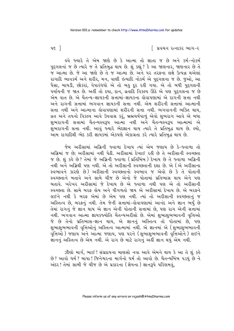િ પ્રવચન રત્નાકર ભાગ−ર

 $\nu$ ε ]

ફુવે જ્યારે તે એમ જાણે છે કે આત્મા તો જ્ઞાતા જ છે અને કર્મ-નોકર્મ પુદ્ગલનાં જ છે ત્યારે જ તે પ્રતિબુદ્ધ થાય છે. શું કહ્યું ? કે આ જાણનાર, જાણનાર છે તે જે આત્મા છે. જે આ જાણે છે તે જ આત્મા છે. અને પર તરફના લક્ષે ઉત્પન્ન થએલાં રાગાદિ ભાવકર્મ અને શરીર, મન, વાણી ઇત્યાદિ નોકર્મ એ પુદ્દગલના જ છે. જુઓ, આ પૈસા, બાયડી, છોકરાં, વેપારંધધો એ તો બહુ દૂર રહી ગયા. એ તો બધી પુદ્દગલની પર્યાયની જ જાત છે. અહીં તો દયા, દાન, વ્રતાદિ વિકલ્પ ઊઠે એ પણ પુદ્દગલના જ છે એમ વાત છે. એ ચૈતન્ય-જ્ઞાયકની સત્તામાં-જ્ઞાયકના કોવાપણામાં એ રાગની સત્તા નથી અને રાગની સત્તામાં ભગવાન જ્ઞાયકની સત્તા નથી. એમ શરીરની સત્તામાં આત્માની સત્તા નથી અને આત્માના કોવાપણામાં શરીરની સત્તા નથી. ભગવાનની ભક્તિ થાય, વ્રત અને તપનો વિકલ્પ આવે ઉપવાસ કરૂં, બ્રહ્મચર્યપાળું એવો શુભરાગ આવે એ બધા શુભરાગની સત્તામાં ચૈતન્યસ્વરૂપ આત્મા નથી અને ચૈતન્યસ્વરૂપ આત્મામાં એ શુભરાગની સત્તા નથી. આવું જ્યારે ભેદજ્ઞાન થાય ત્યારે તે પ્રતિબુદ્ધ થાય છે. લ્યો, આમ રાગાદિથી ભેદ કરી જ્ઞાયકમાં એકપણે એકાગ્રતા કરે ત્યારે પ્રતિબુદ્ધ થાય છે.

જેમ અરીસામાં અગ્નિની જ્વાળા દેખાય ત્યાં એમ જણાય છે કે-જ્વાળા તો અગ્નિમાં જ છે; અરીસામાં નથી પેઠી. અરીસામાં દેખાઈ રહી છે તે અરીસાની સ્વચ્છતા જ છે. શું કહે છે? તેમાં જે અગ્નિની જ્વાળા (પ્રતિબિંબ) દેખાય છે તે જ્વાળા અગ્નિની નથી અને અગ્નિથી પણ નથી. એ તો અરીસાની સ્વચ્છતાની દશા છે. એ (એ અરીસાના સ્વભાવને કારણે છે) અરીસાની સ્વચ્છતાનો સ્વભાવ જ એવો છે કે તે પોતાની સ્વચ્છતાને બતાવે અને સામે ચીજ છે એનો જે પોતામાં પ્રતિભાસ થાય એને પણ બતાવે. ખરેખર અરીસામાં જે દેખાય છે એ જ્વાળા નથી પણ એ તો અરીસાની સ્વચ્છતા છે. સામે બરફ હોય અને પીગળતો જાય એ અરીસામાં દેખાય છે. એ બરફને લઈને નથી કે બરફ એમાં છે એમ પણ નથી. ત્યાં તો અરીસાની સ્વચ્છતાનું જ અસ્તિત્વ છે, બરફનું નથી. તેમ જેની સત્તામાં-લેવાપણામાં આનંદ અને જ્ઞાન ભર્યું છે તેમાં રાગનું જે જ્ઞાન થાય એ જ્ઞાન એની પોતાની સત્તામાં છે, પણ રાગ એની સત્તામાં નથી. ભગવાન આત્મા જ્ઞાયકજ્યોતિ ચૈતન્યઅરીસો છે. એમાં શુભાશુભભાવની વૃત્તિઓ જે છે તેનો પ્રતિભાસ-જ્ઞાન થાય, એ જ્ઞાનનું અસ્તિત્વ તો પોતામાં છે, પણ શુભાશુભભાવની વૃત્તિઓનું અસ્તિત્વ આત્મામાં નથી. એ જ્ઞાનમાં એ (શુભાશુભભાવની વૃત્તિઓ) જણાય અને આત્મા જણાય, પણ પરને (શુભાશુભભાવની વૃત્તિઓને) લઈને .<br>જ્ઞાનનું અસ્તિત્વ છે એમ નથી. એ રાગ છે માટે રાગનું અહીં જ્ઞાન થયું એમ નથી.

ઝીણો માર્ગ, ભાઈ ! સંપ્રદાયના માણસો નવા આવે એમને થાય કે આ તે શું કહે છે ? આવો ધર્મ ? બાપા ! જિનેશ્વરના માર્ગનો ધર્મતો આવો છે. ચૈતન્યબિંબ પડયું છે ને અંદર! તેમાં સામી જે ચીજ છે એ પ્રકારના (જ્ઞેયના) જ્ઞાનરૂપે પરિણમવું,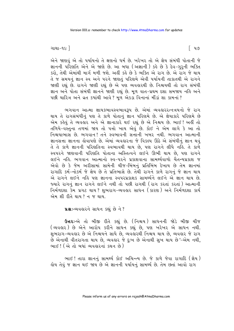ગાથા−૧૯ ]

એને જાણવું એ તો પર્યાયનો તે ક્ષણનો ધર્મ છે. ખરેખર તો એ જ્ઞેય સંબંધી પોતાની જે જ્ઞાનની પરિણતિ એને એ જાણે છે. આ બધા (અજ્ઞાની) કહે છે કે દેવ-ગુરૂની ભક્તિ કરો, તેથી એમાંથી માર્ગ મળી જશે. અહીં કહે છે કે ભક્તિ એ રાગ છે. એ રાગ જે થાય તે જ સમયનું જ્ઞાન સ્વ અને પરને જાણતું પરિણમે એવી પર્યાયની તાકાતથી એ રાગને જાણી રહ્યું છે. રાગને જાણી રહ્યું છે એ પણ વ્યવહારથી છે. નિશ્ચયથી તો રાગ સંબંધી જ્ઞાન અને પોતા સંબંધી જ્ઞાનને જાણી રહ્યું છે. મૂળ વાત-પ્રથમ દશા સમજાય નહિ અને પછી ચારિત્ર અને વ્રત કયાંથી આવે ? મળ એકડા વિનાનાં મીંડાં શા કામનાં ?

ભગવાન આત્મા જ્ઞાયકભાવસ્વભાવરૂપ છે. એમાં વ્યવહારરત્નત્રયનો જે રાગ થાય તે રાગસંબંધીનું પણ તે કાળે પોતાનું જ્ઞાન પરિણમે છે. એ જ્ઞેયાકારે પરિણમે છે એમ કહેવું તે વ્યવહાર અને એ જ્ઞાનાકારે થઈ રહ્યું છે એ નિશ્ચય છે. ભાઈ ! અહીં તો તળિયે-વસ્તુના તળમાં જાય તો પત્તો ખાય એવું છે. કોઈ ને એમ લાગે કે આ તો નિશ્ચયાભાસ છે. ભગવાન! તને સ્વભાવની સત્તાની ખબર નથી. ભગવાન આત્માની જ્ઞાનસત્તા જ્ઞાનના હોવાપણે છે. એમાં વ્યવહારના જે વિકલ્પ ઊઠે એ સંબંધીનું જ્ઞાન થવું તે તે કાળે જ્ઞાનની પરિણતિના સ્વભાવથી થાય છે, પણ રાગને લીધે નહિ. તે કાળે સ્વપરને જાણવાની પરિણતિ પોતાના અસ્તિત્વને લઈને ઊભી થાય છે, પણ રાગને લઈને નહિ. ભગવાન આત્માનો સ્વ-પરને પ્રકાશવાના સામર્થ્યવાળો ચૈતન્યપ્રકાશ જ એવો છે કે જેમ અરીસામાં સામેની ચીજ-બિંબનું પ્રતિબિંબ દેખાય છે તેમ જ્ઞાનમાં રાગાદિ કર્મ-નોકર્મ જે જ્ઞેય છે તે પ્રતિભાસે છે. તેથી રાગને કાળે રાગનં જે જ્ઞાન થાય એ રાગને લઈને નહિ પણ જ્ઞાનના સ્વપરપ્રકાશક સામર્થ્યને લઈને એ જ્ઞાન થાય છે. જ્યારે રાગનું જ્ઞાન રાગને લઈને નથી તો પછી રાગથી (રાગ કરતાં કરતાં) આત્માની નિર્મળદશા કેમ પ્રગટ થાય? શુભરાગ-વ્યવહાર સાધન (કારણ) અને નિર્મળદશા કાર્ય એમ શી રીતે થાય ? ન જ થાય.

ua :- વ્યવહારને સાધન કહ્યું છે ને?

Gue:-એ તો બીજી રીતે કહ્યું છે. (નિશ્ચય) સાધનની જોડે બીજી ચીજ (વ્યવહાર) છે એને આરોપ કરીને સાધન કહ્યું છે, પણ ખરેખર એ સાધન નથી. શુભરાગ-વ્યવહાર છે એ નિશ્ચયને સાધે છે, વ્યવહારથી નિશ્ચય થાય છે, વ્યવહાર જે રાગ છે એનાથી વીતરાગતા થાય છે, વ્યવહાર જે દુઃખ છે એનાથી સુખ થાય છે'-એમ નથી, ભાઈ! (એ તો બધાં વ્યવહારનાં કથન છે)

ભાઈ! તારા જ્ઞાનનું સામર્થ્ય કોઈ અચિન્ત્ય છે. જે કાળે જેવા રાગાદિ (જ્ઞેય) હોય તેવું જ જ્ઞાન થઈ જાય છે એ જ્ઞાનની પર્યાયનું સામર્થ્ય છે. તેમ છતાં આવો રાગ

િ પ૭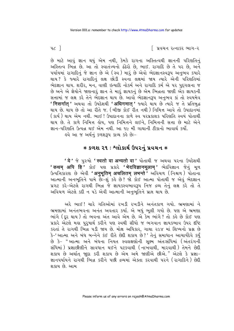િ પ્રવચન રત્નાકર ભાગ−ર

છે માટે આવું જ્ઞાન થયું એમ નથી, કેમકે રાગના અસ્તિત્વથી જ્ઞાનની પરિણતિનું અસ્તિત્વ ભિન્ન છે. આ તો સ્વાતંત્ર્યનો ઢંઢેરો છે, ભાઈ. રાગાદિ છે તે ૫૨ છે, અને પર્યાયમાં રાગાદિનું જે જ્ઞાન છે એ (સ્વ) મારૂં છે એવો ભેદજ્ઞાનસ્વરૂપ અનુભવ કયારે થાય ? કે જ્યારે રાગાદિનું લક્ષ છોડી સ્વના લક્ષમાં જાય ત્યારે એની પરિણતિમાં ભેદજ્ઞાન થાય. શરીર, મન, વાણી ઇત્યાદિ નોકર્મ અને રાગાદિ કર્મ એ પર પુદ્ગલના જ છે અને એ જ્ઞેયોને જાણનારૂં જ્ઞાન તે મારૂં જ્ઞાયકનું છે એમ ભિન્નતા જાણી એક જ્ઞાયકની સત્તામાં જ લક્ષ કરે તેને ભેદજ્ઞાન થાય છે. આવો ભેદજ્ઞાન3૫ અનભવ કાં તો સ્વયમેવ ' निसर्गात्' અથવા તો ઉપદેશથી 'अधिगमात्' જ્યારે થાય છે ત્યારે જ તે પ્રતિબુદ્ધ થાય છે. થાય છે તો આ રીતે જ. (બીજી કોઈ રીત નથી) નિમિત્ત આવે તો ઉપાદાનમાં ( કાર્ય) થાય એમ નથી. ભાઈ ! ઉપાદાનના કાળે સ્વ પરપ્રકાશક પરિણતિ સ્વયં પોતાથી થાય છે. તે કાળે નિમિત્ત હોય, પણ નિમિત્તને લઈને, નિમિત્તની સત્તા છે માટે એને જ્ઞાન-પરિણતિ ઉત્પન્ન થઈ એમ નથી. આ ૧૯ મી ગાથાની ટીકાનો ભાવાર્થ કર્યો.

ઙવે આ જ અર્થનું કળશરૂપ કાવ્ય કહે છેઃ−

# $*$  કળશ ૨૧ : શ્લોકાર્થ ઉપરનું પ્રવચન  $*$

'ये' જે પુરુષો 'स्वतो वा अन्यतो वा' પોતાથી જ અથવા પરના ઉપદેશથી ' कथम् अपि हिं' કોઈ પણ પ્રકારે 'भेदविज्ञानमूलाम्' ભેદવિજ્ઞાન જેનું મૂળ ઉત્પત્તિકારણ છે એવી 'अनुभूतिम् अचलितम् लभन्ते ' અવિચળ (નિશ્ચળ) પોતાના આત્માની અનભુતિને પામે છેઃ-શું કહે છે? જો કોઈ આત્મા પોતાથી જ એવું ભેદજ્ઞાન પ્રગટ કરે-એટલે રાગથી ભિન્ન જે જ્ઞાયકસ્વભાવરૂપ નિજ દ્રવ્ય તેનું લક્ષ કરે તો તે અવિચળ એટલે કદી ન પડે એવી આત્માની અનુભૂતિને પ્રાપ્ત થાય છે.

અરે ભાઈ! ચારે ગતિઓમાં રખડી રખડીને અનંતકાળ ગયો. ભ્રમણામાં ને ભ્રમણામાં અનંતભવના અનંત અવતાર કર્યા. એ બધું ભૂલી ગયો છે. પણ એ ભ્રમણા ભાંગે (દૂર થાય) તો ભવના અંત આવે એમ છે. એ કેમ ભાંગે? તો કહે છે કોઈ પણ પ્રકારે એટલે મહા પુરૂષાર્થ કરીને પણ સ્વથી સીધો જ ભગવાન જ્ઞાયકભાવ ઉપર દષ્ટિ કરતાં તે રાગથી ભિન્ન ૫ડી જાય છે. મોક્ષ અધિકાર, ગાથા ૨૯૪ માં શિષ્યનો પ્રશ્ન છે કે-' આત્મા અને બંધ બન્નેને કંઈ રીતે છેદી શકાય છે?' તેનું સમાધાન આચાર્યદેવે કર્યું છે કે- "આત્મા અને બંધના નિયત સ્વલક્ષણોની સૂક્ષ્મ અંતઃસંધિમાં (અંતરંગની સંધિમાં) પ્રજ્ઞાછીણીને સાવધાન થઈને પટકવાથી (નાખવાથી, મારવાથી) તેમને છેદી શકાય છે અર્થાત જાુદા કરી શકાય છે એમ અમે જાણીએ છીએ." એટલે કે પ્રજ્ઞા-જ્ઞાનપર્યાયને રાગથી ભિન્ન કરીને પછી દ્રવ્યમાં એક્તા કરવાથી પરને (રાગાદિને) છેદી શકાય છે આમ

 $4c$ ]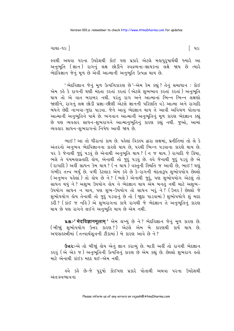ગાથા−૧૯ ]

િ પ૯

સ્વથી અથવા પરના ઉપદેશથી કોઈ પણ પ્રકારે એટલે મહાપુરૂષાર્થથી જ્યારે આ અનુભૂતિ (જ્ઞાન) રાગનું લક્ષ છોડીને સ્વદ્રવ્યના-જ્ઞાયકના લક્ષે જાય છે ત્યારે ભેદવિજ્ઞાન જેનું મળ છે એવી આત્માની અનભતિ ઉત્પન્ન થાય છે.

'ભેદવિજ્ઞાન જેનું મૂળ ઉત્પત્તિકારણ છે'-એમ કેમ કહ્યું ? તેનું સમાધાન : કોઈ એમ કહે કે રાગની ઘણી મંદતા કરતાં કરતાં (એટલે શુભભાવ કરતાં કરતાં) અનુભૂતિ થાય તો એ વાત બરાબર નથી. પરંતુ રાગ અને આત્માનાં ભિન્ન ભિન્ન લક્ષણો જાણીને, રાગનું લક્ષ છોડી પ્રજ્ઞા-છીણી એટલે જ્ઞાનની પરિણતિ વડે આત્મા અને રાગાદિ બંધને છેદી નાખવા-જુદા પાડવા. જેને આવું ભેદજ્ઞાન થાય તે આવી અવિચળ પોતાના આત્માની અનુભૂતિને પામે છે. ભગવાન આત્માની અનુભૂતિનું મૂળ કારણ ભેદજ્ઞાન કહ્યું છે પણ વ્યવહાર સાધન-શુભરાગને આત્માનુભૂતિનું કારણ કહ્યું નથી. જુઓ, આમાં વ્યવહાર સાધન-શુભરાગનો નિષેધ આવી જાય છે.

ભાઈ! આ તો ધીરાનાં કામ છે. પહેલાં વિકલ્પ દ્વારા લક્ષમાં, પ્રતીતિમાં તો લે કે અંતરનો અનુભવ ભેદવિજ્ઞાનના કારણે થાય છે, પરથી ભિન્ન પડવાના કારણે થાય છે. ૫૨ કે જેનાથી જુદું ૫ડવું છે એનાથી અનુભૂતિ થાય ? (ન જ થાય.) રાગાદિ જે ક્રિયા, ભલે તે પંચમહાવ્રતાદિ હોય, એનાથી તો જુદું પડવું છે. હવે જેનાથી જુદું પડવું છે એ ( રાગાદિ ) અહીં સાધન કેમ થાય ? ( ન થાય ) વસ્તુની સ્થિતિ જ આવી છે, ભાઈ ! ઘણું ગંભીર તત્ત્વ ભર્યું છે. વળી કેટલાક એમ કહે છે કે-રાગની મંદતારૂપ શુભોપયોગ છેલ્લો ( અનુભવ પહેલાં) તો હોય છે ને ? ( ભલે ) એનાથી જુદું, પણ શુભોપયોગ એટલું તો સાધન થયું ને ? અશુભ ઉપયોગ હોય ને ભેદજ્ઞાન થાય એમ બનતું નથી માટે અશુભ-ઉપયોગ સાંધન ન થાય, પણ શુભ-ઉપયોગ તો સાધન ખરૂં ને? (ઉત્તર) છેલ્લો જે શુભોપયોગ હોય તેનાથી તો જુદું ૫ડવાનું છે તો (જાુદા ૫ાડવામાં) શુભોપયોગે શું મદદ કરી? ( કાંઈ જ નહિ) એ શુભરાગના કાળે રાગથી જે ભેદજ્ઞાન તે અનુભૂતિનું કારણ થાય છે પણ રાગને લઈને અનુભૂતિ થાય છે એમ નથી.

u& :-' भेदविज्ञानमुलाम ' એમ લખ્યું છે ને ? ભેદવિજ્ઞાન જેનું મૂળ કારણ છે. (બીજાં શભોપયોગ ઉત્તર કારણ?) એટલે એમ બે કારણથી કાર્ય થાય છે. અષ્ટસહસ્ત્રીમાં (તત્ત્વાર્થસૂત્રની ટીકામાં) બે કારણ આવે છે ને?

**ઉત્તરઃ**-એ તો બીજાું હોય એનું જ્ઞાન કરાવ્યું છે. બાકી અહીં તો રાગથી ભેદજ્ઞાન કરવું (એ એક જ) અનુભૂતિની ઉત્પત્તિનું કારણ છે એમ કહ્યું છે. છેલ્લો શુભરાગ હતો માટે એનાથી કાંઈક મદદ થઈ-એમ નથી.

લ્વે કહે છે−જે પુરૂષો કોઈપણ પ્રકારે પોતાથી અથવા પરના ઉપદેશથી અંત:સ્વભાવના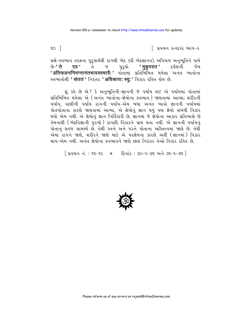િ પ્રવચન રત્નાકર ભાગ−ર

લક્ષે-સ્વભાવ તરફના પુરુષાર્થથી રાગથી ભેદ કરી ભેદજ્ઞાનવડે અવિચળ અનુભૂતિને પામે જ પુરૂષો **'मुकुरवत '** દર્પણની જેમ છે–**' ते एव'** ते ' प्रतिफलननिमग्नानंतभावस्वभावै: ' પોતામાં પ્રતિબિંબિત થયેલા અનંત ભાવોના स्वलावोथी 'संततं' निरंतर 'अविकाराः स्यूः' विशर रहित डोय छे.

શં કહે છે એ ? કે અનભતિની-જ્ઞાનની જે પર્યાય થઈ એ પર્યાયમાં પોતામાં પ્રતિબિંબિત થયેલા એ (અનંત ભાવોના-જ્ઞેયોના સ્વભાવ) જાણવામાં આવ્યા: શરીરની પર્યાય. વાણીની પર્યાય રાગની પર્યાય-એમ બધા અનંત ભાવો જ્ઞાનની પર્યાયમાં પોતપોતાના કારણે જાણવામાં આવ્યા. એ જ્ઞેયોનં જ્ઞાન થયં પણ જ્ઞેયો સંબંધી વિકાર થયો એમ નથી. એ જ્ઞેયોનં જ્ઞાન નિર્વિકારી છે. જ્ઞાનમાં જે જ્ઞેયોના આકાર પ્રતિભાસે છે તેમનાથી (ભેદવિજ્ઞાની પુરુષો) રાગાદિ વિકારને પ્રાપ્ત થતા નથી. એ જ્ઞાનની પર્યાયનું પોતાનું સહજ સામર્થ્ય છે. તેથી સ્વને અને પરને પોતાના અસ્તિત્વમાં જાણે છે. તેથી એમાં રાગને જાણે, શરીરને જાણે માટે એ પરજ્ઞેયના કારણે અહીં (જ્ઞાનમાં) વિકાર થાય-એમ નથી. અનંત જ્ઞેયોના સ્વભાવને જાણે છતાં નિરંતર તેઓ વિકાર રહિત છે.

[ प्रवयन नं.: ६१-६२ \* हिनांड: ३०-१-७६ अने ३१-१-७६ ]



 $\epsilon$ o 1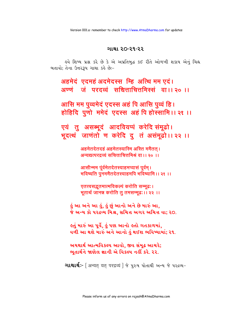#### ગાથા ૨૦-૨૧-૨૨

હવે શિષ્ય પ્રશ્ન કરે છે કે એ અપ્રતિબુદ્ધ કઈ રીતે ઓળખી શકાય એનું ચિહ્ન બતાવો: તેના ઉત્તરરૂપ ગાથા કહે છે:-

अहमेदं एदमहं अदमेदस्स म्हि अत्थि मम एदं। अण्णं जं परदव्वं सच्चित्ताचित्तमिस्सं वा।।२० ।।

आसि मम पूव्वमेदं एदस्स अहं पि आसि पूव्वं हि। होहिदि पूर्णो ममेदं एदस्स अहं पि होस्सामि।। २१ ।।

एयं तु असब्भूदं आदवियप्पं करेदि संमूढो। भूदत्थं जाणंतो ण करेदि दू तं असंमूढो।। २२ ।।

> अहमेतदेतदहं अहमेतस्यास्मि अस्ति ममैतत्। अन्यद्यत्परद्रव्यं सचित्ताचित्तमिश्रं वा।। २० ।।

आसीन्मम पूर्वमेतदेतस्याहमप्यासं पूर्वम् । भविष्यति पुनममैतदेतस्याहमपि भविष्यामि ।। २१ ।।

एतत्त्वसद्भुतमात्मविकल्पं करोति सम्मूढ:। भूतार्थ जानन्न करोति तु तमसम्मूढः ।। २२ ।।

.કું આ અને આ કું, કું છું આનો અને છે મારું આ, જે અન્ય કો ૫૨૬વ્ય મિશ્ર, સચિત્ત અગર અચિત્ત વા; ૨૦.

હતું મારું આ પૂર્વે, હું પણ આનો હતો ગતકાળમાં, વળી આ થશે મારું અને આનો હું થઈશ ભવિષ્યામાં; ૨૧.

અયથાર્થ આત્મવિકલ્પ આવો. જીવ સંમુઢ આચરે; ભુતાર્થને જાણેલ જ્ઞાની એ વિકલ્પ નહીં કરે. ૨૨.

**ગાથાર્થઃ-** [ अन्यत् यत् परद्रव्यं ] જે પુરુષ પોતાથી અન્ય જે ૫૨દ્રવ્ય-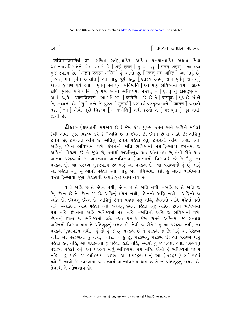∣ પ્રવચન રત્નાકર ભાગ−ર

-<br>ગ્રામનગરાદિક-તેને એમ સમજે કે [अहं एतत्] હું આ છું, [एतत् अहम् ] આ द्रव्य मुक-स्वरूप છે, [अहम् एतस्य अस्मि] डुं આनो छुं, [एतत् मम अस्ति] આ भाउुं छे, [एतत् मम पूर्वेम् आसीत् ] આ भाउं पूर्वे डतुं, [एतस्य अहम् अपि पूर्वम् आसम् ] -<br>આનો કું પણ પૂર્વે કતો, [ एतत् मम पुन: भविष्यति ] આ મારું ભવિષ્યમાં થશે, [ अहम् अपि एतस्य भविष्यामि | डुं पण आनो लविष्यमां थर्छश. - [एतत तु असदभूतम् ] આવો જાૂઠો [ आत्मविकल्पं ] આત્મવિકલ્પ [ करोति ] કરે છે તે [ सम्मूढ: ] મૂઢ છે, મોર્લી છે, અજ્ઞાની છે; [ त् ] અને જે પુરુષ [ भूतार्थ ] પરમાર્થ વસ્તુસ્વરૂપને [ जानन् ] જાણતો थड़ो [तम] એવો જુઠો વિકલ્પ [ न करोति ] नथी કરતો તે [ असम्मूढ: ] मुढ़ नथी, જ્ઞાની છે.

**ટીકાઃ**- (દર્ષ્ટાતથી સમજાવે છેઃ) જેમ કોઈ પુરુષ ઈધન અને અગ્નિને મળેલાં દેખી એવો જાહો વિકલ્પ કરે કે "અગ્નિ છે તે ઈંધન છે, ઈંધન છે તે અગ્નિ છે; અગ્નિનું ઈંધન છે. ઈંધનનો અગ્નિ છે; અગ્નિનું ઈંધન પહેલાં હતું. ઈંધનનો અગ્નિ પહેલાં હતો; અગ્નિનું ઈંધન ભવિષ્યમાં થશે, ઈંધનનો અગ્નિ ભવિષ્યમાં થશે ";-આવો ઈંધનમાં જ અગ્નિનો વિકલ્પ કરે તે જૂઠો છે, તેનાથી અપ્રતિબુદ્ધ કોઈ ઓળખાય છે, તેવી રીતે કોઈ આત્મા પરદ્રવ્યમાં જ અસત્યાર્થ આત્મવિકલ્પ (આત્માનો વિકલ્પ) કરે કે "કું આ ૫૨ વ્રવ્ય છું, આ ૫૨ વ્રવ્ય મુજસ્વરૂપ છે; મારું આ ૫૨ વ્રવ્ય છે, આ ૫૨ વ્રવ્યનો હું છું; મારું આ પહેલાં હતું, હું આનો પહેલાં હતો; મારૂં આ ભવિષ્યમાં થશે, હું આનો ભવિષ્યમાં થઈશ";-આવા જૂઠા વિકલ્પથી અપ્રતિબુદ્ધ ઓળખાય છે.

વળી અગ્નિ છે તે ઇંધન નથી, ઇંધન છે તે અગ્નિ નથી, –અગ્નિ છે તે અગ્નિ જ છે, ઇંધન છે તે ઇંધન જ છે; અગ્નિનું ઇંધન નથી, ઇંધનનો અગ્નિ નથી, –અગ્નિનો જ .<br>અગ્નિ છે, ઇંધનનું ઇંધન છે; અગ્નિનું ઇંધન પહેલાં હતું નહિ, ઇંધનનો અગ્નિ પહેલાં હતો નહિ, –અગ્નિનો અગ્નિ પહેલાં હતો, ઇંધનનું ઇંધન પહેલાં હતું; અગ્નિનું ઇંધન ભવિષ્યમાં થશે નઙિ, ઇંધનનો અગ્નિ ભવિષ્યમાં થશે નઙિ, −અગ્નિનો અગ્નિ જ ભવિષ્યમાં થશે, ઇંધનનું ઇંધન જ ભવિષ્યમાં થશે;"–આ પ્રમાણે જેમ કોઇને અગ્નિમાં જ સત્યાર્થ અગ્નિનો વિકલ્પ થાય તે પ્રતિબુદ્ધનું લક્ષણ છે, તેવી જ રીતે " હું આ પરદ્રવ્ય નથી, આ પરદ્રવ્ય મુજસ્વરૂપ નથી, −હું તો હું જ છું, પરદ્રવ્ય છે તે પરદ્રવ્ય જ છે; મારું આ પરદ્રવ્ય નથી, આ પરદ્રવ્યનો હું નથી, –મારો જ હું છું, પરદ્રવ્યનું પરદ્રવ્ય છે; આ પરદ્રવ્ય મારૂં પહેલાં હતું નહિ, આ પરદ્રવ્યનો હું પહેલાં હતો નહિ, -મારો હું જ પહેલાં હતો, પરદ્રવ્યનું ૫૨દ્રવ્ય પહેલાં કર્તુ; આ ૫૨દ્રવ્ય મારૂં ભવિષ્યમાં થશે નહિ, એનો કું ભવિષ્યમાં થઈશ નહિ, -હું મારો જ ભવિષ્યમાં થઈશ, આ (૫રદ્રવ્ય) નું આ (૫રદ્રવ્ય) ભવિષ્યમાં થશે. "-આવો જે સ્વદ્રવ્યમાં જ સત્યાર્થ આત્મવિકલ્પ થાય છે તે જ પ્રતિબુદ્ધનું લક્ષણ છે, तेनाथी ते ઓળખાય છે

 $53$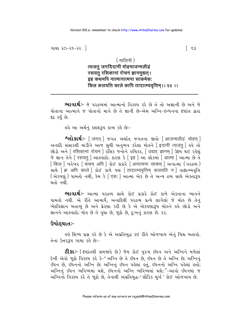### $($  मालिनी)

## त्यजत् जगदिदानीं मोहमाजन्मलीढं रसयत् रसिकानां रोचनं ज्ञानमद्यत । इह कथमपि नात्मानात्मना साकमेक: किल कलयति काले कापि तादात्म्यवृत्तिम् ।। २२ ।।

**ભાવાર્થઃ-** જે પરદ્રવ્યમાં આત્માનો વિકલ્પ કરે છે તે તો અજ્ઞાની છે અને જે પોતાના આત્માને જ પોતાનો માને છે તે જ્ઞાની છે-એમ અગ્નિ-ઇન્ધનના દષ્ટાંત દ્વારા દઢ કર્યું છે.

ઙવે આ અર્થનું કલશરૂપ કાવ્ય કહે છેઃ−

**શ્લોકાર્થઃ**- [जगत ] જગત અર્થાત જગતના જીવો [आजन्मलीढं मोहम ] અનાદિ સંસારથી માંડીને આજ સુધી અનુભવ કરેલા મોહને [इदानी त्यजत् ] હવે તો छोड़ो अने [ रसिकानां रोचनं ] रसिड ४नोने रुथिडर, [ उद्यत ज्ञानम् ] उद्दय थर्छ रड़ेलुं <u> જે જ્ઞાન તેને [ रसयत्] આસ્વાદો; કારણ કે [ इह ] આ લોકમાં [ आत्मा ] આત્મા છે તે</u> [ किल ] ખરેખર [ कथम अपि ] કોઈ પ્રકારે [ अनात्मना साकम ] અનાત્મા ( પરદ્રવ્ય ) साथे कि अपि काले | डोर्ड अर्ण पश नादात्म्यवृत्तिम कलयति न तादात्म्यवृत्ति (એકપણું) પામતો નથી, કેમ કે [एक: ] આત્મા એક છે તે અન્ય દ્રવ્ય સાથે એક્તારૂપ થતો નથી

ભાવાર્થઃ- આત્મા પરદ્રવ્ય સાથે કોઈ પ્રકારે કોઈ કાળે એકતાના ભાવને પામતો નથી. એ રીતે આચાર્યે, અનાદિથી પરદ્રવ્ય પ્રત્યે લાગેલો જે મોહ છે તેનું ભેદવિજ્ઞાન બતાવ્યું છે અને પ્રેરણા કરી છે કે એ એકપણારૂપ મોહને હવે છોડો અને જ્ઞાનને આસ્વાદો; મોહ છે તે વૃથા છે, જૂઠો છે, દુઃખનું કારણ છે. ૨૨.

# ઉપોદ્દઘાતઃ-

હવે શિષ્ય પ્રશ્ન કરે છે કે એ અપ્રતિબુદ્ધ કઈ રીતે ઓળખાય એનું ચિહ્ન બતાવો. તેના ઉત્તર3૫ ગાથા કહે છેઃ-

**ટી.કાઃ**- ( દષ્ટાંતથી સમજાવે છે ) જેમ કોઈ પુરુષ ઇંધન અને અગ્નિને મળેલાં દેખી એવો જૂઠો વિકલ્પ કરે કે-" અગ્નિ છે તે ઇંધન છે, ઇંધન છે તે અગ્નિ છે; અગ્નિનું ઇંધન છે, ઇંધનનો અગ્નિ છે; અગ્નિનું ઇંધન પહેલાં હતું, ઇંધનનો અગ્નિ પહેલાં હતો; અગ્નિનું ઇંધન ભવિષ્યમાં થશે, ઇંધનનો અગ્નિ ભવિષ્યમાં થશે;"–આવો ઇંધનમાં જ અગ્નિનો વિકલ્પ કરે તે જૂઠો છે, તેનાથી અપ્રતિબુદ્ધ-'લૌકિક મૂર્ખ' કોઈ ઓળખાય છે.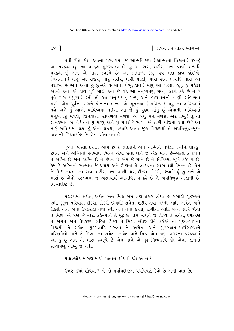∣ પ્રવચન રત્નાકર ભાગ−ર

તેવી રીતે કોઈ આત્મા પરદ્રવ્યમાં જ આત્મવિકલ્પ (આત્માનો વિકલ્પ) કરે-હું આ પરદ્રવ્ય છું, આ પરદ્રવ્ય મુજસ્વરૂપ છે. કું આ રાગ, શરીર, મન, વાણી ઇત્યાદિ પરદ્રવ્ય છું અને એ મારા સ્વરૂપે છે; આ સામાન્ય કહ્યું. હવે ત્રણ કાળ જોઈએ. (વર્તમાન ) મારૂં આ રાજ્ય, મારૂં શરીર, મારી વાણી, મારો રાગ ઇત્યાદિ મારાં આ ૫૨૬વ્ય છે અને એનો કું છું-એ વર્તમાન. (ભૂતકાળ) મારૂં આ પકેલાં કતું. કું પકેલાં આનો હતો. એ રાગ પૂર્વે મારો હતો જે વડે આ મનુષ્યપણું મળ્યું. લોકો કહે છે ને કે પૂર્વે રાગ (પુણ્ય) ક્રતો તો આ મનુષ્યપણું મળ્યું અને ભગવાનની વાણી સાંભળવા મળી. એમ પૂર્વના રાગને પોતાના માન્યા-એ ભૂતકાળ. (ભવિષ્ય) મારું આ ભવિષ્યમાં થશે અને ઙું આનો ભવિષ્યમાં થઈશ. આ જે ઙું પુણ્ય બાંધું છું એનાથી ભવિષ્યમાં મનુષ્યપણું મળશે, જિનવાણી સાંભળવા મળશે, એ બધું મને મળશે. અરે પ્રભુ! તું તો જ્ઞાયકભાવ છે ને! તને શું મળ્યું અને શું મળશે ? ભાઈ, એ તારી ચીજમાં કયાં છે ? આ મારૂં ભવિષ્યમાં થશે, કું એનો થઈશ, ઇત્યાદિ આવા જુઠા વિકલ્પથી તે અપ્રતિબુદ્ધ-મુઢ-અજ્ઞાની–મિથ્યાદૃષ્ટિ છે એમ ઓળખાય છે.

જુઓ, પહેલાં દષ્ટાંત આપે છે કે લાકડાને અને અગ્નિને મળેલાં દેખીને લાકડું-.<br>ઇંધન અને અગ્નિનો સ્વભાવ ભિન્ન હોવા છતાં બેને જે એક માને છે-એટલે કે ઇંધન તે અગ્નિ છે અને અગ્નિ છે તે ઇંધન છે એમ જે માને છે તે લૌકિકમાં મૂર્ખ કહેવાય છે, કેમ કે અગ્નિનો સ્વભાવ જે પ્રકાશ અને ઉષ્ણતા તે લાકડાના સ્વભાવથી ભિન્ન છે. તેમ જે કોઈ આત્મા આ રાગ, શરીર, મન, વાણી, ઘર, દીકરા, દીકરી, ઇત્યાદિ કું છું અને એ મારાં છે-એવો પરદ્રવ્યમાં જ અસત્યાર્થ આત્મવિકલ્પ કરે છે તે અપ્રતિબદ્ધ-અજ્ઞાની છે. મિથ્યાદષ્ટિ છે.

પરદ્રવ્યમાં સચેત, અચેત અને મિશ્ર એમ ત્રણ પ્રકાર લીધા છે. સંસારી ગૃહસ્થને સ્ત્રી, કુટુંબ−પરિવાર, દીકરા, દીકરી ઇત્યાદિ સચેત, શરીર તથા લક્ષ્મી આદિ અચેત અને દીકરો અને એનાં ઉપકરણો તથા સ્ત્રી અને તેનાં કપડાં, દાગીના આદિ બન્ને સાથે ભેગાં તે મિશ્ર. એ ત્રણે જે મારાં કહે-માને તે મૂઢ છે. તેમ સાધુને જે શિષ્ય તે સચેત, ઉપકરણ તે અચેત અને ઉપકરણ સહિત શિષ્ય તે મિશ્ર. બીજી રીતે કહીએ તો પુણ્ય-પાપના વિકલ્પો તે સચેત, પુદ્ગલાદિ પરદ્રવ્ય તે અચેત, અને ગુણસ્થાન-માર્ગણાસ્થાને પરિણમેલો માને તે મિશ્ર. આ સચેત, અચેત અને મિશ્ર-એમ ત્રણ પ્રકારના પરદ્રવ્યમાં આ કું છું અને એ મારા સ્વરૂપે છે એમ માને એ મૂઢ-મિથ્યાદષ્ટિ છે. એના જ્ઞાનમાં સાચાપણું આવ્યું જ નથી.

**પ્રશ્નઃ**-ચૌદ માર્ગણામાંથી પોતાને શોધવો જોઈએ ને ?

**ઉત્તરઃ**-કયાં શોધવો ? એ તો પર્યાયદષ્ટિએ પર્યાયપણે કેવો છે એની વાત છે.

 $\mathsf{S} \mathsf{X}$  ]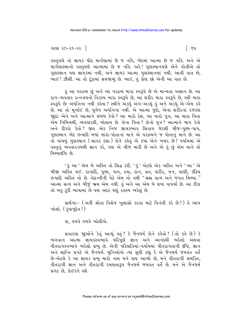#### ગાથા ૨૦−૨૧−૨૨ ∣

વસ્તુપણે તો જ્ઞાયક ચૌદ માર્ગણામાં છે જ નહિ, ભેદમાં આત્મા છે જ નહિ. અને એ માર્ગણાસ્થાનો વસ્તુપણે આત્મામાં છે જ નહિ. અરે! ગુણસ્થાનપણે એને ગોતીએ તો ગુણસ્થાન પણ જ્ઞાયકમાં નથી, અને જ્ઞાયક આત્મા ગુણસ્થાનમાં નથી. આવી વાત છે, ભાઈ! ઝીણી. આ તો ટુંકામાં સમજાવ્યું છે. ભાઈ, તું કોણ છો એની આ વાત છે.

કું આ પરદ્રવ્ય છું અને આ પરદ્રવ્ય મારા સ્વરૂપે છે એ માન્યતા અજ્ઞાન છે. આ રાગ-વ્યવહાર રત્નત્રયનો વિકલ્પ મારા સ્વરૂપે છે, આ શરીર મારા સ્વરૂપે છે, સ્ત્રી મારા સ્વરૂપે છેઃ અર્ધાંગના નથી કહેતા ? સ્ત્રીને અડધું અંગ-અડધું હું અને અડધું એ-એમ કહે છે. આ તો મુર્ખાઈ છે, ધુળેય અર્ધાંગના નથી. એ આત્મા જુદો, એના શરીરનાં રજકણ જાદાં; એને અને આત્માને સંબંધ કેવો ? આ મારો દેશ, આ મારો પુત્ર, આ મારા પિતા એમ નિમિત્તથી, વ્યવહારથી, બોલાય છે. કોના પિતા ? કોનો પુત્ર ? આત્માને બાપ કેવો અને દીકરો કેવો? જીવ એક નિજ જ્ઞાયકભાવ સિવાય જેટલી ચીજ-પુણ્ય-પાપ, ગુણસ્થાન ભેદ ઇત્યાદિ બધાં મારાં-પોતાનાં માને એ પરદ્રવ્યને જ પોતાનું માને છે. આ તો પાંચમું ગુણસ્થાન (શ્રાવક દશા) કોને કહેવું એ કયાં એને ખબર છે? પર્યાયમાં એ વસ્તુનું વ્યવહારનયથી જ્ઞાન કરે, પણ એ ચીજ મારી છે અને એ હું છું એમ માને તો મિથ્યાદષ્ટિ છે.

' કું આ ' એમ બે અસ્તિ તો સિદ્ધ કરી. ' કું ' એટલે એક અસ્તિ અને ' આ ' એ બીજી અસ્તિ થઈ. રાગાદિ, પુણ્ય, પાપ, દયા, દાન, વ્રત, શરીર, મન, વાણી, ઇંદ્રિય આત્મા સત્ય અને બીજું ભ્રમ એમ નથી. હું અને આ એમ બે શબ્દ વાપર્યા છે. આ ટીકા તો બહુ ટુંકી ભાષામાં છે પણ અંદર ઘણું રહસ્ય ભરેલું છે.

પ્રાર્થનાઃ- (અહીં શ્રોતા વિશેષ ખુલાસો કરવા માટે વિનંતી કરે છે?) તે આપ ખોલો. ( કૃપાળુદેવ ! )

હા, હળવે હળવે ખોલીએ.

સવારમાં જાૂઓને કેવું આવ્યું કર્તું ? કે જૈનધર્મ કોને કર્કવો ? (તો કર્ક છે) કે ભગવાન આત્મા જ્ઞાયકસ્વભાવે પરિપૂર્ણ જ્ઞાન અને આનંદથી ભરેલો અથવા વીતરાગસ્વભાવે ભરેલો પ્રભુ છે. એની પરિણતિમાં-પર્યાયમાં વીતરાગતાની દૃષ્ટિ, જ્ઞાન અને શાન્તિ પ્રગટે એ જૈનઘર્મ. મુનિઓએ ત્યાં સુધી કહ્યું કે એ જૈનધર્મ જયવંત વર્તે છે-એટલે કે આ જ્ઞાયક પ્રભુ મારો નાથ મને લય આવ્યો છે. મને વીતરાગી સમકિત, વીતરાગી જ્ઞાન અને વીતરાગી રમણતારૂપ જૈનધર્મ જયવંત વર્તે છે. મને એ જૈનધર્મ પ્રગટ છે. કોઈકને હશે

િદપ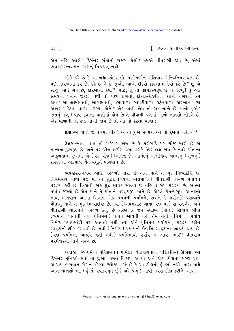∣ પ્રવચન રત્નાકર ભાગ−ર

એમ નહિ. ઓહો! દિગંબર સંતોની ગજબ શૈલી! ધર્મએ વીતરાગી દશા છે, એમાં વ્યવહારરત્નત્રયના રાગનું મિશ્રપણું નથી.

લોકો કહે છે કે આ બધા છોકરાઓ ભણીગણીને હોશિયાર એન્જિનિયર થાય છે, પછી કારખાનાં કરે છે. કહે છે ને કે જાઓ, આનો દીકરો કારખાનાં કેવાં કરે છે? શું એ સાચું હશે ? ગ૫ છે, કારખાનાં કેવાં ? ભાઈ, તું તો જ્ઞાયકસ્વરૂપ છે ને. પ્રભુ ! તું એક સમયની પર્યાય જેટલો નથી તો પછી રાગનો. દીકરા-દીકરીનો. દેશનો વગેરેનો કેમ હોય ? આ લક્ષ્મીવાળો, આબરૂવાળો, પૈસાવાળો, બાયડીવાળો, <u>કુ</u>ટુંબવાળો, કારખાનાવાળો અહાહા! કેટલા વાળા વળગ્યા એને? એક વાળો હોય તો રાડ નાખે છે. વાળો (એક જાતનું જંત) વાવ-કવાના પાણીમાં હોય છે તે પીવાથી પગમાં લાંબો તાંતણો નીકળે છે. એક વાળાથી તો રાડ નાખી જાય છે તો આ તો કેટલા વાળા ?

પ્રશ્ન:-એ વાળો જે પગમાં નીકળે એ તો દુ:ખે છે પણ આ તો દુખતા નથી ને?

ઉત્તરઃ-ભાઈ, વાત તો ખરેખર એમ છે કે શરીરાદિ પર ચીજ મારી છે એ માન્યતા દુઃખરૂપ છે. અને ૫૨ ચીજ-શરીર, પૈસા વગેરે ઉપર લક્ષ જાય છે ત્યારે પોતાના આકળતાના દુઃખમાં એ (૫૨ ચીજ) નિમિત્ત છે. આનંદનું-અતીન્દ્રિય આનંદનું (સુખનું) કારણ તો એકમાત્ર ચૈતન્યમર્તિ ભગવાન છે.

વ્યવહારરત્નત્રય આદિ પરદ્રવ્યો મારા છે એમ માને તે મૃઢ મિથ્યાદષ્ટિ છે. નિયમસાર ગાથા ૫૦ માં તો શુદ્ધરત્નત્રયની મોક્ષમાર્ગની વીતરાગી નિર્મળ પર્યાયને પરદ્રવ્ય કરી છે. ત્રિકાળી એક શુદ્ધ જ્ઞાયક સ્વદ્રવ્ય જે નહિ તે બધું પરદ્રવ્ય છે. આત્મા પર્યાય જેટલો છે એમ માને તે પોતાને પરદ્રવ્યરૂપ માને છે. એટલે ચૈતન્યસર્ય. આનંદનો નાથ. ભગવાન આત્મા સિવાય એક સમયની પર્યાયને. રાગને કે શરીરાદિ પરદ્રવ્યને પોતાનું માને તે મૃઢ મિથ્યાદ્દષ્ટિ છે. ત્યાં (નિયમસાર ગાથા ૫૦ માં) સમ્યગ્દર્શન અને વીતરાગી ચારિત્રને પરદ્રવ્ય કહ્યું છે કારણ કે જેમ સ્વદ્રવ્ય (લક્ષ) સિવાય બીજા દ્રવ્યમાંથી પોતાની નવી (નિર્મળ ) પર્યાય આવતી નથી તેમ નવી (નિર્મળ) પર્યાય નિર્મળ પર્યાયમાંથી પણ આવતી નથી. ત્યાં એને (નિર્મળ પર્યાયને) પરદ્રવ્ય કઢીને સ્વદ્રવ્યની દૃષ્ટિ કરાવવી છે. નવી (નિર્મળ) પર્યાયની ઉત્પત્તિ સ્વદ્રવ્યના આશ્રયે થાય છે. (પણ પર્યાયના આશ્રયે થતી નથી) પર્યાયમાંથી પર્યાય ન આવે. ભાઈ! વીતરાગ પરમેશ્વરનો માર્ગ ગઢન છે.

અહાહા ! જૈનધર્મના પરિણમનને પામેલા, વીતરાગતાની પરિણતિમાં ઊભેલા આ દિગંબર મુનિઓ-સંતો તો જુઓ. તેમને વિકલ્પ આવ્યો અને ટીકા ટીકાના કારણે થઈ. આચાર્ય ભગવાન ટીકાના છેલ્લા શ્લોકમાં કહે છે કે આ ટીકાનો હું ક્તા નથી. મારા માથે આળ નાખશો મા. (કું તો સ્વરૂપગુપ્ત છું) અરે પ્રભુ! આવી સરસ ટીકા કરીને આપ

 $\epsilon$ s |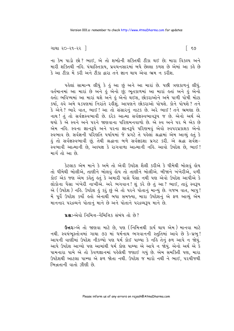```
ગાથા ૨૦−૨૧−૨૨ ∣
```
ના કેમ પાડો છો? ભાઈ, એ તો શબ્દોની શક્તિથી ટીકા થઈ છે; મારા વિકલ્પ અને મારી શક્તિથી નહિ. પંચાસ્તિકાય. પ્રવચનસારમાં બધે છેલ્લા કળશ છે એમાં આ કહે છે કે આ ટીકા મેં કરી અને ટીકા દ્વારા તને જ્ઞાન થાય એવા ભ્રમ ન કરીશ.

પહેલાં સામાન્ય લીધું કે હું આ છું અને આ મારાં છે. પછી ત્રણકાળનું લીધું. વર્તમાનમાં આ મારાં છે અને કું એનો છું; ભૂતકાળમાં આ મારાં કતાં અને કું એનો હતો; ભવિષ્યમાં આ મારાં થશે અને હું એનો થઈશ, છોકરાઓને અમે પાળી પોષી મોટા કર્યા, હવે અમે ઘડપણમાં નિરાંતે રહીશું. આપણને છોકરાઓ પોષશે. કોને પોષશે ? તને કે એને? ભારે વાત, ભાઈ! આ તો સંસારનું નાટક છે. અરે ભાઈ! તને ભ્રમણા છે. નાથ! તું તો સર્વજ્ઞસ્વભાવી છે. દરેક આત્મા સર્વજ્ઞસ્વભાવરૂપ જ છે. એનો અર્થ એ થયો કે એ સ્વને અને પરને જાણવાના પરિણમનવાળો છે. એ સ્વ અને પર બે એક છે એમ નહિ. સ્વના જ્ઞાનરૂપે અને પરના જ્ઞાનરૂપે પરિણમવું એવો સ્વપરપ્રકાશક એનો સ્વભાવ છે. સર્વજ્ઞની પરિણતિ પર્યાયમાં જે પ્રગટે તે પહેલાં શ્રદ્ધામાં એમ આવ્યું હતું કે કું તો સર્વજ્ઞસ્વભાવી છું. તેથી શ્રદ્ધાના બળે સર્વજ્ઞદશા પ્રગટ કરી. એ શ્રદ્ધા સર્વજ્ઞ-.<br>સ્વભાવી આત્માની છે, અલ્પજ્ઞ કે રાગવાળા આત્માની નહિ. આવો ઉપદેશ છે, ભાઈ ! માર્ગ તો આ છે.

કેટલાક એમ માને કે અમે તો એવી ઉપદેશ શૈલી કરીએ કે ધીમેથી બોલવું હોય તો ધીમેથી બોલીએ, તાણીને બોલવું હોય તો તાણીને બોલીએ. બીજાને ખંખેરીએ, વળી કોઈ એક જણ એમ કહેતું હતું કે અમારી પાસે પૈસા નથી પણ એવો ઉપદેશ આપીએ કે લોકોના પૈસા ખંખેરી નાખીએ. અરે ભગવાન! શું કરે છે તું આ ? ભાઈ, તારું સ્વરૂપ એ (ઉપદેશ) નહિ. ઉપદેશ હું કરું છું એ તો પરને પોતાનું માન્યું છે. ગજબ વાત, બાપુ! મેં પૂર્વે ઉપદેશ કર્યો હતો એનાથી બધા સમજ્યા, મારા ઉપદેશનું એ ફળ આવ્યું એમ માનનાર પરદ્રવ્યને પોતાનં માને છે અને પોતાને પરદ્રવ્યરૂપ માને છે.

us:-એવો નિમિત્ત-નૈમિત્તિક સંબંધ તો છે?

**ઉત્તરઃ**-એ તો જાણવા માટે છે, પણ (નિમિત્તથી કાર્ય થાય એમ) માનવા માટે નથી. સ્વયંભુસ્તોત્રમાં ગાથા ૭૩ માં ધર્મનાથ ભગવાનની સ્તુતિમાં આવે છે કે-પ્રભુ! આપની વાણીમાં ઉપદેશ નીકળ્યો પણ ધર્મ કોઈ પામ્યા કે નહિ તેનું ફળ આપે ન જોયું. આપે ઉપદેશ આપ્યો પણ આમાંથી ધર્મ કોણ પામ્યા એ આપે ન જોયું. એનો અર્થ એ કે પામનારા પામે એ તો કેવળજ્ઞાનમાં પહેલેથી જણાઈ ગયું છે. એમ સમક્તિી પણ, મારા ઉપદેશથી આટલા પામ્યા એ ફળ જોતા નથી. ઉપદેશ જ મારો નથી ને ભાઈ, પરચીજથી ભિન્નતાની વાતો ઝીણી છે.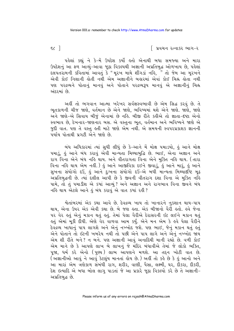$52$ 

∣ પ્રવચન રત્નાકર ભાગ−ર

પહેલાં કહ્યું ને કે-મેં ઉપદેશ કર્યો હતો એનાથી બધા સમજ્યા અને મારા ઉપદેશનું આ ફળ આવ્યું-આવા જૂઠા વિકલ્પથી અજ્ઞાની અપ્રતિબુદ્ધ ઓળખાય છે, પહેલાં દલપતરામની કવિતામાં આવતું કે "મૂરખ માથે શીંગડાં નહિ, 1 તો જેમ આ મૂરખને એવી કોઈ નિશાની લેતી નથી એમ અજ્ઞાનીને બલારમાં એવાં કોઈ ચિહ્ન લેતા નથી પણ પરદ્રવ્યને પોતાનું માનવું અને પોતાને પરદ્રવ્યરૂપ માનવું એ અજ્ઞાનીનું ચિહ્ન અંદરમાં છે

અહીં તો ભગવાન આત્મા ખરેખર સર્વજ્ઞસ્વભાવી છે એમ સિદ્ધ કરવું છે. તે ભૂતકાળની ચીજ જાણે, વર્તમાન છે એને જાણે, ભવિષ્યમાં થશે એને જાણે. જાણે, જાણે અને જાણે-એ સિવાય બીજું એનામાં છે નહિ. બીજી રીતે કહીએ તો જ્ઞાતા-દષ્ટા એનો સ્વભાવ છે, દેખનાર-જાણનાર બસ. એ વસ્તુના ભૂત, વર્તમાન અને ભવિષ્યને જાણે એ જુદી વાત. પણ તે વસ્તુ હતી માટે જાણે એમ નથી. એ સમયની સ્વપરપ્રકાશક જ્ઞાનની પર્યાય પોતાથી પ્રગટી એને જાણે છે.

બંધ અધિકારમાં ત્યાં સુધી લીધું છે કે-આને મેં મોક્ષ ૫માડયો, હું આને મોક્ષ ૫માડું, હું આને બંધ કરાવું એવી માન્યતા મિથ્યાબુદ્ધિ છે. ભાઈ, એના અજ્ઞાન અને રાગ વિના એને બંધ નહિ થાય. અને વીતરાગતા વિના એને મુક્તિ નહિ થાય. (તારા વિના નહિ થાય એમ નહીં.) હું આને આજીવિકા દઈને જીવાડું, હું આને મારૂં, હું આને સુખના સંયોગો દઉં, કું આને દુઃખના સંયોગો દઉં–એ બધી માન્યતા મિથ્યાદષ્ટિ મુઢ અપ્રતિબુદ્ધની છે. ત્યાં દલીલ આપી છે કે જીવની વીતરાગ દશા વિના એ મુક્તિ નહિ પામે, તો તું ૫માડીશ એ કયાં આવ્યું? અને અજ્ઞાન અને રાગભાવ વિના જીવને બંધ નહિ થાય એટલે આને હું બંધ કરાવું એ વાત કયાં રહી ?

શ્વેતાંબરમાં એક કથા આવે છે. દેવદ્રવ્ય ખાય તો ખાનારને નુકશાન થાય-પાપ થાય, એના ઉપર એક એવી કથા છે. બે જણ હતા. એક બીજાનો વૈરી હતો. હવે જેના પર વેર હતું એનું મકાન થતું હતું. તેમાં પેલા વૈરીએ દેરાસરની ઇંટ લઈને મકાન થતું કતું એમાં મૂકી દીધી. એણે વેર વાળવા આમ કર્યું. એને મન એમ કે ક્રવે પેલા વૈરીને દેવદ્રવ્ય ખાધાનું પાપ લાગશે અને એનું નખ્ખોદ જશે. પણ ભાઈ, જેનું મકાન થતું કતું એને પોતાને તો ઇંટની ખબરેય નથી તો પછી એને પાપ લાગે અને એનું નખ્ખોદ જાય એમ શી રીતે બને ? ન બને. પણ અજ્ઞાની આવું અનાદિથી માની રહ્યો છે. વળી કોઈ એમ માને છે કે આપણે લાખ બે લાખનું જે મંદિર બંધાવીએ તેમાં જે લોકો ભક્તિ, પૂજા, ધર્મ કરે એનો (પુણ્ય) લાભ આપણને મળશે. આ તદ્દન ખોટી વાત છે. (અજ્ઞાનીઓ આવું ને આવું કેટલુંય માનતાં હોય છે.) અહીં તો કહે છે કે હું આનો અને આ મારાં એમ ત્રણેકાળ સંબંધી રાગ, શરીર, વાણી, પૈસા, લક્ષ્મી, ઘર, દીકરા, દીકરી, દેશ ઇત્યાદિ એ બધા બોલ લાગ પાડતાં જે આ પ્રકારે જઠા વિકલ્પો કરે છે તે અજ્ઞાની-અપ્રતિબુદ્ધ છે.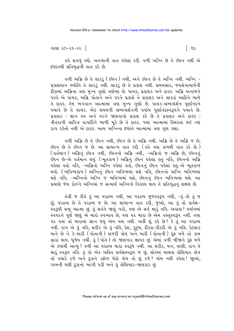ગાથા ૨૦−૨૧−૨૨ ∣

इવે સવળું લ્યો. અવળાની વાત પહેલાં કરી. વળી અગ્નિ છે તે ઇંધન નથી એ દખ્યાંતથી પ્રતિબુદ્ધની વાત કરે છે.

વળી અગ્નિ છે તે લાકડું (ઇંધન) નથી, અને ઇંધન છે તે અગ્નિ નથી. અગ્નિ -પ્રકાશમાન જ્યોતિ તે લાકડું નથી. લાકડું છે તે પ્રકાશ નથી. સમયસાર, જયસેનાચાર્યની ટીકામાં અગ્નિના ત્રણ મુખ્ય ગુણો વર્ણવ્યા છે. પાચક, પ્રકાશક અને દાહક. અગ્નિ અનાજને પકવે એ પાચક. અગ્નિ પોતાને અને પરને પ્રકાશે તે પ્રકાશક અને લાકડાં આદિને બાળે તે દાહક. તેમ ભગવાન આત્મામાં ત્રણ મુખ્ય ગુણો છે. પાચક-સમ્યગ્દર્શન પુર્ણાનંદને પચાવે છે તે પાચક. એક સમયની સમ્યગ્દર્શનની પર્યાય પૃર્ણાનંદસ્વરૂપને પચાવે છે. પ્રકાશક: જ્ઞાન સ્વ અને પરને જાણવાનો પ્રકાશ કરે છે તે પ્રકાશક અને દાહક: વીતરાગી ચારિત્ર રાગાદિને બાળી મૂકે છે તે દાહક. જ્યાં આત્મામાં સ્થિરતા થઈ ત્યાં રાગ રહેતો નથી એ દાહક. આમ અગ્નિના દષ્ટાંતે આત્મામાં ત્રણ ગુણ કહ્યા.

વળી અગ્નિ છે તે ઇંધન નથી, ઇંધન છે તે અગ્નિ નથી. અગ્નિ છે તે અગ્નિ જ છે, ઇંધન છે તે ઇંધન જ છે. આ સામાન્ય વાત કરી. ( હવે ત્રણ કાળથી વાત કરે છે.) (વર્તમાન) અગ્નિનું ઇંધન નથી, ઇંધનનો અગ્નિ નથી, –અગ્નિનો જ અગ્નિ છે, ઇંધનનું .<br>ઇંધન છે-એ વર્તમાન થયું. (ભૂતકાળ) અગ્નિનું ઇંધન પહેલાં હતું નહિ, ઇંધનનો અગ્નિ પહેલાં હતો નહિ, –અગ્નિનો અગ્નિ પહેલાં હતો, ઇંધનનું ઇંધન પહેલાં હતું–એ ભૂતકાળ થયો. (ભવિષ્યકાળ ) અગ્નિનું ઇંધન ભવિષ્યમાં થશે નહિ, ઇંધનનો અગ્નિ ભવિષ્યમાં <u>થશે નહિ, -અગ્નિનો અગ્નિ જ ભવિષ્યમાં થશે, ઇંધનનું ઇંધન ભવિષ્યમાં થશે. આ</u> પ્રમાણે જેમ કોઈને અગ્નિમાં જ સત્યાર્થ અગ્નિનો વિકલ્પ થાય તે પ્રતિબુદ્ધનું લક્ષણ છે.

તેવી જ રીતે હું આ પરદ્રવ્ય નથી, આ પરદ્રવ્ય મુજસ્વરૂપ નથી, -હું તો હું જ છું, પરદ્રવ્ય છે તે પરદ્રવ્ય જ છે. આ સામાન્ય વાત કરી, જુઓ, આ હું તો સર્વજ્ઞ-સ્વરૂપી પ્રભુ આત્મા છું. હું સર્વને જાણું ખરો, પણ એ સર્વ મારું નહિ. અહાહા ! પર્યાયમાં સ્વપરને પૂર્ણ જાણું એ મારો સ્વભાવ છે, પણ પર મારા છે એમ વસ્તુસ્વરૂપ નથી. તથા પર હતાં તો મારામાં જ્ઞાન થયું એમ પણ નથી. અહીં શું કહે છે? કે હું આ પરદ્રવ્ય નથી. રાગ એ હું નહિ, શરીર એ હું નહિ, દેશ, કુટુંબ, દીકરા-દીકરી એ હું નહિ. કેટલાક માને છે ને કે-મારી (પોતાની) હાજરી હોય અને મારી (પોતાની) હૂંફ મળે તો કામ સારાં થાય. ધૂળેય નથી. હું (પોતે) તો જાણનાર જ્ઞાયક છું. એમાં વળી બીજાને હૂંફ મળે એ કયાંથી આવ્યું ? વળી આ પરદ્રવ્ય મારા સ્વરૂપે નથી. આ શરીર, મન, વાણી, રાગ તે માર સ્વરૂપ નહિ. હું તો એક અસ્તિ સર્વજ્ઞસ્વરૂપ જ છું. લોકમાં માણસ હોશિયાર હોય તો વધારે રળે અને દુકાને ડફોળ બેઠો હોય તો શું રળે? એમ નથી કહેતા! જાુઓ, ગામની ઘણી દુકાનો ભાંગી પડી અને કું લેશિયાર-જાણકાર છું

િ ૬૯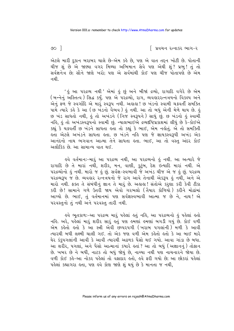$\circ$  1

∣ પ્રવચન રત્નાકર ભાગ−ર

એટલે મારી દુકાન બરાબર ચાલે છે-એમ કહે છે, પણ એ વાત તદ્દન ખોટી છે. પોતાની ચીજ શું છે એ જાણ્યા વગર મિથ્યા અભિમાન સેવે પણ એથી શું? પ્રભુ! તું તો સર્વજ્ઞનેત્ર છે; સૌને જાણે ખરો; પણ એ સર્વમાંથી કોઈ પણ ચીજ પોતાપણે છે એમ નથી

' કું આ પરદ્રવ્ય નથી ' એમાં કું છું અને બીજાં દ્રવ્યો, રાગાદિ વગેરે છે એમ (બન્નેનું અસ્તિત્વ) સિદ્ધ કર્યું. ૫ણ એ ૫૨૬વ્યો, રાગ, વ્યવહારરત્નત્રયનો વિકલ્પ અને એનું ફળ જે સ્વર્ગાદિ એ મારું સ્વરૂપ નથી. અલલ! છ ખંડનો સ્વામી ચક્રવર્તી સમક્તિ પામે ત્યારે કહે કે આ (છ ખંડનો વૈભવ) હું નથી. આ તો બધું એની મેળે થાય છે. હું છ ખંડ સાધતો નથી, કું તો અખંડને (નિજ સ્વરૂપને) સાધું છું. છ ખંડનો કું સ્વામી નહિ, હું તો અખંડસ્વરૂપનો સ્વામી છું. ન્યાલભાઈએ દ્રવ્યદષ્ટિપ્રકાશમાં લીધું છે કે-કોઈએ કહ્યું કે ચક્રવર્તી છ ખંડને સાધતા હતા તો કહ્યું કે ભાઈ, એમ નહોતું. એ તો સમક્તિી ક્તા એટલે અખંડને સાધતા ક્રતા. છ ખંડને નકિ પણ જે જ્ઞાયકસ્વરૂપી અખંડ એક આનંદનો નાથ ભગવાન આત્મા તેને સાધતા હતા. ભાઈ, આ તો વસ્તુ અંદર કોઈ અલૌકિક છે. આ સામાન્ય વાત થઈ.

ઙવે વર્તમાનઃ−મારું આ પરદ્રવ્ય નથી, આ પરદ્રવ્યનો હું નથી. આ અત્યારે જે રાગાદિ છે તે મારાં નથી, શરીર, મન, વાણી, કુટુંબ, દેશ ઇત્યાદિ મારાં નથી. એ પરદ્રવ્યોનો હું નથી. મારો જ હું છું. સર્વજ્ઞ-સ્વભાવી જે અખંડ ચીજ એ જ હું છું. ૫રદ્રવ્ય ૫૨૬વ્યરૂપ જ છે. વ્યવહાર રત્નત્રયનો જે રાગ આવે તેનાથી એકરૂપ હું નથી, અને એ મારો નથી. ફક્ત તે સંબંધીનું જ્ઞાન તે મારૂં છે. અહાહા! સંતોએ કરણા કરી કેવી ટીકા કરી છે! સામાને ગળે ઉતરી જાય એવો ગરભલો (તૈયાર કોળિયો) કરીને મોઢાંમાં આપ્યો છે. ભાઈ, તું વર્તમાનમાં પણ સર્વજ્ઞસ્વભાવી આત્મા જ છે ને, નાથ! એ પરવસ્તુનો તું નથી અને પરવસ્તુ તારી નથી.

ઙવે ભૂતકાળઃ-આ પરદ્રવ્ય મારૂં પહેલાં કતું નહિ, આ પરદ્રવ્યનો કું પહેલાં કતો નહિ. અરે, પહેલાં મારૂં શરીર સારૂં હતું પણ હમણાં હમણાં બગડી ગયું છે. કોઈ વળી એમ કહેતો હતો કે આ સ્ત્રી એવી છપ્પરપગી (ખરાબ પગલાંની) મળી કે આવી ત્યારથી બધી લક્ષ્મી ચાલી ગઈ. તો એક જણ વળી એમ કહેતો હતો કે આ બાઈ મારે ઘેર કંકુપગલાંની આવી કે આવી ત્યારથી અઢળક પૈસો થઈ ગયો. આવા ગાંડા છે બધા. આ શરીર, પગલાં, અને પૈસો આત્માનાં કયારે લ્તાં ? આ તો બધું (અજ્ઞાનનું) તોફાન છે. ખબર છે ને બધી, નાટક તો બધું જોયું છે, નાચ્યા નથી પણ નાચનારને જોયા છે. વળી કોઈ કહે-આ નોકર પહેલાં તો વફાદાર હતો. હવે ફરી ગયો છે; આ છોકરાં પહેલાં પહેલાં કહ્યાગરા હતા, પણ હવે કોણ જાણે શું થયું છે કે માનતા જ નથી,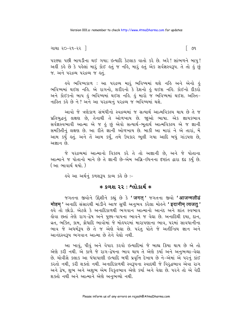∫ ૭૧

ગાથા ૨૦−૨૧−૨૨ ∣

૫૨ ચાર્યા પછી બાયડીના થઈ ગયા; ઇત્યાદિ કેટલાક વાતો કરે છે. અરે! સાંભળને બાપુ! અહીં કહે છે કે પહેલાં મારૂં કોઈ હતું જ નહિ, મારૂં હતું એક સર્વજ્ઞસ્વરૂપ. તે તો હું છું જ. અને પરદ્રવ્ય પરદ્રવ્ય જ હતું.

હવે ભવિષ્યકાળ : આ પરદ્રવ્ય મારું ભવિષ્યમાં થશે નહિ અને એનો <u>હું</u> ભવિષ્યમાં થઈશ નહિ. એ રાગનો, શરીરનો કે દેશનો હું થઈશ નહિ. કોઈનો દીકરો અને કોઈકનો બાપ કું ભવિષ્યમાં થઈશ નકિ. કું મારો જ ભવિષ્યમાં થઈશ. અસ્તિ-નાસ્તિ કહે છે ને ? અને આ પરદ્રવ્યનું પરદ્રવ્ય જ ભવિષ્યમાં થશે.

આવો જે ત્રણેકાળ સંબંધીનો સ્વદ્રવ્યમાં જ સત્યાર્થ આત્મવિકલ્પ થાય છે તે જ પ્રતિબુદ્ધનું લક્ષણ છે, તેનાથી તે ઓળખાય છે. જાૂઓ ભાષા. એક જ્ઞાયકભાવ સર્વજ્ઞસ્વભાવી આત્મા એ જ હું છું એવો સત્યાર્થ-ભૂતાર્થ આત્મવિકલ્પ એ જ જ્ઞાની સમક્તિીનું લક્ષણ છે. આ રીતે જ્ઞાની ઓળખાય છે. બાકી આ મારાં ને એ તારાં. મેં આમ કર્યું હતું. અને તેં આમ કર્યું, તમે ઉપકાર ભૂલી ગયા આદિ બધું ગાંડપણ છે, અજ્ઞાન છે.

જે પરદ્રવ્યમાં આત્માનો વિકલ્પ કરે તે તો અજ્ઞાની છે, અને જે પોતાના આત્માને જ પોતાનો માને છે તે જ્ઞાની છે-એમ અગ્નિ-ઇંધનના દર્ષ્ટાત દ્વારા દઢ કર્યું છે. (આ ભાવાર્થ થયો.)

ઙવે આ અર્થનું કળશરૂપ કાવ્ય કહે છે :-

### $*$  કળશ ૨૨ : શ્લોકાર્થ  $*$

જગતના જીવોને ઉદ્દેશીને કહ્યું છે કે 'जगत ' જગતના જીવો 'आजन्मलीढं मोहम ' અનાદિ સંસારથી માંડીને આજ સુધી અનુભવ કરેલા મોહને 'इदानीम त्यजत' હવે તો છોડો. એટલે કે અનાદિકાળથી ભગવાન આત્માનો આનંદ અને શાંત સ્વભાવ હોવા છતાં તેણે રાગ-દ્વેષ અને પુણ્ય-પાપના ભાવને જ વેદ્યા છે. અનાદિથી દયા, દાન, વ્રત, ભક્તિ, કામ, ક્રોધાદિ ભાવોમાં જે મોહપરમાં મારાપણાના ભાવ, પરમાં સાવધાનીના ભાવ જે અધર્મરૂપ છે તે જ એણે વેદ્યા છે. પરંતુ પોતે જે અતીન્દ્રિય જ્ઞાન અને આનંદસ્વરૂપ ભગવાન આત્મા છે તેને વેઘો નથી.

આ ખાવું, પીવું અને વેપાર કરવો ઇત્યાદિમાં જે બાહ્ય ક્રિયા થાય છે એ તો એણે કરી નથી. એ કાળે જે રાગ-દ્વેષના ભાવ થાય તે એણે કર્યા અને અનુભવ્યા-વેઘા છે. ચોવીસે કલાક આ ધંધાપાણી ઇત્યાદિ બધી પ્રવૃત્તિ દેખાય છે ને–એમાં એ પરનું કાંઈ કરતો નથી, કરી શક્તો નથી. અનાદિકાળથી સ્વરૂપના સ્વાદથી જે વિરદ્ધભાવ એવા રાગ અને દ્વેષ, શુભ અને અશુભ એમ વિકુતભાવ એણે કર્યા અને વેદ્યા છે. ૫૨ને તો એ વેદી શક્તો નથી અને આત્માને એણે અનુભવ્યો નથી.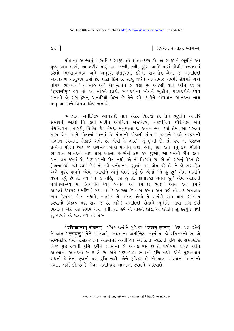િ પ્રવચન રત્નાકર ભાગ−ર

પોતાના આત્માનું વાસ્તવિક સ્વરૂપ તો જ્ઞાતા-દષ્ટા છે. એ સ્વરૂપને ભૂલીને આ પુણ્ય-પાપ મારાં, આ શરીર મારૂં, આ લક્ષ્મી, સ્ત્રી, કુટુંબ આદિ મારાં એવી માન્યતામાં કરેલો મિથ્યાત્વભાવ અને અનુકુળ-પ્રતિકુળમાં કરેલા રાગ-દ્વેષ-એનો જ અનાદિથી અનંતકાળ અનુભવ કર્યો છે. મોટો દિગંબર સાધુ થઈને અનંતવાર નવમી ગ્રૈવેયકે ગયો તોપણ ભગવાન! તે મોહ અને રાગ-દ્વેષને જ વેદ્યા છે. આટલી વાત કરીને કહે છે 'इदानीम' ઙવે તો આ મોઙને છોડો. સ્વપદાર્થના ઘ્યેયને ભૂલીને, ૫૨૫દાર્થને ઘ્યેય બનાવી જે રાગ-દેષનું અનાદિથી વેદન છે તેને હવે છોડીને ભગવાન આનંદના નાથ પ્રભુ આત્માને વિષય-ઘ્યેય બનાવો.

ભગવાન અતીન્દ્રિય આનંદનો નાથ અંદર વિરાજે છે. તેને ભૂલીને અનાદિ સંસારથી એટલે નિગોદથી માંડીને એકેન્દ્રિય, બેઈન્દ્રિય, ત્રણઈન્દ્રિય, ચૌરેન્દ્રિય અને પંચેન્દ્રિયના, નારકી, તિર્યંચ, દેવ તેમજ મનુષ્યના જે અનંત ભવ કર્યા તેમાં આ પરદ્રવ્ય મારા એમ પરને પોતાનાં માન્યાં છે. પોતાની ચીજની સંભાળ કરવાને બદલે પરદ્રવ્યની સંભાળ કરવામાં રોકાઈ ગયો છે. એથી હે ભાઈ ! તું દુઃખી છે. તો હવે એ પરદ્રવ્ય પ્રત્યેના મોહને છોડ. જે રાગ-દ્વેષ મારા માનીને ગ્રહ્યા હતા, વેઘા હતા તેનું લક્ષ છોડીને ભગવાન આનંદનો નાથ પ્રભુ આત્મા છે એનું લક્ષ કર. જુઓ, આ ધર્મની રીત. દયા, દાન, વ્રત કરવાં એ કોઈ ધર્મની રીત નથી. એ તો વિકલ્પ છે. એ તો રાગનું વેદન છે. (અનાદિથી કરી રહ્યો છે) તો હવે વર્તમાનમાં ગુલાંટ ખા એમ કહે છે. તે જે રાગ-દ્વેષ .<br>અને પુણ્ય-પાપને ઘ્યેય બનાવીને એનું વેદન કર્યું છે એમાં 'તે હું છું' એમ માનીને વેદન કર્યું છે તો હવે 'તે હું નહિ, પણ હું તો જ્ઞાતાદષ્ટા ચેતન છું, એમ અંતરની પર્યાયમાં-ઘ્યાનમાં ત્રિકાળીને ઘ્યેય બનાવ. આ ઘર્મ છે, ભાઈ! આવો કેવો ઘર્મ? આટલાં દેરાસર (મંદિર) બંધાવવાં કે આટલા ઉપવાસ કરવા એમ કહો તો ઝટ સમજાઈ જાય. દેરાસર કોણ બંધાવે, ભાઈ? એ વખતે એવો તે સંબંધી રાગ થાય. ઉપવાસ કરવાનો વિકલ્પ પણ રાગ જ છે. અરે! અનાદિથી પોતાને ભૂલીને આવા રાગ કર્યા વિનાનો એક પણ સમય ગયો નથી. તો હવે એ મોહને છોડ. એ છોડીને શું કરવું ? તેથી શંથાય? એ વાત *હવે કહે* છેઃ-

' रसिकानाम् रोचनम् ' २सिड ४नोने २ुथिडर ' उद्यत् ज्ञानम् ' ઉद्दय थर्छ २डेखुं જે જ્ઞાન ' रसयत् ' તેને આસ્વાદો. આત્માના અતીન્દ્રિય આનંદના જે રસિકજનો છે. એ સમ્યગ્દષ્ટિ ધર્મી રસિકજનોને આત્માના અતીન્દ્રિય આનંદના સ્વાદની રૂચિ છે. સમ્યગ્દષ્ટિ નિજ શુદ્ધ દ્રવ્યની રૂચિ કરીને શક્તિમાં જે આનંદ રસ છે તે પર્યાયમાં પ્રગટ કરીને આત્માના આનંદનો સ્વાદ લે છે. એને પુણ્ય-પાપ ભાવની રુચિ નથી. એને પુણ્ય-પાપ બંધની કે તેના ફળની પણ રૂચિ નથી. એને રૂચિકર છે એકમાત્ર આત્માના આનંદનો સ્વાદ. અહીં કહે છે કે એવા અતીન્દ્રિય આનંદના સ્વાદને આસ્વાદો.

૭૨ ી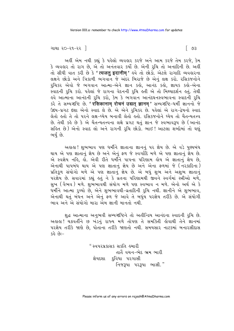```
ગાથા ૨૦−૨૧−૨૨ ∃
```
અહીં એમ નથી કહ્યું કે પહેલો વ્યવહાર કરજે અને આમ કરજે તેમ કરજે, કેમ કે વ્યવહાર તો રાગ છે, એ તો અનંતવાર કર્યો છે. એની રુચિ તો અનાદિની છે. અહીં તો સીધી વાત કરી છે કે ' त्यजतु इदानीम्' હવે તો છોડો. એટલે રાગાદિ વ્યવહારના લક્ષને છોડો અને ત્રિકાળી ભગવાન જે અંદર બિરાજે છે એનું લક્ષ કરો. રસિકજનોને રૂચિકર એવો જે ભગવાન આત્મા-એને જ્ઞાન કહો, આનંદ કહો, જ્ઞાયક કહો-એના .<br>સ્વાદની રૂચિ કરો. પહેલાં જે રાગના વેદનની રૂચિ હતી એ તો મિથ્યાદર્શન હતું. તેથી હવે આત્માના આનંદની રૂચિ કરો, કેમ કે ભગવાન આનંદઘનસ્વભાવના સ્વાદની રૂચિ sरे ते सम्य श्रष्टि છे. 'रसिकानाम् रोचनं उद्यत् ज्ञानम्' सम्य श्रष्टि-धर्मी ज्ञाननो के ઉદય-પ્રગટ દશા એનો સ્વાદ લે છે. એ એને રૂચિકર છે. પહેલાં એ રાગ-દ્વેષનો સ્વાદ લેતો હતો તે તો પરને લક્ષ-ધ્યેય બનાવી લેતો હતો. રસિકજનોને ધ્યેય તો ચૈતન્યતત્ત્વ છે. તેથી કહે છે કે એ ચૈતન્યતત્ત્વના લક્ષે પ્રગટ થતું જ્ઞાન જે સ્વભાવરૂપ છે (આનંદ સહિત છે) એનો સ્વાદ લો અને રાગની રૂચિ છોડો. ભાઈ! આટલા શબ્દોમાં તો ઘણું ભર્યું છે.

અહાહા! શુભભાવ પણ ધર્મીને જ્ઞાતાના જ્ઞાનનું પર જ્ઞેય છે. એ વડે પુણ્યબંધ થાય એ પણ જ્ઞાતાનું જ્ઞેય છે અને એનું ફળ જે સ્વર્ગાદિ મળે એ પણ જ્ઞાતાનું જ્ઞેય છે. એનાથી પાપબંધ થાય એ પણ જ્ઞાતાનું જ્ઞેય છે અને એના ફળમાં જે (નરકાદિના) પ્રતિકૂળ સંયોગો મળે એ પણ જ્ઞાતાનું જ્ઞેય છે. એ બધું શુભ અને અશુભ જ્ઞાતાનું પરજ્ઞેય છે. સવારમાં કહ્યું હતું ને કે વ્રતના પરિણામથી જીવને સ્વર્ગમાં સ્ત્રીઓ મળે, સુખ (વૈભવ ) મળે. શુભભાવથી સંયોગ મળે પણ સ્વભાવ ન મળે. એનો અર્થ એ કે ધર્મીને આત્મા <u>રૂ</u>ચ્યો છે, એને શુભભાવથી-વ્રતાદિની રૂચિ નથી. જ્ઞાનીને એ શુભભાવ, એનાથી થતું બંધન અને એનું ફળ જે આવે તે બધુંય પરજ્ઞેય તરીકે છે. એ સંયોગી ભાવ અને એ સંયોગો મારા એમ જ્ઞાની માનતો નથી.

શુદ્ધ આત્માના અનુભવી સમ્યગ્દષ્ટિને તો અતીન્દ્રિય આનંદના સ્વાદની રૂચિ છે. અહાહા! ચક્રવર્તીને છ ખંડનું રાજ્ય મળે તોપણ તે સમક્તિી હોવાથી તેને જ્ઞાનમાં પરજ્ઞેય તરીકે જાણે છે. પોતાના તરીકે જાણતો નથી. સમયસાર નાટકમાં બનારસીદાસ  $-:\!03S$ 

> " સ્વપરપ્રકાસક સકતિ હુમારી તાતૈ વચન–ભેદ ભ્રમ ભારી જ્ઞેયદશા દ્વિધા પરગાસી નિજરૂપા પરરૂપા ભાસી."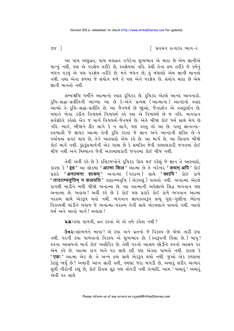િ પ્રવચન રત્નાકર ભાગ−ર

७४ ।

આ પાંચ અણુવ્રત, પાંચ મહાવ્રત વગેરેના શુભભાવ એ મારા છે એમ જ્ઞાનીએ માન્યું નથી, પણ એ પરજ્ઞેય તરીકે છે, સ્વજ્ઞેયમાં નહિ. તેથી તેના ફળ તરીકે જે કર્મનું બંધન પડયું એ પણ પરજ્ઞેય તરીકે છે. મને બંધન છે, કું બંધાણો એમ જ્ઞાની માનતો નથી. તથા એના કળમાં જે સંયોગ મળે તે પણ એને પરજ્ઞેય છે. સંયોગ મારા છે એમ જ્ઞાની માનતો નથી

સમ્યગ્દષ્ટિ ધર્મીને આત્માનો સ્વાદ રૂચિકર છે. રૂચિકર એટલે આનંદ આપનારો. રુચિ−શ્રદ્ધા−પ્રતીતિની વ્યાખ્યા આ છે કે−એને પ્રત્યક્ષ (આત્માના) આનંદનો સ્વાદ \_<br>આવ્યો તે રૃચિ−શ્રદ્ધા−પ્રતીતિ છે. આ જૈનધર્મ છે જાૂઓ, જૈનદર્શન એ વસ્તુદર્શન છે. <u>બધાને ભેગા કરીને વિશ્વધર્મ વિશ્વધર્મ કહે પણ એ વિશ્વધર્મ છે જ નહિ. ભગવાન</u> સર્વજ્ઞદેવે કહેલો એક જ માર્ગ વિશ્વધર્મ-જૈનધર્મ છે. એને બીજા કોઈ ધર્મ સાથે મેળ છે નહિ. ભાઈ, બીજાને ઠીક લાગે કે ન લાગે, પણ વસ્તુ તો આ છે. વસ્તુ જ્ઞાનાનંદ-स्વભાવી જે જ્ઞાયક આત્મા તેની રુચિ કરતાં જે જ્ઞાન અને આનંદની શક્તિ છે તે પર્યાયમાં પ્રગટ થાય છે, તેને આસ્વાદો એમ કહે છે. આ માર્ગ છે, આ સિવાય બીજો કોઈ માર્ગ નથી. કંદકંદાચાર્યની એક ગાથા છે કે સમક્તિ જેવી કલ્યાણકારી જગતમાં કોઈ ચીજ નથી અને મિથ્યાત્વ જેવી અકલ્યાણકારી જગતમાં કોઈ ચીજ નથી.

તેથી અહીં કહે છે કે રસિકજનોને રૂચિકર ઉદય થઈ રહેલું જે જ્ઞાન તે આસ્વાદો, કારણ કે 'इह' આ લોકમાં 'आत्मा किल' આત્મા છે તે ખરેખર 'कथम अपि' કોઈ प्रકारे 'अनात्मना साकम' અનાત્મા (૫૨૬વ્ય) સાથે 'क्वापि' કોઈ કાળે <u>' तादात्म्यवृत्तिम् न कलयति ' તાદાત્મ્યવૃત્તિ ( એકપણું ) પામતો નથી. અનાત્મા એટલે</u> રાગથી માંડોને બધી ચીજો અનાત્મા છે. આ આત્માની અપેક્ષાએ સિદ્ધ ભગવાન પણ અનાત્મા છે. અહાહા! અહીં કહે છે કે કોઈ પણ પ્રકારે કોઈ કાળે ભગવાન આત્મા ૫૨દ્રવ્ય સાથે એકરૂપ થતો નથી. ભગવાન જ્ઞાયકસ્વરૂપ પ્રભુ ગુણ–ગુણીના ભેદના વિકલ્પથી માંડીને બધાય જે અનાત્મા-પરદ્રવ્ય તેની સાથે એકપણાને પામતો નથી. આવો धर्म અને આવો માર્ગી અહાહા!

ua :- દયા પાળવી, વ્રત કરવાં એ તો તમે કહેતા નથી?

ઉત્તરઃ-સાંભળને બાપા! એ દયા અને વ્રતનો જે વિકલ્પ છે એમાં તારી દયા નથી. પરની દયા પાળવાનો વિકલ્પ એ શુભભાવ છે. (સ્વરૂપની હિંસા છે.) બાપુ! સ્વના આશ્રયનો માર્ગ કોઈ અલૌકિક છે. તેથી પરનો આશ્રય છોડીને સ્વનો આશ્રય કર એમ કહે છે. આત્મા રાગ અને પર સાથે કદી પણ એક્તા પામતો નથી. કારણ કે <mark>' एक: '</mark> આત્મા એક છે. તે અન્ય દ્રવ્ય સાથે એકરૂપ થયો નથી. જુઓ એક કળશમાં કેટલું ભર્યું છે? અમારી આંખ સારી હતી, હમણાં જરા બગડી છે, અમારું શરીર અત્યાર સુધી નીરોગી રહ્યું છે, કોઈ દિવસ સૂંઠ પણ ચોપડી નથી ઇત્યાદિ. આમ 'અમારૂં' અમારૂં એવી પર સાથે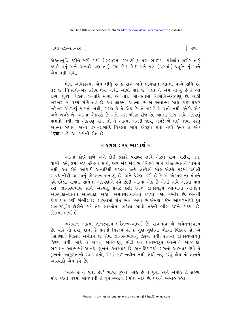ગાથા ૨૦−૨૧−૨૨ ∃

એકત્વબુદ્ધિ કરીને મરી ગયો (સંસારમાં ૨ખડયો). પણ ભાઈ! પહેલાંય શરીર તારૃં કયારે હતું અને અત્યારે પણ તારું કયાં છે? કોઈ કાળે પણ (પરમાં) પ્રવૃત્તિ તું માને એમ થતી નથી.

મોક્ષ અધિકારમાં એમ લીધું છે કે રાગ અને ભગવાન આત્મા વચ્ચે સંધિ છે, તડ છે. નિઃસંધિ-એક કદીય થયા નથી. આવો પાઠ છે. ફક્ત તેં એમ માન્યં છે કે આ રાગ. પણ્ય. વિકલ્પ ઇત્યાદિ મારાં. એ તારી માન્યતામાં નિઃસંધિ-એકપર્ણ છે. બાકી ખરેખર બે વચ્ચે સંધિ-તડ છે. આ લોકમાં આત્મા છે એ અનાત્મા સાથે કોઈ પ્રકારે ખરેખર એકપણું પામતો નથી. કારણ કે તે એક છે. તે બગડે બે થતો નથી. એકડે એક અને બગડે બે. આત્મા એકપણે છે અને રાગ બીજી ચીજ છે. આત્મા રાગ સાથે એકપણં પામતો નથી. જો એકપણ પામે તો તે આત્મા બગડી જાય. બગડે બે થઈ જાય. પરંત આત્મા બધાય અન્ય દ્રવ્ય-રાગાદિ વિકલ્પો સાથે એકટમ થતો નથી કેમકે તે એક ' एक: ' છે. આ ધર્મની રીત છે.

### $*$  કળશ : ૨૨ ભાવાર્થ  $*$

આત્મા કોઈ કાળે અને કોઈ પ્રકારે પરદ્રવ્ય સાથે એટલે રાગ, શરીર, મન, વાણી, કર્મ, દેશ, જડ ઇન્દ્રિયો સાથે, અરે ખંડ ખંડ ભાવેન્દ્રિયો સાથે એક્તાભાવને પામતો નથી. આ રીતે આચાર્યે અનાદિથી પરદ્રવ્ય પ્રત્યે લાગેલો મોઙ એટલે પરમાં થયેલી સાવધાનીથી આત્માનું ભેદજ્ઞાન બતાવ્યું છે, અને પ્રેરણા કરી છે કે એ એકપણાના મોહને ઙુવે છોડો. રાગાદિ સાથેના એકપણાને ઙુવે છોડી આત્મા એક છે એની સાથે એક્તા પ્રાપ્ત કરો, જ્ઞાનસ્વભાવ સાથે એકપણું પ્રગટ કરો, નિજ જ્ઞાનસ્વરૂપ આત્માના આનંદને આસ્વાદો-જ્ઞાનને આસ્વાદો. અહો! અમૃતચંદ્રાચાર્યના કળશો ઘણા ગંભીર છે. એમની ટીકા પણ ઘણી ગંભીર છે. શાસ્ત્રોમાં કાંઈ ભાવ ભર્યા છે એમણે ! જેમ આંચળમાંથી દૂધ સંભાળપૂર્વક દોહીને કાઢે તેમ શાસ્ત્રોમાં ભરેલા ભાવો તર્કની ભીંસ દઈને કાઢયા છે, ટીકામાં ભર્યા છે.

ભગવાન આત્મા જ્ઞાનસ્વરૂપ (ચૈતન્યસ્વરૂપ) છે. રાગભાવ એ અચેતનસ્વરૂપ છે. ચાહે તો દયા, દાન, કે વ્રતનો વિકલ્પ હો કે ગુણ-ગુણીના ભેદનો વિકલ્પ હો, એ (सघणा) विडस्प अयेतन છે. तेमां ज्ञानस्वलावनं डिरण नथी. रागमां ज्ञानस्वलावनं કિરણ નથી. માટે તે રાગનું આસ્વાદવું છોડી આ જ્ઞાનસ્વરૂપ આત્માને આસ્વાદો. ભગવાન આત્મામાં આનંદ, સંખનો આસ્વાદ છે. અનાદિકાળથી રાગનો આસ્વાદ કર્યો તે દુઃખનો-આકળતાનો સ્વાદ હતો. એમાં કાંઈ નવીન નથી. તેથી નવું કરવું હોય તો જ્ઞાનને આસ્વાદો એમ કહે છે.

'મોહ છે તે વૃથા છે.' ભાષા જુઓ. મોહ છે તે વૃથા અને અમોહ તે સફળ. મોઙ કઙેતાં ૫૨માં સાવધાની તે વૃથા-અફળ (મોક્ષ માટે છે.) અને અમોઙ કઙેતાં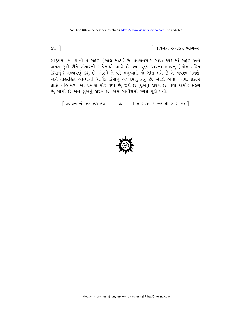િ પ્રવચન રત્નાકર ભાગ−ર

સ્વરૂપમાં સાવધાની તે સફળ (મોક્ષ માટે) છે. પ્રવચનસાર ગાથા ૧૧૬ માં સફળ અને અફળ જુદી રીતે સંસારની અપેક્ષાથી આવે છે. ત્યાં પુણ્ય-પાપના ભાવનું (મોહ સહિત ક્રિયાનું) સફળપણું કહ્યું છે. એટલે તે વડે મનુષ્યાદિ જે ગતિ મળે છે તે અવશ્ય મળશે. અને મોલ્ર્રિલ આત્માની ધાર્મિક ક્રિયાનું અફળપણું કહ્યું છે. એટલે એના ફળમાં સંસાર પ્રાપ્તિ નહિ મળે. આ પ્રમાણે મોહ વૃથા છે, જૂઠો છે, દુઃખનું કારણ છે. તથા અમોહ સફળ છે, સાચો છે અને સુખનું કારણ છે. એમ બાવીસમો કળશ પૂરો થયો.

[ प्रवयन नं. ९२-९३-९४ - \* हिनांड ३१-१-७९ थी २-२-७९ ]



७६ ।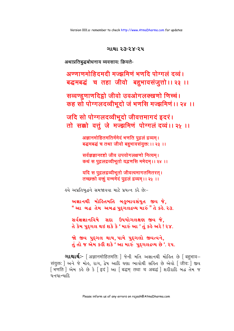**ગાથાર્થઃ**- [ अज्ञानमोहितमति: ] જેની મતિ અજ્ઞાનથી મોહિત છે [ बहुभाव– संयुक्त: ] અને જે મોહ, રાગ, દ્વેષ આદિ ઘણા ભાવોથી સહિત છે એવો [जीव: ] જીવ [ भणति ] એમ કહે છે કે [इदं ] આ [ बद्धम् तथा च अबद्धं ] शरीराहि બद्ध तेम જ धनधान्याहि

સર્વજ્ઞજ્ઞાનવિષે સદા ઉપયોગલક્ષણ જીવ જે, તે કેમ પુદ્દગલ થઇ શકે કે ' મારું આ ' તું કહે અરે ! ૨૪. જો જીવ પુદ્ગલ થાય, પામે પુદ્ગલો જીવત્વને,

તું તો જ એમ કહી શકે ' આ મારું પુદ્દગલદ્રવ્ય છે '. ૨૫.

અજ્ઞાનથી મોહિતમતિ બહુભાવસંયુત જીવ જે, "આ બહુ તેમ અબહ પુદ્ગલદ્રવ્ય મારું" તે કહે. ર૩.

ઙવે અપ્રતિબુદ્ધને સમજાવવા માટે પ્રયત્ન કરે છેઃ−

यदि स पुद्गलद्रव्यीभूतो जीवत्वमागतमितरत्। तच्छक्तो वक्तूं यन्ममेदं पुद्गलं द्रव्यम् ।। २५ ।।

सर्वज्ञज्ञानदृष्टो जीव उपयोगलक्षणो नित्यम। कथं स पुद्गलद्रव्यीभूतो यद्भणसि ममेदम् ।। २४ ।।

अज्ञानमोहितमतिर्ममेदं भणति पुद्गलं द्रव्यम्। बद्धमबद्धं च तथा जीवो बद्दभावसंयुक्तः।। २३ ।।

जदि सो पोग्गलदव्वीभूदो जीवत्तमागदं इदरं। तो सक्को वत्तुं जे मज्झमिणं पोग्गलं दव्वं ।। २५ ।।

सव्वण्हणाणदिहो जीवो उवओगलक्खणो णिच्चं। कह सो पोग्गलदव्वीभूदो जं भणसि मज्झमिणं।। २४ ।।

अण्णाणमोहिदमदी मज्झमिणं भणदि पोग्गलं दव्वं। बद्धमबद्धं च तहा जीवो बहुभावसंजुत्तो।। २३ ।।

अथाप्रतिबद्धबोधनाय व्यवसाय: क्रियते-

ગાથા ૨૩-૨૪-૨૫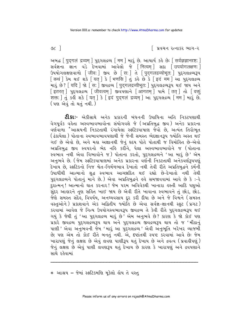∣િ પ્રવચન રત્નાકર ભાગ−ર

અબદ્ધ [ पुद्गलं द्रव्यम् ] पुद्दगतद्रव्य [ मम ] भारं છे. આચાર્ય કહે છે: [ सर्वज्ञज्ञानदृष्ट: ] adati sun q3 Emqui આવેલો જે [नित्यम्] સદા [उपयोगलक्षणः] ઉપયોગલક્ષણવાળો [जीव: ] જીવ છે [स: ] તે [पुद्गलद्रव्योभूत: ] પુદ્ગલદ્રવ્યરૂપ [ कथं ] डेम थઈ शंडे [ यत् ] डे [ भणसि ] तुं डर्ड छे डे [ इदं मम ] આ पुद्दा पद्य .<br>મારૂં છે ? [ यदि ] જો [ स: ] જીવદ્રવ્ય [ पुद्गलद्रव्यीभूत: ] પુદ્દગલદ્રવ્યરૂપ થઈ જાય અને [इतरत] पुद्दगतदय किंवत्वम् | उपपेशाने किंग्ने पामे तित तो तो विक्त शक्तः । तुं sड़ी शड़े । यत् । डे । इदं पदगलं द्रव्यम् । આ पुदृगतद्रव्य । मम । भारं छे.  $($  પણ એવું તો થતું નથી.)

**ટી.કાઃ**- એકીસાથે અનેક પ્રકારની બંધનની ઉપાધિના અતિ નિકટપણાથી વેગપૂર્વક વહેતા અસ્વભાવભાવોના સંયોગવશે જે (અપ્રતિબુદ્ધ જીવ) અનેક પ્રકારના વર્ણવાળા <sup>\*</sup>આશ્રયની નિકટતાથી રંગાયેલા સ્ફટિકપાષાણ જેવો છે, અત્યંત તિરોભૂત .<br>( ઢંકાયેલા ) પોતાના સ્વભાવભાવપણાથી જે જેની સમસ્ત ભેદજ્ઞાનરૂપ જ્યોતિ અસ્ત થઈ) ગઈ છે એવો છે, અને મહા અજ્ઞાનથી જેનું હૃદય પોતે પોતાથી જ વિમોહિત છે-એવો અપ્રતિબુદ્ધ જીવ સ્વપરનો ભેદ નહિ કર્રોને, પેલા અસ્વભાવભાવોને જ (પોતાના સ્વભાવ નથી એવા વિભાવોને જ) પોતાના કરતો, પુદગલદ્રવ્યને 'આ મારૂં છે' એમ અનુભવે છે. (જેમ સ્ફટિકપાષાણમાં અનેક પ્રકારના વર્ણની નિકટતાથી અનેકવર્ણરૂપપણું દેખાય છે, સ્ફટિકનો નિજ શ્વેત-નિર્મળભાવ દેખાતો નથી તેવી રીતે અપ્રતિબુદ્ધને કર્મની ઉપાધીથી આત્માનો શુદ્ધ સ્વભાવ આચ્છાદિત થઈ રહ્યો છે-દેખાતો નથી તેથી પુદગલદ્રવ્યને પોતાનું માને છે.) એવા અપ્રતિબુદ્ધને હવે સમજાવવામાં આવે છે કે :-રે દુરાત્મન ! આત્માનો ઘાત કરનાર ! જેમ પરમ અવિવેકથી ખાનારા હસ્તી આદિ પશુઓ .<br>સુંદર આહારને તુણ સહિત ખાઈ જાય છે એવી રીતે ખાવાના સ્વભાવને તું છોડ, છોડ. જેણે સમસ્ત સંદેહ, વિપર્યય, અનઘ્યવસાય દૂર કરી દીધા છે અને જે વિશ્વને (સમસ્ત વસ્તુઓને) પ્રકાશવાને એક અદ્વિતીય જ્યોતિ છે એવા સર્વજ્ઞ-જ્ઞાનથી સ્ફટ (પ્રગટ) કરવામાં આવેલ જે નિત્ય ઉપયોગસ્વભાવરૂપ જીવદ્રવ્ય તે કેવી રીતે પુદગલદ્રવ્યરૂપ થઈ ગયું કે જેથી તું 'આ પુદ્ગલદ્રવ્ય મારું છે ' એમ અનુભવે છે? કારણ કે જો કોઈ પણ પ્રકારે જીવદ્રવ્ય પુદ્ગલદ્રવ્યરૂપ થાય અને પુદ્ગલદ્રવ્ય જીવદ્રવ્યરૂપ થાય તો જ 'મીઠાનું છે; પણ એમ તો કોઈ રીતે બનતું નથી. એ, દષ્ટાંતથી સ્પષ્ટ કરવામાં આવે છે: જેમ ખારાપણું જેનું લક્ષણ છે એવું લવણ પાણીરૂપ થતું દેખાય છે અને દ્રવત્વ (પ્રવાહીપણું) જેનું લક્ષણ છે એવું પાણી લવણરૂપ થતું દેખાય છે કારણ કે ખારાપણું અને દ્રવપણાને સાથે રહેવામાં

\* આશ્રય = જેમાં સ્ફટિકમણિ મૂકેલો હોય તે વસ્તુ

 $\infty$  1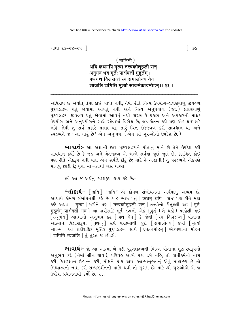ગાથા ૨૩−૨૪−૨૫ ∃

### $($  मालिनी)

# अयि कथमपि मृत्वा तत्त्वकौतुहली सन् अनुभव भव मुर्ते: पार्श्ववर्ती मुहुर्तम । पथगथ विलसन्तं स्वं समालोक्य येन त्यजसि झगिति मृत्यां साकमेकत्वमोहम् ।। २३ ।।

અવિરોધ છે અર્થાત્ તેમાં કોઈ બાધા નથી, તેવી રીતે નિત્ય ઉપયોગ-લક્ષણવાળું જીવદ્રવ્ય પુદગલદ્રવ્ય થતું જોવામાં આવતું નથી અને નિત્ય અનુપયોગ (જડ) લક્ષણવાળું ્ર<br>પુદગલદ્રવ્ય જીવદ્રવ્ય થતું જોવામાં આવતું નથી કારણ કે પ્રકાશ અને અંધકારની માફક ઉપયોગ અને અનપયોગને સાથે રહેવામાં વિરોધ છે: જડ-ચેતન કદી પણ એક થઈ શકે નહિ. તેથી તું સર્વ પ્રકારે પ્રસન્ન થા, તારું ચિત્ત ઉજ્જ્વળ કરી સાવધાન થા અને સ્વદ્રવ્યને જ 'આ મારં છે' એમ અનભવ. (એમ શ્રી ગરુઓનો ઉપદેશ છે.)

ભાવાર્થઃ- આ અજ્ઞાની જીવ પુદ્ગલદ્રવ્યને પોતાનું માને છે તેને ઉપદેશ કરી સાવધાન કર્યો છે કે જડ અને ચેતનદ્રવ્ય-એ બન્ને સર્વથા જુદાં જુદાં છે, કદાચિત કોઈ પણ રીતે એકરૂપ નથી થતાં એમ સર્વજ્ઞે દીઠું છે; માટે હે અજ્ઞાની ! તું પરદ્રવ્યને એકપણે માનવું છોડી દે; વૃથા માન્યતાથી બસ થાઓ.

ઙવે આ જ અર્થનું કળશરૂપ કાવ્ય કહે છેઃ−

શ્લોકાર્થઃ- [अयि ] 'अयि' એ કોમળ સંબોધનના અર્થવાળં અવ્યય છે. આચાર્ય કોમળ સંબોધનથી કહે છે કે હે ભાઈ! તું | कथम अपि | કોઈ પણ રીતે મહા 5 थे अथवा मित्वा । भरीने पश त्तित्त्वकौतृहली सन । तत्त्वोनो डौतुड़ सी थर्छ । मुर्तेः मुहूर्तम् पार्श्ववर्ती भव । આ शरीराहि भूर्त द्रव्यनो એક મુકૂર્ત (બે ઘડી) પાડોશી થઈ આત્માને વિલાસરૂપ, [ पृथक ] સર્વ પરદ્રવ્યોથી જુદો [ समालोक्य ] દેખી [ मृत्यां साकम] આ શરીરાદિક મૂર્તિક પુદગલદ્રવ્ય સાથે [एकत्वमोहम] એકપણાના મોહને [झगिति त्यजसि ] तं तरत ४ छोऽशे.

**ભાવાર્થઃ**- જો આ આત્મા બે ઘડી પુદ્ગલદ્રવ્યથી ભિન્ન પોતાના શુદ્ધ સ્વરૂપનો અનુભવ કરે (તેમાં લીન થાય), પરિષહ આવ્યે પણ ડગે નહિ, તો ઘાતીકર્મનો નાશ કરી, કેવળજ્ઞાન ઉત્પન્ન કરી, મોલને પ્રાપ્ત થાય. આત્માનુભવનુ<sup>ં</sup> એવું માહાત્મ્ય છે તો મિથ્યાત્વનો નાશ કરી સમ્યગ્દર્શનની પ્રાપ્તિ થવી તો સુગમ છે; માટે શ્રી ગુરુઓએ એ જ ઉપદેશ પ્રધાનતાથી કર્યો છે. ર.૩.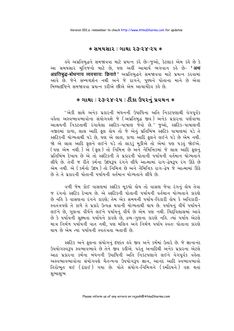#### $*$  સમયસાર : ગાથા ૨૩-૨૪-૨૫  $*$

इવે અપ્રતિબુદ્ધને સમજાવવા માટે પ્રયત્ન કરે છેઃ-જુઓ, કેટલાક એમ કર્લ છે કે આ સમયસાર મુનિજનો માટે છે. પણ અહીં આચાર્ય ભગવાન કહે છે− **'अथ** अप्रतिबद्ध-बोधनाय व्यवसाय: क्रियते ' अप्रतिलद्धने समुक्षयया माटे प्रयत्न કરવામાં આવે છે. જેને સમ્યગ્દર્શન નથી અને જે રાગને. પણ્યને પોતાના માને છે એવા મિશ્યાદષ્ટિને સમજાવવા પ્રયત્ન કરીએ છીએ એમ આચાર્યદેવ કહે છે.

## **∗ ગાથા ∶ ર૩-૨૪-૨૫ : ટીકા ઉપરનું પ્ર**વચન ∗

'એકી સાથે અનેક પ્રકારની બંધનની ઉપાધિના અતિ નિકટપણાથી વેગપૂર્વક વહેતા અસ્વભાવભાવોના સંયોગવશે જે (અપ્રતિબુદ્ધ જીવ) અનેક પ્રકારના વર્ણવાળા આશ્રયની નિકટતાથી રંગાયેલા સ્ફટિક-પાષાણ જેવો છે.' જુઓ, સ્ફટિક-પાષાણની નજીકમાં કાળા, લાલ આદિ ફૂલ હોય તો જે એનું પ્રતિબિંબ સ્ફટિક પાષાણમાં ૫ડે તે સ્ફટિકની યોગ્યતાથી ૫ડે છે, પણ એ લાલ, કાળા આદિ ફૂલને લઈને ૫ડે છે એમ નથી. જો એ લાલ આદિ ફુલને લઈને પડે તો લાકડું મુકીએ તો એમાં પણ પડવું જોઈએ. (પણ એમ નથી.) એ (ફૂલ) તો નિમિત્ત છે અને નૈમિત્તિકમાં જે લાલ આદિ ફૂલનું પ્રતિબિંબ દેખાય છે એ તો સ્ફટિકની તે પ્રકારની પોતાની પર્યાયની વર્તમાન યોગ્યતાને લીધે છે. તેવી જ રીતે કર્મના ઉદયરૂપ રંગને લીધે આત્મામાં રાગ-દેષરૂપ રંગ ઊઠે છે એમ નથી. એ ( કર્મનો ઉદય ) તો નિમિત્ત છે અને નૈમિત્તિક રાગ-દેષ જે આત્મામાં ઊઠે છે તે તે પ્રકારની પોતાની પર્યાયની વર્તમાન યોગ્યતાને લીધે છે.

વળી જેમ કોઈ વાસણમાં સ્ફટિક મકયો હોય તો વાસણ જેવા રંગનું હોય તેવા જ રંગનો સ્ફટિક દેખાય છે. એ સ્ફટિકની પોતાની પર્યાયની વર્તમાન યોગ્યતાને કારણે છે નહિ કે વાસણના રંગને કારણે; તેમ એક સમયની પર્યાય-વિકારી હોય કે અવિકારી-સ્વતંત્રપણે તે કાળે તે પ્રકારે ઉત્પન્ન થવાની યોગ્યતાથી થાય છે. પર્યાયનું વીર્ય પર્યાયને લઈને છે, ગુણના વીર્યને લઈને પર્યાયનું વીર્ય છે એમ પણ નથી. ચિદ્દવિલાસમાં આવે છે કે પર્યાયની સૂક્ષ્મતા પર્યાયને કારણે છે, દ્રવ્ય-ગુણના કારણે નહિ. ત્યાં પર્યાય એટલે માત્ર નિર્મળ પર્યાયેની વાત નથી, પણ મલિન અને નિર્મળ પર્યાય સ્વતઃ પોતાના કારણે થાય છે એમ ત્યાં પર્યાયની સ્વતંત્રતા બતાવી છે

સ્ફટિક અને ફૂલના સંયોગનું દષ્ટાંત હવે જીવ અને કર્મમાં ઉતારે છે. જે જ્ઞાનાનંદ ઉપયોગસ્વરૂપ સ્વભાવભાવે છે તેને જીવ કહીએ. પરંતુ અનાદિથી અનેક પ્રકારના એટલે આઠ પ્રકારના કર્મના બંધનની ઉપાધિની અતિ નિકટપણાને લઈને વેગપૂર્વક વહેતા અસ્વભાવભાવોના સંયોગવશે ચૈતન્યના ઉપયોગરૂપ જ્ઞાન, આનંદ આદિ સ્વભાવભાવો તિરોભત થઈ (ઢંકાઈ) ગયા છે. પોતે સંયોગ-નિમિત્તને (કર્મોદયને) વશ થતાં શભાશભ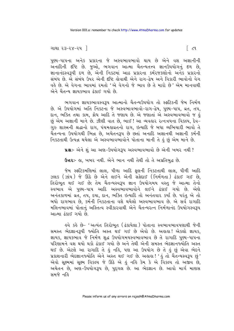```
ગાથા ૨૩−૨૪−૨૫ ∃
```
પુણ્ય-પાપના અનેક પ્રકારના જે અસ્વભાવભાવો થાય છે એને વશ અજ્ઞાનીની અનાદિની દષ્ટિ છે. જુઓ, ભગવાન આત્મા ચૈતન્યતત્ત્વ જ્ઞાનઉપયોગનું દળ છે, જ્ઞાનાનંદસ્વરૂપી દળ છે, એની નિકટમાં આઠ પ્રકારના કર્મરજકણોનો અનેક પ્રકારનો સંબંધ છે. એ સંબંધ ઉપર એની દૃષ્ટિ હોવાથી એને રાગ-દ્વેષ અને વિકારી ભાવોનો વેગ વહે છે. એ વેગના ભાવમાં રમતો 'એ વેગનો જે ભાવ છે તે મારો છે' એમ માનવાથી એને ચૈતન્ય જ્ઞાયકભાવ ઢંકાઈ ગયો છે.

ભગવાન જ્ઞાયકભાવસ્વરૂપ આત્માનો ચૈતન્યઉપયોગ તો સ્ફટિકની જેમ નિર્મળ છે. એ ઉપયોગમાં અતિ નિકટના જે અસ્વભાવભાવો-રાગ-દ્વેષ. પણ્ય-પાપ. વ્રત. તપ. દાન. ભક્તિ તથા કામ. ક્રોધ આદિ તે જણાય છે. એ જણાતાં એ અસ્વભાવભાવો જ હું છં એમ અજ્ઞાની માને છે. ઝીણી વાત છે. ભાઈ ! આ વ્યવહાર રત્નત્રયના વિકલ્પ. દેવ-ગરુ શાસ્ત્રની શ્રદ્ધાનો રાગ. પંચમહાવ્રતનો રાગ. ઇત્યાદિ જે બધા વ્યભિચારી ભાવો તે ચૈતન્યના ઉપયોગથી ભિન્ન છે, અચેતનરૂપ છે છતાં અનાદિ અજ્ઞાનથી અજ્ઞાની કર્મની નિકટતાથી ઉત્પન્ન થયેલા એ અસ્વભાવભાવોને પોતાના માની તે હું છું એમ માને છે.

પ્રશ્ન:- એને શું આ અણ-ઉપયોગરૂપ અસ્વભાવભાવો છે એની ખબર નથી ?

ઉત્તરઃ- હા, ખબર નથી. એને ભાન નથી તેથી તો તે અપ્રતિબુદ્ધ છે.

જેમ સ્ફટિકમણિમાં લાલ, પીળા આદિ ફૂલની નિકટતાથી લાલ, પીળી આદિ ઝલક (ઝાંય) જે ઊઠે છે એને લઈને એની સફેદાઈ (નિર્મળતા) ઢંકાઈ ગઈ છે, તિરોભૂત થઈ ગઈ છે; તેમ ચૈતન્યસ્વરૂપ જ્ઞાન ઉપયોગમય વસ્તુ જે આત્મા તેનો સ્વભાવ એ પુણ્ય-પાપ આદિ અસ્વભાવભાવોને લઈને ઢંકાઈ ગયો છે. એણે અનંતકાળમાં વ્રત, તપ, દયા, દાન, ભક્તિ ઇત્યાદિ તો અનંતવાર કર્યાં છે. પરંતુ એ તો બધો રાગભાવ છે, કર્મની નિકટતાના વશે થયેલો અસ્વભાવભાવ છે. એ સર્વ રાગાદિ મલિનભાવમાં પોતાનું અસ્તિત્વ સ્વીકારવાથી એને ચૈતન્યરત્ન નિર્મળાનંદ ઉપયોગસ્વરૂપ આત્મા ઢંકાઈ ગયો છે.

ઙ્વે કર્ક છે− 'અત્યંત તિરોભત (ઢંકાયેલા) પોતાના સ્વભાવભાવપણાથી જેની સમસ્ત ભેદજ્ઞાનરૂપી જ્યોતિ અસ્ત થઈ ગઈ છે એવો છે. અહાહા! એકલો જ્ઞાયક, જ્ઞાયક, જ્ઞાયકભાવ જે નિર્મળ શુદ્ધ ઉપયોગમયસ્વભાવભાવ છે તે રાગાદિ પુષ્ય-પાપના પરિણામને વશ થયો થકો ઢંકાઈ ગયો છે અને તેથી એની સમસ્ત ભેદજ્ઞાનર્જ્યોતિ અસ્ત થઈ છે. એટલે આ રાગાદિ તે કું નકિ, પણ આ ઉપયોગ છે તે કું છું એવા ભેદને પ્રકાશનારી ભેદજ્ઞાનજ્યોતિ એને અસ્ત થઈ ગઈ છે. અહાહા! 'હું તો ચૈતન્યસ્વરૂપ છું' એવો સૂક્ષ્મમાં સૂક્ષ્મ વિકલ્પ જે ઊઠે એ હું નહિ કેમ કે એ વિકલ્પ તો અજીવ છે, અચેતન છે. અણ-ઉપયોગરૂપ છે. પુદગલ છે. આ ભેદજ્ઞાન છે. આવો માર્ગ માણસ <u> अभજે च</u>ઢि

 $\lceil c_3 \rceil$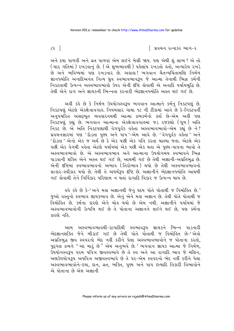િ પ્રવચન રત્નાકર ભાગ−ર

અને દયા પાળવી અને વ્રત પાળવાં એમ લઈને બેસી જાય. પણ એથી શું લાભ? એ તો ( ચાર ગતિમાં ) રખડવાનું છે. ( એ શુભભાવથી ) પહેલાંય રખડતો હતો, અત્યારેય રખડે છે અને ભવિષ્યમાં પણ રખડનાર છે. અઢાઢા! ભગવાન ચૈતન્યચિંતામણિ નિર્મળ જ્ઞાનજ્યોતિ અનાદિઅનંત નિત્ય ધ્રુવ સ્વભાવભાવરૂપ જે આત્મા તેનાથી ભિન્ન કર્મની નિકટતાથી ઉત્પન્ન અસ્વભાવભાવો ઉપર એની દષ્ટિ કોવાથી એ અનાદિ પર્યાયબદ્ધિ છે. તેથી એને રાગ અને જ્ઞાયકની ભિન્નતા કરનારી ભેદજ્ઞાનજ્યોતિ અસ્ત થઈ ગઈ છે.

અહીં કહે છે કે નિર્મળ ઉપયોગસ્વરૂપ ભગવાન આત્માને કર્મનું નિકટપણું છે. નિકટપણું એટલે એકક્ષેત્રાવગાહ. નિયમસાર ગાથા ૧૮ ની ટીકામાં આવે છે કે-નિકટવર્તી અનુપચરિત અસદ્દભૂત વ્યવહારનયથી આત્મા દ્રવ્યકર્મનો ક્તા છે-એમ અહીં પણ નિકટપણું કહ્યું છે. ભગવાન આત્માના એકક્ષેત્રાવગાહમાં જડ રજકણો (ધુળ) અતિ નિકટ છે. એ અતિ નિકટપણાથી વેગપૂર્વક વહેતા અસ્વભાવભાવો-એમ કહ્યું છે ને? પ્રવચનસારમાં પણ 'દોડતા પુણ્ય અને પાપ '-એમ આવે છે. 'વેગપૂર્વક વહેતા ' અને પછી એક વેગથી વહેતા એટલે પર્યાયમાં એક પછી એક થતા એ પણ્ય-પાપના ભાવો તે અસ્વભાવભાવો છે. એ અસ્વભાવભાવ અને આત્માના ઉપયોગમય સ્વભાવને ભિન્ન પાડવાની શક્તિ એને અસ્ત થઈ ગઈ છે, આથમી ગઈ છે તેથી અજ્ઞાની-અપ્રતિબુદ્ધ છે. એની દષ્ટિમાં સ્વભાવભાવનો અભાવ (તિરોભાવ) થયો છે તેથી અસ્વભાવભાવનો સત્કાર-સ્વીકાર થયો છે. તેથી તે અધર્મરૂપ દૃષ્ટિ છે. અજ્ઞાનીને ભેદજ્ઞાનજ્યોતિ આથમી ગઈ હોવાથી તેને નિર્વિકાર પરિણામ ન થતાં રાગાદિ વિકાર જ ઉત્પન્ન થાય છે.

इવે કહે છે કે-' અને મહા અજ્ઞાનથી જેનું દૃદય પોતે પોતાથી જ વિમોહિત છે.' જુઓ વસ્તુનો સ્વભાવ જ્ઞાયકભાવ છે. એનું એને મહા અજ્ઞાન છે. તેથી પોતે પોતાથી જ .<br>વિમોલ્નિ છે. કર્મના કારણે એને મોલ થયો છે એમ નથી. અજ્ઞાનીને પર્યાયમાં જે અસ્વભાવભાવોની ઉત્પત્તિ થઈ છે તે પોતાના અજ્ઞાનને લઈને થઈ છે, પણ કર્મના કારણે નહિ.

આમ અસ્વભાવભાવથી-રાગાદિથી સ્વભાવરૂપ જ્ઞાયકને ભિન્ન પાડનારી ભેદજ્ઞાનશક્તિ જેને બીડાઈ ગઈ છે તેથી પોતે પોતાથી જ વિમોહિત છે–'એવો અપ્રતિબુદ્ધ જીવ સ્વપરનો ભેદ નહીં કરીને પેલા અસ્વભાવભાવોને જ પોતાના કરતો, પુદ્ગલ દ્રવ્યને "આ મારું છે" એમ અનુભવે છે.' ભગવાન જ્ઞાયક આત્મા જે નિર્મળ, .<br>ઉપયોગસ્વરૂપ પરમ પવિત્ર જીવસ્વભાવે છે તે સ્વ અને આ રાગાદિ ભાવ જે મલિન, અર્ણઉપયોગરૂપ અપવિત્ર અજીવસ્વભાવે છે તે ૫૨-એમ સ્વપરનો ભેદ નહીં કરીને પેલા અસ્વભાવભાવોને-દયા, દાન, વ્રત, ભક્તિ, પુણ્ય અને પાપ ઇત્યાદિ વિકારી વિભાવોને એ પોતાના છે એમ અજ્ઞાની

 $\epsilon$  7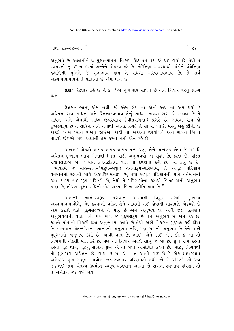અનુભવે છે. અજ્ઞાનીને જે પુણ્ય-પાપના વિકલ્પ ઊઠે તેને વશ એ થઈ ગયો છે. તેથી તે સ્વપરની જુદાઈ ન કરતાં બન્નેને એકરૂપ કરે છે. એકેન્દ્રિય અવસ્થાથી માંડીને પંચેન્દ્રિય દ્રવ્યલિંગી મનિને જે શભભાવ થાય તે સઘળા અસ્વભાવભાવ છે. તે સર્વ અસ્વભાવભાવને તે પોતાના છે એમ માને છે.

u& :- કેટલાક કહે છે ને કે- 'એ શુભભાવ સાધન છે અને નિશ્ચય વસ્તુ સાધ્ય  $69.2$ 

**ઉત્તરઃ-** ભાઈ. એમ નથી. જો એમ લોય તો એનો અર્થ તો એમ થયો કે અચેતન રાગ સાધન<sup>ં</sup>અને ચૈતન્યસ્વભાવ તેનું સાધ્ય. અથવા રાગ જે અજીવ છે તે સાધન અને એનાથી સાધ્ય જીવસ્વરૂપ (વીંતરાગતા) પ્રગટે છે. અથવા રાગ જે દુઃખસ્વરૂપ છે તે સાધન અને તેનાથી આનંદ પ્રગટે તે સાધ્ય. ભાઈ, વસ્તુ બહુ ઝીણી છે .<br>એટલે ખાસ ઘ્યાન રાખવં જોઈએ. અહીં તો અંદરના ઉપયોગને અને રાગને ભિન્ન પાડવો જોઈએ. પણ અજ્ઞાની તેમ કરતો નથી એમ કહે છે.

અહાહા! એકલો જ્ઞાયક-જ્ઞાયક-જ્ઞાયક સત્ય પ્રભુ-એને અજાણક એવા જે રાગાદિ અચેતન દુઃખરૂપ ભાવ એનાથી ભિન્ન પાડી અનુભવવો એ સક્ષ્મ છે. કઠણ છે. પંડિત રાજમલજીએ એ જ વાત કળશટીકામાં ૧૮૧ માં કળશમાં કહી છે. ત્યાં કહ્યું છે કે-" ભાવકર્મ જે મોઢ-રાગ-દ્રેષ૩૫-અશદ્ધ ચેતના૩૫-પરિણામ. તે અશદ્ધ પરિણામ વર્તમાનમાં જીવની સાથે એકપરિણમનરૂપ છે. તથા અશદ્ધ પરિણામની સાથે વર્તમાનમાં જીવ વ્યાપ્ય-વ્યાપકરૂપ પરિણમે છે. તેથી તે પરિણામોના જીવથી ભિન્નપણાનો અનુભવ કઠણ છે. તોપણ સક્ષ્મ સંધિનો ભેદ પાડતાં ભિન્ન પ્રતીતિ થાય છે."

અજ્ઞાની આનંદસ્વરૂપ ભગવાન આત્માથી વિરુદ્ધ રાગાદિ દુઃખરૂપ અસ્વભાવભાવોને, ભેદ કરવાની શક્તિ તેને આથમી ગઈ લોવાથી મારાપણે-એકપણે છે એમ કરતો થકો પુદગલદ્રવ્યને તે મારૂં છે એમ અનુભવે છે. અહીં જડ પુદગલને અનુભવવાની વાત નથી પણ રાગ જે પુદ્દગલરૂપ છે તેને અનુભવે છે એમ કહે છે. જીવને પોતાની વિકારી દશા અનુભવમાં આવે છે તેથી અહીં વિકારને પુદગલ કહી દીધા છે. ભગવાન ચૈતન્યદેવના આનંદનો અનુભવ નહિ, પણ રાગનો અનુભવ છે તેને અહીં પુદ્ગલનો અનુભવ કહ્યો છે. આવી વાત છે, ભાઈ. એને કોઈ એમ કહે કે આ તો નિશ્ચયની એકલી વાત કરે છે. પણ આ નિશ્ચય એટલે સાચું જ આ છે. શુભ રાગ કરતાં કરતાં શુદ્ધ થાય, શુદ્ધનું સાધન શુભ એ તો બધાં આરોપિત કથન છે. ભાઈ, નિશ્ચયથી તો શુભરાગ અંચેતન છે. ગાથા ૬ માં એ વાત આવી ગઈ છે કે એક જ્ઞાયકભાવ અનેકરૂપ શુભ-અશુભ ભાવોના જડ સ્વભાવે પરિણમતો નથી. જો એ પરિણમે તો જીવ જડ થઈ જાય. ચૈતન્ય ઉપયોગ-સ્વરૂપ ભગવાન આત્મા જો રાગના સ્વભાવે પરિણમે તો તે અચેતન જડ થઈ જાય.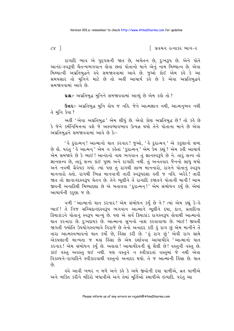∣ પ્રવચન રત્નાકર ભાગ−ર

રાગાદિ ભાવ એ પુદ્દગલની જાત છે, અચેતન છે, દુઃખરૂપ છે. એને પોતે આનંદ-સ્વરૂપી ચૈતન્યભગવાન હોવા છતાં પોતાનો માને એનું નામ મિથ્યાત્વ છે. એવા મિથ્યાત્વી અપ્રતિબુદ્ધને હવે સમજાવવામાં આવે છે. જુઓ કોઈ એમ કહે કે આ સમયસાર તો મુનિને માટે છે તો અહીં આચાર્ય કહે છે કે એવા અપ્રતિબુદ્ધને સમજાવવામાં આવે છે.

પ્રશ્નઃ- અપ્રતિબુદ્ધ મુનિને સમજાવવામાં આવ્યું છે એમ કહો તો ?

**ઉત્તર**:- અપ્રતિબુદ્ધ મુનિ હોય જ નહિ. જેને આત્મજ્ઞાન નથી, આત્મનુભવ નથી ते भूनि डेया ?

અહીં 'એવા અપ્રતિબુદ્ધ' એમ લીધું છે. એવો કોણ અપ્રતિબુદ્ધ છે? તો કહે છે કે જેને કર્મનિમિત્તના વશે જે અસ્વભાવભાવ ઉત્પન્ન થયો તેને પોતાના માને છે એવા અપ્રતિબુદ્ધને સમજાવવામાં આવે છે કેઃ-

' કે દુરાત્મન! આત્માનો ઘાત કરનાર! જુઓ, ' કે દુરાત્મન ' એ કરૂણાનો શબ્દ છે લો. પરંતુ ' હે આત્મન્' એમ ન કહેતાં 'દુરાત્મન્' એમ કેમ કહ્યું ? એમ કહી આચાર્ય એમ સમજાવે છે કે ભાઈ! આનંદનો નાથ ભગવાન તું જ્ઞાનસ્વરૂપે છે ને. તારૂં સત્ત્વ તો જ્ઞાનસત્ત્વ છે, તારૂં સત્ત્વ કાંઈ પુણ્ય અને રાગાદિ નથી. તું અનંતવાર જૈનનો સાધુ થયો અને નવમી ગ્રૈવેયક ગયો. ત્યાં પણ તું રાગથી લાભ માનનારો, રાગને પોતાનું સ્વરૂપ માનનારો હતો. રાગથી ભિન્ન માનવાની તારી સ્વરૂપદશા હતી જ નહિ. અરેરે! તારી જાત તો જ્ઞાનાનંદસ્વરૂપ ચેતન છે. તેને ભૂલીને તેં રાગાદિ કજાતને પોતાની માની! આમ જીવની અનાદિથી મિથ્યાદશા છે એ બતાવવા 'દુરાત્મન!' એમ સંબોધન કર્યું છે. એમાં આચાર્યની કરૂણા જ છે.

વળી 'આત્માનો ઘાત કરનાર! એમ સંબોધન કર્યું છે ને? ત્યાં એમ કહ્યું કે–હે ભાઈ! તે નિજ સચ્ચિદાનંદસ્વરૂપ ભગવાન આત્માને ભૂલીને દયા, દાન, વ્રતાદિના ક્રિયાકાંડને પોતાનું સ્વરૂપ માન્યું છે. પણ એ સર્વ ક્રિયાકાંડ રાગસ્વરૂપ હોવાથી આત્માનો ઘાત કરનારા છે. દુઃખદાયક છે. આત્માના સુખનો નાશ કરવાવાળા છે. ભાઈ ! જીવતી જાગતી જ્યોતિ ઉપયોગસ્વભાવે વિરાજે છે તેનો અનાદર કરી હું રાગ છું એમ માનીને તેં તારા આત્મસ્વભાવનો ઘાત કર્યો છે, હિંસા કરી છે. 'હું રાગ છું' એવી રાગ સાથે એકપણાની માન્યતા જ મહા હિંસા છે એમ દર્શાવવા આચાર્યદેવે 'આત્માનો ઘાત કરનાર! એમ સંબોધન કર્યું છે. અહાહા! આચાર્યદેવની શું શૈલી છે! વસ્તુની વસ્તુ છે. કાંઈ વસ્તુ અવસ્તુ થઈ નથી. પણ વસ્તુને ન સ્વીકારતાં વસ્તુમાં જે નથી એવા વિકલ્પને-રાગાદિને સ્વીકારવાથી વસ્તુનો અનાદર થયો. તે જ આત્માની હિંસા છે. ઘાત  $\hat{\rho}_3$ 

હવે આવી ખબર ન મળે અને કહે કે અમે જીવોની દયા પાળીએ, વ્રત પાળીએ અને ભક્તિ કરીને મંદિરો બંધાવીએ અને તેમાં મૂર્તિઓ સ્થાપીએ ઇત્યાદિ. પરંતુ આ

 $c\mathcal{r}$ ]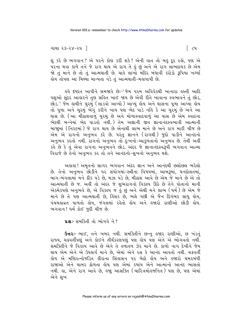```
ગાથા ૨૩−૨૪−૨૫ ∃
```
શું કરે છે ભગવાન? એ પરને કોણ કરી શકે? એની વાત તો બહુ દૂર રહો, પણ એ .<br>પરના થવા કાળે તને જે રાગ થાય એ રાગ તે કું છું અને એ રાગ લાભદાયક છે એમ જો તું માને છે તો તું આત્મઘાતી છે. ચાહે લાખો મંદિર બંધાવી કરોડો રૂપિયા ખર્ચ્યા હોય તોપણ આ મિથ્યા માન્યતા વડે તું આત્મઘાતી-મહાપાપી છે.

ઙ્વે દષ્ટાંત આપીને સમજાવે છેઃ−'જેમ પરમ અવિવેકથી ખાનારા ઙસ્તી આદિ પશુઓ સુંદર આહારને તૃણ સહિત ખાઈ જાય છે એવી રીતે ખાવાના સ્વભાવને તું છોડ, છોડ.' જેમ લાથીને ચુરમું (લાડવો આપ્યો ) આપ્યું લોય અને ઘાસના પૂળા આપ્યા લોય તો પૂળા અને ચુરમું ભેગું કરીને ખાય પણ ભેદ પાડે નહિ કે આ ચુરમું છે અને આ ઘાસ છે. (આ મીઠાશવાળું ચુરમું છે અને મોળાસ્વાદવાળું આ ઘાસ છે એમ સ્વાદના ભેદથી બન્નેમાં ભેદ પાડતો નથી.) તેમ અજ્ઞાની જીવ જ્ઞાનાનંદસ્વભાવી આત્માની બાજામાં (નિકટમાં) જે રાગ થાય છે એનાથી લાભ માને છે અને રાગ મારી ચીજ છે એમ એ રાગનો અનુભવ કરે છે. પરંતુ જ્ઞાનને (રાગથી) જુદો પાડીને આનંદનો અનુભવ કરતો નથી. રાગનો અનુભવ તો દુઃખનો-આકુળતાનો અનુભવ છે. તેથી અહીં કર્લે છે કે તું એવા રાગના અનુભવને છોડ. અંદર જે જ્ઞાનાનંદસ્વરૂપી ભગવાન આત્મા વિરાજે છે તેનો અનુભવ કર તો તને આનંદનો-સુખનો અનુભવ થશે.

અહાહા! અમૃતનો સાગર ભગવાન અંદર જ્ઞાન અને આનંદથી છલોછલ ભરેલો છે. તેનો અનુભવ છોડીને પર સંયોગમાં-સ્ત્રીના વિષયમાં, આબરૂમાં, ધનદોલતમાં, <u>બાગ-બંગલામાં મને ઠીક પડે છે, મઝા પડે છે, મીઠાશ આવે છે એમ જે માને છે એ તો</u> આત્મઘાતી છે જ. અહીં તો અંદર જે શુભરાગનો વિકલ્પ ઊઠે છે તેને પોતાનો માની એકમેકપણે અનુભવે છે, એ વિકલ્પ જ હું છું અને એથી મને લાભ (ઘર્મ) છે એમ જે માને છે તે પણ આત્મઘાતી છે, હિંસક છે, ભલે પછી એ જૈન દિગંબર સાધુ હોય, પંચમહાવ્રત પાળતો હોય, જંગલમાં રહેતો હોય અને હજારો રાણીઓ છોડી હોય. ભગવાન! ધર્મ કોઈ જુદી ચીજ છે.

us: સમક્તિી તો ભોગવે ને?

ઉત્તરઃ- ભાઈ, તને ખબર નથી. સમક્તિીને છન્નુ હજાર રાણીઓ, છ ખંડનું રાજ્ય, ચક્રવર્તીપણું અને કોઈને તીર્થંકરણપણું પણ લોય પણ એને એ ભોગવતો નથી. સમક્તિીને જે વિકલ્પ આવે છે એને તે હળાહળ ઝેર માને છે. કાળો નાગ દેખીને જેમ થાય એમ એને એ ઉપસર્ગ માને છે, એમાં એને રસ કે આનંદ આવતો નથી. ચક્રવર્તી હોય એ મણિરત્નોજડિત હીરાના સિંહાસન પર બેઠો હોય અને હજારો ચમરબંધી રાજાઓ એને ચામર ઢોળતા હોય પણ એમાં કયાંય એને આત્માનો આનંદ ભાસતો નથી. હા, એને રાગ આવે છે, હજાુ આસક્તિ (ચારિત્રમોહજનિત) પણ છે, પણ એમાં એને સુખ

 $\lceil$   $\zeta$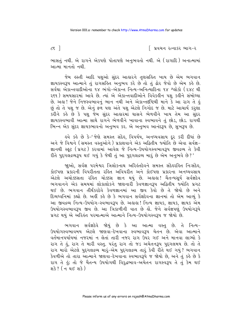∣ પ્રવચન રત્નાકર ભાગ−ર

ભાસતું નથી. એ રાગને એકપણે પોતાપણે અનુભવતો નથી. એ (રાગાદિ) અનાત્મામાં આત્મા માનતો નથી.

જેમ હસ્તી આદિ પશુઓ સુંદર આહારને તુણસહિત ખાય છે એમ ભગવાન જ્ઞાયકસ્વરૂપ આત્માને તું રાગસહિત અનુભવ કરે છે તો તું ઢોર જેવો છે એમ કહે છે. સર્વથા એકાન્તવાદીઓના ૧૪ ભંગો-એકાન્ત નિત્ય-અનિત્યાદિના ૧૪ શ્લોકો (૨૪૮ થી ર૬૧) સમયસારમાં આવે છે. ત્યાં એ એકાન્તવાદીઓને વિવેકહીન પશુ કહીને સંબોધ્યા છે. અહ્ય! જેને નિજસ્વભાવનું ભાન નથી અને એકાન્તદષ્ટિથી માને કે આ રાગ તે હું છું તો તે પશુ જ છે. એનું ફળ પણ અંતે પશુ એટલે નિગોદ જ છે. માટે આચાર્ય કરુણા .<br>કરીને કહે છે કે પશુ જેમ સુંદર આહારમાં ઘાસને ભેળવીને ખાય તેમ આ સુંદર જ્ઞાયકસ્વભાવી આત્મા સાથે રાગને ભેળવીને ખાવાના સ્વભાવને તું છોડ, છોડ. રાગથી ભિન્ન એક સુંદર જ્ઞાયકભાવનો અનુભવ કર. એ અનુભવ આનંદરૂપ છે, સુખરૂપ છે.

ઙ્વે કર્કે છે કે-'જેણે સમસ્ત સંદેઙ, વિપર્યય, અનધ્યવસાય દૂર કરી દીધાં છે અને જે વિશ્વને (સમસ્ત વસ્તુઓને) પ્રકાશવાને એક અદ્વિતીય જ્યોતિ છે એવા સર્વજ્ઞ-જ્ઞાનથી સ્ફૂટ (પ્રગટ) કરવામાં આવેલ જે નિત્ય-ઉપયોગસ્વભાવરૂપ જીવદ્રવ્ય તે કેવી રીતે પુદગલંદ્રવ્યરૂપ થઈ ગયું કે જેથી તું આ પુદગલદ્રવ્ય મારું છે એમ અનુભવે છે?'

જાઓ, સર્વજ્ઞ પરમેશ્વર ત્રિલોકનાથ અરિહંતદેવને સમસ્ત સંદેહરહિત નિઃસંદેહ, કોઈપણ પ્રકારની વિપરીતતા રહિત અવિપરીત અને કોઈપણ પ્રકારના અનધ્યવસાય એટલે અચોક્કસતા રહિત ચોક્કસ જ્ઞાન થયું છે. અહાહા! ચૈતન્યસૂર્ય સર્વજ્ઞદેવ ભગવાનને એક સમયમાં લોકાલોકને જાણનારી કેવળજ્ઞાનરૂપ અદ્વિતીય જ્યોતિ પ્રગટ થઈ છે. ભગવાન તીર્થંકરદેવે કેવળજ્ઞાનમાં આ જીવ કેવો છે તે જોયો છે અને દિવ્યધ્વનિમાં કહ્યો છે. અહીં કહે છે કે ભગવાન સર્વજ્ઞદેવના જ્ઞાનમાં તો એમ આવ્યું કે આ જીવદ્રવ્ય નિત્ય-ઉપયોગ-સ્વભાવરૂપ છે. અહાહા ! નિત્ય જ્ઞાયક, જ્ઞાયક, જ્ઞાયક એમ ઉપયોગસ્વભાવરૂપ જીવ છે. આ ત્રિકાળીની વાત છે હોં. જેને સર્વજ્ઞપણું ઉપયોગરૂપે પ્રગટ થયું એ અરિહંત પરમાત્માએ આત્માને નિત્ય-ઉપયોગસ્વરૂપ જ જોયો છે.

ભગવાન સર્વજ્ઞદેવે જોયું છે કે આ આત્મા વસ્તુ છે. તે નિત્ય-ઉપયોગસ્વભાવમય એટલે જાણવા-દેખવાના સ્વભાવરૂપ ચેતન છે. એવા આત્માને વર્તમાનપર્યાયમાં નજરમાં ન લેતાં તારી નજર રાગ ઉપર ગઈ અને માનવા લાગ્યો કે રાગ તે હું, રાગ તે મારી વસ્તુ. પરંતુ રાગ તો જડ અચેતનરૂપ પુદ્ગલમય છે. તો તે રાગ મારો એટલે પુદ્ગલદ્રવ્ય મારૂં-એમ પુદ્ગલદ્રવ્ય તારૂં કેવી રીતે થઈ ગયું? ભગવાન કેવળીએ તો તારા આત્માને જાણવા-દેખવાના સ્વભાવરૂપે જ જોયો છે, અને તું કહે છે કે રાગ તે કું; તો જે ચૈતન્ય ઉપયોગથી વિરદ્ધભાવ-અચેતન રાગસ્વરૂપ તે તું કેમ થઈ શકે ? ( ન થઈ શકે )

 $\zeta$   $\zeta$   $\zeta$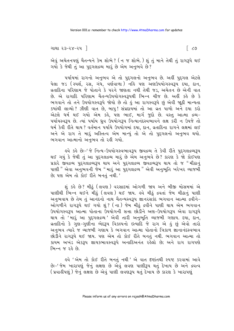```
ગાથા ૨૩−૨૪−૨૫ ∃
```
એવું અચેતનપણું ચૈતન્યને કેમ શોભે ? (ન જ શોભે.) શું તું માને તેથી તું રાગરૂપે થઈ ગયો કે જેથી તું આ પુદગલદ્રવ્ય મારૂં છે એમ અનુભવે છે?

પર્યાયમાં રાગનો અનુભવ એ તો પુદ્દગલનો અનુભવ છે. અહીં પુદ્દગલ એટલે પેલા જડ (સ્પર્શ, રસ, ગંધ, વર્ણવાળા) નહિ પણ અણઉપયોગસ્વરૂપ દયા, દાન, વ્રતાદિના પરિણામ જે પોતાને કે પરને જાણતા નથી તેથી જડ. અચેતન છે એની વાત છે. એ રાગાદિ પરિણામ ચૈતન્યઉપયોગસ્વરૂપથી ભિન્ન ચીજ છે. અહીં કહે છે કે ભગવાને તો તને ઉપયોગસ્વરૂપે જોયો છે તો કું આ રાગસ્વરૂપે છું એવી જાઠી માન્યતા <u>કચાંથી લાવ્યો? ઝીણી વાત છે. બાપ! સંપ્રદાયમાં તો આ વ્રત પાળો અને દયા કરો</u> એટલે ઘર્મ થઈ ગયો એમ કર્ક. પણ ભાઈ. માર્ગ જદો છે. વસ્ત આત્મા દ્રવ્ય− પર્યાયસ્વરૂપ છે. ત્યાં પર્યાય ઘ્રવ ઉપયોગરૂપ નિત્યાનંદસ્વભાવને લક્ષ કરી ન ઉપજે તો ધર્મ કેવી રીતે થાય ? વર્તમાન પર્યાયે ઉપયોગમાં દયા. દાન. વ્રતાદિના રાગને લક્ષમાં લઈ અને એ રાગ તે મારૂં અસ્તિત્વ એમ માન્યું તો એ તો પુદગલનો અનુભવ થયો. ભગવાન આત્માનો અનંભવ તો રહી ગયો.

૬વે કર્લ છેઃ-'જે નિત્ય-ઉપયોગસ્વભાવરૂપ જીવદ્રવ્ય તે કેવી રીતે પુદગલદ્રવ્યરૂપ થઈ ગયું કે જેથી તું આ પુદ્દગલદ્રવ્ય મારૂં છે એમ અનુભવે છે? કારણ કે જો કોઈપણ પ્રકારે જીવદ્રવ્ય પુદગલદ્રવ્યરૂપે થાય અને પુદગલદ્રવ્ય જીવદ્રવ્યરૂપ થાય તો જ "મીઠાનું પાણી " એવા અનુભવની જેમ " મારૂં આ પુદ્ગલદ્રવ્ય " એવી અનુભૂતિ ખરેખર વ્યાજબી છે; પણ એમ તો કોઈ રીતે બનતું નથી.'

શું કહે છે? મીઠું (લવણ) વરસાદમાં ઓગળી જાય અને બીજી મોસમમાં એ પાણીથી ભિન્ન થઈને મીઠું (લવણ) થઈ જાય. હવે મીઠું દ્રવતાં જેમ મીઠાનું પાણી અનુભવાય છે તેમ તું આનંદનો નાથ ચૈતન્યસ્વરૂપ જ્ઞાનરસકંદ ભગવાન આત્મા દ્રવીને-ઓગળીને રાગરૂપે થઈ ગયો શું? (ના) જેમ મીઠું દ્રવીને પાણી થાય એમ ભગવાન ઉપયોગસ્વરૂપ આત્મા પોતાના ઉપયોગની સત્તા છોડીને અણ-ઉપયોગરૂપ એવા રાગરૂપે થાય તો 'મારૂં આ પુદગલદ્રવ્ય ' એવી તારી અનુભૂતિ વ્યાજબી ગણાય. દયા, દાન, વ્રતાદિનો કે ગુણ-ગુણીના ભેદરૂપ વિકલ્પનો ઇત્યાદિ જે રાગ એ કું છું એવો તારો અનુભવ ત્યારે જ વ્યાજબી ગણાય કે ભગવાન આત્મા પોતાનો ત્રિકાળ જ્ઞાનાનંદસ્વભાવ છોડીને રાગરૂપે થઈ જાય. પણ એમ તો કોઈ રીતે બનતું નથી. ભગવાન આત્મા તો કાયમ અખંડ એકરૂપ જ્ઞાયકભાવસ્વરૂપે અનાદિઅનંત રહેલો છે; અને રાગ રાગપણે ભિન્ન જ રહે છે.

હવે 'એમ તો કોઈ રીતે બનતું નથી ' એ વાત દર્ષ્ટાતથી સ્પષ્ટ કરવામાં આવે છેઃ-' જેમ ખારાપણું જેનું લક્ષણ છે એવું લવણ પાણીરૂપ થતું દેખાય છે અને દ્રવત્વ (પ્રવાહીપણું) જેનું લક્ષણ છે એવું પાણી લવણરૂપ થતું દેખાય છે કારણ કે ખારાપણું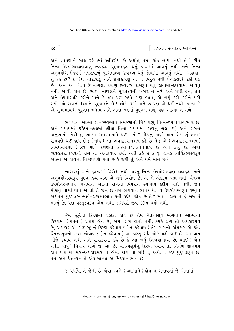∣ પ્રવચન રત્નાકર ભાગ−ર

અને દ્રવપણાને સાથે રહેવામાં અવિરોધ છે અર્થાત તેમાં કાંઈ બાધા નથી તેવી રીતે નિત્ય ઉપયોગલક્ષણવાળું જીવદ્રવ્ય પુદ્દગલદ્રવ્ય થતું જોવામાં આવતું નથી અને નિત્ય અનુપયોગ ( જડ ) લક્ષણવાળું પુદગલંદ્રવ્ય જીવદ્રવ્ય થતું જોવામાં આવતું નથી. ' અહાહા ! શું કહે છે? કે જેમ ખારાપણું અને પ્રવાહીપણું એ બે વિરૂદ્ધ નથી (એકસાથે રહી શકે છે) એમ આ નિત્ય ઉપયોગલક્ષણવાળું જીવદ્રવ્ય રાગરૂપે થતું જોવામાં-દેખવામાં આવતું નથી. આવી વાત છે, ભાઈ. માણસને મુળતત્ત્વની ખબર ન મળે અને પછી વ્રત, તપ અને ઉપવાસાદિ કરીને માને કે ધર્મ થઈ ગયો, પણ ભાઈ, એ બધું કરી કરીને મરી ગયો. એ રાગની ક્રિયાને-પુદ્દગલને કોઈ લોકો ધર્મ માને છે પણ એ ઘર્મ નથી. કારણ કે એ શુભભાવથી પુદ્દગલ બંધાય અને એના ફળમાં પુદ્દગલ મળે, પણ આત્મા ન મળે.

ભગવાન આત્મા જ્ઞાયકસ્વભાવ સમજણનો પિંડ પ્રભુ નિત્ય-ઉપયોગસ્વભાવ છે. એને પર્યાયમાં દષ્ટિમાં-લક્ષમાં લીધા વિના પર્યાયમાં રાગનું લક્ષ કર્યું અને રાગને અનુભવ્યો. તેથી શું આત્મા રાગસ્વભાવે થઈ ગયો ? મીઠાનું પાણી થાય એમ શું જ્ઞાયક રાગ પણે થઈ જાય છે? (નહિ) આ વ્યવહારરત્નત્રય કહે છે ને? એ (વ્યવહારરત્નત્રય) નિયમસારમાં (૧૨૧ મા) કળશમાં કહેવામાત્ર-કથનમાત્ર છે એમ કહ્યું છે. એવા વ્યવહારરત્નત્રયનો રાગ તો અનંતવાર કર્યો. અહીં કહે છે કે શું જ્ઞાયક નિર્વિકલ્પસ્વરૂપ આત્મા એ રાગના વિકલ્પપણે થયો છે કે જેથી તું એને ધર્મ માને છે?

ખારાપણું અને દ્રવત્વમાં વિરોધ નથી. પરંતુ નિત્ય-ઉપયોગલક્ષણ જીવદ્રવ્ય અને અનપયોગસ્વરૂપ પદગલદ્રવ્ય-રાગ એ બેને વિરોધ છે. એ બે એકરૂપ થતા નથી. ચૈતન્ય ઉપયોગસ્વભાવ ભગવાન આત્મા રાગના વિપરીત સ્વભાવે કદીય થતો નથી. જેમ મીઠાનું પાણી થાય એ તો તેં જોયું છે તેમ ભગવાન જ્ઞાયક ચૈતન્ય ઉપયોગસ્વરૂપ વસ્તુને અચેતન પુદ્દગલસ્વભાવે-રાગસ્વભાવે થતી કદીય જોઈ છે તે ? ભાઈ ! રાગ તે હું એમ તે માન્યું છે, પણ વસ્તુસ્વરૂપ એમ નથી. રાગપણે જીવ કદીય થયો નથી.

જેમ સૂર્યના કિરણમાં પ્રકાશ હોય છે તેમ ચૈતન્યસૂર્ય ભગવાન આત્માના કિરણમાં (ચેતના) પ્રકાશ હોય છે, એમાં રાગ હોતો નથી; કેમકે રાગ તો અંધકારમય છે, અંધકાર એ કાંઈ સૂર્યનું કિરણ કહેવાય ? (ન કહેવાય ) તેમ રાગનો અંધકાર એ કાંઈ ચૈતન્યસૂર્યનો અંશ કહેવાય<sup>?</sup> (ન કહેવાય) આ વસ્તુ બધે ગોટે ચઢી ગઈ છે. આ વાત બીજે કયાંય નથી અને સંપ્રદાયમાં કહે છે કે આ બધું નિશ્ચયાભાસ છે. ભાઈ ! એમ નથી. બાપુ! નિશ્ચય માર્ગ જ આ છે. ચૈતન્યસૂર્યનું કિરણ-પર્યાય તો નિર્મળ જ્ઞાનમય હોય પણ રાગમય-અંધકારમય ન હોય. રાગ તો મલિન, અચેતન જડ પુદગલરૂપ છે. तेने અને ચૈતन्यने तें એક માન્યા એ મિથ્યાત્વભાવ છે.

જે પર્યાયે, તે જેની છે એવા સ્વને (આત્માને) જ્ઞેય ન બનાવતાં જે એનામાં

 $cc$ ]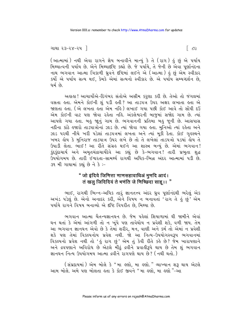```
ગાથા ૨૩–૨૪–૨૫ \exists
```
(આત્મામાં) નથી એવા રાગને જ્ઞેય બનાવીને માન્યું કે તે (રાગ) હું છું એ પર્યાય મિથ્યાત્વની પર્યાય છે. એને મિથ્યાદ્દષ્ટિ કહ્યો છે. જે પર્યાયે, તે જેની છે એવા પૂર્ણાનંદના નાથ ભગવાન આત્મા ત્રિકાળી ઘ્રુવને દષ્ટિમાં લઈને એ (આત્મા) હું છું એમ સ્વીકાર કર્યો એ પર્યાય સત્ય થઈ. કેમકે એમાં સત્યનો સ્વીકાર છે. એ પર્યાય સમ્યગ્દર્શન છે. ધર્મ છે.

અહાહા! આચાર્યોએ-દિગંબર સંતોએ અસીમ કરૃણા કરી છે. તેઓ તો જંગલમાં વસતા હતા. એમને કોઈની શું ૫ડી હતી ? આ તાડપત્ર ઉપર અક્ષર લખાતા હતા એ જાણતા હતા. (એ લખતા હતા એમ નહિ ) લખાઈ ગયા પછી કોઈ આવે તો સોંપી દઉં એમ કોઈની વાટ પણ જોવા રહેતા નહિ. અંકલેશ્વરની બાજમાં સજોદ ગામ છે. ત્યાં આપણે ગયા હતા. બહુ જાૂનું ગામ છે. ભગવાનની પ્રતિમા<sup>ં</sup> બહુ જૂની છે. આસપાસ નદીના કાંઠે હજારો તાડપાત્રોનાં ઝાડ છે. ત્યાં જોવા ગયા હતા. મનિઓ ત્યાં રહેતા અને ્ટિંગ કરી કરી હતી.<br>ઝાડ પરથી નીચે ખરી પડેલાં તાડપત્રમાં લખતા અને ત્યાં મૂકી દેતા. કોઈ ગૃહસ્થને ખબર હોય કે મુનિરાજ તાડપાત્ર ઉપર લખે છે તો તે લખેલાં તાડપત્રો પડયાં હોય તે ઉપાડી લેતા. ભાઈ! આ રીતે સંગ્રહ થઈને આ શાસ્ત્ર બન્યું છે. એમાં ભગવાન! કંદકંદાચાર્ય અને અમતચંદ્રાચાર્યદેવે આ કહ્યું છે કે-ભગવાન! તારી પ્રભુતા શુદ્ધ .<br>ઉપયોગમય છે. તારી ઈશ્વરતા-સામર્થ્ય રાગથી અધિક-ભિન્ન અંદર આત્મામાં ૫ડી છે. 39 મી ગાથામાં કહ્યું છે ને કે :-

# " जो इंदिये जिणित्ता णाणसहावाधिअं मुणदि आदं। तं खलू जिदिदियं ते भणंति जे णिच्छिदा साहू।। "

ભાઈ, રાગથી ભિન્ન-અધિક તારું જ્ઞાનતત્ત્વ અંદર ધ્રુવ પૂર્ણાનંદથી ભરેલું એક અખંડ પડેલું છે. એનો અનાદર કરી, એને વિષય ન બનાવતાં 'રાગ તે હું છું<sup>,</sup> એમ પર્યાયે રાગને વિષય બનાવ્યો એ દષ્ટિ વિપરીત છે. મિથ્યા છે.

ભગવાન આત્મા ચૈતન્યજ્ઞાનઘન છે. જેમ પહેલાં શિયાળામાં ઘી જામીને એવાં ઘન થતાં કે એમાં આંગળી તો ન ખૂંપે પણ તાવેથોય ન પ્રવેશી શકે, વળી જાય. તેમ આ ભગવાન જ્ઞાનઘન એવો છે કે તેમાં શરીર, મન, વાણી અને કર્મ તો એમાં ન પ્રવેશી શકે પણ તેમાં વિકલ્પનોય પ્રવેશ નથી. જો આ નિત્ય-ઉપયોગસ્વરૂપ ભગવાનમાં વિકલ્પનો પ્રવેશ નથી તો 'હું રાગ છું' એમ તું કેવી રીતે કહે છે? જેમ ખારાપણાને અને દ્રવપણાને અવિરોધ છે એટલે મીઠું દ્રવીને પ્રવાહીરૂપે થાય છે તેમ શું ભગવાન <u>જ્ઞાનઘન નિત્ય ઉપયોગમય આત્મા દ્રવીને રાગપણે થાય છે? (નથી થતો.)</u>

(સંપ્રદાયમાં) એમ બોલે કે "મા હણો, મા હણો." વ્યાખ્યાન શરૂ થાય એટલે આમ બોલે. અમે પણ બોલતા હતા કે કોઈ જીવને "મા હણો, મા હણો "-આ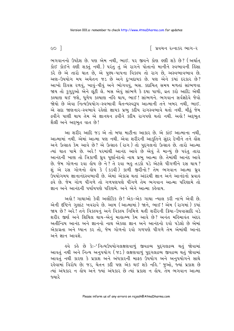િ પ્રવચન રત્નાકર ભાગ−ર

ભગવાનનો ઉપદેશ છે. પણ એમ નથી, ભાઈ. ૫૨ જીવને કોણ ઙણી શકે છે? (અર્થાત કોઈ કોઈને હણી શક્તું નથી.) પરંતુ તું એ રાગને પોતાનો માનીને સ્વભાવની હિંસા કરે છે એ તારો ઘાત છે, એ પુણ્ય-પાપના વિકલ્પ તો રાગ છે, અસ્વભાવભાવ છે. અણ-ઉપયોગ મય અચેતન જડ છે અને દુઃખદાયક છે. પણ એને કયાં દરકાર છે? આખો દિવસ રળવું, ખાવું-પીવું અને ભોગવવું, બસ. કદાચિત સમય મળતાં સાંભળવા જાય તો કુગુરૂઓ એને લૂંટી લે. બસ એવું સાંભળે કે દયા પાળો, વ્રત કરો આદિ; એથી કલ્યાણ થઈ જશે. ધળેય કલ્યાણ નહિ થાય. ભાઈ ! સાંભળને. ભગવાન સર્વજ્ઞદેવે જેવો જોયો છે એવા નિત્યઉપયોગ-સ્વભાવી ચૈતન્યસ્વરૂપ આત્માની તને ખબર નથી, ભાઈ. એ સદા જાણનાર-સ્વભાવે રહેલો જ્ઞાયક પ્રભુ કદીય રાગસ્વભાવે થતો નથી. મીઠું જેમ દ્રવીને પાણી થાય તેમ એ જ્ઞાનઘન દ્રવીને કદીય રાગપણે થતો નથી. અહો! અદ્દભુત શૈલી અને અદ્દભુત વાત છે!

આ શરીર આદિ જડ એ તો બધા માટીના આકાર છે. એ કાંઈ આત્માના નથી, આત્મામાં નથી. એમાં આત્મા પણ નથી. એવા શરીરની આકુતિને સુંદર દેખીને તને લેંશ અને ઉત્સાહ કેમ આવે છે? એ ઉત્સાહ (રાગ) તો પુદ્દગલનો ઉત્સાહ છે. તારો આત્મા ત્યાં ઘાત પામે છે. અરે! પરમાંથી આનંદ આવે છે એવું તેં માન્યું છે પરંતુ તારા આનંદની ખાણ તો ત્રિકાળી ધ્રુવ પુર્ણાનંદનો નાથ પ્રભુ આત્મા છે. તેમાંથી આનંદ આવે છે. જેમ ગોળના રવા હોય છે ને ? તે રવા બહુ તડકો પડે એટલે પીગળીને રસ થાય ? શં એ ૨સ ગોળનો કોય કે (કડવી) કાળી જીરીનો? તેમ ભગવાન આત્મા ઘ્રવ ઉપયોગમય જ્ઞાનાનંદસ્વભાવી છે. એમાં એકાગ્ર થતાં અંદરથી જ્ઞાન અને આનંદનો પ્રવાહ દ્રવે છે. જેમ ગોળ પીગળે તો ગળપણપણે પીગળે તેમ ભગવાન આત્મા પરિણામે તો જ્ઞાન અને આનંદની પર્યાયપણે પરિણમે. અને એને આત્મા કહેવાય.

અહો ! ગાથાઓ કેવી અલૌકિક છે ! એક–એક ગાથા ન્યાલ કરી નાખે એવી છે. એની દૃષ્ટિને ગુલાંટ ખવરાવે છે. આમ (આત્મામાં) જાને, ભાઈ ! એમ (રાગમાં) કયાં જાય છે? અરે! તને વિકલ્પનું અને વિકલ્પ નિમિત્તે થતી શરીરની ક્રિયા-ઉપવાસાદિ વડે શરીર જીર્ણ અને શિથિલ થાય-એનું માહાત્મ્ય કેમ આવે છે? અનંત મહિમાવંત અંદર અતીન્દ્રિય આનંદ અને જ્ઞાનનો નાથ એકલા જ્ઞાન અને આનંદનો રવો પડેલો છે એમાં એકાગ્રતા અને ધ્યાન કર તો, જેમ ગોળનો રવો ગળપણે પીગળે તેમ એમાંથી આનંદ અને જ્ઞાન આવશે.

ઙવે કર્લ છે કેઃ−'નિત્યઉપયોગલક્ષણવાળું જીવદ્રવ્ય પુદ્દગલદ્રવ્ય થતું જોવામાં આવતું નથી અને નિત્ય અનુપયોગ (જડ) લક્ષણવાળું પુદ્દગલદ્રવ્ય જીવદ્રવ્ય થતું જોવામાં આવતું નથી કારણ કે પ્રકાશ અને અંધકારની માફક ઉપયોગ અને અનુપયોગને સાથે રહેવામાં વિરોધ છે; જડ, ચેતન કદી પણ એક થઈ શકે નહિ.' જુઓ, જ્યાં પ્રકાશ છે ત્યાં અંધકાર ન લોય અને જ્યાં અંધકાર છે ત્યાં પ્રકાશ ન લોય. તેમ ભગવાન આત્મા જ્યારે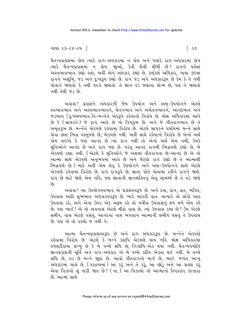#### ગાથા ૨૩−૨૪−૨૫ ∃

ચૈતન્યપ્રકાશમાં ક્ષેય ત્યારે રાગ-અંધકારમાં ન ક્ષેય અને જ્યારે રાગ-અંધકારમાં ક્ષેય ત્યારે ચૈતન્યપ્રકાશમાં ન હોય. જાુઓ, કેવી શૈલી લીધી છે? રાગને પહેલાં અસ્વભાવભાવ કહ્યો હતો, અહીં એને અંધકાર કહ્યો છે. ક્તાંકર્મ અધિકાર, ગાથા ૭૨માં રાગને અશુચિ, જડ અને દુઃખરૂપ કહ્યો છે. રાગ જડ અને અંધકારરૂપ છે કેમ કે તે નથી પોતાને જાણતો કે નથી પરને જાણતો. તે જ્ઞાન વડે જણાવા યોગ્ય છે, પણ તે જાણતો નથી તેથી જડ છે

અલલ! પ્રકાશને અંધકારની જેમ ઉપયોગ અને અણ-ઉપયોગને એટલે સ્વભાવભાવ અને અસ્વભાવભાવને, ચેતનભાવ અને અચેતનભાવને, આનંદભાવ અને જડભાવ (દુઃખમયભાવ)ને-બન્નેને એકરૂપે રહેવાનો વિરોધ છે. મોક્ષ અધિકારમાં આવે છે કે (સાઘકને) જે રાગ આવે છે એ વિષકુંભ છે. અને જે વીતરાગભાવ છે તે અમૃતકુંભ છે. બન્નેને એકપણે રહેવામાં વિરોધ છે. એટલે સાધકને પર્યાયમાં બન્ને સાથે .<br>કોવા છતાં ભિન્ન વસ્તુપણે છે, એકપણે નથી. અહીં સાથે રકેવાનો વિરોધ છે એનો અર્થ એમ લઈએ કે જ્યાં આનંદ છે ત્યાં રાગ નથી તો એનો અર્થ એમ નથી, કેમકે મુનિઓને આનંદ છે અને રાગ પણ છે. પરંતુ આનંદ રાગથી ભિન્નપણે રહ્યો છે, બે એકપણે રહ્યા નથી. (એટલે કે મુનિઓને જે અંશમાં વીતરાગતા છે-આનંદ છે એ તો આત્મા સાથે એકપણે અનુભવમાં આવે છે અને જેટલો રાગ રહ્યો છે તે આત્માથી ભિન્નષણે છે.) માટે અહી<sup>ઁ</sup> એમ લેવું કે ઉપયોગને અને અણ-ઉપયોગને સાથે એટલે એકપણે રહેવામાં વિરોધ છે. રાગ રાગરૂપે છે, જ્ઞાતા પોતે પોતામાં રહીને રાગને જાણે. રાગ છે માટે જાણે એમ નહિ, પણ જ્ઞાતાની જ્ઞાનશક્તિનું એવું સામર્થ્ય છે તે વડે જાણે  $\hat{g}$ 

અહાહા! આ ઉપયોગસ્વભાવ એ પ્રકાશસ્વરૂપ છે. અને દયા, દાન, વ્રત, ભક્તિ, ઉપવાસ આદિ શુભભાવ અંધકારસ્વરૂપ છે. ભારે આકરી વાત. અત્યારે તો લોકો આઠ ઉપવાસ કરે. અને એના ઉપર એક અક્રમ કરે તો પચીસ ઉપવાસનં ફળ મળે એમ કહે છે. પણ ભાઈ ! એ તો અપવાસ એટલે મીઠો વાસ છે. ત્યાં ઉપવાસ કયાં છે? ઉપ એટલે સમીપ, વાસ એટલે વસવું. આનંદના નાથ ભગવાન આત્માની સમીપ વસવું તે ઉપવાસ છે. પણ એ તો વસ્યો જ નથી ને.

આત્મા ચૈતન્યપ્રકાશસ્વરૂપ છે અને રાગ અંધકારરૂપ છે. બન્નેને એકપણે રહેવામાં વિરોધ છે. એટલે કે બન્ને કદાપિ એકપણે થાય નહિ. મોક્ષ અધિકારમાં કળશટીકામાં લખ્યું છે કે બે વચ્ચે સંધિ છે, નિ:સંધિ-એક થયા નથી. ચૈતન્યજ્યોતિ જ્ઞાનપ્રકાશની મૂર્તિ અને રાગ-અંધકાર એ બે વચ્ચે કદીય એક્તા થઈ નથી. બે વચ્ચે સંધિ છે, તડ છે બન્ને જાુદા છે. આવો વીતરાગનો માર્ગ છે, ભાઈ. જગત આખું અંધકારમાં ચાલે છે. ( પરદ્રવ્યમાં ) આ કરું અને તે કરું, આ છોડું અને આ ગ્રહણ કરું એવા વિકલ્પો શું તારી જાત છે? (ના.) આ વિકલ્પો તો આત્માનો તિરસ્કાર કરનારા છે આત્મા સાથે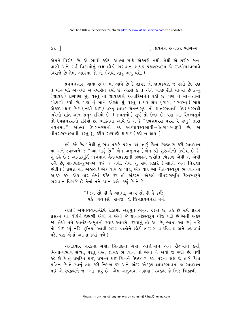$\epsilon$ ર $\overline{\epsilon}$ 

િ પ્રવચન રત્નાકર ભાગ−ર

એમને વિરોધ છે. એ ભાવો કદીય આત્મા સાથે એકપણે નથી. તેથી એ શરીર, મન, વાણી અને સર્વ વિકલ્પોનું લક્ષ છોડી ભગવાન જ્ઞાયક પ્રકાશસ્વરૂપ જે ઉપયોગસ્વભાવે વિરાજે છે તેમાં અંદરમાં જો ને. (તેથી તારૂં ભલું થશે.)

પ્રવચનસાર, ગાથા ૨૦૦ માં આવે છે કે જ્ઞાયક તો જ્ઞાયકપણે જ રહ્યો છે. પણ તેં મોહ વડે અન્યથા અઘ્યવસિત કર્યો છે. એટલે કે તેં એને બીજી રીતે માન્યો છે કે-હં (જ્ઞાયક) રાગપણે છું. વસ્ત તો જ્ઞાયકપણે અનાદિઅનંત રહી છે. પણ તેં માન્યતામાં .<br>ગોટાળો કર્યો છે. પણ તું માને એટલે શું વસ્તુ જ્ઞાયક જ્ઞેય (રાગ, પરવસ્તુ) સાથે એક્ટમ થઈ છે? (નથી થઈ) વસ્ત જ્ઞાયક ચૈતન્યસર્ય તો શાંતરસવાળો ઉપશેમરસથી ભરેલો શાંત-શાંત સમુદ્ર-દરિયો છે. (જગતનો) સૂર્ય તો ઉષ્ણ છે, પણ આ ચૈતન્યસૂર્ય તો ઉપશમરસનો દરિયો છે. ભક્તિમાં આવે છે ને કે-"ઉપશમરસ વરસે રે પ્રભ! તારા નયનમાં. " આત્મા ઉપશમરસનો કંદ અકષાયસ્વભાવી-વીતરાગસ્વરૂપી છે. એ વીતરાગસ્વભાવી વસ્તુ શું કદીય રાગપણે થાય? (કદી ન થાય.)

ઙુવે કર્ક છેઃ−' તેથી તું સર્વ પ્રકારે પ્રસન્ન થા, તારૂં ચિત્ત ઉજ્જ્વળ કરી સાવધાન થા અને સ્વદ્રવ્યને જ "આ મારૂં છે" એમ અનુભવ (એમ શ્રી ગુરુઓનો ઉપદેશ છે.)' શું કહે છે? આનંદમૂર્તિ ભગવાન ચૈતન્યપ્રકાશની ઝળહળ જ્યોતિ ત્રિકાળ એવી ને એવી રહી છે, રાગપણે-દુઃખપણે થઈ જ નથી. તેથી તું સર્વ પ્રકારે (ગ્લાનિ અને નિરાશા છોડીને ) પ્રસન્ન થા. અહાહા ! એક વાર હા પાડ, એક વાર આ ચૈતન્યસ્વરૂપ ભગવાનનો આદર કર. એક વાર તેમાં દષ્ટિ કર તો અંદરમાં એકલી વીતરાગમર્તિ જિનસ્વરૂપે ભગવાન વિરાજે છે તેનાં તને દર્શન થશે. કહ્યું છે ને કે :-

> " જિન સો હી હૈ આત્મા, અન્ય સો હી હૈ કર્મ; <u>ય</u> કે વચનસે સમજ લે જિનપ્રવચનકા મર્મ."

અલે! અમૃતચંદ્રાચાર્યદેવે ટીકામાં અદ્દભુત અમૃત રેડયાં છે. કહે છે સર્વ પ્રકારે પ્રસન્ન થા. વીર્યને ઉછાળી એવી ને એવી જે જ્ઞાનાનંદસ્વરૂપ ચીજ ૫ડી છે એની અંદર જા. તેથી તને આનંદ-અમૃતનો સ્વાદ આવશે. કરવાનું તો આ છે, ભાઈ. આ કર્યું નહિ તો કાંઈ કર્યું નહિ. દુનિયા આવી સરસ વાતોને છોડી તકરાર, વાદવિવાદ અને ઝઘડામાં પડે. પણ એમાં આત્મા કર્યા મળે?

અનંતવાર નરકમાં ગયો, નિગોદમાં ગયો, આર્તઘ્યાન અને રૌદ્રઘ્યાન કર્યાં, મિથ્યાત્વભાવ સેવ્યા, પરંતુ વસ્તુ જ્ઞાયક ભગવાન તો એવો ને એવો જ રહ્યો છે. તેથી se છે કે તું પ્રમુદિત થઈ, પ્રસન્ન થઈ ચિત્તને ઉજ્જ્વળ કર. પરના લક્ષે જે તારૂં ચિત્ત મલિન છે તે સ્વનું લક્ષ કરી નિર્મળ કર અને અંદર એકરૂપ જ્ઞાયકભાવમાં જ સાવધાન થઈ એ સ્વદ્રવ્યને જ 'આ મારૂં છે' એમ અનુભવ. અલલ! સ્વદ્રવ્ય જે નિજ ત્રિકાળી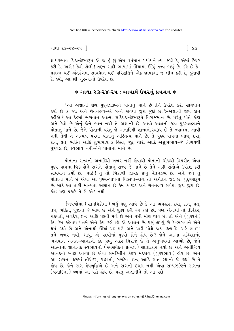જ્ઞાયકભાવ ચિદાનંદસ્વરૂપ એ જ હું છું એમ વર્તમાન પર્યાયને ત્યાં જડી દે, એમાં સ્થિર કરી દે. અલે! કેવી શૈલી! તદ્દન સાદી ભાષામાં ઊંચામાં ઊંચું તત્ત્વ ભર્યું છે. કહે છે કે-પ્રસન્ન થઈ અંતરંગમાં સાવધાન થઈ પરિણતિને એક જ્ઞાયકમાં જ લીન કરી દે, ડુબાવી દે. લ્યો. આ શ્રી ગુરુઓનો ઉપદેશ છે.

# $*$  ગાથા ૨૩-૨૪-૨૫ : ભાવાર્થ ઉપરનું પ્રવચન  $*$

'આ અજ્ઞાની જીવ પુદ્દગલદ્રવ્યને પોતાનું માને છે તેને ઉપદેશ કરી સાવધાન કર્યો છે કે જડ અને ચેતનદ્રવ્ય-એ બન્ને સર્વથા જુદાં જુદાં છે.' -અજ્ઞાની જીવ કોને કઢીએ ? આ દેહમાં ભગવાન આત્મા સચ્ચિદાનંદસ્વરૂપે વિરાજમાન છે. પરંતુ પોતે કોણ અને કેવો છે એનું જેને ભાન નથી તે અજ્ઞાની છે. આવો અજ્ઞાની જીવ પુદ્ગલદ્રવ્યને પોતાનું માને છે. જેને પોતાની વસ્તુ જે અનાદિથી જ્ઞાનાનંદસ્વરૂપ છે તે ખ્યાલમાં આવી નથી તેથી તે અન્યત્ર પરમાં પોતાનું અસ્તિત્વ માને છે. તે પુણ્ય-પાપના ભાવ, દયા, દાન, વ્રત, ભક્તિ આદિ શુભભાવ કે કિંસા, જૂઠ, ચોરી આદિ અશુભભાવ−જે નિશ્ચયર્થી પદગલ છે. સ્વભાવ નથી-તેને પોતાના માને છે.

પોતાના સત્ત્વની અનાદિથી ખબર નહીં લેવાથી પોતાની ચીજથી વિપરીત એવા પુણ્ય-પાપના વિકલ્પોને-રાગને પોતાનું સત્ત્વ જે માને છે તેને અહીં સંતોએ ઉપદેશ કરી ું.<br>સાવધાન કર્યો છે. ભાઈ ! તું તો ત્રિકાળી જ્ઞાયક પ્રભુ ચેતનદ્રવ્ય છે. અને જેને તું પોતાના માને છે એવા આ પુણ્ય-પાપના વિકલ્પો-રાગ તો અચેતન જડ છે, પુદ્ગલરૂપ છે. માટે આ તારી માન્યતા અજ્ઞાન છે કેમ કે જડ અને ચેતનદ્રવ્ય સર્વથા જુદા જુદા છે, કોઈ પણ પ્રકારે તે બે એક નથી

જૈનપત્રોમાં ( સામયિકોમાં ) બધું ઘણું આવે છે કે−આ વ્યવહાર, દયા, દાન, વ્રત, તપ, ભક્તિ, પૂજાના જે ભાવ છે એને પુણ્ય કઢી હેય કહો છો. પણ એનાથી તો તીર્થંકર, ચક્રવર્તી, બળદેવ, ઇન્દ્ર આદિ પદવી મળે છે અને પછી મોક્ષ થાય છે. તો એને (પુણ્યને) ફેય કેમ કફેવાય ? તમે એને ફેય કફો છો એ અજ્ઞાન છે. ઘણું લખ્યું છે કે-ભગવાને એને ધર્મ કહ્યો છે અને એનાથી ઊંચાં ૫દ મળે અને ૫છી મોક્ષે જાય ઇત્યાદિ. અરે ભાઈ! તને ખબર નથી, બાપુ. એ પદવીનાં પુણ્યો કોને હોય છે? જેને આત્મા સચ્ચિદાનંદ ભગવાન અનંત-આનંદનો કંદ પ્રભુ અંદર વિરાજે છે તે અનુભવમાં આવ્યો છે, જેને આત્માના જ્ઞાનાનંદ સ્વભાવનો (સ્વસંવેદન પ્રત્યક્ષ) સાક્ષાત્કાર થયો છે અને અતીન્દ્રિય આનંદનો સ્વાદ આવ્યો છે એવા સમક્તિીને કંઈક મંદરાગ (પુણ્યભાવ) હોય છે. એને આ રાગના ફળમાં તીર્થકર, ચક્રવર્તી, બળદેવ, ઇન્દ્ર આદિ સાત સ્થાનો જે કહ્યાં છે તે હોય છે. જેને રાગ હેયબુદ્ધિએ છે અને રાગની ઇચ્છા નથી એવા સમ્યગ્દષ્ટિને રાગના (વ્રતાદિના) ફળમાં આ પદો હોય છે. પરંત અજ્ઞાનીને તો આ પદો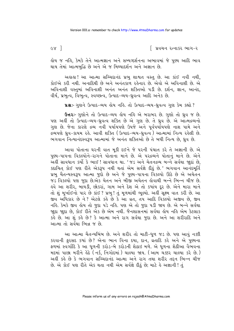∣િ પ્રવચન રત્નાકર ભાગ−ર

હોય જ નહિ, કેમકે તેને આત્મજ્ઞાન અને સમ્યગ્દર્શનના અભાવમાં જે પુણ્ય આદિ ભાવ થાય તેમાં આત્મબદ્ધિ છે અને એ જ મિથ્યાદર્શન અને અજ્ઞાન છે.

અહાહા! આ આત્મા સચ્ચિદાનંદ પ્રભુ શાશ્વત વસ્તુ છે. આ કાંઈ નવી નથી, કોઈએ કરી નથી. અનાદિથી છે અને અનંતકાળ રહેનાર છે. એવો એ અવિનાશી છે. એ અવિનાશી વસ્તુમાં અવિનાશી અનંત અનંત શક્તિઓ પડી છે. દર્શન, જ્ઞાન, આનંદ, વીર્ય, પ્રભુત્વ, વિભુત્વ, સ્વચ્છત્વ, ઉત્પાદ-વ્યય-ધ્રુવત્વ આદિ અનેક છે.

u& :- ગુણને ઉત્પાદ-વ્યય હોય નહિ. તો ઉત્પાદ-વ્યય-ધ્રુવત્વ ગુણ કેમ કહ્યો?

**ઉત્તર**:- ગુણોને તો ઉત્પાદ-વ્યય હોય નહિ એ બરાબર છે. ગુણો તો ધ્રુવ જ છે. પણ અહીં તો ઉત્પાદ-વ્યય-ઘ્રુવત્વ શક્તિ છે એ ગુણ છે. તે ઘ્રુવ છે. એ ઑત્મદ્રવ્યનો ગુણ છે. જેના કારણે દ્રવ્ય નવી પર્યાયપણે ઉપજે અને પૂર્વપર્યાયપણે નાશ પામે અને દ્રવ્યપણે ઘ્રવ−કાયમ રહે. આવી શક્તિ (ઉત્પાદ−વ્યય−ઘ્રવત્વ) આત્મામાં નિત્ય રહેલી છે. ભગવાન નિત્યાનંદસ્વરૂપ આત્મામાં જે અનંત શક્તિઓ છે તે બધી નિત્ય છે. ધ્રુવ છે.

આવા પોતાના ઘરની વાત મૂકી દઈને જે પરની પંચાત કરે તે અજ્ઞાની છે. એ પુણ્ય-પાપના વિકલ્પોને-રાગને પોતાના માને છે. એ પરદ્રવ્યને પોતાનું માને છે. એને .<br>અહીં સાવધાન કર્યો કે ભાઈ ! સાવધાન થા. 'જડ અને ચેતનદ્રવ્ય બન્ને સર્વથા જાદાં છે. કદાચિત કોઈ પણ રીતે એકરૂપ નથી થતાં એમ સર્વજ્ઞે દીઠું છે.' ભગવાન આનંદમર્તિ પ્રભ ચૈતન્યસ્વરૂપ આત્મા જદો છે અને જે પુણ્ય-પાપના વિકલ્પો ઊઠે છે એ અચેતન જડ વિકલ્પો પણ જુદા છે.એક ચેતન અને બીજી અચેતન હોવાથી બન્ને ભિન્ન ચીજ છે. હવે આ શરીર, બાયડી, છોકરાં, ગામ અને દેશ એ તો કયાંય દૂર છે. એને મારા માને તો શું મૂર્ખાઈનો પાર છે કાંઈ ? પ્રભુ ! તું મૂળમાંથી ભૂલ્યો. અહીં સૂક્ષ્મ વાત કરી છે. આ જીવ અધિકાર છે ને? એટલે કર્લ્ડ છે કે આ વ્રત, તેમ આદિ વિકલ્પો અજીવ છે, જીવ નહિ. કેમકે જીવ હોય તો જુદા ૫ડે નહિ. ૫ણ એ તો જુદા ૫ડી જાય છે. એ બન્ને સર્વથા જાદા જાદા છે, કોઈ રીતે એક છે એમ નથી. જૈનશાસનમાં સર્વથા હોય નહિ એમ કેટલાક .<br>કર્લ્ડ છે. આ શું કર્લ્ડ છે? કે આત્મા અને રાગ સર્વથા જુદા છે. અને આ શરીરાદિ અને આત્મા તો સર્વથા ભિન્ન જ છે.

આ આત્મા ચૈતન્યબિંબ છે. અને શરીર તો માટી-ધૂળ જડ છે. પણ આવું નક્કી કરવાની ફરસદ કયાં છે? એના ભાન વિના દયા, દાન, વ્રતાદિ કરે અને એ પુણ્યના ફળમાં સ્વર્ગાદિ કે આ ધુળની કરોડ-બે કરોડની શેઠાઇ મળે. એ ધુળના શેઠીઆ વૈભવના મદમાં પાછા મરીને હેઠે (નર્ક, નિગોદમાં) ચાલ્યા જાય. (આમ ચેક્કર ચાલ્યા કરે છે.) અહીં કહે છે કે ભગવાન સચ્ચિદાનંદ આત્મા અને રાગ તથા શરીર તદ્દન ભિન્ન ચીજ છે. એ કોઈ પણ રીતે એક થતા નથી એમ સર્વજ્ઞે દીઠું છે; માટે હે અજ્ઞાની ! તું

 $c\mathbf{v}$  |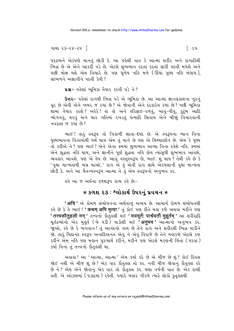પરદ્રવ્યને એકપણે માનવું છોડી દે. આ પહેલી વાત કે આત્મા શરીર અને રાગાદિથી ભિન્ન છે એ એને આકરી પડે છે. એટલે શુભભાવ કરતાં કરતાં સારી પદવી મળશે અને પછી મોક્ષ થશે એમ વિચારે છે. પણ ધુળેય નહિ મળે (ઊંચાં પુણ્ય નહિ બંધાય), સાંભળને અજ્ઞાનીને પદવી કેવી ?

ua :- પહેલાં ભૂમિકા તૈયાર કરવી પડે ને?

ઉત્તરઃ- પહેલાં રાગથી ભિન્ન પડે એ ભૂમિકા છે. આ આત્મા જ્ઞાનપ્રકાશના નૂરનું પુર છે એવી એને ખબર જ કયાં છે? એ જોવાની એને દરકારેય કયાં છે? પછી ભુમિકા શામાં તૈયાર કરશે ? અરેરે ! હા હો અને હરિફાઈ-રળવું, ખાવું-પીવું, કુટુંબ આદિ ભોગવવું, મરવું અને ચાર ગતિમાં રખડવું ઇત્યાદિ સિવાય એને બીજ઼ાં વિચારવાની નવરાશ જ કર્યા છે?

ભાઈ! તારૂં સ્વરૂપ તો ત્રિકાળી જ્ઞાતા-દષ્ટા છે. એ સ્વરૂપના ભાન વિના પુણ્યભાવના વિકલ્પોથી ધર્મ થાય એમ તું માને છે પણ એ મિથ્યાદર્શન છે. એમ કે પુણ્ય તો કરીએ ને ? પણ ભાઈ ! એને એના ક્રમમાં શભભાવ આવ્યા વિના રહેશે નહિ. ક્રમમાં એને શુદ્ધતા નહિ થાય, અને જ્ઞાનીને પૂર્ણ શુદ્ધતા નહિ હોય ત્યાંસુધી શુભભાવ આવશે, વ્યવહાર આવશે. પણ એ હેય છે. આવું વસ્તુસ્વરૂપ છે, ભાઈ. શું થાય ? તેથી કહે છે કે ' વૃથા માન્યતાથી બસ થાઓ.' રાગ એ હું એવી રાગ સાથે એકપણાની વૃથા માન્યતા છોડી દે. અને આ ચૈતન્યસ્વરૂપ આત્મા તે હું એમ સ્વરૂપનો અનુભવ કર.

§વે આ જ અર્થના કળશરૂપ કાવ્ય કહે છેઃ−

## $*$  કળશ ૨૩ : શ્લોકાર્થ ઉપરનું પ્રવચન  $*$

' अयि ' એ કોમળ સંબોધનના અર્થવાળું અવ્યય છે. આચાર્ય કોમળ સંબોધનથી કહે છે કે હે ભાઈ! ' कथम अपि मृत्वा ' તું કોઈ પણ રીતે મહા કષ્ટે અથવા મરીને પણ ' तत्त्वकौतुहली मन् ' तत्त्वनो डोतुङली थर्छ ' भवमूर्ते: पार्श्ववर्ती मुहूर्तम् ' આ शरीराहि મૂર્તદ્રવ્યોનો એક મુકૂર્ત (બે ઘડી) પાડોશી થઈ **'अनुभव '** આત્માનો અનુભવ કર. જાઓ, કહે છે કે ભગવાન! તું આનંદનો નાથ છે તેને રાગ અને શરીરથી ભિન્ન પાડીને ું...,<br>જો. તારું ચિદાનંદ સ્વરૂપ અનાદિઅનંત એવું ને એવું વિરાજે છે તેને મહાકષ્ટે એટલે કષ્ટ કરીને એમ નહિ પણ મહાન પુરુષાર્થ કરીને. મરીને પણ એટલે મરણની ચિંતા (પરવા) કર્યા વિના તું તત્ત્વનો કૌતુ લી થા.

અહાહા ! આ ' આત્મા, આત્મા ' એમ કર્યા કરે છે એ ચીજ છે શું ? કોઈ દિવસ જોઈ નથી એ ચીજ શું છે? એક વાર કૌતુ લ તો કર. નવી ચીજ જોવાનું કૌતુ લ કરે છે ને ? એમ એને જોવાનું એક વાર તો કૌતુકલ કર. ઘણા વર્ષની વાત છે. એક રાણી કતી. એ ઓઝલમાં (૫ડદામાં) રકેતી. જ્યારે બહાર નીકળે ત્યારે લોકો કુતૂકલથી

િલ્પ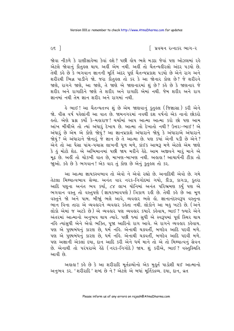$\epsilon$ s ]

િ પ્રવચન રત્નાકર ભાગ−ર

જોવા નીકળે કે રાણીસાહેબા કેવાં હશે ? પછી હોય ભલે મડદા જેવાં પણ ઓઝલમાં રહે એટલે જોવાનું કૌતુહલ થાય. અહીં એમ નથી. અહીં તો ચૈતન્યહીરલો અંદર ૫ડયો છે. તેથી કહે છે કે ભગવાન જ્ઞાનની મૂર્તિ અંદર પૂર્ણ ચૈતન્યપ્રકાશ પડયો છે એને રાગ અને શરીરથી ભિન્ન પાડીને જો. જરા કૌતુલ્લ તો કર કે આ જોનાર કોણ છે? જે શરીરને જાણે, રાગને જાણે, આ જાણે, તે જાણે એ જાણનારમાં શું છે? કહે છે કે જાણનાર જે શરીર અને રાગાદિને જાણે તે શરીર અને રાગાદિ એમાં નથી. જેમ શરીર અને રાગ જ્ઞાનમાં નથી તેમ જ્ઞાન શરીર અને રાગમાં નથી

હે ભાઈ ! આ ચૈતન્યતત્ત્વ શું છે એમ જાણવાનું <u>કુત</u>્હલ (જિજ્ઞાસા ) કરી એને જો. વીસ વર્ષ પહેલાંની આ વાત છે. જામનગરમાં નવથી દેશ વર્ષનો એક નાનો છોકરો ફતો. એણે પ્રશ્ન કર્યો કે–મફારાજ! ચર્ચામાં આપ આત્મા આત્મા કરો છો પણ આમ આંખ મીંચીએ તો ત્યાં અંધારૂં દેખાય છે. આત્મા તો દેખાતો નથી ? ઉત્તરઃ-ભાઈ ! એ અંધારું છે એમ એ કોણે જોયું? આ જ્ઞાનપ્રકાશે અંધારાને જોયું કે અંધારાએ અંધારાને જોયું ? એ અંધારાને જોનારું જે જ્ઞાન છે તે આત્મા છે. પણ કયાં એની પડી છે એને ? એને તો આ પૈસા પાંચ-પચાસ લાખની ધૂળ મળે, કાંઈક આબરૂ મળે એટલે એમ જાણે કે હું મોટો શેઠ. એ અભિમાનમાં પછી જાય મરીને હેઠે. આમ અજીવને મારૂં માને એ મૂઢ છે. અહીં તો ચોકખી વાત છે, માખણ-બાખણ નથી. અહાહા ! આચાર્યની ટીકા તો જાઓ. કહે છે કે ભગવાન! એક વાર તું કોણ છે એનું કુતુહલ તો કર.

આ આત્મા જ્ઞાયકસ્વભાવ તો એવો ને એવો રહ્યો છે. અનાદિથી એવો છે. ગમે તેટલા મિથ્યાત્વભાવ સેવ્યા. અનંત વાર નરક-નિગોદમાં ગયો, કીડા, કાગડા, કૂતરા આદિ પશુના અનંત ભવ કર્યા, ૮૪ લાખ યોનિમાં અનંત પરિભ્રમણ કર્યું પણ એ ભગવાન વસ્તુ તો વસ્તુપણે (જ્ઞાયકભાવપણે) ત્રિકાળ રહી છે. તેથી કહે છે આ મૂળ વસ્તુને જો અને પામ. બીજાું ભલે આવે, વ્યવહાર ભલે હો. જ્ઞાનાનંદસ્વરૂપ વસ્તુના ભાન વિના તારા એ વ્યવહારને વ્યવહાર કહેતા નથી. લોકોને આ બહુ ખટકે છે. (અને લોકો એમાં જ અટકે છે) એ વ્યવહાર પણ વ્યવહાર કયારે કહેવાય, ભાઈ ? જ્યારે એને અંતરમાં આત્માનો અનુભવ થાય ત્યારે. ૫છી જ્યાં સુધી એ સ્વરૂપમાં પૂર્ણ સ્થિર થાય નહિ ત્યાંસુધી એને એવો ભક્તિ, પૂજા આદિનો રાગ આવે. એ રાગને વ્યવહાર કહેવાય. પણ એ પુણ્યબંધનું કારણ છે, ધર્મ નહિ. એનાથી ચક્રવર્તી, બળદેવ આદિ પદવી મળે. પણ એ પુણ્યબંધનું કારણ છે, ધર્મ નહિ. એનાથી ચક્રવર્તી, બળદેવ આદિ પદવી મળે. પણ અજ્ઞાની એકલાં દયા, દાન આદિ કરી એને ધર્મ માને તો એ તો મિથ્યાત્વનું સેવન છે. એનાથી તો પરંપરાએ હેઠે (નરક-નિગોદે) જાય. શું કરીએ, ભાઈ? વસ્તુસ્થિતિ આવી છે.

અહાહા ! કહે છે કે આ શરીરાદિ મૂર્તદ્રવ્યોનો એક મુહૂર્ત પાડોશી થઈ આત્માનો અનુભવ કર. 'શરીરાદિ' શબ્દ છે ને ? એટલે એ બધાં મૂર્તિકદ્રવ્ય. દયા, દાન, વ્રત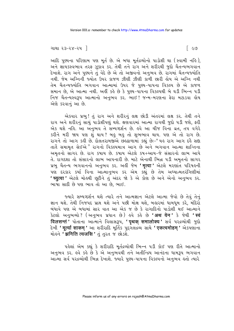#### ગાથા ૨૩−૨૪−૨૫ ∃

આદિ પુણ્યના પરિણામ પણ મૂર્ત છે. એ બધા મૂર્તદ્રવ્યોનો પાડોશી થા (સ્વામી નહિ), અને જ્ઞાયકસ્વભાવ તરફ ઝૂકાવ કર. તેથી તને રાગ અને શરીરથી જુદો ચૈતન્યભગવાન <u>દેખાશે. રાગ અને પુણ્યને તું વેદે છે એ તો અજીવનો અનુભવ છે. રાગમાં ચૈતન્યજ્યોતિ</u> નથી. જેમ અગ્નિની જ્યોત ઉપર કાજળ ઝીણી ઝીણી કાળી છારી લોય એ અગ્નિ નથી તેમ ચૈતન્યજ્યોતિ ભગવાન આત્મામાં ઉપર જે પણ્ય-પાપના વિકલ્પ છે એ કાજળ સમાન છે, એ આત્મા નથી. અહીં કહે છે કે પુણ્ય-પાપના વિકલ્પથી બે ઘડી ભિન્ન પડી નિજ ચૈતન્યસ્વરૂપ આત્માનો અનભવ કર. ભાઈ! જન્મ-મરણના કેરા મટાડવા લોય એણે કરવાનું આ છે.

એકવાર પ્રભુ! તું રાગ અને શરીરનું લક્ષ છોડી અંતરમાં લક્ષ કર. તેથી તને રાગ અને શરીરનું સાચું પાડોશીપણું થશે. ક્ષણવારમાં આત્મા રાગથી જુદો ૫ડી જશે, કરી એક થશે નહિ. આ અનુભવ તે સમ્યગ્દર્શન છે. હવે આ ચીજ વિના વ્રત, તપ વગેરે કરીને મરી જાય પણ શું થાય? બહુ બહુ તો શુભભાવ થાય. પણ એ તો રાગ છે. રાગને તો આગ કઢી છે. દોલતરામજીએ છેલ્ઢાળામાં કહ્યું છેઃ-"યહ રાગ આગ દહૈ સદ્દા તાતે સમામૃત સેઈએ" રાગનો વિકલ્પમાત્ર આગ છે અને ભગવાન આત્મા શાન્તિના અમૃતનો સાગર છે. રાગ કપાય છે. કપાય એટલે કપ+આય−જે સંસારનો લાભ આપે તે. રાગદશા તો સંસારનો લાભ આપનારી છે. માટે એનાથી ભિન્ન પડી અમૃતનો સાગર પ્રભુ ચૈતન્ય ભગવાનનો અનુભવ કર. અહીં જેમ **'मृत्वा '** એટલે મરણાંત પરિષઙની પણ દરકાર કર્યા વિના આત્માનુભવ કર એમ કહ્યું છે તેમ અઘ્યાત્મતરંગિણીમાં **' च्युत्वा '** એટલે મોહથી છુટીને તુ<sup>ઁ</sup> અંદર જો કે એ કોણ છે અને એનો અનુભવ કર. ભાષા સાદી છે પણ ભાવ તો આ છે. ભાઈ.

જ્યારે સમ્યગ્દર્શન થશે ત્યારે તને આત્મજ્ઞાન એટલે આત્મા જેવો છે તેવું તેનું જ્ઞાન થશે. તેથી નિજપદ પ્રાપ્ત થશે અને પછી મોક્ષ થશે, બહારમાં ધામધૂમ કરે, મંદિરો બંધાવે પણ એ બધામાં સાર વાત આ એક જ છે કે રાગાદિનો પાડોશી થઈ આત્માને કેટલો અનુભવ્યો ? (અનુભવ પ્રધાન છે) હવે કહે છે '**अथ येन'** કે જેથી 'स्वं દેખી ' मूर्त्या साकम् ' આ શરીરાદિ મૂર્તિક પુદ્ગલદ્રવ્ય સાથે ' एकत्वमोहम् ' એકપણાના મોર્લ્ન 'झगिति त्यजसि ' ત તરત જ છોડશે.

પહેલાં એમ કહ્યું કે શરીરાદિ મૂર્તદ્રવ્યોથી ભિન્ન પડી કોઈ પણ રીતે આત્માનો અનુભવ કર. હવે કહે છે કે એ અનુભવથી તને અતીન્દ્રિય આનંદના ધામરૂપ ભગવાન ...<br>આત્મા સર્વ ૫૨૬વ્યોથી ભિન્ન દેખાશે. જ્યારે પુણ્ય-પાપના વિકલ્પનો અનુભવ કતો ત્યારે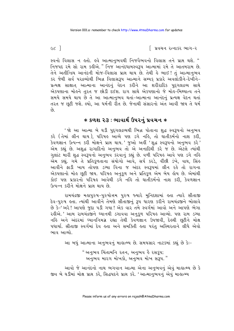િ પ્રવચન રત્નાકર ભાગ−ર

સ્વનો વિલાસ ન હતો. હવે આત્માનુભવથી નિજવૈભવનો વિલાસ તને પ્રાપ્ત થશે. " નિજપદ રમે સો રામ કહીએ." નિજ આનંદધામસ્વરૂપ આત્મામાં રમે તે આતમરામ છે. તેને અતીન્દ્રિય આનંદની મોજ-વિલાસ પ્રાપ્ત થાય છે. તેથી કે ભાઈ! તું આત્માનુભવ કર જેથી સર્વ પરદ્રવ્યોથી ભિન્ન વિલાસરૂપ આત્માને સમ્યક પ્રકારે અવલોકીને-દેખીને-પ્રત્યક્ષ સાક્ષાત્ આત્માના આનંદનું વેદન કરીને આ શરીરાદિક પુદ્ગલદ્રવ્ય સાથે એકપણાના મોહને તરત જ છોડી દઈશ. રાગ સાથે એકપણાનો જે મોહ-મિથ્યાત્વ તને સમયે સમયે થાય છે તે આ આત્માનુભવ થતાં-આત્માના આનંદનું પ્રત્યક્ષ વેદન થતાં તરત જ છૂટી જશે. લ્યો, આ ધર્મની રીત છે. જેનાથી સંસારનો અંત આવી જાય તે ધર્મ  $\hat{\rho}_3$ 

## ∗ કળશ ૨૩ : ભાવાર્થ ઉપરનું પ્રવચન ∗

'જો આ આત્મા બે ઘડી પુદગલદ્રવ્યથી ભિન્ન પોતાના શુદ્ધ સ્વરૂપનો અનુભવ કરે (તેમાં લીન થાય), પરિષઙ આવ્યે પણ ડગે નઙિ, તો ઘાતીકર્મનો નાશ કરી, .<br>કેવળજ્ઞાન ઉત્પન્ન કરી મોક્ષને પ્રાપ્ત થાય.' જુઓ અહીં 'શુદ્ધ સ્વરૂપનો અનુભવ કરે<sup>.</sup>' એમ કહ્યું છે. અશુદ્ધ રાગાદિનો અનુભવ તો એ અનાદિથી કરે જ છે. એટલે ત્યાંથી ગલાંટ મારી શહ્ન સ્વરૂપનો અનુભવ કરવાનું કહ્યું છે. વળી પરિષ્ઠ આવે પણ ડગે નહિ એમ કહ્યું. ગમે તે પ્રતિકૂળતાના સંયોગો આવે, સર્પ કરડે, વીંછી ડંખે, વાઘ, સિંહ આવીને ફાડી ખાય તોપણે ડગ્યા વિના જ અંદર સ્વરૂપમાં લીન રહે તો રાગના એકપણાનો મોલ છુટી જાય. પરિષલ અનુકળ અને પ્રતિકળ એમ બેય લોય છે. એમાંથી કોઈ પણ પ્રકારનો પરિષહ આવેથી ડગે નહિ તો ઘાતીકર્મનો નાશ કરી. કેવળજ્ઞાન ઉત્પન્ન કરીને મોક્ષને પ્રાપ્ત થાય છે.

રામચંદ્રજી મહાપુરુષ-પુરુષોત્તમ પુરુષ જ્યારે મુનિદશામાં હતા ત્યારે સીતાજી દેવ-પુરુષ હતા. ત્યાંથી આવીને તેમણે સીતાજીનું રૂપ ધારણ કરીને રામચંદ્રજીને બોલાવે છે કે–' અરે ! આપણે જુદા પડી ગયા ! એક વાર તમે સ્વર્ગમાં આવો અને આપણે ભેગા રઙીએ.' આમ રામચંદ્રજીને ધ્યાનથી ડગાવવા અનકળ પરિષઙ આવ્યો. પણ રામ ડગ્યા નહિ અને અંદરમાં ધ્યાનનિમગ્ન રહ્યા તેથી કેવળજ્ઞાન ઉપજાવી, દેહથી છુટીને મોક્ષ પધાર્યા. સીતાજી સ્વર્ગમાં દેવ હતા અને સમક્તિી હતા પરંતુ અસ્થિરતાને લીધે એવો ભાવ આવ્યો

આ બધં આત્માના અનુભવનું માહાત્મ્ય છે. સમયસાર નાટકમાં કહ્યું છે કેઃ-

"અનુભવ ચિંતામનિ રતન, અનુભવ હૈ રસકૂપ; અનુભવ મારગ મોખકો, અનુભવ મોખ સરૂપ."

આવો જે આનંદનો નાથ ભગવાન આત્મા એના અનુભવનું એવું માહાત્મ્ય છે કે જીવ બે ઘડીમાં મોક્ષ પ્રાપ્ત કરે, સિદ્ધપદને પ્રાપ્ત કરે. 'આત્માનુભવનું એવું માહાત્મ્ય

 $cc$ ]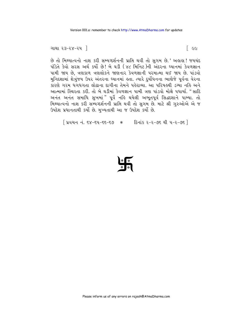$[$  ee

```
ગાથા ૨૩−૨૪−૨૫ ∃
```
છે તો મિથ્યાત્વનો નાશ કરી સમ્યગ્દર્શનની પ્રાપ્તિ થવી તો સુગમ છે.' અહાહા! જયચંદ પંડિતે કેવો સરસ અર્થ કર્યો છે! બે ઘડી (૪૮ મિનિટ)ની અંદરના ઘ્યાનમાં કેવળજ્ઞાન પામી જાય છે, ત્રણકાળ ત્રણલોકને જાણનાર કેવળજ્ઞાની પરમાત્મા થઈ જાય છે. પાંડવો મુનિદશામાં શેત્રુંજય ઉપર અંતરના ધ્યાનમાં હતા. ત્યારે દુર્યોધનના ભાણેજે પૂર્વના વેરના કારણે ગરમ ધગધગતા લોઢાના દાગીના તેમને પહેરાવ્યા. આ પરિષ્હથી ડગ્યા નહિ અને આત્મામાં સ્થિરતા કરી. તો બે ઘડીમાં કેવળજ્ઞાન પામી ત્રણ પાંડવો મોક્ષે પધાર્યા. "સાદિ અનંત અનંત સમાધિ સુખમાં "પૂર્વે નહિ થયેલી અભૂતપૂર્વ સિદ્ધદશાને પામ્યા. તો મિથ્યાત્વનો નાશ કરી સમ્યગ્દર્શનની પ્રાપ્તિ થવી તો સુગમ છે. માટે શ્રી ગુરુઓએ એ જ ઉપદેશ પ્રધાનતાથી કર્યો છે. મુખ્યતાથી આ જ ઉપદેશ કર્યો છે.

[ પ્રવચન નં. ૬૪-૬૫-૬૬-૬૭ \* દિનાંક ૨-૨-૭૬ થી ૫-૨-૭૬ ]

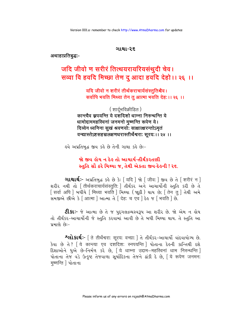#### ગાથા-ર૬

#### अथाहाप्रतिबद्ध:-

# जदि जीवो ण सरीरं तित्थयरायरियसंथुदी चेव। सव्वा वि हवदि मिच्छा तेण दु आदा हवदि देहो।। २६ ।।

### यदि जीवो न शरीरं तीर्थकराचार्यसंस्तुतिश्चैव। सर्वापि भवति मिथ्या तेन तू आत्मा भवति देह: ।। २६ ।।

(शार्द्भविक्रीडित) कान्त्यैव स्नपयन्ति ये दशदिशो धाम्ना निरुन्धन्ति ये धामोद्दाममहस्विनां जनमनो मुष्णन्ति रूपेण ये। दिव्येन ध्वनिना सूखं श्रवणयोः साक्षात्क्षरन्तोऽमृतं वन्द्यास्तेऽष्टसहस्रलक्षणधरास्तीर्थेश्वराः सूरयः ।। २४ ।।

इવે અપ્રતિબુદ્ધ જીવ કર્કે છે તેની ગાથા કર્કે છે:-

## જો જીવ હોય ન દેહ તો આચાર્ય-તીર્થંકરતણી સ્તુતિ સૌ ઠરે મિથ્યા જ. તેથી એકતા જીવ-દેહની ! ર૬.

**ગાથાર્થ:-** અપ્રતિબદ્ધ કહે છે કે: [ यदि ] જો [ जीव: ] જીવ છે તે [ शरीरं न ] शरीर नथी तो निर्थिकराचार्यसंस्तुतिः । तीर्थंडर अने आयार्थोनी स्तुति sरी છे ते [ सर्वा अपि ] બઘીયે [ मिथ्या भवति ] मिथ्या ( श्रुठी ) थाय छे; [ तेन तु ] तेथी अभे .<br>समજીએ છીએ કે [ आत्मा ] આત્મા તે [ देह: च एव ] દેઙ જ [ भवति ] છે.

**ટી.કાઃ**- જે આત્મા છે તે જ પુદગલદ્રવ્યસ્વરૂપ આ શરીર છે. જો એમ ન હોય તો તીર્થંકર-આચાર્યોની જે સ્તુતિ કરવામાં આવી છે તે બધી મિથ્યા થાય. તે સ્તુતિ આ પ્રમાણે છે:–

**^લોકાર્થઃ**- [ ते तीर्थेश्वरा: सूरय: वन्द्या: ] ते तीर्थंs२-આચાર્યો વાંદવાયોગ્ય છે. डेया છे ते? [ये कान्त्या एव दशदिश: स्नपयन्ति ] पोताना देङ्नी अन्तिथी दृशे દિશાઓને ધુએ છે-નિર્મળ કરે છે, [ये धाम्ना उद्दाम-महस्विनां धाम निरुन्धन्ति ] पोताना तेश्व पडे उत्कृष्ट तेश्वयाणा सूर्याहिक्ला तेश्वने ढांडी हे छे, [ये रूपेण जनमन: मूष्णन्ति | पोताना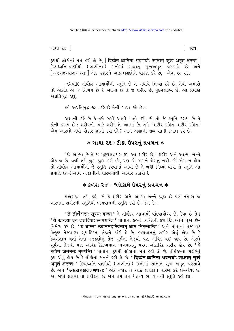ગાથા ર૬ ]

િ૧૦૧

34थी લोडोनां भन इरी લे છे, सिव्येन ध्वनिना श्रवणयोः साक्षात सुखं अमृतं क्षरन्तः । દિવ્યધ્વનિ-વાણીથી (ભવ્યોના) કાનોમાં સાક્ષાત સુખઅમૃત વરસાવે છે અને [ अष्टसहस्रलक्षणधराः ] એક હજારને આઠ લક્ષણોને ધારણ કરે છે, -એવા છે. ૨૪.

-ઈત્યાદિ તીર્થંકર-આચાર્યોની સ્તુતિ છે તે બધીયે મિથ્યા ઠરે છે. તેથી અમારો તો એકાંત એ જ નિશ્ચય છે કે આત્મા છે તે જ શરીર છે. પદગલદ્રવ્ય છે. આ પ્રમાણે અપ્રતિબુદ્ધે કહ્યું.

ઙ્વે અપ્રતિબદ્ધ જીવ કર્કે છે તેની ગાથા કર્કે છેઃ−

અજ્ઞાની કહે છે કે-તમે બધી આવી વાતો કરો છો તો જે સ્તુતિ કરાય છે તે કોની કરાય છે? શરીરની. માટે શરીર તે આત્મા છે. તમે 'શરીર રહિત, શરીર રહિત' એમ આટલો બધો પોકાર શાનો કરો છો? આમ અજ્ઞાની જીવ સામી દલીલ કરે છે.

#### ∗ ગાથા ૨૬ : ટીકા ઉપરનું પ્રવચન ∗

'જે આત્મા છે તે જ પુદ્ગલદ્રવ્યસ્વરૂપ આ શરીર છે.' શરીર અને આત્મા બન્ને એક જ છે. વળી તમે જુદા જુદા કહો છો, પણ એ અમને બેસતું નથી. જો એમ ન હોય તો તીર્થંકર-આચાર્યોની જે સ્તુતિ કરવામાં આવી છે તે બધી મિથ્યા થાય. તે સ્તુતિ આ પ્રમાણે છેઃ–( આમ અજ્ઞાનીએ શાસ્ત્રમાંથી આધાર કાઢયો ).

## \* કળશ ૨૪ : શ્લોકાર્થ ઉપરનું પ્રવચન \*

મહારાજ! તમે કહો છો કે શરીર અને આત્મા બન્ને જ્ઞદા છે પણ તમારા જ શાસ્ત્રમાં શરીરની સ્તુતિથી ભગવાનની સ્તુતિ કરી છે. જેમ કેઃ-

' ते तीर्थेश्वराः सूरयः वन्द्या ' ते तीर्थं s२-आयार्यो पांदवायोग्य છे. કेવा છे ते ? ' ये कान्त्या एव दशदिश: स्नपयन्ति ' पोताना देङ्नी अन्तिथी दृशे दिशाઓने धूએ છे-निर्भण કરે છે, 'ये धाम्ना उद्दाममहस्विनाम धाम निरुन्धन्ति ' अने पोताना ते% वडे ઉત્કૃષ્ટ તેજવાળા સૂર્યાદિકના તેજને ઢાંકી દે છે. ભગવાનનું શરીર એવું હોય છે કે કેવળજ્ઞાન થતાં તેના રજકણોનું તેજ સૂર્યના તેજથી પણ અધિક થઈ જાય છે. એટલે સૂર્યના તેજથી પણ અધિક દેદીપ્યમાન ભગવાનનું પરમ ઔદારિક શરીર લોય છે. '**यે** रूपेण जनमन: मूष्णन्ति ' पोताना ३५थी લોકોનાં મન इरी લે છે. તીર્થંકરના શરીરનું 34 એવું હોય છે કે લોકોનાં મનને હરી લે છે. ' दिव्येन ध्वनिना श्रवणयो: साक्षात सुखं **अमृतं क्षरन्तः '** દિવ્યધ્વનિ-વાણીથી (ભવ્યોના ) કાનોમાં સાક્ષાત્ સુખ-અમૃત વરસાવે છે. અને 'अष्टसहस्रलक्षणधरा:' એક હજાર ને આઠ લક્ષણોને ધારણ કરે છે-એવા છે. આ બધાં લક્ષણો તો શરીરનાં છે અને તમે તેને ચૈતન્ય ભગવાનની સ્તુતિ કહો છો.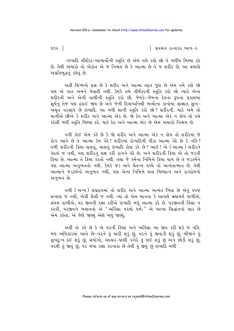૧૦૨ $\lceil$ 

િ પ્રવચન રત્નાકર ભાગ−ર

-ઇત્યાદિ તીર્થંકર-આચાર્યોની સ્તુતિ છે એમ તમે કહો છો તે બધીય મિથ્યા ઠરે છે. તેથી અમારો તો એકાંત એ જ નિશ્ચય છે કે આત્મા છે તે જ શરીર છે. આ પ્રમાણે અપ્રતિબુદ્ધનું કહેવું છે.

અહીં શિષ્યનો પ્રશ્ન છે કે શરીર અને આત્મા તદ્દન જુદા છે એમ તમે કહો છો પણ એ વાત અમને બેસતી નથી. કેમકે તમે તીર્થંકરની સ્તુતિ કરો છો ત્યારે એના શરીરની અને એની વાણીની સ્તુતિ કરો છો. જેમકેઃ-જેમના દેહના રૂપના પ્રકાશમાં સૂર્યનું તેજ પણ ઢંકાઈ જાય છે અને જેની દિવ્યધ્વનિથી ભવ્યોના કાનોમાં સાક્ષાત સુખ-અમૃત વરસાવે છે ઇત્યાદિ. આ બધી શાની સ્તુતિ કરો છો? શરીરની. માટે અમે તો માનીએ છીએ કે શરીર અને આત્મા એક છે. જો દેહ અને આત્મા એક ન હોય તો તમે કરેલી બધી સ્તુતિ મિથ્યા ઠરે. માટે દેહ અને આત્મા એક છે એમ અમારો નિશ્ચય છે.

વળી કોઈ એમ કહે છે કે જો શરીર અને આત્મા એક ન હોય તો શરીરમાં જે રોગ આવે છે તે આત્મા કેમ વેદે? શરીરમાં રોગાદિની પીડા આત્મા વેદે છે કે નહિ? વળી શરીરની ક્રિયા-હાલવું, ચાલવું ઇત્યાદિ કોણ કરે છે? ભાઈ! એ (આત્મા) શરીરને વેદતો જ નથી, પણ શરીરનું લક્ષ કરી રાગને વેદે છે. અને શરીરની ક્રિયા એ તો જડની ક્રિયા છે. આત્મા તે ક્રિયા કરતો નથી. તથા જે કર્મના નિમિત્તે ક્રિયા થાય છે તે જડકર્મને પણ આત્મા અનુભવતો નથી. કેમકે જડ અને ચૈતન્ય વચ્ચે તો અત્યંતાભાવ છે. તેથી આત્માને જડકર્મનો અનુભવ નથી, પણ એના નિમિત્તે થતા મિથ્યાત્વ અને રાગદ્વેષનો અનભવ છે.

વળી (અન્ય) સંપ્રદાયમાં તો શરીર અને આત્મા અત્યંત ભિન્ન છે એવું સ્પષ્ટ લખાણ જ નથી, એવી શૈલી જ નથી. ત્યાં તો એમ માનતા કે આપણે બ્રહ્મચર્ય પાળીએ, સંયમ પાળીએ, ૫૨ જીવની રક્ષા કરીએ ઇત્યાદિ બધું આત્મા કરે છે. ૫૨જીવની હિંસા ન કરવી, પરજીવને બચાવવો એ "અર્હિસા પરમો ધર્મ:" એ આખા સિદ્ધાંતનો સાર છે એમ કહેતા. એ જેણે જાણ્યું એણે બધું જાણ્યું.

અહીં તો કહે છે કે એ પરની હિંસા અને અહિંસા આ જીવ કરી શકે જ નહિ. બંધ અધિકારમાં આવે છેઃ-પરને હું મારી શકું છું, પરને હું જીવાડી શકું છું, બીજાને હું સુખદુઃખ દઈ શકું છું, સંયોગો, આહાર-પાણી વગેરે હું લઈ શકું છું અને છોડી શકું છું, પરથી કું જીવું છું, પર બધા રક્ષા કરનારા છે તેથી કું જીવું છું ઇત્યાદિ બધી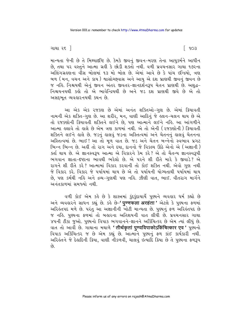ગાથા ર૬ ]

માન્યતા જેની છે તે મિથ્યાદષ્ટિ છે. કેમકે જીવનું જીવન-મરણ તેના આયુકર્મને આધીન છે, તથા પર વસ્તુને આત્મા ગ્રહી કે છોડી શક્તો નથી. વળી પ્રવચનસાર ગાથા ૧૭૨ના અલિંગગ્રહ્રણના વીસ બોલમાં ૧૩ મો બોલ છે. એમાં આવે છે કે પાંચ ઇન્દ્રિયો, ત્રણ બળ (મન, વચન અને કાય) શ્વાસોચ્છવાસ અને આયુ એ દશ પ્રાણથી જીવનું જીવન છે જ નઙિ. નિશ્ચયથી એનું જીવન અંતર જીવતર-જ્ઞાનદર્શનરૂપ ચેતન પ્રાણથી છે. અશુદ્ધ− નિશ્ચયનયથી કહો તો એ ભાવેન્દ્રિયથી છે અને જડ દશ પ્રાણથી જીવે છે એ તો અસદભત વ્યવહારનયથી કથન છે.

આ એક એક રજકણ છે એમાં અનંત શક્તિઓ-ગુણ છે. એમાં ક્રિયાવતી નામની એક શક્તિ-ગુણ છે. આ શરીર, મન, વાણી આદિનું જે હલન-ચલન થાય છે એ તો રજકણોની ક્રિયાવતી શક્તિને લઈને છે. પણ આત્માને લઈને નહિ. આ આંગળીને આત્મા હલાવે તો હાલે છે એમ ત્રણ કાળમાં નથી. એ તો એની (રજકણોની) ક્રિયાવતી શક્તિને લઈને હાલે છે. જડનું હાલવું જડના અસ્તિત્વમાં અને ચેતનનું હાલવું ચેતનના અસ્તિત્વમાં છે. ભાઈ! આ તો મૂળ વાત છે. જડ અને ચેતન બન્નેનો સ્વભાવ પ્રગટ ભિન્ન ભિન્ન છે. અહીં તો રાગ અને દયા, દાનનો જે વિકલ્ય ઊઠે એનો એ (અજ્ઞાની) ક્ર્તા થાય છે. એ જ્ઞાનસ્વરૂપ આત્મા એ વિકારને કેમ કરે? એ તો ચૈતન્ય જ્ઞાનસ્વરૂપી ભગવાન જ્ઞાતા-દૃષ્ટાના ભાવથી ભરેલો છે. એ પરને શી રીતે મારે કે જીવાડે? એ રાગને શી રીતે કરે? આત્મામાં વિકાર કરવાની તો કોઈ શક્તિ નથી. એવો ગુણ નથી જે વિકાર કરે. વિકાર જે પર્યાયમાં થાય છે એ તો પર્યાયની યોગ્યતાથી પર્યાયમાં થાય છે, પણ કર્મથી નહિ અને દ્રવ્ય-ગુણથી પણ નહિ. ઝીણી વાત, ભાઈ. વીતરાગ માર્ગને અનંતકાળમાં સમજ્યો નથી.

વળી કોઈ એમ કહે છે કે શાસ્ત્રમાં કુંદકુંદાચાર્યે પુણ્યને વ્યવહાર ધર્મ કહ્યો છે અને વ્યવહારને સાધન કહ્યું છે. કહે છે–**' पुण्णफला अरहंता '** એટલે કે પુણ્યના ફળમાં<br>અરિહંતપદ મળે છે. પરંતુ આ અજ્ઞાનીની ખોટી માન્યતા છે. પુણ્યનું ફળ અરિહંતપદ છે જ નહિ. પુણ્યના ફળમાં તો બહારના અતિશયની વાત લીધી છે. પ્રવચનસાર ગાથા ४५ની ટીકા જુઓ. પુણ્યનો વિપાક ભગવાનને-જ્ઞાનને અર્કિચિત્કર છે એમ ત્યાં લીધું છે. વાત તો આવી છે. ગાથાના મથાળે ' तीर्थकृतां पुण्यविपाकोऽकिंचित्कार एव ' પુણ્યનો વિપાક અર્કિચિત્કર જ છે એમ કહ્યું છે. આત્માને પુણ્યનું ફળ કાંઈ કાર્યકારી નથી. અરિકંતને જે દેકાદિની ક્રિયા, વાણી નીકળવી, ચાલવું ઇત્યાદિ ક્રિયા છે તે પુણ્યના ફળરૂપ  $\hat{g}$ 

િ ૧૦૩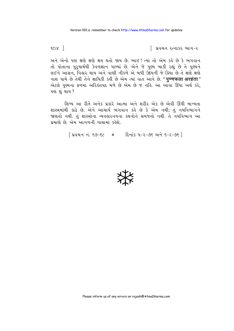$9.0x$ ]

િ પ્રવચન રત્નાકર ભાગ−ર

અને એનો પણ ક્ષણે ક્ષણે ક્ષય થતો જાય છે. ભાઈ! ત્યાં તો એમ કહે છે કે ભગવાન તો પોતાના પુરૂષાર્થથી કેવળજ્ઞાન પામ્યાં છે. એને જે પુણ્ય બાકી રહ્યું છે તે પુણ્યને લઈને આસન, વિહાર થાય અને વાણી નીકળે એ બધી ઉદયની જે ક્રિયા છે તે ક્ષણે ક્ષણે नाश पामे છે તેથી તેને ક્ષાયિકી કહી છે એમ ત્યાં વાત આવે છે. ' पण्णफला अरहंता' એટલે પુણ્યના ફળમાં અરિહંતપદ મળે છે એમ છે જ નહિ. આ આવા ઊંઘા અર્થ કરે, પણ શંથાય?

શિષ્ય આ રીતે અનેક પ્રકારે આત્મા અને શરીર એક છે એવી ઊંધી માન્યતા શાસ્ત્રમાંથી કાઢે છે. એને આચાર્ય ભગવાન કહે છે કે એમ નથી; તું નયવિભાગને જાણતો નથી. તું શાસ્ત્રોના વ્યવહારનયના કથનોને સમજતો નથી. તે નયવિભાગ આ પ્રમાણે છે. એમ આગળની ગાથામાં કહેશે.

| प्रयथन नं. ९७-९८ \* हिनांड ५-२-७६ अने ९-२-७६ ]

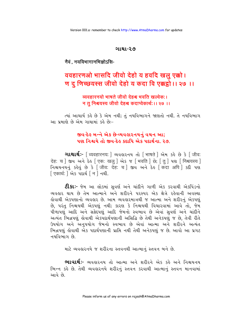#### ગાથા-૨૭

## नैवं . नयविभागानभिज्ञोऽसि-

# ववहारणओ भासदि जीवो देहो य हवदि खलु एक्को। ण दू णिच्छयस्स जीवो देहो य कदा वि एक्कट्ठो।। २७ ।।

व्यवहारनयो भाषते जीवो देहश्च भवति खल्वेक:। न तू निश्चयस्य जीवो देहश्च कदाप्येकार्थ:।। २७ ।।

ત્યાં આચાર્ય કહે છે કે એમ નથી; તું નયવિભાગને જાણતો નથી. તે નયવિભાગ આ પમાણે છે એમ ગાથામાં કહે છે:-

# જીવ-દેહ બન્ને એક છે-વ્યવહારનયનું વચન આ; પણ નિશ્ચયે તો જીવ-દેહ કદાપિ એક પદાર્થના ૨૭.

ouथार्थ :- [ व्यवहारनय: ] व्यवहारनय तो [ भाषते ] એમ sड़े છे કे [ जीव: देह: च | જીવ અને દેહ [एक: खल् | એક જ [ भवति | છે; [ त् ] पशु [ निश्चयस्य ] निश्चयनयनं ség છे કे जीवः देहः च । જીવ અને દેહ किंदा अपि । sel पश [एकार्थ: ] એક પદાર્થ [ न ] नथी.

**ટી.કાઃ**- જેમ આ લોકમાં સવર્ણ અને ચાંદીને ગાળી એક કરવાથી એકપિંડનો વ્યવહાર થાય છે તેમ આત્માને અને શરીરને પરસ્પર એક ક્ષેત્રે રહેવાની અવસ્થા લેવાથી એકપણાનો વ્યવહાર છે. આમ વ્યવહારમાત્રથી જ આત્મા અને શરીરનું એકપણું છે. પરંતુ નિશ્ચયથી એકપણું નથી; કારણ કે નિશ્વયથી વિચારવામાં આવે તો, જેમ પીળાપણું આદિ અને સફેદપણું આદિ જેમનો સ્વભાવ છે એવાં સૂવર્ણ અને ચાંદીને અત્યંત ભિન્નપણું હોવાથી એકપદાર્થપણાની અસિદ્ધિ છે તેથી અનેકપણું જ છે, તેવી રીતે ઉપયોગ અને અનુપયોગ જેમનો સ્વભાવ છે એવાં આત્મા અને શરીરને અત્યંત ભિન્નપણું લેવાથી એક પદાર્થપણાની પ્રાપ્તિ નથી તેથી અનેકપણું જ છે. આવો આ પ્રગટ નયવિભાગ છે.

માટે વ્યવહારનયે જ શરીરના સ્તવનથી આત્માનું સ્તવન બને છે.

ભાવાર્થઃ- વ્યવહારનય તો આત્મા અને શરીરને એક કહે અને નિશ્ચયનય ભિન્ન કહે છે. તેથી વ્યવહારનયે શરીરનું સ્તવન કરવાથી આત્માનું સ્તવન માનવામાં આવે છે.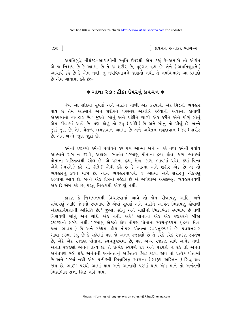$905$ ]

િ પ્રવચન રત્નાકર ભાગ−ર

અપ્રતિબુદ્ધે તીર્થંકર-આચાર્યોની સ્તુતિ ઉપરથી એમ કહ્યું કે-અમારો તો એકાંત એ જ નિશ્ચય છે કે આત્મા છે તે જ શરીર છે, પુદગલ દ્રવ્ય છે. તેને (અપ્રતિબુદ્ધને) આચાર્ય કરે છે કે−એમ નથી. તં નયવિભાગને જાણતો નથી. તે નયવિભાગ આ પ્રમાણે છે એમ ગાથામાં કહે છેઃ-

### $*$  ગાથા ૨૭ : ટીકા ઉપરનું પ્રવચન  $*$

જેમ આ લોકમાં સુવર્ણ અને ચાંદીને ગાળી એક કરવાથી એક પિંડનો વ્યવહાર થાય છે તેમ આત્માને અને શરીરને પરસ્પર એક્ક્ષેત્રે રહેવાની અવસ્થા હોવાથી એકપણાનો વ્યવહાર છે.' જુઓ, સોનું અને ચાંદીને ગાળી એક કરીને એને ધોળું સોનું એમ કહેવામાં આવે છે. પણ ઘોળું તો રૂપુ (ચાંદી) છે અને સોનું તો પીળું છે. બન્ને જુદાં જુદાં છે. તેમ ચૈતન્ય લક્ષણવાન આત્મા છે અને અચેતન લક્ષણવાન (જુડ) શરીર છે. એમ બન્ને જાદાં જાદાં છે.

કર્મનાં ૨જકણો કર્મની પર્યાયને કરે પણ આત્મા એને ન કરે તથા કર્મની પર્યાય આત્માને રાગ ન કરાવે, અહાહા! સ્વતંત્ર પરમાણુ પોતાના દ્રવ્ય, ક્ષેત્ર, કાળ, ભાવમાં પોતાના અસ્તિત્વથી રહેલ છે. એ પરના દ્રવ્ય, ક્ષેત્ર, કાળ, ભાવમાં પ્રવેશ કર્યા વિના એને (પરને) કરે શી રીતે? એથી કહે છે કે આત્મા અને શરીર એક છે એ તો વ્યવહારનું કથન માત્ર છે. આમ વ્યવહારમાત્રથી જ આત્મા અને શરીરનું એકપણું કહેવામાં આવે છે. બન્ને એક ક્ષેત્રમાં રહેલાં છે એ અપેક્ષાએ અસદ્દભૂત વ્યવહારનયથી એક છે એમ કહે છે. પરંત નિશ્ચયથી એકપણ નથી.

કારણ કે નિશ્ચયનયથી વિચારવામાં આવે તો જેમ પીળાપણું આદિ, અને સફેદપણું આદિ જેમનો સ્વભાવ છે એવાં સુવર્ણ અને ચાંદીને અત્યંત ભિન્નપણું લોવાથી એકપદાર્થપણાની અસિદ્ધિ છે.' જુઓ, સોનું અને ચાંદીનો ભિન્નભિન્ન સ્વભાવ છે તેથી નિશ્ચયથી સોનું અને ચાંદી એક નથી. અરે! સોનાના એક એક રજક્ણને બીજા ૨જકણનો સંબંધ નથી. ૫૨માણૂ એકલો હોય તોપણ પોતાના સ્વચતુષ્ટયમાં (દ્રવ્ય, ક્ષેત્ર, કાળ, ભાવમાં) છે અને સ્કંઘમાં હોય તોપણ પોતાના સ્વચતુષ્ટયમાં છે. પ્રવચનસાર ગાથા ૮૭માં કહ્યું છે કે સ્કંધમાં પણ જે અનંત રજકણો છે તે દરેકે દરેક રજકણ સ્વતંત્ર છે, એકે એક રજકણ પોતાના સ્વચતુષ્ટયમાં છે, પણ અન્ય રજકણ સાથે અભેદ નથી. અનંત રજકણો અનંત તત્ત્વ છે. તે પ્રત્યેક સ્વપણે રહે અને પરપણે ન રહે તો અનંત અનંતપણે રહી શકે. અનંતની અનંતતાનું અસ્તિત્વ સિદ્ધ કરવા જાય તો પ્રત્યેક પોતામાં છે અને ૫૨માં નથી એમ પ્રત્યેકની ભિન્નભિન્ન સ્વસત્તા (સ્વરૂપ અસ્તિત્વ) સિદ્ધ થઈ જાય છે. ભાઈ ! પરથી આમાં થાય અને આનાથી પરમાં થાય એમ માને તો અનંતની ભિન્નભિન્ન સત્તા સિદ્ધ નહિ થાય.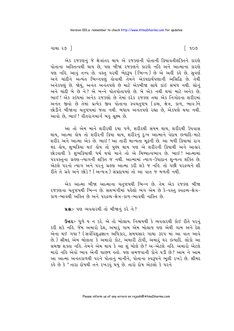ગાથા ૨૭ ]

એક રજકણનું જે ક્ષેત્રાંતર થાય એ રજકણની પોતાની ક્રિયાવતીશક્તિને કારણે પોતાના અસ્તિત્વથી થાય છે, પણ બીજા રજકણને કારણે નહિ અને આત્માના કારણે ૫ણ નહિ. આવું તત્ત્વ છે. વસ્તુ ૫૨થી ભેદરૂપ (ભિન્ન) છે એ અહીં કહે છે. સુવર્ણ અને ચાંદીને અત્યંત ભિન્નપણું કોવાથી તેમને એકપદાર્થપણાની અસિદ્ધિ છે. તેથી અનેકપણું છે. જોયું, અનંત અનંતપણે છે માટે એકબીજા સાથે કાંઈ સંબંધ નથી. સોનું અને ચાંદી બે છે ને ? એ બન્ને પોતપોતાપણે છે. બે એક નથી થયાં માટે અનેક છે. ભાઈ! એક સ્કંધમાં અનેક રજકણો છે તેમાં દરેક રજકણ તથા એક નિગોદના શરીરમાં અનંત જીવો છે તેમાં પ્રત્યેક જીવ પોતાના સ્વચતુષ્ટય (દ્રવ્ય, ક્ષેત્ર, કાળ, ભાવ)ને છોડીને બીજાના ચતુષ્ટયમાં જતા નથી. બધાય અનંતપણે રહ્યા છે, એકપણે થયા નથી. આવો છે, ભાઈ ! વીતરાગમાર્ગ બહુ સૂક્ષ્મ છે.

આ તો એમ માને શરીરથી દયા પળે, શરીરથી સંયમ થાય, શરીરથી ઉપવાસ થાય, આત્મા હોય તો શરીરની ક્રિયા થાય, શરીરનું દુઃખ આત્માને વેદાય ઇત્યાદિ-માટે શરીર અને આત્મા એક છે. ભાઈ ! આ તારી માન્યતા મૂઢની છે. આ બધી ક્રિયામાં રાગ મંદ હોય, શુભક્રિયા થઈ હોય તો પુણ્ય થાય પણ એ શરીરની ક્રિયાથી અને આહાર છોડવાથી કે શુભકિયાથી ધર્મ થયો માને તો એ મિથ્યાત્વભાવ છે. ભાઈ! આત્મામાં ૫૨વસ્તુના ગ્રહેશ-ત્યાગની શક્તિ જ નથી. આત્મામાં ત્યાગ-ઉપાદાન શુન્યત્વ શક્તિ છે. એટલે પરનો ત્યાગ અને પરનું ગ્રહણ આત્મા કરી શકે જ નહિ. તો પછી પરદ્રવ્યને શી રીતે તે ગ્રહે અને છોડે? (અન્યેત્ર) સંપ્રદાયમાં તો આ વાત જ મળતી નથી.

એક આત્મા બીજા આત્માના ચતુષ્ટયથી ભિન્ન છે. તેમ એક રજકણ બીજા ૨જકણના ચતુષ્ટયથી ભિન્ન છે. સપ્તભંગીમાં પહેલો ભંગ એમ છે કે-વસ્તુ સ્વદ્રવ્ય-ક્ષેત્ર− કાળ-ભાવથી અસ્તિ છે અને પરદ્રવ્ય-ક્ષેત્ર-કાળ-ભાવથી નાસ્તિ છે.

ua :- પણ વ્યવહારથી તો બીજાનું કરે ને?

Gaz :- ધળે ય ન કરે. એ તો બોલાય. નિશ્ચયથી કે વ્યવહારથી કોઈ રીતે પરનું કરી શકે નહિ. જેમ અમારો દેશ, અમારું ગામ એમ બોલાય પણ એથી ગામ અને દેશ એના થઈ ગયા ? ( સર્વવિશુદ્ધજ્ઞાન અધિકાર, સમયસાર ગાથા ૩૨૫ માં આ વાત આવે છે.) શ્રીમદ્દ એમ બોલતા કે અમારો કોટ, અમારી ટોપી, અમારું ઘર ઇત્યાદિ. લોકો આ સમજી શક્તા નહિ. તેમને એમ થાય કે આ શું બોલે છે? અ-એટલે નહિ. અમારો એટલે મારો નહિ એવો ભાવ એની પાછળ હતો. પણ સમજવાની કોને ૫ડી છે? આમ ને આમ આ આત્મા અનંતકાળથી પરને પોતાનું માનીને, પોતાના સ્વરૂપને ભૂલી રખડે છે. શ્રીમદ કહે છે કે "તારા દોષથી તને રખડવું થયું છે. તારો દોષ એટલો કે પરને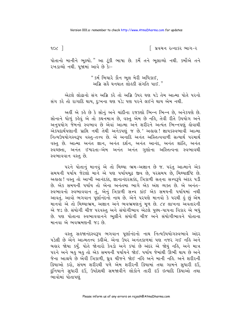∣ પ્રવચન રત્નાકર ભાગ−ર

પોતાનો માનીને ભૂલ્યો." આ ટૂંકી ભાષા છે. કર્મે તને ભૂલાવ્યો નથી. કર્મોએ તને રખડાવ્યો નથી. પજામાં આવે છે કેઃ−

> " કર્મ બિચારે કૌન ભૂલ મેરી અધિકાઈ, અગ્રિ સહૈ ઘનઘાત લોહકી સંગતિ પાઈ."

એટલે લોઢાનો સંગ અગ્નિ કરે તો અગ્નિ ઉપર ઘણ પડે તેમ આત્મા પોતે પરનો સંગ કરે તો રાગાદિ થાય, દુઃખના ઘણ પડે; પણ પરને લઈને થાય એમ નથી.

અહીં એ કહે છે કે સોનું અને ચાંદીના રજકણો ભિન્ન ભિન્ન છે. અનેકપણે છે. સોનાને ધોળું કહેવું એ તો કથનમાત્ર છે. વસ્તુ એમ છે નહિ, તેવી રીતે ઉપયોગ અને અનુપયોગ જેમનો સ્વભાવ છે એવાં આત્મા અને શરીરને અત્યંત ભિન્નપણું લોવાથી એકપદાર્થપણાની પ્રાપ્તિ નથી તેથી અનેકપણું જ છે.' અહાહા! જ્ઞાયકસ્વભાવી આત્મા નિત્યઉપયોગસ્વરૂપ વસ્તુ-તત્ત્વ છે. એ અનાદિ અનંત અસ્તિત્વવાળી સત્યાર્થ પરમાર્થ વસ્તુ છે. આત્મા અનંત જ્ઞાન, અનંત દર્શન, અનંત આનંદ, અનંત શાંતિ, અનંત સ્વચ્છતા. અનંત ઈશ્વરતા-એમ અનંત અનંત ગુણોના અસ્તિત્વના સ્વભાવથી સ્વભાવવાન વસ્ત છે.

પરને પોતાનું માનવું એ તો મિથ્યા ભ્રમ-અજ્ઞાન છે જ. પરંતુ આત્માને એક સમયની પર્યાય જેટલો માને એ પણ પર્યાયમૂઢ જીવ છે, પરસમય છે, મિથ્યાદષ્ટિ છે. અહાહા! વસ્તુ તો આખી આનંદકંદ, જ્ઞાનાનંદરસકંદ, ત્રિકાળી સતના સત્ત્વરૂપે અંદર પડી છે. એક સમયની પર્યાય તો એના અનંતમા ભાગે એક અંશ વ્યક્ત છે. એ અનંત-સ્વભાવનો સ્વભાવવાન તું, એનું ત્રિકાળી સત્ત્વ કાંઈ એક સમયની પર્યાયમાં નથી આવતું. આવો ભગવાન પૂર્ણાનંદનો નાથ છે. એને પરપણે માનવો કે પરથી હું છું એમ માનવો એ તો મિથ્યાભ્રમ, અજ્ઞાન અને ભવભ્રમણનું મૂળ છે. ૮૪ લાખના અવતારની એ જડ છે. સંયોગી ચીજ પરવસ્તુ અને સંયોગીભાવ એટલે પુણ્ય-પાપના વિકાર એ બધું છે. પણ પોતાના સ્વભાવવાનને ભુલીને સંયોગી ચીજ અને સંયોગીભાવને પોતાના માનવા એ ભવભ્રમણની જડ છે.

વસ્તુ સહજાનંદસ્વરૂપ ભગવાન પૂર્ણાનંદનો નાથ નિત્યઉપયોગસ્વભાવે અંદર પડેલી છે એને આત્મતત્ત્વ કહીએ. એના ઉપર અનંતકાળમાં પણ નજર ગઈ નહિ અને બહાર જોયા કર્યું. પોતે જોનારો કેવડો અને કયાં છે અંદર એ જોયું નહિ, અને માત્ર પરને અને બહુ બહુ તો એક સમયની પર્યાયને જોઈ. પર્યાય જેમાંથી ઊભી થાય છે અને જેના આશ્રયે છે એવી ત્રિકાળી, ઘ્રુવ ચીજને જોઈ નહિ અને માની નહિ. અને શરીરની ક્રિયાઓ કરો, સંયમ શરીરથી પળે એમ શરીરની ક્રિયામાં તથા ગામને સુધારી દઉં, દુનિયાને સુધારી દઉં, ઉપદેશથી સમજાવીને લોકોને તારી દઉં ઇત્યાદિ ક્રિયાઓ તથા ભાવોમાં પોતાપણું

 $10<$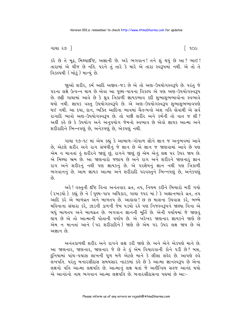ગાથા ૨૭ ]

ြ ૧૦૯

કરે છે તે મૂઢ, મિથ્યાદષ્ટિ, અજ્ઞાની છે. અરે ભગવાન! તને શું થયું છે આ ? ભાઈ! તારામાં એ ચીજ છે નહિ. પરને તું તારે કે મારે એ તારા સ્વરૂપમાં નથી. એ તો તે વિકલ્પથી (ખોટં) માન્યં છે.

જાઓ શરીર, કર્મ આદિ અજીવ-જડ છે એ તો અણ-ઉપયોગસ્વરૂપે છે. પરંતુ જે પરના લક્ષે ઉત્પન્ન થાય છે એવા આ પણ્ય-પાપના વિકલ્પ એ પણ અણ-ઉપયોગસ્વ3પ છે. છક્રી ગાથામાં આવે છે કે ઘ્રુવ ત્રિકાળી જ્ઞાયકભાવ કદી શુભાશુભભાવોના સ્વભાવે થયો નથી. જ્ઞાયક વસ્તુ ઉપયોગસ્વરૂપે છે. એ અણ-ઉપયોગસ્વરૂપ શુભાશુભભાવપણે થઈ નથી. આ દયા, દાન, ભક્તિ આદિના ભાવમાં ચૈતન્યનો અંશ નહિ હોવાથી એ સર્વ રાગાદિ ભાવો અશ-ઉપયોગસ્વરૂપ છે. તો પછી શરીર અને કર્મની તો વાત જ શી? અહીં કહે છે કે ઉપયોગ અને અનુપયોગ જેમનો સ્વભાવ છે એવો જ્ઞાયક આત્મા અને શરીરાદિને ભિન્નપણું છે, અનેકપણું છે, એકપણું નથી.

ગાથા ૧૭-૧૮ માં એમ કહ્યું કે આબાળ-ગોપાળ સૌને જ્ઞાન જ અનુભવમાં આવે છે, એટલે શરીર અને રાગ સંબંધોનું જે જ્ઞાન છે એ જ્ઞાન જ જાણવામાં આવે છે પણ .<br>એમ ન માનતાં હું શરીરને જાણું છું, રાગને જાણું છું એમ એનું લક્ષ ૫૨ ઉપર જાય છે.<br>એ મિથ્યા ભ્રમ છે. આ જાણનારો જણાય છે અને રાગ અને શરીરને જાણનારું જ્ઞાન રાગ અને શરીરનું નથી પણ જ્ઞાયકનું છે. એ પરજ્ઞેયનું જ્ઞાન નથી પણ ત્રિકાળી ભગવાનનું છે. આમ જ્ઞાયક આત્મા અને શરીરાદિ પરવસ્તુને ભિન્નપણું છે, અનેકપણું  $\hat{\rho}_3$ 

અરે! વસ્તુની દૃષ્ટિ વિના અનંતવાર વ્રત, તપ, નિયમ કરીને બિચારો મરી ગયો ( રખડયો ). કહ્યું છે ને ( પુણ્ય-પાપ અધિકાર, ગાથા ૧૫૨ માં ) કે અજ્ઞાનભાવે વ્રત, તપ આદિ કરે એ બાળવ્રત અને બાળતપ છે. આહાહા! છ છ માસના ઉપવાસ કરે, બબ્બે મહિનાના સંથારા કરે, ઝાડની ડાળની જેમ પડયો રહે પણ નિજસ્વરૂપને જાણ્યા વિના એ બધું બાળતપ અને બાળવ્રત છે. ભગવાન જ્ઞાનની મૂર્તિ છે. એની પર્યાયમાં જે જાણવું થાય છે એ તો આત્માની પોતાની પર્યાય છે. એ ખરેખર જાણનાર જ્ઞાયકને જાણે છે એમ ન માનતાં આને (પર શરીરાદિને) જાણે છે એમ પર ઉપર લક્ષ જાય છે એ અજ્ઞાન છે.

અનંતકાળથી શરીર અને રાગને લક્ષ કરી જાણે છે. અને એને એકપણે માને છે. આ જાણનાર, જાણનાર, જાણનાર જે છે તે કું એમ વિચારવાની કોને પડી છે? બસ, દુનિયામાં પાંચ-પચાસ લાખની ધૂળ મળે એટલે માને કે લીલા લહેર છે. આપણે હવે લખપતિ. પરંતુ બનારસીદાસ સમયસાર નાટકમાં કહે છે કે આત્મા જ્ઞાનસ્વરૂપ છે એના લક્ષનો પતિ આત્મા લક્ષપતિ છે. આત્માનું લક્ષ થતાં જે અતીન્દ્રિય સહજ આનંદ થયો એ આનંદનો નાથ ભગવાન આત્મા લક્ષપતિ છે. બનારસીદાસના પદ્યમાં છે આઃ-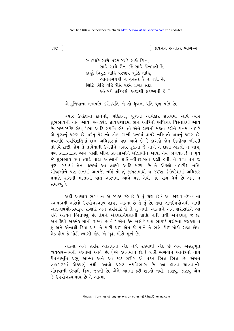િ પ્રવચન રત્નાકર ભાગ−ર

સ્વારથકે સાચે પરમારથકે સાચે ચિત્ત. સાચે સાચે બૈન કર્લે સાચે જૈનમતી હૈ. કાર્લ્ડ વિરૂદ્ધ નાહિ પરજાય-બુદ્ધિ નાહિ, આતમગવેષી ન ગુહસ્થ હૈં ન જતી હૈં, સિદ્ધિ રિદ્ધિ વૃદ્ધિ દીસૈ ઘટર્મે પ્રગટ સદ્યા, અંતરકી લચ્છિસોં અજાચી લચ્છપતી હૈં."

એ દુનિયાના લખપતિ-કરોડપતિ એ તો ધુળના પતિ ધુળ-પતિ છે.

જ્યારે ઉપદેશમાં દાનનો, ભક્તિનો, પૂજાનો અધિકાર શાસ્ત્રમાં આવે ત્યારે શુભભાવની વાત આવે. રત્નકરંડ શ્રાવકાચારમાં દાન આદિનો અધિકાર વિસ્તારથી આવે છે. સમ્યગ્દષ્ટિ હોય, પૈસા આદિ સંપત્તિ હોય તો એને રાગની મંદતા કરીને દાનમાં વાપરે એ પુણ્યનું કારણ છે. પરંતુ પૈસાનો લોભ રાખી દાનમાં વાપરે નહિ તો પાપનું કારણ છે. પદ્મનંદિ પંચવિંશતિમાં દાન અધિકારમાં પણ આવે છે કે-કાગડો જેમ ઉકડીઆ-ખીચડી તળિયે દાઝી હોય તે તાવેથાથી ઉખેડીને બહાર કુંડીમાં જે નાખે તે દાણા એકલો ન ખાય, પણ કા...કા...કા એમ બોલી બીજા કાગડાઓને બોલાવીને ખાય. તેમ ભગવાન ! તેં પૂર્વે જે શુભભાવ કર્યા ત્યારે તારા આત્માની શાંતિ-વીતરાગતા દાઝી હતી. તે વેળા તને જે પુણ્ય બંધાયાં તેના ફળમાં આ લક્ષ્મી આદિ મળ્યા છે તે એકલો વાપરીશ નહિ, બીજાઓને પણ દાનમાં આપજે. નહિંતો તું કાગડામાંથી ય જઈશ. (ઉપદેશમાં અધિકાર પ્રમાણે રાગની મંદતાની વાત શાસ્ત્રમાં આવે પણ તેથી મંદ રાગ ધર્મ છે એમ ન સમજવં ).

અહીં આચાર્ય ભગવાન એ સ્પષ્ટ કહે છે કે તું કોણ છે? આ જાણવા-દેખવાના સ્વભાવથી ભરેલો ઉપયોગસ્વરૂપ જ્ઞાયક આત્મા છે તે તું છે. તથા જ્ઞાનઉપયોગથી ખાલી અણ-ઉપયોગસ્વરૂપ રાગાદિ અને શરીરાદિ છે તે તું નથી. આત્માને અને શરીરાદિને આ રીતે અત્યંત ભિન્નપણું છે. તેમને એકપદાર્થપણાની પ્રાપ્તિ નથી તેથી અનેકપણું જ છે. અનાદિથી એકમેક માની રાખ્યું છે ને? એને કેમ બેસે? પણ ભાઈ! શરીરના રજકણ તે કું અને એનાથી ક્રિયા થાય તે મારી થઈ એમ જે માને તે ભલે કોઈ મોટો રાજા હોય, શેઠ હોય કે મોટો ત્યાગી હોય એ મૂઢ, મોટો મૂર્ખ છે.

આત્મા અને શરીર આકાશના એક ક્ષેત્રે રહેવાથી એક છે એમ અસદ્દભૂત વ્યવહાર-નયથી કહેવામાં આવે છે. (એ કથનમાત્ર છે.) બાકી ભગવાન આનંદનો નાથ ચૈતન્યમૂર્તિ પ્રભુ આત્મા અને આ જડ શરીર એ તદ્દન ભિન્ન ભિન્ન છે. એમને ત્રણકાળમાં એકપણું નથી. આવો પ્રગટ નયવિભાગ છે. આ હાલવા-ચાલવાની, બોલવાની ઇત્યાદિ ક્રિયા જડની છે. એને આત્મા કરી શક્તો નથી. જાણવું, જાણવું એમ જે ઉપયોગસ્વભાવ છે તે આત્મા

 $990$   $\overline{\phantom{1}}$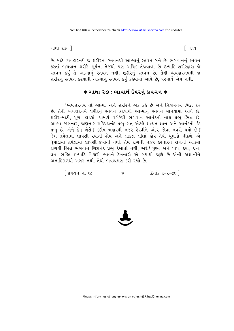ગાથા ર૭ ી

છે. માટે વ્યવહારનયે જ શરીરના સ્તવનથી આત્માનું સ્તવન બને છે. ભગવાનનું સ્તવન કરતાં ભગવાન શરીરે સૂર્યના તેજથી પણ અધિક તેજવાળા છે ઇત્યાદિ શરીરદ્વારા જે સ્તવન કર્યું તે આત્માનું સ્તવન નથી, શરીરનું સ્તવન છે. તેથી વ્યવહારનયથી જ શરીરનું સ્તવન કરવાથી આત્માનું સ્તવન કર્યું કહેવામાં આવે છે, પરમાર્થે એમ નથી.

## $*$  ગાથા ૨૭ : ભાવાર્થ ઉપરનું પ્રવચન  $\ast$

' વ્યવહારનય તો આત્મા અને શરીરને એક કહે છે અને નિશ્ચયનય ભિન્ન કહે છે. તેથી વ્યવહારનયે શરીરનું સ્તવન કરવાથી આત્માનું સ્તવન માનવામાં આવે છે. શરીર-માટી, ધૂળ, હાડકાં, ચામડાં વગેરેથી ભગવાન આનંદનો નાથ પ્રભુ ભિન્ન છે. આત્મા જાણનાર, જાણનાર સચ્ચિદાનંદ પ્રભુ-સત્ એટલે શાશ્વત જ્ઞાન અને આનંદનો કંદ પ્રભ છે. એને કેમ બેસે? કદીય બહારથી નજર ફેરવીને અંદર જોવા નવરો થયો છે? જેમ તપેલામાં લાપસી રંધાતી હોય અને લાકડાં લીલાં હોય તેથી ધમાડો નીકળે. એ ધુમાડામાં તપેલામાં લાપસી દેખાતી નથી. તેમ રાગની નજર કરનારને રાગની આડમાં રાગથી ભિન્ન ભગવાન ચિદાનંદ પ્રભુ દેખાતો નથી, અરે! પુણ્ય અને પાપ, દયા, દાન, વ્રત. ભક્તિ ઇત્યાદિ વિકારી ભાવને દેખનારો એ બધાથી જાદો છે એની અજ્ઞાનીને અનાદિકાળથી ખબર નથી. તેથી ભવભ્રમણ કરી રહ્યો છે.

્રિવચન નં. ૬૮  $50 - 5 = 3$  $\ast$ 



 $\lceil 999 \rceil$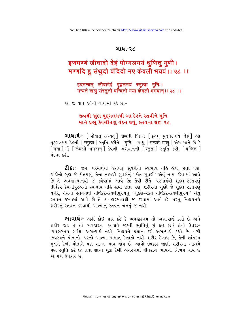#### ગાથા-૨૮

# इणमण्णं जीवादो देहं पोग्गलमयं थूणित्तू मुणी। मण्णदि हु संथुदो वंदिदो मए केवली भयवं ।। २८ ।।

इदमन्यत् जीवादेहं पुद्गलमयं स्तुत्वा मुनिः। मन्यते खलु संस्तुतो वन्दितो मया केवली भगवान् ।। २८ ।।

આ જ વાત હવેની ગાથામાં કહે છે:-

## જીવથી જાુદા પુદ્દગલમયી આ દેહને સ્તવીને મુનિ માને પ્રભ કેવળીતણું વંદન થયું. સ્તવના થઈ. ૨૮.

**ગાથાર્થઃ**- [जीवात् अन्यत्] જીવથી ભિન્ન [इदम् पुद्गलमयं देहं] આ पदगलमय देखनी स्तित्वा । स्तुति sरीने मिनिः । साधु । मन्यते खलु । सेम माने छे डे मिया । में [ केवली भगवान ] sेयणी लगवाननी [ स्ततः ] स्तुति sरी, [ वन्दितः ] <u>વંદના કરી.</u>

**ટી.કાઃ**- જેમ. ૫૨માર્થથી શ્વેતપણું સુવર્ણનો સ્વભાવ નહિ હોવા છતાં પણ. ચાંદીનો ગુણ જે શ્વેતપણું, તેના નામથી સુવર્ણનું 'શ્વેત સુવર્ણ' એવું નામ કહેવામાં આવે છે તે વ્યવહારમાત્રથી જ કહેવામાં આવે છે; તેવી રીતે, પરમાર્થથી શકલ-રક્તપણં તીર્થંકર-કેવળીપુરુષનો સ્વભાવ નહિ હોવા છતાં પણ, શરીરના ગુણો જે શુકલ-રકતપણું વગેરે, તેમના સ્તવનથી તીર્થંકર-કેવળીપુરુષનું 'શુકલ-૨કત તીર્થંકર-કેવળીપુરુષ' એવું સ્તવન કરવામાં આવે છે તે વ્યવહારમાત્રથી જ કરવામાં આવે છે. પરંતુ નિશ્ચયનયે શરીરનું સ્તવન કરવાથી આત્માનું સ્તવન બનતું જ નથી.

**ભાવાર્થઃ-** અહીં કોઈ પ્રશ્ન કરે કે વ્યવહારનય તો અસત્યાર્થ કહ્યો છે અને શરીર જડ છે તો વ્યવહારના આશ્રયે જડની સ્તુતિનું શું ફળ છે? તેનો ઉત્તરઃ-વ્યવહારનય સર્વથા અસત્યાર્થ નથી, નિશ્ચયને પ્રધાન કરી અસત્યાર્થ કહ્યો છે. વળી છદ્મસ્થને પોતાનો, પરનો આત્મા સાક્ષાત્ દેખાતો નથી, શરીર દેખાય છે, તેની શાંતરૂપ મુદ્રાને દેખી પોતાને પણ શાન્ત ભાવ થાય છે. આવો ઉપકાર જાણી શરીરના આશ્રયે પણ સ્તુતિ કરે છે; તથા શાન્ત મુદ્રા દેખી અંતરંગમાં વીતરાગ ભાવનો નિશ્ચય થાય છે એ પણ ઉપકાર છે.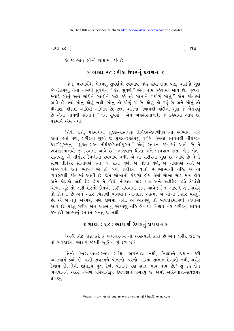ગાથા ૨૮ ી

િ ૧૧૩

એ જ ભાવ હવેની ગાથામાં કહે છે:-

### **∗ ગાથા ૨૮ : ટીકા ઉપરનું પ્રવચન ∗**

' જેમ, પરમાર્થથી શ્વેતપણું સુવર્ણનો સ્વભાવ નહિ હોવા છતાં પણ, ચાંદીનો ગુણ જે શ્વેતપણું, તેના નામથી સુવર્ણનું "શ્વેત સુવર્ણ" એવું નામ કહેવામાં આવે છે.' જુઓ, જ્યારે સોનું અને ચાંદીને ગાળીને ગઢો કરે તો સોનાને "ઘોળું સોનું" એમ કહેવામાં આવે છે. ત્યાં સોનું ધોળું નથી, સોનું તો પીળું જ છે. ધોળું તો રૂપું છે અને સોનું તો પીળાશ, ચીકાશ આદિથી અભિન્ન છે. છતાં ચાંદીના મેળાપથી ચાંદીનો ગુણ જે શ્વેતપણું છે એના નામથી સોનાને "શ્વેત સુવર્ણ" એમ વ્યવહારમાત્રથી જ કહેવામાં આવે છે, <u>นวมเยิ้ એમ નથી</u>

'તેવી રીતે, પરમાર્થથી શકલ-૨ક્તપણું તીર્થંકર-કેવળીપુરુષનો સ્વભાવ નહિ કોવા છતાં પણ. શરીરના ગણો જે શકલ-રક્તપણું વગેરે. તેમના સ્તવનથી તીર્થંકર-કેવળીપુરુષનું "શુકલ-૨ક્ત તીર્થંકરકેવળીપુરુષ" એવું સ્તવન કરવામાં આવે છે તે વ્યવહારમાત્રથી જ કરવામાં આવે છે.' ભગવાન ધોળા અને ભગવાન રાતા એમ શ્વેત-રક્તપણું એ તીર્થંકર-કેવળીનો સ્વભાવ નથી. એ તો શરીરના ગુણ છે. આવે છે ને કે સોળ તીર્થંકર સોનાવર્ણે હતા. બે રાતા વર્ણે. બે ધોળા વર્ણ. બે નીલવર્ણે અને બે અંજનવર્ણે હતા. ભાઈ ! એ તો બધી શરીરની વાતો છે આત્માની નહિ. એ તો વ્યવહારથી કહેવામાં આવી છે. જેમ ચોખાનો કોથળો હોય તેમાં ચોખા ચાર મણ હોય અને કોથળો અઢી શેર હોય તે ભેગો તોળાય, ચાર મણ અને અઢીશેર. હવે તેમાંથી ચોખા ખૂટે તો અઢી શેરનો કોથળો કાંઈ રાંધવામાં કામ આવે ? (ન આવે). તેમ શરીર તો કોથળો છે અને અંદર ત્રિકાળી ભગવાન આનંદકંદ આત્મા એ ચોખા (સાર વસ્તુ) છે. એ બન્નેનું એકપણું ત્રણ કાળમાં નથી. એ એકપણું તો વ્યવહારમાત્રથી કહેવામાં આવે છે. પરંતુ શરીર અને આત્માનું એકપણું નહિ લોવાથી નિશ્ચય નયે શરીરનું સ્તવન કરવાથી આત્માનું સ્તવન બનતું જ નથી.

## **∗ ગાથા ∶ ૨૮ : ભાવાર્થ ઉપરનં પ્રવચન ∗**

'અહીં કોઈ પ્રશ્ન કરે કે વ્યવહારનય તો અસત્યાર્થ કહ્યો છે અને શરીર જડ છે तो व्यवहारना आश्रये ४ उनी स्तुतिनुं शुं इण छे?'

'તેનો ઉત્તરઃ-વ્યવહારનય સર્વથા અસત્યાર્થ નથી, નિશ્ચયને પ્રધાન કરી અસત્યાર્થ કહ્યો છે. વળી છદ્મસ્થને પોતાનો, પરનો આત્મા સાક્ષાત્ દેખાતો નથી, શરીર દેખાય છે, તેની શાંતરૂપ મુદ્રા દેખી પોતાને પણ શાંત ભાવ થાય છે.' શું કહે છે? ભગવાનને અંદર નિર્મળ પરિણતિરૂપ કેવળજ્ઞાન પ્રગટયું છે, ણમો અરિલ્લાણ-સર્વજ્ઞપદ પ્રગટયં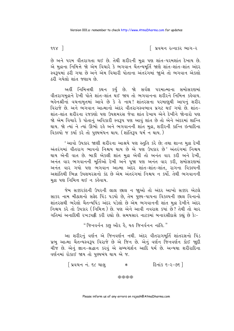$99x$ ]

િ પ્રવચન રત્નાકર ભાગ−ર

છે અને પરમ વીતરાગતા થઈ છે. તેથી શરીરની મુદ્રા પણ શાંત-પરમશાંત દેખાય છે. એ મુદ્રાના નિમિત્તે જો એમ વિચારે કે ભગવાન ચૈતન્યમૂર્તિ જાણે શાંત-શાંત-શાંત અંદર સ્વરૂપમાં ઠરી ગયા છે અને એમ વિચારી પોતાના અંતરંગમાં જાુએ તો ભગવાન એકલો ઠરી ગયેલો શાંત જણાય છે.

અહીં નિમિત્તથી કથન કર્યું છે. જો સર્વજ્ઞ પરમાત્માના સમોસરણમાં વીતરાગમુદ્રાને દેખી પોતે શાંત-શાંત થઈ જાય તો ભગવાનના શરીરને નિમિત્ત કહેવાય. બહેનશ્રીનાં વચનામૃતમાં આવે છે કે હે નાથ! શાંતરસના પરમાણુથી આપનું શરીર વિરાજે છે. અને ભગવાન આત્માનો અંદર વીતરાગસ્વભાવ પ્રગટ થઈ ગયો છે. શાંત-શાંત-શાંત શરીરના રજકણો પણ ઉપશમરસ જેવા શાંત દેખાય એને દેખીને જોનારો પણ જો એમ વિચારે કે પોતાનું અવિકારી સ્વરૂપ પણ આવું શાંત છે તો એને અંદરમાં શાન્તિ થાય. જો ત્યાં ને ત્યાં ઊભો રહે અને ભગવાનની શાંત મુદ્રા, શરીરની કાન્તિ ઇત્યાદિના વિકલ્પો જ કર્યા કરે તો પુણ્યબંધન થાય. (શાંતિરૂપ ધર્મન થાય.)

'આવો ઉપકાર જાણી શરીરના આશ્રયે પણ સ્તુતિ કરે છે; તથા શાન્ત મુદ્રા દેખી અંતરંગમાં વીતરાગ ભાવનો નિશ્ચય થાય છે એ પણ ઉપકાર છે' અંતરંગમાં નિશ્ચય થાય એની વાત છે. બાકી એકલી શાંત મુદ્રા એવી તો અનંત વાર કરી અને દેખી, અનંત વાર ભગવાનની મૂર્તિઓ દેખી અને પૂજા પણ અનંત વાર કરી, સમોસરણમાં અનંત વાર ગયો પણ ભગવાન આત્મા અંદર શાંત-શાંત-શાંત, રાગના વિકલ્પની અશાંતિથી ભિન્ન ઉપશમરસનો કંદ છે એમ અંતરંગમાં નિશ્ચય ન કર્યો. તેથી ભગવાનની મુદ્રા પણ નિમિત્ત થઈ ન કહેવાય.

જેમ સક્કરકંદની ઉપરની લાલ છાલ ન જાુઓ તો અંદર આખો સક્કર એટલે સાકર નામ મીઠાશનો સફેદ પિંડ પડયો છે, તેમ પુણ્ય-પાપના વિકલ્પની છાલ વિનાનો શાંતરસથી ભરેલો ચૈતન્યપિંડ અંદર પડેલો છે એમ ભગવાનની શાંત મદ્રા દેખીને અંદર નિશ્ચય કરે તો ઉપકાર (નિમિત્ત) છે. પણ એને આવી નવરાશ કયાં છે? તેથી તો ચાર ગતિમાં અનાદિથી રખડપટ્ટી કરી રહ્યો છે. સમયસાર નાટકમાં બનારસીદાસે કહ્યું છે કેઃ-

" જિનવર્નન કછુ ઔર હૈ, યહ જિનર્વનન નાંહિ."

આ શરીરનું વર્ણન એ જિનવર્ણન નથી. અંદર વીતરાગમૂર્તિ શાંતરસનો પિંડ પ્રભ આત્મા ચૈતન્યસ્વરૂપ વિરાજે છે એ જિન છે. એનું વર્ણન જિનવર્ણન કોઈ જાદી ચીજ છે. એનું જ્ઞાન-શ્રદ્ધાન કરવું એ સમ્યગ્દર્શન આદિ ધર્મ છે. અન્યથા શરીરાદિના વર્ણનમાં રોકાઈ જાય તો પુણ્યબંધ થાય એ જ.

> | પ્રવચન નં. ૬૮ ચાલુ દિનાંક ૬–૨–૭૬ ]  $\ast$

> > \*\*\*\*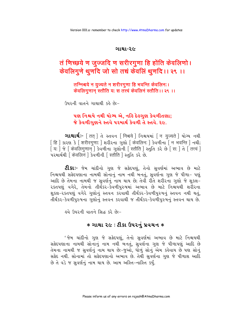#### ગાથા-૨૯

# तं णिच्छये ण जुज्जदि ण सरीरगुणा हि होंति केवलिणो। केवलिगुणे थुणदि जो सो तच्चं केवलिं थुणदि ।। २९ ।।

तन्निश्चये न युज्यते न शरीरगुणा हि भवन्ति केवलिन:। केवलिगुणान् स्तौति यः स तत्त्वं केवलिनं स्तौति ।। २९ ।।

ઉપરની વાતને ગાથાથી કહે છે:-

## પણ નિશ્ચયે નથી યોગ્ય એ. નહિ દેહગુણ કેવળીતણા; જે કેવળીગણને સ્તવે પરમાર્થ કેવળી તે સ્તવે. ૨૯.

**ગાથાર્થઃ**- [ तत ] તે સ્તવન [ निश्चये ] નિશ્ચયમાં [ न युज्यते ] યોગ્ય નથી [हि ] કારણ કે [शरीरगणा: ] शरीरना गुण्डो [ केवलिन: ] કेવળीना [ न भवन्ति ] नथी; -<br>| य: | જે | केवलिगुणान् ] કेवलीना शुशोनी [ स्तौति ] स्तुति sरे છे [ स: ] ते [ तत्त्वं ] परभार्थथी किंवलिनं | डेवलीनी [ स्तौति ] स्तुति sरे छे.

**ટી.કાઃ**- જેમ ચાંદીનો ગુણ જે સફેદપણું, તેનો સવર્ણમાં અભાવ છે માટે નિશ્ચયથી સફેદપણાના નામથી સોનાનું નામ નથી બનતું, સુવર્ણના ગુણ જે પીળા- પણું આદિ છે તેમના નામથી જ સવર્ણનં નામ થાય છે: તેવી રીતે શરીરના ગણો જે શકલ-રકતપણં વગેરે. તેમનો તીર્થંકર-કેવળીપરુષમાં અભાવ છે માટે નિશ્ચયથી શરીરના શુકલ-૨કતપણું વગેરે ગુણોનું સ્તવન કરવાથી તીર્થંકર-કેવળીપુરુષનું સ્તવન નથી થતું. તીર્થંકર-કેવળીપુરુષના ગુણોનું સ્તવન કરવાથી જ તીર્થંકર-કેવળીપુરુષનું સ્તવન થાય છે.

હવે ઉપરની વાતને સિદ્ધ કરે છે:-

## **∗ ગાથા ૨૯ : ટીકા ઉપરનું પ્રવચન ∗**

' જેમ ચાંદીનો ગુણ જે સફેદપણું, તેનો સુવર્ણમાં અભાવ છે માટે નિશ્ચયથી સફેદપણાના નામથી સોનાનું નામ નથી બનતું, સુવર્ણના ગુણ જે પીળાપણું આદિ છે તેમના નામથી જ સુવર્ણનું નામ થાય છેઃ-જુઓ, ધોળું સોનું એમ કહેવાય છે પણ સોનું સફેદ નથી. સોનામાં તો સફેદપણાનો અભાવ છે. તેથી સુવર્ણના ગુણ જે પીળાશ આદિ છે તે વડે જ સુવર્ણનું નામ થાય છે. આમ અસ્તિ-નાસ્તિ કર્યું.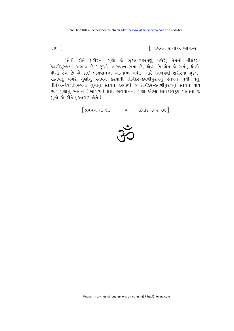$995$   $\overline{\phantom{1}}$ 

િ પ્રવચન રત્નાકર ભાગ−ર

'તેવી રીતે શરીરના ગુણો જે શુકલ-૨ક્તપણું વગેરે, તેમનો તીર્થંકર-કેવળીપુરુષમાં અભાવ છે.' જુઓ, ભગવાન રાતા છે, ધોળા છે એમ જે રાતો, ધોળો, પીળો રંગ છે એ કાંઈ ભગવાનના આત્મામાં નથી. 'માટે નિશ્ચયથી શરીરના શુકલ-૨ક્તપણું વગેરે ગુણોનું સ્તવન કરવાથી તીર્થંકર-કેવળીપુરુષનું સ્તવન નથી થતું, તીર્થંકર-કેવળીપુરુષના ગુણોનું સ્તવન કરવાથી જ તીર્થંકર-કેવળીપુરુષનું સ્તવન થાય છે.' ગુણોનું સ્તવન (આંગળ) લેશે. ભગવાનના ગુણો એટલે જ્ઞાયકસ્વરૂપ પોતાના જ ગણો એ રીતે (આગળ લેશે).

[ प्रयथन नं. ९८ | \* हिनांड ७-२-७९ ]

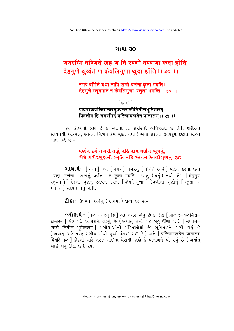#### ગાથા-૩૦

# णयरम्मि वर्णिदे जह ण वि रण्णो वर्ण्णा कदा होदि । देहगुणे थुव्वंते ण केवलिगुणा थुदा होंति ।। ३० ।।

## नगरे वर्णिते यथा नापि राज्ञो वर्णना कृता भवति । देहगुणे स्तूयमाने न केवलिगुणाः स्तुता भवन्ति ।। ३० ।।

### $\left( \frac{1}{2} \right)$ प्राकारकवलिताम्बरमुपवनराजीनिगीर्णभूमितलम् । पिबतीव हि नगरमिदं परिखावलयेन पातालम।। २५ ।।

હવે શિષ્યનો પ્રશ્ન છે કે આત્મા તો શરીરનો અધિષ્ઠાતા છે તેથી શરીરના સ્તવનથી આત્માનું સ્તવન નિશ્ચયે કેમ યુક્ત નથી ? એવા પ્રશ્નના ઉત્તરરૂપે દષ્ટાંત સહિત ગાથા કહે છે:-

# વર્ણન કર્યે નગરી તણું નહિ થાય વર્ણન ભૂપનું, કીધે શરીરગુણની સ્તુતિ નહિ સ્તવન કેવળીગુણનું. ૩૦.

**ગાથાર્થ:**- [यथा ] જેમ [ नगरे ] નગરનું [ वर्णिते अपि ] વર્ણન કરતાં છતાં [ राज्ञ: वर्णना ] राश्ननुं यर्शन [ न कृता भवति ] sरातुं (थतुं) नथी, तेभ [ देहगुणे रतयमाने हिड़ना शुशनुं स्तवन sरतां किंवलिगुणाः डिवलीना शुशोनुं स्तिताः न भवन्ति । स्तपन थतं नथी.

**ટીકાઃ**- ઉપરના અર્થનું (ટીકામાં) કાવ્ય કહે છેઃ-

**^લોકાર્થ:-** [इदं नगरम् हि ] આ નગર એવું છે કે જેણે [ प्राकार-कवलित-अम्बरम् | કોટ વડે આકાશને ગ્રસ્યું છે (અર્થાત્ તેનો ગઢ બહુ ઊંચો છે), [ उपवन-राजी–निगीर्ण–भूमितलम् ] બગીચાઓની પંક્તિઓથી જે ભૂમિતળને ગળી ગયું છે (અर्थात यारे तरई બगीयाओथी पृथ्वी ढंडा गर छे) अने [परिखावलयेन पातालम पिबति इव | કોટની ચારે તરફ ખાઈના ઘેરાથી જાણે કે પાતાળને પી રહ્યું છે (અર્થાત ખાઈ બહુ ઊંડી છે). ૨૫.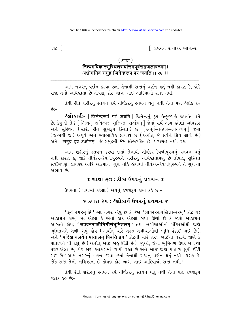∣ પ્રવચન રત્નાકર ભાગ−ર

 $992$ ]

#### ( आर्या)

## नित्यमविकारसुस्थितसर्वाङ्गमपूर्वसहजलावण्यम् । अक्षोभमिव समुद्रं जिनेन्द्ररूपं परं जयति ।। २६ ।।

આમ નગરનું વર્ણન કરવા છતાં તેનાથી રાજાનું વર્ણન થતું નથી કારણ કે, જોકે રાજા તેનો અધિષ્ઠાતા છે તોપણ. કોટ-બાગ-ખાઇ-આદિવાળો રાજા નથી.

તેવી રીતે શરીરનું સ્તવન કર્યે તીર્થંકરનું સ્તવન થતું નથી તેનો પણ શ્લોક કહે  $-39$ 

श्लोशर्थ :- [जिनेन्द्ररूपं परं जयति ] श्रिनेन्द्रनुं ३५ उत्कृष्टपशे श्रयवंत वर्ते છે. કેવું છે તે ? [ नित्यम्–अविकार–सुस्थित–सर्वाङ्गम् ] જેમાં સર્વ અંગ હંમેશાં અવિકાર અને સુસ્થિત (સારી રીતે સુખરૂપ સ્થિત) છે, [अपूर्व-सहज-लावण्यम्] જેમાં (જન્મથી જ) અપૂર્વ અને સ્વાભાવિક લાવણ્ય છે (અર્થાત જે સર્વને પ્રિય લાગે છે) અને सिमुद्रं इव अक्षोभम् । જે સમુદ્રની જેમ ક્ષોભરહિત છે, ચળાચળ નથી. ૨૬.

આમ શરીરનું સ્તવન કરવા છતાં તેનાથી તીર્થંકર-કેવળીપુરુષનું સ્તવન થતું નથી કારણ કે, જોકે તીર્થંકર-કેવળીપુરુષને શરીરનું અધિષ્ઠાતાપણું છે તોપણ, સુસ્થિત સર્વાંગપણું, લાવણ્ય આદિ આત્માના ગુણ નહિ હોવાથી તીર્થંકર-કેવળીપુરુષને તે ગુણોનો અભાવ છે.

## $*$  ગાથા ૩૦ : ટીકા ઉપરનું પ્રવચન  $\ast$

ઉપરના (ગાથામાં કહેલા) અર્થનું કળશરૂપ કાવ્ય કહે છે:-

# **∗ કળશ ૨૫ : શ્લોકાર્થ ઉપરનું પ્રવચન ∗**

'इदं नगरम हि' આ નગર એવું છે કે જેણે 'प्राकारकवलिताम्बरम' કોટ વડે આકાશને ગ્રસ્યું છે. એટલે કે એનો કોટ એટલો બધો ઊંચો છે કે જાણે આકાશને આંબતો હોય; 'उपवनराजीनिगीर्णभूमितलम्' તથા બગીચાઓની પંક્તિઓથી જાણે ભૂમિતળને ગળી ગયું હોય (અર્થાત ચારે તરફ બગીચાઓથી ભૂમિ ઢંકાઈ ગઈ છે); અને 'परिखावलयेन पातालम पिबति इव ' કોટની ચારે તરફ ખાઈના ઘેરાથી જાણે કે પાતાળને પી રહ્યું છે (અર્થાત ખાઈ બહુ ઊંડી છે). જાૂઓ, જેના ભૂમિતળ ઉપર બગીચા પથરાએલા છે, કોટ જાણે આકાશમાં વ્યાપી રહ્યો છે અને ખાઈ જાણે પાતાળ સુધી ઊંડી ગઈ છે-'આમ નગરનું વર્ણન કરવા છતાં તેનાથી રાજાનું વર્ણન થતું નથી. કારણ કે, જોકે રાજા તેનો અધિષ્ઠાતા છે તોપણ કોટ-બાગ-ખાઈ આદિવાળો રાજા નથી '

તેવી રીતે શરીરનું સ્તવન કર્યે તીર્થંકરનું સ્તવન થતું નથી તેનો પણ કળશરૂપ  $89.55889 -$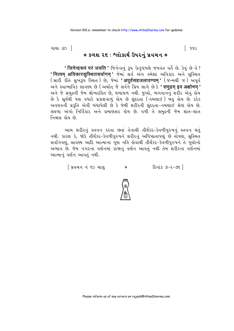ગાથા ૩૦ <u>ી</u>

 $*$  કળશ ૨૬ : શ્લોકાર્થ ઉપરનું પ્રવચન $\ast$ 

 $\lceil$  996

' जिनेन्द्ररूपं परं जयति ' જિનेन्द्रनुं 34 ઉत्कृष्टपण्डे જયવંત વર્તે છે. કેવું છે તે ? ' नित्यम अविकारसुस्थितसर्वागम ' જેમાં સર્વ અંગ હમેશાં અવિકાર અને સુસ્થિત (સારી રીતે સુખરૂપ સ્થિત) છે, જેમાં 'अपर्वसहजलावण्यम' (જન્મથી જ) અપૂર્વ અને સ્વાભાવિક લાવણ્ય છે (અર્થાત જે સર્વને પ્રિય લાગે છે); ' समद्रम इव अक्षोभम' અને જે સમુદ્રની જેમ ક્ષોભરહિત છે. ચળાચળ નથી. જુઓ, ભગવાનનું શરીર એવું હોય છે કે સર્યથી પણ વધારે પ્રકાશવાળું હોય છે સંદરતા (નમણાઈ) બહુ હોય છે. દરેક અવયવની પ્રકૃતિ એવી બંધાયેલી છે કે જેથી શરીરની સંદરતા-નમણાઈ શ્રેષ્ઠ હોય છે. સઘળા અંગો નિર્વિકાર અને પ્રમાણસર હોય છે. વળી તે સમુદ્રની જેમ શાંત-શાંત નિશ્ચલ હોય છે.

આમ શરીરનું સ્તવન કરવા છતાં તેનાથી તીર્થંકર-કેવળીપુરુષનું સ્તવન થતું નથી. કારણ કે, જોકે તીર્થંકર-કેવળીપુરુષને શરીરનું અધિષ્ઠાતાપણું છે તોપણ, સુસ્થિત સર્વાંગપણું, લાવણ્ય આદિ આત્માના ગુણ નહિ લેવાથી તીર્થંકર-કેવળીપુરુષને તે ગુણોનો અભાવ છે. જેમ નગરના વર્ણનમાં રાજાનું વર્ણન આવતું નથી તેમ શરીરના વર્ણનમાં આત્માનું વર્ણન આવતું નથી.

> શિવચન નં ૬૯ ચાલ <u> દિનાંક ૭-૨-૭૬ ]</u>  $\ast$

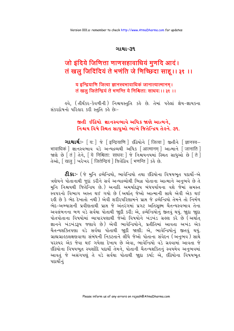#### ગાથા-૩૧

# जो इंदिये जिणित्ता णाणसहावाधियं मुणदि आदं। तं खलु जिदिंदियं ते भणंति जे णिच्छिदा साहू।। ३१ ।।

### य इन्द्रियाणि जित्वा ज्ञानस्वभावाधिकं जानात्यात्मानम् । तं खलु जितेन्द्रियं ते भणन्ति ये निश्चिताः साधवः ।। ३१ ।।

કવે, (તીર્થંકર-કેવળીની) નિશ્ચયસ્તુતિ કર્ક છે. તેમાં પકેલાં જ્ઞેય-જ્ઞાયકના સંકરદોષનો પરિહાર કરી સ્તુતિ કહે છે:-

# જીતી ઈંદ્રિયો જ્ઞાનસ્વભાવે અધિક જાણે આત્મને. નિશ્ચય વિષે સ્થિત સાધુઓ ભાખે જિતેન્દ્રિય તેહને. ૩૧.

**ગાથાર્થ:**- [य: ] જે [इन्द्रियाणि ] ઇंद्रियोने [ जित्वा ] જીતીને [ ज्ञानस्व-भावाधिकं ] જ્ઞાનસ્વભાવ વડે અન્યદ્રવ્યથી અધિક [आत्मानम ] આત્માને [जानाति ] જાણે છે  $\bar{\mathrm{r}}$ तं तेने, यि निश्चिताः साधवः । જे निश्चयनयमां स्थित साधुઓ છे ति । तेઓ, [खलु ] ખરેખર [ जितेन्द्रियं ] જિતેંદ્રિવ [ भणन्ति ] કહે છે.

**ટી.કાઃ-** (જે મુનિ દ્રવ્યેન્દ્રિયો, ભાવેન્દ્રિયો તથા ઇંદ્રિયોના વિષયભત પદાર્થો-એ ત્રણેયને પોતાનાથી જદાં કરીને સર્વ અન્યદ્રવ્યોથી ભિન્ન પોતાના આત્માને અનભવે છે તે મનિ નિશ્ચયથી જિતેન્દ્રિય છે.) અનાદિ અમર્યાદરૂપ બંધપર્યાયના વશે જેમાં સમસ્ત .<br>સ્વપરનો વિભાગ અસ્ત થઈ ગયો છે (અર્થાત જેઓ આત્માની સાથે એવી એક થઈ રહી છે કે ભેદ દેખાતો નથી) એવી શરીરપરિણામને પ્રાપ્ત જે દ્રવ્યેન્દ્રિયો તેમને તો નિર્મળ ભેદ-અભ્યાસની પ્રવીણતાથી પ્રાપ્ત જે અંતરંગમાં પ્રગટ અતિસક્ષ્મ ચૈતન્યસ્વભાવ તેના અવલંબનના બળ વડે સર્વથા પોતાથી જાદી કરી; એ. દ્રવ્યેન્દ્રિયોનું જીતવું થયું. જાદા જાદા પોતપોતાના વિષયોમાં વ્યાપારપણાથી જેઓ વિષયોને ખંડખંડ ગ્રહણ કરે છે (અર્થાત જ્ઞાનને ખંડખંડરૂપ જણાવે છે) એવી ભાવેન્દ્રિયોને, પ્રતીતિમાં આવતા અખંડ એક ચૈતન્યશક્તિપણા વડે સર્વથા પોતાથી જાદી જાણી; એ, ભાવેન્દ્રિયોનું જીતવું થયું. ગ્રાહ્ય ગ્રાહકલક્ષણવાળા સંબંધની નિકટતાને લીધે જેઓ પોતાના સંવેદન (અનુભવ) સાથે પરસ્પર એક જેવા થઈ ગયેલા દેખાય છે એવા. ભાવેન્દ્રિયો વડે ગ્રહવામાં આવતા જે ઇંદ્રિયોના વિષયભૂત સ્પર્શાદિ પદાર્થો તેમને, પોતાની ચૈતન્યશકિતનું સ્વયમેવ અનુભવમાં આવતં જે અસંગેપણું તે વડે સર્વથા પોતાથી જાદા કર્યા; એ, ઇંદ્રિયોના વિષયભત પદાર્થોનં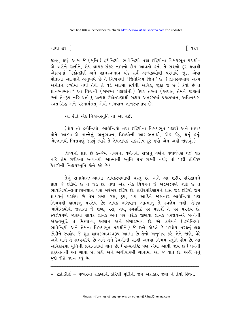ગાથા ૩૧ ી

જીતવું થયું. આમ જે (મુનિ) દ્રવ્યેન્દ્રિયો, ભાવેન્દ્રિયો તથા ઇંદ્રિયોના વિષયભુત પદાર્થો-એ ત્રણેને જીતીને, જ્ઞેય-જ્ઞાયક-સંકર નામનો દોષ આવતો હતો તે સઘળો દૂર થવાથી એકત્વમાં <sup>\*</sup>ટંકોત્કીર્ણ અને જ્ઞાનસ્વભાવ વડે સર્વ અન્યદ્રવ્યોથી પરમાર્થે જોદા એવા પોતાના આત્માને અનુભવે છે તે નિશ્ચયથી 'જિતેન્દ્રિય જિન' છે. (જ્ઞાનસ્વભાવ અન્ય અચેતન દ્રવ્યોમાં નથી તેથી તે વડે આત્મા સર્વથી અધિક, જાુદો જ છે.) કેવો છે તે જ્ઞાનસ્વભાવ ? આ વિશ્વની (સમસ્ત પદાર્થોની) ઉપર તરતો (અર્થાત તેમને જાણતાં છતાં તે-રૂપ નહિ થતો). પ્રત્યક્ષ ઉધોતપણાથી સદ્દાય અંતરંગમાં પ્રકાશમાન. અવિનશ્વર. સ્વતઃસિદ્ધ અને પરમાર્થસત-એવો ભગવાન જ્ઞાનસ્વભાવ છે.

આ રીતે એક નિશ્ચયસ્તુતિ તો આ થઈ.

( ज्ञेय तो द्रव्येन्द्रियो, ભावेन्द्रियो तथा ઇंद्रियोना विषयભूत पद्यर्थो અने ज्ञायड પોતે આત્મા-એ બન્નેનું અનુભવન, વિષયોની આસક્તતાથી, એક જેવું થતું *હ*તું; ભેદજ્ઞાનથી ભિન્નપણું જાણ્યું ત્યારે તે જ્ઞેયજ્ઞાયક-સંકરદોષ દૂર થયો એમ અહીં જાણવું.)

શિષ્યનો પ્રશ્ન છે કે-જેમ નગરના વર્ણનથી રાજાનું વર્ણન યથાર્થપણે થઈ શકે નહિ તેમ શરીરના સ્તવનથી આત્માની સ્તુતિ થઈ શક્તી નથી; તો પછી તીર્થંકર डेवणीनी निश्चयस्तुति डोने डड़े છे?

તેનું સમાધાનઃ-આત્મા જ્ઞાયકસ્વભાવી વસ્તુ છે. અને આ શરીર-પરિણામને પ્રાપ્ત જે ઇંદ્રિયો છે તે જડ છે. તથા એક એક વિષયને જે ખંડખંડપણે જાણે છે તે ભાવેન્દ્રિયો-ક્ષયોપશમજ્ઞાન પણ ખરેખર ઇંદ્રિય છે. શરીરપરિણામને પ્રાપ્ત જડ ઇંદ્રિયો જેમ જ્ઞાયકનું પરજ્ઞેય છે તેમ શબ્દ, રસ, રૂપ, ગંધ આદિને જાણનાર ભાવેન્દ્રિયો પણ નિશ્ચયથી જ્ઞાયકનું પરજ્ઞેય છે; જ્ઞાયક ભગવાન આત્માનું તે સ્વજ્ઞેય નથી. તેમજ ભાવેન્દ્રિયોથી જણાતા જે શબ્દ, રસ, ગંધ, સ્પર્શાદિ ૫૨ પદાર્થો તે ૫૨ ૫૨જ્ઞેય છે. સ્વજ્ઞેયપણે જાણવા લાયક જ્ઞાયક અને ૫૨ તરીકે જાણવા લાયક ૫૨જ્ઞેય-એ બન્નેની એકત્વબુદ્ધિ તે મિથ્યાત્વ, અજ્ઞાન અને સંસારભાવ છે. એ ત્રણેયને (દ્રવ્યેન્દ્રિયો, ભાવેન્દ્રિયો અને તેમના વિષયભત પદાર્થોને) જે જીતે એટલે કે પરજ્ઞેય તરફનું લક્ષ છોડીને સ્વજ્ઞેય જે શુદ્ધ જ્ઞાયકભાવસ્વરૂપ આત્મા છે તેનો અનુભવ કરે, તેને જાણે, વેદે અને માને તે સમ્યગ્દષ્ટિ છે અને તેને કેવળીની સાચી અથવા નિશ્ચય સ્તુતિ હોય છે. આ અધિકારમાં મુનિની પ્રધાનતાથી વાત છે. (સમ્યગ્દષ્ટિ પણ એમાં આવી જાય છે) ધર્મની શરૂઆતની આ ગાથા છે. છકી અને અગીયારમી ગાથામાં આ જ વાત છે. અહીં તેનું જુદી રીતે કથન કર્યું છે.

 $*$  ટંકોત્કીર્ણ = પથ્થરમાં ટાંકણાથી કોરેલી મૂર્તિની જેમ એકાકાર જેવો ને તેવો સ્થિત.

િ ૧૨૧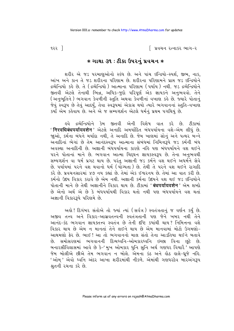િ પ્રવચન રત્નાકર ભાગ−ર

૧૨૨ ]

#### $*$  ગાથા ૩૧ : ટીકા ઉપરનું પ્રવચન  $*$

શરીર એ જડ પરમાણુઓનો સ્કંધ છે. અને પાંચ ઇન્દ્રિયો-સ્પર્શ, જીભ, નાક, આંખ અને કાન તે જડ શરીરના પરિણામ છે. શરીરના પરિણામને પ્રાપ્ત જડ ઇન્દ્રિયોને દ્રવ્યેન્દ્રિયો કહે છે. તે (દ્રવ્યેન્દ્રિયો) આત્માના પરિણામ (૫ર્યાય) નથી. જડ દ્રવ્યેન્દ્રિયોને જીતવી એટલે તેનાથી ભિન્ન, અધિક-જદો પરિપૂર્ણ એક જ્ઞાયકને અનુભવવો. તેને (અનુભૂતિને) ભગવાન કેવળીની સ્તુતિ અથવા કેવળીનાં વખાણ કહે છે. જ્યારે પોતાનું જેવું સ્વરૂપ છે તેવું આદર્યું, તેવા સ્વરૂપમાં એકાગ્ર થયો ત્યારે ભગવાનનાં સ્તુતિ-વખાણ કર્યોં એમ કહેવાય છે. અને એ જ સમ્યગ્દર્શન એટલે ધર્મનું પ્રથમ પગથિયું છે.

દ્રવ્યેન્દ્રિયોને કેમ જીતવી એની વિશેષ વાત કરે છે. ટીકામાં હવે ' निरवधिबंधपर्यायवशेन ' એટલે અનાદિ અમર્યાદિત બંધપર્યાયના વશે-એમ લીધું છે. જાઓ, કર્મના બંધને મર્યાદા નથી, તે અનાદિ છે. જેમ ખાણમાં સોનું અને પત્થર બન્ને અનાદિનાં ભેગાં છે તેમ આનંદસ્વરૂપ આત્માના સંબંધમાં નિમિત્તરૂપે જડ કર્મની બંધ અવસ્થા અનાદિની છે. અજ્ઞાની બંધપર્યાયના કારણે નહિ પણ બંધપર્યાયને વશ થઈને પરને પોતાનાં માને છે. ભગવાન આત્મા ચિદઘન જ્ઞાયકસ્વરૂપ છે. તેના અનભવથી સમ્યગ્દર્શન વા ધર્મ પ્રગટ થાય છે. પરંતુ અજ્ઞાની જડ કર્મને વશ થઈને અધર્મને સેવે છે. પર્યાયમાં પરને વશ થવાનો ધર્મ (યોગ્યતા ) છે. તેથી તે પરને વશ થઈને રાગાદિ કરે છે. પ્રવચનસારમાં ૪૭ નય કહ્યાં છે. તેમાં એક ઈશ્વરનય છે. તેમાં આ વાત કરી છે. કર્મનો ઉદય વિકાર કરાવે છે એમ નથી. અજ્ઞાની કર્મના ઉદયને વશ થઈ જડ ઈન્દ્રિયોને પોતાની માને છે તેથી અજ્ઞાનીને વિકાર થાય છે. ટીકામાં 'बंधपर्यायवशेन' એમ શબ્દો છે એનો અર્થ એ છે કે બંધપર્યાયથી વિકાર થતો નથી પણ બંધપર્યાયને વશ થતાં અજ્ઞાની વિકાર3પે પરિણમે છે.

અહો! દિગંબર સંતોએ તો જ્યાં ત્યાં (સર્વત્ર) સ્વતંત્રતાનું જ વર્ણન કર્યું છે. અજીવ તત્ત્વ અને વિકાર-આસવતત્ત્વની સ્વતંત્રતાની પણ જેને ખબર નથી તેને આનંદ-કંદ ભગવાન જ્ઞાયક્તત્ત્વ સ્વતંત્ર છે તેની દૃષ્ટિ કયાંથી થાય? નિમિત્તના વશે વિકાર થાય છે એમ ન માનતાં તેને લઈને થાય છે એમ માનવામાં મોટો ઉગમણો-આથમણો ફેર છે. ભાઈ! આ તો ભગવાનનો માલ સંતો તેના આડતિયા થઈને બતાવે સમોસરણમાં ભગવાનની દિવ્યધ્વનિ-ઓમકારધ્વનિ ઇચ્છા વિના છૂટે છે.  $\delta$ બનારસીવિલાસમાં આવે છે કે−' મુખ ઓમકાર ધુનિ સુનિ અર્થ ગણધર વિચારૈ 'ે આપણે જેમ બોલીએ છીએ તેમ ભગવાન ન બોલે. એમના કંઠ અને હોઠ હાલે-ધ્રજે નહિ. 'ઓમ ' એવો ઘ્વનિ અંદર આખા શરીરમાંથી નીકળે. એમાંથી ગણધરદેવ બારેઅંગરૂપ श्नुतनी रथना डरे છे.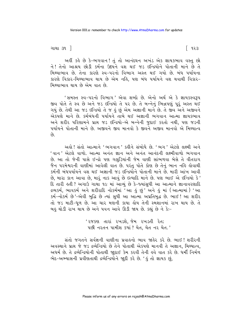ગાથા ૩૧ ી

અહીં કહે છે કે-ભગવાન ! તું તો આનંદઘન અખંડ એક જ્ઞાયકભાવ વસ્તુ છો ને! તેનો આશ્રય છોડી કર્મના ઉદયને વશ થઈ જડ ઇન્દ્રિયોને પોતાની માને છે તે મિથ્યાભાવ છે. તેના કારણે સ્વ-પરનો વિભાગ અસ્ત થઈ ગયો છે. બંધ પર્યાયના કારણે વિકાર-મિથ્યાભાવ થાય છે એમ નહિ. પણ બંધ પર્યાયને વશ થવાથી વિકાર-મિથ્યાભાવ થાય છે એમ વાત છે.

'સમસ્ત સ્વ-૫૨નો વિભાગ' એવા શબ્દો છે. એનો અર્થ એ કે જ્ઞાયકસ્વરૂપ જીવ પોતે તે સ્વ છે અને જડ ઇન્દ્રિયો તે ૫૨ છે. તે બન્નેનું ભિન્નપણું પૂરું અસ્ત થઈ ગયું છે. તેથી આ જડ ઇન્દ્રિયો તે જ હું છું એમ અજ્ઞાની માને છે. તે જીવ અને અજીવને એકપણે માને છે. કર્મબંધની પર્યાયને તાંબે થઈ અજ્ઞાની ભગવાન આત્મા જ્ઞાયકભાવ અને શરીર પરિણામને પ્રાપ્ત જડ ઇન્દ્રિયો-એ બન્નેની જુદાઈ કરતો નથી, પણ જડની પર્યાયને પોતાની માને છે. અજીવને જીવ માનવો કે જીવને અજીવ માનવો એ મિથ્યાત્વ  $\hat{\rho}_3$ 

અહો! સંતો આત્માને 'ભગવાન' કહીને સંબોધે છે. 'ભગ' એટલે લક્ષ્મી અને 'વાન' એટલે વાળો. આત્મા અનંત જ્ઞાન અને અનંત આનંદની લક્ષ્મીવાળો ભગવાન છે. આ તો જેની પાસે ઈન્દ્રો પણ ગલુડિયાંની જેમ વાણી સાંભળવા બેસે તે વીતરાગ જૈન પરમેશ્વરની વાણીમાં આવેલી વાત છે. પરંતુ પોતે કોણ છે તેનું ભાન નહિ લેવાથી કર્મની બંધપર્યાયને વશ થઈ અજ્ઞાની જડ ઇન્દ્રિયોને પોતાની માને છે. મારી આંખ આવી છે, મારા કાન આવા છે, મારૂં નાક આવું છે ઇત્યાદિ માને છે. પણ ભાઈ એ ઇન્દ્રિયો કે ' દિ તારી હતી? અગાઉ ગાથા ૧૯ માં આવ્યું છે કે-જ્યાંસુધી આ આત્માને જ્ઞાનાવરણાદિ દ્રવ્યકર્મ, ભાવકર્મ અને શરીરાદિ નોકર્મમાં 'આ કું છું' અને કું માં (આત્મામાં) 'આ કર્મ-નોકર્મ છે'-એવી બુદ્ધિ છે ત્યાં સુધી આ આત્મા અપ્રતિબુદ્ધ છે. ભાઈ ! આ શરીર તો જડ માટી-ધૂળ છે. આ ચાર મણની કાયા હોય તેની સ્મશાનમાં રાખ થાય છે. તે બહુ થોડી રાખ થાય છે અને પવન આવે ઊડી જાય છે. કહ્યું છે ને કેઃ-

> ' રજકણ તારાં રખડશે. જેમ રખડતી રેત; પછી નરતન પામીશ કયાં ? ચેત. ચેત નર ચેત.'

સંતો જગતને સર્વજ્ઞની વાણીના પ્રવાહનો ભાવ જાહેર કરે છે. ભાઈ ! શરીરની અવસ્થાને પ્રાપ્ત જે જડ દ્રવ્યેન્દ્રિયો છે તેને પોતાથી એકપણે માનવી તે અજ્ઞાન, મિથ્યાત્વ, અધર્મ છે. તે દ્રવ્યેન્દ્રિયોની પોતાથી જાદાઈ કેમ કરવી તેની હવે વાત કરે છે. ધર્મી નિર્મળ ભેદ-અભ્યાસની પ્રવીણતાથી દ્રવ્યેન્દ્રિયોને જાૂદી કરે છે. 'હું તો જ્ઞાયક છું,

િ ૧૨૩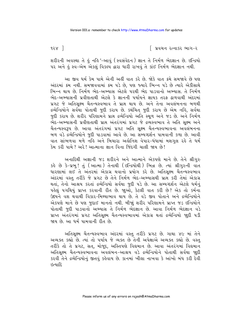િ પ્રવચન રત્નાકર ભાગ−ર

 $9.3 \times 1$ 

શરીરની અવસ્થા તે હું નહિ '-આવું (સ્વસંવેદન) જ્ઞાન તે નિર્મળ ભેદજ્ઞાન છે. ઇન્દ્રિયો ૫૨ અને ઢું સ્વ-એમ એકલું વિકલ્પ દ્વારા ધારી રાખવું તે કાંઈ નિર્મળ ભેદજ્ઞાન નથી.

આ જીવ ધર્મ કેમ પામે એની અહીં વાત કરે છે. જોકે વાત ક્રમે સમજાવે છે પણ અંદરમાં ક્રમ નથી. સમજાવવામાં ક્રમ ૫ડે છે, ૫ણ જ્યારે ભિન્ન ૫ડે છે ત્યારે એકીસાથે ભિન્ન થાય છે. નિર્મળ ભેદ-અભ્યાસ એટલે પરથી ભેદ પાડવાનો અભ્યાસ. તે નિર્મળ ભેદ-અભ્યાસની પ્રવીણતાથી એટલે કે જ્ઞાનની પર્યાયને જ્ઞાયક તરફ ઢાળવાથી અંદરમાં પ્રગટ જે અતિસુક્ષ્મ ચૈતન્યસ્વભાવ તે પ્રાપ્ત થાય છે. અને તેના અવલંબનના બળથી દ્રવ્યેન્દ્રિયોને સર્વથા પોતાથી જુદી કરાય છે. કથંચિત જુદી કરાય છે એમ નહિ, સર્વથા જુદી કરાય છે. શરીર પરિણામને પ્રાપ્ત દ્રવ્યેન્દ્રિયો અતિ સ્થૂળ અને જડ છે. અને નિર્મળ ભેદ-અભ્યાસની પ્રવીણતાથી પ્રાપ્ત અંતરંગમાં પ્રગટ જે દ્રવ્યસ્વભાવ તે અતિ સુક્ષ્મ અને ચૈતન્યસ્વરૂપ છે. આવા અંતરંગમાં પ્રગટ અતિ સૂક્ષ્મ ચૈતન્યસ્વભાવના અવલંબનના બળ વડે દ્રવ્યેન્દ્રિયોને જુદી પાડવામાં આવે છે. આ સમ્યગ્દર્શન પામવાની કળા છે. આવી વાત સાંભળવા મળે નહિ અને બિચારા અહોનિશ વેપાર-ધંધામાં મશગુલ રહે તે ધર્મ કેમ કરી પામે ? અરે ! આત્માના જ્ઞાન વિના જિંદગી ચાલી જાય છે !

અનાદિથી અજ્ઞાની જડ શરીરને અને આત્માને એકપણે માને છે. તેને શ્રીગુરુ કહે છે કે-પ્રભુ! તું (આત્મા) તેનાથી (ઇન્દ્રિયોથી) ભિન્ન છે. ત્યાં શ્રીગુરુની વાત ધારણામાં લઈ તે અંતરમાં એકાગ્ર થવાનો પ્રયોગ કરે છે. અતિસૂક્ષ્મ ચૈતન્યસ્વભાવ અંદરમાં વસ્ત તરીકે જે પ્રગટ છે તેને નિર્મળ ભેદ-અભ્યાસથી પ્રાપ્ત<sup>ે</sup> કરી તેમાં એકાગ્ર થતાં, તેનો આશ્રય કરતાં દ્રવ્યેન્દ્રિયો સર્વથા જુદી પડે છે. આ સમ્યગ્દર્શન એટલે ધર્મનું પહેલું પગથિયું પ્રાપ્ત કરવાની રીત છે. જાઓ, કેટલી વાત કરી છે? એક તો કર્મના ઉદયને વશ થવાથી વિકાર-મિથ્યાભાવ થાય છે. તે વડે જીવ પોતાને અને દ્રવ્યેન્દ્રિયોને એકપણે માને છે પણ જુદાઈ માનતો નથી. બીજાું શરીર પરિણામને પ્રાપ્ત જડ ઇન્દ્રિયોને પોતાથી જુદી પાડવાનો અભ્યાસ તે નિર્મળ ભેદજ્ઞાન છે. આવા નિર્મળ ભેદજ્ઞાન વડે પ્રાપ્ત અંતરંગમાં પ્રગટ અતિસૂક્ષ્મ ચૈતન્યસ્વભાવમાં એકાગ્ર થતાં દ્રવ્યેન્દ્રિયો જાુદી ૫ડી જાય છે. આ ધર્મ પામવાની રીત છે.

અતિસૂક્ષ્મ ચૈતન્યસ્વભાવ અંદરમાં વસ્તુ તરીકે પ્રગટ છે. ગાથા ૪૯ માં તેને અવ્યક્ત કહ્યો છે. ત્યાં તો પર્યાય જે વ્યક્ત છે તેની અપેક્ષાએ અવ્યક્ત કહ્યો છે. વસ્તુ તરીકે તો તે પ્રગટ, સત, મોજૂદ, અસ્તિપણે વિદ્યમાન છે. આવા અંતરંગમાં વિદ્યમાન અતિસક્ષ્મ ચૈતન્યસ્વભાવના અવલંબન-આશ્રય વડે દ્રવ્યેન્દ્રિયોને પોતાથી સર્વથા જાુદી કરવી તેને દ્રવ્યેન્દ્રિયોનું જીતવું કહેવાય છે. કાનમાં ખીલા નાખવા કે આંખો બંધ કરી દેવી <u> छत्याहि</u>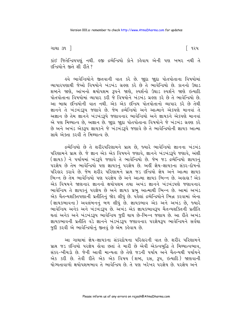ગાથા ૩૧ ી

િ ૧૨૫

કાંઈ જિતેન્દ્રિયપણું નથી. હજી દ્રવ્યેન્દ્રિયો કોને કહેવાય એની પણ ખબર નથી તે हन्द्रियोने छते शी रीते ?

હવે ભાવેન્દ્રિયોને જીતવાની વાત કરે છે. જ્ઞુદા જ્ઞુદા પોતપોતાના વિષયોમાં વ્યાપારપણાથી જેઓ વિષયોને ખંડખંડ ગ્રઢ્ણ કરે છે તે ભાવેન્દ્રિયો છે. કાનનો ઉઘાડ શબ્દને જાણે. આંખનો ક્ષયોપશમ રૂપને જાણે. સ્પર્શનો ઉઘાડ સ્પર્શને જાણે ઇત્યાદિ પોતપોતાના વિષયોમાં વ્યાપાર કરી જે વિષયોને ખંડખંડ ગ્રહણ કરે છે તે ભાવેન્દ્રિયો છે. આ બાહ્ય ઇન્દ્રિયોની વાત નથી. એક એક ઇન્દ્રિય પોતપોતાનો વ્યાપાર કરે છે તેથી જ્ઞાનને તે ખંડખંડરૂપ જણાવે છે. જેમ દ્રવ્યેન્દ્રિયો અને આત્માને એકપણે માનવાં તે અજ્ઞાન છે તેમ જ્ઞાનને ખંડખંડરૂપે જણાવનાર ભાવેન્દ્રિયો અને જ્ઞાયકને એકપણે માનવાં એ પણ મિથ્યાત્વ છે, અજ્ઞાન છે. જાુદા જાુદા પોતપોતાના વિષયોને જે ખંડખંડ ગ્રહણ કરે છે અને અખંડ એકરૂપ જ્ઞાયકને જે ખંડખંડરૂપે જણાવે છે તે ભાવેન્દ્રિયોની જ્ઞાયક આત્મા સાથે એક્તા કરવી તે મિશ્યાત્વ છે.

દ્રવ્યેન્દ્રિયો છે તે શરીરપરિણામને પ્રાપ્ત છે, જ્યારે ભાવેન્દ્રિયો જ્ઞાનના ખંડખંડ પરિણામને પ્રાપ્ત છે. જે જ્ઞાન એક એક વિષયને જણાવે, જ્ઞાનને ખંડખંડરૂપે જણાવે, અંશી (જ્ઞાયક) ને પર્યાયમાં ખંડરૂપે જણાવે તે ભાવેન્દ્રિયો છે. જેમ જડ દ્રવ્યેન્દ્રિયો જ્ઞાયકનું પરજ્ઞેય છે તેમ ભાવેન્દ્રિયો પણ જ્ઞાયકનું પરજ્ઞેય છે. અહીં જ્ઞેય-જ્ઞાયકના સંકર-દોષનો પરિકાર કરાવે છે. જેમ શરીર પરિણામને પ્રાપ્ત જડ ઇન્દ્રિયો જ્ઞેય અને આત્મા જ્ઞાયક ભિન્ન છે તેમ ભાવેન્દ્રિયો પણ પરજ્ઞેય છે અને આત્મા જ્ઞાયક ભિન્ન છે. અહાહા! એક એક વિષયને જાણનાર જ્ઞાનનો ક્ષયોપશમ તથા અખંડ જ્ઞાનને ખંડખંડપણે જણાવનાર ભાવેન્દ્રિય તે જ્ઞાયકનું પરજ્ઞેય છે અને જ્ઞાયક પ્રભુ આત્માથી ભિન્ન છે. આમાં અખંડ એક ચૈતન્યશક્તિપણાની પ્રતીતિનું જોર લીધું છે. પહેલાં દ્રવ્યેન્દ્રિયોને ભિન્ન કરવામાં એના (જ્ઞાયકભાવના) અવલંબનનું બળ લીધું છે. જ્ઞાયકભાવ એક અને અખંડ છે, જ્યારે ભાવેન્દ્રિય અનેક અને ખંડખંડરૂપ છે. અખંડ એક જ્ઞાયકભાવરૂપ ચૈતન્યશક્તિની પ્રતીતિ થતાં અનેક અને ખંડખંડરૂપ ભાવેન્દ્રિય જુદી થાય છે-ભિન્ન જણાય છે. આ રીતે અખંડ જ્ઞાયકભાવની પ્રતીતિ વડે જ્ઞાનને ખંડખંડરૂપ જણાવનાર પરજ્ઞેયરૂપ ભાવેન્દ્રિયને સર્વથા જુદી કરવી એ ભાવેન્દ્રિયોનું જીતવું છે એમ કહેવાય છે.

આ ગાથામાં જ્ઞેય-જ્ઞાયકના સંકરદોષના પરિહારની વાત છે. શરીર પરિણામને પ્રાપ્ત જડ ઇન્દ્રિયો પરજ્ઞેય હોવા છતાં તે મારી છે એવી એકત્વબુદ્ધિ તે મિથ્યાત્વભાવ, સંકર-ખીચડો છે. જેની આવી માન્યતા છે તેણે જડની પર્યાય અને ચૈતન્યથી પર્યાયને એક કરી છે. તેવી રીતે એક એક વિષય (શબ્દ, રસ, રૂપ, ઇત્યાદિ) જાણવાની યોગ્યતાવાળો ક્ષયોપશમભાવ તે ભાવેન્દ્રિય છે. તે પણ ખરેખર પરજ્ઞેય છે. પરજ્ઞેય અને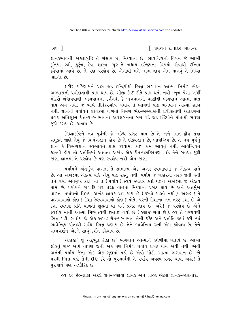૧૨ $\epsilon$  |

િ પ્રવચન રત્નાકર ભાગ−ર

જ્ઞાયકભાવની એક્તાબુદ્ધિ તે સંસાર છે, મિથ્યાત્વ છે. ભાવેન્દ્રિયનો વિષય જે આખી દુનિયા સ્ત્રી, કુટુંબ, દેવ, શાસ્ત્ર, ગુરુ−તે બધાય ઇન્દ્રિયના વિષયો હોવાથી ઇન્દ્રિય ુ<br>કહેવામાં આવે છે. તે પણ પરજ્ઞેય છે. એનાથી મને લાભ થાય એમ માનવું તે મિથ્યા <u>ભાન્તિ છે.</u>

શરીર પરિણામને પ્રાપ્ત જડ ઇન્દ્રિયોથી ભિન્ન ભગવાન આત્મા નિર્મળ ભેદ-અભ્યાસની પ્રવીણતાથી પ્રાપ્ત થાય છે. બીજી કોઈ રીતે પ્રાપ્ત થતો નથી. ખુબ પૈસા ખર્ચી મંદિરો બંધાવવાથી, ભગવાનના દર્શનથી કે ભગવાનની વાણીથી ભગવાન આત્મા પ્રાપ્ત થાય એમ નથી. જે ભાવે તીર્થંકરગોત્ર બંધાય તે ભાવથી પણ ભગવાન આત્મા ગ્રાહ્ય નથી. જ્ઞાનની પર્યાયને જ્ઞાયકમાં વાળતાં નિર્મળ ભેદ–અભ્યાસની પ્રવીણતાથી અંતરંગમાં પ્રગટ અતિસુક્ષ્મ ચૈતન્ય-સ્વભાવના અવલંબનના બળ વડે જડ ઇંદ્રિયોને પોતાથી સર્વથા જદી કરાય છે. જીતાય છે.

મિથ્યાદષ્ટિને નવ પૂર્વની જે લબ્ધિ પ્રગટ થાય છે તે અને સાત દ્વીપ તથા સમુદ્રને જાણે તેવું જે વિભંગજ્ઞાન હોય છે તે ઇંદ્રિયજ્ઞાન છે, ભાવેન્દ્રિય છે. તે નવ પૂર્વનું જ્ઞાન કે વિભંગજ્ઞાન સ્વભાવને પ્રાપ્ત કરવામાં કાંઈ કામ આવતું નથી. ભાવેન્દ્રિયને જીતવી લોય તો પ્રતીતિમાં આવતા અખંડ એક ચૈતન્યશક્તિપણા વડે તેને સર્વથા જુદી જાણ જ્ઞાનમાં તે પરજ્ઞેય છે પણ સ્વજ્ઞેય નથી એમ જાણ

પર્યાયને અંતર્મુખ વાળતાં તે સામાન્ય એક અખંડ સ્વભાવમાં જ એકત્વ પામે છે. આ અખંડમાં એકત્વ થાઉં એવું પણ રહેતું નથી. પર્યાય જે બહારની તરફ જતી હતી તેને જ્યાં અંતર્મુખ કરી ત્યાં તે (પર્યાય) સ્વયં સ્વતંત્ર ક્તા થઈને અખંડમાં જ એકત્વ પામે છે. પર્યાયને રાગાદિ પર તરફ વાળતાં મિથ્યાત્વ પ્રગટ થાય છે અને અંતર્મખ વાળતાં પર્યાયનો વિષય અખંડ જ્ઞાયક થઈ જાય છે (કરવો પડતો નથી). અહાહા! તે વાળવાવાળો કોણ? દિશા ફેરવવાવાળો કોણ? પોતે. પરની દિશાના લક્ષ તરફ દશા છે એ દશા સ્વલક્ષ પ્રતિ વાળતાં શુદ્ધતા વા ધર્મ પ્રગટ થાય છે. અરે! જે પરજ્ઞેય છે એને સ્વજ્ઞેય માની આત્મા મિથ્યાત્વથી જીતાઈ ગયો છે ( ઙણાઈ ગયો છે). ઙવે તે પરજ્ઞેયથી ભિન્ન ૫ડી. સ્વજ્ઞેય જે એક અખંડ ચૈતન્યસ્વભાવ તેની દૃષ્ટિ અને પ્રતીતિ જ્યાં કરી ત્યાં ભાવેન્દ્રિય પોતાથી સર્વથા ભિન્ન જણાય છે. તેને ભાવેન્દ્રિય જીતી એમ કહેવાય છે. તેને સમ્યગ્દર્શન એટલે સાચંદર્શન કહેવાય છે.

અહાહા ! શું અદ્દભુત ટીકા છે ! ભગવાન આત્માને હથેળીમાં બતાવે છે. આખા લોકનું રાજ આપે તોપણ જેની એક પણ નિર્મળ પર્યાય પ્રગટ થાય એવી નથી, એવી અનંતી પર્યાય જેના એક એક ગુણમાં ૫ડી છે એવો મોટો આત્મા ભગવાન છે. જો પરથી ભિન્ન પડી તેની દષ્ટિ કરે તો પુરુષાર્થથી તે પર્યાય અવશ્ય પ્રગટ થાય. અહો! તે પુરુષાર્થ પણ અલૌકિક છે.

ઙ્વે કર્લ છેઃ-ગ્રાહ્ય એટલે જ્ઞેય-જણાવા લાયક અને ગ્રાહક એટલે જ્ઞાયક-જાણનાર.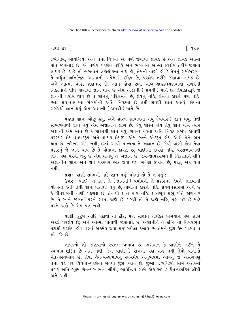#### ગાથા ૩૧ ી

દ્રવ્યેન્દ્રિય, ભાવેન્દ્રિય, અને તેના વિષયો એ ત્રણે જણાવા લાયક છે અને જ્ઞાયક આત્મા પોતે જાણનાર છે. એ ત્રણેય પરજ્ઞેય તરીકે અને ભગવાન આત્મા સ્વજ્ઞેય તરીકે જાણવા લાયક છે. ચાહે તો ભગવાન ત્રણલોકના નાથ હો, તેમની વાણી હો કે તેમનું સમોસરણ-તે બઘુંય અનિન્દ્રિય આત્માની અપેક્ષાએ ઇંદ્રિય છે, પરજ્ઞેય તરીકે જણાવા લાયક છે. અને આત્મા ગ્રાહક-જાણનાર છે. આમ હોવા છતાં ગ્રાહ્ય-ગ્રાહકલક્ષણવાળા સંબંધની નિકટતાને લીધે વાણીથી જ્ઞાન થાય છે એમ અજ્ઞાની (ભ્રમથી) માને છે. જ્ઞેયાકારરૂપે જે જ્ઞાનની પર્યાય થાય છે તે જ્ઞાનનું પરિણમન છે, જ્ઞેયનું નહિ, જ્ઞેયના કારણે પણ નહિ, છતાં જ્ઞેય-જ્ઞાયકના સંબંધીની અતિ નિકટતા છે તેથી જ્ઞેયથી જ્ઞાન આવ્યં. જ્ઞેયના સંબંધથી જ્ઞાન થયું એમ અજ્ઞાની (ભ્રમથી) માને છે.

પહેલાં જ્ઞાન ઓછું હતું, અને શાસ્ત્ર સાંભળતાં નવું (વધારે) જ્ઞાન થયું. તેથી સાંભળવાથી જ્ઞાન થયું એમ અજ્ઞાનીને લાગે છે. જેવું શાસ્ત્ર ક્ષેય તેવું જ્ઞાન થાય ત્યારે અજ્ઞાની એમ માને છે કે શાસ્ત્રથી જ્ઞાન થયં. જ્ઞેય-જ્ઞાયકનો અતિ નિકટ સંબંધ લોવાથી ્.......<br>પરસ્પર જ્ઞેય જ્ઞાયકરૂપ અને જ્ઞાયક જ્ઞેયરૂપ એમ બન્ને એકરૂપ હોય એવો તેને ભ્રમ થાય છે. ખરેખર એમ નથી. છતાં આવી માન્યતા તે અજ્ઞાન છે. જેવી વાણી હોય તેવા પ્રકારનું જે જ્ઞાન થાય છે તે પોતાના કારણે છે. વાણીના કારણે નહિ. પરસત્તાવલંબી જ્ઞાન પણ પરથી થયું છે એમ માનવું તે અજ્ઞાન છે. જ્ઞેય-જ્ઞાયકસંબંધની નિકટતાને લીધે અજ્ઞાનીને જ્ઞાન અને જ્ઞેય પરસ્પર એક જેવા થઈ ગયેલા દેખાય છે. પરંત એક થયા ન થી

ua :- વાણી સાંભળી માટે જ્ઞાન થયું, પહેલાં તો તે ન હતું?

Guz :- ભાઈ! તે કાળે તે (જ્ઞાનની) પર્યાયની તે પ્રકારના જ્ઞેયને જાણવાની યોગ્યતા હતી. તેથી જ્ઞાન પોતાથી થયું છે, વાણીના કારણે નહિ. પ્રવચનસારમાં આવે છે કે વીતરાગની વાણી પુદગલ છે. તેનાથી જ્ઞાન થાય નહિ. જ્ઞાનસૂર્ય પ્રભુ પોતે જાણનાર છે. તે સ્વને જાણતાં પરને સ્વતઃ જાણે છે. પરથી તો તે જાણે નહિ, પણ પર છે માટે પરને જાણે છે એમ પણ નથી.

વાણી, કુટુંબ આદિ પદાર્થો તો ઠીક, પણ સાક્ષાત્ તીર્થંકર ભગવાન પણ ગ્રાહ્ય એટલે પરજ્ઞેય છે; અને આત્મા પોતાથી જાણનાર છે. અજ્ઞાનીને તે ઇન્દ્રિયના વિષયભત પદાર્થી પરજ્ઞેય લોવા છતાં એકમેક જેવા થઈ ગયેલા દેખાય છે. તેમને જુદા કેમ પાડવા તે હવે કહે છે.

જ્ઞાયકનો તો જાણવાનો સ્વત: સ્વભાવ છે. ભગવાન કે વાણીને લઈને તે સ્વભાવ-શક્તિ છે એમ નથી. જેને વાણી કે રાગનો પણ સંગ નથી તેવો પોતાનો ચૈતન્યસ્વભાવ છે. તેવા ચૈતન્યસ્વભાવનું સ્વયમેવ અનુભવમાં આવતું જે અસંગપણું તેના વડે ૫૨ વિષયો-૫૨જ્ઞેયો સર્વથા જુદા કરાય છે. જુઓ, દ્રવ્યેન્દ્રિયો સામે અંતરમાં પ્રગટ અતિ-સક્ષ્મ ચૈતન્યસ્વભાવ લીધો. ભાવેન્દ્રિય સામે એક અખંડ ચૈતન્યશક્તિ લીધી અને અહીં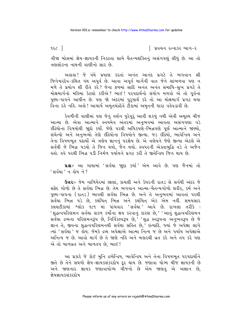૧૨૮  $\overline{\phantom{a}}$ 

∫ પ્રવચન રત્નાકર ભાગ−ર

ત્રીજા બોલમાં જ્ઞેય-જ્ઞાયકની નિકટતા સામે ચૈતન્યશક્તિનું અસંગપણું લીધું છે. આ તો ત્રણલોકના નાથની વાણીનો સાર છે.

અલલ! જે પંથે પ્રયાણ કરતાં અનંત આનંદ પ્રગટે તે ભગવાન શ્રી જિનેશ્વરદેવ-કથિત પંથ અપૂર્વ છે. આવા અપૂર્વ માર્ગની વાત જેને સાંભળવા પણ ન મળે તે પ્રયોગ શી રીતે કરે? જેના ફળમાં સાદિ અનંત અનંત સમાધિ-સુખ પ્રગટે તે મોક્ષમાર્ગનો મહિમા કેટલો કરીએ ? ભાઈ ! પરપદાર્થનો સંયોગ મળવો એ તો પૂર્વનાં પુણ્ય-પાપને આધીન છે. પણ જો અંદરમાં પુરુષાર્થ કરે તો આ મોક્ષમાર્ગ પ્રગટ થયા વિના રહે નહિ. અહો ! આચાર્ય અમૃતચંદ્રદેવે ટીકામાં અમૃતની ધારા વહેવડાવી છે.

કેવળીની વાણીમાં પણ જેનું વર્ણન પુરેપુરું આવી શકયું નથી એવી અમુલ્ય ચીજ આત્મા છે. એવા આત્માને સ્વયમેવ અંતરમાં અનુભવમાં આવતા અસંગપણા વડે ઇંદ્રિયોના વિષયોથી જાુદો કર્યો. જેણે પરથી અધિકપર્ણે–ભિન્નપણે પૂર્ણ આત્માને જાણ્યો, સંચેત્યો અને અનુભવ્યો તેણે ઇંદ્રિયોના વિષયોને જીત્યા. જડ ઇંદ્રિયો, ભાવેન્દ્રિય અને તેના વિષયભૂત પદાર્થો એ ત્રણેય જ્ઞાનનું પરજ્ઞેય છે. એ ત્રણેયને જેણે જીત્યા એટલે એ સર્વથી જે ભિન્ન ૫ડયો તે જિન થયો, જૈન થયો. સ્વપરની એક્તાબુદ્ધિ વડે તે અજૈન હતો. હવે પરથી ભિન્ન પડી નિર્મળ પર્યાયને પ્રગટ કરી તે જીતેન્દ્રિય જિન થાય છે.

પ્રશ્નઃ- આ ગાથામાં 'સર્વથા જાુદા કર્યા' એમ આવે છે. પણ જૈનમાં તો ' સર્વથા' ન હોય ને ?

Gaz :- જેમ નાળિયેરમાં છાલાં, કાચલી અને ઉપરની રાતડ સે સર્વથી અંદર જે સફેદ ગોળો છે તે સર્વથા ભિન્ન છે. તેમ ભગવાન આત્મા-ચૈતન્યગોળો શરીર, કર્મ અને પુણ્ય-પાપના (રાતડ) ભાવથી સર્વથા ભિન્ન છે. અને તે અનુભવમાં આવતાં પરથી .<br>સર્વથા ભિન્ન પડે છે, કથંચિત્ ભિન્ન અને કથંચિત્ એક એમ નહીં. સમયસાર કલશટીકામાં શ્લોક ૧૮૧ માં પાંચવાર 'સર્વથા' આવે છે. દાખલા તરીકે : 'શુદ્ધત્વપરિણમન સર્વથા સકળ કર્મોના ક્ષય કરવાનું કારણ છે,' 'આવું શુદ્ધત્વપરિણમન सर्यथा द्रव्यना परिशमन३५ છे, निर्विडस्प३५ છे, 'शुद्ध स्वं३५ना अनु लय३५ છे જे જ્ઞાન તે, જીવના શુદ્ધત્વપરિણમનથી સર્વથા સર્લિ છે, ઈત્યાદિ. જ્યાં જે અપેક્ષા લાગે ત્યાં 'સર્વથા ' જ લોય. જેમકે દ્રવ્ય અપેક્ષાએ આત્મા નિત્ય જ છે અને પર્યાય અપેક્ષાએ અનિત્ય જ છે. આવો માર્ગ છે તે જાણે નહિ અને બહારથી વ્રત કરે અને તપ કરે પણ એ તો બાળવ્રત અને બાળતપ છે, ભાઈ!

આ પ્રકારે જે કોઈ મુનિ દ્રવ્યેન્દ્રિય, ભાવેન્દ્રિય અને તેના વિષયભૂત પરપદાર્થોને જીતે છે તેને સઘળો જ્ઞેય-જ્ઞાયકસંકરદોષ દૂર થાય છે. જણાવા યોગ્ય ચીજ જ્ઞાયકની છે અને જાણનાર જ્ઞાયક જણાવાયોગ્ય ચીજનો છે એમ જાણવું એ અજ્ઞાન છે, જ્ઞેયજ્ઞાયકસંકરદોષ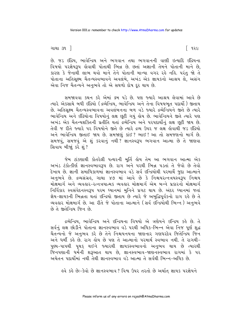ગાથા ૩૧ ી

િ ૧૨૯

છે. જડ ઇંદ્રિય, ભાવેન્દ્રિય અને ભગવાન તથા ભગવાનની વાણી ઇત્યાદિ ઇંદ્રિયના વિષયો પરજ્ઞેયરૂપ હોવાથી પોતાથી ભિન્ન છે. છતાં અજ્ઞાની તેમને પોતાની માને છે, કારણ કે જેનાથી લાભ થવો માને તેને પોતાની માન્યા વગર રહે નહિ. પરંતુ જો તે પોતાના અતિસુક્ષ્મ ચૈતન્યસ્વભાવને અવલંબે, અખંડ એક જ્ઞાયકનો આશ્રય લે, અસંગ એવા નિજ ચૈતન્યને અનભવે તો એ સઘળો દોષ દર થાય છે.

સમજાવવા કથન કરે એમાં ક્રમ પડે છે. પણ જ્યારે આશ્રય લેવામાં આવે છે ત્યારે એકસાથે બધી ઇંદ્રિયો (દ્રવ્યેન્દ્રિય, ભાવેન્દ્રિય અને તેના વિષયભુત પદાર્થો) જીતાય છે. અતિસુક્ષ્મ ચૈતન્યસ્વભાવના અવલંબનના બળ વડે જ્યારે દ્રવ્યેન્દ્રિયને જીતે છે ત્યારે ભાવેન્દ્રિય અને ઇંદ્રિયોના વિષયોનું લક્ષ છૂટી ગયું હોય છે. ભાવેન્દ્રિયને જીતે ત્યારે પણ અખંડ એક ચૈતન્યશક્તિની પ્રતીતિ થતાં દ્રવ્યેન્દ્રિય અને પરપદાર્થીનું લક્ષ છૂટી જાય છે. તેવી જ રીતે જ્યારે ૫૨ વિષયોને જીતે છે ત્યારે દ્રવ્ય ઉપર જ લક્ષ કોવાથી જડ ઇંદ્રિયો અને ભાવેન્દ્રિય જીતાઈ જાય છે. સમજાણું કાંઈ? ભાઈ! આ તો સમજણનો માર્ગ છે. સમજવું, સમજવું એ શું કરવાનું નથી ? જ્ઞાનસ્વરૂપ ભગવાન આત્મા છે તે જાણવા સિવાય બીજાં કરે શં?

જેમ ટાંકણાથી કોતરેલી પત્થરની મૂર્તિ હોય તેમ આ ભગવાન આત્મા એક અખંડ ટંકોત્કીર્ણ જ્ઞાનસ્વભાવરૂપ છે. રાગ અને પરથી ભિન્ન પડતાં તે જેવો છે તેવો દેખાય છે. જ્ઞાની સમાધિકાળમાં જ્ઞાનસ્વભાવ વડે સર્વ ઇન્દ્રિયોથી પરમાર્થે જુદા આત્માને અનભવે છે. દ્રવ્યસંગ્રહ. ગાથા ૪૭ માં આવે છે કે નિશ્ચયરત્નત્રયસ્વરૂપ નિશ્ચય મોક્ષમાર્ગ અને વ્યવહાર-રત્નત્રયાત્મક વ્યવહાર મોક્ષમાર્ગ એમ બન્ને પ્રકારનો મોક્ષમાર્ગ નિર્વિકાર સ્વસંવેદનસ્વરૂપ પરમ ઘ્યાનમાં મુનિને પ્રગટ થાય છે. અંદર ઘ્યાનમાં જતાં જ્ઞેય-જ્ઞાયકની ભિન્નતા થતાં ઇન્દ્રિયો જીતાય છે ત્યારે જે અબુદ્ધિપૂર્વકનો રાગ રહે છે તે વ્યવહાર મોક્ષમાર્ગ છે. આ રીતે જે પોતાના આત્માને (સર્વ ઇન્દ્રિયોથી ભિન્ન) અનભવે छे ते छतेन्दिय श्रिन छे.

દ્રવ્યેન્દ્રિય, ભાવેન્દ્રિય અને ઇન્દ્રિયના વિષયો એ ત્રણેયને ઇન્દ્રિય કર્લ છે. તે સર્વનું લક્ષ છોડીને પોતાના જ્ઞાનસ્વભાવ વડે પરથી અધિક-ભિન્ન એવા નિજ પૂર્ણ શુદ્ધ ચૈતન્યનો જે અનુભવ કરે છે તેને નિશ્ચયનયના જાણનાર ગણધરદેવ જિતેન્દ્રિય જિન અને ધર્મી કહે છે. રાગ હોય છે પણ તે આત્માનો પરમાર્થ સ્વભાવ નથી. તે રાગથી-પુણ્ય-પાપથી પૃથક્ થઈને જ્યારથી જ્ઞાયકસ્વભાવનો અનુભવ થાય છે ત્યારથી જિનપણાની ધર્મેની શરૂઆત થાય છે, જ્ઞાનસ્વભાવ-જાણનસ્વભાવ રાગમાં કે પર અચેતન પદાર્થોમાં નથી તેથી જ્ઞાનસ્વભાવ વડે આત્મા તે સર્વથી ભિન્ન–અધિક છે.

ઙવે કર્ક છેઃ-કેવો છે જ્ઞાનસ્વભાવ ? વિશ્વ ઉપર તરતો છે અર્થાત જ્ઞાયક પરજ્ઞેયને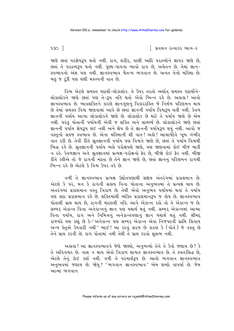9.30  $\overline{1}$ 

િ પ્રવચન રત્નાકર ભાગ−ર

જાણે છતાં પરજ્ઞેયરૂપ થતો નથી. રાગ, શરીર, વાણી આદિ પરદ્રવ્યોને જ્ઞાયક જાણે છે, છતાં તે પરદ્રવ્યરૂપ થતો નથી. પુણ્ય-પાપના ભાવો રાગ છે, અચેતન છે. તેમાં જ્ઞાન-સ્વભાવનો અંશ પણ નથી. જ્ઞાનસ્વભાવ ચૈતન્ય ભગવાન છે. અનંત તેનો મહિમા છે. બહુ જ ટૂંકી પણ ઘણી મહત્ત્વની વાત છે.

વિશ્વ એટલે સમસ્ત પદાર્થો-લોકાલોક. તે ઉપર તરતો અર્થાત સમસ્ત પદાર્થોને-લોકાલોકને જાણે છતાં પણ તે-3૫ નહિ થતો એવો ભિન્ન રહે છે. અહાહા! આવો જ્ઞાનસ્વભાવ છે. ભાવશક્તિને કારણે જ્ઞાનગુણનું વિકારરહિત જે નિર્મળ પરિણમન થાય છે તેમાં સમસ્ત વિશ્વ જાણવામાં આવે છે છતાં જ્ઞાનની પર્યાય વિશ્વરૂપ થતી નથી. કેવળ જ્ઞાનની પર્યાય આખા લોકાલોકને જાણે છે. લોકાલોક છે માટે તે પર્યાય જાણે છે એમ નથી. પરંતુ પોતાની પર્યાયની એવી જ શક્તિ અને સામર્થ્ય છે. લોકાલોકને જાણે છતાં જ્ઞાનની પર્યાય જ્ઞેયરૂપ થઈ નથી અને જ્ઞેય છે તે જ્ઞાનની પર્યાયરૂપ થયું નથી. આવો જ વસ્તુનો સહજ સ્વભાવ છે. એના મહિમાની શી વાત! અહો! આચાર્યદેવે ખૂબ ગંભીર વાત કરી છે. તેવી રીતે શ્રુતજ્ઞાનની પર્યાય પણ વિશ્વને જાણે છે, છતાં તે પર્યાય વિશ્વથી ભિન્ન રહે છે. શ્રુતજ્ઞાનની પર્યાય ભલે પરોક્ષપણે જાણે, પણ જાણવામાં કોઈ ચીજ બાકી ન રહે. કેવળજ્ઞાન અને શ્રુતજ્ઞાનમાં પ્રત્યક્ષ-પરોક્ષનો ફેર છે, બીજો કોઈ ફેર નથી. બીજી રીતે કહીએ તો જે રાગની મંદતા છે તેને જ્ઞાન જાણે છે, છતાં જ્ઞાનનું પરિણમન રાગથી ભિન્ન રહે છે એટલે કે વિશ્વ ઉપર તરે છે.

વળી તે જ્ઞાનસ્વભાવ પ્રત્યક્ષ ઉદ્યોતપણાથી સદ્દાય અંતરંગમાં પ્રકાશમાન છે. એટલે કે પર, મન કે રાગની સહાય વિના પોતાના અનુભવમાં તે પ્રત્યક્ષ થાય છે. અંતરંગમાં પ્રકાશમાન વસ્તુ ત્રિકાળ છે. તેથી એવો અનુભવ પર્યાયમાં થતાં તે પર્યાય પણ સદા પ્રકાશમાન રહે છે. શક્તિમાંથી વ્યક્તિ પ્રકાશમાનરૂપ જ હોય છે. જ્ઞાનસ્વભાવ પોતાથી પ્રાપ્ત થાય છે. રાગની મંદતાથી નહિ. આને એકાન્ત કહો તો તે એકાન્ત જ છે. સમ્યક એકાન્ત વિના અનેકાન્તનું જ્ઞાન પણ યથાર્થ થતું નથી. સમ્યક એકાન્તમાં આવ્યા વિના પર્યાય, રાગ અને નિમિત્તનું અનેકાન્તપણાનું જ્ઞાન યથાર્થ થતું નથી. શ્રીમદ્દ રાજચંદ્રે પણ કહ્યું છે કે-'અનેકાન્ત પણ સમ્યક્ એકાન્ત એવા નિજપદની પ્રાપ્તિ સિવાય અન્ય હેતુએ ઉપકારી નથી ' ભાઈ ! આ કરવું સરળ છે કારણ કે (પોતે) જે વસ્તુ છે તેને પ્રાપ્ત કરવી છે. રાગ પોતામાં નથી તેથી તે પ્રાપ્ત કરવો સુલભ નથી.

અહાહા! આ જ્ઞાનસ્વભાવને જેણે જાણ્યો, અનુભવ્યો તેને તે કેવો જણાય છે? કે તે અવિનશ્વર છે. નાશ ન થાય એવો ત્રિકાળ શાશ્વત જ્ઞાનસ્વભાવ છે. તે સ્વતઃસિદ્ધ છે. .<br>એટલે તેનું કોઈ ક્ર્તા નથી. વળી તે પરમાર્થરૂપ છે. આવો ભગવાન જ્ઞાનસ્વભાવ અનુભવમાં જણાય છે. જોયું? 'ભગવાન જ્ઞાનસ્વભાવ' એમ શબ્દો વાપર્યા છે. જેમ આત્મા ભગવાન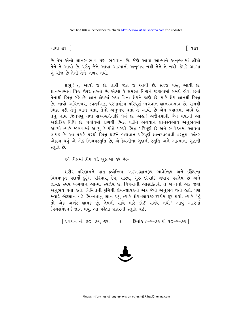ગાથા ૩૧ ી

િ ૧૩૧

છે તેમ એનો જ્ઞાનસ્વભાવ પણ ભગવાન છે. જેણે આવા આત્માને અનુભવમાં લીધો તેને તે આવો છે. પરંતુ જેને આવા આત્માનો અનુભવ નથી તેને તે નથી, કેમકે આત્મા શું ચીજ છે તેની તેને ખબર નથી.

પ્રભુ! તું આવો જ છે. તારી જાત જ આવી છે. સહજ વસ્તુ આવી છે. જ્ઞાનસ્વભાવ વિશ્વ ઉપર તરતો છે. એટલે કે સમસ્ત વિશ્વને જાણવામાં સમર્થ લેવા છતાં તેનાથી ભિન્ન રહે છે. જ્ઞાન જ્ઞેયમાં ગયા વિના જ્ઞેયને જાણે છે. માટે જ્ઞેય જ્ઞાનથી ભિન્ન છે. આવો અવિનશ્વર, સ્વતઃસિદ્ધ, પરમાર્થરૂપ પરિપૂર્ણ ભગવાન જ્ઞાનસ્વભાવ છે. રાગથી ભિન્ન પડી તેનું ભાન થતાં, તેનો અનુભવ થતાં તે આવો છે એમ ખ્યાલમાં આવે છે. તેનું નામ જિનપણું તથા સમ્યગ્દર્શનાદિ ધર્મ છે. અલે! અજૈનમાંથી જૈન થવાની આ અલૌકિક વિધિ છે. પર્યાયમાં રાગથી ભિન્ન પડીને ભગવાન જ્ઞાનસ્વભાવ અનુભવમાં આવ્યો ત્યારે જાણવામાં આવ્યું કે પોતે પરથી ભિન્ન પરિપૂર્ણ છે અને સ્વવેદનમાં આવવા લાયક છે. આ પ્રકારે પરથી ભિન્ન થઈને ભગવાન પરિપૂર્ણ જ્ઞાનસ્વભાવી વસ્તુમાં અંતર એકાગ્ર થવું એ એક નિશ્ચયસ્તુતિ છે, એ કેવળીના ગુણની સ્તુતિ અને આત્માના ગુણની સ્તતિ છે.

હવે કૌંસમાં ટીપ વડે ખુલાસો કરે છેઃ−

શરીર પરિણામને પ્રાપ્ત દ્રવ્યેન્દ્રિય, ખંડખંડજ્ઞાનરૂપ ભાવેન્દ્રિય અને ઇંદ્રિયના વિષયભૂત પદાર્થી-કુટુંબ પરિવાર, દેવ, શાસ્ત્ર, ગુરુ ઇત્યાદિ બધાય પરજ્ઞેય છે અને જ્ઞાયક સ્વયં ભગવાન આત્મા સ્વજ્ઞેય છે. વિષયોની આસક્તિથી તે બન્નેનો એક જેવો અનુભવ થતો હતો. નિમિત્તની રુચિથી જ્ઞેય-જ્ઞાયકનો એક જેવો અનુભવ થતો હતો. પણ જ્યારે ભેદજ્ઞાન વડે ભિન્નતાનું જ્ઞાન થયું ત્યારે જ્ઞેય-જ્ઞાયકસંકરદોષ દૂર થયો. ત્યારે 'હું તો એક અખંડ જ્ઞાયક છું, જ્ઞેયની સાથે મારે કાંઈ સંબંધ નથી 'આવું અંદરમાં (સ્વસંવેદન) જ્ઞાન થયું. આ પહેલા પ્રકારની સ્તુતિ થઈ.

[ પ્રવચન નં. ૭૦, ૭૧, ૭૨. \* દિનાંક ૮-૨-૭૬ થી ૧૦-૨-૭૬ ]

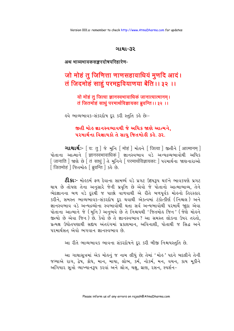#### ગાથા-૩૨

#### अथ भाव्यभावकसङ्करदोषपरिहारेण-

# जो मोहं तु जिणित्ता णाणसहावाधियं मुणदि आदं। तं जिदमोहं साहुं परमद्ववियाणया बेंति ।। ३२ ।।

यो मोहं तु जित्वा ज्ञानस्वभावाधिकं जानात्यात्मानम् । तं जितमोहं साधुं परमार्थविज्ञायका ब्रुवन्ति ।। ३२ ।।

ઙ્વે ભાવ્યભાવક-સંકરદોષ દર કરી સ્તુતિ કહે છેઃ−

# જીતી મોહ જ્ઞાનસ્વભાવથી જે અધિક જાણે આત્મને. પરમાર્થના વિજ્ઞાયકો તે સાધુ જિતમોહી કહે. ૩૨.

ગાથાર્થઃ- [ य: तु ] જે મુનિ [ मोहं ] મોङ्ने [ जित्वा ] જીતીને [ आत्मानम् ] પોતાના આત્માને [ज्ञानस्वभावाधिकं] જ્ઞાનસ્વભાવ વડે અન્યદ્રવ્યભાવોથી અધિક [जितमोहं | જિતમો §[ब्रुवन्ति ] ક હે છે.

**ટીકાઃ-** મોહકર્મ ફળ દેવાના સામર્થ્ય વડે પ્રગટ ઉદયરૂપ થઈને ભાવકપણે પ્રગટ થાય છે તોપણ તેના અનુસારે જેની પ્રવૃત્તિ છે એવો જે પોતાનો આત્માભાવ્ય, તેને ભેદજ્ઞાનના બળ વડે દરથી જ પાછો વાળવાથી એ રીતે બળપર્વક મોહનો તિરસ્કાર કરીને, સમસ્ત ભાવ્યભાવક-સંકરદોષ દર થવાથી એકત્વમાં ટંકોત્કીર્ણ (નિશ્ચલ) અને જ્ઞાનસ્વભાવ વડે અન્યદ્રવ્યોના સ્વભાવોથી થતા સર્વ અન્યભાવોથી પરમાર્થે જાદા એવા પોતાના આત્માને જે (મુનિ) અનુભવે છે તે નિશ્ચયથી 'જિતમોઙ જિન*'* (જેણે મોઙને જીત્યો છે એવા જિન) છે. કેવો છે તે જ્ઞાનસ્વભાવ? આ સમસ્ત લોકના ઉપર તરતો. પ્રત્યક્ષ ઉદ્યોતપણાથી સદ્દાય અંતરંગમાં પ્રકાશમાન, અવિનાશી, પોતાથી જ સિદ્ધ અને પરમાર્થસત એવો ભગવાન જ્ઞાનસ્વભાવ છે.

આ રીતે ભાવ્યભાવક ભાવના સંકરદોષને દૂર કરી બીજી નિશ્ચયસ્તુતિ છે.

આ ગાથાસત્રમાં એક મોહનું જ નામ લીધું છે; તેમાં 'મોહ' પદને બદલીને તેની જગ્યાએ રાગ, દ્વેષ, ક્રોધ, માન, માયા, લોભ, કર્મ, નોકર્મ, મન, વચન, કાય મૂકીને અગિયાર સૂત્રો વ્યાખ્યાનરૂપ કરવાં અને શ્રોત્ર, ચક્ષ, ઘ્રાણ, રસન, સ્પર્શન-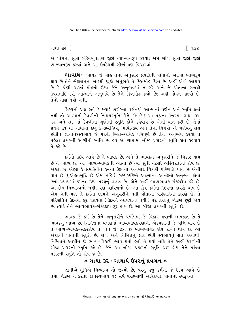ગાથા ૩૨ ]

એ પાંચનાં સૂત્રો ઇંદ્રિયસૂત્રદ્વારા જાુદાં વ્યાખ્યાનરૂપ કરવાં; એમ સોળ સૂત્રો જાુદાં જાુદાં વ્યાખ્યાનરૂપ કરવાં અને આ ઉપદેશથી બીજાં પણ વિચારવાં.

**ભાવાર્થઃ**- ભાવક જે મોહ તેના અનુસાર પ્રવૃતિથી પોતાનો આત્મા ભાવ્યરૂપ થાય છે તેને ભેદજ્ઞાનના બળથી જાદો અનુભવે તે જિતમોઙ જિન છે. અહીં એવો આશય છે કે શ્રેણી ચડતાં મોહનો ઉદય જેને અનુભવમાં ન રહે અને જે પોતાના બળથી ઉપશમાદિ કરી આત્માને અનુભવે છે તેને જિતમોહ કહ્યો છે; અહીં મોહને જીત્યો છે; તેનો નાશ થયો નથી

શિષ્યનો પ્રશ્ન હતો કે જ્યારે શરીરના વર્ણનથી આત્માનાં વર્ણન અને સ્તુતિ થતાં નથી તો આત્માની-કેવળીની નિશ્ચયસ્તુતિ કોને કહે છે? આ પ્રશ્નના ઉત્તરમાં ગાથા ૩૧. ૩૨ અને ૩૩ માં કેવળીના ગુણોની સ્તુતિ કોને કહેવાય છે એની વાત કરી છે. તેમાં પ્રથમ ૩૧ મી ગાથામાં કહ્યું કે-દ્રવ્યેન્દ્રિય. ભાવેન્દ્રિય અને તેના વિષયો એ ત્રણેયનું લક્ષ છોડીને જ્ઞાનાનંદસ્વભાવ જે ૫૨થી ભિન્ન-અધિક પરિપર્ણ છે તેનો અનુભવ કરવો તે પહેલા પ્રકારની કેવળીની સ્તુતિ છે. હવે આ ગાથામાં બીજા પ્રકારની સ્તુતિ કોને કહેવાય  $63$   $68$   $6$ 

કર્મનો ઉદય આવે છે તે ભાવક છે. અને તે ભાવકને અનુસરીને જે વિકાર થાય છે તે ભાવ્ય છે. આ ભાવ્ય-ભાવકની એક્તા છે ત્યાં સુધી તેટલો અસ્થિરતાનો દોષ છે. એક્તા છે એટલે કે સમક્તિીને કર્મના ઉદયના અનુસાર વિકારી પરિણતિ થાય છે એની વાત છે. (એક્તાબુદ્ધિ છે એમ નહિ). સમ્યગ્દષ્ટિને આત્માના આનંદનો અનુભવ હોવા છતાં પર્યાયમાં કર્મના ઉદય તરફનું વલણ છે. એને અહીં ભાવ્યભાવક સંકરદોષ કહે છે. આ દોષ મિથ્યાત્વનો નથી. પણ ચારિત્રનો છે. આ દોષ કર્મના ઉદયના કારણે થાય છે એમ નથી પણ તે કર્મના ઉદયને અનુસરીને થતી પોતાની પરિણતિના કારણે છે. તે પરિણતિને ઉદયથી દર હઠાવતાં (ઉદયને હઠાવવાનો નથી) પર તરફનું જોડાણ છુટી જાય છે. ત્યારે તેને ભાવ્યભાવક-સંકરદોષ દર થાય છે. આ બીજા પ્રકારની સ્તુતિ છે.

ભાવક જે કર્મ છે તેને અનુસરીને પર્યાયમાં જે વિકાર થવાની લાયકાત છે તે ભાવકનું ભાવ્ય છે. નિમિત્તના વલણમાં ભાવ્યભાવકપણાની એકપણાની જે વૃત્તિ થાય છે તે ભાવ્ય-ભાવક-સંકરદોષ તે. તેને જે જીતે છે ભાવ્યભાવક દોષ રહિત થાય છે. આ અંદરની પોતાની સ્તુતિ છે. રાગ અને નિમિત્તનું લક્ષ છોડી સ્વભાવનું લક્ષ કરવાથી. નિમિત્તને આધીન જે ભાવ્ય-વિકારી ભાવ થતો હતો તે થયો નહિ તેને અહીં કેવળીની બીજા પ્રકારની સ્તુતિ કહે છે. જેને આ બીજા પ્રકારની સ્તતિ થઈ હોય તેને પહેલા પ્રકારની સ્તુતિ તો હોય જ છે.

#### ∗ ગાથા ૩૨ : ગાથાર્થ ઉપરનું પ્રવચન ∗

જ્ઞાનીએ-મુનિએ મિથ્યાત્વ તો જીત્યો છે, પરંતુ હજુ કર્મનો જે ઉદય આવે છે તેમાં જોડાણ ન કરતાં જ્ઞાનસ્વભાવ વડે સર્વ પરદ્રવ્યોથી અધિકપણે પોતાના સ્વરૂપમાં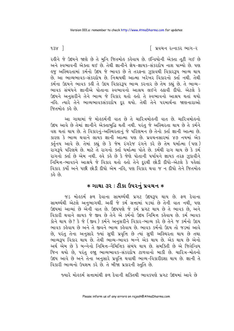$938$ ]

∣ પ્રવચન રત્નાકર ભાગ−ર

રહીને જે ઉદયને જાણે છે તે મુનિ જિતમોહ કહેવાય છે. ઇન્દ્રિયોની એક્તા તૂટી ગઈ છે અને સ્વભાવની એક્તા થઈ છે. તેથી જ્ઞાનીને જ્ઞેય-જ્ઞાયક-સંકરદોષ નાશ પામ્યો છે. પણ ઙુજ અસ્થિરતામાં કર્મનો ઉદય જે ભાવક છે તે તરફના ઝૂકાવથી વિકારરૂપ ભાવ્ય થાય છે. આ ભાવ્યભાવક-સંકરદોષ છે. નિશ્ચયથી આત્મા ખરેખર વિકારનો ક્ર્તા નથી. તેથી કર્મના ઉદયને ભાવક કહી તે ઉદય વિકારરૂપ ભાવ્ય કરનાર છે તેમ કહ્યું છે. તે ભાવ્ય-ભાવક સંબંધને જ્ઞાનીએ પોતાના સ્વભાવનો આશ્રય લઈને હઠાવી દીધો. એટલે કે ઉદયને અનસરીને તેને ભાવ્ય જે વિકાર થતો હતો તે સ્વભાવનો આશ્રય થતાં થયો નહિ. ત્યારે તેને ભાવ્યભાવકસંકરદોષ દૂર થયો. તેથી તેને પરમાર્થના જાણનારાઓ જિતમોહ કહે છે

આ ગાથામાં જે મોહકર્મની વાત છે તે ચારિત્રમોહની વાત છે. ચારિત્રમોહનો ઉદય આવે છે તેમાં જ્ઞાનીને એક્તાબદ્ધિ થતી નથી. પરંત જે અસ્થિરતા થાય છે તે કર્મને વશ થતાં થાય છે. તે વિકારનું-અસ્થિરતાનું જે પરિણમને છે તેનો ક્તા જ્ઞાની આત્મા છે. કારણ કે ભાવ્ય થવાને લાયક જ્ઞાની આત્મા પણ છે. પ્રવચનસારમાં ૪૭ નયમાં એક ક્તુનિય આવે છે. તેમાં કહ્યું છે કે જેમ રંગરેજ રંગને કરે છે તેમ ધર્માત્મા (પણ) રાગરૂપે પરિણમે છે. માટે તે રાગનો ક્તા ધર્માત્મા પોતે છે. કર્મથી રાગ થાય છે કે કર્મ રાગનો ક્ર્તા છે એમ નથી. હવે કહે છે કે જેણે પોતાની પર્યાયને જ્ઞાયક તરફ ઝકાવીને નિમિત્ત-ભાવકને આશ્રયે જે વિકાર થતો હતો તેને દરથી છોડી દીધો-એટલે કે પહેલાં વિકાર કર્યો અને પછી છોડી દીધો એમ નહિ. પણ વિકાર થવા જ ન દીધો તેને જિતમોહ  $63.68$ 

# $*$  ગાથા ૩૨ : ટીકા ઉપરનું પ્રવચન  $\ast$

જડ મોહુકર્મ ફળ દેવાના સામર્થ્યથી પ્રગટ ઉદયરૂપ થાય છે. ફળ દેવાના સામર્થ્યથી એટલે અનુભાગથી. અહીં જે કર્મ સત્તામાં ૫ડયાં છે તેની વાત નથી, પણ ઉદયમાં આવ્યાં છે એની વાત છે. ઉદયપણે જે કર્મ પ્રગટ થાય છે તે ભાવક છે. અને વિકારી થવાને લાયક જે જીવ છે તેને એ કર્મનો ઉદય નિમિત્ત કહેવાય છે. કર્મ ભાવક કોને થાય છે? કે જે (જીવ) કર્મને અનસરીને વિકાર-ભાવ્ય કરે છે તેને જ કર્મનો ઉદય ભાવક કહેવાય છે અને તે જીવને ભાવ્ય કહેવાય છે. ભાવક કર્મનો ઉદય તો જડમાં આવે છે, પરંતુ તેના અનુસારે જ્યાં સુધી પ્રવૃત્તિ છે ત્યાં સુધી અસ્થિરતા થાય છે તથા ભાવ્યરૂપ વિકાર થાય છે. તેથી ભાવ્ય-ભાવક બન્ને એક થાય છે. એક થાય છે એનો અર્થ એમ છે કે બન્નેનો નિમિત્ત-નૈમિત્તિક સંબંધ થાય છે. સમક્તિી છે એ જિતેન્દ્રિય જિન થયો છે, પરંતુ હજાુ ભાવ્યભાવક-સંકરદોષ ટાળવાનો બાકી છે. ચારિત્ર-મોહનો ઉદય આવે છે અને તેના અનુસારે પ્રવૃત્તિ થવાથી ભાવ્ય-વિકારીદશા થાય છે. જ્ઞાની તે વિકારી ભાવ્યનો ઉપશમ કરે છે. તે બીજા પ્રકારની સ્તુતિ છે.

જ્યારે મોહુકર્મ સત્તામાંથી ફળ દેવાની શક્તિથી ભાવકપણે પ્રગટ ઉદયમાં આવે છે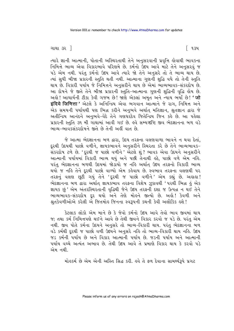ગાથા ૩૨ ]

ત્યારે જ્ઞાની આત્માની, પોતાની અસ્થિરતાથી તેને અનુસરવાની પ્રવૃત્તિ હોવાથી ભાવકના નિમિત્તે ભાવ્ય એવા વિકારભાવે પરિણમે છે. કર્મનો ઉંદય આવે માટે તેને અનુસરવું જ પડે એમ નથી. પરંતુ કર્મનો ઉદય આવે ત્યારે જો તેને અનુસરે તો તે ભાવ્ય થાય છે. ત્યાં સુધી બીજા પ્રકારની સ્તુતિ થતી નથી. આત્માના ગુણની શુદ્ધિ વધે તો તેની સ્તુતિ થાય છે. વિકારી પર્યાય જે નિમિત્તને અનુસરીને થાય છે એમાં ભાવ્યભાવક-સંકરદોષ છે. આ દોષને જે જીતે તેને બીજા પ્રકારની સ્તુતિ-આત્માના ગુણની શુદ્ધિની વૃદ્ધિ હોય છે. અલે ! આચાર્યની ટીકા કેવી ગજબ છે ! જાણે એકલાં અમૃત અને ન્યાય ભર્યો છે ! **' जो** इंदिये जिणित्ता ' એટલે કે અનિન્દ્રિય એવા ભગવાન આત્માને જે રાગ, નિમિત્ત અને એક સમયની પર્યાયથી પણ ભિન્ન કરીને અનુભવે અર્થાત મતિજ્ઞાન, શ્રતજ્ઞાન દ્વારા જે અતીન્દ્રિય આનંદને અનુભવે-વેદે તેને ગણધરદેવ જિતેન્દ્રિય જિન કર્લ્ડ છે. આ પહેલા પ્રકારની સ્તતિ ૩૧ મી ગાથામાં આવી ગઈ છે. હવે સમ્યગ્દષ્ટિ જીવ ભેદજ્ઞાનના બળ વડે ભાવ્ય-ભાવકસંકરદોષને જીતે છે તેની અહીં વાત છે.

જે આત્મા ભેદજ્ઞાનના બળ દ્વારા, ઉદય તરફના વલણવાળા ભાવને ન થવા દેતાં, દૂરથી ઉદયથી પાછો વળીને, જ્ઞાયકભાવને અનુસરીને સ્થિરતા કરે છે તેને ભાવ્યભાવક-સંકરદોષ ટળે છે. 'દૂરથી જ પાછો વળીને ' એટલે શું ? ભાવક એવા ઉદયને અનુસરીને આત્માની પર્યાયમાં વિકારી ભાવ્ય થયું અને પછી તેનાથી લ્ઠે, પાછો વળે એમ નહિ. પરંતુ ભેદજ્ઞાનના બળથી ઉદયમાં જોડાયો જ નહિ અર્થાત્ ઉદય તરફનો વિકારી ભાવ્ય થયો જ નહિ તેને દૃરથી પાછો વાળ્યો એમ કહેવાય છે. સ્વભાવ તરફના વલણથી પર તરફ્નું વલણ છૂટી ગયું તેને 'દૂરથી જ પાછો વળીને' એમ કહ્યું છે. અલલ! ભેદજ્ઞાનના બળ દ્વારા અર્થાત જ્ઞાયકભાવ તરફના વિશેષ ઝૂકાવથી 'પરથી ભિન્ન હું એક જ્ઞાયક છું' એમ અંતરસ્થિરતાની વૃદ્ધિથી જેને ઉદય તરફની દશા જ ઉત્પન્ન ન થઈ તેને ભાવ્યભાવક-સંકરદોષ દૂર થયો અને તેણે મોલ્ને જીત્યો છે. અલે! કેવળી અને શ્રતકેવળીઓએ કરેલી એ જિતમોહ જિનના સ્વરૂપની કથની કેવી અલૌકિક હશે!

કેટલાક લોકો એમ માને છે કે જેવો કર્મનો ઉદય આવે તેવો ભાવ જીવમાં થાય જ; તથા કર્મ નિમિત્તપણે થઈને આવે છે તેથી જીવને વિકાર કરવો જ પડે છે. પરંતુ એમ નથી. જીવ પોતે કર્મના ઉદયને અનુસરે તો ભાવ્ય-વિકારી થાય. પરંતુ ભેદજ્ઞાનના બળ વડે કર્મથી દૃરથી જ પાછો વળી ઉદયને અનુસરે નહિ તો ભાવ્ય-વિકારી થાય નહિ. ઉદય જડ કર્મની પર્યાય છે અને વિકાર આત્માની પર્યાય છે. જડની પર્યાય અને આત્માની પર્યાય વચ્ચે અત્યંત અભાવ છે. તેથી ઉદય આવે તે પ્રમાણે વિકાર થાય કે કરવો પડે એમ નથી.

મોહુકર્મ છે એમ એની અસ્તિ સિદ્ધ કરી. હવે તે ફળ દેવાના સામર્થ્યરૂપે પ્રગટ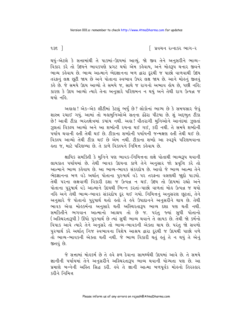િ પ્રવચન રત્નાકર ભાગ−ર

થયું-એટલે કે સત્તામાંથી તે પાકમાં-ઉદયમાં આવ્યું. જો જીવ તેને અનુસરીને ભાવ્ય-વિકાર કરે તો ઉદયને ભાવકપણે પ્રગટ થયો એમ કહેવાય, અને મોહરૂપ થનાર જીવને ભાવ્ય કહેવાય છે. ભાવ્ય આત્માને ભેદજ્ઞાનના બળ દ્વારા દરથી જ પાછો વાળવાથી ઉદય તરફનું લક્ષ છુટી જાય છે અને પોતાના સ્વભાવ ઉપર લક્ષ જાય છે. આને મોહનું જીતવું કહે છે. જે સમયે ઉદય આવ્યો તે સમયે જ, સાથે જ રાગનો અભાવ હોય છે, પછી નહિ; કારણ કે ઉદય આવ્યો ત્યારે તેના અનસારે પરિણમન ન થયં અને તેથી રાગ ઉત્પન્ન જ થયો નહિ

અલલ! એક-એક લીટીમાં કેટલં ભર્ય છે? લોકોનાં ભાગ્ય છે કે સમયસાર જેવં શાસ્ત્ર રચાઈ ગયં. આમાં તો મહામનિઓએ સતના ઢંઢેરા પીટયા છે. શં અદભત ટીકા છે! આવી ટીકા ભરતક્ષેત્રમાં કયાંય નથી. અલા! વીતરાગી મુનિઓને આનંદમાં ઝૂલતાં ઝલતાં વિકલ્પ આવ્યો અને આ શબ્દોની રચના થઈ ગઈ. કરી નથી. તે સમયે શબ્દોની ્<br>પર્યાય થવાની હતી તેથી થઈ છે. ટીકાના શબ્દોની પર્યાયની જન્મક્ષણ હતી તેથી થઈ છે. વિકલ્પ આવ્યો તેથી ટીકા થઈ છે એમ નથી. ટીકાના શબ્દો આ સ્વરૂપે પરિણમવાના હતા જ. માટે પરિણમ્યા છે. તે કાળે વિકલ્પને નિમિત્ત કહેવાય છે.

ક્ષાયિક સમક્તિી કે મુનિને પણ ભાવક-નિમિત્તના લક્ષે પોતાથી ભાવ્યરૂપ થવાની લાયકાત પર્યાયમાં છે. તેથી ભાવક ઉદયના કાળે તેને અનુસાર જો પ્રવૃત્તિ કરે તો આત્માને ભાવ્ય કહેવાય છે. આ ભાવ્ય-ભાવક સંકરદોષ છે. આવો જે ભાવ્ય આત્મા તેને ભેદજ્ઞાનના બળ વડે અર્થાત પોતાના પુરુષાર્થ વડે ૫૨ તરફના વલણથી જાહો પાડયો. તેથી પરના લક્ષવાળી વિકારી દશા જ ઉત્પન્ન ન થઈ. ઉદય તો ઉદયમાં રહ્યો અને પોતાના પરષાર્થ વડે આત્માને ઉદયથી ભિન્ન કરતાં-પાછો વાળતાં મોહ ઉત્પન્ન જ થયો નહિ અને તેથી ભાવ્ય-ભાવક સંકરદોષ દૂર થઈ ગયો. નિમિત્તનું અનુસરણ છૂટતાં, તેને અનુસારે જે પોતાનો પુરુષાર્થ થતો લતો તે હવે ઉપાદાનને અનુસર્રીને થાય છે. તેથી ભાવક એવા મોલ્કર્મના અનુસારે થતી અસ્થિરતારૂપ ભાવ્ય દેશા પણ થતી નથી. સમકિતીને ભગવાન આત્માનો આશ્રય તો છે જ. પરંતુ જ્યાં સુધી પોતાનો (અસ્થિરતારૂપી ) ઊંઘો પુરુષાર્થ છે ત્યાં સુધી ભાવ્ય થવાને તે લાયક છે. તેથી જો કર્મનો વિપાક આવે ત્યારે તેને અનુસરે તો ભાવ્ય-ભાવકની એક્તા થાય છે. પરંતુ જો સવળો પુરુષાર્થ કરે અર્થાત નિજ સ્વભાવના વિશેષ આશ્રય દ્વારા દરથી જ ઉદયથી પાછો વળે તો ભાવ્ય-ભાવકની એક્તા થતી નથી. જે ભાવ્ય વિકારી થતું હતું તે ન થયું તે એનું જીતવં છે.

જે સત્તામાં મોહુકર્મ છે તે હવે ફળ દેવાના સામર્થ્યથી ઉદયમાં આવે છે. તે સમયે જ્ઞાનીની પર્યાયમાં તેને અનુસરીને અસ્થિરતારૂપ ભાવ્ય થવાની યોગ્યતા પણ છે. આ પ્રમાણે બન્નેની અસ્તિ સિદ્ધ કરી. હવે તે જ્ઞાની આત્મા બળપૂર્વક મોહનો તિરસ્કાર <u>क्ञीने निभित्त</u>

 $9.35$   $\overline{\phantom{0}}$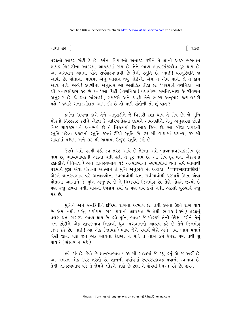તરફનો આદર છોડી દે છે. કર્મના વિપાકનો અનાદર કરીને તે જ્ઞાની અંદર ભગવાન જ્ઞાયક ત્રિકાળીના આદરમાં-આશ્રયમાં જાય છે. તેને ભાવ્ય-ભાવકસંકરદોષ દૂર થાય છે. આ ભગવાન આત્મા પોતે સર્વજ્ઞસ્વભાવી છે તેની સ્તુતિ છે. ભાઈ! વસ્તુસ્થિતિ જ આવી છે. પોતાના ભાવમાં એનું ભાસન થવું જોઈએ. એમ ને એમ માની લે તે કામ આવે નહિ. અહો ! કેવળીના અનસારે આ અલૌકિક ટીકા છે. 'પરમાર્થ વચનિકા 'માં શ્રી બનારસીદાસ કહે છે કે- 'આ ચિકી (વચનિકા ) યથાયોગ્ય સમતિપ્રમાણ કેવળીવચન અનસાર છે. જે જીવ સાંભળશે. સમજશે અને શ્રદ્ધશે તેને ભાગ્ય અનસાર કલ્યાણકારી થશે. ' જ્યારે બનારસીદાસ આમ કહે છે તો પછી સંતોની તો શં વાત ?

કર્મના ઉદયના કાળે તેને અનસરીને જે વિકારી દશા થાય તે દોષ છે. જે મનિ મોલ્નો તિરસ્કાર કરીને એટલે કે ચારિત્રમોલ્ના ઉદયને અવગણીને. તેનં અનસરણ છોડી નિજ જ્ઞાયકભાવને અનભવે છે તે નિશ્ચયથી જિતમોઙ જિન છે. આ બીજા પ્રકારની સ્તુતિ પહેલા પ્રકારની સ્તુતિ કરતાં ઊંચી સ્તુતિ છે. ૩૧ મી ગાથામાં જઘન્ય, ૩૨ મી ગાથામાં મધ્યમ અને ૩૩ મી ગાથામાં ઉત્કૃષ્ટ સ્તુતિ કહી છે.

જેટલે અંશે પરથી હઠી સ્વ તરફ આવે છે તેટલા અંશે ભાવ્યભાવકસંકરદોષ દર થાય છે. ભાવ્યભાવકની એક્તા થતી હતી તે દર થાય છે. આ દોષ દર થતાં એકત્વમાં ટંકોત્કીર્ણ (નિશ્ચલ ) અને જ્ઞાનસ્વભાવ વડે અન્યદ્રવ્યોના સ્વભાવોથી થતા સર્વ ભાવોથી પરમાર્થે જુદા એવા પોતાના આત્માને તે મુનિ અનુભવે છે. અહાહા! ' णाणसहावाधियं' એટલે જ્ઞાનસ્વભાવ વડે અન્યદ્રવ્યોના સ્વભાવોથી થતા સર્વભાવોથી પરમાર્થે ભિન્ન એવા પોતાના આત્માને જે મુનિ અનુભવે છે તે નિશ્ચયથી જિતમોહ છે. તેણે મોહને જીત્યો છે પણ હજા ટાળ્યો નથી. મોહનો ઉપશમ કર્યો છે પણ ક્ષય કર્યો નથી. એટલો પુરુષાર્થ હજા મંદ છે.

મુનિને અને સમકિતીને દષ્ટિમાં રાગનો અભાવ છે. તેથી કર્મના ઉદયે રાગ થાય છે એમ નથી. પરંતુ પર્યાયમાં રાગ થવાની લાયકાત છે તેથી ભાવક (કર્મ) તરફનું <u>વલણ થતાં રાગરૂપ ભાવ્ય થાય છે. હવે મુનિ, ભાવક જે મોહુકર્મ તેની ઉપેક્ષા કરીને-તેનું</u> લક્ષ છોડીને એક જ્ઞાયકભાવ ત્રિકાળી ઘ્રવ ભગવાનનો આશ્રય કરે છે તેને જિતમોહ જિન કહે છે. ભાઈ ! આ એક ( જ્ઞાયક ) ભાવ જેને યથાર્થ બેસે એને બધા ભાવ યથાર્થ બેસી જાય. પણ જેને એક ભાવનાં ઠેકાણાં ન મળે તે નાખે કર્મ ઉપર. પણ તેથી શું થાય ? ( સંસાર ન મટે )

इવે કરે છે:-કેવો છે જ્ઞાનસ્વભાવ ? ૩૧ મી ગાથામાં જે કહ્યું કતું એ જ અહીં છે. આ સમસ્ત લોક ઉપર તરતો છે. જ્ઞાનની પર્યાયમાં સ્વપરપ્રકાશક થવાનો સ્વભાવ છે. તેથી જ્ઞાનસ્વભાવ વડે તે જ્ઞેયને-લોકને જાણે છે છતાં તે જ્ઞેયથી ભિન્ન રહે છે જ્ઞેયને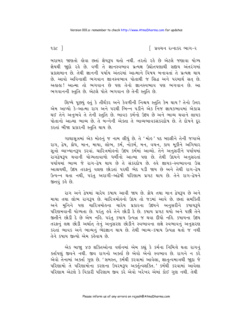િ પ્રવચન રત્નાકર ભાગ−ર

બરાબર જાણતો હોવા છતાં જ્ઞેયરૂપ થતો નથી. તરતો રહે છે એટલે જણાવા યોગ્ય જ્ઞેયથી જાદો રહે છે. વળી તે જ્ઞાનસ્વભાવ પ્રત્યક્ષ ઉદ્યોતપણાથી સદ્દાય અંતરંગમાં પ્રકાશમાન છે. તેથી જ્ઞાનની પર્યાય અંતરમાં આત્માને વિષય બનાવતાં તે પ્રત્યક્ષ થાય છે. આવો અવિનાશી ભગવાન જ્ઞાનસ્વભાવ પોતાથી જ સિદ્ધ અને પરમાર્થ સત્ છે. અહાહા ! આત્મા તો ભગવાન છે પણ તેનો જ્ઞાનસ્વભાવ પણ ભગવાન છે. આ ભગવાનની સ્તતિ છે. એટલે પોતે ભગવાન છે તેની સ્તતિ છે.

શિષ્યે પૂછયું કર્તુ કે તીર્થંકર અને કેવળીની નિશ્ચય સ્તુતિ કેમ થાય? તેનો ઉત્તર એમ આપ્યો કે-આત્મા રાગ અને પરથી ભિન્ન પડીને એક નિજ જ્ઞાયકભાવમાં એકાગ્ર થઈ તેને અનભવે તે તેની સ્તતિ છે. ભાવક કર્મનો ઉદય છે અને ભાવ્ય થવાને લાયક પોતાનો આત્મા ભાવ્ય છે. તે બન્નેની એક્તા તે ભાવ્યભાવકસંકરદોષ છે. તે દોષને દર કરતાં બીજા પ્રકારની સ્તતિ થાય છે.

ગાથાસત્રમાં એક મોહનું જ નામ લીધું છે. તે 'મોહ ' પદ બદલીને તેની જગાએ રાગ, દ્વેષ, ક્રોઘ, માન, માયા, લોભ, કર્મ, નોકર્મ, મન, વચન, કાય મૂકીને અગિયાર સૂત્રો વ્યાખ્યાનરૂપ કરવા. ચારિત્રમોહનો ઉદય કર્મમાં આવ્યો. તેને અનુસરીને પર્યાયમાં રાગદ્વેષરૂપ થવાની યોગ્યતાવાળો ધર્મીનો આત્મા પણ છે. તેથી ઉદયને અનુસરતાં પર્યાયમાં ભાવ્ય જે રાગ-દેષ થાય છે તે સંકરદોષ છે. હવે જ્ઞાયક-સ્વભાવના ઉગ્ર આશ્રયથી, ઉદય તરફનું વલણ છોડતાં પરથી ભેદ પડી જાય છે અને તેથી રાગ-દ્વેષ ઉત્પન્ન થતા નથી, પરંતુ અરાગી-અદ્વેષી પરિણામ પ્રગટ થાય છે. તેને રાગ-દ્વેષને જીતવું કહે છે.

રાગ અને દ્વેષમાં ચારેય કપાય આવી જાય છે. ક્રોધ તથા માન દ્વેષરૂપ છે અને માયા તથા લોભ રાગરૂપ છે. ચારિત્રમોહનો ઉદય તો જડમાં આવે છે. છતાં સમકિતી અને મુનિને પણ ચારિત્રમોહના ચારેય પ્રકારના ઉદયને અનુસરીને કપાયરૂપે પરિણમવાની યોગ્યતા છે. પરંતુ હવે તેને છોડી દે છે. કપાય પ્રગટ થયો અને પછી તેને જીતીને છોડી દે છે એમ નહિ. પરંતુ કપાય ઉત્પન્ન જ થવા દીધો નહિ. કપાયના ઉદય તરફનું લક્ષ છોડી અર્થાત તેનું અનુસરણ છોડીને સ્વભાવના લક્ષે સ્વભાવનું અનુસરણ કરતાં ભાવક અને ભાવ્યનું ભેદજ્ઞાન થાય છે. તેથી ભાવ્ય-કપાય ઉત્પન્ન થતો જ નથી તેને કષાય જીત્યો એમ કહેવાય છે.

એક બાજ્ય ૪૭ શક્તિઓના વર્ણનમાં એમ કહ્યું કે કર્મના નિમિત્તે થતા રાગનું ક્તપિણું જીવને નથી. જીવ રાગનો અક્તી છે એવો એનો સ્વભાવ છે. રાગને ન કરે એવો તેનામાં અક્તા ગુણ છે. 'સમસ્ત, કર્મથી કરવામાં આવેલા, જ્ઞાતૃત્વમાત્રથી જાુદા જે પરિણામો તે પરિણામોના કરણના ઉપરમરૂપ અર્ક્તૃત્વશક્તિ.' કર્મથી કરવામાં આવેલા પરિણામ એટલે કે વિકારી પરિણામ જીવ કરે એવો ખરેખર એમાં કોઈ ગુણ નથી. તેથી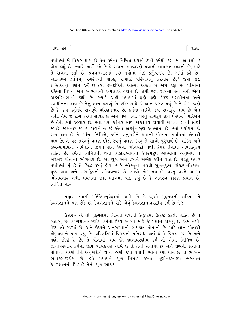ગાથા ૩૨ ]

પર્યાયમાં જે વિકાર થાય છે તેને કર્મના નિમિત્તે થયેલો દેખી કર્મથી કરવામાં આવેલો છે એમ કહ્યું છે. જ્યારે અહીં કહે છે કે રાગના ભાવ્યપણે થવાની લાયકાત જીવની છે, માટે તે રાગનો ક્ર્તા છે. પ્રવચનસારમાં ૪૭ નયોમાં એક ક્ર્તુત્વનય છે. એમાં કર્લ્ડ છે-આત્મદ્રવ્ય ક્તૃનિયે, રંગરેજની માફક, રાગાદિ પરિણામનું કરનાર છે,' જ્યાં ૪૭ શક્તિઓનું વર્ણન કર્યું છે ત્યાં દ્રવ્યદષ્ટિથી આત્મા અક્તા છે એમ કહ્યું છે. શક્તિમાં દષ્ટિનો વિષય અને સ્વભાવની અપેક્ષાએ વર્ણન છે. તેથી જીવ રાગનો કર્તા નથી એવો અક્તસ્વિભાવી કહ્યો છે. જ્યારે અહીં પર્યાયમાં ક્ષણે ક્ષણે કંઈક પરાધીનતા અને સ્વાધીનતા થાય છે તેનું જ્ઞાન કરાવ્યું છે. દૃષ્ટિ સાથે જે જ્ઞાન પ્રગટ થયું છે તે એમ જાણે છે કે જીવ ક્તુનિયે રાગરૂપે પરિણમનાર છે. કર્મના લઈને જીવ રાગરૂપે થાય છે એમ નથી. તેમ જ રાગ કરવા લાયક છે એમ પણ નથી. પરંતુ રાગરૂપે જીવ (સ્વયં) પરિણમે છે તેથી ક્તા કહેવાય છે. છતાં પણ ક્તુનિય સાથે અર્ક્તનય હોવાથી રાગનો જ્ઞાની સાક્ષી જ છે, જાણનાર જ છે. રાગને ન કરે એેવો અર્ક્તૃત્વગુણ આત્મામાં છે. છતાં પર્યાયમાં જે રાગ થાય છે તે કર્મના નિમિત્તે, કર્મને અનુસરીને થવાની યોગ્યતા પર્યાયમાં હોવાથી થાય છે. તે ૫૨ તરફનું વલણ છોડી સ્વનું વલણ કરવું તે સાચો પુરૂષાર્થ છે. શક્તિ અને દ્રવ્યસ્વભાવની અપેક્ષાએ જીવને રાગ-દ્વેષનો ભોગવટો નથી, કેમકે તેનામાં અભોક્તૃત્વ શક્તિ છે. કર્મના નિમિત્તથી થતાં વિકારીભાવના ઉપરમરૂપ આત્માનો અનુભવ<sup>ે</sup>તે ખરેખર પોતાનો ભોગવટો છે. આ ગુણ અને દ્રવ્યને અભેદ કરીને વાત છે. પરંતુ જ્યારે પર્યાયમાં શું છે તે સિદ્ધ કરવું ોય ત્યારે ભોક્તૃત્વ નયથી સુખ-દુઃખ, સંકલ્પ-વિકલ્પ, પુણ્ય-પાપ અને રાગ-દ્વેષનો ભોગવનાર છે. આવો એક નય છે, પરંતુ પરને આત્મા .<br>ભોગવનાર નથી. ધવલના છટા ભાગમાં પણ કહ્યં છે કે અંતરંગ કારણ પ્રધાન છે. નિમિત્ત નહિ.

u& - સ્વામી-કાર્તિકેયાનુપ્રેક્ષામાં આવે છે કેઃ-જાુઓ પુદ્દગલની શક્તિ! તે કેવળજ્ઞાનને પણ રોકે છે. કેવળજ્ઞાનને રોકે એવં કેવળજ્ઞાનાવરણીય કર્મ છે ને?

ઉત્તરઃ- એ તો પુદ્દગલમાં નિમિત્ત થવાની ઉત્કૃષ્ટમાં ઉત્કૃષ્ટ કેટલી શક્તિ છે તે બતાવ્યું છે. કેવળજ્ઞાનાવરણીય કર્મનો ઉદય આવ્યો માટે કેવળજ્ઞાન રોકાયું છે એમ નથી. ઉદય તો જડમાં છે, અને ઉદયને અનુસરવાની લાયકાત પોતાની છે. માટે જ્ઞાન પોતાથી હીણપણાને પ્રાપ્ત થયું છે. પરિણતિમાં વિષયનો પ્રતિબંધ થતાં થોડો વિષય કરે છે અને ઘણો છોડી દે છે. તે પોતાથી થાય છે, જ્ઞાનાવરણીય કર્મ તો એમાં નિમિત્ત છે. જ્ઞાનાવરણીય કર્મનો ઉદય ભાવકપણે આવે છે તે તેની સત્તામાં છે અને જીવની સત્તામાં પોતાના કારણે તેને અનુસરીને જ્ઞાની હીણી દશા થવાની ભાવ્ય દશા થાય છે. તે ભાવ્ય-ભાવકસંકરદોષ છે. હવે ૫ર્યાયને પૂર્ણ નિર્મળ કરવા, પૂર્ણાનંદસ્વરૂપ ભગવાન કેવળજ્ઞાનનો પિંડ છે તેનો પૂર્ણ આશ્રય

િ ૧૩૯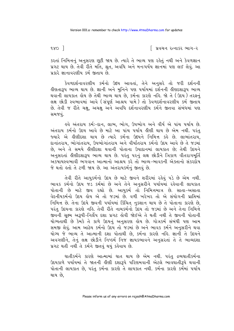$180<sup>-1</sup>$ 

∣િ પ્રવચન રત્નાકર ભાગ−ર

કરતાં નિમિત્તનું અનુસરણ છૂટી જાય છે. ત્યારે તે ભાવ્ય પણ રહેતું નથી અને કેવળજ્ઞાન પ્રગટ થાય છે. તેવી રીતે મતિ, શ્રુત, અવધિ અને મનઃપર્યય જ્ઞાનમાં પણ લઈ લેવું. આ પ્રકારે જ્ઞાનાવરણીય કર્મ જીતાય છે.

કેવળદર્શનાવરણીય કર્મનો ઉદય આવતાં, તેને અનુસરે તો જરી દર્શનની ડીણતારૂપ ભાવ્ય થાય છે. જ્ઞાની અને મુનિને પણ પર્યાયમાં દર્શનની ડીણદશારૂપ ભાવ્ય थવાની લાયકાત હોય છે તેથી ભાવ્ય થાય છે, કર્મના કારણે નહિ. જો તે (ઉદય) તરફનું લક્ષ છોડી સ્વભાવમાં આવે (સંપૂર્ણ આશ્રય પામે) તો કેવળદર્શનાવરણીય કર્મ જીતાય છે. તેવી જ રીતે ચક્ષુ, અચક્ષુ અને અવધિ દર્શનાવરણીય કર્મને જીતવા સંબંધમાં પણ સમજવં.

इવે અંતરાય કર્મઃ-દાન, લાભ, ભોગ, ઉપભોગ અને વીર્ય એ પાંચ પર્યાય છે. અંતરાય કર્મનો ઉદય આવે છે માટે આ પાંચ પર્યાય હીણી થાય છે એમ નથી. પરંત જ્યારે એ હીણીદશા થાય છે ત્યારે કર્મના ઉદયને નિમિત્ત કહે છે. લાભાંતરાય, દાનાંતરાય, ભોગાંતરાય, ઉપભોગાંતરાય અને વીર્યાંતરાય કર્મનો ઉદય આવે છે તે જડમાં છે, અને તે સમયે હીણીદશા થવાની પોતાના ઉપાદાનમાં લાયકાત છે; તેથી ઉદયને અનસરતાં લીણીદશારૂપ ભાવ્ય થાય છે. પરંતુ પરનું લક્ષ છોડીને ત્રિકાળ વીતરાગમૂર્તિ અકષાયસ્વભાવી ભગવાન આત્માનો આશ્રય કરે તો ભાવ્ય-ભાવકની એક્તાનો સંકરદોષ જે થતો હતો તે ટળી જાય છે. આ અંતરાયકર્મનું જીતવું છે.

તેવી રીતે આયુકર્મનો ઉદય છે માટે જીવને શરીરમાં રહેવું પડે છે એમ નથી. ભાવક કર્મનો ઉદય જડ કર્મમાં છે અને તેને અનુસરીને પર્યાયમાં રહેવાની લાયકાત પોતાની છે માટે જીવ રહ્યો છે. આયુકર્મ તો નિમિત્તમાત્ર છે. સાતા-અસાતા વેદનીયકર્મનો ઉદય હોય એ તો જડમાં છે. વળી ખરેખર તો એ સંયોગની પ્રાપ્તિમાં નિમિત્ત છે. તેના ઉદયે જીવની પર્યાયમાં કિંચિત્ નુકશાન થાય છે તે પોતાના કારણે છે, પરંતુ ઉદયના કારણે નહિ. તેવી રીતે નામકર્મનો ઉદય તો જડમાં છે અને તેના નિમિત્તે જીવની સૂક્ષ્મ અરૂપી-નિર્લેપ દશા પ્રગટ હોવી જોઈએ તે થતી નથી તે જીવની પોતાની યોગ્યતાથી છે કેમકે તે કાળે ઉદયનું અનુસરણ હોય છે. ગોત્રકર્મ સંબંધી પણ આમ સમજી લેવું. આમ આઠેય કર્મનો ઉદય તો જડમાં છે અને ભાવક કર્મને અનુસરીને થવા યોગ્ય જે ભાવ્ય તે આત્માની દશા પોતાથી છે, કર્મના કારણે નહિ. જ્ઞાની તે ઉદયને અવગણીને, તેનું લક્ષ છોડીને નિષ્કર્મ નિજ જ્ઞાયકભાવને અનુસરતાં તે તે ભાવ્યદશા પ્રગટ થતી નથી તે કર્મને જીતવું થયું કહેવાય છે.

ઘાતીકર્મને કારણે આત્મામાં ઘાત થાય છે એમ નથી. પરંતુ દ્રવ્યઘાતીકર્મના ઉદયકાળે પર્યાયમાં તે જાતની લીણી દશારૂપે પરિણમવાની એટલે ભાવઘાતીરૂપે થવાની પોતાની લાયકાત છે. પરંતુ કર્મના કારણે તે લાયકાત નથી. કર્મના કારણે કર્મમાં પર્યાય થાય છે.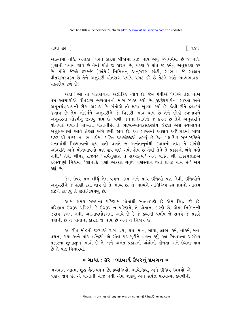ગાથા ૩૨ ]

િ૧૪૧

આત્મામાં નહિ. અહાહા ! ૫૨ને કારણે બીજામાં કાંઈ થાય એવું જૈનધર્મમાં છે જ નહિ. ગુણોની પર્યાય થાય છે તેમાં પોતે જ કારણ છે, કારણ કે પોતે જ કર્મનું અનુસરણ કરે છે. પોતે જેટલે દરજ્જે (અંશે) નિમિત્તનું અનુસરણ છોડી, સ્વભાવ જે સાક્ષાત્ વીતરાગસ્વરૂપ છે તેને અનુસરી વીતરાગ પર્યાય પ્રગટ કરે છે તેટલે અંશે ભાવ્યભાવક-સંકરદોષ ટળે છે.

અલે! આ તો વીતરાગના અલૌકિક ન્યાય છે. જેમ પેંથીએ પેંથીએ તેલ નાખે તેમ આચાર્યોએ વીતરાગ ભગવાનનો માર્ગ સ્પષ્ટ કર્યો છે. કંદકંદાચાર્યનાં શાસ્ત્રો અને અમૃતચંદ્રાચાર્યની ટીકા અગાધ છે. સંતોએ તો હૃદય ખુલ્લાં કર્યાં છે. જેવી રીતે દ્રવ્યકર્મ જીતાય છે તેમ નોકર્મને અનસરીને જે વિકારી ભાવ થાય છે તેને છોડી સ્વભાવને અનસરતાં નોકર્મનં જીતવં થાય છે. વળી મનના નિમિત્તે જે કંપન છે તેને અનસરીને યોગપણે થવાની યોગ્યતા પોતાનીછે. તે ભાવ્ય-ભાવકસંકરદોષ જેટલા અંશે સ્વભાવને અનસરવામાં આવે તેટલા અંશે ટળી જાય છે. આ શાસ્ત્રમાં આસ્રવ અધિકારમાં ગાથા ૧૭૩ થી ૧૭૬ ના ભાવાર્થમાં પંડિત જયચંદજીએ લખ્યં છે કેઃ- 'ક્ષાયિક સમ્યગ્દષ્ટિને સત્તામાંથી મિથ્યાત્વનો ક્ષય થતી વખતે જ અનંતાનુબંધી કષાયનો તથા તે સંબંધી અવિરતિ અને યોગભાવનો પણ ક્ષય થઈ ગયો હોય છે તેથી તેને તે પ્રકારનો બંધ થતો નથી.' તેથી શ્રીમદ રાજચંદ્રે 'સર્વગુણાંશ તે સમ્યક્ત્વ ' અને પંડિત શ્રી ટોડરમલજીએ રઙસ્યપૂર્ણ ચિક્રીમાં 'જ્ઞાનાદિ ગુણો એકદેશ ચતુર્થ ગુણસ્થાન થતાં પ્રગટ થાય છે' એમ કહ્યું છે.

જેમ ઉપર મન લીધું તેમ વચન, કાય અને પાંચ ઇન્દ્રિયો પણ લેવી. ઇન્દ્રિયોને અનુસરીને જે હીણી દશા થાય છે તે ભાવ્ય છે. તે ભાવ્યને અનિન્દ્રિય સ્વભાવનો આશ્રય લઈને ટાળવું તે જીતેન્દ્રિયપણું છે.

આમ સમય સમયના પરિણામ પોતાથી સ્વતંત્રપણે છે એમ સિદ્ધ કરે છે. પરિણામ ઉગ્રરૂપ પરિણમે કે ઉગ્રરૂપ ન પરિણમે, તે પોતાના કારણે છે. એમાં નિમિત્તની જરાય ડખલ નથી. આત્માવલોકનમાં આવે છે કે-જે દ્રવ્યની પર્યાય જે સમયે જે પ્રકારે થવાની છે તે પોતાના કારણે જ થાય છે અને તે નિશ્ચય છે.

આ રીતે મોહની જગ્યાએ રાગ, દ્વેષ, ક્રોધ, માન, માયા, લોભ, કર્મ, નોકર્મ, મન, વચન, કાયા અને પાંચ ઇન્દ્રિયો-એ સોળ પદ મકીને વર્ણન કર્યું. આ સિવાયના અસંખ્ય પ્રકારના શભાશભ ભાવો છે તે અને અનંત પ્રકારની અંશોની ઢીનતા અને ઉગ્રતા થાય છે તે પણ વિચારવી

#### \* ગાથા ∶ ૩૨ : ભાવાર્થ ઉપ૨નું પ્રવચન \*

ભગવાન આત્મા શુદ્ધ ચૈતન્યઘન છે. દ્રવ્યેન્દ્રિયો, ભાવેન્દ્રિય, અને ઇન્દ્રિય-વિષયો એ ત્રણેય જ્ઞેય છે. એ પોતાની ચીજ નથી એમ જાણવં એને સર્વજ્ઞ પરમાત્મા કેવળીની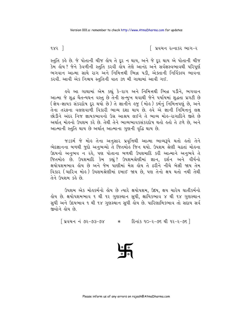૧૪૨ $\exists$ 

િ પ્રવચન રત્નાકર ભાગ−ર

સ્તુતિ કહે છે. જે પોતાની ચીજ હોય તે દૂર ન થાય, અને જે દૂર થાય એ પોતાની ચીજ કેમ હોય ? જેને કેવળીની સ્તુતિ કરવી હોય તેણે આનંદ અને સર્વજ્ઞસ્વભાવથી પરિપૂર્ણ ભગવાન આત્મા સાથે રાગ અને નિમિત્તથી ભિન્ન પડી. એક્તાની નિર્વિકલ્પ ભાવના કરવી. આવી એક નિશ્ચય સ્તુતિની વાત ૩૧ મી ગાથામાં આવી ગઈ.

ઙ્વે આ ગાથામાં એમ કહ્યું કે−રાગ અને નિમિત્તથી ભિન્ન પડીને, ભગવાન આત્મા જે શુદ્ધ ચૈતન્યઘન વસ્તુ છે તેની સન્મુખ થવાથી જેને પર્યાયમાં શુદ્ધતા પ્રગટી છે (જ્ઞેય-જ્ઞાયક સંકરદોષ દૂર થયો છે) તે જ્ઞાનીને હજુ (મોહ) કર્મનું નિમિત્તપણું છે, અને તેના તરફના વલણવાળી વિકારી ભાવ્ય દશા થાય છે. હવે એ જ્ઞાની નિમિત્તનું લક્ષ છોડીને અંદર નિજ જ્ઞાયકભાવનો ઉગ્ર આશ્રય લઈને તે ભાવ્ય મોહ-રાગાદિને જીતે છે અર્થાત મોહનો ઉપશમ કરે છે. તેથી તેને ભાવ્યભાવકસંકરદોષ થતો હતો તે ટળે છે, અને આત્માની સ્તુતિ થાય છે અર્થાત આત્માના ગુણની વૃદ્ધિ થાય છે.

જડકર્મ જે મોહ તેના અનુસાર પ્રવૃત્તિથી આત્મા ભાવ્યરૂપે થતો હતો તેને ભેદજ્ઞાનના બળથી જુદો અનુભવ્યો તે જિતમોહ જિન થયો. ઉપશમ શ્રેણી ચઢતાં મોહના ઉદયનો અનુભવ ન રહે, પણ પોતાના બળથી ઉપશમાદિ કરી આત્માને અનુભવે તે જિતમોઙ છે. ઉપશમાદિ કેમ કહ્યું? ઉપશમશ્રેણીમાં જ્ઞાન, દર્શન અને વીર્યનો ક્ષયોપશમભાવ હોય છે અને જેમ પાણીમાં મેલ હોય તે ઠરીને નીચે બેસી જાય તેમ વિકાર (ચારિત્ર મોઢ) ઉપશમશ્રેણીમાં દબાઈ જાય છે. પણ તેનો ક્ષય થતો નથી તેથી તેને ઉપશમ કહે છે.

ઉપશમ એક મોહકર્મનો હોય છે ત્યારે ક્ષયોપશમ, ઉદય, ક્ષય ચારેય ઘાતીકર્મનો હોય છે. ક્ષયોપશમભાવ ૧ થી ૧૨ ગુણસ્થાન સુધી, ક્ષાયિકભાવ ૪ થી ૧૪ ગુણસ્થાન સુધી અને ઉદયભાવ ૧ થી ૧૪ ગુણસ્થાન સુધી લોય છે. પારિણામિકભાવ તો સદાય સર્વ જીવોને હોય છે.

[ પ્રવચન નં ૭૨-૭૩-૭૪ \* દિનાંક ૧૦-૨-૭૬ થી ૧૨-૨-૭૬ ]

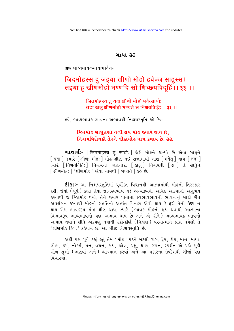#### ગાથા-33

अथ भाव्यभावकभावाभावेन-

# जिदमोहस्स दु जइया खीणो मोहो हवेज्ज साहुस्स। तइया हु खीणमोहो भण्णदि सो णिच्छयविदृहिं।। ३३ ।।

#### जितमोहस्य तु यदा क्षीणो मोहो भवेत्साधोः। तदा खल क्षीणमोहो भण्यते स निश्चयविद्धिः ।। ३३ ।।

૬વે, ભાવ્યભાવક ભાવના અભાવથી નિશ્ચયસ્તુતિ કહે છેઃ-

# જિતમોહ સાધુતણો વળી ક્ષય મોહ જ્યારે થાય છે. નિશ્ચયવિદોથકી તેહને ક્ષીણમોહ નામ કથાય છે. ૩૩.

**ગાથાર્થઃ**- [जितमोहस्य तु साधोः] જેણે મોહને જીત્યો છે એવા સાધુને [ यदा ] જ્યારે [ क्षीण: मोह: ] મોહ ક્ષીણ થઈ સત્તામાંથી નાશ [ भवेत ] થાય [ तदा ] त्यारे [निश्चयविद्धि: ] निश्चयना श्रष्टानारा [खल] निश्चयथी [स: ] ते साधने [ क्षीणमोह: ] ' क्षीशमोर्डु' એવા नामथी [ भण्यते ] sई છे.

**ટી.કાઃ**- આ નિશ્ચયસ્તુતિમાં પૂર્વોક્ત વિધાનથી આત્મામાંથી મોલ્નો તિરસ્કાર કરી, જેવો (પૂર્વ) કહ્યો તેવા જ્ઞાનસ્વભાવ વડે અન્યદ્રવ્યથી અધિક આત્માનો અનુભવ કરવાથી જે જિતમોહ થયો. તેને જ્યારે પોતાના સ્વભાવભાવની ભાવનાનું સારી રીતે અવલંબન કરવાથી મોહની સંતતિનો અત્યંત વિનાશ એવો થાય કે ફરી તેનો ઉદય ન થાય-એમ ભાવકરૂપ મોહ ક્ષીણ થાય, ત્યારે (ભાવક મોહનો ક્ષય થવાથી આત્માના વિભાવરૂપ ભાવ્યભાવનો પણ અભાવ થાય છે અને એ રીતે) ભાવ્યભાવક ભાવનો અભાવ થવાને લીધે એકપણું થવાથી ટંકોત્કીર્ણ (નિશ્ચલ) પરમાત્માને પ્રાપ્ત થયેલો તે 'ક્ષીણમોહ જિન ' કહેવાય છે. આ ત્રીજી નિશ્ચયસ્તુતિ છે.

અહીં પણ પૂર્વે કહ્યું હતું તેમ 'મોહ' પદને બદલી રાગ, દ્વેષ, ક્રોધ, માન, માયા, લોભ, કર્મ, નોકર્મ, મેન, વચન, કાય, શ્રોત્ર, ચક્ષુ, ધ્રાણ, રસન, સ્પર્શન-એ પદો મૂકી સોળ સૂત્રો (ભણવાં અને) વ્યાખ્યાન કરવાં અને આ પ્રકારના ઉપદેશથી બીજાં પણ विथा२वां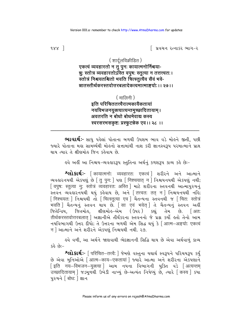િ પ્રવચન રત્નાકર ભાગ−ર

## ( शार्दुलविक्रीडित ) एकत्वं व्यवहारतो न तु पुनः कायात्मनोर्निश्चया-न्नुः स्तोत्र व्यवहारतोऽस्ति वपुषः स्तूत्या न तत्तत्त्वतः। स्तोत्रं निश्चयतश्चितो भवति चित्स्तत्यैव सैवं भवे-न्नातस्तीर्थकरस्तवोत्तरबलादेकत्वमात्माङ्गयो: ।। २७ ।।

(मालिनी) इति परिचिततत्त्वैरात्मकायैकतायां नयविभजनयुक्त्यात्यन्तमुच्छादितायाम्। अवतरति न बोधो बोधमेवाद्य कस्य स्वरसरभसकृष्टः प्रस्फुटन्नेक एवं ।। २८ ।।

**ભાવાર્થઃ**- સાધુ પહેલાં પોતાના બળથી ઉપશમ ભાવ વડે મોહને જીતી, પછી જ્યારે પોતાના મહા સામર્થ્યથી મોહનો સત્તામાંથી નાશ કરી જ્ઞાનસ્વરૂપ પરમાત્માને પ્રાપ્ત થાય ત્યાર તે ક્ષીણમોહ જિન કહેવાય છે.

ઙ્વે અહીં આ નિશ્ચય−વ્યવહારરૂપ સ્તુતિના અર્થનું કળશરૂપ કાવ્ય કહે છેઃ−

श्लोशर्थः- [कायात्मनो: व्यवहारत: एकत्वं | शरीरने अने आत्माने व्यवड़ारनयथी એકપણું છે [तु पून: ] पशु [ निश्चयात् न ] निश्चयनयथी એકપણું નથી; [ वपृष: स्तुत्या न: स्तोत्रं व्यवहारत: अस्ति | भाटे शरीरना स्तवनथी આत्मापुरुषनुं स्तपन व्यवहारनयथी थयुं डड़ेवाय छे, अने त्तित्त्वतः तत् न सिश्चयनयथी नहि; .<br>भवति | यैतन्यनुं स्तवन थाय છे. [सा एवं भवेत् ] ते यैतन्यनुं स्तवन अर्क्ष જિતેન્દ્રિય, જિતમોહ, ક્ષીણમોહ-એમ (ઉપર) કહ્યું તેમ છે. [अत: तीर्थकरस्तवोत्तरबलात | अज्ञानीसे तीर्थंडरना स्तवननो ४े प्रश्न डर्यो डतो तेनो आम नयविलागथी ઉत्तर दीधो; ते ઉत्तरना બળથી એમ સિદ્ધ થયું કે | आत्म-अङ्गयो: एकत्वं न लियात्माने अने शरीरने એકપણ निश्चयथी नथी. २७.

ઙવે વળી, આ અર્થને જાણવાથી ભેદજ્ઞાનની સિદ્ધિ થાય છે એવા અર્થવાળું કાવ્ય કહે છે:–

છે એવા મુનિઓએ | आत्म-काय-एकतायां | જ્યારે આત્મા અને શરીરના એકપણાને [ इति नय–विभजन–युक्त्या ] આમ नयन्ता विભागनी युक्ति વડे [ अत्यन्तम उच्छादितायाम् | ४ऽभूणथी ઉખेડी नाण्युं છे-अत्यंत निषेध्युं છે, त्यारे किस्य | क्या ५२५ने बोिध: ] ज्ञान

 $988<sup>-1</sup>$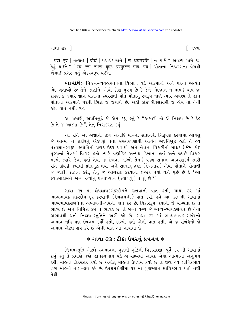ગાથા ૩૩ <u>ી</u>

િ ૧૪૫

[अद्य एव ] तत्क्षण [बोधं ] यथार्थपशाने [ न अवतरति ] न पामे ? અવશ્ય पामे જ. डेयुं थ ी ? स्वि-रस-रभस-कृष्टः प्रस्फुटन् एकः एव । पोताना निश्नरसना वेगथी ખેંચાઈ પ્રગટ થતં એકસ્વરૂપ થઈને.

ભાવાર્થઃ- નિશ્ચય-વ્યવહારનયના વિભાગ વડે આત્માનો અને પરનો અત્યંત ભેદ બતાવ્યો છે; તેને જાણીને, એવો કોણ પુરુષ છે કે જેને ભેદજ્ઞાન ન થાય? થાય જ; કારણ કે જ્યારે જ્ઞાન પોતાના સ્વરસથી પોતે પોતાનું સ્વરૂપ જાણે ત્યારે અવશ્ય તે જ્ઞાન પોતાના આત્માને પરથી ભિન્ન જ જણાવે છે. અહીં કોઈ દીર્ઘસંસારી જ હોય તો તેની प्रांध पान नथी २८

આ પ્રમાણે, અપ્રતિબુદ્ધે જે એમ કહ્યું હતું કે "અમારો તો એ નિશ્ચય છે કે દેહ છે તે જ આત્મા છે", તેનું નિરાકરણ કર્યું.

આ રીતે આ અજ્ઞાની જીવ અનાદિ મોહના સંતાનથી નિરૂપણ કરવામાં આવેલું જે આત્મા ને શરીરનું એકપણું તેના સંસ્કારપણાથી અત્યંત અપ્રતિબુદ્ધ હતો તે હવે તત્ત્વજ્ઞાનસ્વરૂપ જ્યોતિનો પ્રગટ ઉદય થવાથી અને નેત્રના વિકારીની માફક (જેમ કોઇ પુરુષનાં નેત્રમાં વિકાર હતો ત્યારે વર્ણાદિક અન્યથા દેખાતાં હતાં અને જ્યારે વિકાર .<br>મેટયો ત્યારે જેવાં હતાં તેવાં જ દેખવા લાગ્યો તેમ ) ૫ડળ સમાન આવરણકર્મ સારી રીતે ઊઘડી જવાથી પ્રતિબુદ્ધ થયો અને સાક્ષાત દ્રષ્ટા (દેખનાર) એવા પોતાને પોતાથી જ જાણી, શ્રદ્ધાન કરી, તેનું જ આચરણ કરવાનો ઇચ્છક થયો થકો પૂછે છે કે 'આ સ્વાત્મારામને અન્ય દ્રવ્યોનું પ્રત્યાખ્યાન (ત્યાગવું) તે શું છે?'

ગાથા ૩૧ માં જ્ઞેયજ્ઞાયકસંકરદોષને જીતવાની વાત હતી. ગાથા ૩૨ માં ભાવ્યભાવક-સંકરદોષ દર કરવાની (ઉપશમની) વાત કરી. હવે આ ૩૩ મી ગાથામાં ભાવ્યભાવકસંબંધના અભાવની-ક્ષયની વાત કરે છે. વિકારરૂપ થવાની જે યોગ્યતા છે તે ભાવ્ય છે અને નિમિત્ત કર્મતે ભાવક છે. તે બન્ને વચ્ચે જે ભાવ્ય-ભાવકસંબંધ છે તેના અભાવથી થતી નિશ્ચય-સ્તતિને અહીં કહે છે. ગાથા ૩૨ માં ભાવ્યભાવક-સંબંધનો અભાવ નહિ પણ ઉપશમ કર્યો હતો, દાબ્યો હતો એની વાત હતી. એ જ સંબંધનો જે અભાવ એટલે ક્ષય કરે છે એની વાત આ ગાથામાં છે.

#### $*$  ગાથા ૩૩ : ટીકા ઉપરનું પ્રવચન  $*$

નિશ્ચયસ્તુતિ એટલે સ્વભાવના ગુણની શુદ્ધિની વિકાસદશા. પૂર્વે ૩૨ મી ગાથામાં કહ્યું હતું તે પ્રમાણે જેણે જ્ઞાનસ્વભાવ વડે અન્યદ્રવ્યથી અધિક એવા આત્માનો અનુભવ કરી, મોહનો તિરસ્કાર કર્યો છે અર્થાત મોહનો ઉપશમ કર્યો છે તે જીવ હવે ક્ષાયિકભાવ દ્વારા મોહનો નાશ-ક્ષય કરે છે. ઉપશમશ્રેણીમાં ૧૧ મા ગુણસ્થાને ક્ષાયિકભાવ થતો નથી તેથી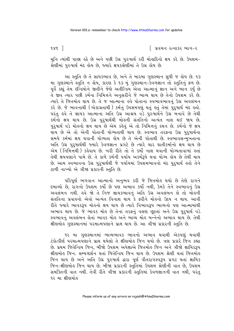િ પ્રવચન રત્નાકર ભાગ−ર

 $985$ ]

મુનિ ત્યાંથી પાછા હઠે છે અને પછી ઉગ્ર પુરુષાર્થ કરી મોહાદિનો ક્ષય કરે છે. ઉપશમ-શ્રેણીમાં પુરુષાર્થ મંદ હોય છે, જ્યારે ક્ષપકશ્રેણીમાં તે ઉગ્ર હોય છે.

આ સ્તુતિ છે તે સાધકભાવ છે, અને તે બારમા ગુણસ્થાન સુધી જ હોય છે. ૧૩ મા ગુણસ્થાને સ્તુતિ ન હોય, કારણ કે ૧૩ મું ગુણસ્થાન-કેવળજ્ઞાન તો સ્તુતિનું ફળ છે. <u>પ</u>ર્વે કહ્યું તેમ ઇન્દ્રિયોને જીતીને જેણે અતીન્દ્રિય એવા આત્માનું જ્ઞાન અને ભાન કર્યું છે તે જીવ ત્યાર પછી કર્મના નિમિત્તને અનુસરીને જે ભાવ્ય થાય છે તેનો ઉપશમ કરે છે. ત્યારે તે જિતમોહ થાય છે. તે જ આત્માના હવે પોતાના સ્વભાવભાવનું ઉગ્ર અવલંબન પરંતુ હવે તે જ્ઞાયક આત્માના અતિ ઉગ્ર આશ્રય વડે પુરુષાર્થને ઉગ્ર બનાવે છે તેથી કર્મનો ક્ષય થાય છે. ઉગ્ર પુરુષાર્થથી મોહની સંતતિનો અત્યંત નાશ થઈ જાય છે. પુરુષાર્થ વડે મોહનો ક્ષય થાય છે એમ કહેવું એ તો નિમિત્તનું કથન છે. કર્મનો જે ક્ષય .<br>થાય છે એ તો એની પોતાની યોગ્યતાથી થાય છે. સ્વભાવ તરફના ઉગ્ર પરષાર્થના સમયે કર્મમાં ક્ષય થવાની યોગ્યતા ોય છે તે એની પોતાથી છે. સ્વભાવસન્મેખતાના અતિ ઉગ્ર પુરુષાર્થથી જ્યારે કેવળજ્ઞાન પ્રગટે છે ત્યારે ચાર ઘાતીકર્માનો ક્ષય થાય છે એમ (નિમિત્તથી) કહેવાય છે. ખરી રીતે તો તે કર્મો નાશ થવાની યોગ્યતાવાળાં હતાં તેથી ક્ષયપણાને પામે છે. તે કાળે કર્મની પર્યાય અકર્મરૂપે થવા યોગ્ય હોય છે તેથી થાય છે. આમ સ્વભાવના ઉગ્ર પુરુષાર્થથી જે પર્યાયમાં ઉપશમભાવનો મંદ પુરુષાર્થ હતો તેને ટાળી નાખ્યો એ ત્રીજા પ્રકારની સ્તતિ છે.

પરિપૂર્ણ ભગવાન આત્માનો અનુભવ કરી જે જિતમોહ થયો છે તેણે રાગને દબાવ્યો છે, રાગનો ઉપશમ કર્યો છે પણ અભાવ કર્યો નથી, કેમકે તેને સ્વભાવનું ઉગ્ર અવલંબન નથી. હવે જો તે નિજ જ્ઞાયકભાવનું અતિ ઉગ્ર અવલંબન લે તો મોહની સંતતિના પ્રવાહનો એવો અત્યંત વિનાશ થાય કે ફરીને મોહનો ઉદય ન થાય. આવી રીતે જ્યારે ભાવકરૂપ મોહનો ક્ષય થાય છે ત્યારે વિભાવરૂપ ભાવ્યનો પણ આત્મામાંથી અભાવ થાય છે. જે ભાવક મોહ છે તેના તરફનું વલણ છૂટતાં અને ઉગ્ર પુરૂષાર્થ વડે સ્વભાવનું અવલંબન લેતાં ભાવક મોહ અને ભાવ્ય મોહ બન્નેનો અભાવ થાય છે. તેથી ક્ષીણમોરુ ગુણસ્થાનમાં પરમાત્મપણાને પ્રાપ્ત થાય છે. આ ત્રીજા પ્રકારની સ્તુતિ છે.

૧૨ મા ગુણસ્થાનમાં ભાવ્યભાવક ભાવનો અભાવ થવાથી એકપણું થવાથી ટંકોત્કીર્ણ પરમાત્મપણાને પ્રાપ્ત થયેલો તે ક્ષીણમોહ જિન થયો છે. ત્રણ પ્રકારે જિન કહ્યા છે. પ્રથમ જિતેન્દ્રિય જિન, બીજો ઉપશમ અપેક્ષાએ જિતમોહ જિન અને ત્રીજો ક્ષાયિકરૂપ ક્ષીણમોઢ જિન, સમ્યગ્દર્શન થતાં જિતેન્દ્રિય જિન થાય છે. ઉપશમ શ્રેણી થતાં જિતમોઢ જિન થાય છે અને અતિ ઉગ્ર પુરુષાર્થ દ્વારા પૂર્ણ વીતરાગસ્વરૂપ પ્રગટ થતાં ક્ષાયિક જિન-ક્ષીણમોહ જિન થાય છે. બીજા પ્રકારની સ્તુતિમાં ઉપશમ શ્રેણીની વાત છે, ઉપશમ સમક્તિની વાત નથી. તેવી રીતે ત્રીજા પ્રકારની સ્તુતિમાં કેવળજ્ઞાનની વાત નથી, પરંતુ ૧૨ મા ક્ષીણમોહ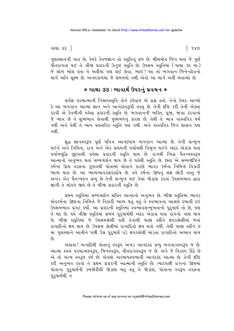ગાથા ૩૩ <u>ી</u>

ି ૧૪૭

ગુણસ્થાનની વાત છે, કેમકે કેવળજ્ઞાન તો સ્તુતિનું ફળ છે. ક્ષીણમોહ જિન થતાં જે પૂર્ણ વીતરાગતા થઈ તે ત્રીજા પ્રકારની ઉત્કૃષ્ટ સ્તુતિ છે. ઉપશમ સ્તુતિમાં (ગાથા ૩૨ માં) જે સોળ બોલ લ્તા તે અહીયાં પણ લઈ લેવા. ભાઈ! આ તો ભગવાન જિનેન્દ્રદેવનો માર્ગ અતિ સુક્ષ્મ છે. અનંતકાળમાં જે સમજ્યો નથી એવો આ માર્ગ અહીં બતાવ્યો છે.

#### \* ગાથા ૩૩ : ભાવાર્થ ઉપરનું પ્રવચન \*

સર્વજ્ઞ પરમાત્માની નિશ્ચયસ્તુતિ કોને કહેવાય એ પ્રશ્ન હતો. તેનો ઉત્તર આપ્યો કે-આ ભગવાન આત્મા જ્ઞાન અને આનંદસ્વરૂપી વસ્તુ છે. તેની દષ્ટિ કરી તેની એક્તા કરવી એ કેવળીની પહેલા પ્રકારની સ્તુતિ છે. ભગવાનની ભક્તિ, પૂજા, જાત્રા કરવાનો જે ભાવ છે તે શુભભાવ કોવાથી પુર્ણ્યબંધનું કારણ છે. તેથી તે ભાવ વાસ્તવિક ધર્મ નથી અને તેથી તે ભાવ વાસ્તવિક સ્તુતિ પણ નથી. અને વાસ્તવિક જિન શાસન પણ નથી

શુદ્ધ જ્ઞાનસ્વરૂપ પૂર્ણ પવિત્ર આનંદધામ ભગવાન આત્મા છે. તેની સન્મુખ થઈને અને નિમિત્ત, રાગ અને એક સમયની પર્યાયથી વિમુખ થઈને અંદર એકાગ્ર થતાં પર્યાયબુદ્ધિ છુટવાથી પહેલા પ્રકારની સ્તુતિ થાય છે. રાગથી ભિન્ન ચૈતન્યસ્વરૂપ આત્માનો અનંભવ થતાં સમ્યગ્દર્શન થાય છે તે પહેલી સ્તતિ છે. છતાં એ સમ્યગ્દષ્ટિને કર્મના ઉદય તરફના ઝૂકાવથી પોતામાં પોતાને કારણે ભાવક કર્મના નિમિત્તે વિકારી ભાવ્ય થાય છે. આ ભાવ્યભાવકસંકરદોષ છે. હવે કર્મના ઉદયનં લક્ષ છોડી વસ્ત જે અખંડ એક ચૈતન્યઘન પ્રભુ છે તેની સન્મુખ થઈ તેમાં જોડાણ કરતાં ઉપશમભાવ દ્વારા જ્ઞાની તે મોહને જીતે છે તે બીજા પ્રકારની સ્તુતિ છે.

પ્રથમ સ્તુતિમાં સમ્યગ્દર્શન સહિત આનંદનો અનુભવ છે. બીજી સ્તુતિમાં ભાવક મોહકર્મના ઉદયના નિમિત્તે જે વિકારી ભાવ્ય થતું હતું તે સ્વભાવના આશ્રયે દબાવી દઈ ઉપશમભાવ પ્રગટ કર્યો. આ પ્રકારની સ્તુતિમાં સ્વભાવસન્મુખતાનો પુરુષાર્થ તો છે. પણ તે મંદ છે. હવે ત્રીજી સ્તુતિમાં પ્રબળ પુરુષાર્થથી અંદર એકાગ્ર થતાં રાગનો નાશ થાય છે. બીજી સ્તતિમાં જે ઉપશમશ્રેણી હતી તેનાથી પાછા હઠીને ક્ષપકશ્રેણીમાં જતાં રાગાદિનો ક્ષય થાય છે. ઉપશમ શ્રેણીમાં રાગાદિનો ક્ષય થતો નથી. તેથી પાછા હઠીને ૭ મા ગુણસ્થાને આવીને પછી ઉગ્ર પુરુષાર્થ વડે ક્ષપકશ્રેણી માંડતાં રાગાદિનો અભાવ થાય  $\hat{\mathfrak{g}}$ 

અહાહા! અનાદિથી પોતાનું સ્વરૂપ અખંડ આનંદકંદ પ્રભુ ભગવાનસ્વરૂપ જ છે. આત્મા સ્વયં ૫૨માત્મસ્વરૂપ, જિનસ્વરૂપ, વીતરાગસ્વરૂપ જ છે. અને જે વિકલ્પ ઊઠે છે એ તો અન્ય સ્વરૂપ કર્મ છે. એકલો અકષાયસ્વભાવી આનંદકંદ આત્મા છે. તેની દૃષ્ટિ કરી અનુભવ કરવો તે પ્રથમ પ્રકારની આત્માની સ્તુતિ છે. ત્યારપછી રાગના ઉદયમાં પોતાના પુરૂષાર્થની કમજોરીથી જોડાણ થતું હતું તે જોડાણ, પોતાના સ્વરૂપ તરફના પુરુષાર્થથી ન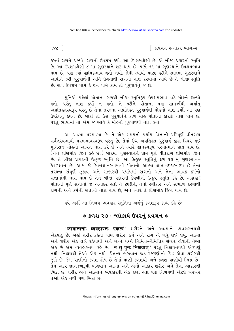$128$ 

િ પ્રવચન રત્નાકર ભાગ−ર

કરતાં રાગને દાબ્યો, રાગનો ઉપશમ કર્યો. આ ઉપશમશ્રેણી છે. એ બીજા પ્રકારની સ્તુતિ છે. આ ઉપશમશ્રેણી ૮ મા ગુણસ્થાને શરૂ થાય છે. પછી ૧૧ મા ગુણસ્થાને ઉપશમભાવ થાય છે, પણ ત્યાં ક્ષાયિકભાવ થતો નથી. તેથી ત્યાંથી પાછા હઠીને સાતમા ગુણસ્થાને આવીને ફરી પુરૂષાર્થની અતિ ઉગ્રતાથી રાગનો નાશ કરવામાં આવે છે તે ત્રીજી સ્તુતિ છે. રાગ ઉપશમ પામે કે ક્ષય પામે કામ તો પુરૂષાર્થનું જ છે.

મુનિએ પહેલાં પોતાના બળથી બીજી સ્તુતિરૂપ ઉપશમભાવ વડે મોહને જીત્યો હતો, પરંતુ નાશ કર્યો ન હતો. તે ફરીને પોતાના મહા સામર્થ્યથી અર્થાત અપ્રતિલ્તસ્વરૂપ વસ્તુ છે તેના તરફના અપ્રતિલ્ત પુરૂષાર્થથી મોલ્નો નાશ કર્યો. આ પણ ઉપદેશનું કથન છે. બાકી તો ઉગ્ર પુરૂષાર્થને કાળે મોહ પોતાના કારણે નાશ પામે છે. પરંતુ ભાષામાં તો એમ જ આવે કે મોહનો પુરૂષાર્થથી નાશ કર્યો.

આ આત્મા પરમાત્મા છે. તે એક સમયની પર્યાય વિનાની પરિપૂર્ણ વીતરાગ સર્વજ્ઞસ્વભાવી પરમભાવસ્વરૂપ વસ્તુ છે. તેમાં ઉગ્ર અપ્રતિ લ પુરૂષાર્થ દ્વારા સ્થિર થઈ મુનિરાજ મોહનો અત્યંત નાશ કરે છે અને ત્યારે જ્ઞાનસ્વરૂપ પરમાત્માને પ્રાપ્ત થાય છે. .<br>(તેને ક્ષીણમોલ જિન કહે છે.) બારમા ગુણસ્થાનને પ્રાપ્ત પૂર્ણ વીતરાગ ક્ષીણમોલ જિન છે. તે ત્રીજા પ્રકારની ઉત્કૃષ્ટ સ્તુતિ છે. આ ઉત્કૃષ્ટ સ્તુતિનું ફળ ૧૩ મું ગુણસ્થાન-કેવળજ્ઞાન છે. આમ જે કેવળજ્ઞાનસ્વભાવી પોતાનો આત્મા જ્ઞાતા-દષ્ટાસ્વરૂપ છે તેના તરફના સંપર્ણ ઝકાવ અને સત્કારથી પર્યાયમાં રાગનો અને તેના ભાવક કર્મનો સત્તામાંથી નાશ થાય છે તેને ત્રીજા પ્રકારની કેવળીની ઉત્કૃષ્ટ સ્તુતિ કહે છે. અહાહા! પોતાની પૂર્ણ સત્તાનો જે અનાદર હતો તે છોડીને, તેનો સ્વીકાર અને સંભાળ કરવાથી રાગની અને કર્મની સત્તાનો નાશ થાય છે, અને ત્યારે તે ક્ષીણમોહ જિન થાય છે.

લ્વે અહીં આ નિશ્ચય−વ્યવહાર સ્તુતિના અર્થનું કળશરૂપ કાવ્ય કહે છેઃ−

## **∗ કળશ ૨૭ : શ્લોકાર્થ ઉપરનું પ્રવચન ∗**

' कायात्मनो: व्यवहारत: एकत्वं ' शरीरने अने आत्माने व्यवहारनयथी એકપણું છે. અહીં શરીર કહેતાં બાહ્ય શરીર, કર્મ અને રાગ એ બધું લઈ લેવું. આત્મા અને શરીર એક ક્ષેત્રે રહેવાથી અને બન્ને વચ્ચે નિમિત્ત-નૈમિત્તિક સંબંધ હોવાથી તેઓ એક છે એમ વ્યવહારનય કહે છે. '**न तु पुनः निश्चयात्** ' પરંતુ નિશ્ચયનયથી એકપણું નથી. નિશ્ચયથી તેઓ એક નથી. ચૈતન્ય ભગવાન જડ રજકણોનો પિંડ એવા શરીરથી જુદો છે. જેમ પાણીનો કળશ હોય છે તેમાં પાણી કળશથી અને કળશ પાણીથી ભિન્ન છે-તેમ અંદર જ્ઞાનજળરૂપી ભગવાન આત્મા અને એનો આકાર શરીર અને તેના આકારથી ભિન્ન છે. શરીર અને આત્માને વ્યવહારથી એક કહ્યા હતા પણ નિશ્ચયથી એટલે ખરેખર તેઓ એક નથી પણ ભિન્ન છે.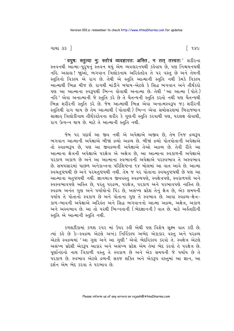ગાથા ૩૩ <u>ી</u>

' वपुष: स्तुत्या नु: स्तोत्रं व्यवहारत: अस्ति, न तत् तत्त्वत:' शरीरना સ્તવનથી આત્મા-પુરૂષનું સ્તવન થયું એમ વ્યવહારનયથી કહેવાય છે, પણ નિશ્ચયનયથી નહિ. અહાહા ! જાૂઓ, ભગવાન ત્રિલોકનાથ અરિહંતદેવ તે ૫૨ વસ્તુ છે અને તેમની સ્તુતિનો વિકલ્પ<sup>ે</sup>એ રાગ છે. તેથી એ સ્તુતિ આત્માની સ્તુતિ નથી કેમકે વિકલ્પ આત્માથી ભિન્ન ચીજ છે. રાગથી માંડીને બધાય-એટલે કે સિદ્ધ ભગવાન અને તીર્થંકરો પણ આ આત્માના સ્વરૂપથી ભિન્ન કોવાથી અનાત્મા છે. તેથી 'આ આત્મા (પોતે) નહિ ' એવા અનાત્માની જે સ્તુતિ કરે છે તે ચૈતન્યની સ્તુતિ કરતો નથી પણ ચૈતન્યથી ભિન્ન શરીરની સ્તુતિ કરે છે. જેમ આત્માથી ભિન્ન એવા અનાત્મસ્વરૂપ જડ શરીરની સ્તુતિથી રાગ થાય છે તેમ આત્માથી (પોતાથી) ભિન્ન એવા સમોસરણમાં બિરાજમાન સાક્ષાત ત્રિલોકીનાથ તીર્થંકરદેવના શરીર કે ગુણની સ્તુતિ કરવાથી પણ, પરલક્ષ હોવાથી, રાગ ઉત્પન્ન થાય છે. માટે તે આત્માની સ્તતિ નથી.

જેમ પર પદાર્થ આ જીવ નથી એ અપેક્ષાએ અજીવ છે, તેમ નિજ દ્રવ્યરૂપ ભગવાન આત્માની અપેક્ષાએ બીજાં દ્રવ્યો અદ્રવ્ય છે. બીજાં દ્રવ્યો પોતપોતાની અપેક્ષાએ તો સ્વદ્રવ્યરૂપ છે, પણ આ જીવદ્રવ્યની અપેક્ષાએ તેઓ અદ્રવ્ય છે. તેવી રીતે આ આત્માના ક્ષેત્રની અપેક્ષાએ પરક્ષેત્ર એ અક્ષેત્ર છે, આ આત્માના સ્વકાળની અપેક્ષાએ પરકાળ અકાળ છે અને આ આત્માના સ્વભાવની અપેક્ષાએ પરસ્વભાવ તે અસ્વભાવ છે. સમયસારમાં પાછળ અનેકાન્તના પરિશિષ્ટના ૧૪ બોલમાં આ વાત આવે છે. આત્મા સ્વચતુષ્ટયથી છે અને પરચતુષ્ટયથી નથી. તેમ જ ૫૨ પોતાના સ્વચતુષ્ટયથી છે પણ આ આત્માના ચતુષ્ટયથી નથી. જ્ઞાનમાત્ર જીવવસ્તુ સ્વદ્રવ્યપણે, સ્વક્ષેત્રપણે, સ્વકાળપણે અને સ્વસ્વભાવપણે અસ્તિ છે, પરંતુ પરદ્રવ્ય, પરક્ષેત્ર, પરકાળ અને પરભાવપણે નાસ્તિ છે. સ્વદ્રવ્ય અનંત ગુણ અને પર્યાયોનો પિંડ છે, અસંખ્ય પ્રદેશ તેનું ક્ષેત્ર છે, એક સમયની પર્યાય તે પોતાનો સ્વકાળ છે અને પોતાના ગુણ તે સ્વભાવ છે. આવા સ્વદ્રવ્ય-ક્ષેત્ર-કાળ-ભાવની અપેક્ષાએ અરિલંત અને સિદ્ધ ભગવાનનો આત્મા અદ્રવ્ય. અક્ષેત્ર. અકાળ અને અસ્વભાવ છે. આ તો પરથી ભિન્નતાની (ભેદજ્ઞાનની) વાત છે. માટે અર્લુતાદિની સ્તુતિ એ આત્માની સ્તુતિ નથી.

કળશટીકામાં કળશ ૨૫૨ માં ઉપર કહી એથી પણ વિશેષ સૂક્ષ્મ વાત કરી છે. ત્યાં કહે છે કેઃ-સ્વદ્રવ્ય એટલે અખંડ નિર્વિકલ્પ અભેદ એકાકાર વસ્તુ અને ૫રદ્રવ્ય એટલે સ્વદ્રવ્યમાં 'આ ગુણ અને આ ગુણી ' એવો ભેદવિકલ્પ કરવો તે. સ્વક્ષેત્ર એટલે અસંખ્ય પ્રદેશી એકરૂપ આકાર અને અસંખ્ય પ્રદેશ એમ તેમાં ભેદ કરવો તે પરક્ષેત્ર છે. પૂર્ણાનંદનો નાથ ત્રિકાળી વસ્તુ તે સ્વકાળ છે અને એક સમયની જે પર્યાય છે તે પરકાળ છે. સ્વભાવ એટલે દ્રવ્યની સહજ શક્તિ અને એકરૂપ વસ્તુમાં આ જ્ઞાન, આ દર્શન એમ ભેદ કરવા તે પરભાવ છે.

િ૧૪૯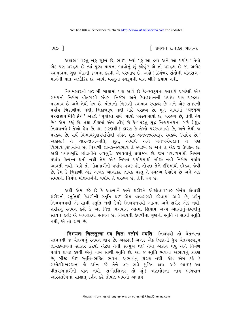$940$ ]

િ પ્રવચન રત્નાકર ભાગ−ર

અહાહા! વસ્તુ બહુ સૂક્ષ્મ છે, ભાઈ. જ્યાં 'હું આ દ્રવ્ય અને આ પર્યાય' તેવો ભેદ પણ પરદ્રવ્ય છે ત્યાં પુણ્ય-પાપના ભાવોનું શું કહેવું ? એ તો પરદ્રવ્ય છે જ. અભેદ સ્વભાવમાં ગણ-ભેદની કલ્પના કરવી એ પરભાવ છે. અલે ! દિગંબર સંતોની વીતરાગ-માર્ગની વાત અલૌકિક છે. આવી વસ્તુના સ્વરૂપની વાત બીજે કયાંય નથી.

નિયમસારની ૫૦ મી ગાથામાં પણ આવે છે કેઃ-સ્વરૂપના આશ્રયે પ્રગટેલી એક સમયની નિર્મળ વીતરાગી સંવર. નિર્જરા અને કેવળજ્ઞાનની પર્યાય પણ પરદ્રવ્ય. પરભાવ છે અને તેથી હેય છે. પોતાનો ત્રિકાળી સ્વભાવ સ્વદ્રવ્ય છે અને એક સમયની પર્યાય ત્રિકાળીમાં નથી, ત્રિકાળરૂપ નથી માટે પરદ્રવ્ય છે. મૂળ ગાથામાં '**परदव्वं** परसहावमिदि हेयं ' એટલે ' પૂર્વોક્ત સર્વ ભાવો પરસ્વભાવો છે, પરદ્રવ્ય છે, તેથી હેય છે' એમ કહ્યું છે. તથા ટીકામાં એમ લીધું છે કે–' પરંતુ શુદ્ધ નિશ્ચયનયના બળે (શુદ્ધ નિશ્ચયનયે) તેઓ હેય છે. શા કારણથી ? કારણ કે તેઓ પરસ્વભાવો છે, અને તેથી જ ૫૨૬વ્ય છે. સર્વ વિભાવગુણપર્યાયોથી રહિત શુદ્ધ-અંતઃતત્ત્વસ્વરૂપ સ્વદ્રવ્ય ઉપાદેય છે.' અહાહા ! તે ચાર-જ્ઞાન-મતિ, શ્રુત, અવધિ અને મનઃપર્યયજ્ઞાન તે પણ વિભાવગુણપર્યાયો છે. ત્રિકાળી જ્ઞાયક-સ્વભાવ તે સ્વદ્રવ્ય છે અને તે એક જ ઉપાદેય છે. અહીં પર્યાયબુદ્ધિ છોડાવીને દ્રવ્યબુદ્ધિ કરાવવાનું પ્રયોજન છે. જેમ પરદ્રવ્યમાંથી નિર્મળ <u>પર્યાય ઉત્પન્ને થતી નથી તેમ એક નિર્મળ પર્યાયમાંથી બીજી નવી નિર્મળ પર્યાય</u> આવતી નથી. ચાહે તો મોક્ષમાર્ગની પર્યાય પ્રગટ હો, તોપણ તેને દષ્ટિમાંથી છોડવા જેવી છે, કેમ કે ત્રિકાળી એક અખંડ આનંદકંદ જ્ઞાયક વસ્તુ તે સ્વદ્રવ્ય ઉપાદેય છે અને એક સમયની નિર્મળ મોક્ષમાર્ગની પર્યાય તે પરદ્રવ્ય છે. તેથી હેય છે.

અહીં એમ કહે છે કે આત્માને અને શરીરને એકક્ષેત્રાવગાહ સંબંધ હોવાથી શરીરની સ્તુતિથી કેવળીની સ્તુતિ થઈ એમ વ્યવહારથી કહેવામાં આવે છે, પરંતુ નિશ્ચયનયથી એ સાચી સ્તુતિ નથી કેમકે નિશ્ચયનયથી આત્મા અને શરીર એક નથી. શરીરનું સ્તવન કહો કે આ નિજ ભગવાન આત્મા સિવાય અન્ય આત્માનું-કેવળીનું સ્તવન કહો; એ વ્યવહારથી સ્તવન છે. નિશ્ચયથી કેવળીના ગુણની સ્તુતિ તે સાચી સ્તુતિ નથી. એ તો રાગ છે.

'निश्चयत: चित्स्तुत्या एव चित: स्तोत्रं भवति ' निश्चयथी तो यैतन्यना સ્તવનથી જ ચૈતન્યનું સ્તવન થાય છે. અહાહા ! અખંડ એક ત્રિકાળી ઘ્રુવ ચૈતન્યસ્વરૂપ જ્ઞાયકભાવનો સત્કાર કરવો એટલે તેની સન્મુખ થઈ તેમાં એકાગ્ર થવું અને નિર્મળ પર્યાય પ્રગટ કરવી એનું નામ સાચી સ્તુતિ છે. આ જ સ્તુતિ ભવના અભાવનું કારણ છે, બીજી કોઈ સ્તુતિ-ભક્તિ ભવના અભાવનું કારણ નથી. કોઈ એમ કર્લ્ડ કે સમ્મેદશિખરજીનાં જે દર્શન કરે તેને ૪૯ ભવે મુક્તિ થાય. અરે ભાઈ! આ વીતરાગમાર્ગની વાત નથી. સમ્મેદશિખર તો શું? ત્રણલોકના નાથ ભગવાન અરિ ંતદેવનાં સાક્ષાત દર્શન કરે તોપણ ભવનો અભાવ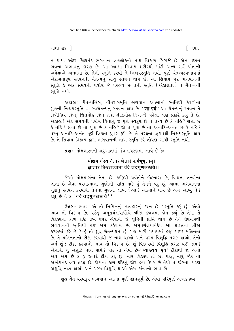ગાથા ૩૩ <u>ી</u>

ન થાય. અંદર ચિદાનંદ ભગવાન ત્રણલોકનો નાથ ત્રિકાળ બિરાજે છે એનાં દર્શન ભવના અભાવનું કારણ છે. આ આત્મા સિવાય શરીરથી માંડી અન્ય સર્વ પોતાની અપેક્ષાએ અનાત્મા છે. તેની સ્તુતિ કરવી તે નિશ્ચયસ્તુતિ નથી. પૂર્ણ ચૈતન્યસ્વભાવમાં એકાગ્રતારૂપ સ્તવનથી ચૈતન્યનું સાચું સ્તવન થાય છે. આ સિવાય પર ભગવાનની સ્તુતિ કે એક સમયની પર્યાય જે પરદ્રવ્ય છે તેની સ્તુતિ (એકાગ્રતા) તે ચૈતન્યની સ્તતિ નથી.

અહાહા ! ચૈતન્યબિંબ, વીતરાગમૂર્તિ ભગવાન આત્માની સ્તુતિથી કેવળીના ગુણની નિશ્ચયસ્તુતિ વા સ્વચૈતન્યનું સ્તવન થાય છે. ' **सा एवं** ' આ ચૈતન્યનું સ્તવન તે જિતેન્દ્રિય જિન, જિતમોહ જિન તથા ક્ષીણમોહ જિન-જે પહેલાં ત્રણ પ્રકારે કહ્યું તે છે. અહાહા! એક સમયની પર્યાય વિનાનું જે પૂર્ણ સ્વરૂપ છે તે તત્ત્વ છે કે નહિ? સત્તા છે કે નહિ? સત્તા છે તો પૂર્ણ છે કે નહિ? જો તે પૂર્ણ છે તો અનાદિ-અનંત છે કે નહિ? વસ્તુ અનાદિ-અનંત પૂર્ણ ત્રિકાળ ધ્રુવસ્વરૂપે છે. તે તરફના ઝૂકાવથી નિશ્ચયસ્તુતિ થાય છે. તે સિવાય વિકલ્પ દ્વારા ભગવાનની લાખ સ્તુતિ કરે તોપણ સાચી સ્તુતિ નથી.

u& :- મોક્ષશાસ્ત્રની શરુઆતમાં મંગલાચરણમાં આવે છે કેઃ-

#### मोक्षमार्गस्य नेतारं भेत्तारं कर्मभूभूताम् । ज्ञातारं विश्वतत्त्वानां वंदे तदगुणलब्धये।।

જેઓ મોક્ષમાર્ગના નેતા છે, કર્મરૂપી પર્વતોને ભેદનારા છે, વિશ્વના તત્ત્વોના જ્ઞાતા છે-એવા પરમાત્માના ગુણોની પ્રાપ્તિ માટે કું તેમને વંદું છું. આમાં ભગવાનના ગુણનું સ્તવન કરવાથી તેમના ગુણનો લાભ (આ) આત્માને થાય છે એમ આવ્યું ને? sei છે ને કે ' वंदे तदगणलब्धये '?

Gu2 :- ભાઈ ! એ તો નિમિત્તનું, વ્યવહારનું કથન છે. 'સ્તુતિ કરું છું' એવો ભાવ તો વિકલ્પ છે. પરંતુ અમૃતચંદ્રાચાર્યદેવે ત્રીજા કળશમાં જેમ કહ્યું છે તેમ, તે વિકલ્પના કાળે દૃષ્ટિ દ્રવ્ય ઉપર હોવાથી જે શુદ્ધિની પ્રાપ્તિ થાય છે તેને ઉપચારથી ભગવાનની સ્તુતિથી થઈ એમ કહેવાય છે. અમૃતચંદ્રાચાર્યદેવ આ શાસ્ત્રના ત્રીજા કળશમાં કહે છે કે-હું તો શુદ્ધ ચૈતન્યઘન છું. પણ મારી પર્યાયમાં હજુ કાંઈક મલિનતા છે. તે મલિનતાનો ટીકા કરવાથી જ નાશ થાઓ અને પરમ વિશુદ્ધિ પ્રગટ થાઓ. તેનો અર્થશું ? ટીકા કરવાનો ભાવ તો વિકલ્પ છે. શું વિકલ્પથી વિશુદ્ધિ પ્રગટ થઈ જાય ? એનાથી શું અશુદ્ધિ નાશ પામે? પાઠ તો એવો છે-' **व्याख्यया एव**' ટીકાથી જ. એનો અર્થ એમ છે કે કું જ્યારે ટીકા કરું છું ત્યારે વિકલ્પ તો છે, પરંતુ મારું જોર તો અખંડાનંદ દ્રવ્ય તરફ છે. ટીકાના કાળે દષ્ટિનું જોર દ્રવ્ય ઉપર છે તેથી તે જોરના કારણે અશુદ્ધિ નાશ થાઓ અને પરમ વિશુદ્ધિ થાઓ એમ કહેવાનો ભાવ છે.

શુદ્ધ ચૈતન્યસ્વરૂપ ભગવાન આત્મા પૂર્ણ જ્ઞાનસૂર્ય છે. એવા પરિપૂર્ણ અખંડ દ્રવ્ય−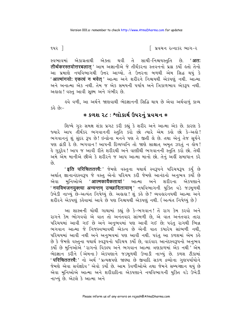∣ પ્રવચન રત્નાકર ભાગ−ર

એકાગ્રતાથી એક્તા થવી તે સાચી<sup>\_</sup>નિશ્ચયસ્તુતિ છે. '**अत:** સ્વભાવમાં तीर्थकरस्तवोत्तरबलात ' આમ અજ્ઞાનીએ જે તીર્થંકરના સ્તવનનો પ્રશ્ન કર્યો હતો તેનો આ પ્રમાણે નયવિભાગથી ઉત્તર આપ્યો. તે ઉત્તરના બળથી એમ સિદ્ધ થયું કે 'आत्मांगयो: एकत्वं न भवेत ' આત્મા અને શરીરને નિશ્ચયથી એકપણું નથી. આત્મા અને અનાત્મા એક નથી. તેમ જ એક સમયની પર્યાય અને ત્રિકાળભાવ એકરૂપ નથી. અહાહા! વસ્ત આવી સક્ષ્મ અને ગંભીર છે.

ઙ્વે વળી, આ અર્થને જાણવાથી ભેદજ્ઞાનની સિદ્ધિ થાય છે એવા અર્થવાળું કાવ્ય  $-i63.68$ 

## \* કળશ ૨૮: શ્લોકાર્થ ઉપરનં પ્રવચન \*

શિષ્યે ગરુ સમક્ષ શંકા પ્રગટ કરી કહ્યું કે શરીર અને આત્મા એક છે. કારણ કે જ્યારે આપ તીર્થંકર ભગવાનની સ્તુતિ કરો છો ત્યારે એમ કહો છો કે-અહો! ભગવાનનું શું સુંદર રૂપ છે! ઇન્દ્રોના મનને પણ તે જીતી લે છે. તથા એનું તેજ સુર્યને પણ ઢાંકી દે છે. ભગવાન! આપની દિવ્યધ્વનિ તો જાણે સાક્ષાત અમૃત ઝરતું ન લોય! કે ગુરૃદેવ ! આપ જ આવી રીતે શરીરથી અને વાણીથી ભગવાનની સ્તુતિ કરો છો. તેથી અમે એમ માનીએ છીએ કે શરીરને જ આપ આત્મા માનો છો. તેનું અહીં સમાધાન કરે  $\hat{\rho}_3$ 

' इति परिचिततत्त्वै: ' જેમણે વસ્તુના યથાર્થ સ્વરૂપને પરિચયરૂપ કર્યું છે અર્થાત્ જ્ઞાનાનંદસ્વરૂપ જે વસ્તુ એનો પરિચય કરી જેમણે આનંદનો અનુભવ કર્યો છે મુનિઓએ '**आत्मकायैकतायां**' આત્મા અને શરીરના એ.કપણાને એવા ' नयविभजनयुक्त्या अन्यन्तम् उच्छादितायाम् ' नयविलागनी युक्ति वडे જડभूणथी ઉખેડી નાખ્યું છે-અત્યંત નિષેઘ્યું છે. અહાહા ! શું કહે છે? વ્યવહારનયથી આત્મા અને શરીરને એકપણું કહેવામાં આવે છે પણ નિશ્ચયથી એકપણું નથી. (અત્યંત નિષેઘ્યું છે)

આ શાસ્ત્રની ચોથી ગાથામાં કહ્યું છે કે–ભગવાન! તેં રાગ કેમ કરવો અને રાગને કેમ ભોગવવો એ વાત તો અનંતવાર સાંભળી છે, એ વાત અનંતવાર તારા પરિચયમાં આવી ગઈ છે અને અનુભવમાં પણ આવી ગઈ છે; પરંતુ રાગથી ભિન્ન ભગવાન આત્મા જે નિજસ્વભાવથી એકત્વ છે એની વાત કયારેય સાંભળી નથી, પરિચયમાં આવી નથી અને અનુભવમાં પણ આવી નથી. પરંતુ આ કળશમાં એમ કહે છે કે જેમણે વસ્તુના યથાર્થ સ્વરૂપનો પરિચય કર્યો છે, વારંવાર આનંદસ્વરૂપનો અનુભવ કર્યો છે મુનિઓએ 'રાગનો વિકલ્પ અને ભગવાન આત્મા ત્રણકાળમાં એક નથી ' એમ ભેદજ્ઞાન કરીને (એમના) એકપણાને જડમૂળથી ઉખાડી નાખ્યું છે. કળશ ટીકામાં '**परिचिततत्त्वै:**' નો અર્થ 'પ્રત્યક્ષપણે જાણ્યા છે જીવાદિ સકળ દ્રવ્યોના ગુણપર્યાયોને જેમણે એવા સર્વજ્ઞદેવ ' એવો કર્યો છે. આમ કેવળીઓએ તથા જેમને સમ્યગ્જ્ઞાન થયું છે એવા મુનિઓએ આત્મા અને શરીરાદિના એકપણાને નયવિભાગની યુક્તિ વડે ઉખેડી નાખ્યું છે. એટલે કે આત્મા અને

૧૫૨ ી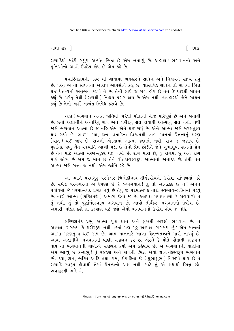ગાથા ૩૩ <u>ી</u>

િ ૧૫૩

રાગાદિથી માંડી બધુંય અત્યંત ભિન્ન છે એમ બતાવ્યું છે. અહાહા! ભગવાનનો અને મનિઓનો આવો ઉપદેશ લેય છે એમ કહે છે.

પંચાસ્તિકાયની ૧૭૨ મી ગાથામાં વ્યવહારને સાધન અને નિશ્ચયને સાધ્ય કહ્યું છે. પરંતુ એ તો સાધનનો આરોપ આપસીને કહ્યું છે. વાસ્તવિક સાધન તો રાગથી ભિન્ન થઈ ચૈતન્યનો અનુભવ કરવો તે છે. તેની સાથે જે રાગ હોય છે તેને ઉપચારથી સાધન કહ્યું છે. પરંત તેથી ( રાગથી ) નિશ્ચય પ્રગટ થાય છે-એમ નથી. વ્યવહારથી જેને સાધન કહ્યું છે તેનો અહીં અત્યંત નિષેધ કરાવે છે.

અહા! ભગવાને અનંત ઋદ્ધિથી ભરેલી પોતાની ચીજ પરિપૂર્ણ છે એને બતાવી છે. છતાં અજ્ઞાનીને અનાદિનું રાગ અને શરીરનું લક્ષ હોવાથી આત્માનું લક્ષ નથી. તેથી જાણે ભગવાન આત્મા છે જ નહિ એમ એને થઈ ગયું છે. એને આત્મા જાણે મરણતુલ્ય થઈ ગયો છે. ભાઈ ! દયા, દાન, વ્રતાદિના વિકલ્પથી લાભ માનતાં ચૈતન્યનું મરણ (ઘાત) થઈ જાય છે. રાગની એક્તામાં આત્મા જણાતો નથી, રાગ જ જણાય છે. પૃર્ણાનંદ પ્રભુ ચૈતન્યજ્યોતિ આખી પડી છે તેનો પ્રેમ છોડીને જેને શુભાશુભ રાગનો પ્રેમ છે તેને માટે આત્મા મરણ-તુલ્ય થઈ ગયો છે. રાગ મારો છે, કું રાગમાં છું અને રાગ મારૂં ક્તીવ્ય છે એમ જે માને છે તેને વીતરાગસ્વરૂપ આત્માનો અનાદર છે. તેથી તેને આત્મા જાણે સત્ત્વ જ નથી એમ ભ્રાંતિ રહે છે.

આ ભ્રાંતિ પરમગુરૂ પરમેશ્વર ત્રિલોકીનાથ તીર્થંકરદેવનો ઉપદેશ સાંભળતાં મટે છે. સર્વજ્ઞ પરમેશ્વરનો એ ઉપદેશ છે કે :-ભગવાન! તું તો આનંદકંદ છે ને! અમને પર્યાયમાં જે પરમાત્મપદ પ્રગટ થયું છે તેવું જ પરમાત્મપદ તારી સ્વભાવ-શક્તિમાં પડયું છે. તારો આત્મા (શક્તિપણે) અમારા જેવો જ છે. અલ્પજ્ઞ પર્યાયવાળો કે રાગવાળો તે તું નથી. તું તો પુર્ણાનંદસ્વરૂપ ભગવાન છો આવો તીર્થંકર ભગવાનનો ઉપદેશ છે. અમારી ભક્તિ કરો તો કલ્યાણ થઈ જશે એવો ભગવાનનો ઉપદેશ હોય જ નહિ.

સચ્ચિદાનંદ પ્રભુ આત્મા પૂર્ણ જ્ઞાન અને સુખથી ભરેલો ભગવાન છે. તે અલ્પજ્ઞ, રાગમય કે શરીરરૂપ નથી. છતાં પણ 'હું અલ્પજ્ઞ, રાગમય છું' એમ માનતાં આત્મા મરણતુલ્ય થઈ જાય છે. આમ માનનારે આખા ચૈતન્યતત્ત્વને મારી નાખ્યું છે. આવા અજ્ઞાનીને ભગવાનની વાણી સજીવન કરે છે. એટલે કે પોતે પોતાથી સજીવન થાય તો ભગવાનની વાણીએ સજીવન કર્યો એમ કહેવાય છે. એ ભગવાનની વાણીમાં એમ આવ્યું છે કે-પ્રભુ! તું રજકણ અને રાગથી ભિન્ન એવો જ્ઞાનાનંદસ્વરૂપ ભગવાન છો. દયા, દાન, ભક્તિ આદિ તથા કામ, ક્રોધાદિના જે (શુભાશુભ) વિકલ્પો થાય છે તે રાગાદિ સ્વરૂપ હોવાથી તેમાં ચૈતન્યનો અંશ નથી. માટે તું એ બધાથી ભિન્ન છો. વ્યવહારથી ભલે એ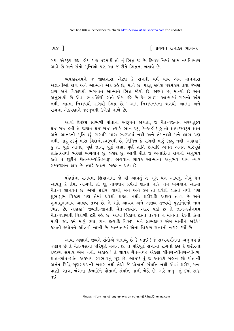$948$ ]

∣િ પ્રવચન રત્નાકર ભાગ−ર

બધા એકરૂપ કહ્યા હોય પણ પરમાર્થે તો તું ભિન્ન જ છે. દિવ્યધ્વનિમાં આમ નયવિભાગ આવે છે અને સંતો-મનિઓ પણ આ જ રીતે ભિન્નતા બતાવે છે.

વ્યવહારનયને જ જાણનારા એટલે કે રાગથી ધર્મ થાય એમ માનનારા અજ્ઞાનીઓ રાગ અને આત્માને એક કહે છે, માને છે. પરંતુ સર્વજ્ઞ પરમેશ્વર તથા જેમણે રાગ અને વિકલ્પથી ભગવાન આત્માને ભિન્ન જોયો છે, જાણ્યો છે, માન્યો છે અને અનુભવ્યો છે એવા ભાવલિંગી સંતો એમ કહે છે કે-'ભાઈ! આત્મામાં રાગનો અંશ નથી. આત્મા નિશ્ચયથી રાગથી ભિન્ન છે.' આમ નિશ્ચયનયના બળથી આત્મા અને રાગના એકપણાને જડમળથી ઉખેડી નાખે છે.

આવો ઉપદેશ સાંભળી પોતાના સ્વરૂપને જાણતાં, જે ચૈતન્યજ્યોત મરણતુલ્ય થઈ ગઈ હતી તે જાગ્રત થઈ ગઈ. ત્યારે ભાન થયું કે-અંહો! હું તો જ્ઞાયકસ્વરૂપ જ્ઞાન અને આનંદની મૂર્તિ છું. રાગાદિ મારા સ્વરૂપમાં નથી અને તેમનાથી મને લાભ પણ નથી. મારૂં ટકવું મારા ચિદાનંદસ્વરૂપથી છે, નિમિત્ત કે રાગથી મારૂં ટકવું નથી. અલલા ! કું તો પૂર્ણ આનંદ, પૂર્ણ જ્ઞાન, પૂર્ણ શ્રદ્ધા, પૂર્ણ શાંતિ ઇત્યાદિ અનંત અનંત પરિપૂર્ણ .<br>શક્તિઓથી ભરેલો ભંગવાન છું, ઇશ્વર છું. આવી રીતે જે અનાદિનો રાગનો અનુભવ હતો તે છૂટીને ચૈતન્યજ્યોતિસ્વરૂપ ભગવાન જ્ઞાયક આત્માનો અનુભવ થાય ત્યારે સમ્યગ્દર્શન થાય છે ત્યારે આત્મા સજીવન થાય છે

પહેલાંના સમયમાં શિયાળામાં જે ઘી આવતું તે ખૂબ ઘન આવતું. એવું ઘન આવતું કે તેમાં આંગળી તો શું, તાવેથોય પ્રવેશી શક્તો નહિ. તેમ ભગવાન આત્મા ચૈતન્ય જ્ઞાનઘન છે. એમાં શરીર, વાણી, મન અને કર્મ તો પ્રવેશી શક્તાં નથી, પણ શુભાશુભ વિકલ્પ પણ તેમાં પ્રવેશી શક્તા નથી. શરીરાદિ અજીવ તત્ત્વ છે અને શભાશભભાવ આશ્રવ તત્ત્વ છે. તે બન્ને-આસ્રવ અને અજીવ તત્ત્વથી પર્ણાનંદનો નાથ ભિન્ન છે. અહાહા! જીવતી-જાગતી ચૈતન્યજ્યોત અંદર ૫ડી છે તે જ્ઞાન-દર્શનમય ચૈતન્યપ્રાણથી ત્રિકાળી ટકી રહી છે. આવા ત્રિકાળ ટક્તા તત્ત્વને ન માનતાં, દેહની ક્રિયા મારી, જડ કર્મ મારૂં, દયા, દાન ઇત્યાદિ વિકલ્પ મને લાભદાયક એમ માનીને અરેરે! જીવતી જ્યોતને ઓલવી નાખી છે. માન્યતામાં એના ત્રિકાળ સત્ત્વનો નકાર કર્યો છે.

આવા અજ્ઞાની જીવને સંતોએ બતાવ્યું છે કે-ભાઈ ! જે સમ્યગ્દર્શનના અનુભવમાં જણાય છે તે ચૈતન્યસત્તા પરિપૂર્ણ મહાન છે. તે પરિપૂર્ણ સત્તામાં રાગનો કણ કે શરીરનો ૨જકણ સમાય એમ નથી. અલેહા! તે જ્ઞાયક ચૈતન્યચંદ્ર એકલો શીતળ-શીતળ-શીતળ. શાંત-શાંત-શાંત અકષાય સ્વભાવનું પૂર છે. ભાઈ ! તું જ આવડો મહાન છો પોતાની અનંત રિદ્વિ-ગુણસંપદાની ખબર નથી તેથી જે પોતાની સંપત્તિ નથી એવાં શરીર, મન, વાણી, બાગ, બંગલા ઇત્યાદિને પોતાની સંપત્તિ માની બેઠો છે. અરે પ્રભુ! તું કયાં રાજી थःऽ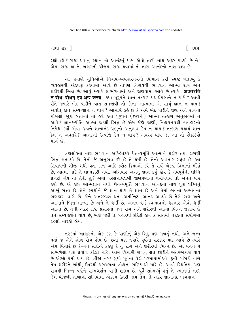ગાથા ૩૩ <u>ી</u>

િ ૧૫૫

રહ્યો છો? રાજી થવાનું સ્થાન તો આનંદનું ધામ એવો તારો નાથ અંદર ૫ડયો છે ને! એમાં રાજી થા ને. બહારની ચીજમાં રાજી થવામાં તો તારા આનંદનો નાશ થાય છે.

આ પ્રમાણે મુનિઓએ નિશ્ચય-વ્યવહારનયનો વિભાગ કરી સ્પષ્ટ બતાવ્યું કે વ્યવહારથી એકપણું કહેવામાં આવે છે તોપણ નિશ્ચયથી ભગવાન આત્મા રાગ અને શરીરથી ભિન્ન છે. આવં જ્યારે સાંભળવામાં અને જાણવામાં આવે છે ત્યારે '**अवतरति** न बोध: बोधम् एव अद्य कस्य ' sया पुरुषने ज्ञान तत्काण यथार्थपशाने न पामे ? આવी રીતે જ્યારે ભેદ પાડીને વાત સમજાવી તો કોના આત્મામાં એ સાચું જ્ઞાન ન થાય? અર્થાત કોને સમ્યગ્જ્ઞાન ન થાય? આચાર્ય કહે છે કે અમે ભેદ પાડીને જીવ અને રાગનાં ચોસલાં જાદાં બતાવ્યાં તો હવે કયા પુરૂષને (જીવને) આત્મા તત્કાળ અનુભવમાં ન આવે ? જ્ઞાનજ્યોતિ આત્મા જડથી ભિન્ન છે એમ જેણે જાણી, નિશ્ચયનયથી વ્યવહારનો નિષેધ કર્યો એવા જીવને જ્ઞાનાનંદ પ્રભુનો અનુભવ કેમ ન થાય? તત્કાળ યથાર્થ જ્ઞાન કેમ ન અવતરે? આનંદની ઉત્પત્તિ કેમ ન થાય? અવશ્ય થાય જ. આ તો રોકડિયો માર્ગ છે.

ત્રણલોકના નાથ ભગવાન અરિહંતદેવે ચૈતન્યમૂર્તિ આત્માને શરીર તથા રાગથી ભિન્ન બતાવ્યો છે. તેનો જે અનુભવ કરે છે તે ધર્મી છે. તેનો અવતાર સફળ છે. આ સિવાયની બીજી બધી વ્રત, દાન આદિ કરોડ ક્રિયાઓ કરે તે સર્વ એકડા વિનાનાં મીંડાં છે, આત્મા માટે તે લાભકારી નથી. અગિયાર અંગનું જ્ઞાન કર્યું હોય કે નવપૂર્વની લબ્ધિ પ્રગટી લોય તો તેથી શં? એવો પરસત્તાવલંબી જાણપણાનો ક્ષયોપશમ તો અનંત વાર કર્યો છે. એ કાંઈ આત્મજ્ઞાન નથી. ચૈતન્યમૂર્તિ ભગવાન આનંદનો નાથ પૂર્ણ શક્તિનું આખું સત્ત્વ છે. તેને સ્પર્શીને જે જ્ઞાન થાય તે જ્ઞાન છે અને તેમાં ભવના અભાવના ભણકારા વાગે છે. જેને અંતરસ્પર્શ થતાં અતીન્દ્રિય આનંદ આવ્યો છે તેણે રાગ અને આત્માને ભિન્ન માન્યા છે અને તે ધર્મી છે. અનંત ધર્મ-સ્વભાવનો ધરનાર એવો ધર્મી આત્મા છે. તેની અંદર દષ્ટિ પ્રસારતાં જેને રાગ અને શરીરથી આત્મા ભિન્ન જણાય છે તેને સમ્યગ્દર્શન થાય છે, ભલે પછી તે બહારથી દરિદ્રી હોય કે સાતમી નરકના સંયોગમાં રહેલો નારડી હોય

નરકમાં આહારનો એક કણ કે પાણીનું એક બિંદુ પણ મળતું નથી. અને જન્મ થતાં જ એને સોળ રોગ હોય છે. છતાં પણ જ્યારે પૂર્વના સંસ્કાર યાદ આવે છે ત્યારે એમ વિચારે છે કે–મને સંતોએ કહેલું કે તું રાગ અને શરીરથી ભિન્ન છે. આ વચન મેં સાંભળેલાં પણ પ્રયોગ કરેલો નહિ. આમ વિચારી રાગનું લક્ષ છોડીને અંતરએકાગ્ર થાય છે એટલે ધર્મી થાય છે. ત્રીજા નરક સુધી પૂર્વના વેરી પરમાધામીઓ, રૂની ગાંસડી વાળે તેમ શરીરને બાંધી, ઉપરથી ધગધગતા લોઢાના સળિયાથી મારે છે. આવી સ્થિતિમાં પણ રાગથી ભિન્ન પડીને સમ્યગ્દર્શન પામી શકાય છે. પૂર્વે સાંભળ્યું હતું તે ખ્યાલમાં લઈ, જેમ વીજળી તાંબાના સળિયામાં એકદમ ઉતરી જાય તેમ, તે અંદર જ્ઞાનાનંદ ભગવાન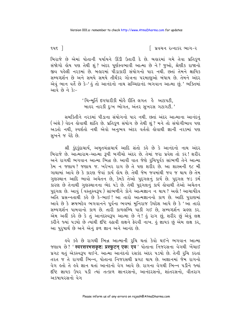$945$ ]

િ પ્રવચન રત્નાકર ભાગ−ર

બિરાજે છે એમાં પોતાની પર્યાયને ઊંડી ઉતારી દે છે. બહારમાં ગમે તેવા પ્રતિકૂળ સંજોગો હોય પણ તેથી શું ? અંદર પૂર્ણસ્વભાવી આત્મા છે ને ? જુઓ, શ્રેણીક રાજાનો જીવ પહેલી નરકમાં છે. બહારમાં પોડાકારી સંયોગનો પાર નથી. છતાં તેમને ક્ષાયિક સમ્યગ્દર્શન છે અને સમયે સમયે તીર્થંકર ગોત્રના પરમાણુઓ બંધાય છે. તેમને અંદર એવું ભાન વર્તે છે કે-' કું તો આનંદનો નાથ સચ્ચિદાનંદ ભગવાન આત્મા છું.' ભક્તિમાં આવે છે ને કે:-

> 'ચિન્મર્તિ દગધારીકી મોહૈ રીતિ લગત હૈ અટાપટી. બાહર નારકી દુઃખ ભોગત, અંતર સુખરસ ગટાગટી.'

સમકિતીને નરકમાં પીડાના સંયોગનો પાર નથી. છતાં અંદર આત્માના આનંદનું (અંશે ) વેદન કોવાથી શાંતિ છે. પ્રતિકળ સંયોગ છે તેથી શં ? મને તો સંયોગીભાવ પણ અડતો નથી. સ્પર્શતો નથી એવો અનભવ અંદર વર્તતો હોવાથી જ્ઞાની નરકમાં પણ સખને જ વેદે છે.

શ્રી કુંદુકુંદાચાર્ય, અમૃતચંદ્રાચાર્ય આદિ સંતો કહે છે કે આનંદનો નાથ અંદર બિરાજે છે. આત્મારામ-આત્મા રૂપી બગીચો અંદર છે. તેમાં જરા પ્રવેશ તો કર! શરીર <u>કેમ ન જણાય? જણાય જ. ખરેખર રાગ છે તે પણ શરીર છે. આ શાસ્ત્રની ૬૮ મી</u> ગાથામાં આવે છે કે કારણ જેવાં કાર્ય હોય છે. તેથી જેમ જવમાંથી જવ જ થાય છે તેમ ગુણસ્થાન આદિ ભાવો અચેતન છે, કેમકે તેઓ પુદ્ગલનું કાર્ય છે. પુદ્ગલ જડ કર્મ કારણ છે તેનાથી ગુણસ્થાનના ભેદ પડે છે. તેથી પુદ્ગલનું કાર્ય લેવાથી તેઓ અચેતન પદગલ છે. આવું (વસ્તુસ્વરૂપ ) સાંભળીને કોને આત્મેજ્ઞાન ન થાય ? અલે ! આચાર્યદેવ અતિ પ્રસન્નતાથી કર્લ છે કે-ભાઈ! આ તારો આત્મજ્ઞાનનો કાળ છે. આદિ પુરાણમાં આવે છે કે ઋષભદેવ ભગવાનને પૂર્વના ભવમાં મુનિરાજ ઉપદેશ આપે છે કે 'આ તારો સમ્યગ્દર્શન પામવાનો કાળ છે. તારી કાળલબ્ધિ પાકી ગઈ છે. સમ્યગ્દર્શન ગ્રહણ કર. એમ અહીં કહે છે કે તું આનંદસ્વરૂપ આત્મા છે ને ! હું રાગ છું, શરીર છું એવું લક્ષ કરીને જ્યાં ૫ડયો છે ત્યાંથી દૃષ્ટિ હઠાવી લક્ષને ફેરવી નાખ. હું જ્ઞાયક છું એમ લક્ષ કર, આ પુરુષાર્થ છે અને એનું ફળ જ્ઞાન અને આનંદ છે.

હવે કહે છે રાગથી ભિન્ન આત્માની રૂચિ થતાં કેવો થઈને ભગવાન આત્મા જશાય છે? 'स्वरसरभसकृष्ट: प्रस्फुटन् एक: एव' पोताना निश्रसना वेगथी ખेंચाઈ પ્રગટ થતું એકસ્વરૂપ થઈર્ન. આત્માં આનંદનો રસકંદ અંદર પડયો છે. તેની રૂચિ કરતાં તરત જ તે રાગથી ભિન્ન. પોતાના નિજરસથી પ્રગટ થાય છે. અજ્ઞાનમાં જેમ રાગનો વેગ હતો તે હવે જ્ઞાન થતાં આનંદનો વેગ આવે છે. રાગના વેગથી ભિન્ન પડીને જ્યાં દીષ્ટે જ્ઞાયક ઉપર ૫ડી ત્યાં તત્કાળ જ્ઞાનરસનો, આનંદરસનો, શાંતરસનો, વીતરાગ અક્ષાયરસનો વેગ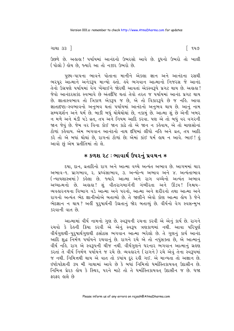ગાથા ૩૩ <u>ી</u>

ઉછળે છે. અહાહા! પર્યાયમાં આનંદનો ઉભરસો આવે છે. દૂધનો ઉભરો તો ખાલી (પોલો) હોય છે, જ્યારે આ તો નક્કર ઉભરો છે.

પણ્ય-પાપના ભાવને પોતાના માનીને એકલા જ્ઞાન અને આનંદના રસથી ભરપૂર આત્માને અનેકરૂપ માન્યો હતો. હવે ભગવાન આત્માનો નિજરસ જે આનંદ તેનો ઉગ્રપણે પર્યાયમાં વેગ ખેંચાઈને જોરથી આવતાં એકસ્વરૂપે પ્રગટ થાય છે. અલુલ! જેવો આનંદરસકંદ સ્વભાવે છે અંતર્દીષ્ટિ થતાં તેવો તરત જ પર્યાયમાં આનંદ પ્રગટ થાય છે. જ્ઞાતાસ્વભાવ તો ત્રિકાળ એકરૂપ જ છે. એ તો વિકારરૂપે છે જ નહિ. આવા જ્ઞાતાદષ્ટા-સ્વભાવનો અનુભવ થતાં પર્યાયમાં આનંદનો અનુભવ થાય છે. આનું નામ સમ્યગ્દર્શન અને ધર્મ છે. બાકી બધું થોથેથોથાં છે, નકામું છે. આત્મા શું છે એની ખબર ન મળે અને મંડી પડે વ્રત. તપ અને નિયમ આદિ કરવા. પણ એ તો બધં વર વગરની જાન જેવં છે. જેમ વર વિના કોઈ જાન કાઢે તો એ જાન ન કહેવાય. એ તો માણસોનાં ટોળાં કહેવાય. એમ ભગવાન આનંદનો નાથ દષ્ટિમાં લીધો નહિ અને વ્રત, તપ આદિ કરે તો એ બધાં થોથાં છે. રાગનાં ટોળાં છે; એમાં કાંઈ ધર્મ જ્ઞથ ન આવે. ભાઈ ! હ આવો છું એમ પ્રતીતિમાં તો લે.

#### **∗ કળશ ૨૮ : ભાવાર્થ ઉપરનું પ્રવચન ∗**

દયા, દાન, વ્રતાદિનો રાગ અને આત્મા વચ્ચે અત્યંત અભાવ છે. આગમમાં ચાર અભાવ-૧. પ્રાગભાવ, ૨. પ્રધ્વંસાભાવ, ૩. અન્યોન્ય અભાવ અને ૪. અત્યંતાભાવ (ન્યાયશાસ્ત્રમાં) કહેલા છે. જ્યારે આત્મા અને રાગ વચ્ચેનો અત્યંત અભાવ અઘ્યાત્મનો છે. અહાહા! શું વીતરાગમાર્ગની ગંભીરતા અને ઊંડપ! નિશ્ચય− વ્યવહારનયના વિભાગ વડે આત્મા અને પરનો, આત્મા અને શરીરનો તથા આત્મા અને રાગનો અત્યંત ભેદ જ્ઞાનીઓએ બતાવ્યો છે. તે જાણીને એવો કોણ આત્મા હોય કે જેને ભેદજ્ઞાન ન થાય? અહીં પુરુષાર્થની ઉગ્રતાનું જોર બતાવ્યું છે. વીર્યનો વેગ સ્વસન્મુખ કરવાની વાત છે

આત્મામાં વીર્ય નામનો ગુણ છે. સ્વરૂપની રચના કરવી એ એનું કાર્ય છે. રાગને રચવો કે દેઙની ક્રિયા કરવી એ એનું સ્વરૂપ ત્રણકાળમાં નથી. આવા પરિપૂર્ણ વીર્યગુણથી-પુરૂષાર્થગુણથી ઠસોઠસ ભગવાન આત્મા ભરેલો છે. તે ગુણનું કાર્ય આનંદ આદિ શદ્ધ નિર્મળ પર્યાયને રચવાનું છે. રાગને રચે એ તો નપુંસક્તા છે. એ આત્માનું વીર્યનહિ. રાગ એ સ્વરૂપની ચીજ નથી. વીર્યગુણને ધરનાર ભગવાન આત્માનું ગ્રહણ કરતાં તે વીર્ય નિર્મળ પર્યાયને જ રચે છે. વ્યવહારને (રાગને ) રચે એવું તેના સ્વરૂપમાં જ નથી. નિમિત્તથી થાય એ વાત તો કયાંય દર રહી ગઈ. એ માન્યતા તો અજ્ઞાન છે. ઇષ્ટોપદેશની ૩૫ મી ગાથામાં આવે છે કે બધાં નિમિત્તો ધર્માસ્તિકાયવત ઉદાસીન છે. નિમિત્ત પ્રેરક હોય કે સ્થિર, પરને માટે તો તે ધર્માસ્તિકાયવત ઉદાસીન જ છે. ધજા કરકર હાલે છે

િ ૧૫૭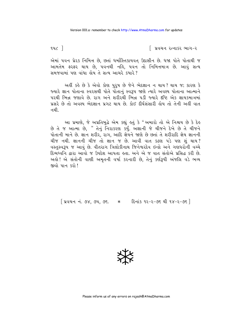$942$ ]

િ પ્રવચન રત્નાકર ભાગ−ર

એમાં ૫વન પ્રેરક નિમિત્ત છે, છતાં ધર્માસ્તિકાયવત ઉદાસીન છે. ધજા પોતે પોતાથી જ આમતેમ ફરફર થાય છે, પવનથી નહિ, પવન તો નિમિત્તમાત્ર છે. આવું સત્ય સમજવામાં પણ વાંધા હોય તે સત્ય આચરે કયારે?

અહીં કહે છે કે એવો કોણ પુરૂષ છે જેને ભેદજ્ઞાન ન થાય? થાય જ; કારણ કે જ્યારે જ્ઞાન પોતાના સ્વરસથી પોતે પોતાનં સ્વરૂપ જાણે ત્યારે અવશ્ય પોતાના આત્માને પરથી ભિન્ન જણાવે છે. રાગ અને શરીરથી ભિન્ન ૫ડી જ્યારે દષ્ટિ એક જ્ઞાયકમાત્રમાં પ્રસરે છે તો અવશ્ય ભેદજ્ઞાન પ્રગટ થાય છે. કોઈ દીર્ઘસંસારી હોય તો તેની અહીં વાત નથી

આ પ્રમાણે, જે અપ્રતિબુદ્ધે એમ કહ્યું હતું કે "અમારો તો એ નિશ્ચય છે કે દેહ છે તે જ આત્મા છે, " તેનું નિરાકરણ કર્યું. અજ્ઞાની જે ચીજને દેખે છે તે ચીજને પોતાની માને છે. જ્ઞાન શરીર, રાગ, આદિ જ્ઞેયને જાણે છે છતાં તે શરીરાદિ જ્ઞેય જ્ઞાનની ચીજ નથી. જ્ઞાનની ચીજ તો જ્ઞાન જ છે. આવી વાત કઠણ પડે પણ શું થાય? વસ્તસ્વરૂપ જ આવું છે. વીતરાગ ત્રિલોકીનાથ જિનેશ્વરદેવ ઇન્દ્રો અને ગણધરોની વચ્ચે દિવ્યધ્વનિ દ્વારા આવો જ ઉપદેશ આપતા હતા. અને એ જ વાત સંતોએ પ્રસિદ્ધ કરી છે. અહો! એ સંતોની વાણી અમૃતની વર્ષા કરનારી છે, તેનું કર્ણરૂપી અંજલિ વડે ભવ્ય જીવો પાન કરો!

[ प्रवयन नं. ७४, ७५, ७६. \* [ हिनांड १२-२-७६ थी १४-२-७६ ]

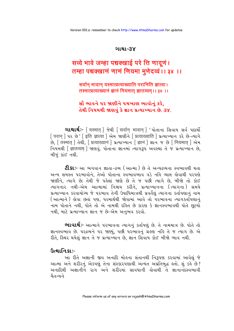#### ગાથા-૩૪

# सव्वे भावे जम्हा पच्चक्खाई परे ति णादूणं। तम्हा पच्चक्खाणं णाणं णियमा मुणेदव्वं ।। ३४ ।।

सर्वान् भावान् यस्मात्प्रत्याख्याति परानिति ज्ञात्वा। तस्मात्प्रत्याख्यानं ज्ञानं नियमात् ज्ञातव्यम् ।। ३४ ।।

## સૌ ભાવને ૫૨ જાણીને ૫ચખાણ ભાવોનું કરે, તેથી નિયમથી જાણવું કે જ્ઞાન પ્રત્યાખ્યાન છે. 3૪.

**ગાથાર્થ:-** [यस्मात् ] જેથી [ सर्वान् भावान् ] ' પોતાના સિવાય સર્વ પદાર્થો [ परान ] ५२ છे ' [ इति ज्ञात्वा ] એમ જાણીને [ प्रत्याख्याति ] प्रत्याખ्यान કરે છે-त्यागे .<br>છે. [ तस्मात ] તेथी. [ प्रत्याख्यानं ] प्रत्याप्यान [ ज्ञानं ] शान ४ छे [ नियमात ] એમ नियमथी [ज्ञातव्यम] श्रष्टावृ. पोताना ज्ञानमां त्याग३५ अवस्था ते ४ प्रत्याण्यान છे, બીજં કાંઈ નથી.

**ટી.કાઃ-** આ ભગવાન જ્ઞાતા-દ્રવ્ય (આત્મા ) છે તે અન્યદ્રવ્યના સ્વભાવથી થતા અન્ય સમસ્ત પરભાવોને. તેઓ પોતાના સ્વભાવભાવ વડે નહિ વ્યાપ્ત હોવાથી પરપણે જાણીને, ત્યાગે છે; તેથી જે પહેલાં જાણે છે તે જ પછી ત્યાગે છે. બીજો તો કોઈ ત્યાગનાર નથી-એમ આત્મામાં નિશ્ચય કરીને. પ્રત્યાખ્યાનના (ત્યાગના) સમયે પ્રત્યાખ્યાન કરવાયોગ્ય જે પરભાવ તેની ઉપાધિમાત્રથી પ્રવર્તેલું ત્યાગના કર્તાપણાનું નામ (આત્માને) હોવા છતાં પણ, પરમાર્થથી જોવામાં આવે તો પરભાવના ત્યાગકર્તાપણાનું નામ પોતાને નથી. પોતે તો એ નામથી રહિત છે કારણ કે જ્ઞાનસ્વભાવથી પોતે છુટયો નથી, માટે પ્રત્યાખ્યાન જ્ઞાન જ છે-એમ અનુભવ કરવો.

ભાવાર્થઃ- આત્માને પરભાવના ત્યાગનું કર્તાપણું છે. તે નામમાત્ર છે. પોતે તો જ્ઞાનસ્વભાવ છે. ૫૨ વ્રવ્યને ૫૨ જાણ્યું, ૫છી ૫૨ ભાવનું ગ્રહણ નહિ તે જ ત્યાગ છે. એ રીતે, સ્થિર થયેલું જ્ઞાન તે જ પ્રત્યાખ્યાન છે. જ્ઞાન સિવાય કોઈ બીજો ભાવ નથી.

# ઉત્થાનિકાઃ-

આ રીતે અજ્ઞાની જીવ અનાદિ મોહના સંતાનથી નિરૂપણ કરવામાં આવેલું જે આત્મા અને શરીરનું એકપણું તેના સંસ્કારપણાથી અત્યંત અપ્રતિબુદ્ધ હતો. શું કહે છે? અનાદિથી અજ્ઞાનીને રાગ અને શરીરમાં સાવધાની કોવાથી તે જ્ઞાનાનંદસ્વભાવી यैतन्यने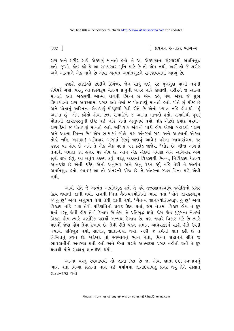∣ પ્રવચન રત્નાકર ભાગ−ર

 $950$ ]

રાગ અને શરીર સાથે એકપણું માનતો હતો. તે આ એકપણાના સંસ્કારથી અપ્રતિબુદ્ધ લ્તો. જુઓ, કોઈ કહે કે આ સમયસાર મુનિ માટે છે તો એમ નથી. અહીં તો જે શરીર અને આત્માને એક માને છે એવા અત્યંત અપ્રતિબદ્ધને સમજાવવામાં આવ્યં છે.

લ્જારો રાણીઓ છોડીને દિગંબર જૈન સાધુ થઈ, ૨૮ મૂળગુણ પાળી નવમી ગ્રૈવેયકે ગયો. પરંત આનંદસ્વરૂપ ચૈતન્ય પ્રભની ખબર નહિ લેવાથી. શરીરને જ આત્મા માનતો હતો. બહારથી આત્મા રાગથી ભિન્ન છે એમ કહે, પણ અંદર જે શુભ ક્રિયાકાંડનો રાગ અવસ્થામાં પ્રગટ લ્લો તેમાં જ પોતાપણું માનતો લ્લો. પોતે શું ચીજ છે અને પોતાનું અસ્તિત્વ-હોવાપણું-મોજૂદગી કેવી રીતે છે એનો ખ્યાલ નહિ હોવાથી 'હં આત્મા છં<sup>,</sup> એમ કહેતો હોવા છતાં રાગાદિને જ આત્મા માનતો હતો. રાગાદિથી પથક .<br>પોતાની જ્ઞાયકવસ્તની દષ્ટિ થઈ નઙિ. તેનો અનભવ થયો નઙિ એટલે કયાંક પરમાં−ે રાગાદિમાં જ પોતાપણં માનતો હતો. અગિયાર અંગનો પાઠી હોય એટલે બહારથી 'રાગ અને આત્મા ભિન્ન છે<sup>,</sup> એમ ભાષામાં બોલે, પણ અંતરમાં રાગ અને આત્માની એક્તા તોડી નહિ. અહાહા ! અગિયાર અંગમાં કેટલું જાણવું આવે ? પહેલા આચારાંગમાં ૧૮ <u>હુજાર પદ હોય છે અને તે એક એક પદમાં ૫૧ કરોડ જાજેરા શ્લોક છે. બીજા અંગમાં </u> તેનાથી બમણા ૩૬ હજાર પદ હોય છે. આમ એક એકથી બમણા એમ અગિયાર અંગ સુધી લઈ લેવું. આ બધુંય કંઠસ્થ કર્યું, પરંતુ અંદરમાં વિકલ્પથી ભિન્ન, નિર્વિકલ્પ ચૈતન્ય આનંદકંદ છે એની દષ્ટિ, એનો અનુભવ અને એનું વેદન કર્યું નહિ તેથી તે અત્યંત અપ્રતિબુદ્ધ હતો. ભાઈ! આ તો અંતરની ચીજ છે. તે અંતરના સ્પર્શ વિના મળે એવી ન થી

આવી રીતે જે અત્યંત અપ્રતિબુદ્ધ હતો તે હવે તત્ત્વજ્ઞાનસ્વરૂપ જ્યોતિનો પ્રગટ ઉદય થવાથી જ્ઞાની થયો. રાગથી ભિન્ન ચૈતન્યજ્યોતિનો ભાસ થતાં 'પોતે જ્ઞાયકસ્વરૂપ જ હું છું ' એવો અનુભવ થયો તેથી જ્ઞાની થયો. 'ચૈતન્ય જ્ઞાનજ્યોતિસ્વરૂપ હું છું ' એવો વિકલ્પ નહિ, પણ તેવી પરિણતિનો પ્રગટ ઉદય થતાં, જેમ નેત્રમાં વિકાર હોય તે દૂર થતાં વસ્તુ જેવી લોય તેવી દેખાય છે તેમ, તે પ્રતિબુદ્ધ થયો. જેમ કોઈ પુરુષના નેત્રમાં વિકાર લોય ત્યારે વર્ણાદિક પદાર્થો અન્યથા દેખાય છે. પણ જ્યારે વિકાર મેટે છે ત્યારે પદાર્થો જેવા હોય તેવા દેખાય છે. તેવી રીતે ૫ડળ સમાન આવરણકર્મ સારી રીતે ઉઘડી જવાથી પ્રતિબુદ્ધ થયો, સાક્ષાત્ જ્ઞાતા-દષ્ટા થયો. અહીં જે કર્મની વાત કરી છે તે નિમિત્તનું કથન છે. ખરેખર તો સ્વભાવનું ભાન થતાં. મિથ્યા શ્રદ્ધાનને લીધે જે ભાવઘાતીની અવસ્થા થતી હતી અને જેના કારણે આત્મદશા પ્રગટ નહોતી થતી તે દૂર થવાથી પોતે સાક્ષાત જ્ઞાતાદષ્ટા થયો.

આત્મા વસ્તુ સ્વભાવથી તો જ્ઞાતા-દષ્ટા છે જ. એવા જ્ઞાતા-દષ્ટા-સ્વભાવનું ભાન થતાં મિથ્યા શ્રદ્ધાનો નાશ થઈ પર્યાયમાં જ્ઞાતાદષ્ટાપણું પ્રગટ થયું તેને સાક્ષાત જ્ઞાતા-દષ્ટા થયો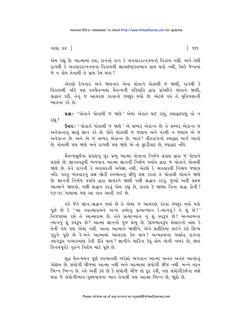ગાથા ૩૪ **]** 

િ ૧૬૧

એમ કહ્યું છે. આત્મામાં દયા, દાનનો રાગ કે વ્યવહારરત્નત્રયનો વિકલ્પ નથી. અને તેથી રાગથી કે વ્યવહારરત્નત્રયના વિકલ્પથી જ્ઞાતાદષ્ટાસ્વભાવ પ્રાપ્ત થતો નથી. કેમકે જેનામાં જે ન હોય તેનાથી તે પ્રાપ્ત કેમ થાય ?

એકલો દેખનાર અને જાણનાર એવા પોતાને પોતાથી જ જાણી, રાગથી કે વિકલ્પથી નહિ પણ સ્વચૈતન્યમાં ચૈતન્યની પરિણતિ દ્વારા પ્રવેશીને પોતાને જાણી. શ્રદ્ધાન કરી, તેનું જ આચરણ કરવાનો ઇચ્છૂક થયો છે. એટલે હવે તે મુનિપણાની ભાવના કરે છે.

ua :- ' પોતાને પોતાથી જ જાણે ' એમાં એકાંત થઈ ગયું, સ્યાદ્વાદપણું તો ન રહ્યં ?

ઉત્તરઃ- ' પોતાને પોતાથી જ જાણે ' એ સમ્યક્ એકાન્ત છે. તે સમ્યક્ એકાન્ત જ અનેકાન્તનું સાચું જ્ઞાન કરે છે. પોતે પોતાથી જ જણાય અને પરથી ન જણાય એ જ અનેકાન્ત છે. અને એ જ સમ્યક એકાન્ત છે. ભાઈ ! વીતરાગનો સ્યાદ્વાદ માર્ગ આવો છે. પોતાથી પણ જાણે અને રાગથી પણ જાણે એ તો ફદડીવાદ છે. સ્યાદ્વાદ નહિ.

ચૈતન્યસર્યના પ્રકાશનું પર પ્રભુ આત્મા પોતાના નિર્મળ પ્રકાશ દ્વારા જ પોતાને પ્રકાશે છે. જ્ઞાનસ્વરૂપી ભગવાન આત્મા જ્ઞાનની નિર્મળ પર્યાય દ્વારા જ પોતાને પોતાથી જાણે છે. તેને રાગની કે વ્યવહારની અપેક્ષા નથી. એટલે કે વ્યવહારથી નિશ્ચય જણાય નહિ. પરંતુ વ્યવહારનું લક્ષ છોડી સ્વભાવનું સીધું લક્ષ કરતાં તે પોતાથી પોતાને જાણે છે. જ્ઞાનની નિર્મળ પર્યાય દ્વારા જ્ઞાયકને જાણી પછી શ્રદ્ધાન કરવં. જુઓ અહીં પ્રથમ આત્માને જાણવો, પછી શ્રદ્ધાન કરવું એમ કહ્યું છે, કારણ કે જાણ્યા વિના શ્રદ્ધા કોની? 99-92 ગાથામાં પણ આ વાત આવી ગઈ છે.

ઙ્વે જેને જ્ઞાન−શ્રદ્ધાન થયાં છે તે એમાં જ આચરણ કરવા ઇચ્છુક થયો થકો પૂછે છે કે 'આ સ્વાત્મારામને અન્ય દ્રવ્યોનું પ્રત્યાખ્યાન (ત્યાગવું) તે શું છે?' નિજપદમાં રમે તે આત્મારામ છે. તેને પ્રત્યાખ્યાન નું શું સ્વરૂપ છે? અન્યદ્રવ્યના ત્યાગનું શું સ્વરૂપ છે? આત્મા જ્ઞાનનો પુંજ પ્રભુ છે. ઉદયભાવરૂપ સંસારનો અંશ કે તેની ગંધ પણ એમાં નથી. આવા આત્માને જાણીને, એને પ્રતીતિમાં લઈને હવે શિષ્ય ગુરૂને પૂછે છે કે–મને આત્મામાં આચરણ કેમ થાય? અન્યદ્રવ્યના અર્થાત રાગના ત્યાગરૂપ પચ્ચકખાણ કેવી રીતે થાય? જ્ઞાનીને ચારિત્ર કેવું હોય એની ખબર છે, છતાં વિનયપૂર્વક ગુરુને વિશેષ માટે પૂછે છે.

શુદ્ધ ચૈતન્યઘન પૂર્ણ સ્વભાવથી ભરેલો ભગવાન આત્મા અનંત અનંત આનંદનું ગોદ્દામ છે. સંયોગી ચીજમાં આત્મા નથી અને આત્મામાં સંયોગી ચીજ નથી. બન્ને તદ્દન ભિન્ન ભિન્ન છે. હવે અહીં કહે છે કે સંયોગી ચીજ તો દૂર રહી, પણ સંયોગીકર્મના લક્ષે થતા જે સંયોગીભાવ-પુણ્યપાપના ભાવ તેનાથી પણ આત્મા ભિન્ન છે, જાૂદો છે.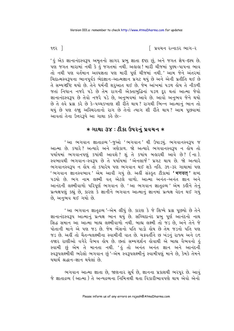િ પ્રવચન રત્નાકર ભાગ−ર

' કું એક જ્ઞાનાનંદસ્વરૂપ અમૃતનો સાગર પ્રભુ જ્ઞાતા દષ્ટા છું, અને જગત જ્ઞેય-દશ્ય છે. પણ જગત મારામાં નથી કે ઢું જગતમાં નથી. અહાહા ! મારી ચીજમાં પુણ્ય-પાપના ભાવ તો નથી પણ વર્તમાન અલ્પજ્ઞતા પણ મારી પૂર્ણ ચીજમાં નથી.' આમ જેને અંતરમાં ચિદાત્મસ્વરૂપના ભાનપૂર્વક ભેદજ્ઞાન-આત્મજ્ઞાન પ્રગટ થયું છે અને એની પ્રતીતિ થઈ છે તે સમ્યગ્દષ્ટિ થયો છે. તેને ધર્મની શરુઆત થઈ છે. જેમ આંખમાં ૫ડળ હોય તે નીકળી જતાં નિધાન નજરે પડે છે તેમ રાગની એક્તાબુદ્ધિનાં ૫ડળ દૂર થતાં આત્મા જેવો જ્ઞાનાનંદસ્વરૂપ છે તેવો નજરે પડે છે, અનુભવમાં આવે છે. આવો અનુભવ જેને થયો છે તે હવે પ્રશ્ન કરે છે કે-પચ્ચકખાણ શી રીતે થાય? રાગથી ભિન્ન આત્માનું ભાન તો થયું છે પણ હજા અસ્થિરતાનો રાગ છે તેનો ત્યાગ શી રીતે થાય? આમ પૂછવામાં આવતાં તેના ઉત્તરરૂપે આ ગાથા કહે છેઃ-

#### $*$  ગાથા ૩૪ : ટીકા ઉપરનું પ્રવચન  $\ast$

'આ ભગવાન જ્ઞાતાદ્રવ્ય '-જુઓ 'ભગવાન ' થી ઉપાડયું. ભગવાનસ્વરૂપ જ આત્મા છે. કયારે? અત્યારે અને ત્રણેકાળ. જો અત્યારે ભગવાનસ્વરૂપ ન લોય તો પર્યાયમાં ભગવાનપણું કયાંથી આવશે? શું તે કયાંય બહારથી આવે છે? (ના). સ્વભાવથી ભગવાન-સ્વરૂપ છે તે પર્યાયમાં 'એનલાર્જ' પ્રગટ થાય છે. જો અત્યારે ભગવાનસ્વરૂપ ન હોય તો કયારેય પણ ભગવાન થઈ શકે નહિ. ૩૧-૩૨ ગાથામાં પણ ' ભગવાન જ્ઞાનસ્વભાવ ' એમ આવી ગયું છે. અહીં સંસ્કૃત ટીકામાં **' भगवत् '** શબ્દ <u>પડયો છે. ભગ નામ લક્ષ્મી વત એટલે વાળો. આત્માં અનંત-અનંત જ્ઞાન અને</u> આનંદની લક્ષ્મીવાળો પરિપર્ણ ભગવાન છે. 'આ ભગવાન જ્ઞાતદ્રવ્ય ' એમ કઢીને તેનું પ્રત્યક્ષપણું કહ્યું છે. કારણ કે જ્ઞાનીને ભગવાન આત્માનું જ્ઞાનમાં પ્રત્યક્ષ વેદન થઈ ગયું છે. અનુભવ થઈ ગયો છે.

'આ ભગવાન જ્ઞાતૃદ્રવ્ય '-એમ લીધું છે. કારણ કે જે શિષ્યે પ્રશ્ન પૂછયો છે તેને જ્ઞાનાનંદસ્વરૂપ આત્માનું પ્રત્યક્ષ ભાન થયું છે. સચ્ચિદાનંદ પ્રભુ પૂર્ણ આનંદનો નાથ સિદ્ધ સમાન આ આત્મા બાહ્ય લક્ષ્મીવાળો નથી. બાહ્ય લક્ષ્મી તો જડે છે, અને તેને જે પોતાની માને એ પણ જડ છે. જેમ ભેંસનો પતિ પાડો હોય છે તેમ જડનો પતિ પણ જડ છે. અહીં તો ચૈતન્યલક્ષ્મીના સ્વામીની વાત છે. ચક્રવર્તીને છ ખંડનું રાજ્ય અને ૯૬ <u>હજાર રાણીઓ વગેરે વૈભવ હોય છે. છતાં સમ્યગ્દર્શન હોવાથી એ બાહ્ય વૈભવનો હું</u> .<br>સ્વામી છું એમ તે માનતા નથી. 'હું તો અનંત અનંત જ્ઞાન અને આનંદની સ્વરૂપલક્ષ્મીથી ભરેલો ભગવાન છું'-એમ સ્વરૂપલક્ષ્મીનું સ્વામીપણું માને છે, કેમકે તેમને યથાર્થ શ્રદ્ધાન-જ્ઞાન થયેલાં છે

ભગવાન આત્મા જ્ઞાતા છે, જાણનાર સૂર્ય છે, જ્ઞાનના પ્રકાશથી ભરપૂર છે. આવું જે જ્ઞાતાદ્રવ્ય ( આત્મા ) તે અન્યદ્રવ્યના નિમિત્તથી થતા વિકારીભાવપણે થાય એવો એનો

૧૬૨  $\overline{\phantom{a}}$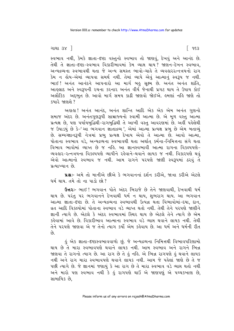ગાથા ૩૪ **]** 

સ્વભાવ નથી, કેમકે જ્ઞાતા-દષ્ટા વસ્તુનો સ્વભાવ તો જાણવું, દેખવું અને આનંદ છે. તેથી તે જ્ઞાતા-દષ્ટા-સ્વભાવ વિકારીભાવમાં કેમ વ્યાપ્ત થાય? જાણન-દેખન સ્વભાવ, અન્યદ્રવ્યના સ્વભાવથી થતા જે અન્ય સમસ્ત ભાવો-ચાર્હ તે વ્યવહારરત્નત્રયનો રાગ કેમ ન ક્રોય-એમાં વ્યાપવા સમર્થ નથી. તેમાં વ્યાપે એવું આત્માનું સ્વરૂપ જ નથી. ભાઈ! અનંત આનંદને આપનારો આ માર્ગ બહુ સૂક્ષ્મ છે. અનંત અનંત શાંતિ, આહલાદ અને સ્વરૂપની રચના કરનાર અનંત વીર્ય જેનાથી પ્રગટ થાય તે ઉપાય કોઈ અલૌકિક અદ્દભુત છે. આવો માર્ગ સમય કાઢી જાણવો જોઈએ. હુમણાં નહિ જાણે તો  $$312$   $$9193$   $$7$ 

અહાહા! અનંત આનંદ, અનંત શાન્તિ આદિ એક એક એમ અનંત ગુણનો સમાજ અંદર છે. અનંતગુણરૂપી સામ્રાજ્યનો સ્વામી આત્મા છે. એ મળ વસ્તુ આત્મા પ્રત્યક્ષ છે. પણ પર્યાયબુદ્ધિથી-રાગબુદ્ધિથી તે આખી વસ્તુ આવરણમાં છે. અહીં પહેલેથી જ ઉપાડયું છે કે-'આ ભગવાન જ્ઞાતાદ્રવ્ય ' એમાં આત્મા પ્રત્યક્ષ પ્રભુ છે એમ બતાવ્યું છે. સમ્યગ્જ્ઞાનરૂપી નેત્રમાં પ્રભુ પ્રત્યક્ષ દેખાય એવો તે આત્મા છે. આવો આત્મા, પોતાના સ્વભાવ વડે, અન્યદ્રવ્યના સ્વભાવથી થતા અર્થાત કર્મના-નિમિત્તના સંગે થતા વિભાવ ભાવોમાં વ્યાપ્ત છે જ નહિ. આ જ્ઞાનસ્વભાવી આત્મા રાગના વિકલ્પપણે-વ્યવહાર-રત્નત્રયના વિકલ્પપણે વ્યાપીને રહેવાને-થવાને લાયક જ નથી. વિકારપણે થવં એવો આત્માનો સ્વભાવ જ નથી. આમ રાગને પરપણે જાણી સ્વરૂપમાં ઠરવું તે पत्याण्यान छे

પ્રશ્ન:- અમે તો માનીએ છીએ કે ભગવાનનાં દર્શન કરીએ, જાત્રા કરીએ એટલે ધર્મશાય. તમે તો ના પાડો છો?

Gaz :- ભાઈ! ભગવાન પોતે અંદર બિરાજે છે તેને જાણવાથી, દેખવાથી ધર્મ થાય છે. પરંતુ પર ભગવાનને દેખવાથી ધર્મ ન થાય, શુભરાગ થાય. આ ભગવાન આત્મા જ્ઞાતા-દેષ્ટા છે. તે અન્યદ્રવ્યના સ્વભાવથી ઉત્પન્ન થતા વિભાવોમાં-દયા, દાન, વ્રત આદિ વિકલ્પોમાં પોતાના સ્વભાવ વડે વ્યાપ્ત થતો નથી. તેથી તેને પરપણે જાણીને જ્ઞાની ત્યાગે છે. એટલે કે અંદર સ્વભાવમાં સ્થિર થાય છે એટલે તેને ત્યાગે છે એમ કહેવામાં આવે છે. વિકારીભાવ આત્માના સ્વભાવ વડે વ્યાપ્ત થવાને લાયક નથી. તેથી તેને પરપણે જાણવા એ જ તેનો ત્યાગ કર્યો એમ કહેવાય છે. આ ધર્મ અને ધર્મની રીત  $\hat{\rho}_3$ 

કું એક જ્ઞાતા-દષ્ટાસ્વભાવવાળો છું. જે અન્યદ્રવ્યના નિમિત્તથી વિભાવપરિણામો થાય છે તે મારા સ્વભાવપણે થવાને લાયક નથી. આમ સ્વભાવ અને રાગને ભિન્ન જાણવા તે રાગનો ત્યાગ છે. આ રાગ છે તે કું નકિ. એ ભિન્ન રાગપણે કું થવાને લાયક નથી અને રાગ મારા સ્વભાવપણે થવાને લાયક નથી. આમ જે પહેલાં જાણે છે તે જ પછી ત્યાગે છે. જે જ્ઞાનમાં જણાયું કે આ રાગ છે તે મારા સ્વભાવ વડે વ્યાસ થતો નથી અને મારો પણ સ્વભાવ નથી કે ઢું રાગપણે થાઉં એ જાણપણું એ પચ્ચકખાણ છે. સામાયિક છે.

િ ૧૬૩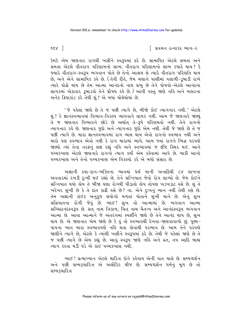$958$ ]

િ પ્રવચન રત્નાકર ભાગ−ર

કેમકે એમ જાણનાર રાગથી ખસીને સ્વરૂપમાં ઠરે છે. સામાયિક એટલે સમતા અને સમતા એટલે વીતરાગ પરિણામનો લાભ. વીતરાગ પરિણામનો લાભ કયારે થાય? કે જ્યારે વીતરાગ-સ્વરૂપ ભગવાન પોતે છે તેનો આશ્રય લે ત્યારે વીતરાગ પરિશતિ થાય છે, અને એને સામાયિક કહે છે. (તેવી રીતે, જેમ ચણાને પાણીમાં પલાળી-ડુબાડી રાખે ત્યારે પોઢો થાય છે તેમ આત્મા આનંદનો નાથ પ્રભુ છે તેને પોષવો-એટલે આનંદના સાગરમાં એકાકાર ડુબાડવો તેને પ્રૌષધ કહે છે.) આવી વસ્તુ જાણે નહિ અને બહારના અનેક ક્રિયાકાંડ કરે તેથી શં? એ બધાં થોથેથોથાં છે.

'જે પહેલાં જાણે છે તે જ પછી ત્યાગે છે, બીજો કોઈ ત્યાગનાર નથી.' એટલે શું ? કે જ્ઞાનસ્વભાવમાં વિભાવ-વિકલ્પ વ્યાપવાને લાયક નથી. આમ જે જાણનારે જાણ્યું તે જ જાણનાર વિભાવને છોડે છે અર્થાત તે−**રૂ**પે પરિણમતો નથી. તેને રાગનો ત્યાગનાર કહે છે. જાણનાર જુદો અને ત્યાગનાર જુદો એમ નથી. તેથી જે જાણે છે તે જ પછી ત્યાગે છે. મારા જ્ઞાનસ્વભાવમાં રાગ વ્યાપ્ત થાય એવો રાગનો સ્વભાવ નથી અને મારો પણ સ્વભાવ એવો નથી કે રાગ મારામાં વ્યાપે. આમ જ્યાં રાગને ભિન્ન પરપણે જાણ્યો ત્યાં તેના તરફનું લક્ષ રહ્યું નહિ અને સ્વભાવમાં જ દૃષ્ટિ સ્થિર થઈ. આને પચ્ચકખાણ એટલે જાણનારે રાગનો ત્યાગ કર્યો એમ કહેવામાં આવે છે. બાકી આનો પચ્ચકૃખાણ અને તેનો પચ્ચકૃખાણ એમ વિકલ્પો કરે એ બધો સંસાર છે.

અજ્ઞાની દયા-દાન-ભક્તિના ભાવમાં ધર્મ માની અનાદિથી ૮૪ લાખના અવતારમાં રખડી દુઃખી થઈ રહ્યો છે. તેને સન્નિપાત જેવો રોગ લાગ્યો છે. જેમ કોઈને સન્નિપાત થયો હોય તે બીજા ઘણા રોગથી પીડાતો હોય તોપણ ખડખડાટ હસે છે. શું તે ખરેખર સુખી છે કે તે દાંત કાઢી હસે છે? ના. એને દુઃખનું ભાન નથી તેથી હસે છે. તેમ અજ્ઞાની કાંઈક અનુકૂળ સંયોગો મળતાં પોતાને સુખી માને છે. એનું સુખ સન્નિપાતના રોગી જેવું છે. ભાઈ! સુખ તો આત્મામાં છે. ભગવાન આત્મા સચ્ચિદાનંદસ્વરૂપ છે. સત્ નામ ત્રિકાળ, ચિંત નામ ચૈતન્ય અને આનંદસ્વરૂપ ભગવાન આત્મા છે. આવા આત્માને જે અંતરંગમાં સ્પર્શીને જાણે છે તેને આનંદ થાય છે, સુખ થાય છે. એ જાણનાર એમ જાણે છે કે હું તો સ્વભાવથી દેખવા-જાણવાવાળો છું. પુણ્ય-પાપના ભાવ મારા સ્વભાવપણે નહિ થતા કોવાથી પરભાવ છે. આમ તેને પરપણે જાણીને ત્યાગે છે, એટલે કે ત્યાંથી ખસીને સ્વરૂપમાં ઠરે છે. તેથી જે પહેલાં જાણે છે તે જ પછી ત્યાગે છે એમ કહ્યું છે. આવું સ્વરૂપ જાણે નહિ અને વ્રત, તપ આદિ બાહ્ય ત્યાગ કરવા મંડી પડે એ કાંઈ પચ્ચકખાણ નથી.

ભાઈ! પ્રત્યાખ્યાન એટલે ચારિત્ર કોને કહેવાય એની વાત ચાલે છે. સમ્યગ્દર્શન અને પછી સમ્યક્ચારિત્ર એ અલૌકિક ચીજ છે. સમ્યગ્દર્શન ધર્મનું મૂળ છે તો સમ્યકચારિત્ર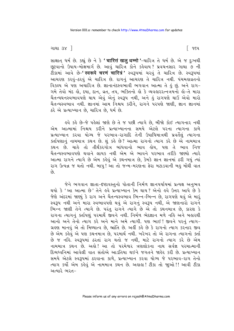#### ગાથા ૩૪ $\Box$

સાક્ષાત ધર્મ છે. કહ્યું છે ને કે 'चारित्तं खलू धम्मो '-ચારિત્ર તે ધર્મ છે. એ જ દુ:ખથી છૂટવાનો ઉપાય-મોક્ષમાર્ગ છે. આવું ચારિત્ર કોને કહેવાય? પ્રવચનસાર ગાથા ૭ ની ટીકામાં આવે છે–**' स्वरूपे चरणं चारित्रं '** સ્વરૂપમાં ચરવું તે ચારિત્ર છે. સ્વરૂપમાં આચરણ કરવં-ઠરવં એ ચારિત્ર છે. રાગનું આચરણ તે ચારિત્ર નથી. પંચમહાવ્રતનો વિકલ્પ એ પણ અચારિત્ર છે. જ્ઞાનાનંદસ્વભાવી ભગવાન આત્મા તે કું છું. અને રાગ-ગમે તેવો મંદ હો. દયા, દાન, વ્રત, તપ, ભક્તિનો હો કે વ્યવહારરત્નત્રયનો હો-તે મારા ્રાન્યિયનસ્વભાવપણે થાય એવું એનું સ્વરૂપ નથી, અને હું રાગપણે થાઉં એવો મારો ચૈતન્યસ્વભાવ નથી. જ્ઞાનમાં આમ નિશ્ચય કરીને. રાગને પરપણે જાણી. જ્ઞાન જ્ઞાનમાં ઠરે એ પ્રત્યાખ્યાન છે. ચારિત્ર છે. ધર્મ છે.

ઙ્વે કર્ક છે−જે પહેલાં જાણે છે તે જ પછી ત્યાગે છે. બીજો કોઈ ત્યાગનાર નથી એમ આત્મામાં નિશ્ચય કરીને પ્રત્યાખ્યાનના સમયે એટલે પરના ત્યાગના કાળે પ્રત્યાખ્યાન કરવા યોગ્ય જે પરભાવ-રાગાદિ તેની ઉપાધિમાત્રથી પ્રવર્તેલું ત્યાગના ક્ર્તાપિણાનું નામમાત્ર કથન છે. શું કહે છે? આત્મા રાગનો ત્યાગ કરે છે એ નામમાત્ર કથન છે. ચાહે તો તીર્થંકરગોત્ર બાંધવાનો ભાવ હોય, પણ તે ભાવ નિજ ચૈતન્યસ્વભાવપણે થવાને લાયક નથી એમ એ ભાવને પરભાવ તરીકે જાણ્યો ત્યારે આત્મા રાગને ત્યાગે છે એમ કહેવું એ કથનમાત્ર છે. કેમકે જ્ઞાન જ્ઞાનમાં ઠરી ગયું ત્યાં રાગ ઉત્પન્ન જ થતો નથી. બાપ! આ તો જન્મ-મરણના ફેરા મટાડવાની બહુ મોંઘી વાત  $\hat{\rho}_3$ 

જેને ભગવાન જ્ઞાતા-દષ્ટાવસ્તુનો પોતાની નિર્મળ જ્ઞાનપર્યાયમાં પ્રત્યક્ષ અનુભવ થયો કે 'આ આત્મા છે' તેને હવે પ્રત્યાખ્યાન કેમ થાય ? એનો હવે ઉત્તર આપે છે કે જેણે અંદરમાં જાણ્યું કે રાગ અને ચૈતન્યસ્વભાવ ભિન્ન-ભિન્ન છે, રાગપણે થવું એ મારૂં સ્વરૂપ નથી અને મારા સ્વભાવપણે થવું એ રાગનું સ્વરૂપ નથી, એ જાણનારો રાગને ભિન્ન જાણી તેને ત્યાગે છે. પરંતુ રાગને ત્યાગે છે એ તો કથનમાત્ર છે, કારણ કે રાગના ત્યાગનું ક્ર્તાપણું પરમાર્થે જીવને નથી. નિર્મળ ભેદજ્ઞાન મળે નહિ અને બહારથી આનો અને તેનો ત્યાગ કરે અને માને અમે ત્યાગી. પણ ભાઈ ! જીવને પરનં ત્યાગ-ગ્રહણ માનવું એ તો મિથ્યાત્વ છે, ભ્રાંતિ છે. અહીં કહે છે કે રાગનો ત્યાગ કરનાર જીવ છે એમ કહેવું એ પણ કથનમાત્ર છે, પરમાર્થ નથી. ખરેખર તો એ રાગના ત્યાગનો ક્ર્તા છે જ નહિ. સ્વરૂપમાં ઠરતાં રાગ થતો જ નથી, માટે રાગનો ત્યાગ કરે છે એમ નામમાત્ર કથન છે. અલે! આ તો પરમેશ્વર ત્રણલોકના નાથ સર્વજ્ઞ પરમાત્માની દિવ્યધ્વનિમાં આવેલી વાત સંતોએ આડતિયા થઈને જગતને જાહેર કરી છે. પ્રત્યાખ્યાન સમયે એટલે સ્વરૂપમાં ઠરવાના કાળે, પ્રત્યાખ્યાન કરવા યોગ્ય જે પરભાવ-રાગ તેનો ત્યાગ કર્યો એમ કહેવું એ નામમાત્ર કથન છે. અહાહા! ટીકા તો જાૂઓ!! આવી ટીકા અત્યારે ભરત–

િ ૧૬૫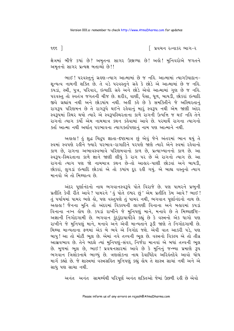∣ પ્રવચન રત્નાકર ભાગ−ર

ક્ષેત્રમાં બીજે કયાં છે? અમૃતના સાગર ઉછાળ્યા છે! અલે! મુનિવરોએ જગતને અમૃતનો સાગર પ્રત્યક્ષ બતાવ્યો છે!!

ભાઈ! પરવસ્તુનું ગ્રહણ-ત્યાગ આત્મામાં છે જ નહિ. આત્મામાં ત્યાગઉપાદાન-શૂન્યત્વ નામની શક્તિ છે. તે વડે પરવસ્તુને ગ્રહે કે છોડે એ આત્મામાં છે જ નહિ. કપડાં. સ્ત્રી. ૫ત્ર. પરિવાર. ઇત્યાદિ ગ્રહે અને છોડે એવો આત્મામાં ગણ છે જ નહિ. પરવસ્તુ તો સ્વતંત્ર જગતની ચીજ છે. શરીર, વાણી, પૈસા, ધૂળ, બાયડી, છોકરાં ઇત્યાદિ જીવે ગ્રહ્યાંય નથી અને છોડયાંય નથી. અહીં કહે છે કે સમક્તિીને જે અસ્થિરતાનં રાગરૂપ પરિણમન છે તે રાગરૂપે થઈને રહેવાનું મારું સ્વરૂપ નથી એમ જાણી અંદર સ્વરૂપમાં સ્થિર થયો ત્યારે એ સ્વરૂપસ્થિરતાના કાળે રાગની ઉત્પત્તિ જ થઈ નહિ તેને રાગનો ત્યાગ કર્યો એમ નામમાત્ર કથન કહેવામાં આવે છે. પરમાર્થે રાગના ત્યાગનો ક્ર્તા આત્મા નથી અર્થાત પરભાવના ત્યાગક્ર્તાપણાનં નામ પણ આત્માને નથી.

અહાહા ! હું શુદ્ધ ચિદ્રૂપ જ્ઞાતા-દષ્ટામાત્ર છું એવું જેને અંતરમાં ભાન થયું તે સ્વમાં સ્વપણે રહીને જ્યારે પરભાવ-રાગાદિને પરપણે જાણે ત્યારે એને સ્વમાં રહેવાનો કાળ છે. રાગના અભાવસ્વભાવે પરિણમવાનો કાળ છે. પ્રત્યાખ્યાનનો કાળ છે. આ સ્વરૂપ-સ્થિરતાના કાળે જ્ઞાને જાણી લીધું કે રાગ પર છે એ રાગનો ત્યાગ છે. આ રાગનો ત્યાગ પણ જો નામમાત્ર કથન છે-તો આહાર-પાણી છોડવાં અને બાયડી, છોકરાં, લુગડાં ઇત્યાદિ છોડવાં એ તો કયાંય દૂર રહી ગયું. એ બાહ્ય વસ્તુનો ત્યાગ માનવો એ તો મિશ્યાત્વ છે

અંદર પૃર્ણાનંદનો નાથ ભગવાનસ્વરૂપે પોતે વિરાજે છે. પણ પામરને પ્રભુની પ્રતીતિ કેવી રીતે આવે ? પામરને 'હું પોતે ઇશ્વર છું ' એમ પ્રતીતિ કેમ આવે ? ભાઈ ! તું પર્યાયમાં પામર ભલે લો, પણ વસ્તુપણે તું પામર નથી, ભગવાન પૂર્ણાનંદનો નાથ છે. અહાહા! જૈનના મુનિ તો અંદરમાં વિકલ્પની લાગણી વિનાના અને બહારમાં કપડાં વિનાના નગ્ન લોય છે. કપડાં રાખીને જે મુનિપણું માને, મનાવે છે તે મિથ્યાદષ્ટિ-અજ્ઞાની નિગોદગામી છે. ભગવાન કુંદુકુંદાચાર્યદેવે કહ્યું છે કે વસ્ત્રનો એક ધાગો પણ રાખીને જે મુનિપણું માને, મનાવે અને એવી માન્યતાને રૂડી જાણે તે નિગોદગામી છે. મિથ્યા માન્યતાના ફળમાં એક બે ભવે એ નિગોદ જશે. એવી વાત આકરી પડે, પણ બાપુ! આ તો મોટી ભૂલ છે. એમાં નવે તત્ત્વની ભૂલ છે. વસ્ત્રનો વિકલ્પ એ તો તીવ્ર આસવભાવ છે. તેને બદલે ત્યાં મુનિપણું-સંવર, નિર્જેરા માનવાં એ બધાં તત્ત્વની ભૂલ છે. મૂળમાં ભૂલ છે, ભાઈ! પ્રવચનસારમાં આવે છે કે મુનિનું જન્મ્યા પ્રમાણે રૂપ ભગવાન ત્રિલોકનાથે ભાળ્યું છે. ત્રણલોકના નાથ દેવાધિદેવ અરિલંતદેવે આવો ધોધ માર્ગ કહ્યો છે. જે શાસ્ત્રમાં વસ્ત્રસહિત મુનિપણું કહ્યું હોય તે શાસ્ત્ર સાચાં નથી અને એ સાધ પણ સાચા નથી.

અનંત અનંત સામર્થ્યથી પરિપૂર્ણ અનંત શક્તિઓ જેમાં ઉછળી રહી છે એવો

 $955$   $\overline{\phantom{1}}$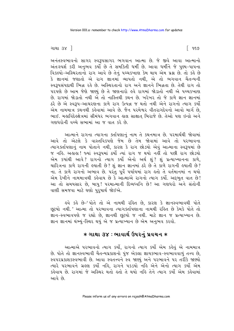ગાથા ૩૪ $\Box$ 

અનંતસ્વભાવનો સાગર સ્વરૂપસાગર ભગવાન આત્મા છે. જે જીવે આવા આત્માનો અંતઃસ્પર્શ કરી અનુભવ કર્યો છે તે સમકિતી ધર્મી છે. આવા ધર્મીને જે પુણ્ય-પાપના વિકલ્પો-અસ્થિરતાનો રાગ આવે છે તેનું પચ્ચકખાણ કેમ થાય એમ પ્રશ્ન છે. તો કહે છે કે જ્ઞાનમાં જણાતો એ રાગ જ્ઞાનમાં વ્યાપતો નથી. એ તો ભગવાન ચૈતન્યની સ્વરૂપસંપદાથી ભિન્ન રહે છે. અસ્થિરતાનો રાગ અને જ્ઞાનને ભિન્નતા છે. તેથી રાગ તો પરપણે છે આમ જેણે જાણ્યું છે તે જાણનારો હવે રાગમાં જોડાતો નથી એ પચ્ચકખાણ છે. રાગમાં જોડાતો નથી એ તો નાસ્તિથી કથન છે. ખરેખર તો જે કાળે જ્ઞાન જ્ઞાનમાં ઠરે છે એ સ્વરૂપ-આચરણના કાળે રાગ ઉત્પન્ન જ થતો નથી એને રાગનો ત્યાગ કર્યો એમ નામમાત્ર કથનથી કહેવામાં આવે છે. જૈન પરમેશ્વર વીતરાગદેવનો આવો માર્ગ છે, ભાઈ. મહાવિદેહક્ષેત્રમાં સીમંધર ભગવાન હાલ સાક્ષાત બિરાજે છે. તેઓ પણ ઇન્દ્રો અને ગણધરોની વચ્ચે સભામાં આ જ વાત કરે છે.

આત્માને રાગના ત્યાગના ક્ર્તાપણાનું નામ તે કથનમાત્ર છે. પરમાર્થથી જોવામાં આવે તો એટલે કે વાસ્તવિકપણે જેમ છે તેમ જોવામાં આવે તો પરભાવના ત્યાગક્ર્તાપણાનું નામ પોતાને નથી, કારણ કે રાગ છોડયો એવું આત્માના સ્વરૂપમાં છે જ નહિ. અહાહા ! જ્યાં સ્વરૂપમાં ઠર્યો ત્યાં રાગ જ થયો નહીં તો પછી રાગ છોડયો એમ કયાંથી આવે? રાગનો ત્યાગ કર્યો એનો અર્થ શું? શું પ્રત્યાખ્યાનના કાળે, ચારિત્રના કાળે રાગની હયાતી છે? શું જ્ઞાન જ્ઞાનમાં ઠરે છે તે કાળે રાગની હયાતી છે? ના. તે કાળે રાગનો અભાવ છે. પરંતુ પૂર્વે પર્યાયમાં રાગ હતો તે વર્તમાનમાં ન થયો એમ દેખીને નામમાત્રથી કહેવાય છે કે આત્માએ રાગનો ત્યાગ કર્યો. અદ્દભુત વાત છે! આ તો સમયસાર છે, બાપુ! પરમાત્માની દિવ્યધ્વનિ છે! આ ગણધરો અને સંતોની વાણી સમજવા માટે ઘણો પુરૂષાર્થ જોઈએ.

ઙુવે કહે છે-'પોતે તો એ નામથી રહિત છે, કારણ કે જ્ઞાનસ્વભાવથી પોતે છૂટયો નથી.' આત્મા તો પરભાવના ત્યાગક્તપિણાના નામથી રહિત છે કેમકે પોતે તો જ્ઞાન-સ્વભાવપણે જ રહ્યો છે, જ્ઞાનથી છૂટયો જ નથી. માટે જ્ઞાન જ પ્રત્યાખ્યાન છે. જ્ઞાન જ્ઞાનમાં થંભ્યું-સ્થિર થયું એ જ પ્રત્યાખ્યાન છે એમ અનુભવ કરવો.

## ∗ ગાથા ૩૪ : ભાવાર્થ ઉપરનું પ્રવચન ∗

આત્માએ પરભાવનો ત્યાગ કર્યો, રાગનો ત્યાગ કર્યો એમ કહેવું એ નામમાત્ર છે. પોતે તો જ્ઞાનસ્વભાવી ચૈતન્યપ્રકાશનો પુંજ એકલા જ્ઞાયકભાવ-સ્વભાવવાળું તત્ત્વ છે, સ્વપરપ્રકાશકસ્વભાવી છે. આવા સ્વતત્ત્વને સ્વ જાણ્યું અને પરભાવને પર તરીકે જાણ્યો ત્યારે ૫રભાવને ગ્રહણ કર્યો નહિ, રાગને ૫કડયો નહિ એને એનો ત્યાગ કર્યો એમ કહેવાય છે. રાગમાં જે અસ્થિર થતો હતો તે થયો નહિ તેને ત્યાગ કર્યો એમ કહેવામાં આવે છે.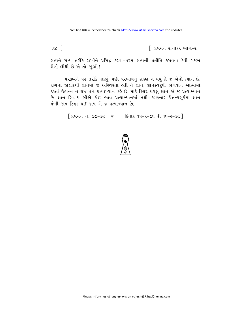$952$ 

િ પ્રવચન રત્નાકર ભાગ−ર

સત્યને સત્ય તરીકે રાખીને પ્રસિદ્ધ કરવા-પરમ સત્યની પ્રતીતિ કરાવવા કેવી ગજબ શૈલી લીધી છે એ તો જાૂઓ!

પરદ્રવ્યને પર તરીકે જાણ્યું, પછી પરભાવનું ગ્રહણ ન થયું તે જ એનો ત્યાગ છે. રાગના જોડાણથી જ્ઞાનમાં જે અસ્થિરતા હતી તે જ્ઞાન, જ્ઞાનસ્વરૂપી ભગવાન આત્મામાં ઠરતાં ઉત્પન્ન ન થઈ તેને પ્રત્યાખ્યાન કહે છે. માટે સ્થિર થયેલું જ્ઞાન એ જ પ્રત્યાખ્યાન છે. જ્ઞાન સિવાય બીજો કોઈ ભાવ પ્રત્યાખ્યાનમાં નથી. જાણનાર ચૈતન્યસૂર્યમાં જ્ઞાન થંભી જાય-સ્થિર થઈ જાય એ જ પ્રત્યાખ્યાન છે.

[ प्रवयन नं. ७७-७८ \* हिनांड १५-२-७६ थी १६-२-७६ ]

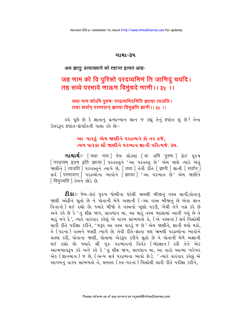#### ગાથા-૩૫

### अथ ज्ञात: प्रत्याख्याने को दृष्टान्त इत्यत आह-

# जह णाम को वि पुरिसो परदव्वमिणं ति जाणिदुं चयदि । तह सव्वे परभावे णाऊण विमुंचदे णाणी ।। ३५ ।।

### यथा नाम कोऽपि पुरुषः परद्रव्यमिदमिति ज्ञात्वा त्यजति । तथा सर्वान् परभावान् ज्ञात्वा विमुञ्चति ज्ञानी ।। ३५ ।।

હવે પૂછે છે કે જ્ઞાતાનું પ્રત્યાખ્યાન જ્ઞાન જ કહ્યું તેનું દર્પ્ટાત શું છે? તેના ઉત્તરરૂપ દર્ષ્ટાત-દાર્ષ્ટાતની ગાથા કહે છે:-

## આ પારકું એમ જાણીને પરદ્રવ્યને કો નર તજે. ત્યમ પારકા સૌ જાણીને પરભાવ જ્ઞાની પરિત્યજે ૩૫.

**ગાથાર્થ:-** [यथा नाम] જેમ લોકમાં [क: अपि पुरुष:] કોઈ પુરુષ [ परद्रव्यम इदम इति ज्ञात्वा ] परवस्तुने 'આ परवस्तु છे' એમ જાણે ત્યારે એવું .<br>જાણીને [ त्यजति ] परवस्तुने त्यागे છे. [ तथा ] तेवी रीते [ ज्ञानी ] ज्ञानी [ सर्वान ] <u>ad [परभावान] परद्रव्योना ભावोने [ज्ञात्वा] 'આ परसाय છे' એમ જાણીने</u> [विमुञ्चति ] तेमने छोडे छे.

**ટી.કાઃ**- જેમ-કોઇ પુરુષ ધોબીના ઘરેથી ભ્રમથી બીજાનું વસ્ત્ર લાવી,પોતાનું જાણી ઓઢીને સૂતો છે ને પોતાની મેળે અજ્ઞાની ( –આ વસ્ત્ર બીજાનું છે એવા જ્ઞાન વિનાનો) થઈ રહ્યો છે; જ્યારે બીજો તે વસ્ત્રનો ખૂણો પકડી, ખેંચી તેને નગ્ન કરે છે અને કહે છે કે 'તું શીઘ્ર જાગ, સાવધાન થા, આ મારું વસ્ત્ર બદલામાં આવી ગયું છે તે મારૂં મને દે', ત્યારે વારંવાર કહેલું એ વાકય સાંભળતો તે, (એ વસ્ત્રનાં) સર્વ ચિહ્નોથી સારી રીતે પરીક્ષા કરીને, 'જરૂર આ વસ્ત્ર પારકું જ છે' એમ જાણીને, જ્ઞાની થયો થકો, તે (પરના) વસ્ત્રને જલદી ત્યાગે છે. તેવી રીતે-જ્ઞાતા પણ ભ્રમથી પરદ્રવ્યોના ભાવોને ગ્રહણ કરી, પોતાના જાણી, પોતામાં એકરૂપ કરીને સૂતો છે ને પોતાની મેળે અજ્ઞાની .<br>થઈ રહ્યો છે; જ્યારે શ્રી ગુરુ પરભાવનો વિવેક (ભેદજ્ઞાન) કરી તેને એક<br>આત્મભાવરૂપ કરે અને કહે કે 'તું શીઘ્ર જાગ, સાવધાન થા, આ તારો આત્મા ખરેખર એક (જ્ઞાનમાત્ર) જ છે, (અન્ય સર્વ પરદ્રવ્યના ભાવો છે), ' ત્યારે વારંવાર કહેલું એ આગમનું વાકય સાંભળતો તે, સમસ્ત (સ્વ-પરનાં) ચિહ્નોથી સારી રીતે પરીક્ષા કરીને.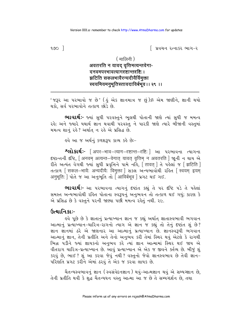$900$   $\overline{\phantom{1}}$ 

∣ પ્રવચન રત્નાકર ભાગ−ર

#### ( मालिनी )

## अवतरति न यावद् वृत्तिमत्यन्तवेगा-दनवमपरभावत्यागदृष्टान्तदृष्टि:। झटिति सकलभावैरन्यदीयैर्विमक्ता स्वयमियमनूभूतिस्तावदाविर्बभूव ।। २९ ।।

'જરૂર આ પરભાવો જ છે' (હું એક જ્ઞાનમાત્ર જ છું)ૐ એમ જાણીને, જ્ઞાની થયો થકો. સર્વ પરભાવોને તત્કાળ છોડે છે.

**ભાવાર્થઃ**- જ્યાં સુધી પરવસ્તુને ભૂલથી પોતાની જાણે ત્યાં સુધી જ મમત્વ રહે; અને જ્યારે યથાર્થ જ્ઞાન થવાથી પરવસ્તુ ને પારકી જાણે ત્યારે બીજાની વસ્તુમાં મમત્વ શાનું રહે? અર્થાત ન રહે એ પ્રસિદ્ધ છે.

૬વે આ જ અર્થનં કળશરૂપ કાવ્ય કર્ઙ છેઃ−

**१) १२२० २२२ व्यां १२२० २२२२ २२२२ २२२ २२२ २२२ २२२२** व्यागना दृष्टान्तनी दृष्टि, [अनवम् अत्यन्त-वेगात् यावत् वृत्तिम् न अवतरति ] श्रूनी न थाय એ रीते अत्यंत वर्ग्या क्यों सुधी प्रवृत्तिने पामे नर्डि, लिंगवत् ] ते पड़ेलां ४ [ झटिति ] तत्क्षण [सकल-भावै: अन्यदीयै: विमुक्ता ] सड़ल अन्यलायोथी २डित [स्वयम इयम अनुभूति: ] पोते જ આ અનુભूति तो | आविर्बभव ] प्रगट थर्छ गर्छ.

ભાવાર્થઃ- આ પરભાવના ત્યાગનું દષ્ટાંત કહ્યું તે પર દષ્ટિ પડે તે પહેલાં સમસ્ત અન્યભાવોથી રહિત પોતાના સ્વરૂપનું અનુભવન તો તત્કાળ થઈ ગયું; કારણ કે એ પ્રસિદ્ધ છે કે વસ્તુને પરની જાણ્યા પછી મમત્વ રહેતું નથી. ૨૯.

### ઉત્થાનિકા:-

इવે પૂછે છે કે જ્ઞાતાનું પ્રત્યાખ્યાન જ્ઞાન જ કહ્યું અર્થાત જ્ઞાતાસ્વભાવી ભગવાન આત્માનું પ્રત્યાખ્યાન-ચારિત્ર-રાગનો ત્યાગ એ જ્ઞાન જ કહ્યું તો તેનું દષ્ટાંત શું છે? જ્ઞાન જ્ઞાનમાં ઠરે એ જાણનાર આ આત્માનું પ્રત્યાખ્યાન છે. જ્ઞાનસ્વરૂપી ભગવાન આત્માનું જ્ઞાન, તેની પ્રતીતિ અને તેનો અનુભવ કરી તેમાં સ્થિર થવું એટલે કે રાગથી ભિન્ન ૫ડીને જ્યાં જ્ઞાયકનો અનુભવ કરે ત્યાં જ્ઞાન આત્મામાં સ્થિર થઈ જાય એ વીતરાગ ચારિત્ર-પ્રત્યાખ્યાન છે. આવું પ્રત્યાખ્યાન એ એક જ જીવને ક્તલ છે. બીજું શું કરવું છે, ભાઈ? શું આ કરવા જેવું નથી? વસ્તુનો જેવો જ્ઞાનસ્વભાવ છે તેવી જ્ઞાન-પરિશતિ પ્રગટ કરીને એમાં ઠરવું તે એક જ કરવા લાયક છે.

ચૈતન્યસ્વભાવનું જ્ઞાન (સ્વસંવેદનજ્ઞાન) થવું-આત્મજ્ઞાન થવું એ સમ્યગ્જ્ઞાન છે, તેની પ્રતીતિ થવી કે શુદ્ધ ચૈતન્યઘન વસ્તુ આત્મા આ જ છે તે સમ્યગ્દર્શન છે, તથા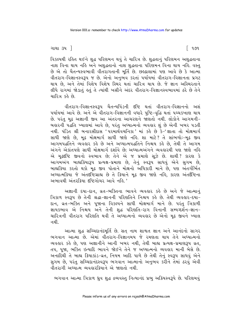### ગાથા ૩૫ ી

વિકલ્પથી રહિત થઈને શુદ્ધ પરિણમન થવું તે ચારિત્ર છે. શુદ્ધતાનું પરિણમન અશુદ્ધતાના નાશ વિના થાય નહિ અને અશુદ્ધતાનો નાશ શુદ્ધતાના પરિણમન વિના થાય નહિ. વસ્તુ છે એ તો ચૈતન્યસ્વભાવી વીતરાગતાની મૂર્તિ છે. છહ્ઢાલામાં પણ આવે છે કે આત્મા વીતરાગ-વિજ્ઞાનસ્વરૂપ જ છે. એનો અનુભવ કરતાં પર્યાયમાં વીતરાગ-વિજ્ઞાનતા પ્રગટ થાય છે. અને તેમાં વિશેષ વિશેષ સ્થિર થતાં ચારિત્ર થાય છે. જે જ્ઞાન અસ્થિરતાને લીધે રાગમાં જોડાતં કુતં તે ત્યાંથી ખસીને અંદર વીતરાગ-વિજ્ઞાનસ્વભાવમાં ઠરે છે તેને ચારિત્ર કરે છે.

વીતરાગ-વિજ્ઞાનસ્વરૂપ ચૈતન્યપિંડની દષ્ટિ થતાં વીતરાગ-વિજ્ઞાનનો અશં પર્યાયમાં આવે છે. અને એ વીતરાગ-વિજ્ઞાનની વધારે પુષ્ટિ-વૃદ્ધિ થતાં પચ્ચકખાણ થાય છે. પરંત મઢ અજ્ઞાની જીવ આ અંતરના આચરણને જાણતો નથી. લોકોને આગમની− બહારની પદ્ધતિ ખ્યાલમાં આવે છે, પરંતુ અઘ્યાત્મનો વ્યવહાર શું છે એની ખબર પડતી નથી. પંડિત શ્રી બનારસીદાસ 'પરમાર્થેવચનિકા 'માં કહે છે કે-'જ્ઞાતા તો મોક્ષમાર્ગ ્….<br>સાધી જાણે છે, મૃઢ મોક્ષમાર્ગ સાધી જાણે નહિ. શા માટે? તે સાંભળોઃ−મૂઢ જીવ આગમપદ્ધતિને વ્યવેહાર કહે છે અને અઘ્યાત્મપદ્ધતિને નિશ્ચય કહે છે. તેથી તે આગમ અંગને એકાંતપણે સાધી મોક્ષમાર્ગ દર્શાવે છે: અધ્યાત્મઅંગને વ્યવહારથી પણ જાણે નહિ એ મઢદષ્ટિ જીવનો સ્વભાવ છે: તેને એ જ પ્રમાણે સઝે છે. શાથી ? કારણ કે આગમેઅંગ બાહ્યક્રિયારૂપ પ્રત્યક્ષ-પ્રમાણ છે, તેનું સ્વરૂપ સાધવું એને સુગમ છે, બાહ્યક્રિયા કરતો થકો મૂઢ જીવ પોતાને મોક્ષનો અધિકારી માને છે, પણ અંતર્ગભિત અઘ્યાત્મક્રિયા જે અંતર્દાષ્ટિગ્રાહ્ય છે તે ક્રિયાને મઢ જીવ જાણે નહિ, કારણ અંતર્દીષ્ટિના अल्मावंधी अंतर्राइया दृष्टिगोयर आवे नढि '

અજ્ઞાની દયા-દાન, વ્રત-ભક્તિના ભાવને વ્યવહાર કહે છે અને જે આત્માનું ત્રિકાળ સ્વરૂપ છે તેની શ્રદ્ધા-જ્ઞાનની પરિણતિને નિશ્ચય કહે છે. તેથી વ્યવહાર-દયા-દાન, વ્રત-ભક્તિ અને પુજાના વિકલ્પને સાધી મોક્ષમાર્ગ માને છે. પરંતુ ત્રિકાળી જ્ઞાયકભાવ એ નિશ્ચય અને તેની શદ્ધ પરિણતિ−રાગ વિનાની સમ્યગ્દર્શન−જ્ઞાન− ચારિત્રની વીતરાગ પરિણતિ થવી તે અઘ્યાત્મનો વ્યવહાર છે એનો મઢ જીવને ખ્યાલ નથી

આત્મા શુદ્ધ સચ્ચિદાનંદમૂર્તિ છે. સત્ નામ શાશ્વત જ્ઞાન અને આનંદનો સાગર ભગવાન આત્મા છે. એમાં વીતરાગ-વિજ્ઞાનમય જે રમણતા થાય તેને અધ્યાત્મનો વ્યવહાર કહે છે, પણ અજ્ઞાનીને આની ખબર નથી, તેથી બાહ્ય પ્રત્યક્ષ-પ્રમાણરૂપ વ્રત, તપ, પૂજા, ભક્તિ ઇત્યાદિ ભાવને જોઈને તેને જ અધ્યાત્મનો વ્યવહાર માની બેસે છે. અનાદિથી તે બાહ્ય કિયાકાંડ-વ્રત, નિયમ આદિ પાળે છે તેથી તેનું સ્વરૂપ સાધવું એને સુગમ છે, પરંતુ સચ્ચિદાનંદસ્વરૂપ ભગવાન આત્માનો અનુભવ કરીને તેમાં ઠરવું એવી વીતરાગી અધ્યાત્મ વ્યવહારક્રિયાને એ જાણતો નથી.

ભગવાન આત્મા ત્રિકાળ ધ્રુવ શુદ્ધ દ્રવ્યવસ્તુ નિત્યાનંદ પ્રભુ અક્રિયસ્વરૂપે છે. પરિણમવું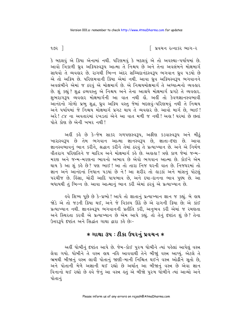િ પ્રવચન રત્નાકર ભાગ−ર

કે બદલવું એ ક્રિયા એનામાં નથી. પરિણમવું કે બદલવું એ તો અવસ્થા-પર્યાયમાં છે. આવો ત્રિકાળી ઘ્રવ અક્રિયસ્વરૂપ આત્મા તે નિશ્ચય છે અને તેના અવલંબને મોક્ષમાર્ગ સાધવો તે વ્યવહાર છે. રાગથી ભિન્ન અંદર સચ્ચિદાનંદસ્વરૂપ ભગવાન ધ્રવ ૫ડયો છે એ તો અક્રિય છે. પરિણમવાની ક્રિયા એમાં નથી. આવા ઘ્રુવ અક્રિયસ્વરૂપ ભગવાનને અવલંબીને એમાં જ ઠરવું એ મોક્ષમાર્ગ છે. એ નિશ્ચયમોક્ષમાર્ગ તે અઘ્યાત્મનો વ્યવહાર છે. શું કહ્યું ? શુદ્ધ દ્રવ્યવસ્તુ એ નિશ્ચય અને તેના આશ્રયે મોક્ષમાર્ગ પ્રગટે તે વ્યવહાર. શભરાગરૂપ વ્યવહાર મોક્ષમાર્ગની આ વાત નથી હોં. અહીં તો કેવળજ્ઞાનસ્વભાવી આનંદનો ગોળો પ્રભુ શુદ્ધ, ધ્રુવ અક્રિય વસ્તુ જેમાં બદલવું-પરિણમવું નથી તે નિશ્ચય અને પર્યાયમાં જે નિશ્ચય મોક્ષમાર્ગ પ્રગટ થાય તે વ્યવહાર છે. આવો માર્ગ છે, ભાઈ ! અરે! ૮૪ ના અવતારમાં રખડતાં એને આ વાત મળી જ નથી! અહા! ઘરમાં છે છતાં પોતે કોણ છે એની ખબર નથી!

અહીં કહે છે કે-જેમ સાકર ગળપણસ્વરૂપ, અફીણ કડવાસ્વરૂપ અને મીઠું ખારાસ્વરૂપ છે તેમ ભગવાન આત્મા જ્ઞાનસ્વરૂપ છે, જ્ઞાતા-દષ્ટા છે. આવા જ્ઞાનસ્વભાવનું ભાન કરીને, શ્રદ્ધાન કરીને તેમાં ઠરવું તે પ્રત્યાખ્યાન છે. અને એ નિર્મળ વીતરાગ પરિણતિને જ ચારિત્ર અને મોક્ષમાર્ગ કહે છે. અહાહા ! ત્રણે કાળ જેમાં જન્મ-મરણ અને જન્મ-મરણના ભાવનો અભાવ છે એવો ભગવાન આત્મા છે. કોઈને એમ થાય કે આ શું કહે છે? પણ ભાઈ ! આ તો તારા નિજ ઘરની વાત છે. નિજઘરમાં તો જ્ઞાન અને આનંદનાં નિધાન ૫ડયાં છે ને! આ શરીર તો હાડકાં અને માંસનું પોટલું પરચીજ છે. કિંસા, ચોરી આદિ પાપભાવ છે, અને દયા−દાનના ભાવ પુણ્ય છે. આ બધાયથી તું ભિન્ન છે. આવા આત્માનું ભાન કરી એમાં ઠરવું એ પ્રત્યાખ્યાન છે.

ઙવે શિષ્ય પૂછે છે કે−પ્રભો ! આપે તો જ્ઞાતાનું પ્રત્યાખ્યાન જ્ઞાન જ કહ્યું. બે હાથ જોડે એ તો જડની ક્રિયા થઈ, અને જે વિકલ્પ ઊઠે છે એ રાગની ક્રિયા છે; એ કાંઈ પ્રત્યાખ્યાન નથી. જ્ઞાનસ્વરૂપ ભગવાનની પ્રતીતિ કરી, અનુભવ કરી એમાં જ રમણતા અને સ્થિરતા કરવી એ પ્રત્યાખ્યાન છે એમ આપે કહ્યું. તો તેનું દષ્ટાંત શું છે? તેના ઉત્તરરૂપે દર્ષ્ટાત અને સિદ્ધાંત ગાથા દ્વારા કહે છે:-

## $*$  ગાથા ૩૫ : ટીકા ઉપરનું પ્રવચન  $*$

અહીં ધોબીનું દષ્ટાંત આપે છે. જેમ-કોઈ પુરુષ ધોબીને ત્યાં પહેલાં આપેલું વસ્ત્ર લેવા ગયો. ધોબીને તે વસ્ત્ર હાથ નહિ આવવાર્થી તેને બીજાું વસ્ત્ર આપ્યું. એટલે તે ભ્રમથી બીજાનું વસ્ત્ર લાવી પોતાનું જાણી-માની નિશ્ચિત થઈને વસ્ત્ર ઓઢીને સુતો છે, અને પોતાની મેળે અજ્ઞાની થઈ રહ્યો છે અર્થાત આ બીજાનું વસ્ત્ર છે એવા જ્ઞાન વિનાનો થઈ રહ્યો છે હવે જેનું આ વસ્ત્ર હતું એ બીજો પુરુષ ઘોબીને ત્યાં આવ્યો અને પોતાનં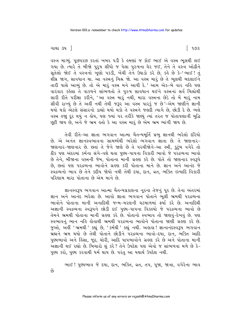વસ્ત્ર માગ્યું. પૂછપરછ કરતાં ખબર ૫ડી કે હુમણાં જ કોઈ ભાઈ એ વસ્ત્ર ભુલથી લઈ ગયા છે. ત્યારે તે બીજો પુરૂષ સીધો જ પેલા પુરુષના ઘેર જઈ, તેને તે વસ્ત્રે ઓઢીને સૂતેલો જોઈ તે વસ્ત્રનો ખૂણો પકડી, ખેંચી તેને ઉઘાડો કરે છે, કહે છે કે-'ભાઈ! તું .<br>શૌઘ્ર જાગ, સાવધાન થા. આ વસ્ત્રનું ચિહ્ન જો. આ વસ્ત્ર મારૂં છે તે ભૂલથી બદલાઈને તારી પાસે આવ્યું છે. તો એ મારૂં વસ્ત્ર મને આપી દે.' આમ એક-બે વાર નહિ પણ વારંવાર કહેલા તે વાકયને સાંભળતો તે પુરુષ સાવધાન થઈને વસ્ત્રનાં સર્વ ચિહ્નોથી સારી રીતે પરીક્ષા કરીને, 'આ વસ્ત્ર મારું નથી, મારા વસ્ત્રના છેડે તો મેં મારું નામ સીવી રાખ્યું છે તે અહીં નથી તેથી જરૂર આ વસ્ત્ર પારકું જ છે'-એમ જાણીને જ્ઞાની થયો થકો એટલે સંસારનો ડાહ્યો થયો થકો તે વસ્ત્રને જલદી ત્યાગે છે, છોડી દે છે. ભલે વસ્ત્ર હજા દૂર થયું ન હોય, પણ જ્યાં ૫૨ તરીકે જાણ્યું ત્યાં તરત જ પોતાપણાની બુદ્ધિ છુટી જાય છે, અને જે ભ્રમ હતો કે આ વસ્ત્ર મારૂં છે એમ ભ્રમ ભાંગી જાય છે.

તેવી રીતે-આ જ્ઞાતા ભગવાન આત્મા ચૈતન્યમૂર્તિ પ્રભુ જ્ઞાનથી ભરેલો દરિયો છે. એ અનંત જ્ઞાનસ્વભાવના સામર્થ્યથી ભરેલો ભગવાન જ્ઞાતા છે. તે જાણનાર-જાણનાર-જાણનાર છે. છતાં તે જેને જાણે છે તે પરચીજોને-આ સ્ત્રી, કુટુંબ વગેરે તો 8ીક પણ અંદરમાં કર્મના સંગે-વશે થતા પુણ્ય-પાપના વિકારી ભાવો જે પરદ્રવ્યના ભાવો છે તેને, બીજાના વસ્ત્રની જેમ, પોતાના માની ગ્રહણ કરે છે. પોતે તો જાણનાર સ્વરૂપે છે, છતાં પણ પરદ્રવ્યના ભાવોને ગ્રહણ કરી પોતાના માને છે. જ્ઞાન અને આનંદ જે સ્વદ્રવ્યનો ભાવ છે તેને કદીય જોયો નથી તેથી દયા, દાન, વ્રત, ભક્તિ ઇત્યાદિ વિકારી परिણाम भारा पोताना છે એમ માને છે.

જ્ઞાનસ્વરૂપ ભગવાન આત્મા ચૈતન્યપ્રકાશના નૂરના તેજનું પૂર છે. તેના અંતરમાં જ્ઞાન અને આનંદ ભરેલા છે. આવો જ્ઞાતા ભગવાન પોતાને ભૂલી ભ્રમથી પરદ્રવ્યના ભાવોને પોતાના માની અનાદિથી જન્મ-મરણની ઘટમાળમાં ફર્યા કરે છે. અનાદિથી અજ્ઞાની સ્વદ્રવ્યના સ્વરૂપને છોડી દઈ પુણ્ય-પાપના વિકલ્પો જે પરદ્રવ્યના ભાવો છે તેમને ભ્રમથી પોતાના માની ગ્રહણ કરે છે. પોતાનો સ્વભાવ તો જાણવું-દેખવું છે. પણ સ્વભાવનું ભાન નહિ હોવાથી ભ્રમથી પરદ્રવ્યના ભાવોને પોતાના જાણી ગ્રહણ કરે છે. જુઓ, અહીં 'ભ્રમથી ' કહ્યું છે, ' કર્મથી ' કહ્યું નથી. અહાહા ! જ્ઞાનાનંદસ્વરૂપ ભગવાન બ્રહ્મને ભ્રમ થયો છે તેથી પોતાને છોડીને પરદ્રવ્યના ભાવો-દયા, દાન, ભક્તિ આદિ પુણ્યભાવો અને હિંસા, જૂઠ, ચોરી, આદિ પાપભાવોને ગ્રહણ કરે છે અને પોતાના માની અજ્ઞાની થઈ રહ્યો છે. બિચારો શું કરે? તેને ઉપદેશ પણ એવો જ સાંભળવા મળે છે કે-પુણ્ય કરો, પુણ્ય કરવાથી ધર્મ થાય છે. પરંતુ આ યથાર્થ ઉપદેશ નથી.

ભાઈ ! પુણ્યભાવ જે દયા, દાન, ભક્તિ, વ્રત, તપ, પૂજા, જાત્રા, વગેરેના ભાવ

 $63$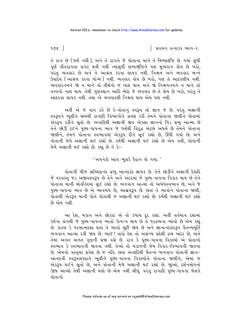$987$ 

∫ પ્રવચન રત્નાકર ભાગ−ર

તે રાગ છે (ધર્મ નથી), અને તે રાગને જે પોતાના માને તે મિથ્યાદષ્ટિ છે. જ્યાં સુધી પૂર્ણ વીતરાગતા પ્રગટ થતી નથી ત્યાંસુધી સમ્યગ્દષ્ટિને પણ શુભરાગ લોય છે ખરો, પરંત વ્યવહાર છે અને તે આશ્રય કરવા લાયક નથી. નિશ્ચય અને વ્યવહાર બન્ને ઉપાદેય ( આશ્રય કરવા યોગ્ય ) નથી. વ્યવહાર હોય છે ખરો. પણ તે આદરણીય નથી. વ્યવહારનયને જો ન માને તો તીર્થનો જ નાશ થાય અને જો નિશ્ચયનયને ન માને તો તત્ત્વનો નાશ થાય. તેથી ગણસ્થાન આદિ ભેદો જે વ્યવહાર છે તે હોય છે ખરો. પરંત તે આદરવા લાયક નથી. તથા એ વ્યવહારથી નિશ્ચય થાય એમ પણ નથી.

અહીં એ જ વાત કહે છે કે-પોતાનું સ્વરૂપ તો જ્ઞાન જ છે. પરંતુ અજ્ઞાની સ્વરૂપને ભૂલીને ભ્રમથી રાગાદિ વિભાગોને ચહણ કરી તેમને પોતાના જાણીને પોતામાં એકરૂપ કરીને સૂતો છે. અનાદિથી અજ્ઞાની જીવ એકલા જ્ઞાનનો પિંડ પ્રભુ આત્મા છે તેને છોડી દઈને પુણ્ય-પાપના ભાવ જે ધર્મથી વિરૂદ્ધ એટલે અધર્મ છે તેમને પોતાના જાણીને, તેમને પોતાના સ્વભાવમાં એકરૂપ રીને સુઈ રહ્યો છે, ઊંઘી ગયો છે; અને પોતાની મેળે અજ્ઞાની થઈ રહ્યો છે. કર્મથી અજ્ઞાની થઈ રહ્યો છે એમ નથી, પોતાની મેળે અજ્ઞાની થઈ રહ્યો છે. કહ્યું છે ને કે:-

' અપનેકો આપ ભૂલકે હૈરાન હો ગયા.'

પોતાની ચીજ સચ્ચિદાનંદ પ્રભુ આનંદકંદ જ્ઞાયક છે. તેને છોડીને અજ્ઞાની દેહાદિ જે પરવસ્તુ જડ અજીવસ્વરૂપ છે તેને અને અંદરમાં જે પુણ્ય-પાપના વિકાર થાય છે તેને પોતાના માની મોહનિંદમાં સુઈ રહ્યો છે. ભગવાન આત્મા તો અબંધસ્વભાવ છે, અને જે પુણ્ય-પાપના ભાવ છે એ ભાવબંધ છે, આસવરૂપ છે. છતાં તે ભાવોને પોતાના જાણી, પોતાથી એકરૂપ માની પોતે પોતાથી જ અજ્ઞાની થઈ રહ્યો છે; કર્મથી અજ્ઞાની થઈ રહ્યો છે એમ નથી

આ દેશ, મકાન અને છોકરાં એ તો કયાંય દૂર રહ્યાં. અહીં વર્તમાન દશામાં કર્મના સંગથી જે પુણ્ય-પાપના ભાવો ઉત્પન્ન થાય છે તે પરદ્રવ્યના ભાવો છે એમ કહ્યું છે. કારણ કે પરમાત્મદશા થતાં તે ભાવો છૂટી જાય છે અને જ્ઞાનાનંદસ્વરૂપ ચૈતન્યમૂર્તિ ભગવાન આત્મા રહી જાય છે. ભાઈ ! તારો દેશ તો અસંખ્ય પ્રદેશી દ્રવ્ય અંદર છે, અને તેમાં અનંત અનંત ગુણની પ્રજા વસે છે. રાગ કે પુણ્ય-પાપના વિકલ્પો એ પોતાનો સ્વભાવ કે સ્વભાવની જાતના નથી. તેઓ તો ચંડાળની જેમ વિકાર-વિભાવની જાતના છે. એમનો વસ્તુમાં પ્રવેશ છે જ નહિ. છતાં અનાદિથી ચૈતન્ય ભગવાન પોતાની જ્ઞાન-આનંદની સ્વરૂપસંપદાને ભૂલીને પુણ્ય-પાપના વિકલ્પોને પોતાના જાણીને, એમાં જ એકરૂપ થઈને સૂતો છે, અને પોતાની મેળે અજ્ઞાની થઈ રહ્યો છે. જાુઓ, દર્શનમોહનો ઉદય આવ્યો તેથી અજ્ઞાની થયો છે એમ નથી લીધું. પરંતુ રાગાદિ પુણ્ય-પાપના મેલને पोतानो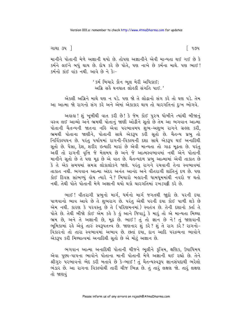ગાથા ૩૫ ]

િ ૧૭૫

માનીને પોતાની મેળે અજ્ઞાની થયો છે. તોપણ અજ્ઞાનીને એવી માન્યતા થઈ ગઈ છે કે કર્મને લઈને બધું થાય છે. દોષ કરે છે પોતે, પણ નાખે છે કર્મના માથે. પણ ભાઈ! કર્મનો કાંઈ વાંક નથી. આવે છે ને કે:-

> ' કર્મ બિચારે કૌન ભૂલ મેરી અધિકાઈ; અગ્રિ સહૈ ઘનઘાત લોહકી સંગતિ પાઈ. '

એકલી અગ્નિને માથે ઘણ ન પડે. પણ જો તે લોઢાનો સંગ કરે તો ઘણ પડે. તેમ આ આત્મા જો રાગનો સંગ કરે અને એમાં એકાકાર થાય તો ચારગતિનાં દુઃખ ભોગવે.

અહાહા ! શું ખૂબીથી વાત કરી છે ! કે જેમ કોઈ પુરુષ ઘોબીને ત્યાંથી બીજાનું વસ્ત્ર લઈ આવ્યો અને ભ્રમથી પોતાનું જાણી ઓઢીને સુતો છે તેમ આ ભગવાન આત્મા પોતાની ચૈતન્યની જાતના નહિ એવા પરભાવમય શંભ-અશભ રાગને ગ્રહણ કરી, ્રત્યા ...<br>ભ્રમથી પોતાના જાણીને, પોતાની સાથે એકરૂપ કરી સૂતો છે. ચૈતન્ય પ્રભુ તો નિર્વિકલ્પઘન છે. પરંતુ પર્યાયમાં રાગની-વિકલ્પની દશા સાથે એકરૂપ થઈ અનાદિથી સુતો છે. પૈસા, દેશ, શરીર ઇત્યાદિ મારાં છે એવી માન્યતા તો ગાઢ મઢતા છે. પરંતુ અંહીં તો રાગની વૃત્તિ જે મેલમય છે અને જે આત્મસ્વભાવમાં નથી એને પોતાની માનીને સતો છે તે પણ મઢ છે એ વાત છે. ચૈતન્યદળ પ્રભ આત્મામાં એવી તાકાત છે કે તે એક સમયમાં સમગ્ર લોકાલોકને જાણે. પરંતુ રાગને રચવાની તેના સ્વભાવમાં તાકાત નથી. ભગવાન આત્મા અંદર અનંત આનંદ અને વીતરાગી શાંતિનું દળ છે. પણ કોઈ દિવસ સાંભળ્યું હોય ત્યારે ને? બિચારો બહારની ધામધમમાંથી નવરો જ થતો નથી તેથી પોતે પોતાની મેળે અજ્ઞાની થયો થકો ચારગતિમાં રખડપટ્ટી કરે છે.

ભાઈ! વીતરાગી પ્રભુનો માર્ગ, ધર્મનો માર્ગ જગતથી જ્ઞુદો છે. પરની દયા પાળવાનો ભાવ આવે છે તે શુભરાગ છે. પરંતુ એથી પરની દયા કોઈ પાળી શકે છે એમ નથી. કારણ કે પરવસ્તુ છે તે (પરિણમનમાં) સ્વતંત્ર છે. તેની દશાનો ક્તા તે પોતે છે. તેથી બીજો કોઈ એમ કહે કે હું આને જિવાડું કે મારૂં તો એ માન્યતા મિથ્યા ભ્રમ છે, અને તે અજ્ઞાની છે, મુઢ છે. ભાઈ! તું તો જ્ઞાન છે ને! તું જાણવાની ભૂમિકામાં રહે એવું તારું સ્વરૂપતત્ત્વે છે. જાણનાર શું કરે? શું તે રાગ કરે? રાગનો-વિકારનો તો તારા સ્વભાવમાં અભાવ છે. છતાં દયા, દાન આદિ પરદ્રવ્યના ભાવોને એકરૂપ કરી મિથ્યાત્વમાં અનાદિથી સુતો છે એ મોટું અજ્ઞાન છે.

ભગવાન આત્મા અનાદિથી પોતાની ચીજને ભૂલીને કુત્રિમ, ક્ષણિક, ઉપાધિમય એવા પુણ્ય-પાપના ભાવોને પોતાના માની પોતાની મેળે અજ્ઞાની થઈ રહ્યો છે. તેને શ્રીગુરુ પરભાવનો ભેદ કરી બતાવે છે કે-ભાઈ! તું ચૈતન્યસ્વરૂપ જ્ઞાનસંપદાથી ભરેલો ભંડાર છે. આ રાગના વિકલ્પોથી તારી ચીજ ભિન્ન છે. તું તારું લક્ષણ જો. તારું લક્ષણ તો જાણવં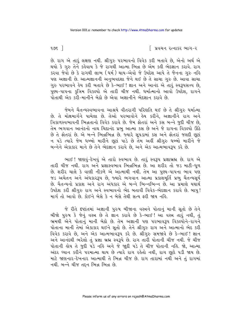$995$  ]

∣ પ્રવચન રત્નાકર ભાગ−ર

છે. રાગ એ તારૂં લક્ષણ નથી. શ્રીગુરુ પરભાવનો વિવેક કરી બતાવે છે, એનો અર્થ એ થયો કે ગુરુ તેને કહેવાય કે જે રાગથી આત્મા ભિન્ન છે એમ કહી ભેદજ્ઞાન કરાવે. રાગ કરવા જેવો છે કે રાગથી લાભ (ધર્મ) થાય-એવો જે ઉપદેશ આપે તે જૈનના ગુરુ નહિ પણ અજ્ઞાની છે. આત્મજ્ઞાનની અનુભવદશા જેને થઈ છે તે સાચા ગુરુ છે. આવા સાચા ગુરુ પરભાવને હેય કરી બતાવે છે કે-ભાઈ ! જ્ઞાન અને આનંદ એ તારૂં સ્વરૂપસત્ત્વ છે, પુણ્ય-પાપના કુત્રિમ વિકલ્પો એ તારી ચીજ નથી. ધર્માત્માનો આવો ઉપદેશ, રાગને પોતાથી એક કરી-માનીને બેઠો છે એવા અજ્ઞાનીને ભેદજ્ઞાન કરાવે છે.

જેમને ચૈતન્યસ્વભાવના આશ્રયે વીતરાગી પરિણતિ થઈ છે તે શ્રીગુરુ ધર્માત્મા છે. તે મોક્ષમાર્ગને પામેલા છે. તેઓ પરભાવોને હેય કરીને, અજ્ઞાનીને રાગ અને ત્રિકાળસ્વભાવની ભિન્નતાનો વિવેક કરાવે છે. જેમ ફોતરાં અને કસ બન્ને જુદી ચીજ છે, તેમ ભગવાન આનંદનો નાથ ચિદાનંદ પ્રભુ આત્મા કસ છે અને જે રાગના વિકલ્પો ઊઠે છે તે ફોતરાં છે. એ બન્ને ભિન્નભિન્ન છે. જ્યારે સૂપડામાં કસ અને ફોતરાં જલદી છૂટાં ન પડે ત્યારે જેમ ધબ્બો મારીને છૂટાં પાડે છે તેમ અહીં શ્રીગુરુ ધબ્બો મારીને જે બન્નેને એકાકાર માને છે તેને ભેદજ્ઞાન કરાવે છે, અને એક આત્મભાવરૂપ કરે છે.

ભાઈ! જાણવું-દેખવું એ તારો સ્વભાવ છે. તારું સ્વરૂપ પ્રજ્ઞાબ્રહ્મ છે. રાગ એ તારી ચીજ નથી. રાગ અને પ્રજ્ઞાસ્વભાવ ભિન્નભિન્ન છે. આ શરીર તો જડ માટી-ધૂળ છે. શરીર ચાલે કે વાણી નીકળે એ આત્માથી નથી. તેમ આ પુણ્ય-પાપના ભાવ પણ જડ અચેતન અને અંધકારરૂપ છે, જ્યારે ભગવાન આત્મા પ્રકાશમૂર્તિ પ્રભુ ચૈતન્યસૂર્ય છે. ચૈતન્યનો પ્રકાશ અને રાગ અંધકાર એ બન્ને ભિન્નભિન્ન છે. આ પ્રમાણે યથાર્થ ઉપદેશ કરી શ્રીગુરુ રાગ અને સ્વભાવનો ભેદ બતાવી વિવેક-ભેદજ્ઞાન કરાવે છે. બાપુ! માર્ગ તો આવો છે. કોઈને બેસે કે ન બેસે તેથી સત્ય ફરી જાય નહિ.

જે રીતે દષ્ટાંતમાં અજ્ઞાની પુરુષ બીજાના વસ્ત્રને પોતાનું માની સૂતો છે તેને બીજો પુરુષ કે જેનું વસ્ત્ર છે તે જ્ઞાન કરાવે છે કે-ભાઈ! આ વસ્ત્ર તારું નથી, તું ભ્રમથી એને પોતાનું માની બેઠો છે. તેમ અજ્ઞાની પણ પરભાવરૂપ વિકલ્પોને-રાગને પોતાના માની તેમાં એકાકાર થઈને સૂતો છે. તેને શ્રીગુરુ રાગ અને આત્માનો ભેદ કરી વિવેક કરાવે છે, અને એક આત્મભાવરૂપ કરે છે. શ્રીગુરુ સમજાવે છે કે-ભાઈ! જ્ઞાન અને આનંદથી ભરેલો તું પ્રજ્ઞા બ્રહ્મ સ્વરૂપે છે. રાગ તારી પોતાની ચીજ નથી. જે ચીજ પોતાની હોય તે જુદી પડે નહિ અને જે જાુદી પડે તે ચીજ પોતાની નહિ. જો, આત્મા અંદર ઘ્યાન કરીને પરમાત્મા થાય છે ત્યારે રાગ રહેતો નથી, રાગ છૂટો ૫ડી જાય છે. માટે જાણનાર-દેખનાર આત્માથી તે ભિન્ન ચીજ છે. રાગ તારામાં નથી અને તું રાગમાં नथी. બन्ने यी तहन सिन्न सिन्न છે.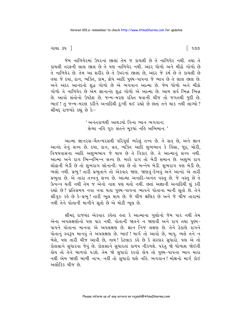ગાથા ૩૫ ી

જેમ નાળિયેરમાં ઉપરનાં છાલાં તેમ જ કાચલી છે તે નાળિયેર નથી. તથા તે કાચલી તરફની લાલ છાલ છે તે પણ નાળિયેર નથી. અંદર ધોળો અને મીઠો ગોળો છે તે નાળિયેર છે. તેમ આ શરીર છે તે ઉપરનાં છાલાં છે, અંદર જે કર્મ છે તે કાચલી છે તથા જે દયા, દાન, ભક્તિ, કામ, ક્રોધ આદિ પુણ્ય-પાપના જે ભાવ છે તે લાલ છાલ છે. અને અંદર આનંદનો શહ્ન ગોળો છે એ ભગવાન આત્મા છે. જેમ ધોળો અને મીઠો ગોળો તે નાળિયેર છે એમ જ્ઞાનાનંદ શદ્ધ ગોળો એ આત્મા છે. આમ સર્વ ભિન્ન ભિન્ન છે. આવો સંતોનો ઉપદેશ છે. જન્મ-મરણ રહિત થવાની ચીજ તો જગતથી જુદી છે. ભાઈ! તું જન્મ-મરણ કરીને અનાદિથી દુઃખી થઈ રહ્યો છે છતાં તને થાક નથી લાગ્યો? શ્રીમદ રાજચંદ્રે કહ્યું છે કેઃ-

> ' અનંતકાળથી આથડયો વિના ભાન ભગવાન; સેવ્યા નહિ ગુરુ સંતને મુકયાં નહિ અભિમાન.'

આત્મા જ્ઞાનરસ-ચૈતન્યરસથી પરિપૂર્ણ ભરેલું તત્ત્વ છે. તે સત છે, અને જ્ઞાન આનંદ તેનું સત્ત્વ છે. દયા, દાન, વ્રત, ભક્તિ આદિ શુભભાવ કે હિંસા, જૂઠ, ચોરી, વિષયવાસના આદિ અશુભભાવ જે થાય છે તે વિકાર છે. તે આત્માનું સત્ત્વ નથી. આત્મા અને રાગ ભિન્નભિન્ન સત્ત્વ છે. બલ્કે રાગ તો બેડી સમાન છે. અશુભ રાગ લોઢાની બેડી છે તો શુભરાગ સોનાની; પણ છે તો બન્નેય બેડી. શુભરાગ પણ બેડી છે, ભલો નથી. પ્રભુ! તારી પ્રભુતાને તો એકવાર જાણ. જાણવું-દેખવું અને આનંદ એ તારી પ્રભુતા છે. એ તારા તત્ત્વનું સત્ત્વ છે. આત્મા અનાદિ-અનંત વસ્તુ છે. જે વસ્તુ છે તે ઉત્પન્ન થતી નથી તેમ જ એનો નાશ પણ થતો નથી. છતાં અજ્ઞાની અનાદિથી શું કરી રહ્યો છે? પ્રતિસમય નવા નવા થતા પુણ્ય-પાપના ભાવને પોતાના માની સૂતો છે. તેને શ્રીગુરુ કહે છે કે-પ્રભુ! તારી ભૂલ થાય છે. જે ચીજ ક્ષણિક છે અને જે ચીજ તારામાં નથી તેને પોતાની માનીને સતો છે એ મોટી ભલ છે.

શ્રીમદ્દ રાજચંદ્ર એકવાર કહેતા હતા કે આત્માના ગુણોનો જેમ પાર નથી તેમ એના અપલક્ષણોનો પણ પાર નથી. પોતાની જાતને ન જાણવી અને રાગ તથા પુણ્ય-પાપને પોતાના માનવા એ અપલક્ષણ છે. જ્ઞાન નિજ લક્ષણ છે. તેને ઠેકાણે રાગને પોતાનું સ્વરૂપ માનવું તે અપલક્ષણ છે. ભાઈ ! માર્ગ તો આવો છે, બાપુ. ભલે તને ન બેસે, પણ તારી ચીજ આવી છે, નાથ ! કેટલાક કરે છે કે સંસ્કાર સુધારો. પણ એ તો કોલસાને સુધારવા જેવું છે. કોલસાને સુધારતાં કાળપ નીકળશે. પરંતુ જો ધોળાશ જોઈતી હોય તો તેને બાળવો પડશે. તેમ જો સુધારો કરવો હોય તો પુણ્ય-પાપના ભાવ મારા નથી એમ જાણી બાળી નાખ. નહીં તો સુધારો થશે નહિ. ભગવાન! મોક્ષનો માર્ગ કોઈ અલૌકિક ચીજ છે.

୮ ૧૭૭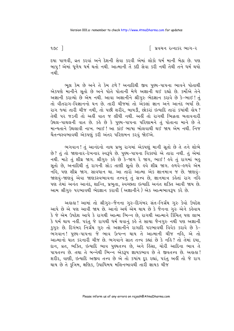$902$   $\overline{\phantom{1}}$ 

િ પ્રવચન રત્નાકર ભાગ−ર

દયા પાળવી, વ્રત કરવાં અને દેશની સેવા કરવી એમાં લોકો ધર્મ માની બેઠા છે. પણ બાપુ! એમાં ધુળેય ધર્મ થતો નથી. આત્માની તેં કદી સેવા કરી નથી તેથી તને ધર્મ થયો નથી

ભૂલ કેમ છે અને તે કેમ ટળે? અનાદિથી જીવ પુણ્ય-પાપના ભાવને પોતાથી એકપણે માનીને સૂતો છે અને પોતે પોતાની મેળે અજ્ઞાની થઈ રહ્યો છે. કર્મોએ તેને અજ્ઞાની કરાવ્યો છે એમ નથી. આવા અજ્ઞાનીને શ્રીગુરુ ભેદજ્ઞાન કરાવે છે કે-ભાઈ! તું તો વીતરાગ-વિજ્ઞાનનો ઘન છે. તારી ચીજમાં તો એકલાં જ્ઞાન અને આનંદ ભર્યાં છે. રાગ જ્યાં તારી ચીજ નથી, તો પછી શરીર, બાયડી, છોકરાં ઇત્યાદિ તારાં કયાંથી હોય? તેથી ૫૨ જડની તો અહીં વાત જ લીધી નથી. અહીં તો રાગથી ભિન્નતા બતાવનારી ઉથલ-પાથલની વાત છે. કહે છે કે પુણ્ય-પાપના પરિણામને તું પોતાના માને છે તે માન્યતાને ઉથલાવી નાખ. ભાઈ ! આ કાંઈ ભાષા બોલવાથી થઈ જાય એમ નથી. નિજ ચૈતન્યસ્વભાવથી એકપણું કરી અંતર પરિણમન કરવું જોઈએ.

ભગવાન ! તું આનંદનો નાથ પ્રભુ રાગમાં એકપણું માની સૂતો છે તે તને શોભે છે? તું તો જાણનાર-દેખનાર સ્વરૂપે છે. પુણ્ય-પાપના વિકલ્પો એ તારા નથી. તું એમાં નથી. માટે તું શીઘ્ર જાગ. શ્રીગુરુ કહે છે કે-જાગ રે જાગ, ભાઈ ! હવે તું રાગમાં બહુ સૂતો છે, અનાદિથી તું રાગની સોડ તાણી સૂતો છે. હવે શીઘ્ર જાગ. હળવે-હળવે એમ નહે, પણ શીઘ્ર જાગ. સાવધાન થા. આ તારો આત્મા એક જ્ઞાનમાત્ર જ છે. જાણવું-જાણવું-જાણવું એવા જાણકસ્વભાવના તત્ત્વનું તું સત્ત્વ છે, જ્ઞાનમાત્ર કહેતાં રાગ નહિ પણ તેમાં અનંત આનંદ, શાન્તિ, પ્રભુતા, સ્વચ્છતા ઇત્યાદિ અનંત શક્તિ આવી જાય છે. આમ શ્રીગુરુ પરભાવથી ભેદજ્ઞાન કરાવી (અજ્ઞાનીને) એક આત્મભાવરૂપ કરે છે.

અહાહા ! આમાં તો શ્રીગુરુ-જૈનના ગુરુ-દિગંબર સંત-નિર્ગ્રંથ ગુરુ કેવો ઉપદેશ આપે છે એ પણ આવી જાય છે. આનો અર્થ એમ થાય છે કે જૈનના ગુરુ એને કહેવાય કે જે એમ ઉપદેશ આપે કે રાગથી આત્મા ભિન્ન છે, રાગથી આત્માને કિંચિત પણ લાભ કે ધર્મ થાય નહીં. પરંતુ જે રાગથી ધર્મ થવાનું કહે તે સાચા જૈનગુરુ નથી પણ અજ્ઞાની કુગુરુ છે. દિગંબર નિર્ગ્રંથ ગુરુ તો અજ્ઞાનીને રાગાદિ પરભાવથી વિવેક કરાવે છે કે-ભગવાન! પુણ્ય-પાપના જે ભાવ ઉત્પન્ન થાય તે આત્માની ચીજ નહિ, એ તો આત્માનો ઘાત કરનારી ચીજ છે. ભગવાને સાત તત્ત્વ કહ્યાં છે કે નહિ? તો તેમાં દયા, દાન, વ્રત, ભક્તિ, ઇત્યાદિ ભાવ પુણ્યતત્ત્વ છે, અને હિંસા, ચોરી આદિના ભાવ તે પાપતત્ત્વ છે. તથા તે બન્નેથી ભિન્ન એકરૂપ જ્ઞાયકભાવ છે તે જીવતત્ત્વ છે. અહાહા! શરીર, વાણી, ઇત્યાદિ અજીવ તત્ત્વ છે એ તો કયાંય દર રહ્યાં, પરંતુ અહીં તો જે રાગ થાય છે તે કૃત્રિમ, ક્ષણિક, ઉપાધિમય મલિનભાવથી તારી જ્ઞાયક ચીજ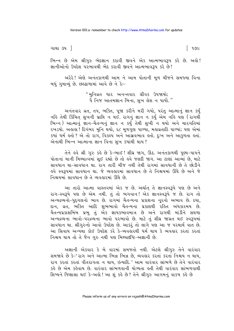ગાથા ૩૫ ]

ભિન્ન છે એમ શ્રીગુરુ ભેદજ્ઞાન કરાવી જીવને એક આત્મભાવરૂપ કરે છે. અહો! જ્ઞાનીઓનો ઉપદેશ પરભાવથી ભેદ કરાવી જીવને આત્મભાવરૂપ કરે છે!

અરેરે ! એણે અનંતકાળથી આમ ને આમ પોતાની મૂળ ચીજને સમજ્યા વિના બધું ગુમાવ્યું છે. છલ્હ્યળામાં આવે છે ને કેઃ-

> "મુનિવ્રત ધાર અનન્તવાર ગ્રીવક ઉપજાયો; <u>પ</u>ે નિજ આતમજ્ઞાન બિના. સખ લેશ ન પાયો."

અનંતવાર વ્રત. તપ. ભક્તિ. ૫જા કરીને મરી ગયો. ૫રંત આત્માનં જ્ઞાન કર્યં નહિ તેથી કિંચિત સુખની પ્રાપ્તિ ન થઈ. રાગનું જ્ઞાન ન કર્યું એમ નહિ પણ (રાગથી ભિન્ન) આત્માન જ્ઞાન–ચૈતન્યનં જ્ઞાન ન કર્ય તેથી સખી ન થયો અને ચારગતિમાં રખડયો. અલલા !દિગંબર મુનિ થયો, ૨૮ મૂળગુણ પાળ્યા, મહાવ્રતાદિ પાળ્યાં; પણ એમાં કયાં ધર્મ હતો ? એ તો રાગ, વિકલ્પ અને આસવભાવ હતો. દુઃખ અને આકુળતા હતાં. એનાથી ભિન્ન આત્માના જ્ઞાન વિના સખ કયાંથી થાય?

તેને હવે શ્રી ગુરુ કહે છે કે-ભાઈ! શીઘ્ર જાગ, ઊઠ. અનંતકાળથી પુણ્ય-પાપને પોતાનાં માની મિથ્યાત્વમાં સઈ રહ્યો છે તો હવે જલદી જાગ. આ ટાણાં આવ્યાં છે. માટે સાવધાન થા-સાવધાન થા. રાગ તારી ચીજ નથી તેથી રાગમાં સાવધાની છે તે છોડીને હવે સ્વરૂપમાં સાવધાન થા. જે વ્યવહારમાં સાવધાન છે તે નિશ્ચયમાં ઊંઘે છે અને જ<mark>ે</mark> નિશ્ચયમાં સાવધાન છે તે વ્યવહારમાં ઊંઘે છે.

આ તારો આત્મા વાસ્તવમાં એક જ છે. અર્થાત્ તે જ્ઞાનસ્વરૂપે પણ છે અને રાગ-સ્વરૂપે પણ છે એમ નથી. તું તો ભગવાન! એક જ્ઞાનસ્વરૂપે જ છે. રાગ તો અન્યદ્રવ્યનો-પુદ્દગલનો ભાવ છે. રાગમાં ચૈતન્યના પ્રકાશના નૂરનો અભાવ છે. દયા, દાન, વ્રત, ભક્તિ આદિ શભભાવો ચૈતન્યના પ્રકાશથી રહિત અંધકારમય છે. ચૈતન્યપ્રકાશબિંબ પ્રભુ તું એક જ્ઞાયકભાવમાત્ર છે અને રાગથી માંડીને સઘળા અન્યદ્રવ્યના ભાવો-પરદ્રવ્યના ભાવો પરભાવો છે. માટે તું શીઘ્ર જાગ્રત થઈ સ્વરૂપમાં સાવધાન થા. શ્રીગુરુનો આવો ઉપદેશ છે. આકરૂં તો લાગે પણ આ જ પરમાર્થ વાત છે. આ સિવાય અન્યથા કોઈ ઉપદેશ કરે કે-વ્યવહારથી ધર્મ થાય કે વ્યવહાર કરતાં કરતાં નિશ્ચય થાય તો તે જૈન ગુરુ નથી પણ મિથ્યાદષ્ટિ-અજ્ઞાની છે.

અજ્ઞાની એકવાર કે બે વારમાં સમજતો નથી. એટલે શ્રીગુરુ તેને વારંવાર સમજાવે છે કે-' રાગ અને આત્મા ભિન્ન ભિન્ન છે, વ્યવહાર કરતાં કરતાં નિશ્ચય ન થાય, રાગ કરતાં કરતાં વીતરાગતા ન થાય, ઇત્યાદિ.' આમ વારંવાર સાંભળે છે તેને વારંવાર કહે છે એમ કહેવાય છે. વારંવાર સાંભળવાની યોગ્યતા હતી તેથી વારંવાર સાંભળવાથી શિષ્યને જિજ્ઞાસા થઈ કે-અલે! આ શું કહે છે? તેને શ્રીગુરુ આગમનું વાકય કહે છે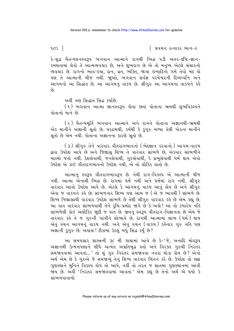$1$  ose

િ પ્રવચન રત્નાકર ભાગ−ર

કે-શુદ્ધ ચૈતન્યઘનસ્વરૂપ ભગવાન આત્માને રાગથી ભિન્ન પડી અંતર-દષ્ટિ-જ્ઞાન-રમણતામાં લેવો તે આત્મવ્યવહાર છે, અને શુભરાગ છે એ તો મનુષ્ય એટલે સંસારનો વ્યવહાર છે. રાગનો ભાવ-દયા, દાન, વ્રત, ભક્તિ, જાત્રા ઇત્યાદિનો ગમે તેવો મંદ હો પણ તે આત્માની ચીજ નથી. જાુઓ, ભગવાન સર્વજ્ઞ પરમેશ્વરની દિવ્યઘ્વનિ અને આગમનો આ સિદ્ધાંત છે. આ આગમનું વાકય છે. શ્રીગુરુ આ આગમના વાકયને કહે  $\delta$ 

અહીં ત્રણ સિદ્ધાંત સિદ્ધ કર્યાછે.

(૧) ભગવાન આત્મા જ્ઞાનસ્વરૂપ હોવા છતાં પોતાના ભ્રમથી શુભવિકલ્પને पोतानो भाने છे

(૨) ચૈતન્યમર્તિ ભગવાન આત્માને અને રાગને પોતાના અજ્ઞાનથી-ભ્રમથી એક માનીને અજ્ઞાની સુતો છે. ૫૨દ્રવ્યથી, કર્મથી કે <u>કુગુરુ મળ્યા તેથી એકત્વ માની</u>ને સતો છે એમ નથી. પોતાના અજ્ઞાનના કારણે સતો છે.

(૩) શ્રીગુરુ તેને વારંવાર વીતરાગભાવનો (ભેદજ્ઞાન કરવાનો) આગમ-વાકય દ્વારા ઉપદેશ આપે છે અને જિજ્ઞાસ શિષ્ય તે વારંવાર સાંભળે છે. એકવાર સાંભળીને ચાલ્યો જતો નથી. દેશસેવાથી, જનસેવાથી, ગુરુસેવાથી, કે પ્રભુસેવાથી ધર્મ થાય એવો ઉપદેશ એ કાંઈ વીતરાગભાવનો ઉપદેશ નથી. એ તો લૌકિક વાતો છે.

આત્માનું સ્વરૂપ વીતરાગભાવરૂપ છે. તેથી રાગ-વિકલ્પ એ આત્માની ચીજ નથી. આત્મા એનાથી ભિન્ન છે. રાગમાં ધર્મ નથી અને ધર્મમાં રાગ નથી. શ્રીગુરુ ્....<br>વારંવાર આવો ઉપદેશ આપે છે. એટલે કે આગમનું વાકય આવું હોય છે અને શ્રીગુરુ એવા જ વાકયને કહે છે: સાંભળનાર શિષ્ય પણ આમ જ (એ જ ભાવથી) સાંભળે છે. શિષ્ય જિજ્ઞાસાથી વારંવાર ઉપદેશ સાંભળે છે તેથી શ્રીગુરુ વારંવાર કહે છે એમ કહ્યું છે. આ વાત વારંવાર સાંભળવાથી તેને રૂચિ-પ્રમોદ જાગે છે કે-અલે! આ તો કયારેય નહિ સાંભળેલી કોઈ અલૌકિક જાદી જ વાત છે. જીવનું સ્વરૂપ વીતરાગ-વિજ્ઞાનતા છે એમ જે વારંવાર કહે તે જ ગુરુની પદવીને શોભાવે છે. રાગથી આત્મામાં લાભ (ઘર્મ) થાય એવું વચન આગમનું વાકય નથી. અને એવું વચન (વાકય) કઢેનાર ગુરુ નહિ પણ અજ્ઞાની કગુરુ છે. અહાહા! ટીકામાં કેટલું બધું સિદ્ધ કર્યું છે?

આ સમયસાર શાસ્ત્રની ૩૮ મી ગાથામાં આવે છે કે-'જે, અનાદિ મોલ્રુપ અજ્ઞાનથી ઉન્મત્તપણાને લીધે અત્યંત અપ્રતિબદ્ધ કતો અને વિરક્ત ગુરુથી નિરંતર સમજાવવામાં આવતાં...' તો શું ગુરુ નિરંતર સમજાવવા નવરા થોડા હોય છે? એનો અર્થ એમ છે કે ગુરુએ જે સમજાવ્યું તેનું શિષ્ય વારંવાર ચિંતન કરે છે. ઉપદેશ તો છક્રા ગુણસ્થાને મુનિને વિકલ્પ હોય તો આપે. નહીં તો તરત જ સાતમા ગુણસ્થાનમાં આવી .<br>જાય છે. અહીં 'નિરંતર સમજાવવામાં આવતાં' એમ કહ્યું છે તેનો અર્થ એ થયો કે <u>સાંભળવાવાળો</u>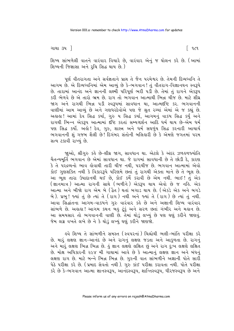ગાથા ૩૫ ી

િ ૧૮૧

શિષ્ય સાંભળેલી વાતને વારંવાર વિચારે છે, વારંવાર એનું જ ઘોલન કરે છે. (આમાં શિષ્યની જિજ્ઞાસા અને રચિ સિદ્ધ થાય છે.)

પૂર્ણ વીતરાગતા અને સર્વજ્ઞતાને પ્રાપ્ત તે જૈન પરમેશ્વર છે. તેમની દિવ્યધ્વનિ તે આગમ છે. એ દિવ્યધ્વનિમાં એમ આવ્યું છે કે-ભગવાન ! તું વીતરાગ-વિજ્ઞાનઘન સ્વરૂપે છે. તારામાં આનંદ અને જ્ઞાનની લક્ષ્મી પરિપર્ણ ભરી પડી છે. તેમાં તં રાગને એકરૂપ કરી ભેળવે છે એ તારો ભ્રમ છે. રાગ તો ભગવાન આત્માથી ભિન્ન ચીજ છે. માટે શીઘ્ર જાગ અને રાગથી ભિન્ન ૫ડી સ્વરૂપમાં સાવધાન થા, આત્મદષ્ટિ કર. ભગવાનની વાણીમાં આમ આવ્યું છે અને ગણધરદેવોએ પણ જે શ્રુત રચ્યાં એમાં એ જ કહ્યું છે. અલલ! આમાં દેવ સિદ્ધ કર્યા, ગુરુ ય સિદ્ધ કર્યા, આગમનું વાકય સિદ્ધ કર્યું અને રાગથી ભિન્ન એકરૂપ આત્મામાં દંષ્ટિ કરતાં સમ્યગ્દર્શન આદિ ધર્મ થાય છે-એમ ધર્મ પણ સિદ્ધ કર્યો. અહો! દેવ, ગુરુ, શાસ્ત્ર અને ધર્મ સઘળુંય સિદ્ધ કરનારી આચાર્ય ભગવાનની શુંગજબ શૈલી છે! દિગંબર સંતોની બલિહારી છે કે એમણે જગતમાં પરમ સત્ય ટકાવી રાખ્યું છે.

જાુઓ, શ્રીગુરુ કહે છે-શીઘ્ર જાગ, સાવધાન થા. એટલે કે અંદર ઝળહળજ્યોતિ ચૈતન્યમૂર્તિ ભગવાન છે એમાં સાવધાન થા. જે રાગમાં સાવધાની છે તે છોડી દે, કારણ કે તે પરદ્રવ્યનો ભાવ હોવાથી તારી ચીજ નથી, પરચીજ છે. ભગવાન આત્મામાં એવો કોઈ ગુણશક્તિ નથી કે વિકારરૂપે પરિણમે છતાં તું રાગથી એક્તા માને છે તે ભૂલ છે. આ ભૂલ તારા ઉપાદાનથી થઈ છે, કોઈ કર્મે કરાવી છે એમ નથી. ભાઈ! તું એક (જ્ઞાનમાત્ર) આત્મા રાગની સાથે (ભળીને) એકરૂપ થાય એવો છે જ નહિ. એક આત્મા અને બીજો રાગ એમ બે (ફૈત ) થતાં બગાડ થાય છે. (એકડે એક અને બગડે બે). પ્રભુ! જ્યાં તું છે ત્યાં તે (રાગ) નથી અને જ્યાં તે (રાગ) છે ત્યાં તું નથી. આવા સિદ્ધાંતના આગમ-વાકયને ગુરુ વારંવાર કહે છે અને અજ્ઞાની શિષ્ય વારંવાર સાંભળે છે. અહાહા ! આગમ કથન બહુ ટૂંકું અને સરળ છતાં ગંભીર અને મહાન છે. આ સમયસાર તો ભગવાનની વાણી છે. તેમાં થોડું લખ્યું છે પણ ઘણું કરીને જાણવું. જેમ લગ્ન વખતે લખે છે ને કે થોડું લખ્યું ઘણું કરીને જાણજો.

ઙ્વે શિષ્ય તે સાંભળીને સમસ્ત (સ્વપરનાં) ચિહ્નોથી ભલી−ભાંતિ પરીક્ષા કરે છે. મારૂં લક્ષણ જ્ઞાન-આનંદ છે અને રાગનું લક્ષણ જડતા અને આકુળતા છે. રાગનું અને મારૂં લક્ષણ ભિન્ન ભિન્ન છે. કું જ્ઞાન લક્ષણે લક્ષિત છું અને રાગ દુઃખ લક્ષણે લક્ષિત છે. મોક્ષ અધિકારની ૨૯૪ મી ગાથામાં આવે છે કે આત્માનું લક્ષણ જ્ઞાન અને બંધનું લક્ષણ રાગ છે. માટે બન્ને ભિન્ન ભિન્ન છે. ગુરુની વાત સાંભળીને અજ્ઞાની પોતે સારી પેઠે પરીક્ષા કરે છે. (પ્રમાદ સેવતો નથી). ગુરુ કાંઈ પરીક્ષા કરાવતા નથી. પોતે પરીક્ષા કરે છે કે-ભગવાન આત્મા જ્ઞાનસ્વરૂપ, આનંદસ્વરૂપ, શાન્તિસ્વરૂપ, ધીરજસ્વરૂપ છે અને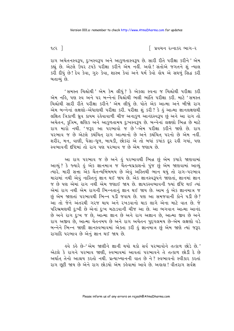$\epsilon$  1

∣િ પ્રવચન રત્નાકર ભાગ−ર

રાગ અચેતનસ્વરૂપ, દુઃખસ્વરૂપ અને આકુળતાસ્વરૂપ છે. સારી રીતે પરીક્ષા કરીને ' એમ કહ્યું છે. એટલે ઉપર ટપકે પરીક્ષા કરીને એમ નહીં. અહો! સંતોએ જગતને શું ન્યાલ કરી દીધું છે! દેવ કેવા, ગુરુ કેવા, શાસ્ત્ર કેવાં અને ધર્મ કેવો હોય એ સઘળું સિદ્ધ કરી બતાવ્યં છે.

'સમસ્ત ચિહ્નોથી ' એમ કેમ લીધું ? કે એકલા સ્વના જ ચિહ્નોથી પરીક્ષા કરી એમ નહિ, પણ સ્વ અને ૫૨ બન્નેનાં ચિંહ્નોથી ભલી ભાંતિ ૫રીક્ષા કરી. માટે 'સમસ્ત ચિહ્નોથી સારી રીતે પરીક્ષા કરીને ' એમ લીધું છે. પોતે એક આત્મા અને બીજો રાગ એમ બન્નેનાં લક્ષણો-એંધાણથી પરીક્ષા કરી. પરીક્ષા શું કરી ? કે ઢું આત્મા જ્ઞાનલક્ષણથી લક્ષિત ત્રિકાળી ઘ્રુવ કાયમ રહેવાવાળી ચીજ અનાકુળ આનંદસ્વરૂપ છું અને આ રાગ તો અચેતન, કૃત્રિમ, ક્ષણિક અને આકુળતામય દુઃખસ્વરૂપ છે. બન્નેનાં લક્ષણો ભિન્ન છે માટે રાગ મારો નથી. 'જરૂર આ પરભાવો જ છે'-એમ પરીક્ષા કરીને જાણે છે. રાગ પરભાવ જ છે એટલે કથંચિત રાગ આત્માનો છે અને કથંચિત્ પરનો છે એમ નહીં. શરીર, મન, વાણી, પૈસા-ધૂળ, બાયડી, છોકરાં એ તો બધાં કયાંક દૂર રહી ગયાં, પણ સ્વભાવની દક્ષિમાં તો રાગ પણ પરભાવ જ છે એમ જણાય છે.

આ રાગ પરભાવ જ છે અને હું પરભાવથી ભિન્ન છું એમ કયારે જાણવામાં આવ્યું ? કે જ્યારે હું એક જ્ઞાનમાત્ર જ ચૈતન્યપ્રકાશનો પુંજ છું એમ જાણવામાં આવ્યું ત્યારે. મારી સત્તા એક ચૈતન્યબિંબમય છે એવું અસ્તિથી ભાન થયું તો રાગ-પરભાવ મારામાં નથી એવું નાસ્તિનું જ્ઞાન થઈ જાય છે. એક જ્ઞાનસ્વરૂપને જાણતાં, જ્ઞાનમાં જ્ઞાન જ છે પણ એમાં રાગ નથી એમ જણાઈ જાય છે. જ્ઞાયકસ્વભાવની જ્યાં દષ્ટિ થઈ ત્યાં એમાં રાગ નથી એમ રાગની ભિન્નતાનું જ્ઞાન થઈ જાય છે. આમ કું એક જ્ઞાનમાત્ર જ છું એમ જાણતાં પરભાવથી ભિન્ન પડી જવાય છે. પણ આ સમજવાની કોને પડી છે? આ તો જેને અંતરથી ગરજ થાય અને રખડવાનો થાક લાગે એના માટે વાત છે. જે પરિભ્રમણથી દુઃખી છે એનાં દુઃખ મટાડવાની ચીજ આ છે. આ ભગવાન આત્મા આનંદ છે અને રાગ દુઃખ જ છે, આત્મા જ્ઞાન છે અને રાગ અજ્ઞાન છે, આત્મા જીવ છે અને રાગ અજીવ છે, આત્મા ચેતનમય છે અને રાગ અચેતન પુદ્દગલમય છે-એમ લક્ષણો વડે બન્નેને ભિન્ન જાણી જ્ઞાનસ્વભાવમાં એક્તા કરી હું જ્ઞાનમાત્ર છું એમ જાણે ત્યાં જરૂર રાગાદિ પરભાવ છે એનું જ્ઞાન થઈ જાય છે.

इવે કહે છે-' એમ જાણીને જ્ઞાની થયો થકો સર્વ પરભાવોને તત્કાળ છોડે છે.' એટલે કે રાગને પરભાવ જાણી, સ્વભાવમાં આવતાં પરભાવને તે તત્કાળ છોડી દે છે અર્થાત તેનો આશ્રય કરતો નથી. પ્રત્યાખ્યાનની વાત છે ને? સ્વભાવનો સ્વીકાર કરતાં રાગ છૂટી જાય છે એને રાગ છોડયો એમ કહેવામાં આવે છે. અહાહા ! વીતરાગ સર્વજ્ઞ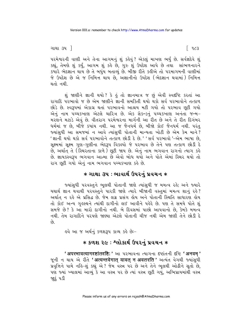$\lceil 9c3\rceil$ 

ગાથા $34$ 

પરમેશ્વરની વાણી અને તેના આગમનું શું કહેવું ? એકલું માખણ ભર્યું છે. સર્વજ્ઞદેવે શું કહ્યું, તેમણે શું કર્યું, આગમ શું કહે છે, ગુરુ શું ઉપદેશ આપે છે તથા સાંભળનારને કયારે ભેદજ્ઞાન થાય છે તે બધુંય બતાવ્યું છે. બીજી રીતે કહીએ તો પરમાગમની વાણીમાં જે ઉપદેશ છે એ જ નિમિત્ત થાય છે, અજ્ઞાનીનો ઉપદેશ (ભેદજ્ઞાન થવામાં) નિમિત્ત થતો નથી

શું જાણીને જ્ઞાની થયો? કે કું તો જ્ઞાનમાત્ર જ છું એવી સ્વદષ્ટિ કરતાં આ રાગાદિ પરભાવો જ છે એમ જાણીને જ્ઞાની સમકિતી થયો થકો સર્વ પરભાવોને તત્કાળ છોડે છે. સ્વરૂપમાં એકાગ્ર થતાં પરભાવનો આશ્રય મટી ગયો તો પરભાવ છુટી ગયો એનું નામ પચ્ચકખાણ એટલે ચારિત્ર છે. એક સેકન્ડનું પચ્ચકખાણ અનંતા જન્મ-મરણને મટાડે એવું છે. વીતરાગ પરમેશ્વરના માર્ગની આ રીત છે અને તે રીત દિગંબર ધર્મમાં જ છે. બીજે કયાંય નથી. આ જ જૈનધર્મ છે. બીજો કોઈ જૈનધર્મ નથી. પરંત જ્યાંસધી આ સમજમાં ન આવે ત્યાંસધી પોતાની માન્યતા ખોટી છે એમ કેમ માને? 'જ્ઞાની થયો થકો સર્વ પરભાવોને તત્કાળ છોડી દે છે.' 'સર્વ પરભાવો '-એમ ભાષા છે. સક્ષ્મમાં સક્ષ્મ ગુણ-ગુણીના ભેદરૂપ વિકલ્પો જે પરભાવ છે તેને પણ તત્કાળ છોડી દે છે. અર્થાત તે (સ્થિરતાના કાળે) છુટી જાય છે. એનું નામ ભગવાન રાગનો ત્યાગ કહે છે. જ્ઞાયકસ્વરૂપ ભગવાન આત્મા છે એવો બોધ થયો અને પોતે એમાં સ્થિર થયો તો રાગ છૂટી ગયો એનું નામ ભગવાન પચ્ચકખાણ કહે છે.

### \* ગાથા ૩૫ : ભાવાર્થ ઉપરનું પ્રવચન \*

જ્યાંસુધી પરવસ્તુને ભૂલથી પોતાની જાણે ત્યાંસુધી જ મમત્વ રહે; અને જ્યારે યથાર્થ જ્ઞાન થવાથી પરવસ્તુને પારકી જાણે ત્યારે બીજાની વસ્તુમાં મમત્વ શાનું રહે? અર્થાત ન રહે એ પ્રસિદ્ધ છે. જેમ લગ્ન પ્રસંગ હોય અને પોતાની સ્થિતિ સાધારણ હોય તો કોઈ અન્ય ગુલ્સ્થને ત્યાંથી દાગીનો લઈ આવીને પહેરે છે. પણ તે સમયે પોતે શં સમજે છે? કે આ મારો દાગીનો નથી. બે દિવસમાં પાછો આપવાનો છે, કેમકે મમત્વ નથી. તેમ રાગાદિને પરપણે જાણ્યા એટલે પોતાની ચીજ નથી એમ જાણી તેને છોડી દે  $\hat{\mathfrak{g}}$ 

હવે આ જ અર્થનું કળશરૂપ કાવ્ય કહે છેઃ−

## **∗ કળશ ૨૯ : શ્લોકાર્થ ઉપરનું પ્રવચન ∗**

' अपरभावत्यागदृष्टांतदृष्टि: ' આ પરભાવના ત્યાગના દૃષ્ટાંતની દૃષ્ટિ ' अनवम् ' જૂની ન થાય એ રીતે 'अत्यन्तवेगात यावत न अवतरति ' અત્યંત વેગથી જ્યાંસુધી પ્રવૃત્તિને પામે નહિ-શું કહ્યું એ ? જેમ વસ્ત્ર પર છે અને તેને ભૂલથી ઓઢીને સતો છે. પણ જ્યાં ખ્યાલમાં આવ્યું કે આ વસ્ત્ર પર છે ત્યાં વસ્ત્ર છુટી ગયું. અભિપ્રાયમાંથી વસ્ત્ર જાદંપડી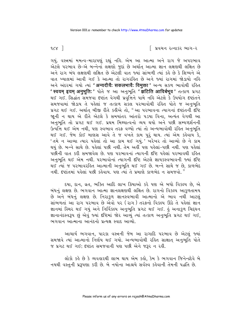િ પ્રવચન રત્નાકર ભાગ−ર

 $\alpha$ 

ગયું. વસ્ત્રમાં મમત્વ-મારાપણું રહ્યું નહિ. એમ આ આત્મા અને રાગ જે અપરભાવ એટલે પરભાવ છે-એ બન્નેનાં લક્ષણો જુદાં છે અર્થાત આત્મા જ્ઞાન લક્ષણથી લક્ષિત છે અને રાગ બંધ લક્ષણથી લક્ષિત છે એટલી વાત જ્યાં સાંભળી ત્યાં કહે છે કે શિષ્યને એ વાત ખ્યાલમાં આવી ગઈ કે આત્મા તો રાગરહિત છે અને જ્યાં રાગમાં જોડાયો નહિ અને અંદરમાં ગયો ત્યાં 'अन्यदीयै: सकलभावै: विमुक्ता ' અન્ય સકળ ભાવોથી રહિત 'स्वयम् इयम् अनुभूति: ' पोते ४ આ અનુભूति 'झटिति आविर्बभूव ' तत्क्षण प्रગट થઈ ગઈ. સિદ્ધાંત સમજવા દેખાંત વેગથી પ્રવૃત્તિને પામે નહિ એટલે કે ઉપયોગ દર્ખાતને સમજવામાં જોડાય તે પહેલાં જ તત્કાળ સંકલ પરભાવોથી રહિત પોતે જ અનુભુતિ પ્રગટ થઈ ગઈ. અર્થાત બીજી રીતે કહીએ તો, "આ પરભાવના ત્યાગનાં દર્ષ્ટાતની દૃષ્ટિ જાની ન થાય એ રીતે એટલે કે સમયાંતર આંતરો ૫ડયા વિના, અત્યંત વેગથી આ અનુભૂતિ તો પ્રગટ થઈ ગઈ. પ્રથમ મિથ્યાત્વનો વ્યય થયો અને પછી સમ્યગ્દર્શનની .<br>ઉત્પત્તિ થઈ એમ નથી, પણ સ્વભાવ તરફ વળ્યો ત્યાં તો અન્યભાવોથી રહિત અનુભતિ થઈ ગઈ. જેમ કોઈ માણસ આવે તે જ વખતે કામ પુરૂં થાય. ત્યાં એમ કહેવાય કે, 'તમે ન આવ્યા ત્યાર પહેલાં તો આ કામ થઈ ગયું.' ખરેખર તો આવ્યો છે ને કામ થયં છે. બન્ને સાથે છે. પહેલાં પછી નથી. તેમ અહીઁ પણ પહેલાં−પછી નથી. પણ પહેલાં પછીની વાત કરી સમજાવેલ છે. પણ પરભાવનાં ત્યાગની દૃષ્ટિ પહેલાં પરભાવથી રહિત અનુભૂતિ થઈ એમ નથી. પરભાવોનાં ત્યાગની દૃષ્ટિ એટલે જ્ઞાયકસ્વભાવની જ્યાં દૃષ્ટિ થઈ ત્યાં જ પરભાવરહિત આત્માની અનુભૂતિ થઈ ગઈ છે. બન્ને સાથે જ છે, કાળભેદ નથી. દૃષ્ટાંતમાં પહેલાં પછી કહેવાય. પણ ત્યાં તે પ્રમાણે કાળભેદ ન સમજવો. "

દયા, દાન, વ્રત, ભક્તિ આદિ લાખ ક્રિયાઓ કરે પણ એ બધો વિકલ્પ છે, એ બંધનું લક્ષણ છે. ભગવાન આત્મા જ્ઞાનલક્ષણથી લક્ષિત છે. રાગનો વિકલ્પ આકળતામય છે અને બંધનું લક્ષણ છે. નિરાકુળ જ્ઞાનસ્વભાવી આત્માનો એ ભાવ નથી આટલું સાંભળતાં આ રાગ પરભાવ છે એવો પર (રાગ) તરફનો વિકલ્પ ઊઠે તે પહેલાં જ્ઞાન જ્ઞાનમાં સ્થિર થઈ ગયું અને નિર્વિકલ્પ અનુભૂતિ પ્રગટ થઈ ગઈ. હું અનાકુળ ચિદ્ઘન જ્ઞાનાનંદસ્વરૂપ છું એવું જ્યાં દષ્ટિમાં જોર આવ્યું ત્યાં તત્કાળ અનુભૂતિ પ્રગટ થઈ ગઈ, ભગવાન આત્માના આનંદનો પ્રત્યક્ષ સ્વાદ આવ્યો.

આચાર્ય ભગવાન, પારકા વસ્ત્રની જેમ આ રાગાદિ પરભાવ છે એટલું જ્યાં સમજાવે ત્યાં આત્માનો નિર્ણય થઈ ગયો. અન્યભાવોથી રહિત સાક્ષાત અનુભૂતિ પોતે જ પ્રગટ થઈ ગઈ; દર્પ્ટાત સમજવાની પણ પછી એને જરૂર ન રહી.

લોકો કહે છે કે વ્યવહારથી લાભ થાય એમ કહો, કેમ કે ભગવાન જિનેન્દ્રદેવે બે નયથી વસ્તુની પ્રરૂપણા કરી છે. બે નયોના આશ્રયે સર્વસ્વ કહેવાની તેમની પદ્ધતિ છે.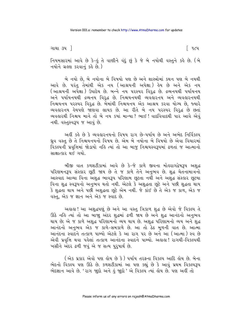ગાથા ૩૫ ]

િ૧૮૫

નિયમસારમાં આવે છે કે-હું તે વાણીને વંદું છું કે જે બે નયોથી વસ્તુને કહે છે. (બે નયોને ગ્રહણ કરવાનં કહે છે.)

બે નયો છે, બે નયોના બે વિષયો પણ છે અને શાસ્ત્રોમાં કથન પણ બે નયથી આવે છે. પરંતુ તેમાંથી એક નય (આશ્રયની અપેક્ષા) હેય છે અને એક નય (આશ્રયની અપેક્ષા) ઉપાદેય છે. બન્ને નય પરસ્પર વિરદ્ધ છે. દ્રવ્યનયથી પર્યાયનય અને પર્યાયનયથી દ્રવ્યનય વિરૃદ્ધ છે. નિશ્ચયનયથી વ્યવહારનય અને વ્યવહારનયથી નિશ્ચયનય ૫૨સ્પ૨ વિરૂદ્ધ છે. બેમાંથી નિશ્ચયનય એક આશ્રય કરવા યોગ્ય છે, જ્યારે વ્યવહારનય હેયપણે જાણવા લાયક છે. આ રીતે બે નય પરસ્પર વિરૂદ્ધ છે છતાં વ્યવહારથી નિશ્ચય માને તો બે નય કયાં માન્યા ? ભાઈ ! વાદવિવાદથી પાર આવે એવું નથી. વસ્તુસ્વરૂપ જ આવું છે.

અહીં કહે છે કે વ્યવહારનયનો વિષય રાગ છે–પર્યાય છે અને અભેદ નિર્વિકલ્પ ઘ્રુવ વસ્તુ છે તે નિશ્ચયનયનો વિષય છે. એમ બે નયોના બે વિષયો છે એવા વિચારમાં વિકલ્પની પ્રવૃત્તિમાં જોડાયો નહિ ત્યાં તો આ બાજુ નિશ્ચયસ્વરૂપમાં ઢળતાં જ આત્માનો સાક્ષાત્કાર થઈ ગયો.

બીજી વાત કળશટીકામાં આવે છે કે-જે કાળે જીવના મોહરાગદ્વેષરૂપ અશુદ્ધ પરિણમનરૂપ સંસ્કાર છૂટી જાય છે તે જ કાળે તેને અનુભવ છે. શુદ્ધ ચેતનામાત્રનો આસ્વાદ આવ્યા વિના અશુદ્ધ ભાવરૂપ પરિણામ છૂટતા નથી અને અશુદ્ધ સંસ્કાર છૂટયા વિના શુદ્ધ સ્વરૂપનો અનુભવ થતો નથી. એટલે કે અશુદ્ધતા છૂટે અને પછી શુદ્ધતા થાય કે શુદ્ધતા થાય અને પછી અશુદ્ધતા છૂટે એમ નથી. જે કાંઈ છે તે એક જ કાળ, એક જ વસ્તુ, એક જ જ્ઞાન અને એક જ સ્વાદ છે.

અહાહા! આ અશુદ્ધપણું છે અને આ વસ્તુ ત્રિકાળ શુદ્ધ છે એવો જે વિકલ્પ તે ઊઠે નહિ ત્યાં તો આ બાજા અંદર શુદ્ધમાં ઢળી જાય છે અને શુદ્ધ આનંદનો અનુભવ થાય છે; એ જ કાળે અશદ્ધ પરિણામનો વ્યય થાય છે. અશદ્ધ પરિણામનો વ્યય અને શદ્ધ આનંદનો અનુભવ એક જ કાળે-સમકાળે છે. આ તો ઠેઠ મળની વાત છે. આત્મા આનંદના સ્વાદને તત્કાળ પામ્યો એટલે કે આ રાગ ૫૨ છે અને આ (આત્મા) સ્વ છે એવી પ્રવૃત્તિ થવા પહેલાં તત્કાળ આનંદના સ્વાદને પામ્યો. અહાહા! રાગથી-વિકલ્પથી ખસીને અંદર ઢળી જવું એ જ સત્ય પુરૂષાર્થ છે.

(એક પ્રકાર એવો પણ લોય છે કે ) પર્યાય તરફના વિકલ્પ આદિ લોય છે. બેના ભેદનો વિકલ્પ પણ ઊઠે છે. કળશટીકામાં આ પણ કહ્યું છે કે આવું પ્રથમ વિકલ્પરૂપ ભેદજ્ઞાન આવે છે. 'રાગ જાૂદો અને કું જાૂદો ' એ વિકલ્પ ત્યાં કોય છે. પણ અહીં તો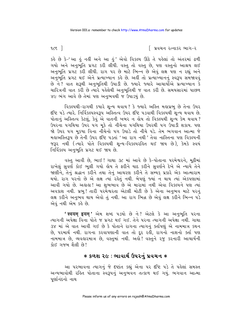$\epsilon$  1

િ પ્રવચન રત્નાકર ભાગ−ર

કહે છે કે-'આ હું નહીં અને આ હું' એવો વિકલ્પ ઊઠે તે પહેલાં તો અંતરમાં ઢળી ગયો અને અનુભૂતિ પ્રગટ કરી લીધી. વસ્તુ તો વસ્તુ છે, પણ વસ્તુનો આશ્રય લઈ અનુભૂતિ પ્રગટ કરી લીધી. રાગ ૫૨ છે માટે ભિન્ન છે એવું લક્ષ પણ ન રહ્યું અને અનુભૂતિ પ્રગટ થઈ એને પ્રત્યાખ્યાન કહે છે. અહીં તો પ્રત્યાખ્યાનનું સ્વરૂપ સમજાવવું છે ને? વાત શરૂથી અનુભુતિથી ઉપાડી છે. જ્યારે જ્યારે આચાર્યોએ પ્રત્યાખ્યાન કે ચારિત્રની વાત કરી છે ત્યારે પહેલેથી અનભતિથી જ વાત કરી છે. સમયસારમાં પાછળ ૪૯ ભંગ આવે છે તેમાં પણ અનભવથી જ ઉપાડયં છે.

વિકલ્પથી-રાગથી કયારે શુન્ય થવાય? કે જ્યારે અસ્તિ મહાપ્રભુ છે તેના ઉપર દૃષ્ટિ પડે ત્યારે. નિર્વિકલ્પસ્વરૂપ અસ્તિત્વ ઉપર દૃષ્ટિ પડવાથી વિકલ્પથી શુન્ય થવાય છે. પોતાનું અસ્તિત્વ કેટલું, કેવું એ વાતની ખબર ન હોય તો વિકલ્પથી શુન્ય કેમ થવાય ? ઉપરના પગથિયા ઉપર પગ મકે તો નીચેના પગથિયા ઉપરથી પગ ઉપાડી શકાય. પણ જો ઉપર પગ મકયા વિના નોચેનો પગ ઉપાડે તો નીચે પડે. તેમ ભગવાન આત્મા જે મહાઅસ્તિરૂપ છે તેની ઉપર દષ્ટિ પડતાં 'આ રાગ નથી ' તેવા નાસ્તિના પણ વિકલ્પની જરૂર નથી (ત્યારે પોતે વિકલ્પથી શન્ય-વિકલ્પરહિત થઈ જાય છે), કેમકે સ્વયં નિર્વિકલ્પ અનુભૂતિ પ્રગટ થઈ જાય છે.

વસ્તુ આવી છે. ભાઈ ! ગાથા ૩૮ માં આવે છે કે-પોતાના પરમેશ્વરને. મૂઠીમાં રાખેલું સુવર્ણ કોઈ ભુલી ગયો હોય તે ફરીને યાદ કરીને સુવર્ણને દેખે એ ન્યાયે તેને જાણીને, તેનું શ્રદ્ધાન કરીને તથા તેનું આચરણ કરીને તે સમ્યક પ્રકારે એક આત્મારામ થયો. રાગ પરનો છે એ લક્ષ ત્યાં રહેતું નથી. બેપણું જ્યાં ન થાય ત્યાં એકપણામાં આવી ગયો છે. અહાહા! આ શુભભાવ છે એ મારામાં નથી એવા વિકલ્પને પણ ત્યાં અવકાશ નથી. પ્રભુ! તારી પરમેશ્વરતા એટલી મોટી છે કે એના અનુભવ માટે પરનું લક્ષ કરીને અનુભવ થાય એવો તું નથી. આ રાગ ભિન્ન છે એવું લક્ષ કરીને ભિન્ન પડે એવં નથી એમ કહે છે.

**' स्वयम् इयम्'** એમ શબ્દ ૫ડયો છે ને? એટલે કે આ અનુભૂતિ ૫૨ના ત્યાગની અપેક્ષા વિના પોતે જ પ્રગટ થઈ ગઈ. તેને પરના ત્યાગની અપેક્ષા નથી. ગાથા ૩૪ માં એ વાત આવી ગઈ છે કે પોતાને રાગના ત્યાગનું ક્તપિણું એ નામમાત્ર કથન છે, પરમાર્થ નથી. રાગના કરવાપણાની વાત તો દૂર રહી, રાગનો નાશનો ક્તા પણ નામમાત્ર છે, વ્યવહારમાત્ર છે, વસ્તુમાં નથી. અહો! વસ્તુને રજૂ કરનારી આચાર્યની કોઈ ગજબ શૈલી છે!

## **∗ કળશ ૨૯ : ભાવાર્થ ઉપરનું પ્રવચન** ∗

આ પરભાવના ત્યાગનું જે દષ્ટાંત કહ્યું એના પર દષ્ટિ પડે તે પહેલાં સમસ્ત અન્યભાવોથી રહિત પોતાના સ્વરૂપનું અનુભવન તત્કાળ થઈ ગયું. ભગવાન આત્મા પર્ણાનંદનો નાથ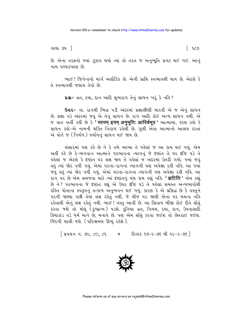ગાથા ૩૫ ી

િ ૧૮૭

છે. એના તરફનો જ્યાં જ઼ુકાવ થયો ત્યાં તો તરત જ અનુભૂતિ પ્રગટ થઈ ગઈ. આનું નામ પચ્ચકખાણ છે.

ભાઈ ! જિનેન્દ્રનો માર્ગ અલૌકિક છે. એની પ્રાપ્તિ સ્વભાવથી થાય છે. એટલે કે તે સ્વભાવથી જણાય તેવો છે.

પ્રશ્ન:- વ્રત, દયા, દાન આદિ શુભરાગ તેનું સાધન ખરું કે નહિ?

**ઉત્તરઃ-** ના. રાગથી ભિન્ન ૫ડી અંદરમાં પ્રજ્ઞાછીણી મારવી એ જ એનું સાધન છે. પ્રજ્ઞા વડે અંદરમાં જવું એ તેનું સાધન છે. રાગ આદિ કોઈ અન્ય સાધન નથી. એ જ વાત અહીં કહી છે કે ' स्वयम् इयम् अनुभूति: आविर्बभुव ' આત્મામાં, કરણ કહો કે સાધન કહો-એ નામની શક્તિ ત્રિકાળ રહેલી છે. ગુણી એવા આત્માનો આશ્રય કરતાં એ પોતે જ (નિર્મળ) પર્યાયનું સાધન થઈ જાય છે.

સંસારમાં પણ કહે છે ને કે તમે આવ્યા તે પહેલાં જ આ કામ થઈ ગયું. એમ અહીં કહે છે કે-ભગવાન આત્માને પરભાવના ત્યાગનું જે દષ્ટાંત તે ૫૨ દષ્ટિ ૫ડે તે પહેલાં જ એટલે કે દૃષ્ટાંત પર લક્ષ જાય તે પહેલાં જ અંદરમાં ઉતરી ગયો. જ્યાં જવું લ્તું ત્યાં જોર વધી ગયું. એમાં પરના−રાગના ત્યાગની પણ અપેક્ષા રહી નહિ. આ જ્યાં જવું હતું ત્યાં જોર વધી ગયું. એમાં પરના-રાગના ત્યાગની પણ અપેક્ષા રહી નહિ. આ રાગ ૫૨ છે એમ સમજવા માટે ત્યાં દષ્ટાંતનું ૫ણ કામ રહ્યું નહિ. ' **झटिति'** એમ કહ્યું છે ને? પરભાવના જે દષ્ટાંત કહ્યું એ ઉપર દષ્ટિ પડે તે પહેલાં સમસ્ત અન્યભાવોથી રહિત પોતાના સ્વરૂપનું તત્કાળ અનુભવન થઈ ગયું. કારણ કે એ પ્રસિદ્ધ છે કે વસ્તુને પરની જાણ્યા પછી તેમાં લક્ષ રહેતું નથી. જે ચીજ પર જાણી એના પર મમત્વ નહિ રહેવાથી એનું લક્ષ રહેતું નથી. ભાઈ ! વસ્તુ આવી છે. આ સિવાય બીજી કોઈ રીતે સોંઘું કરવા જશે તો મોઘું (દુષ્પ્રાપ્ય) ૫ડશે. દુનિયા વ્રત, નિયમ, દયા, દાન, ઉપવાસાદિ ક્રિયાકાંડ વડે ધર્મ માને છે. મનાવે છે. પણ એમ સોંઘું કરવા જઈશ તો છેતરાઈ જઈશ. જિંદગી ચાલી જશે. (પરિભ્રમણ ઊભું રહેશે).

[ प्रवयन नं. ७८, ८०, ८१. \* [ दिनांड १७-२-७६ थी १८-२-७६ ]

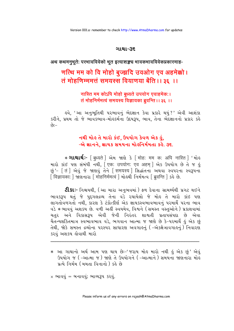### ગાથા-૩૬

### अथ कथमनुभूतेः परभावविवेको भूत इत्याशङ्कच भावकभावविवेकप्रकारमाह-

# णत्थि मम को वि मोहो बुज्झदि उवओग एव अहमेक्को। तं मोहणिम्ममत्तं समयस्स वियाणया बेंति ।। ३६ ।।

## नास्ति मम कोऽपि मोहो बृध्यते उपयोग एवाहमेक:। तं मोहनिर्ममत्वं समयस्य विज्ञायका ब्रुवन्ति ।। ३६ ।।

હવે, 'આ અનુભૂતિથી પરભાવનું ભેદજ્ઞાન કેવા પ્રકારે થયું?' એવી આશંકા કરીને, પ્રથમ તો જે ભાવકભાવ-મોહકર્મના ઉદયરૂપ, ભાવ, તેના ભેદજ્ઞાનનો પ્રકાર કહે  $-29$ 

## નથી મોહ તે મારો કંઈ. ઉપયોગ કેવળ એક હું. -એ જ્ઞાનને, જ્ઞાયક સમયના મોહનિર્મમતા કહે. ૩૬.

\* **ગાથાર્થ:**- [ बध्यते ] એમ જાણે કે [ मोह: मम क: अपि नास्ति ] ' મોહ मारो डांઈ पण संબंधी नथी, [एक: उपयोग: एव अहम् ] એક ઉપયોગ છે તે જ હું છું' - [तं] એવું જે જાણવું તેને [ समयस्य ] સિદ્ધાંતના અથવા સ્વપરના સ્વરૂપના 

**ટીકાઃ-** નિશ્ચયથી, (આ મારા અનુભવમાં) ફળ દેવાના સામર્થ્યથી પ્રગટ થઈને ભાવકરૂપ થતું જે પુદ્દગલદ્રવ્ય તેના વડે રચાયેલો જે મોહ તે મારો કાંઇ પણ લાગતોવળગતો નથી, કારણ કે ટંકોત્કીર્ણ એક જ્ઞાયકસ્વભાવભાવનું પરમાર્થે પરના ભાવ વડે \* ભાવવું અશકય છે. વળી અહીં સ્વયમેવ, વિશ્વને (સમસ્ત વસ્તુઓને) પ્રકાશવામાં ચતર અને વિકાસરૂપ એવી જેની નિરંતર શાશ્વતી પ્રતાપસંપદા છે એવા ચૈતન્યશકિતમાત્ર સ્વભાવભાવ વડે, ભગવાન આત્મા જ જાણે છે કે-પરમાર્થે કું એક છું તેથી, જોકે સમસ્ત દ્રવ્યોના ૫૨સ્પર સાધારણ અવગાહનું ( -એકક્ષેત્રાવગાહનું) નિવારણ કરવું અશકય હોવાથી મારો

\* આ ગાથાનો અર્થ આમ પણ થાય છેઃ-'જરાય મોહ મારો નથી હું એક છું' એવું ઉપયોગ જ ( –આત્મા જ ) જાણે તે ઉપયોગને ( –આત્માને ) સમયના જાણનારા મોહ પ્રત્યે નિર્મમ (મમતા વિનાનો) કહે છે

 $\times$  ભાવવું = બનાવવું; ભાવ્યરૂપ કરવું.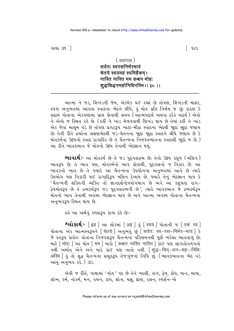ગાથા ૩૬ <del>]</del>

( स्वागता ) सर्वत: स्वरसनिर्भरभावं चेतये स्वयमहं स्वमिहैकम। नास्ति नास्ति मम कश्चन मोह: शद्धचिद्धनमहोनिधिरस्मि ।। ३० ।।

આત્મા ને જડ, શિખંડની જેમ, એકમેક થઈ રહ્યાં છે તોપણ, શિખંડની માફક, સ્પષ્ટ અનુભવમાં આવતા સ્વાદના ભેદને લીધે, કું મોક પ્રતિ નિર્મમ જ છું; કારણ કે સદાય પોતાના એકપણામાં પ્રાપ્ત લેવાથી સમય (આત્મપદાર્થ અથવા દરેક પદાર્થ) એવો ને એવો જ સ્થિત રહે છે. (દર્હી ને ખાંડ મેળવવાથી શિખંડ થાય છે તેમાં દર્હી ને ખાંડ એક જેવાં માલમ પડે છે તોપણ પ્રગટરૂપ ખાટા-મીઠા સ્વાદના ભેદથી જાદાં જાદાં જણાય છે; તેવી રીતે દ્રવ્યોના લક્ષણભેદથી જડ-ચેતનના જાુદા જાુદા સ્વાદને લીધે જણાય છે કે મોહકર્મના ઉદયનો સ્વાદ રાગાદિક છે તે ચૈતન્યના નિજસ્વભાવના સ્વાદથી જાદો જ છે.) આ રીતે ભાવકભાવ જે મોહનો ઉદય તેનાથી ભેદજ્ઞાન થયં.

**ભાવાર્થઃ**- આ મોલ્ર્કર્મ છે તે જડ પુદ્દગલદ્રવ્ય છે; તેનો ઉદય કલુષ (મલિન*)* ભાવરૂપ છે; તે ભાવ પણ, મોહકર્મનો ભાવ હોવાથી, પુદ્દગલનો જ વિકાર છે. આ ભાવકનો ભાવ છે તે જ્યારે આ ચૈતન્યના ઉપયોગના અનુભવમાં આવે છે ત્યારે ઉપયોગ પણ વિકારી થઈ રાગાદિરૂપ મલિન દેખાય છે. જ્યારે તેનું ભેદજ્ઞાન થાય કે 'ચૈતન્યની શક્તિની વ્યક્તિ તો જ્ઞાનદર્શનોપયોગમાત્ર છે અને આ કલુષતા રાગ-દ્વેષમોહરૂપ છે તે દ્રવ્યકર્મરૂપ જડ પુદ્દગલદ્રવ્યની છે', ત્યારે ભાવકભાવ જે દ્રવ્યકર્મરૂપ મોહનો ભાવ તેનાથી અવશ્ય ભેદજ્ઞાન થાય છે અને આત્મા અવશ્ય પોતાના ચૈતન્યના અનુભવરૂપ સ્થિત થાય છે.

ઙવે આ અર્થનું કળશરૂપ કાવ્ય કહે છેઃ−

श्लोशर्थः- [इह ] આ લોકમાં [अहं ] હું [ स्वयं ] પોતાની જ [ एकं स्वं ] पोताना એક આત્મસ્વરૂપને [चेतये ] અનુભવું છું [ सर्वत: स्व-रस-निर्भर-भावं ] કે જે સ્વરૂપ સર્વતઃ પોતાના નિજરસરૂપ ચૈતન્યના પરિણમનથી પૂર્ણ ભરેલા ભાવવાળું છે; माटे | मोह: | આ મોહ | मम | મારો | कश्चन नास्ति नास्ति | કાંઈ પણ લાગતોવળગતો नथी અर्थात એને અને મારે કાંઈ પણ નાતો નથી. | शद्ध-चिद-घन-मह:-निधि: अस्मि | હું તો શુદ્ધ ચૈતન્યના સમુહરૂપ તેજઃપુંજનો નિધિ છું. (ભાવકભાવના ભેદ વડે આવું અનુભવ કરે. ) ૩૦.

એવી જ રીતે, ગાથામાં 'મોહ ' પદ છે તેને બદલી, રાગ, દ્વેષ, ક્રોધ, માન, માયા, લોભ, કર્મ, નોકર્મ, મન, વચન, કાય, શ્રોત્ર, ચક્ષુ, ઘ્રાણ, રસન, સ્પર્શન-એ

િવ૮૯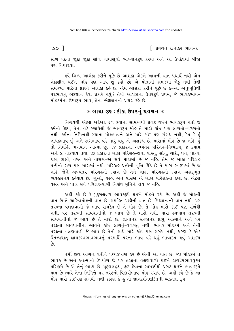∣િ પ્રવચન રત્નાકર ભાગ−ર

સોળ પદનાં જાુદાં જાુદાં સોળ ગાથાસૂત્રો વ્યાખ્યાનરૂપ કરવાં અને આ ઉપદેશથી બીજાં <u>पण विथारवां</u>

ઙ્વે શિષ્ય આશંકા કરીને પુછે છે–આશંકા એટલે આપની વાત યથાર્થ નથી એમ શંકાશીલ થઈને નહિ પણ આપ શું કહો છો એ પોતાની સમજમાં બેઠું નથી તેથી સમજવા માટેના પ્રશ્નને આશંકા કર્લ છે. એમ આશંકા કરીને પૂછે છે કે-આ અનુભૂતિથી પરભાવનું ભેદજ્ઞાન કેવા પ્રકારે થયું? તેવી આશંકાના ઉત્તરરૂપે પ્રથમ, જે ભાવકભાવ-મોહકર્મના ઉદયરૂપ ભાવ. તેના ભેદજ્ઞાનનો પ્રકાર કહે છે.

### $*$  ગાથા ૩૬ : ટીકા ઉપરનું પ્રવચન  $*$

નિશ્ચયથી એટલે ખરેખર ફળ દેવાના સામર્થ્યથી પ્રગટ થઈને ભાવકરૂપ થતો જે કર્મનો ઉદય, તેના વડે રચાયેલો જે ભાવ્યરૂપ મોહ તે મારો કાંઈ પણ લાગતો-વળગતો નથી. કર્મના નિમિત્તથી રચાતા મોહભાવને અને મારે કાંઈ પણ સંબંધ નથી, કેમ કે હું જ્ઞાયકભાવ છું અને રાગભાવ વડે મારૂં થવું એ અશકય છે. મારામાં મોલ છે જ નહિ. હું તો નિર્મોહી ભગવાન આત્મા છું. ૧૪ પ્રકારના અભ્યંતર પરિગ્રહ-મિથ્યાત્વ, ૪ કપાય અને ૯ નોકપાય તથા ૧૦ પ્રકારના બાહ્ય પરિગ્રહ-ક્ષેત્ર, વાસ્તુ, સોનું, ચાંદી, ધન, ધાન્ય, દાસ, દાસી, વસ્ત્ર અને વાસણ-એ સર્વ મારામાં છે જ નહિ. તેમ જ બાહ્ય પરિગ્રહ પ્રત્યેનો રાગ પણ મારામાં નથી. પરિગ્રહ પ્રત્યેની વૃત્તિ ઊઠે છે તે મારા સ્વરૂપમાં છે જ નહિ. જેને અભ્યંતર પરિગ્રહનો ત્યાગ છે તેને બાહ્ય પરિગ્રહનો ત્યાગ અસદભુત વ્યવહારનયે કહેવાય છે. જાૂઓ, વસ્ત્ર અને વાસણ એ બાહ્ય પરિગ્રહમાં કહ્યાં છે. એટલે વસ્ત્ર અને પાત્ર સર્વ પરિગ્રેલ્લ્યાગી નિર્ગ્રંથ મુનિને લેય જ નહિ.

અહીં કહે છે કે પુદ્દગલદ્રવ્ય ભાવકરૂપે થઈને મોહને રચે છે. અહીં જે મોહની વાત છે તે ચારિત્રમોહની વાત છે. સમક્તિ પછીની વાત છે, મિથ્યાત્વની વાત નથી. ૫૨ તરફના વલણવાળો જે ભાવ-રાગદ્વેષ છે તે મોહ છે. તે મોહ મારો કાંઈ પણ સંબંધી નથી. ૫૨ તરફની સાવધાનીનો જે ભાવ છે તે મારો નથી. મારા સ્વભાવ તરફની સાવધાનીનો જે ભાવ છે તે મારો છે. જ્ઞાનાનંદ સહજાનંદ પ્રભુ આત્માને અને પર તરફના સાવધાનીના ભાવને કાંઈ લાગતું-વળગતું નથી. ભાવક મોહકર્મ અને તેની તરફના વલણવાળો જે ભાવ છે તેની સાથે મારે કાંઈ પણ સંબંધ નથી, કારણ કે એક ચૈતન્યધાતુ જ્ઞાયકસ્વભાવભાવનું પરમાર્થે ૫૨ના ભાવ વડે થવું-ભાવ્યરૂપ થવું અશકય  $\hat{g}$ 

ધર્મી જીવ આગળ વધીને પચ્ચકખાણ કરે છે એની આ વાત છે. જડ મોહુકર્મ તે ભાવક છે અને આત્માનો ઉપયોગ જે પર તરફના વલણવાળો થઈને રાગદ્વેષભાવયુક્ત પરિણમે છે એ તેનું ભાવ્ય છે. પુદ્દગલદ્રવ્ય, ફળ દેવાના સામર્થ્યથી પ્રગટ થઈને ભાવકરૂપે થાય છે ત્યારે તેના નિમિત્તે ૫૨ તરફનો વિકારીભાવ-મોહ રચાય છે. અહીં કહે છે કે આ મોહ મારો કાંઈપણ સંબંધી નથી કારણ કે હું તો જ્ઞાનદર્શનશક્તિની વ્યક્તતા રૂપ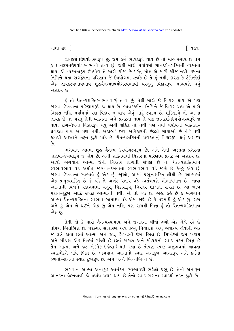ગાથા ૩૬ <del>]</del>

જ્ઞાનદર્શનઉપયોગસ્વરૂપ છું. જેમ કર્મ ભાવકરૂપે થાય છે તો મોહ રચાય છે તેમ કું જ્ઞાનદર્શનઉપયોગસ્વભાવી તત્ત્વ છું, જેથી મારી પર્યાયમાં જ્ઞાનદર્શનશક્તિની વ્યક્તતા નિમિત્તે થતા રાગદેષના પરિણામ જે ઉપયોગમાં ઝળકે છે તે કું નથી, કારણ કે ટંકોત્કીર્ણ એક જ્ઞાયકસ્વભાવભાવ શુદ્ધચૈતન્યઉપયોગસ્વભાવી વસ્તુનું વિકારરૂપ ભાવ્યપણે થવું એ પ્રદેશ છે

કું તો ચૈતન્યશક્તિસ્વભાવવાળું તત્ત્વ છું. તેથી મારો જે વિકાસ થાય એ પણ જાણવા–દેખવાના પરિણામરૂપે જ થાય છે. ભાવકકર્મના નિમિત્તે જે વિકાર થાય એ મારો જ્ઞાયક છે જ. પરંત તેથી વ્યક્તતા અને પ્રગટતા થાય તે પણ જ્ઞાનદર્શનઉપયોગસ્વરૂપે જ થાય. રાગ−દ્વેષના વિકારરૂપે થવું એવી શક્તિ તો નથી પણ તેવી પર્યાયની વ્યક્તતા− પ્રગટતા થાય એ પણ નથી. અહાહા! જીવ અધિકારની છેલ્લી ગાથાઓ છે ને? તેથી જીવથી અજીવને તદન જદો પાડે છે. ચૈતન્યશક્તિની પ્રગટતાનં વિકારરૂપ થવં અશકય  $\hat{\rho}_3$ 

ભગવાન આત્મા શદ્ધ ચૈતન્ય ઉપયોગસ્વરૂપ છે. અને તેની વ્યક્તતા-પ્રગટતા જાણવા-દેખવારૂપે જ લેય છે. એની શક્તિમાંથી વિકારના પરિણામ પ્રગટે એ અશકય છે. આવો ભગવાન આત્મા જેની નિરંતર શાશતી સંપદા છે તે. ચૈતન્યશક્તિમાત્ર સ્વભાવભાવ વડે અર્થાત્ જાણવા-દેખવાના સ્વભાવભાવ વડે જાણ છે કે-હું એક છું. જાણવા-દેખવાના સ્વભાવે કું એક છું. જાઓ, આમાં પ્રભુત્વશક્તિ લીધી છે. આત્મામાં એક પ્રભત્વશક્તિ છે જે વડે તે અખંડ પ્રતાપ વડે સ્વતંત્રપણે શોભાયમાન છે. આવા આત્માની વિશ્વને પ્રકાશવામાં ચતુર, વિકાસરૂપ, નિરંતર શાશ્વતી સંપદા છે. આ બાહ્ય મકાન-કુટુંબ આદિ સંપદા આત્માની નથી, એ તો જડ છે. અહીં કહે છે કે ભગવાન આત્મા ચૈતન્યશક્તિના સ્વભાવ-સામાર્થ્ય વડે એમ જાણે છે કે પરમાર્થે હું એક છું. રાગ અને ઙું એમ બે થઈને એક છું એમ નઙિ, પણ રાગથી ભિન્ન ઙું તો ચૈતન્યશક્તિમાત્ર એક છં.

તેથી જો કે મારો ચૈતન્યસ્વભાવ અને જગતનાં બીજાં દ્રવ્યો એક ક્ષેત્રે રહે છે તોપણ ભિન્નભિન્ન છે. ૫૨સ્પર સાધારણ અવગાહનું નિવારણ કરવું અશકય હોવાથી એક જ ક્ષેત્રે હોવા છતાં આત્મા અને જડ, શિખંડની જેમ, ભિન્ન છે. શિખંડમાં જેમ ખટાશ અને મીઠાશ એક ક્ષેત્રમાં રહેલી છે છતાં ખટાશ અને મીઠાશનો સ્વાદ તદન ભિન્ન છે તેમ આત્મા અને જડ એકમેક (જેવા) થઈ રહ્યા છે તોપણ સ્પષ્ટ અનુભવમાં આવતા સ્વાદભેદને લીધે ભિન્ન છે. ભગવાન આત્માનો સ્વાદ અનાકળ આનંદરૂપ અને કર્મના ફળનો-રાગનો સ્વાદ દઃખરૂપ છે. એમ બન્ને ભિન્નભિન્ન છે.

ભગવાન આત્મા અનાકુળ આનંદના સ્વભાવથી ભરેલો પ્રભુ છે. તેની અનાકુળ આનંદના વેદનવાળી જે પર્યાય પ્રગટ થાય છે તેનો સ્વાદ રાગના સ્વાદથી તદ્દન જુદો છે.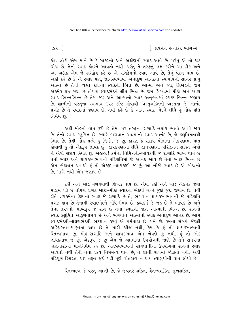િ પ્રવચન રત્નાકર ભાગ−ર

૧૯૨ ી

કોઈ લોકો એમ માને છે કે સાકરનો અને અફીણનો સ્વાદ આવે છે. પરંતુ એ તો જડ ચીજ છે. તેનો સ્વાદ કોઈને આવતો નથી. પરંતુ તે તરફનું લક્ષ કરીને આ ઠીક અને આ અઠીક એમ જે રાગદ્વેષ કરે છે એ રાગદ્વેષનો સ્વાદ આવે છે, તેનું વેદન થાય છે. અહીં કહે છે કે એ સ્વાદ પણ, જ્ઞાનસ્વભાવી અનાકુળ આનંદના સ્વભાવનો સાગર પ્રભુ આત્મા છે તેની વ્યક્ત દશાના સ્વાદથી ભિન્ન છે. આત્મા અને જડ, શિખંડની જેમ એકમેક થઈ રહ્યા છે તોપણ સ્વાદભેદને લીધે ભિન્ન છે. જેમ શિખંડમાં મીઠો અને ખાટો સ્વાદ ભિન્નભિન્ન છે તેમ જડ અને આત્માનો સ્વાદ અનુભવમાં સ્પષ્ટ ભિન્ન જણાય છે. જ્ઞાનીની વસ્તુના સ્વભાવ ઉપર દષ્ટિ હોવાથી, વસ્તુશક્તિની વ્યક્તતા જે આનંદ પ્રગટે છે તે સ્વાદમાં જણાય છે. તેથી કહે છે કે-આમ સ્વાદ ભેદને લીધે હું મોહ પ્રતિ નિર્મમ છં.

અહીં મોહની વાત કરી છે તેમાં ૫૨ ત૨ફના રાગાદિ બધાય ભાવો આવી જાય છે. તેનો સ્વાદ કલુષિત છે, જ્યારે ભગવાન આત્માનો સ્વાદ આનંદ છે, જે કલુષિતતાથી ભિન્ન છે. તેથી મોહ પ્રત્યે હું નિર્મમ જ છું. કારણ કે સદાય પોતાના એકપણામાં પ્રાપ્ત <u>હોવાથી હું તો એકરૂપ જ્ઞાયક છું. જ્ઞાયકપણાના લીધે જ્ઞાનપણાના પરિણમન સહિત એવો</u> ને એવો સદાય સ્થિત છું. અહાહા ! કર્મના નિમિત્તથી-ભાવકથી જે રાગાદિ ભાવ્ય થાય છે તેનો સ્વાદ અને જ્ઞાયકસ્વભાવની પરિણતિમાં જે આનંદ આવે છે તેનો સ્વાદ ભિન્ન છે એમ ભેદજ્ઞાન થવાથી કું તો એકરૂપ-જ્ઞાયકરૂપે જ છું. આ બીજો સ્વાદ છે એ બીજાનો છે. મારો નથી એમ જણાય છે.

દહીં અને ખાંડ મેળવવાથી શિખંડ થાય છે. એમાં દહીં અને ખાંડ એકમેક જેવાં માલુમ પડે છે તોપણ પ્રગટ ખાટા-મીઠા સ્વાદના ભેદથી બન્ને જુદાં જુદાં જણાય છે. તેવી रीते द्रव्य प्रमीना उद्दयनो स्वाद ४े रागाहि छे ते, लगवान ज्ञायंडस्वलावनी ४े परिशति પ્રગટ થાય છે તેનાથી સ્વાદભેદને લીધે ભિન્ન છે. દ્રવ્યકર્મ જે જડ છે તે ભાવક છે અને તેના તરફનો ભાવ્યરૂપ જે રાગ છે તેના સ્વાદની જાત આત્માથી ભિન્ન છે. રાગનો સ્વાદ કલુષિત આકુળતામય છે અને ભગવાન આત્માનો સ્વાદ અનાકુળ આનંદ છે. આમ સ્વાદભેદથી-લક્ષણભેદથી ભેદજ્ઞાન કરવું એ ધર્મધારા છે, ધર્મ છે. કર્મના સંબંધે જેટલી અસ્થિરતા-વ્યાકુળતા થાય છે તે મારી ચીજ નથી, કેમ કે હું તો જ્ઞાયકસ્વભાવી ચૈતન્યમાત્ર છું. મોલ્ર-રાગાદિ અને જ્ઞાયકભાવ એમ બેપણે હું નથી. હું તો એક જ્ઞાયકમાત્ર જ<sup>ે</sup>છું, એકરૂપ જ છું એમ જે આત્માના ઉપયોગથી જાણે છે તેને સમયના જાણનારાઓ મોલુનિર્મમ કહે છે. અંતઃસ્વભાવની સાવધાનીના ઉપયોગમાં રાગનો સ્વાદ આવતો નથી તેથી તેના પ્રત્યે નિર્મમત્વ થાય છે. તે જ્ઞાની રાગમાં જોડાતો નથી. અહીં પરિપૂર્ણ સ્થિરતા થઈ તદ્દન જુદો પડી પૂર્ણ વીતરાગ ન થાય ત્યાંસુધીની વાત લીધી છે.

ચૈતન્યદળ જે વસ્તુ આખી છે. જે જીવતર શક્તિ, ચૈતન્યશક્તિ, સુખશક્તિ,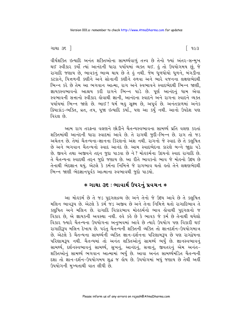ગાથા ૩૬ <del>]</del>

વીર્યશક્તિ ઇત્યાદિ અનંત શક્તિઓના સામર્થ્યવાળું તત્ત્વ છે તેનો જ્યાં અંતર-સન્મુખ થઈ સ્વીકાર કર્યો ત્યાં આનંદની ધારા પર્યાયમાં વ્યક્ત થઈ. કું તો ઉપયોગમય છું, જે રાગાદિ જણાય છે, ભાવકનું ભાવ્ય થાય છે તે હું નથી. જેમ ઘુળધોયો ધુળને, બંગડીના કટકાને. પિત્તળની કણીને અને સોનાની કણીને હળવા અને ભારે વજનના લક્ષણભેદથી ભિન્ન કરે છે તેમ આ ભગવાન આત્મા, રાગ અને સ્વભાવને સ્વાદભેદથી ભિન્ન જાણી, જ્ઞાયકસ્વભાવનો આશ્રય કરી રાગને ભિન્ન પાડે છે. પૂર્ણ આનંદનું ધામ એવા સ્વભાવની સત્તાનો સ્વીકાર હોવાથી જ્ઞાની, આનંદના સ્વાદને અને રાગના સ્વાદને વ્યક્ત પર્યાયમાં ભિન્ન જાણે છે. ભાઈ! ધર્મ બહુ સૂક્ષ્મ છે, અપૂર્વ છે. અનંતકાળમાં અનેક ક્રિયાકાંડ-ભક્તિ, વ્રત, તપ, પુજા ઇત્યાદિ કર્યાં., પણ આ કર્યું નથી. આનો ઉપદેશ પણ વિરલ છે

આમ રાગ તરફના વલણને છોડીને ચૈતન્યસ્વભાવના સામર્થ્ય પ્રતિ વલણ કરતાં શક્તિમાંથી આનંદની ધારા સ્વાદમાં આવે છે. તે રાગથી જુદી-ભિન્ન છે. રાગ તો જડ અચેતન છે. તેમાં ચૈતન્યના-જ્ઞાનના કિરણનો અંશ નથી. રાગનો જે સ્વાદ છે તે કલુષિત છે અને ભગવાન ચૈતન્યનો સ્વાદ આનંદ છે. આમ સ્વાદભેદના કારણે બન્ને જાુદા ૫ડે છે. જીવને તથા અજીવને તદ્દન જુદા પાડવા છે ને ? મોહકર્મના ઉદયનો સ્વાદ રાગાદિ છે. તે ચૈતન્યના સ્વાદથી તદ્દન જુદો જણાય છે. આ રીતે ભાવકનો ભાવ જે મોહનો ઉદય છે તેનાથી ભેદજ્ઞાન થયું. એટલે કે કર્મના નિમિત્તે જે રાગભાવ થતો હતો તેને લક્ષણભેદથી ભિન્ન જાણી ભેદજ્ઞાનપૂર્વક આત્માના સ્વભાવથી જુદો પાડયો.

## **∗ ગાથા ૩૬ : ભાવાર્થ ઉપરનું પ્રવચન ∗**

આ મોહકર્મ છે તે જડ પુદ્દગલદ્રવ્ય છે; અને તેનો જે ઉદય આવે છે તે કલુષિત મલિન ભાવરૂપ છે. એટલે કે કર્મ જડ અજીવ છે અને તેના નિમિત્તે થતો રાગાદિભાવ તે કલુષિત અને મલિન છે. રાગાદિ વિકારભાવ મોહકર્મનો ભાવ હોવાથી પુદગલનો જ વિકાર છે, એ જ્ઞાયકની અવસ્થા નથી. હવે કહે છે કે ભાવક જે કર્મ છે તેનાથી થયેલો વિકાર જ્યારે ચૈતન્યના ઉપયોગના અનુભવમાં આવે છે ત્યારે ઉપયોગ પણ વિકારી થઈ રાગાદિરૂપ મલિન દેખાય છે. પરંતુ ચૈતન્યની શક્તિની વ્યક્તિ તો જ્ઞાનદર્શન-ઉપયોગમાત્ર છે. એટલે કે ચૈતન્યના સામર્થ્યની વ્યક્તિ જ્ઞાન-દર્શનના પરિણામરૂપ છે પણ રાગદ્વેષના પરિણામરૂપ નથી. ચૈતન્યમાં તો અનંત શક્તિઓનું સામર્થ્ય ભર્યું છે. જ્ઞાનસ્વભાવનું સામર્થ્ય, દર્શનસ્વભાવનું સામર્થ્ય, સુખનું, આનંદનું, સત્તાનું, જીવંતરનું એમ અનંત-શક્તિઓનું સામર્થ્ય ભગવાન આત્મામાં ભર્યું છે. આવા અનંત સામર્થ્યમંડિત ચૈતન્યની દશા તો જ્ઞાન-દર્શન-ઉપયોગમય શુદ્ધ જ લેય છે. ઉપયોગમાં બધું જણાય છે તેથી અહીં ઉપયોગની મુખ્યતાથી વાત લીધી છે.

િ ૧૯૩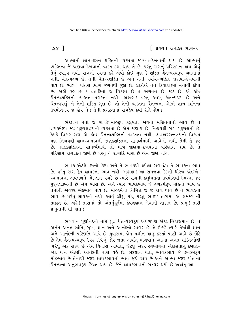$968$ ]

િ પ્રવચન રત્નાકર ભાગ−ર

આત્માની જ્ઞાન-દર્શન શક્તિની વ્યક્તતા જાણવા-દેખવાની થાય છે. આત્માનું વ્યક્તિત્વ જે જાણવા-દેખવાની વ્યક્ત દશા થાય તે છે. પરંતુ રાગનું પરિણમન થાય એવું તેનું સ્વરૂપ નથી. રાગની રચના કરે એવો કોઈ ગુણ કે શક્તિ ચૈતન્યસ્વરૂપ આત્મામાં નથી. ચૈતન્યદ્રવ્ય છે, તેની ચૈતન્યશક્તિ છે અને તેની ૫ર્યાય-વ્યક્તિ જાણવા-દેખવાની થાય છે. ભાઈ ! વીતરાગમાર્ગ જગતથી જુદો છે. લોકોએ તેને ક્રિયાકાંડમાં મનાવી દીધો છે. અહીં કહે છે કે વ્રતાદિનો જે વિકલ્પ છે તે અચેતન છે, જડ છે. એ કાંઈ ચૈતન્યશક્તિની વ્યક્તતા-પ્રગટતા નથી. અહાહા! વસ્તુ આખુ<sup>ં</sup>ચૈતન્યદળ છે અને<br>ચૈતન્યપણું એ તેની શક્તિ-ગુણ છે. તો તેની વ્યક્તતા ચૈતન્યના એટલે જ્ઞાન-દર્શનના ઉપયોગમય જ હોય ને ? તેની પ્રગટતામાં રાગદ્વેષ કેવી રીતે હોય ?

ભેદજ્ઞાન થતાં જે રાગદ્વેષમોહરૂપ કલુષતા અથવા મલિનતાનો ભાવ છે તે દ્રવ્યકર્મરૂપ જડ પુદ્ગલદ્રવ્યની વ્યક્તતા છે એમ જણાય છે. નિશ્ચયથી રાગ પુદ્ગલનો છે; .<br>કેમકે વિકાર-રાગ એ કોઈ ચૈતન્યશક્તિની વ્યક્તતા નથી. વ્યવહારરત્નત્રયનો વિકલ્પ પણ નિશ્ચયથી જ્ઞાનસ્વભાવની જાણકશક્તિના સામર્થ્યમાંથી આવેલો નથી. તેથી તે જડ છે. જાણકશક્તિના સામર્થ્યમાંથી તો માત્ર જાણવા–દેખવાના પરિણામ થાય છે. તે પરિણામ રાગાદિને જાણે છે પરંતુ તે રાગાદિ મારા છે એમ જાણે નહિ.

ભાવક એટલે કર્મનો ઉદય અને તે ભાવકથી થયેલા રાગ-દ્વેષ તે ભાવકના ભાવ છે. પરંતુ રાગ-દ્વેષ જ્ઞાયકના ભાવ નથી. અહાહા! આ સમજવા કેટલી ધીરજ જોઈએ! સ્વભાવના અવલંબને ભેદજ્ઞાન પ્રગટે છે ત્યારે રાગની કલુષિતતા ઉપયોગથી ભિન્ન, જડ પુદગલદ્રવ્યની છે એમ ભાસે છે. અને ત્યારે ભાવકભાવ જે દ્રવ્યકર્મરૂપ મોહનો ભાવ છે તેનાથી અવશ્ય ભેદભાવ થાય છે. મોહકર્મના નિમિત્તે જે જે રાગ થાય છે તે ભાવકનો ભાવ છે પરંતુ જ્ઞાયકનો નથી. આવું ઝીણું પડે, પરંતુ ભાઈ! તારામાં એ સમજવાની તાકાત છે. અરે! તારામાં તો અંતર્મુકૂર્તમાં કેવળજ્ઞાન લેવાની તાકાત છે. પ્રભુ! તારી પ્રભુતાની શી વાત?

ભગવાન પૂર્ણાનંદનો નાથ શુદ્ધ ચૈતન્યસ્વરૂપે અચળપણે અંદર બિરાજમાન છે. તે અનંત અનંત શાંતિ, સુખ, જ્ઞાન અને આનંદનો સાગર છે. તે ઉછળે ત્યારે તેમાંથી જ્ઞાન અને આનંદની પરિણતિ આવે છે. ફવારામાં જેમ મશીન ચાલુ કરતાં પાણી આવે છે-ઊડે છે તેમ ચૈતન્યસ્વરૂપ ઉપર દષ્ટિનું જોર જતાં અર્થાત્ ભગવાન આત્મા અનંત શક્તિઓથી ભરેલું એક સત્ત્વ છે એમ વિશ્વાસ આવતાં, જેટલું અંદર સ્વભાવમાં એકાગ્રતાનું દબાણ-જોર થાય એટલી આનંદની ધારા વહે છે. ભેદજ્ઞાન થતાં, ભાવકભાવ જે દ્રવ્યકર્મરૂપ મોહભાવ છે તેનાથી જરૂર જ્ઞાયકભાવનો ભાવ જુદો થાય છે અને આત્મા જરૂર પોતાના ચૈતન્યના અનુભવરૂપ સ્થિત થાય છે, જેને જ્ઞાયકભાવનો સત્કાર થયો છે અર્થાત્ આ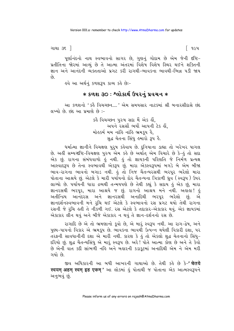ગાથા ૩૬ <del>]</del>

પૂર્ણાનંદનો નાથ સ્વભાવનો સાગર છે, ગુણનું ગોદામ છે એમ જેની દષ્ટિ-પ્રતીતિના જોરમાં આવ્યું છે તે આત્મા અંતરમાં વિશેષ વિશેષ સ્થિર થઈને શક્તિની જ્ઞાન અને આનંદની વ્યક્તતાઓ પ્રગટ કરી રાગથી-ભાવકના ભાવથી-ભિન્ન ૫ડી જાય  $\hat{\rho}_3$ 

ઙવે આ અર્થનું કળશરૂપ કાવ્ય કહે છેઃ−

## \* કળશ ૩૦ : શ્લોકાર્થ ઉપરનું પ્રવચન \*

આ કળશનો 'કહૈ વિચચ્છન....' એમ સમયસાર નાટકમાં શ્રી બનારસીદાસે છંદ લખ્યો છે. છંદ આ પ્રમાણે છે:-

> કહૈ વિચચ્છન પુરુષ સદા મેં એક હોં. અપને રસસૌંભર્યો આપની ટેક હોં. મોહુકર્મ મમ નાંહિ નાંહિ ભ્રમકપ હૈ. સદ્ધ ચેતના સિંધ હમારો 3૫ હૈ.

ધર્માત્મા જ્ઞાનીને વિચક્ષણ પુરૂષ કહેવાય છે. દુનિયાના ડાહ્યા તો ખરેખર પાગલ છે. અહીં સમ્યગ્દષ્ટિ−વિચક્ષણ પુરુષ એમ કહે છે અર્થાત્ એમ વિચારે છે કે−હું તો સદા એક છું. રાગના સંબંધવાળો હું નથી. હું તો જ્ઞાયકની પરિણતિ જે નિર્મળ પ્રત્યક્ષ આસ્વાદરૂપ છે તેના સ્વભાવથી એકરૂપ છું. મારા એકસ્વરૂપમાં બગડે બે એમ બીજા ભાવ-રાગના ભાવનો બગાડ નથી. કું તો નિજ ચૈતન્યરસથી ભરપૂર ભરેલો મારા પોતાના આશ્રયે છું. એટલે કે મારી પર્યાયનો દોર ચૈતન્યના ત્રિકાળી ઘ્રુવ (સ્વરૂપ ) ઉપર લાગ્યો છે. ૫ર્યાયની ધારા દ્રવ્યથી તન્મયપણે છે તેથી કહ્યું કે સદાય હું એક છું, મારા જ્ઞાનરસથી ભરપૂર, મારા આશ્રયે જ છું. રાગનો આશ્રય મને નથી. અહાહા! હું અતીન્દ્રિય આનંદરસ અને જ્ઞાનરસથી અનાદિથી ભરપૂર ભરેલો છું. એ જ્ઞાનદર્શનસ્વભાવની મને રૂચિ થઈ એટલે કે સ્વભાવનો રસ પ્રગટ થયો તેથી રાગના રસની જે રૂચિ હતી તે નીકળી ગઈ. રસ એટલે કે તદાકાર-એકાકાર થવું. એક જ્ઞાયકમાં એકાકાર લીન થવું અને બીજે એકાકાર ન થવું તે જ્ઞાન-દર્શનનો રસ છે.

રાગાદિ છે એ તો ભ્રમણાનો કૂવો છે, એ મારૂં સ્વરૂપ નથી. આ રાગ-દ્વેષ, અને પુણ્ય-પાપનો વિકાર એ ભ્રમકુપ છે. ભાવકના ભાવથી ઉત્પન્ન થયેલી વિકારી દશા, પર તરફની સાવધાનીની દશા એ મારી નથી. કારણ કે કું તો એકલો શુદ્ધ ચેતનાનો સિંધુ-દરિયો છું. શુદ્ધ ચૈતન્યસિંધુ એ મારૂં સ્વરૂપ છે. અરે! પોતે આત્મા કોણ છે અને તે કેવો છે એની વાત કદી સાંભળી નહિ અને બહારની કડાકુટમાં અનાદિથી એમ ને એમ મરી ગયો છે.

જીવ અધિકારની આ બધી આખરની ગાથાઓ છે. તેથી કહે છે કે-**' चेतये** स्वयम् अहम् स्वम् इह एकम्' આ લોકમાં હું પોતાથી જ પોતાના એક આત્મસ્વરૂપને અનુભવું છું.

િ ૧૯૫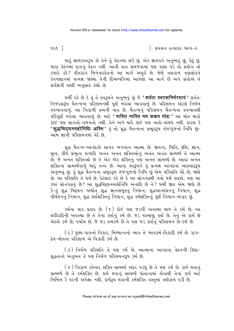$9c\epsilon$  ]

∣ પ્રવચન રત્નાકર ભાગ−ર

મારૂં જ્ઞાયકસ્વરૂપ છે તેને કું વેદનમાં લઉં છું. એક જ્ઞાયકને અનુભવું છું, વેદું છું. મારા વેદનમાં રાગનું વેદન નથી. આવી વાત સમજવામાં પણ કઠણ પડે તો પ્રયોગ તો કયારે કરે? વીતરાગ જિનેશ્વરદેવનો આ માર્ગ અપૂર્વ છે. જેણે ત્રણકાળ ત્રણલોકને કેવળજ્ઞાનમાં પ્રત્યક્ષ જાણ્યા તેની દિવ્યધ્વનિમાં આવેલો આ માર્ગ છે અને સંતોએ તે સર્વજ્ઞની વાણી અનુસાર કહ્યો છે.

धर्मी se છે કે કું તે સ્વરૂપને અનુભવું છું જે 'सर्वत: स्वरसनिर्भरभावं ' સર્વત: નિજરસરૂપ ચૈતન્યના પરિણમનથી પૂર્ણ ભરેલા ભાવવાળું છે. પરિણમન એટલે નિર્મળ સ્વભાવવાળું. આ ત્રિકાળી દ્રવ્યની વાત છે. ચૈતન્યનું પરિણમન ચૈતન્યના સ્વભાવથી પરિપૂર્ણ ભરેલા ભાવવાળું છે. માટે 'नास्ति नास्ति मम कश्चन मोह:' આ મોહ મારો કાંઈ પણ લાગતો-વળગતો નથી. તેને અને મારે કાંઈ પણ નાતો-સંબંધ નથી. કારણ કે ' शुद्धचिदघनमहोनिधि: अस्मि ' डुं तो शुद्ध यैतन्यना समूड३५ ते :पुं रा निधि छुं-આમ જ્ઞાની પરિણમનમાં વેદે છે.

શુદ્ધ ચૈતન્ય-આનંદનો સાગર ભગવાન આત્મા છે. જીવત્વ, ચિતિ, દશિ, જ્ઞાન, સુખ, વીર્ય પ્રભુત્વ ઇત્યાદિ અનંત અનંત શક્તિઓનું અનંત અનંત સામર્થ્ય તે આત્મા છે. જે અનંત શક્તિઓ છે તે એક એક શક્તિનું પણ અનંત સામર્થ્ય છે. આવા અનંત શક્તિના સામર્થ્યવાળું મારૂં તત્ત્વ છે. આવા સ્વરૂપને હું પ્રત્યક્ષ આનંદના આસ્વાદરૂપ અનુભવું છું. કું શુદ્ધ ચૈતન્યના સમુકરૂપ તેજઃપુંજનો નિર્ધિ છું એમ પરિણતિ વેદે છે. જાણે છે. આ પરિણતિ તે ધર્મ છે. કેટલાક કર્લ્ડ છે કે આ સોનગઢથી નવો ધર્મ કાઢયો. પણ આ કયાં સોનગઢનું છે? આ શદ્ધચિદ્ધનમહોનિધિ અનાદિ છે ને? ધર્મી જીવ એમ જાણે છે કે-કું શુદ્ધ ચિદ્ઘન અર્થાત શુદ્ધ જ્ઞાનસમુકનું નિધાન, શુદ્ધઆનંદઘનનું નિધાન, શુદ્ધ વીર્યઘનનું નિધાન, શુદ્ધ ક્તાશક્તિનું નિધાન, શુદ્ધ કર્મશક્તિનું પૂર્ણ નિધાન-ભંડાર છું.

કર્મના ચાર પ્રકાર છે. (૧) કોઈ પણ જડની અવસ્થા થાય તે કર્મ છે. આ શરીરાદિની અવસ્થા છે તે તેના ક્તનિંકર્મ છે. જડ પરમાણુ ક્ર્તા છે. તેનું એ કાર્ય છે એટલે કર્મ છે. પર્યાય છે. જે જડ દ્રવ્યકર્મ છે તે પણ જડ ક્તનિં પરિણમન છે-કર્મ છે.

(૨) પુણ્ય-પાપનો વિકાર, મિથ્યાત્વનો ભાવ તે ભાવકર્મ-વિકારી કર્મ છે. રાગ-દ્વેષ-મોહના પરિણામ એ વિકારી કર્મ છે.

(3) निर्मण परिशति ते पश કर्म છે. આત્માના આનંદના વેદનની ક્રિયા-શુદ્ધતાનો અનુભવ તે પણ નિર્મળ પરિણમનરૂપ કર્મ છે.

(४) ત્રિકાળ રહેનાર શક્તિ-સામર્થ્ય અંદર ૫ડયું છે તે ૫ણ કર્મ છે. કાર્ય થવાનું સામર્થ્ય છે તે કર્મશક્તિ છે. કાર્ય થવાનું સામર્થ્ય પોતાનામાં હોવાથી તેના કાર્ય માટે નિમિત્ત કે પરની અપેક્ષા નથી. કાર્યરૂપ થવાની કર્મશક્તિ વસ્તુમાં ત્રણેકાળ પડી છે.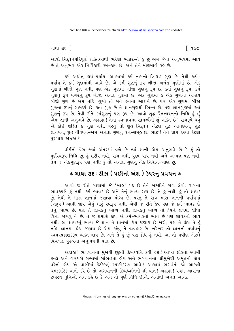ગાથા ૩૬ <del>]</del>

∫ ૧૯૭

આવો ચિદ્દઘનપરિપૂર્ણ શક્તિઓથી ભરેલો ભંડાર-તે હું છું એમ જેના અનુભવમાં આવે છે તે અનુભવ એક નિર્વિકારી કર્મ-કાર્ય છે, અને તેને મોક્ષમાર્ગ કહે છે.

કર્મ અર્થાત્ કાર્ય-પર્યાય. આત્મામાં કર્મ નામનો ત્રિકાળ ગુણ છે. તેથી કાર્ય-પર્યાય તે કર્મ ગુણમાંથી આવે છે. એ કર્મ ગુણનું રૂપ બીજા અનંત ગુણોમાં છે. એક ગુણમાં બીજો ગુણ નથી, પણ એક ગુણમાં બીજા ગુણનું રૂપ છે. ક્ર્તા ગુણનું રૂપ, કર્મ ગુણનું રૂપ વગેરેનું રૂપ બીજા અનંત ગુણમાં છે. એક ગુણમાં કે એક ગુણના આશ્રયે બીજો ગણ છે એમ નહિ. ગણો તો સર્વ દ્રવ્યના આશ્રયે છે. પણ એક ગણમાં બીજા ગુણના રૂપનું સામર્થ્ય છે. કર્તા ગુણ છે તે જ્ઞાનગુણથી ભિન્ન છે. પણ જ્ઞાનગુણમાં કર્તા ગુણનું રૂપ છે. તેવી રીતે કર્મગુણનું પણ રૂપ છે. આવો શુદ્ધ ચૈતન્યઘનનો નિધિ કું છું એમ જ્ઞાની અનુભવે છે. અલલ! તેના સ્વભાવના સામર્થ્યની શું શક્તિ છે! રાગરૂપે થવું એ કોઈ શક્તિ કે ગુણ નથી. વસ્તુ તો શુદ્ધ ચિદઘન એટલે શુદ્ધ આનંદઘન, શુદ્ધ જ્ઞાનઘન, શુદ્ધ વીર્યઘન-એમ અનંતા ગુણનું ઘન-સમૂરું છે. ભાઈ! તેને પ્રાપ્ત કરવા કેટલો ૫૨૦૫ાર્થ જોઈએ ?

વીર્યનો વેગ જ્યાં અંતરમાં વળે છે ત્યાં જ્ઞાની એમ અનુભવે છે કે હું તો પર્ણસ્વરૂપ નિધિ છું. કું શરીર નથી, રાગ નથી, પુણ્ય-પાપ નથી અને અલ્પજ્ઞ પણ નથી, તેમ જ એકગણરૂપ પણ નથી; હું તો અનંતા ગુણનું એક નિધાન-ખાણ છું.

## \* ગાથા ૩૬ : ટીકા ( પછીનો અંશ ) ઉપરનું પ્રવચન \*

આવી જ રીતે ગાથામાં જે 'મોહ' પદ છે તેને બદલીને રાગ લેવો. રાગના ભાવકપણે હું નથી. કર્મ ભાવક છે અને તેનું ભાવ્ય રાગ છે. તે હું નથી. હું તો જ્ઞાયક છું. તેથી તે મારા જ્ઞાનમાં જણાવા યોગ્ય છે. પરંતુ તે રાગ મારા જ્ઞાનની પર્યાયમાં (તદ્રુપ) આવી જાય એવું મારૂં સ્વરૂપ નથી. એવી જ રીતે દ્વેષ પણ જે કર્મ ભાવક છે તેનું ભાવ્ય છે. પણ તે જ્ઞાયકનું ભાવ્ય નથી. જ્ઞાયકનું ભાવ્ય તો દ્વેષને લક્ષમાં લીધા વિના જાણવું તે છે. તે જ પ્રમાણે ક્રોધ એ કર્મ-ભાવકનો ભાવ છે પણ જ્ઞાયકનો ભાવ નથી. હા, જ્ઞાયકનું ભાવ્ય જે જ્ઞાન તે જ્ઞાનમાં ક્રોધ જણાય છે ખરો, પણ તે ક્રોધ તે હું નહિ. જ્ઞાનમાં ક્રોધ જણાય છે એમ કહેવું તે વ્યવહાર છે. ખરેખર તો જ્ઞાનની પર્યાયનું સ્વપરપ્રકાશકરૂપ વ્યક્ત થાય છે, અને તે હું છું પણ ક્રોધ હું નથી. આ તો પ્રવીણ એટલે વિચક્ષણ પરુષના અનભવની વાત છે.

અહાહા ! ભગવાનના મુખેથી છૂટતી દિવ્યધ્વનિ કેવી હશે ! આખા લોકના સ્વામી ઇન્દ્રો અને ગણધરો સભામાં સાંભળતા હોય અને ભગવાનના શ્રીમુખેથી અમૃતનો ધોધ વહેતો હોય એ વાણીમાં કેટકેટલું સ્પષ્ટીકરણ આવે? આચાર્ય ભગવંતો જો આટલી ચમત્કારિક વાતો કરે છે તો ભગવાનની દિવ્યધ્વનિની શી વાત! અહાહા! પંચમ આરાના છદ્મસ્થ મુનિઓ એમ કહે છે કે-અમે તો પૂર્ણ નિધિ છીએ. એમાંથી અનંત આનંદ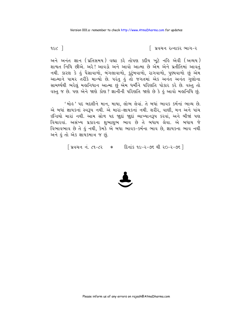િ પ્રવચન રત્નાકર ભાગ−ર

9. $\epsilon$  1

અને અનંત જ્ઞાન (પ્રતિસમય) વહ્યા કરે તોપણ કદીય ખૂટે નહિ એવી (અવ્યય) શાશ્વત નિધિ છીએ. અરે! આવડો અને આવો આત્મા છે એમ એને પ્રતીતિમાં આવતં નથી. કારણ કે હું પૈસાવાળો, બંગલાવાળો, કુટુંબવાળો, રાગવાળો, પુણ્યવાળો છું એમ આત્માને પામર તરીકે માન્યો છે. પરંતુ કું તો જગતમાં એક અનંત અનંત ગુણોના સામર્થ્યથી ભરેલું મહાનિધાન આત્મા છું એમ ધર્મીને પરિણતિ પોકાર કરે છે. વસ્તુ તો વસ્તુ જ છે. પણ એને જાણે કોણ? જ્ઞાનીની પરિણતિ જાણે છે કે કું આવો મક્ષનિધિ છું.

'મોહ' પદ બદલીને માન, માયા, લોભ લેવાં. તે બધાં ભાવક કર્મનાં ભાવ્ય છે. એ બધાં જ્ઞાયકનાં સ્વરૂપ નથી. એ મારાં-જ્ઞાયકનાં નથી. શરીર, વાણી, મન અને પાંચ ઇન્દ્રિયો મારાં નથી. આમ સોળ પદ જાદાં જાદાં વ્યાખ્યાનરૂપ કરવાં, અને બીજાં પણ વિચારવાં. અસંખ્ય પ્રકારના શુભાશુભ ભાવ છે તે બધાય લેવા. એ બધાય જે વિભાવભાવ છે તે હું નથી, કેમકે એ બધા ભાવક-કર્મના ભાવ છે, જ્ઞાયકના ભાવ નથી અને હું તો એક જ્ઞાયકમાત્ર જ છું.

| प्रवयन नं. ८१-८२ \* हिनांड १८-२-७६ थी २०-२-७६ |

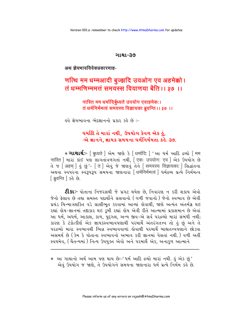#### ગાથા-૩૭

अथ जेयभावविवेकप्रकारमाह-

# णत्थि मम धम्मआदी बूज्झदि उवओग एव अहमेक्को। तं धम्मणिम्ममत्तं समयस्स वियाणया बेंति ।। ३७ ।।

नास्ति मम धर्मादिर्बृध्यते उपयोग एवाहमेकः। तं धर्मनिर्ममत्वं समयस्य विज्ञायका ब्रुवन्ति ।। ३७ ।।

હવે જ્ઞેયભાવના ભેદજ્ઞાનનો પ્રકાર કહે છે :-

## ઘર્માદિ તે મારાં નથી, ઉપયોગ કેવળ એક ડું, -એ જ્ઞાનને. જ્ઞાયક સમયના ઘર્મનિર્મમતા કહે. 39.

∗ **ગાથાર્થઃ**- [बृध्यते ] એમ જાણે કે [धर्मादि: ] 'આ ધર્મ આદિ द्रव्यो [ मम नास्ति । भारां अंध पक्ष લागतांवणगतां नथी, पिकः उपयोगः एव । એક ઉપયોગ છે ते ४ [अहम ] डुं छुं' - [तं ] એવुं જे જાણવું तेने [समयस्य विज्ञायकाः ] सिद्धांतना અથવા સ્વપરના સ્વરૂપરૂપ સમયના જાણનારા ક્રિમંનિર્મમત્વં શિર્મદ્રવ્ય પ્રત્યે નિર્મમત્વ [ब्रुवन्ति ] sई છे.

**ટીકાઃ-** પોતાના નિજરસથી જે પ્રગટ થયેલ છે. નિવારણ ન કરી શકાય એવો જેનો કેલાવ છે તથા સમસ્ત પદાર્થોને ગ્રસવાનો (ગળી જવાનો ) જેનો સ્વભાવ છે એવી રહ્યાં લેય-જ્ઞાનમાં તદાકાર થઇ ડબી રહ્યાં લેય એવી રીતે આત્મામાં પ્રકાશમાન છે એવાં આ ધર્મ, અધર્મ, આકાશ, કાળ, પુદ્દગલ, અન્ય જીવ-એ સર્વ પરદ્રવ્યો મારાં સંબંધી નથી; કારણ કે ટંકોત્કીર્ણ એક જ્ઞાયકસ્વભાવપણાથી પરમાર્થે અંતરંગતત્ત્વ તો કું છું અને તે પરદ્રવ્યો મારા સ્વભાવથી ભિન્ન સ્વભાવવાળાં કોવાથી પરમાર્થે બાહ્યતત્ત્વપણાને છોડવા અસમર્થ છે ( કેમ કે પોતાના સ્વભાવનો અભાવ કરી જ્ઞાનમાં પેસતાં નથી. ) વળી અહીં સ્વયમેવ, (ચૈતન્યમાં) નિત્ય ઉપયુક્ત એવો અને પરમાર્થે એક, અનાકુળ આત્માને

 $*$  આ ગાથાનો અર્થ આમ પણ થાય છેઃ-'ધર્મ આદિ દ્રવ્યો મારાં નથી. હું એક છું ' એવું ઉપયોગ જ જાણે, તે ઉપયોગને સમયના જાણનારા ધર્મ પ્રત્યે નિર્મમ કહે છે.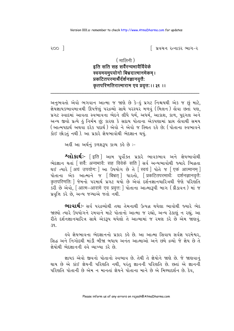$200<sup>-1</sup>$ 

િ પ્રવચન રત્નાકર ભાગ−ર

### $($  मालिनी)

## इति सति सह सर्वैरन्यभावैर्विवेके स्वयमयमुपयोगो बिभ्रदात्मानमेकम् । प्रकटितपुरमार्थैर्दर्शनज्ञानवत्तै: कृतपरिणतिरात्माराम एव प्रवृत्तः ।। ३१ ।।

અનુભવતો એવો ભગવાન આત્મા જ જાણે છે કે-હું પ્રગટ નિશ્ચયથી એક જ છું માટે, જ્ઞેયજ્ઞાયકભાવમાત્રથી ઊપજેલું પરદ્રવ્યો સાથે પરસ્પર મળવું (મિલન) હોવા છતાં પણ, પ્રગટ સ્વાદમાં આવતા સ્વભાવના ભેદને લીધે ધર્મ, અધર્મ, આકાશ, કાળ, પુદ્ગલ અને અન્ય જીવો પ્રત્યે હું નિર્મમ છું; કારણ કે સદાય પોતાના એકપણામાં પ્રાપ્ત હોવાથી સમય (આત્મપદાર્થ અથવા દરેક પદાર્થ) એવો ને એવો જ સ્થિત રહે છે; (પોતાના સ્વભાવને કોઈ છોડતું નથી). આ પ્રકારે જ્ઞેયભાવોથી ભેદજ્ઞાન થયું.

અહીં આ અર્થનું કળશરૂપ કાવ્ય કહે છે :-

શ્લોકાર્થઃ- [इति ] આમ પૂર્વોક્ત પ્રકારે ભાવકભાવ અને જ્ઞેયભાવોથી लेदृशान थतां सिर्वैः अन्यभावैः सह विवेके सति । सर्व अन्यलावोथी रुयारे लिच्नता थઈ त्यारे [अयं उपयोगः ] આ ઉપયोग છે ते [ स्वयं ] पोते ४ [ एकं आत्मानम् ] पोताना એક આत्माने ४ क्षिम्रत् । धारतो, प्रिकटितपरमार्थे: दर्शनज्ञानवृत्तै: कृतपरिणति: किमनो परमार्थ प्रगट थयो છे એવા દर्शनज्ञानयारित्रथी જેણે પરિણતિ .<br>કરી છે એવો, [आत्म-आरामे एव प्रवृत्त: ] પોતાના આત્મારૂપી બાગ ( ક્રીડાવન ) માં જ પ્રવૃત્તિ કરે છે. અન્ય જગ્યાએ જતો નથી.

ભાવાર્થઃ- સર્વ પરદ્ધ્યોથી તથા તેમનાથી ઉત્પન્ન થયેલા ભાવોથી જ્યારે ભેદ જાણ્યો ત્યારે ઉપયોગને રમવાને માટે પોતાનો આત્મા જ રહ્યો. અન્ય ઠેકાણું ન રહ્યું. આ રીતે દર્શનજ્ઞાનચારિત્ર સાથે એક્રરૂપ થયેલો તે આત્મામાં જ રમણ કરે છે એમ જાણવં.  $39.$ 

ઙુવે જ્ઞેયભાવના ભેદજ્ઞાનનો પ્રકાર કર્લ છે. આ આત્મા સિવાય સર્વજ્ઞ પરમેશ્વર, સિદ્ધ અને નિગોદથી માંડી બીજા બધાય અનંત આત્માઓ અને છયે દ્રવ્યો જે જ્ઞેય છે તે જ્ઞેયોથી ભેદજ્ઞાનની હવે વ્યાખ્યા કરે છે.

જ્ઞાયક એવો જીવનો પોતાનો સ્વભાવ છે. તેથી તે જ્ઞેયોને જાણે છે. જે જાણવાનું થાય છે એ કાંઈ જ્ઞેયની પરિણતિ નથી, પરંતુ જ્ઞાનની પરિણતિ છે. છતાં એ જ્ઞાનની પરિણતિ પોતાની છે એમ ન માનતાં જ્ઞેયને પોતાના માને છે એ મિથ્યાદર્શન છે. દેવ.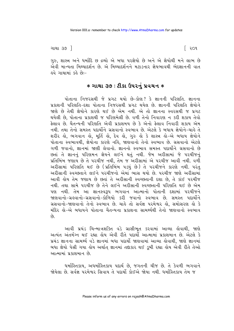ગાથા ૩૭ <sup>–</sup>

ગુરુ, શાસ્ત્ર અને ધર્માદિ છ દ્રવ્યો એ બધા પરજ્ઞેયો છે અને એ જ્ઞેયોથી મને લાભ છે એવી માન્યતા મિથ્યાદર્શન છે. એ મિથ્યાદર્શનને મટાડનાર જ્ઞેયભાવથી ભેદજ્ઞાનની વાત ફવે ગાથામાં કરે છેઃ−

### $*$  ગાથા ૩૭ : ટીકા ઉપરનું પ્રવચન  $*$

પોતાના નિજરસથી જે પ્રગટ થયો છે-કોણ? કે જ્ઞાનની પરિણતિ. જ્ઞાનના પ્રકાશની પરિણતિ-દશા પોતાના નિજરસથી પ્રગટ થયેલ છે. જ્ઞાનની પરિણતિ જ્ઞેયોને જાણે છે તેથી જ્ઞેયોને કારણે થઈ છે એમ નથી. એ તો જ્ઞાનના સ્વરસથી જ પ્રગટ થયેલી છે. પોતાના પ્રકાશથી જ પરિણમેલી છે. વળી તેનો નિવારણ ન કરી શકાય તેવો ફેલાવ છે. ચૈતન્યની પરિણતિ એવી પ્રકાશમય છે કે એનો ફેલાવ નિવારી શકાય એમ નથી. તથા તેનો સમસ્ત પદાર્થોને ગ્રસવાનો સ્વભાવ છે. એટલે કે બધાય જ્ઞેયોને-ચાહે તે શરીર હો, ભગવાન હો, મૂર્તિ હો, દેવ હો, ગુરુ હો કે શાસ્ત્ર હો-એ બધાય જ્ઞેયોને પોતાના સ્વભાવથી, જ્ઞેયોના કારણે નહિ, જાણવાનો તેનો સ્વભાવ છે. ગ્રસવાનો એટલે ગળી જવાનો, જ્ઞાનમાં જાણી લેવાનો. જ્ઞાનનો સ્વભાવ સમસ્ત પદાર્થોને ગ્રસવાનો છે છતાં તે જ્ઞાનનું પરિણમન જ્ઞેયને લઈને થતું નથી. જેમ અરીસામાં જે પરચીજનું પ્રતિબિંબ જણાય છે તે પરચીજ નથી, તેમ જ અરીસામાં એ પરચીજ આવી નથી. વળી અરીસામાં પરિણતિ થઈ છે (પ્રતિબિંબ પડયું છે) તે પરચીજને કારણે નથી. પરંતુ અરીસાની સ્વચ્છતાને લઈને પરચીજનો એમાં ભાસ થયો છે. પરચીજ જાણે અરીસામાં આવી હોય તેમ જણાય છે છતાં તે અરીસાની સ્વચ્છતાની દશા છે. તે કાંઈ પરચીજ નથી. તથા સામે પરચીજ છે તેને લઈને અરીસાની સ્વચ્છતાની પરિણતિ થઈ છે એમ પણ નથી. તેમ આ જ્ઞાનસ્વરૂપ ભગવાન આત્માનો પોતાની દશામાં પરચીજને જાણવાનો-ગ્રહવાનો-ગ્રસવાનો-કોળિયો કરી જવાનો સ્વભાવ છે. સમસ્ત પદાર્થોને ગ્રસવાનો-જાણવાનો તેનો સ્વભાવ છે. ચાહે તો સર્વજ્ઞ પરમેશ્વર હો, સમોસરણ હો કે મંદિર કો–એ બધાયને પોતાના ચૈતન્યના પ્રકાશના સામર્થ્યથી તેનો જાણવાનો સ્વભાવ  $\hat{\rho}_3$ 

આવી પ્રચંડ ચિન્માત્રશક્તિ વડે ગ્રાસીભૂત કરવામાં આવ્યા હોવાથી, જાણે અત્યંત અંતર્મગ્ન થઈ રહ્યા હોય એવી રીતે પદાર્થો આત્મામાં પ્રકાશમાન છે. એટલે કે પ્રચંડ જ્ઞાનના સામર્થ્ય વડે જ્ઞાનમાં બધા પદાર્થી જાણવામાં આવ્યા લોવાથી, જાણે જ્ઞાનમાં બધા જ્ઞેયો પેસી ગયા હોય અર્થાત જ્ઞાનમાં તદાકાર થઈ ડુબી રહ્યા હોય એવી રીતે તેઓ આત્મામાં પ્રકાશમાન છે

ધર્માસ્તિકાય, અધર્માસ્તિકાય પદાર્થ છે, જગતની ચીજ છે. તે કેવળી ભગવાને જોયેલા છે. સર્વજ્ઞ પરમેશ્વર સિવાય તે પદાર્થો કોઈએ જોયા નથી. ધર્માસ્તિકાય તેમ જ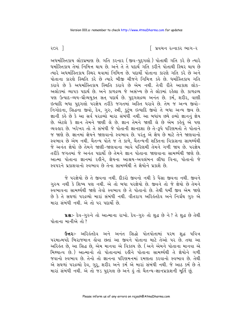િ પ્રવચન રત્નાકર ભાગ−ર

ર૦ર $\vert$ 

અધર્માસ્તિકાય લોકપ્રમાણ છે. ગતિ કરનાર (જીવ-પુદ્દગલો) પોતાથી ગતિ કરે છે ત્યારે ધર્માસ્તિકાય તેમાં નિમિત્ત થાય છે. અને તે તે પદાર્થ ગતિ કરીને પોતાથી સ્થિર થાય છે ત્યારે અધર્માસ્તિકાય સ્થિર થવામાં નિમિત્ત છે. પદાર્થી પોતાના કારણે ગતિ કરે છે અને પોતાના કારણે સ્થિતિ કરે છે ત્યારે બીજી ચીજને નિમિત્ત કહે છે. ધર્માસ્તિકાય ગતિ કરાવે છે કે અધર્માસ્તિકાય સ્થિતિ કરાવે છે એમ નથી. તેવી રીતે આકાશ લોક-અલોકમાં વ્યાપક પદાર્થ છે. અને કાળદ્રવ્ય જે અસંખ્ય છે તે લોકમાં રહેલા છે. કાળદ્રવ્ય ૫ણ ઉત્પાદ-વ્યય-ઘ્રૌવ્યયુક્ત સત્ પદાર્થ છે. પુદ્દગલદ્રવ્ય અનંત છે. કર્મ, શરીર, વાણી ઈત્યાદિ બધા પુદ્દગલો પરજ્ઞેય તરીકે જગતમાં અસ્તિ ધરાવે છે. તેમ જ અન્ય જીવો-નિગોદના, સિદ્ધના જીવો, દેવ, ગુરુ, સ્ત્રી, કુટુંબ ઇત્યાદિ જીવો તે બધા અન્ય જીવ છે. જ્ઞાની કહે છે કે આ સર્વ ૫૨૬વ્યો મારા સંબંધી નથી. આ બધાંય છયે દ્રવ્યો જ્ઞાનનું જ્ઞેય છે. એટલે કે જ્ઞાન તેમને જાણી લે છે. જ્ઞાન તેમને જાણી લે છે એમ કહેવું એ પણ વ્યવહાર છે. ખરેખર તો તે સંબંધી જે પોતાની જ્ઞાનદશા છે તે-રૂપે પરિણમતો તે પોતાને જ જાણે છે. જ્ઞાનમાં જ્ઞેયને જાણવાનો સ્વભાવ છે. પરંતુ એ જ્ઞેય છે માટે તેને જાણવાનો સ્વભાવ છે એમ નથી. ચૈતન્ય પોતે જ તે કાળે, ચૈતન્યની શક્તિના વિકાસના સામર્થ્યથી જે અનંત જ્ઞેયો છે તેમને જાણી-જાણવાના ભાવે પરિણમી તેમને ગળી જાય છે. પરજ્ઞેય તરીકે જગતમાં જે અનંત પદાર્થી છે તેમને જ્ઞાન પોતાના જાણવાના સામર્થ્યથી જાણે છે. આત્મા પોતાના જ્ઞાનમાં રહીને, જ્ઞેયના આશ્રય-અવલંબન લીધા વિના, પોતાનો જે સ્વપરને પ્રકાશવાનો સ્વભાવ છે તેના સામર્થ્યથી તે જ્ઞેયોને પ્રકાશે છે.

જે પરજ્ઞેયો છે તે જીવના નથી. દીકરો જીવનો નથી કે પૈસા જીવના નથી. જીવને ગુરુષ નથી કે શિષ્ય પણ નથી. એ તો બધા પરજ્ઞેયો છે. જીવને તો જે જ્ઞેયો છે તેમને સ્વભાવના સામર્થ્યથી જાણે તેવો સ્વભાવ છે તે પોતાનો છે. તેથી ધર્મી જીવ એમ જાણે છે કે તે સઘળાં પરદ્રવ્યો મારાં સંબંધી નથી. વીતરાગ અરિહંતદેવ અને નિર્ગ્રંથ ગુરુ એ મારા સંબંધી નથી. એ તો પર પદાર્થો છે.

u&:- દેવ-ગુરુને તો આત્માના રાખો. દેવ-ગુરુ તો શુદ્ધ છે ને? તે શુદ્ધ છે તેથી પોતાના માનીએ તો ?

ઉત્તરઃ- અરિલંતદેવ અને અનંત સિદ્ધો પોતપોતામાં પરમ શુદ્ધ પવિત્ર પરમાત્મપદે બિરાજમાન હોવા છતાં આ જીવને પોતાના માટે તેઓ પર છે. તથા આ અરિકંત છે, આ સિદ્ધ છે, એમ માનવા એ વિકલ્પ છે. (અને એમને પોતાના માનવા એ મિથ્યાત્વ છે.) આત્માનો તો પોતાનામાં રહીને પોતાના સામર્થ્યથી તે જ્ઞેયોને ગળી જવાનો સ્વભાવ છે. તેનો તો જ્ઞાનના પરિણમનમાં રમણતા કરવાનો સ્વભાવ છે. તેથી એ સઘળાં પરદ્રવ્યો દેવ, ગુરૂ, શરીર અને કર્મ એ મારાં સંબંધી નથી. જે આઠ કર્મ છે તે મારાં સંબંધી નથી. એ તો જડ પુદ્દગલ છે અને હું તો ચૈતન્ય-જ્ઞાનપ્રકાશની મૂર્તિ છું.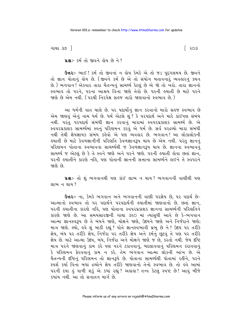ગાથા ૩૭ <sup>–</sup>

િ ૨૦૩

us: 54 dl જીવને હોય છે ને?

ઉત્તરઃ- ભાઈ! કર્મ તો જીવનાં ન હોય કેમકે એ તો જડ પુદગલમય છે. જીવને તો જ્ઞાન પોતાનું હોય છે. (જીવને કર્મ છે એ તો સંયોગ બતાવનાર વ્યવહારનું કથન છે.) ભગવાન ! એકવાર તારા ચૈતન્યનું સામર્થ્ય કેટલું છે એ જો તો ખરો. તારા જ્ઞાનનો સ્વભાવ તો પરને. પરના આશ્રય વિના જાણે તેવો છે. પરની હયાતી છે માટે પરને જાણે છે એમ નથી. ( પરથી નિરપેક્ષ સહજ તારો જાણવાનો સ્વભાવ છે. )

આ ધર્મની વાત ચાલે છે. ૫૨ પદાર્થોનું જ્ઞાન કરવાનો મારો સહજ સ્વભાવ છે એમ જાણવું એનું નામ ધર્મ છે. ધર્મ એટલે શું ? કે પરપદાર્થ અને મારે કાંઈપણ સંબંધ નથી. પરંતુ પરંપદાર્થ સંબંધી જ્ઞાન કરવાનું મારામાં સ્વપરપ્રકાશક સામર્થ્ય છે. એ સ્વપરપ્રકાશક સામર્થ્યમાં સ્વનું પરિણમન કરવું એ ધર્મ છે. સર્વ પરદ્રવ્યો મારા સંબંધી નથી તેથી જ્ઞેયજ્ઞાયક સંબંધ કહેવો એ પણ વ્યવહાર છે. ભગવાન! આ લોકાલોકની ઙયાતી છે માટે કેવળજ્ઞાનીની પરિણતિ કેવળજ્ઞાનરૂપ થાય છે એમ નથી. પરંતુ જ્ઞાનનું પરિણમન પોતાના સ્વભાવના સામર્થ્યથી જ કેવળજ્ઞાનરૂપ થાય છે. જ્ઞાનના સ્વભાવનું સામર્થ્ય જ એટલું છે કે તે સ્વને જાણે અને પરને જાણે. પરની હયાતી હોવા છતાં જ્ઞાન, પરની હયાતીને કારણે નહિ, પણ પોતાની જ્ઞાનની સત્તાના સામર્થ્યને લઈને તે સ્વપરને જાણે છે

u& :- તો શું ભગવાનથી પણ કાંઈ લાભ ન થાય? ભગવાનની વાણીથી પણ લાભ ન થાય?

ઉત્તરઃ- ના, કેમકે ભગવાન અને ભગવાનની વાણી પરજ્ઞેય છે, પર પદાર્થ છે-આત્માનો સ્વભાવ તો ૫૨ પદાર્થને ૫૨૫દાર્થની હયાતીમાં જાણવાનો છે. છતાં જ્ઞાન, પરની હયાતીના કારણે નહિ, પણ પોતાના સ્વપરપ્રકાશક જ્ઞાનના સામર્થ્યની પરિણતિને કારણે જાણે છે. આ સમયસારજીની ગાથા ૩૨૦ માં ત્યાંસુધી આવે છે કે-ભગવાન આત્મા જ્ઞાનસ્વરૂપ છે તે બંધને જાણે, મોક્ષને જાણે, ઉદયને જાણે અને નિર્જરાને જાણે; માત્ર જાણે. લ્યો, હવે શું બાકી રહ્યું? પોતે જ્ઞાનસ્વભાવી પ્રભુ છે ને? ઉદય પર તરીકે જ્ઞેય, બંધ પર તરીકે જ્ઞેય, નિર્જરા પર તરીકે જ્ઞેય અને કર્મનું છૂટવું તે પણ પર તરીકે જ્ઞેય છે. માટે આત્મા ઉદય, બંધ, નિર્જરા અને મોક્ષને જાણે જ છે, કરતો નથી. જેમ દષ્ટિ માત્ર પરને જાણવાનું કામ કરે પણ પરને ટકાવવાનું, બદલાવવાનું પરિણમન કરાવવાનું કે પરિણમન ફેરવવાનું કામ ન કરે. તેમ ભગવાન આત્મા લોકની આંખ છે. એ ચૈતન્યની દષ્ટિનું પરિણમન તો જ્ઞાનરૂપે છે. પોતાના સામર્થ્યથી પોતામાં રહીને, પરને સ્પર્શ કર્યા વિના બધાં દ્રવ્યોને જ્ઞેય તરીકે જાણવાનો તેનો સ્વભાવ છે. તો હવે આમાં ૫૨ની દયા હું પાળી શકું એ કયાં રહ્યું ? અહાહા ! તત્ત્વ કેટલું સ્પષ્ટ છે ! આવું બીજે ક્યાંય નથી આ તો સનાતન માર્ગ છે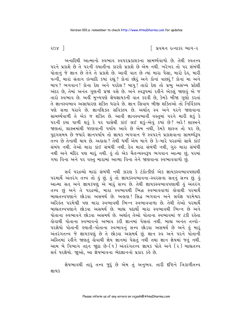િ પ્રવચન રત્નાકર ભાગ−ર

 $cos 1$ 

અનાદિથી આત્માનો સ્વભાવ સ્વપરપ્રકાશકના સામર્થ્યવાળો છે. તેથી સ્વતત્ત્વ પરને પ્રકાશે છે તે પરની હ્યાતીના કારણે પ્રકાશે છે એમ નથી. ખરેખર તો પર સંબંધી પોતાનું જે જ્ઞાન છે તેને તે પ્રકાશે છે. આવી વાત છે ત્યાં મારા પૈસા, મારો દેહ, મારી પત્ની, મારાં સંતાન ઇત્યાદિ કયાં રહ્યું ? કોનાં છોરું અને કોનાં વાછરું ? કોનાં મા અને બાપ? ભગવાન! કોના દેશ અને પરદેશ? બાપુ! તારો દેશ તો પ્રભુ અસંખ્ય પ્રદેશી અંદર છે, તેમાં અનંત ગુણની પ્રજા વસે છે. અને સ્વરૂપમાં રહીને એકલું જાણવું એ જ તારો સ્વભાવ છે. અહીં મુખ્યપણે જ્ઞેયજ્ઞાયકની વાત કરવી છે, કેમકે બીજા ગુણો કરતાં તે જ્ઞાનસ્વભાવ અસાધારણ શક્તિ ધરાવે છે. જ્ઞાન સિવાય બીજી શક્તિઓ તો નિર્વિકલ્પ પણે સત્તા ધરાવે છે. જ્ઞાનશિક્ત સવિકલ્પ છે. અર્થાત્ સ્વ અને પરને જાણવાના સામર્થ્યવાળી તે એક જ શક્તિ છે. આવી જ્ઞાનસ્વભાવી વસ્તુમાં પરને મારી શકું કે પરની દયા પાળી શકું કે પર પાસેથી કાંઈ લઈ શકું-એવું કયાં છે? અરે! શાસ્ત્રને જાણતાં, શાસ્ત્રમાંથી જાણવાની પર્યાય આવે છે એમ નથી, કેમકે શાસ્ત્ર તો પર છે, પુદ્ગલમય છે જયારે જ્ઞાનપર્યાય તો જ્ઞાયક ભગવાન જે સ્વપરને પ્રકાશવાના સામર્થ્યરૂપ તત્ત્વ છે તેનાથી થાય છે. અહાહા? તેથી ધર્મી એમ માને છે કે-મારે પરદ્રવ્યો સાથે કાંઈ સંબંધ નથી. તેઓ મારા કાંઈ સંબંધી નથી. દેવ મારા સંબંધી નથી, ગુરુ મારા સંબંધી નથી અને મંદિર પણ મારું નથી. હું તો એક ચૈતન્યસ્વરૂપ ભગવાન આત્મા છું, પરમાં ગયા વિના અને ૫૨ વસ્તુ મારામાં આવ્યા વિના તેને જાણવાના સ્વભાવવાળો છું.

સર્વ પરદ્રવ્યો મારાં સંબંધી નથી કારણ કે ટંકોત્કીર્ણ એક જ્ઞાયકસ્વભાવપણાથી પરમાર્થે અંતરંગ તત્ત્વ તો હું છું. હું તો જ્ઞાયકસ્વભાવના-સ્વરસના સત્નું સત્ત્વ છું. હું આત્મા સત અને જ્ઞાયકપણું એ માટું સત્ત્વ છે. તેથી જ્ઞાયકસ્વભાવપણાથી હું અંતરંગ તત્ત્વ છું અને તે પરદ્રવ્યો, મારા સ્વભાવથી ભિન્ન સ્વભાવવાળાં હોવાથી પરમાર્થે બાહ્યતત્ત્વપણાને છોડવા અસમર્થ છે. અહાહા! સિદ્ધ ભગવાન અને સર્વજ્ઞ પરમેશ્વર અરિલ્લ પરમેષ્ઠી પણ મારા સ્વભાવથી ભિન્ન સ્વભાવવાળા છે. તેથી તેઓ પરમાર્થે બાહ્યતત્ત્વપણાને છોડવા અસમર્થ છે. બાહ્ય પદાર્થો મારા સ્વભાવથી ભિન્ન છે અને પોતાના સ્વભાવને છોડવા અસમર્થ છે. અર્થાત્ તેઓ પોતાના સ્વભાવમાં જ ટકી રહેતા લેવાથી પોતાના સ્વભાવનો અભાવ કરી જ્ઞાનમાં પેસતાં નથી. બાહ્ય અનંત તત્ત્વો− પરજ્ઞેયો પોતાની હયાતી-પોતાના સ્વભાવનું સત્ત્વ છોડવા અસમર્થ છે અને હું મારૂં અંતરંગતત્ત્વ જે જ્ઞાયકપણું છે તે છોડવા અસમર્થ છું. જ્ઞાન સ્વ અને પરને પોતાની અસ્તિમાં રહીને જાણતું હોવાથી જ્ઞેય જ્ઞાનમાં પેસતું નથી તથા જ્ઞાન જ્ઞેયમાં જતું નથી. આમ બે વિભાગ તદ્દન જાુદા છે-(૧) અંતરંગતત્ત્વ જ્ઞાયક પોતે અને (૨) બાહ્યતત્ત્વ સર્વ પરજ્ઞેયો. જાઓ, આ જ્ઞેયભાવના ભેદજ્ઞાનનો પ્રકાર કર્લ છે.

જ્ઞેયભાવથી તારું તત્ત્વ જુદું છે એમ તું અનુભવ. તારી દષ્ટિને ત્રિકાળીતત્ત્વ જ્ઞાયક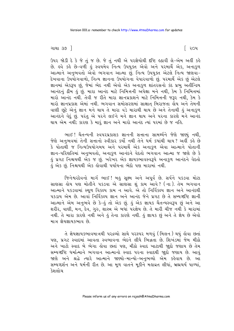ગાથા ૩૭ <sup>–</sup>

ઉપર જોડી દે કે જે તું જ છે. જે તું નથી એ પરજ્ઞેયોથી દૃષ્ટિ હઠાવી લે-એમ અહીં કહે છે. ઙવે કઙે છે−વળી ડું સ્વયમેવ નિત્ય ઉપયુક્ત એવો અને ૫૨માર્થે એક, અનાકુળ આત્માને અનુભવતો એવો ભગવાન આત્મા છું. નિત્ય ઉપયુક્ત એટલે નિત્ય જાણવા-દેખવાના ઉપયોગવાળો, નિત્ય જ્ઞાનના ઉપયોગના વેપારવાળો છું. પરમાર્થે એક છું એટલે જ્ઞાનમાં એકરૂપ છું, જેમાં ભેદ નથી એવો એક અનાકુળ શાંતરસનો કંદ પ્રભુ અતીન્દ્રિય આનંદનું ઢીમ ઢું છું. મારા આનંદ માટે નિમિત્તની અપેક્ષા મને નથી, કેમ કે નિમિત્તમાં મારો આનંદ નથી. તેવી જ રીતે મારા જ્ઞાનપ્રકાશને માટે નિમિત્તની જરૂર નથી, કેમ કે મારો જ્ઞાનપ્રકાશ એમાં નથી. ભગવાન સમોસરણમાં સાક્ષાત બિરાજતા હોય અને તેમની વાણી છુટે એનું જ્ઞાન મને થાય તે મારા વડે મારાથી થાય છે અને તેનાથી હું અનાકુળ આનંદને વેદું છું. પરંતુ એ પરને લઈને મને જ્ઞાન થાય અને પરના કારણે મને આનંદ થાય એમ નથી; કારણ કે મારૂં જ્ઞાન અને મારો આનંદ ત્યાં પરમાં છે જ નહિ.

ભાઈ ! ચૈતન્યની સ્વપરપ્રકાશક જ્ઞાનની સત્તાના સામર્થ્યને જેણે જાણ્યું નથી, જેણે અનુભવમાં તેની સત્તાનો સ્વીકાર કર્યો નથી તેને ધર્મ કયાંથી થાય? અહીં કહે છે કે પોતાથી જ નિત્યઉપયોગમય અને પરમાર્થે એક અનાકુળ એવા આત્માને પોતાની જ્ઞાન-પરિણતિમાં અનુભવતો, અનાકુળ આનંદને વેદતો ભગવાન આત્મા જ જાણે છે કે <u>ડું</u> પ્રગટ નિશ્ચયથી એક જ છું. ખરેખર એક જ્ઞાયકભાવસ્વરૂપે અનાકુળ આનંદને વેદતો .<br>કું એક છું. નિશ્ચયથી એક કોવાથી પર્યાયના ભેદો પણ મારામાં નથી.

જિનેશ્વરદેવનો માર્ગ ભાઈ! બહુ સૂક્ષ્મ અને અપૂર્વ છે. સર્પને પકડવા મોટા સાણસા લોય પણ મોતીને પકડવા એ સાણસા શું કામ આવે? (ના). તેમ ભગવાન આત્માને ૫કડવામાં સ્થળ વિકલ્પ કામ ન આવે. એ તો નિર્વિકલ્પ જ્ઞાન અને આનંદથી ૫કડાય એમ છે. આવા નિર્વિકલ્પ જ્ઞાન અને આનંદ જેને પ્રગટ છે તે સમ્યગ્દષ્ટિ જ્ઞાની આત્માને એમ અનુભવે છે કે-હું તો એક છું. હું એક જ્ઞાયક ચૈતન્યસ્વરૂપ છું અને આ શરીર, વાણી, મન, દેવ, ગુરુ, શાસ્ત્ર એ બધાં પરજ્ઞેય છે. તે મારી ચીજ નથી કે મારામાં નથી. તે મારા કારણે નથી અને હું તેના કારણે નથી. હું જ્ઞાયક છું અને તે જ્ઞેય છે એવો માત્ર જ્ઞેયજ્ઞાયકભાવ છે.

તે જ્ઞેયજ્ઞાયકભાવમાત્રથી પરદ્રવ્યો સાથે પરસ્પર મળવું (મિલન) થયું હોવા છતાં પણ, પ્રગટ સ્વાદમાં આવતા સ્વભાવના ભેદને લીધે ભિન્નતા છે. શિખંડમાં જેમ મીઠો અને ખાટો સ્વાદ બે ભેગા હોવા છતાં પણ, મીઠો સ્વાદ ખાટાથી જાુદો જણાય છે તેમ સમ્યગ્દષ્ટિ ધર્માત્માને ભગવાન આત્માનો સ્વાદ પરના સ્વાદથી જાહ્યે જણાય છે. આવું જાણે અને શ્રદ્ધે ત્યારે આત્માને જાણ્યો-માન્યો-અનુભવ્યો એમ કહેવાય છે. આ સમ્યગ્દર્શન અને ધર્મની રીત છે. આ મૂળ વાતને મૂકીને મહાવ્રત લીધાં, બ્રહ્મચર્ય પાળ્યાં, કેશલોચ

Please inform us of any errors on rajesh@AtmaDharma.com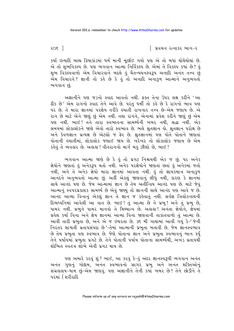કર્યા ઇત્યાદિ બાહ્ય ક્રિયાકાંડમાં ધર્મ માની મૂર્છાઈ ગયો પણ એ તો બધાં થોથેથોથાં છે. એ તો શુભવિકલ્પ છે. પણ ભગવાન આત્મા નિર્વિકલ્પ છે. એમાં તે વિકલ્પ કયાં છે? કું શુભ વિકલ્પવાળો એમ વિચારવાને બદલે હું ચૈતન્યઘનસ્વરૂપ અનાદિ અનંત તત્ત્વ છું .<br>એમ વિચારને? જ્ઞાની તો કહે છે કે હું તો અનાદિ અનાકુળ આત્માને અનુભવતો ભગવાન છે.

અજ્ઞાનીને પણ જડનો સ્વાદ આવતો નથી. ફક્ત તેના ઉપર લક્ષ કરીને 'આ 8ીક છે' એમ રાગનો સ્વાદ તેને આવે છે. પરંતુ ધર્મી તો કહે છે કે રાગનો ભાવ પણ ૫૨ છે. તે મારા જ્ઞાનમાં ૫રજ્ઞેય તરીકે હયાતી રાખનાર તત્ત્વ છે-એમ જણાય છે. એ રાગ છે માટે એને જાણું છું એમ નથી. તથા રાગને, એનામાં પ્રવેશ કરીને જાણું છું એમ પણ નથી. ભાઈ! તને તારા સ્વભાવના સામર્થ્યની ખબર નથી, શ્રદ્ધા નથી. એક સમયમાં લોકાલોકને જાણે એવો તારો સ્વભાવ છે. ભલે શ્રુતજ્ઞાન હો. શ્રુતજ્ઞાન પરોક્ષ છે અને કેવળજ્ઞાન પ્રત્યક્ષ છે એટલો જ ફેર છે. શ્રુતજ્ઞાનમાં પણ પોતે પોતાને જાણતાં પોતાની હયાતીમાં, લોકાલોક જણાઈ જાય છે. ખરેખર તો લોકાલોક જણાય છે એમ કહેવું તે વ્યવહાર છે. અહાહા ! વીતરાગનો માર્ગ બહુ ઝીણો છે, ભાઈ !

ભગવાન આત્મા જાણે છે કે કું તો પ્રગટ નિશ્ચયથી એક જ છું. ૫૨ અનેક જ્ઞેયોને જાણતાં હું અનેકરૂપ થતો નથી. અનેક પરજ્ઞેયોને જાણતાં છતાં હું અનેકમાં જતો નથી, અને તે અનેક જ્ઞેયો મારા જ્ઞાનમાં આવતા નથી. હું તો જ્ઞાયકમાત્ર અનાકુળ આનંદને અનુભવતો આત્મા છું. અહીં એકલું જાણવાનું લીધું નથી, કારણ કે જ્ઞાનમાં સાથે આનંદ પણ છે. જેમ આત્મામાં જ્ઞાન છે તેમ અતીન્દ્રિય આનંદ પણ છે. માટે જેવું આત્માનું સ્વપરપ્રકાશક સામર્થ્ય છે એવું જાણ્યું તો જ્ઞાનની સાથે આનંદ પણ આવે જ છે. આનંદ આવ્યા વિનાનું એકલું જ્ઞાન તે જ્ઞાન જ કહેવાતું નથી. સર્વજ્ઞ ત્રિલોકનાથની દિવ્યધ્વનિમાં આવેલી આ વાત છે. ભાઈ! તું આત્મા છે ને પ્રભુ! અને તું પ્રભુ છે, પામર નથી. પ્રભુને પામર માનવો તે મિથ્યાત્વ છે. અહાહા! અનંતા જ્ઞેયોને, જ્ઞેયમાં પ્રવેશ કર્યા વિના અને જ્ઞેય જ્ઞાનમાં આવ્યા વિના જાણવાની તાકાતવાળો તું આત્મા છે. આવી તારી પ્રભુતા છે, અને એ જ ઇશ્વરતા છે. ૩૬ મી ગાથામાં આવી ગયું કે-' જેની નિરંતર શાશ્વતી પ્રતાપસંપદા છે'-તેમાં આત્માની પ્રભુતા બતાવી છે. જેમ જ્ઞાનસ્વભાવ છે તેમ પ્રભુતા પણ સ્વભાવ છે. જેણે પોતાના જ્ઞાન અને પ્રભુતા સ્વભાવનું ભાન કર્યું તેને પર્યાયમાં પ્રભુતા પ્રગટે છે. તેને પોતાની પર્યાય પોતાના સામર્થ્યથી, અખંડ પ્રતાપથી શોભિત સ્વતંત્ર શોભે એવી પ્રગટ થાય છે.

પણ અમારે કરવું શું ? ભાઈ, આ કરવું કે-હું અંદર જ્ઞાનસ્વરૂપી ભગવાન અનંત અનંત ગુણનું ગોદ્દામ, અનંત સ્વભાવનો સાગર પ્રભુ અને અનંત શક્તિઓનું સંગ્રહાલય-ધામ છું-એમ જાણવું. પણ અજ્ઞાનીને તેની કર્યો ખબર છે? તેને છોડીને તે પરમાં (શરીરાદિ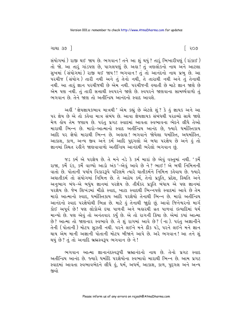ગાથા ૩૭ <sup>–</sup>

િ ૨૦૭

સંયોગમાં) રાજી થઈ જાય છે. ભગવાન ! તને આ શું થયું ? તારૂં ભિખારીપણું (રાંકાઈ) તો જો. આ તારૂં ગાંડપણ છે, પાગલપણું છે. અહા! તું ત્રણલોકનો નાથ અને આટલા સુખમાં (સંયોગમાં) રાજી થઈ જાય!! ભગવાન! તું તો આનંદનો નાથ પ્રભુ છે. આ પરચીજ (સંયોગ) તારી નથી અને તું તેનો નથી, તે તારાથી નથી અને તું તેનાથી નથી. આ તારૂં જ્ઞાન પરચીજથી છે એમ નથી. પરચીજની હયાતી છે માટે જ્ઞાન જાણે છે એમ પણ નથી. તું તારી સત્તાથી સ્વપરને જાણે છે. સ્વપરને જાણવાના સામર્થ્યવાળો તું ભગવાન છે. તેને જાણ તો અતીન્દ્રિય આનંદનો સ્વાદ આવશે.

અહીં 'જ્ઞેયજ્ઞાયકભાવ માત્રથી ' એમ કહ્યું છે એટલે શું ? કે હું જ્ઞાયક અને આ પર જ્ઞેય છે એ તો કહેવા માત્ર સંબંધ છે. આવા જ્ઞેયજ્ઞાયક સંબંધથી પરદ્રવ્યો સાથે જાણે મેળ હોય તેમ જણાય છે. પરંતુ પ્રગટ સ્વાદમાં આવતા સ્વભાવના ભેદને લીધે તેઓ મારાથી ભિન્ન છે. મારો-આત્માનો સ્વાદ અતીન્દ્રિય આનંદ છે, જ્યારે ધર્માસ્તિકાય આદિ પર જ્ઞેયો મારાથી ભિન્ન છે. અહાહા! ભગવાને જોયેલા ધર્માસ્તિ, અધર્માસ્તિ, આકાશ, કાળ, અન્ય જીવ અને કર્મ આદિ પુદ્દગલો એ બધા પરજ્ઞેય છે અને હું તો જ્ઞાનમાં સ્થિત રહીને જાણવાવાળો અતીન્દ્રિય આનંદથી ભરેલો ભગવાન છે.

જડ કર્મ એ પરજ્ઞેય છે. તે મને નડે કે કર્મ મારાં છે એવું વસ્તુમાં નથી. 'કર્મે રાજા, કર્મે રંક, કર્મે વાળ્યો આડો અંક '-એવું આવે છે ને ? ભાઈ ! એ બધી નિમિત્તની વાતો છે. પોતાની પર્યાય વિકારરૂપે પરિણમે ત્યારે ઘાતીકર્મને નિમિત્ત કહેવાય છે. જ્યારે અઘાતીકર્મ તો સંયોગમાં નિમિત્ત છે. તે આઠેય કર્મ, તેનો પ્રકૃતિ, પ્રદેશ, સ્થિતિ અને અનુભાગ બંધ-એ બધુંય જ્ઞાનમાં પરજ્ઞેય છે. તીર્થંકર પ્રકૃતિ બંધાય એ પણ જ્ઞાનમાં પરજ્ઞેય છે. જેમ શિખંડમાં મીઠો સ્વાદ, ખાટા સ્વાદથી ભિન્નપણે સ્વાદમાં આવે છે તેમ મારો આત્માનો સ્વાદ, ધર્માસ્તિકાય આદિ પરજ્ઞેયો તેનાથી ભિન્ન છે. મારો અતીન્દ્રિય આનંદનો સ્વાદ પરજ્ઞેયોથી ભિન્ન છે. માટે કું તેનાથી જાદો છું. આવો જિનેશ્વરનો માર્ગ કોઈ અપૂર્વ છે! પણ લોકોએ દયા પાળવી અને બહારથી વ્રત પાળવાં ઇત્યાદિમાં ધર્મ માન્યો છે. પણ એવું તો અનંતવાર કર્યું છે. એ તો રાગની ક્રિયા છે. એમાં કયાં આત્મા છે? આત્મા તો જાણનાર સ્વભાવે છે. તે શું રાગમાં આવે છે? (ના). પરંતુ અજ્ઞાનીને તેની ( પોતાની ) મોટપ સઝતી નથી. પરને લઈને મને ઠીક પડે, પરને લઈને મને જ્ઞાન થાય એમ માની અજ્ઞાની પોતાની મોટપ બીજાને આપે છે. અરે ભગવાન! આ તને શું થયું છે? તું તો અનાદિ બ્રહ્મસ્વરૂપ ભગવાન છે ને!

ભગવાન આત્મા જ્ઞાનાનંદસ્વરૂપી બ્રહ્માનંદનો નાથ છે. તેનો પ્રગટ સ્વાદ અતીન્દ્રિય આનંદ છે. જ્યારે ધર્માદિ પરજ્ઞેયોના સ્વભાવો મારાથી ભિન્ન છે. આમ પ્રગટ સ્વાદમાં આવતા સ્વભાવભેદને લીધે હું, ધર્મ, અધર્મ, આકાશ, કાળ, પુદ્દગલ અને અન્ય જીવો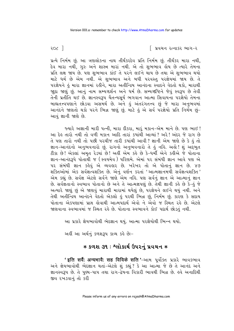પ્રત્યે નિર્મમ છું. આ ત્રણલોકના નાથ તીર્થંકરદેવ પ્રતિ નિર્મમ છું. તીર્થંકર મારા નથી, દેવ મારા નથી, ગુરુ અને શાસ્ત્ર મારાં નથી. એ તો શુભભાવ હોય છે ત્યારે તેમના પ્રતિ લક્ષ જાય છે. પણ શભભાવ કાંઈ તે પરને લઈને થાય છે તથા એ શભભાવ થયો માટે ધર્મ છે એમ નથી. એ શુભભાવ અને બધી પરવસ્તુ પરજ્ઞેયમાં જાય છે. તે પરજ્ઞેયને હું મારા જ્ઞાનમાં રહીને, મારા અતીન્દ્રિય આનંદના સ્વાદને વેદતો થકો, મારાથી જાદા જાણું છું. આનું નામ સમ્યગ્દર્શન અને ધર્મ છે. સમ્યગ્દષ્ટિને જેવું સ્વરૂપ છે તેવી તેની પ્રતીતિ થઈ છે. જ્ઞાનસ્વરૂપ ચૈતન્યસૂર્ય ભગવાન આત્મા સિવાયના પરજ્ઞેયો તેમના બાહ્યતત્ત્વપણાને છોડવા અસમર્થ છે. અને કું અંતરંગતત્ત્વ છું જે મારા અનુભવમાં આનંદને જાણતો થકો પરને ભિન્ન જાણું છું. માટે કું એ સર્વ પરજ્ઞેયો પ્રતિ નિર્મમ છું– આવું જ્ઞાની જાણે છે.

જ્યારે અજ્ઞાની મારી પત્ની, મારા દીકરા, મારું મકાન-એમ માને છે. પણ ભાઈ ! આ દેઙ તારો નથી તો વળી મકાન આદિ તારાં કયાંથી આવ્યાં ? અરે ! અંદર જે રાગ છે તે પણ તારો નથી તો પછી પરચીજ તારી કયાંથી આવી? જ્ઞાની એમ જાણે છે કે કું તો જ્ઞાન-આનંદનો અનુભવનારો છું. રાગનો અનુભવનારો તે હું નહિ. અહો! શું અદ્દભુત ટીકા છે! એકલાં અમૃત રેડયાં છે! અહીં એમ કહે છે કે-ધર્મી એને કહીએ જે પોતાના જ્ઞાન-આનંદરૂપે પોતાથી જ (સ્વયમેવ ) પરિણમે. એમાં ૫૨ સંબંધી જ્ઞાન આવે પણ એ ૫૨ સંબંધી જ્ઞાન કહેવું એ વ્યવહાર છે. ખરેખર તો એ પોતાનું જ્ઞાન છે. ૪૭ શક્તિઓમાં એક સર્વજ્ઞત્વશક્તિ છે. એનું વર્ણન કરતાં 'આત્મજ્ઞાનમયી સર્વજ્ઞત્વશક્તિ*'* એમ કહ્યું છે. સર્વજ્ઞ એટલે સર્વને જાણે એમ નહિ. પણ સર્વનું જ્ઞાન એ આત્માનું જ્ઞાન છે. સર્વજ્ઞતાનો સ્વભાવ પોતાનો છે અને તે આત્મજ્ઞપણું છે. તેથી જ્ઞાની કહે છે કે-હું જે અત્યારે જાણું છું એ જાણવું મારાથી મારામાં થયેલું છે, પરજ્ઞેયને લઈને થયું નથી. અને તેથી અતીન્દ્રિય આનંદને વેદતો એકલો હું પરથી ભિન્ન છું, નિર્મમ છું. કારણ કે સદાય પોતાના એકપણામાં પ્રાપ્ત હોવાથી આત્મપદાર્થ એવો ને એવો જ સ્થિત રહે છે. એટલે જાણવાના સ્વભાવમાં જ સ્થિત રહે છે. પોતાના સ્વભાવને કોઈ પદાર્થ છોડતું નથી.

આ પ્રકારે જ્ઞેયભાવોથી ભેદજ્ઞાન થયું. આત્મા પરજ્ઞેયોથી ભિન્ન થયો.

અહીં આ અર્થનું કળશરૂપ કાવ્ય કહે છેઃ-

# **∗ કળશ ૩૧ : શ્લોકાર્થ ઉપરનું પ્રવચન ∗**

'इति सर्वै: अन्यभावै: सह विविके सति '-આમ પૂર્વોક્ત પ્રકારે ભાવકભાવ અને જ્ઞેયભાવોથી ભેદજ્ઞાન થતાં-એટલે શું કહ્યું ? કે આ આત્મા જે છે તે આનંદ અને જ્ઞાનસ્વરૂપ છે. તે પુણ્ય-પાપ તથા રાગ-દ્વેષના વિકારી ભાવથી ભિન્ન છે. હવે અનાદિથી જીવ રખડવાનં તો કરી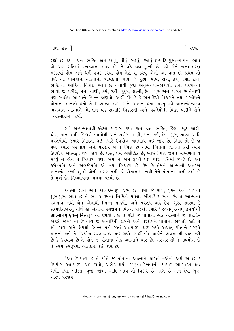ગાથા ૩૭ <sup>–</sup>

રહ્યો છે. દયા, દાન, ભક્તિ અને ખાવું, પીવું, રળવું, કમાવું ઇત્યાદિ પુણ્ય-પાપના ભાવ એ ચાર ગતિમાં રખડવાના ભાવ છે. તે વડે જીવ દુઃખી છે. હવે જેને જન્મ-મરણ મટાડવાં હોય અને ધર્મ પ્રગટ કરવો હોય તેણે શું કરવું એની આ વાત છે. પ્રથમ તો તેણે આ ભગવાન આત્માને, ભાવકનો ભાવ જે પુણ્ય, પાપ, રાગ, દ્વેષ, દયા, દાન, ભક્તિના આદિના વિકારી ભાવ છે તેનાથી જુદો અનુભવવો-જાણવો. તથા પરજ્ઞેયના ભાવો જે શરીર, મન, વાણી, કર્મ, સ્ત્રી, કુટુંબ, લક્ષ્મી, દેવ, ગુરુ અને શાસ્ત્ર છે તેનાથી પણ સ્વજ્ઞેય આત્માને ભિન્ન જાણવો. અહીં કહે છે કે અનાદિથી વિકારને તથા પરજ્ઞેયને પોતાના માનતો હતો તે મિથ્યાત્વ. ભ્રમ અને અજ્ઞાન હતાં. પરંત હવે જ્ઞાનાનંદસ્વરૂપ ભગવાન આત્માને ભેદજ્ઞાન વડે રાગાદિ વિકારથી અને પરજ્ઞેયોથી ભિન્ન પાડીને તેને ' આત્મારામ ' કર્યો.

સર્વ અન્યભાવોથી એટલે કે રાગ, દયા, દાન, વ્રત, ભક્તિ, હિંસા, જૂઠ, ચોરી, ક્રોધ, માન આદિ વિકારી ભાવોથી અને શરીર, વાણી, મન, કર્મ, દેવ, ગુરુ, શાસ્ત્ર આદિ પરજ્ઞેયોથી જ્યારે ભિન્નતા થઈ ત્યારે ઉપયોગ આત્મરૂપ થઈ જાય છે. ભિન્ન તો છે જ પણ જ્યારે પરભાવ અને પરજ્ઞેય બન્ને ભિન્ન છે એવી ભિન્નતા જ્ઞાનમાં કરી ત્યારે ઉપયોગ આત્મરૂપ થઈ જાય છે. વસ્તુ ધર્મ અલૌકિક છે, ભાઈ ! પણ જેમને સાંભળવા ય મળ્યું ન હોય તે બિચારા ઘણા એમ ને એમ દુઃખી થઈ ચાર ગતિમાં રખડે છે. આ કરોડપતિ અને અબજોપતિ એ બધા બિચારા છે. કેમ કે તેમને આત્માની અંતરંગ જ્ઞાનાનંદ લક્ષ્મી શું છે એની ખબર નથી. જે પોતાનામાં નથી તેને પોતાના માની રહ્યો છે તે મૂર્ખ છે, મિથ્યાત્વના ભ્રમમાં ૫ડયો છે.

આત્મા જ્ઞાન અને આનંદસ્વરૂપ પ્રભુ છે. તેમાં જે રાગ, પુણ્ય અને પાપના શભાશભ ભાવ છે તે ભાવક કર્મના નિમિત્તે થયેલા ઔપાધિક ભાવ છે. તે આત્માનો .<br>સ્વભાવ નથી-એમ એનાથી ભિન્ન પાડયો, અને પરજ્ઞેય-ચાહે દેવ, ગુરુ, શાસ્ત્ર, કે સમ્મેદશિખરનું તીર્થ લો-એનાથી સ્વજ્ઞેયને ભિન્ન પાડયો, ત્યારે **' स्वयम् अयम् उपयोगो** आत्मानम एकम बिभ्रत' આ ઉપયોગ છે તે પોતે જ પોતાના એક આત્માને જ ધારતો-એટલે જાણવાનો ઉપયોગ જે અનાદિથી રાગને અને પરજ્ઞેયને પોતાના જાણતો હતો તે ફુવે રાગ અને જ્ઞેયથી ભિન્ન પડી જતાં આત્મારૂપ થઈ ગયો અર્થાત પોતાને પર<mark>રૂ</mark>પે માનતો હતો તે ઉપયોગ સ્વભાવરૂપ થઈ ગયો. અહીં ભેદ પાડીને વ્યવહારથી વાત કરી છે કે-ઉપયોગ છે તે પોતે જ પોતાના એક આત્માને ધારે છે. ખરેખર તો જે ઉપયોગ છે તે સ્વયં સ્વરૂપમાં એકાકાર થઈ જાય છે.

'આ ઉપયોગ છે તે પોતે જ પોતાના આત્માને ધારતો '-એનો અર્થ એ છે કે ઉપયોગ આત્મારૂપ થઈ ગયો, અભેદ થયો. જાણવા-દેખવાનો વ્યાપાર આત્મારૂપ થઈ ગયો. દયા, ભક્તિ, પૂજા, જાત્રા આદિ ભાવ તો વિકાર છે, રાગ છે અને દેવ, ગુરુ, શાસ્ત્ર પરજ્ઞેય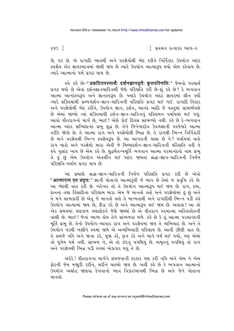છે, ૫૨ છે. એ રાગાદિ ભાવથી અને ૫રજ્ઞેયોથી ભેદ કરીને નિર્વિકાર ઉપયોગ અંદર સ્વજ્ઞેય એક જ્ઞાયકમાત્રમાં જામી જાય છે ત્યારે ઉપયોગ આત્મારૂપ થયો એમ કહેવાય છે. ત્યારે આત્માનો ધર્મ પ્રગટ થાય છે.

પ્રગટ થયો છે એવાં દર્શનજ્ઞાનચારિત્રથી જેણે પરિણતિ કરી છે-શું કહે છે? કે ભગવાન આત્મા આનંદસ્વરૂપ અને જ્ઞાનસ્વરૂપ છે. જ્યારે ઉપયોગ અંદર જ્ઞાયકમાં લીન કર્યો ત્યારે શક્તિમાંથી સમ્યગ્દર્શન-જ્ઞાન-ચારિત્રની પરિણતિ પ્રગટ થઈ ગઈ. રાગાદિ વિકાર અને પરજ્ઞેયોથી ભેદ કરીને, ઉપયોગ જ્ઞાન, દર્શન, આનંદ આદિ જે વસ્તમાં સામર્થ્યપણે છે એમાં જામ્યો ત્યાં શક્તિમાંથી દર્શન-જ્ઞાન-ચારિત્રનું પરિણમન પર્યાયમાં થઈ ગયું. આવો વીતરાગનો માર્ગ છે, ભાઈ! એણે કોઈ દિવસ સાંભળ્યો નથી. કહે છે કે-ભગવાન આત્મા અંદર સચ્ચિદાનંદ પ્રભુ શુદ્ધ છે. તેને જિનેશ્વરદેવ કેવળજ્ઞાની પરમેશ્વરે આત્મા તરીકે જોયો છે. તે આત્મા રાગ અને પરજ્ઞેયોથી ભિન્ન છે. તે રાગથી ભિન્ન નિર્વિકારી છે અને પરજ્ઞેયથી ભિન્ન સ્વજ્ઞેયરૂપ છે. આ આખરની ગાથા છે ને? પર્યાયમાં થતો રાગ મારો અને પરજ્ઞેયો મારા એવી જે મિથ્યાદર્શન-જ્ઞાન-ચારિત્રની પરિણતિ હતી તે ઙ્વે ગુલાંટ ખાય છે એમ કહે છે. શુદ્ધચૈતન્યમૂર્તિ ભગવાન આત્મા પરમાનંદનો નાથ પ્રભુ તે કું છું એમ ઉપયોગ અંતર્લીન થઈ અંદર જામતાં શ્રદ્ધા-જ્ઞાન-ચારિત્રની નિર્મળ પરિણતિ-પર્યાય પ્રગટ થાય છે.

આ પ્રમાણે શ્રદ્ધા-જ્ઞાન-ચારિત્રની નિર્મળ પરિણતિ પ્રગટ કરી છે એવો 'आत्माराम एव प्रवृत्त: ' જ્ઞાની પોતાનો આત્મારૂપી જે બાગ છે તેમાં જ પ્રવૃત્તિ કરે છે. આ ભેદથી વાત કરી છે. ખરેખર તો તે ઉપયોગ આત્મારૂપ થઈ જાય છે. રાગ, દયા, દાનના તથા હિંસાદિના પરિણામ મારા એમ જે માનતો હતો અને પરજ્ઞેયોમાં હું છું અને તે મને લાભકારી છે એવું જે માનતો હતો તે માન્યતાથી અને રાગાદિથી ભિન્ન પડી હવે ઉપયોગ આત્મામાં જાય છે, ક્રીડા કરે છે અને આત્મારૂપ થઈ જાય છે. અહાહા! આ તો એક સમયમાં ત્રણકાળ ત્રણલોકને જેણે જાણ્યાં છે એ વીતરાગ પરમાત્મા અરિલંતદેવની વાણી છે. ભાઈ ! જેનાં ભાગ્ય હોય તેને સાંભળવા મળે. કહે છે કે તું આત્મા પરમાનંદની મૂર્તિ પ્રભુ છે. તેનો ઉપયોગ-વ્યાપાર રાગ અને પરજ્ઞેયમાં જાય તે વ્યભિચાર છે. અને તે ઉપયોગ પરથી ખસીને સ્વમાં જામે એ અવ્યભિચારી પરિણામ છે. આવી ઝીણી વાત છે. તે સમજે નહિ અને જાત્રા કરે, પૂજા કરે, દાન કરે અને માને ધર્મ થઈ ગયો, પણ એમાં<br>તો ધૂળેય ધર્મ નથી. સાંભળ ને, એ તો ઝેરનું પગથિયું છે. અમૃતનું પગથિયું તો રાગ અને પરજ્ઞેયથી ભિન્ન પડી સ્વમાં એકાકાર થવું તે છે.

અરેરે ! વીતરાગના માર્ગને સમજવાની દરકાર પણ કરી નહિ અને એમ ને એમ ઢોરની જેમ મજ઼ારી કરીને, મરીને ચાલ્યો જાય છે. અહીં કહે છે કે ભગવાન આત્માનો ઉપયોગ અર્થાત જાણવા દેખવાનો ભાવ વિકારભાવથી ભિન્ન છે અને જેને પોતાના માનતો

૨૧૦ ી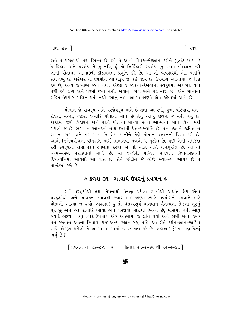ગાથા ૩૭ <sup>–</sup>

કૂતો તે પરજ્ઞેયથી પણ ભિન્ન છે. કવે તે આવો વિવેક-ભેદજ્ઞાન કરીને ગુલાંટ ખાય છે કે વિકાર અને પરજ્ઞેય તે હું નહિ, હું તો નિર્વિકારી સ્વજ્ઞેય છું. આમ ભેદજ્ઞાન કરી જ્ઞાની પોતાના આત્મારૂપી ક્રીડાવનમાં પ્રવૃત્તિ કરે છે. આ તો વ્યવહારથી ભેદ પાડીને સમજાવ્યું છે. ખરેખર તો ઉપયોગ આત્મરૂપ જ થઈ જાય છે. ઉપયોગ આત્મામાં જ ક્રીડા કરે છે. અન્ય જગ્યાએ જતો નથી. એટલે કે જાણવા-દેખવાના સ્વરૂપમાં એકાકાર થયો તેથી હવે રાગ અને પરમાં જતો નથી. અર્થાત 'રાગ અને પર મારાં છે' એમ માન્યતા સહિત ઉપયોગ મલિન થતો નથી. આનં નામ આત્મા જાણ્યો એમ કહેવામાં આવે છે.

પોતાને જે રાગરૂપ અને પરજ્ઞેયરૂપ માને છે તથા આ સ્ત્રી, પુત્ર, પરિવાર, ધન-દોલત, મહેલ, હજીરા ઇત્યાદિ પોતાના માને છે તેનું આખું જીવન જ મરી ગયું છે. અંદરમાં જેણે વિકારને અને પરને પોતાનાં માન્યાં છે તે આત્માના ભાન વિના મરી ગયેલો જ છે. ભગવાન આનંદનો નાથ જીવતી ચૈતન્યજ્યોતિ છે. તેના જીવને જીવિત ન રાખતાં રાગ અને પર મારાં છે એમ માનીને તેણે પોતાના જીવનની હિંસા કરી છે. આવો જિનેશ્વરદેવનો વીતરાગ માર્ગ સાંભળવા મળવો ય મુશ્કેલ છે. પછી તેની સમજણ કરી સ્વરૂપનાં શ્રદ્ધા-જ્ઞાન-રમણતા કરવાં એ તો અતિ અતિ મહામુશ્કેલ છે. આ તો જન્મ-મરણ મટાડવાનો માર્ગ છે. સો ઇન્દ્રોથી પૂજિત ભગવાન જિનેશ્વરદેવની દિવ્યધ્વનિમાં આવેલી આ વાત છે. તેને છોડીને જે બીજે જ્યાં-ત્યાં આથડે છે તે પાખંડમાં રૂમે છે

#### \* કળશ ૩૧ : ભાવાર્થ ઉપરનું પ્રવચન **∗**

સર્વ પરદ્રવ્યોથી તથા તેમનાથી ઉત્પન્ન થયેલા ભાવોથી અર્થાત જ્ઞેય એવા પરદ્રવ્યોથી અને ભાવકના ભાવથી જ્યારે ભેદ જાણ્યો ત્યારે ઉપયોગને રમવાને માટે પોતાનો આત્મા જ રહ્યો. અહાહા! હું તો ચૈતન્યસૂર્ય ભગવાન ચૈતન્યના તેજના નુરનું પુર છું અને આ રાગાદિ ભાવો અને પરજ્ઞેયો મારાથી ભિન્ન છે, મારામાં નથી આવું જ્યારે ભેદજ્ઞાન કર્યુ ત્યારે ઉપયોગ એક આત્મામાં જ લીન થયો અને જામી ગયો. કેમકે તેને રમવાને આત્મા સિવાય કોઈ અન્ય સ્થાન રહ્યું નહિ. આ રીતે દર્શન-જ્ઞાન-ચારિત્ર સાથે એકરૂપ થયેલો તે આત્મા આત્મામાં જ રમણતા કરે છે. અહાહા ! ટૂંકામાં પણ કેટલું ભર્યું છે?

[ પ્રવચન નં. ૮૩-૮૪. \* દિનાંક ૨૧-૨-૭૬ થી ૨૨-૨-૭૬ ]

 $\frac{1}{2}$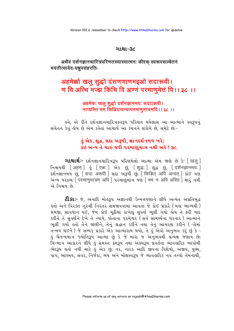#### ગાથા-૩૮

## अथैवं दर्शनज्ञानचारित्रपरिणतस्यास्यात्मनः कीदृक् स्वरूपसञ्चेतनं भवतीत्यावेद-यन्नपसंहरति-

# अहमेक्को खलु सुद्धो दंसणणाणमइओ सदारूवी। ण वि अत्थि मज्ज्ञ किंचि वि अण्णं परमाणुमेत्तं पि ।। ३८ ।।

#### अहमेक: खलू शुद्धो दर्शनज्ञानमय: सदाऽरूपी। नाप्यस्ति मम किञ्चिदप्यन्यत्परमाणुमात्रमपि ।। ३८ ।।

ઙ્વે, એ રીતે દર્શનજ્ઞાનચારિત્રસ્વરૂપ પરિણત થયેલાસ આ આત્માને સ્વરૂપનું સંચેતન કેવું હોય છે એમ કહેતાં આચાર્ય આ કથનને સંકોચે છે, સમેટે છેઃ-

# હું એક, શુદ્ધ, સદા અરૂપી, જ્ઞાનદર્શનમય ખરે; કંઇ અન્ય તે મારું જરી પરમાણમાત્ર નથી અરે! ૩૮.

**ગાથાર્થઃ**- દર્શનજ્ઞાનચારિત્રરૂપ પરિણમેલો આત્મા એમ જાણે છે કેઃ [ खलु ] निश्चयथी [अहम् ] डुं [एक: ] એક छुं, [शुद्ध: ] शुद्ध छुं, [दर्शनज्ञानमय: ] <u> દર્શનજ્ઞાનમય છું, सिंदा अरूपी</u> सद्या અરૂપી છું; क्रिश्चित अपि अन्यत । કાંઈ પણ अन्य परद्रव्य पिरमाणमात्रम् अपि । परभाशुभात्र पश मिम न अपि अस्ति । भारं नथी એ નિશ્ચય છે.

2ીકાઃ- જે, અનાદિ મોલ્ર્રુપ અજ્ઞાનથી ઉન્મત્તપણાને લીધે અત્યંત અપ્રતિબુદ્ધ કૂતો અને વિરક્ત ગરુથી નિરંતર સમજાવવામાં આવતાં જે કોઈ પ્રકારે (મુકા ભાગ્યથી) સમજી, સાવધાન થઈ, જેમ કોઈ મૂઠીમાં રાખેલું સુવર્ણ ભૂલી ગયો હોય તે ફરી યાદ કરીને તે સુવર્ણને દેખે તે ન્યાયે, પોતાના પરમેશ્વર (સર્વ સામર્થ્યના ધરનાર) આત્માને ભૂલી ગયો હતો તેને જાણીને, તેનું શ્રદ્ધાન કરીને તથા તેનું આચરણ કરીને (-તેમાં તન્મય થઈને) જે સમ્યક પ્રકારે એક આત્મારામ થયો, તે હું એવો અનુભવ કરૂં છું કે : ડું ચૈતન્યમાત્ર જ્યોતિરૂપ આત્મા છું કે જે મારા જ અનુભવથી પ્રત્યક્ષ જણાય છે; ચિન્માત્ર આકારને લીધે હું સમસ્ત ક્રમરૂપ તથા અક્રમરૂપ પ્રવર્તતા વ્યાવહારિક ભાવોથી ભેદરૂપ થતો નથી માટે કું એક છું; નર, નારક આદિ જીવના વિશેષો, અજીવ, પુણ્ય, પાપ, આસ્ત્રવ, સંવર, નિર્જરા, બંધ અને મોક્ષસ્વરૂપ જે વ્યાવહારિક નવ તત્ત્વો તેમનાથી,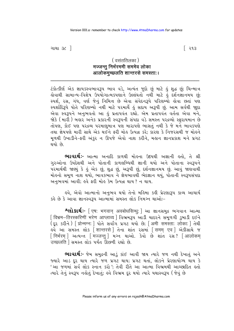( वसंततिलका ) मज्जन्तू निर्भरममी सममेव लोका आलोकमच्छलति शान्तरसे समस्ताः।

ટંકોત્કીર્ણ એક જ્ઞાયકસ્વભાવરૂપ ભાવ વડે, અત્યંત જુદો છું માટે કું શુદ્ધ છું; ચિન્માત્ર डोવાથી સામાન્ય-વિશેષ ઉપયોગાત્મકપણાને ઉલ્લંઘતો નથી માટે હું દર્શનજ્ઞાનમય છું; સ્પર્શ, રસ, ગંધ, વર્ણ જેનું નિમિત્ત છે એવા સંવેદનરૂપે પરિણમ્યો હોવા છતાં પણ સ્પર્શાદિરૂપે પોતે પરિણમ્યો નથી માટે પરમાર્થે કું સદાય અરૂપી છું. આમ સર્વથી જાુદા એવા સ્વરૂપને અનુભવતો આ કું પ્રતાપવંત રહ્યો. એમ પ્રતાપવંત વર્તતા એવા મને, જોકે (મારી) બહાર અનેક પ્રકારની સ્વરૂપની સંપદા વડે સમસ્ત પરદ્રવ્યો સ્ફરાયમાન છે તોપણ, કોઈ પણ પરદ્રવ્ય પરમાણુમાત્ર પણ મારાપણે ભાસતું નથી કે જે મને ભાવકપણે તથા જ્ઞેયપણે મારી સાથે એક થઈને ફરી મોહ ઉત્પન્ન કરે: કારણ કે નિજરસથી જ મોહને મળથી ઉખાડીને-ફરી અંકર ન ઊપજે એવો નાશ કરીને. મહાન જ્ઞાનપ્રકાશ મને પ્રગટ થયો છે

**ભાવાર્થઃ**- આત્મા અનાદિ કાળથી મોલ્ના ઉદયથી અજ્ઞાની લ્તો, તે શ્રી ગુરુઓના ઉપદેશથી અને પોતાની કાળલબ્ધિથી જ્ઞાની થયો અને પોતાના સ્વરૂપને પરમાર્થથી જાણ્યું કે હું એક છું, શુદ્ધ છું, અરૂપી છું, દર્શનજ્ઞાનમય છું. આવું જાણવાથી મોલ્નો સમૂળ નાશ થયો, ભાવકભાવ ને જ્ઞેયભાવથી ભેદજ્ઞાન થયું, પોતાની સ્વરૂપસંપદા અનુભવમાં આવી; હવે ફરી મોહ કેમ ઉત્પન્ન થાય ? ન થાય.

ઙુવે, એવો આત્માનો અનુભવ થયો તેનો મહિમા કહી પ્રેરણારૂપ કાવ્ય આચાર્ય કહે છે કે આવા જ્ઞાનસ્વરૂપ આત્મામાં સમસ્ત લોક નિમગ્ન થાઓઃ-

**શ્લોકાર્થઃ-** [ एष: भगवान् अवबोधसिन्धु: ] આ જ્ઞાનસમુદ્ર ભગવાન આત્મા विभ्रम-तिरस्करिणीं भरेण आप्लाव्यं । विश्वभ३५ આડी यादृश्ने समुणगी उजाडी दृष्ठने .<br>( ६२ કરીને ) [ प्रोन्मग्न: ] પોતે સર્વાંગ પ્રગટ થયો છે; [ अमी समस्ता: लोका: ] તેથી डवे આ સમસ્ત લોક | शान्तरसे | तेना शांत रसमां | समम एव | એકીસाથે જ [निर्भरम् ] अत्यन्त [मज्जन्तु ] मञ्न थाओ. डेवो छे शांत २स? [आलोकम 

**ભાવાર્થઃ**- જેમ સમુદ્રની આડું કાંઈ આવી જાય ત્યારે જળ નથી દેખાતું અને જ્યારે આડ દૂર થાય ત્યારે જળ પ્રગટ થાય; પ્રગટ થતાં, લોકને પ્રેરણાયોગ્ય થાય કે 'આ જળમાં સર્વ લોક સ્નાન કરો '; તેવી રીતે આ આત્મા વિભ્રમથી આચ્છાદિત હતો ત્યારે તેનું સ્વરૂપ નહોતું દેખાતું; હવે વિભ્રમ દર થયો ત્યારે યથાસ્વરૂપ (જેવું છે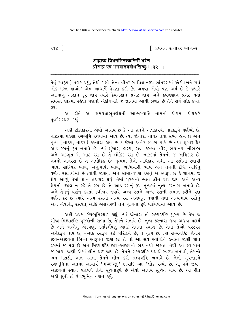# आप्लाव्य विभ्रमतिरस्करिणीं भरेण प्रोन्मग्न एष भगवानवबोधसिन्धः ।। ३२ ।।

તેવું સ્વરૂપ) પ્રગટ થયું; તેથી ' હવે તેના વીતરાગ વિજ્ઞાનરૂપ શાંતરસમાં એકીવખતે સર્વ લોક મગ્ન થાઓ ' એમ આચાર્ય પ્રેરણા કરી છે. અથવા એવો પણ અર્થ છે કે જ્યારે આત્માનું અજ્ઞાન દુર થાય ત્યારે કેવળજ્ઞાન પ્રગટ થાય અને કેવળજ્ઞાન પ્રગટ થતાં સમસ્ત લોકમાં રહેલા પદાર્થી એકીવખતે જ જ્ઞાનમાં આવી ઝળકે છે તેને સર્વ લોક દેખો.  $32.$ 

આ રીતે આ સમયપ્રાભૃતગ્રંથની આત્મખ્યાતિ નામની ટીકામાં ટીકાકારે પૂર્વરંગસ્થળ કહ્યું.

અહીં ટીકાકારનો એવો આશય છે કે આ ગ્રંથને અલંકારથી નાટકરૂપે વર્ણવ્યો છે. નાટકમાં પહેલાં રંગભૂમિ રચવામાં આવે છે. ત્યાં જોનારા નાયક તથા સભા હોય છે અને નૃત્ય ( નાટય, નાટક ) કરનારા ક્રોય છે કે જેઓ અનેક સ્વાંગ ધારે છે તથા શૃંગારાદિક આંઠ રસનું રૂપ બતાવે છે. ત્યાં શૃંગાર, હાસ્ય, રૌદ્ર, કરુણા, વીર, ભયાનક, બીભત્સ અને અદ્ભુત-એ આઠ રસ છે તે લૌકિક રસ છે; નાટકમાં તેમનો જ અધિકાર છે. નવમો શાંતરસ છે તે અલૌકિક છે; નૃત્યમાં તેનો અધિકાર નથી. આ રસોના સ્થાયી ભાવ, સાત્ત્વિક ભાવ, અનુભાવી ભાવ, વ્યભિચારી ભાવ અને તેમની દષ્ટિ આદિનું વર્ણન રસગ્રંથોમાં છે ત્યાંથી જાણવું. અને સામાન્યપણે રસનું એ સ્વરૂપ છે કે જ્ઞાનમાં જે જ્ઞેય આવ્યું તેમાં જ્ઞાન તદાકાર થયું, તેમાં પુરુષનો ભાવ લીન થઈ જાય અને અન્ય જ્ઞેયની ઇચ્છા ન રહે તે રસ છે. તે આઠ રસનું રૂપ નૃત્યમાં નૃત્ય કરનારા બતાવે છે; અને તેમનું વર્ણન કરતાં કવીશ્વર જ્યારે અન્ય રસને અન્ય રસની સમાન કરીને પણ વર્ણન કરે છે ત્યારે અન્ય રસનો અન્ય રસ અંગભૂત થવાથી તથા અન્યભાવ રસોનું અંગ લેવાથી, રસવત આદિ અલંકારથી તેને નૃત્યના રૂપે વર્ણવવામાં આવે છે.

અહીં પ્રથમ રંગભૂમિસ્થળ કહ્યું. ત્યાં જોનારા તો સમ્યગ્દષ્ટિ પુરુષ છે તેમ જ બીજા મિથ્યાદષ્ટિ પુરુષોની સભા છે, તેમને બતાવે છે. નૃત્ય કરનારા જીવ-અજીવ પદાર્થ છે અને બન્નેનું એકપણું, કર્તાકર્મપણું આદિ તેમના સ્વાંગ છે. તેમાં તેઓ પરસ્પર અનેકરૂપ થાય છે, -આઠ રસરૂપ થઈ પરિણમે છે, તે નૃત્ય છે. ત્યાં સમ્યગ્દષ્ટિ જોનાર જીવ-અજીવના ભિન્ન સ્વરૂપને જાણે છે; તે તો આ સર્વે સ્વાંગોને કર્મકૃત જાણી શાંત રસમાં જ મગ્ર છે અને મિથ્યાદષ્ટિ જીવ-અજીવનો ભેદ નથી જાણતા તેથી આ સ્વાંગોને જ સાચા જાણી એમાં લીન થઈ જાય છે. તેમને સમ્યગ્દષ્ટિ યથાર્થ સ્વરૂપ બતાવી, તેમનો ભ્રમ મટાડી, શાંત રસમાં તેમને લીન કરી સમ્યગ્દષ્ટિ બનાવે છે. તેની સચનારૂપે રંગભૂમિના અંતમાં આચાર્યે **'मज्जन्तु'** ઇત્યાદિ આ શ્લોક રચ્યો છે. તે, હવે જીવ-અજીવનો સ્વાંગ વર્ણવશે તેની સૂચનારૂપે છે એવો આશય સૂચિત થાય છે. આ રીતે અહીં સુધી તો રંગભૂમિનું વર્ણન કર્યું.

२१४ ]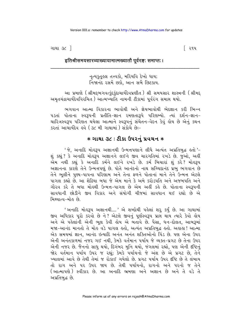ગાથા ૩૮ <sup>1</sup>

િ ૨૧૫

#### इतिश्रीसमयसारव्याख्यायामात्मख्यातौ पूर्वरङ्गः समाप्तः।

નૃત્યકુતૂહલ તત્ત્વકો, મરિયવિ દેખો ધાય; નિજાનંદ રસમેં છકો. આન સબૈ છિટકાય.

આ પ્રમાણે (શ્રીમદ્દભગવત્કુંદુકુંદાચાર્યદેવપ્રણીત ) શ્રી સમયસાર શાસ્ત્રની (શ્રીમદ્ અમૃતચંદ્રાચાર્યદેવવિરચિત) આત્મખ્યાતિ નામની ટીકામાં પૂર્વરંગ સમાપ્ત થયો.

ભગવાન આત્મા વિકારના ભાવોથી અને જ્ઞેયભાવોથી ભેદજ્ઞાન કરી ભિન્ન ૫ડતાં પોતાના સ્વરૂપની પ્રતીતિ-જ્ઞાન રમણતારૂપે પરિણમ્યો. ત્યાં દર્શન-જ્ઞાન-ચારિત્રસ્વરૂપ પરિણત થયેલા આત્માને સ્વરૂપનું સંચેતન-વેદન કેવું હોય છે એનું કથન કરતાં આચાર્યદેવ હવે (૩૮ મી ગાથામાં) સંકોચે છેઃ-

# $*$  ગાથા ૩૮ : ટીકા ઉપરનું પ્રવચન  $*$

' જે, અનાદિ મોહરૂપ અજ્ઞાનથી ઉન્મત્તપણાને લીધે અત્યંત અપ્રતિબુદ્ધ હતો '-શું કહ્યું ? કે અનાદિ મોલ્ર્રુપ અજ્ઞાનને લઈને જીવ ચારગતિમાં રખડે છે. જુઓ, અહીં એમ નથી કહ્યું કે અનાદિ કર્મને લઈને રખડે છે. કર્મ બિચારાં શું કરે? મોહરૂપ અજ્ઞાનના કારણે તેને ઉન્મત્તપણું છે. પોતે આનંદનો નાથ સચ્ચિદાનંદ પ્રભુ ભગવાન છે તેને ભૂલીને પુણ્ય-પાપના પરિણામ અને તેના ફળને પોતાનાં માને તેને ઉન્મત્ત એટલે પાગલ કહ્યો છે. આ શેઠિયા બધા જે એમ માને કે અમે કરોડપતિ અને અજબપતિ અને ગૌરવ કરે તે બધા મોહથી ઉન્મત્ત-પાગલ છે એમ અહીં કહે છે. પોતાના સ્વરૂપની સાવધાની છોડીને જીવ વિકાર અને સંયોગી ચીજમાં સાવધાન થઈ રહ્યો છે એ મિથ્યાત્વ–મોઢ છે.

' અનાદિ મોલ્ર્રુપ અજ્ઞાનથી.... ' એ શબ્દોથી પહેલાં શરૂ કર્યું છે. આ ગાથામાં જીવ અધિકાર પૂરો કરવો છે ને? એટલે જીવનું પૂર્ણસ્વરૂપ પ્રાપ્ત થાય ત્યારે કેવો લોય અને એ પહેલાંની એની ભૂલ કેવી હોય એ બતાવે છે. પૈસા, ધન-દોલત, આબરૂમાં મજા-આનંદ માનતો તે મોહ વડે પાગલ હતો, અત્યંત અપ્રતિબુદ્ધ હતો. અહાહા ! આત્મા એક સમયમાં જ્ઞાન. આનંદ ઇત્યાદિ અનંત અનંત શક્તિઓનો પિંડ છે. પણ એના ઉપર એની અનંતકાળમાં નજર ગઈ નથી, કેમકે વર્તમાન પર્યાય જે વ્યક્ત-પ્રગટ છે તેના ઉપર એની નજર છે. જૈનનો સાધુ થયો, દિગંબર મુનિ થયો, જંગલમાં રહ્યો, પણ એની દષ્ટિનું જોર વર્તમાન પર્યાય ઉપર જ રહ્યું; કેમકે પર્યાયનો જે અંશ છે એ પ્રગટ છે, તેને ખ્યાલમાં આવે છે તેથી તેમાં જ રોકાઈ ગયેલો છે. પ્રગટ પર્યાય ઉપર દૃષ્ટિ છે તે લંબાય તો રાગ અને ૫૨ ઉપર જાય છે. તેથી ૫ર્યાયનો. રાગનો અને ૫૨નો જ તેને (આત્માપણે) સ્વીકાર છે. આ અનાદિ ભ્રમણા અને અજ્ઞાન છે અને તે વડે તે અપ્રતિબુદ્ધ છે.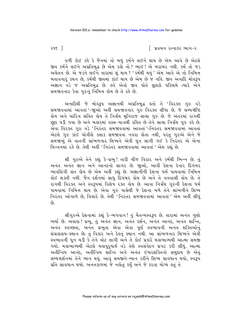ર૧૬ ી

િ પ્રવચન રત્નાકર ભાગ−ર

વળી કોઈ કહે કે જૈનમાં તો બધું કર્મને લઈને થાય છે એમ આવે છે એટલે જીવ કર્મને લઈને અપ્રતિબુદ્ધ છે એમ કર્લો તો ? ભાઈ ! એ બરાબર નથી. કર્મ તો જડ અચેતન છે. એ જડને લઈને તારામાં શું થાય ? ' કર્મથી થયું ' એમ આવે એ તો નિમિત્ત બતાવનારૂં કથન છે, કર્મથી જીવમાં કાંઈ થાય છે એમ છે જ નહિ. જીવ અનાદિ મોહરૂપ અજ્ઞાન વડે જ અપ્રતિબુદ્ધ છે. હવે એવો જીવ પોતે સુલટો પરિણમે ત્યારે એને સમજાવનાર કેવા ગરુનં નિમિત્ત લોય છે તે કહે છે.

અનાદિથી જે મોહરૂપ અજ્ઞાનથી અપ્રતિબુદ્ધ હતો તે 'વિરક્ત ગુરુ વડે સમજાવવામાં આવતાં '-જાઓ અહીં સમજાવનાર ગુરુ વિરક્ત લીધા છે. જે સમ્યગ્દષ્ટિ હોય અને ચારિત્ર સહિત હોય તે નિર્ગ્રંથ મુનિરાજ સાચા ગુરુ છે. જે અંતરમાં રાગથી છુટા ૫ડી ગયા છે અને બહારમાં વસ્ત્ર-પાત્રથી રહિત છે તેને સાચા નિર્ગ્રંથ ગુરુ કહે છે. .<br>એવા વિરક્ત ગુરુ વડે 'નિરંતર સમજાવવામાં આવતાં '-નિરંતર સમજાવવામાં આવતાં એટલે ગુરુ કાંઈ ચોવીસે કલાક સમજાવવા નવરા હોતા નથી, પરંતુ ગુરુએ એને જે સમજાવ્યું એ વાતની સાંભળનાર શિષ્યને એવી ધૂન લાગી ગઈ કે નિરંતર એ એના ચિન્તનમાં રહે છે. તેથી અહીં 'નિરંતર સમજાવવામાં આવતાં ' એમ કહ્યં છે.

શ્રી ગુરુએ તેને કહ્યું કે-પ્રભુ! તારી ચીજ વિકાર અને કર્મથી ભિન્ન છે. તું અનંત અનંત જ્ઞાન અને આનંદનો સાગર છે. જાુઓ, આવી દેશના દેનાર દિગંબર ભાવલિંગી સંત હોય છે એમ અહીં કહ્યું છે. અજ્ઞાનીની દેશના ધર્મ પામવામાં નિમિત્ત લોઈ શક્તી નથી. જૈન દર્શનમાં સાધુ દિગંબર લોય છે અને તે વનવાસી લોય છે. તે રાગથી વિરક્ત અને સ્વરૂપમાં વિશેષ રક્ત હોય છે. આવા નિર્ગ્રંથ ગુરુની દેશના ધર્મ પામવામાં નિમિત્ત થાય છે. એવા ગુરુ પાસેથી જે દેશના મળે તેને સાંભળીને શિષ્ય નિરંતર ઓગાળે છે, વિચારે છે. તેથી 'નિરંતર સમજાવવામાં આવતાં' એમ અહીં લીધું  $\hat{y}$ 

શ્રીગુરુએ દેશનામાં કહ્યું કે-ભગવાન ! તું ચૈતન્યસ્વરૂપ છે. તારામાં અનંત ગુણો ભર્યા છે. અહાહા ! પ્રભુ, તું અનંત જ્ઞાન, અનંત દર્શન, અનંત આનંદ, અનંત શાન્તિ, અનંત સ્વચ્છતા, અનંત પ્રભુતા એવા એવા પૂર્ણ સ્વભાવની અનંત શક્તિઓનું સંગ્રહાલય-સ્થાન છે; તું વિકાર અને દેહનું સ્થાન નથી. આ સાંભળનાર શિષ્યને એવી સ્વભાવની ધૂન ચડી કે તેને ચોટ લાગી અને તે કોઈ પ્રકારે મહાભાગ્યથી આત્મા સમજી ગયો. મહાભાગ્યથી એટલે મહાપુરૂષાર્થ વડે તેણે સ્વસંવેદન પ્રગટ કરી લીધું. આત્મા અતીન્દ્રિય આનંદ, અતીન્દ્રિય શાન્તિ અને અનંત ઈશ્વરશક્તિનો સમુદાય છે એવું સમ્યગ્દર્શનમાં તેને ભાન થયું. આવું સમજીને-ભાન કરીને શિષ્ય સાવધાન થયો, સ્વરૂપ પ્રતિ સાવધાન થયો. અનંતકાળમાં જે નહોતું કર્યું અને જે કરવા યોગ્ય હતું તે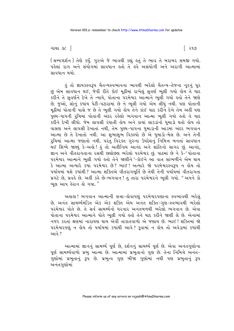િ ૨૧૭

(સમ્યગ્દર્શન) તેણે કર્યું. ગુરુએ જે ભાવથી કહ્યું હતું તે ભાવ તે બરાબર સમજી ગયો. પહેલાં રાગ અને સંયોગમાં સાવધાન કતો તે કર્વ અસંયોગી અને અરાગી આત્મામાં સાવધાન થયો.

કું તો જ્ઞાયકસ્વરૂપ ચૈતન્યસ્વભાવના ભાવથી ભરેલો ચૈતન્ય-તેજના નૂરનું પૂર છું એમ સાવધાન થઈ, જેવી રીતે કોઈ મૂઠીમાં રાખેલું સુવર્ણ ભૂલી ગયો હોય તે યાદ કરીને તે સુવર્ણને દેખે તે ન્યાયે, પોતાના પરમેશ્વર આત્માને ભૂલી ગયો હતો તેને જાણે છે. જુઓ, સોનું કયાંય પેટી-પટારામાં છે ને ભૂલી ગયો એમ લીધું નથી. પણ પોતાની મૂઠીમાં પોતાની પાસે જ છે તે ભૂલી ગયો હોય તેને કાંઈ યાદ કરીને દેખે તેમ અહીં પણ પુણ્ય-પાપની રૂચિમાં પોતાની અંદર રહેલો ભગવાન આત્મા ભૂલી ગયો હતો તે યાદ .<br>કરીને દેખી લીધો. જેમ લાપસી રંધાતી લેય અને કાચાં લાકડાંનો ધુમાડો થતો લોય તો વાસણ અને લાપસી દેખાતાં નથી, તેમ પુણ્ય-પાપના ધુમાડાની આડમાં અંદર ભગવાન આત્મા છે તે દેખાતો નથી. આ શુભાશુભ વિકલ્પો છે એ ધુમાડો-મેલ છે. અને તેની રૂચિમાં આત્મા જણાતો નથી. પરંતુ વિરેક્ત ગુરુના ઉપદેશનું નિમિત્ત બનતાં સાવધાન .<br>થઈ શિષ્યે જાણ્યું કે-અહો ! હું તો અતીન્દ્રિય આનંદ અને શાંતિનો સાગર છું. આનંદ, જ્ઞાન અને વીતરાગતાના રસથી છલોછલ ભરેલો પરમેશ્વર છું. પાઠમાં છે ને કે-' પોતાના પરમેશ્વર આત્માને ભૂલી ગયો હતો તેને જાણીને '-કોઈને આ વાત સાંભળીને એમ થાય કે આત્મા અત્યારે કયાં પરમેશ્વર છે? ભાઈ! અત્યારે જો પરમેશ્વરસ્વરૂપ ન હોય તો પર્યાયમાં થશે કયાંથી ? આત્મા શક્તિએ વીતરાગમૂર્તિ છે તેથી તેની પર્યાયમાં વીતરાગતા પ્રગટે છે, પ્રવહે છે. અહીં કહે છે-ભગવાન ! તું તારા પરમેશ્વરને ભૂલી ગયો. " અપને કો ભલ આપ હેરાન હો ગયા."

અહાહા ! ભગવાન આત્માની સત્તા-હોવાપણું પરમેશ્વરપણાના સ્વભાવથી ભરેલું છે. અનંત સામર્થ્યમંડિત એક એક શક્તિ એમ અનંત શક્તિ-ગણ-સ્વભાવથી ભરેલો પરમેશ્વર પોતે છે. તે સર્વ સામર્થ્યનો ધરનાર અનંતબળથી ભરેલો ભગવાન છે. એવા પોતાના પરમેશ્વર આત્માને પોતે ભૂલી ગયો હતો તેને યાદ કરીને જાણી લે છે. એનામાં નજર કરતાં ક્ષણમાં નારાયણ થાય એવી તાકાતવાળો એ જણાય છે. ભાઈ ! શક્તિમાં જો પરમેશ્વરપણું ન હોય તો પર્યાયમાં કયાંથી આવે? કુવામાં ન હોય તો અવેડામાં કયાંથી આવે ?

આત્મામાં જ્ઞાનનું સામર્થ્ય પૂર્ણ છે, દર્શનનું સામર્થ્ય પૂર્ણ છે. એવા અનંતગુણોના પૂર્ણ સામર્થ્યવાળો પ્રભુ આત્મા છે. આત્મામાં પ્રભુતાનો ગુણ છે. તેના નિમિત્તે અનંત-ગુણોમાં પ્રભુતાનું રૂપ છે. પ્રભુત્વ ગુણ બીજા ગુણોમાં નથી પણ પ્રભુતાનું રૂપ અનંતગુણોમાં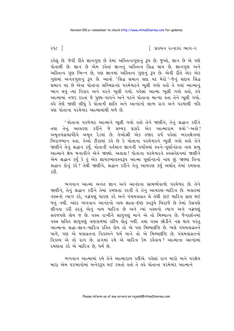ર૧૮ $\lceil$ 

રહેલું છે. જેવી રીતે જ્ઞાનગુણ છે તેમાં અસ્તિત્વગુણનું રૂપ છે. જુઓ, જ્ઞાન છે એ પણે પોતાથી છે. જ્ઞાન છે એમ કહેતાં જ્ઞાનનું અસ્તિત્વ સિદ્ધ થાય છે. જ્ઞાનગુણ અને અસ્તિત્વ ગુણ ભિન્ન છે, પણ જ્ઞાનમાં અસ્તિત્વ ગુણનું રૂપ છે. એવી રીતે એક એક ગુણમાં અનેતગુણનું રૂપ છે. આવો 'સિદ્ધ સમાન સદા પદ મેરો'-જેનું સદાય સિદ્ધ સમાન પદ છે એવા પોતાના સચ્ચિદાનંદ પરમેશ્વરને ભૂલી ગયો હતો તે જ્યાં આત્માનું ભાન થયું ત્યાં વિકાર અને પરને ભુલી ગયો. પહેલાં આત્મા ભુલી ગયો હતો, હવે આત્મામાં નજર કરતાં જે પુણ્ય-પાપને અને પરને પોતાના માન્યા હતા તેને ભૂલી ગયો. હવે તેણે જાણી લીધું કે પોતાની શાંતિ અને આનંદનો લાભ રાગ અને પરમાંથી નહિ પણ પોતાના પરમેશ્વર આત્મામાંથી મળે છે.

' પોતાના પરમેશ્વર આત્માને ભૂલી ગયો હતો તેને જાણીને, તેનું શ્રદ્ધાન કરીને તથા તેનું આચરણ કરીને જે સમ્યક્ પ્રકારે એક આત્મારામ થયો'-અહો! અમૃતચંદ્રાચાર્યદેવે અમૃત રેડયાં છે. તેઓશ્રી એક હજાર વર્ષ પહેલાં ભરતક્ષેત્રમાં બિરાજમાન હતા. તેઓ ટીકામાં કહે છે કે પોતાના પરમેશ્વરને ભૂલી ગયો હતો તેને જાણીને તેનું શ્રદ્ધાન કર્યું. પોતાની વર્તમાન જ્ઞાનની પર્યાયમાં સ્વને-પેર્ણાનંદના નાથ પ્રભુ આત્માને જ્ઞેય બનાવીને એને જાણ્યો. અલલા ! પોતાના પરમેશ્વરને સ્વસંવેદનમાં જાણીને એમ શ્રદ્ધાન કર્યું કે હું એક જ્ઞાયકભાવસ્વરૂપ આત્મા પૂર્ણાનંદનો નાથ છું. જાણ્યા વિના શ્રદ્ધાન કોનું કરે? તેથી જાણીને, શ્રદ્ધાન કરીને તેનું આચરણ કર્યું અર્થાત તેમાં રમણતા કરી

ભગવાન આત્મા અનંત જ્ઞાન અને આનંદના સામર્થ્યવાળો પરમેશ્વર છે. તેને જાણીને, તેનું શ્રદ્ધાન કરીને તેમાં રમણતા કરવી તે તેનું આચરણ-ચારિત્ર છે. બહારમાં વસ્ત્રનો ત્યાગ કરે, નગ્નપણું ધારણ કરે અને પંચમહાવ્રત લે તેથી કાંઈ ચારિત્ર પ્રાપ્ત થઈ જતું નથી. અંદર ભગવાન આનંદનો નાથ જ્ઞાતા-દષ્ટા સ્વરૂપે બિરાજે છે તેમાં ઉગ્રપણે લીનતા કરી ઠરવું એનું નામ ચારિત્ર છે અને ત્યાં વસ્ત્રનો ત્યાગ અને નગ્નપણું સહજપણે હોય જ છે. વસ્ત્ર રાખીને સાધુપણું માને એ તો મિથ્યાત્વ છે. જૈનદર્શનમાં વસ્ત્ર સહિત સાધુપણું ત્રણકાળમાં કદીય હોતું નથી. તથા વસ્ત્ર છોડીને નગ્ન થાય પરંતુ આત્માના શ્રદ્ધા-જ્ઞાન-ચારિત્ર રહિત હોય તો એ પણ મિથ્યાદષ્ટિ છે. ભલે પંચમહાવ્રતને પાળે, પણ એ મહાવ્રતના વિકલ્પને ધર્મ માને તો એ મિથ્યાદષ્ટિ છે. પંચમહાવ્રતનો વિકલ્પ એ તો રાગ છે. રાગમાં રમે એ ચારિત્ર કેમ કહેવાય? આત્માના આનંદમાં રમણતા કરે એ ચારિત્ર છે, ધર્મ છે.

ભગવાન આત્મામાં રમે તેને આત્મારામ કહીએ. પહેલાં રાગ મારો અને પરજ્ઞેય મારા એમ પરભાવોમાં અનેકરૂપ થઈ રમતો હતો તે હવે પોતાના પરમેશ્વર આત્માને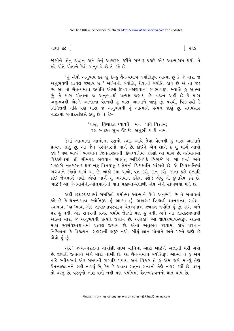ગાથા ૩૮ <sup>1</sup>

જાણીને, તેનું શ્રદ્ધાન અને તેનું આચરણ કરીને સમ્યક્ પ્રકારે એક આત્મારામ થયો. તે ફવે પોતે પોતાને કેવો અનભવે છે તે કર્ફ છેઃ-

' હું એવો અનુભવ કરું છું કે−હું ચૈતન્યમાત્ર જ્યોતિરૂપ આત્મા છું કે જે મારા જ અનુભવથી પ્રત્યક્ષ જણાય છે.' અગ્નિની જ્યોતિ, દીવાની જ્યોતિ હોય છે એ તો જડ છે. આ તો ચૈતન્યમાત્ર જ્યોતિ એટલે દેખવા-જાણવાના સ્વભાવરૂપ જ્યોતિ હું આત્મા છું. તે મારા પોતાના જ અનુભવથી પ્રત્યક્ષ જણાય છે. વજન અહીં છે કે મારા ે.<br>અનુભવથી એટલે આનંદના વેદનથી હું મારા આત્માને જાણું છું. ૫૨થી, વિકલ્પથી કે નિમિત્તથી નહિ પણ મારા જ અનુભવથી હું આત્માને પ્રત્યક્ષ જાણું છું. સમયસાર નાટકમાં બનારસીદાસે કહ્યું છે ને કેઃ-

> 'વસ્તુ વિચારત ઘ્યાવર્તૈ, મન પાવૈ વિશ્રામ; રસ સ્વાદત સુખ ઊપજે, અનુભૌ યાકૌ નામ.'

જેમાં આત્માના આનંદના રસનો સ્વાદ આવે તેવા વેદનથી હું મારા આત્માને પ્રત્યક્ષ જાણું છું. આ જૈન પરમેશ્વરનો માર્ગ છે. કોઈને એમ લાગે કે શું માર્ગ આવો ફશે ? પણ ભાઈ ! ભગવાન જિનેશ્વરદેવની દિવ્યધ્વનિમાં કફેલો આ માર્ગ છે. વર્તમાનમાં વિદેહક્ષેત્રમાં શ્રી સીમંધર ભગવાન સાક્ષાત અરિહંતપદે બિરાજે છે. સો ઇન્દ્રો અને ગણધરો નતમસ્તક થઈ બહુ વિનયપૂર્વક તેમની દિવ્યધ્વનિ સાંભળે છે. એ દિવ્યધ્વનિમાં ભગવાને કહેલો માર્ગ આ છે. બાકી દયા પાળો, વ્રત કરો, દાન કરો, જાત્રા કરો ઇત્યાદિ કાંઈ જૈનમાર્ગ નથી. એવો માર્ગ શું ભગવાન કહેતા હશે ? એવું તો કુંભારેય કહે છે. ભાઈ ! આ જૈનમાર્ગની-મોક્ષમાર્ગની વાત મહાભાગ્યશાળી હોય એને સાંભળવા મળે છે.

અહીં છદ્મસ્થદશામાં સમકિતી ધર્માત્મા આત્માને કેવો અનુભવે છે તે બતાવતાં કહે છે કે-ચૈતન્યમાત્ર જ્યોતિરૂપ હું આત્મા છું. અહાહા! ત્રિકાળી જ્ઞાનસત્ત્વ, સર્વજ્ઞ-સ્વભાવ, 'જ્ઞ 'ભાવ, એક જ્ઞાયકભાવસ્વરૂપ ચૈતન્યમાત્ર ઝળહળ જ્યોતિ હું છું. રાગ અને પર હું નથી. એક સમયની પ્રગટ પર્યાય જેટલો પણ હું નથી. અને આ જ્ઞાયકસ્વભાવી આત્મા મારા જ અનુભવથી પ્રત્યક્ષ જણાય છે. અહાહા! આ જ્ઞાયકભાવસ્વરૂપ આત્મા મારા સ્વસંવેદનજ્ઞાનમાં પ્રત્યક્ષ જણાય છે. એનો અનુભવ કરવામાં કોઈ પરના-નિમિત્તના કે વિકલ્પના સહારાની જરૂર નથી. સીધું જ્ઞાન પોતાને અને પરને જાણે છે એવો હું છું.

અરે! જન્મ-મરણના ચોર્યાશી લાખ યોનિના આંટા ખાઈને અજ્ઞાની મરી ગયો છે. જીવતી જ્યોતને એણે મારી નાખી છે. આ ચૈતન્યમાત્ર જ્યોતિરૂપ આત્મા તે હું એમ નહિ સ્વીકારતાં એક સમયની રાગાદિ પર્યાય અને વિકાર તે હું એમ જેણે માન્યું તેણે ચૈતન્યજીવનને હણી નાખ્યું છે. કેમ કે જીવતા સતના સત્ત્વનો તેણે નકાર કર્યો છે. વસ્ત તો વસ્ત છે. વસ્તુનો નાશ થતો નથી પણ પર્યાયમાં ચૈતન્યજીવનનો ઘાત થાય છે.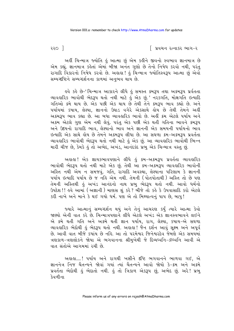૨૨૦ ]

િ પ્રવચન રત્નાકર ભાગ−ર

અહીં ચિન્માત્ર જ્યોતિ હું આત્મા છું એમ કહીને જીવનો સ્વભાવ જ્ઞાનમાત્ર છે એમ કહ્યું. જ્ઞાનમાત્ર કહેતાં એમાં બીજા અનંત ગુણો છે તેનો નિષેધ કરવો નથી, પરંતુ રાગાદિ વિકારનો નિષેધ કરવો છે. અલલ! કું ચિન્માત્ર જ્યોતિસ્વરૂપ આત્મા છું એવો સમ્યગ્દષ્ટિને સમ્યગ્દર્શનના કાળમાં અનભવ થાય છે.

ઙ્વે કર્લ્ડ છે−'ચિન્માત્ર આકારને લીધે હું સમસ્ત ક્રમરૂપ તથા અક્રમરૂપ પ્રર્વતતા વ્યાવહારિક ભાવોથી ભેદરૂપ થતો નથી માટે હું એક છું.' નરકગતિ, મોક્ષગતિ ઇત્યાદિ ગતિઓ ક્રમે થાય છે. એક પછી એક થાય છે તેથી તેને ક્રમરૂપ ભાવ કહ્યો છે. અને પર્યાયમાં કષાય, લેશ્યા, જ્ઞાનનો ઉઘાડ વગેરે એકસાથે હોય છે તેથી તેમને અહીં અક્રમરૂપ ભાવ કહ્યા છે. આ બધા વ્યાવહારિક ભાવો છે. અહીં ક્રમ એટલે પર્યાય અને અક્રમ એટલે ગુણ એમ નથી લેવું. પરંતુ એક પછી એક થતી ગતિના ભાવને ક્રમરૂપ અને ઉદયનો રાગાદિ ભાવ, લેશ્યાનો ભાવ અને જ્ઞાનની એક સમયની પર્યાયનો ભાવ ઈત્યાદિ એક સાથે હોય છે તેમને અક્રમરૂપ લીધા છે. આ સઘળા ક્રમ-અક્રમરૂપ પ્રવર્તતા વ્યાવહારિક ભાવોથી ભેદરૂપ થતો નથી માટે હું એક છું. આ વ્યાવહારિક ભાવોથી ભિન્ન મારી ચીજ છે, કેમકે કું તો અભેદ, અખંડ, આનંદકંદ પ્રભુ એક ચિન્માત્ર વસ્તુ છું.

અહાહા ! એક જ્ઞાયકભાવપણાને લીધે હું ક્રમ-અક્રમરૂપ પ્રવર્તતા વ્યાવહારિક ભાવોથી ભેદરૂપ થતો નથી માટે એક છું. તેથી આ ક્રમ-અક્રમરૂપ વ્યાવહારિક ભાવોની અસ્તિ નથી એમ ન સમજવું. ગતિ, રાગાદિ અવસ્થા, લેશ્યાના પરિણામ કે જ્ઞાનની પર્યાય ઇત્યાદિ ૫ર્યાય છે જ નહિ એમ નથી. તેમની (પોતપોતાથી) અસ્તિ તો છે ૫ણ તેમની અસ્તિથી હું અખંડ આનંદનો નાથ પ્રભુ ભેદરૂપ થતો નથી. આવો ધર્મનો ઉપદેશ!! હવે આમાં (અજ્ઞાની) માણસ શું કરે? બીજે તો કહે કે ઉપવાસાદિ કરો એટલે કરી નાખે અને માને કે થઈ ગયો ધર્મ. પણ એ તો મિથ્યાત્વનું પાપ છે, બાપુ!

જ્યારે આત્માનું સમ્યગ્દર્શન થયું અને તેનું આચરણ કર્યું ત્યારે આત્મા કેવો જાણ્યો એની વાત કરે છે. ચિન્માત્રપણાને લીધે એટલે અખંડ એક જ્ઞાનસ્વભાવને લઈને એ ક્રમે થતી ગતિ અને અક્રમે થતી જ્ઞાન પર્યાય, રાગ, લેશ્યા, કપાય-એ સઘળા વ્યાવહારિક ભેદોથી હું ભેદરૂપ થતો નથી. અહાહા ! જૈન દર્શન આવું સૂક્ષ્મ અને અપૂર્વ છે. આવી વાત બીજે કયાંય છે નહિ. આ તો પરમેશ્વર જિનેશ્વરદેવ જેમણે એક સમયમાં ત્રણકાળ-ત્રણલોકને જોયા એ ભગવાનના શ્રીમુખેથી જે દિવ્યધ્વનિ-ૐધ્વનિ આવી એ વાત સંતોએ આગમમાં રચી છે.

અહાહા....! ૫ર્યાય અને રાગથી ખસીને દષ્ટિ ભગવાનને ભાળવા ગઈ, એ જ્ઞાનનેત્ર નિજ ચૈતન્યને જોવાં ગયાં ત્યાં ચૈતન્યને આવો જોયો કે-ક્રમ અને અક્રમે પ્રવર્તતા ભેદોથી હું ભેદાતો નથી. હું તો ત્રિકાળ એકરૂપ છું, અભેદ છું. અરે! પ્રભુ देवलीना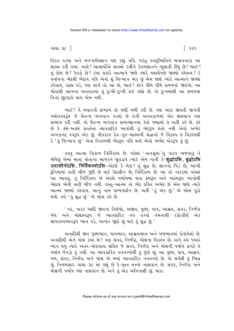વિરઙ ૫ડયા અને મનઃ૫ર્યયજ્ઞાન ૫ણ રહ્યું નહિ. ૫રંતુ વસ્તુસ્થિતિને બતાવનારાં આ શાસ્ત્ર રહી ગયાં. અહો ! આચાર્યોએ શાસ્ત્રો રચીને કેવળજ્ઞાનને ભુલાવી દીધું છે ! ભાઈ ! તું કોણ છે? કેવડો છે? કયા પ્રકારે આત્માને જાણે ત્યારે યથાર્થપણે જાણ્યો કહેવાય? કે પર્યાયના ભેદથી ભેદાય નહિ એવો શું ચિન્માત્ર એક છું એમ જાણે ત્યારે આત્માને જાણ્યો કહેવાય, કઠણ પડે, પણ માર્ગ તો આ છે, ભાઈ ! એને ધીમે ધીમે સમજવો જોઈએ. આ ચોરાસી લાખના અવતારમાં તું દુઃખી-દુઃખી થઈ રહ્યો છે. એ દુઃખમાંથી આ સમજ્યા વિના છૂટકારો થાય એમ નથી.

ભાઈ! તેં બહારની સંભાળ તો ઘણી બધી કરી છે. પણ અંદર જીવતી જાગતી જ્યોતસ્વરૂપ જે ચૈતન્ય ભગવાન પડયો છે તેની અનંતકાળમાં એક ક્ષણમાત્ર પણ સંભાળ કરી નથી. એ ચૈતન્ય ભગવાન સમ્યગ્જ્ઞાનમાં કેવો જણાયો તે અહીં કહે છે. કહે છે કે ક્રમે-અક્રમે પ્રવર્તતા વ્યાવહારિક ભાવોથી હું ભેદરૂપ થતો નથી એવો અભેદ અખંડાનંદ સ્વરૂપ એક છું. વીતરાગ દેવ-ગુરુ-શાસ્ત્રની શ્રદ્ધાનો જે વિકલ્પ તે વિકલ્પથી કે ' હું ચિન્માત્ર છું ' એવા વિકલ્પથી ભેદરૂપ નહિ થતો એવો અભેદ એકરૂપ હું છું.

વસ્તુ આત્મા ત્રિકાળ નિર્વિકલ્પ છે. પહેલાં 'અનસૂયા 'નું નાટક ભજવાતું તે જોયેલું એમાં માતા પોતાના બાળકને સૂવડાવે ત્યારે એમ ગાતી કે-**शुद्धोऽसि, बुद्धोऽसि** उदासीनोऽसि, निर्विकल्पोऽसि-એटर्स के लेटा! तुं शुद्ध छे, ज्ञाननो पिंड छे, આખी દુનિયામાં તારી ચીજ જુદી છે માટે ઉદાસીન છે, નિર્વિકલ્પ છે. આ તો નાટકમાં પહેલાં ્<br>આ આવતું. તું નિર્વિકલ્પ છે એટલે પર્યાયમાં થતા ક્રમરૂપ અને અક્રમરૂપ ભાવોથી ભેદાય એવી તારી ચીજ નથી. વસ્તુ-આત્મા તો ભેદ રહિત અભેદ છે એમ જાણે ત્યારે આત્મા જાણ્યો કહેવાય. આનું નામ સમ્યગ્દર્શન છે. અહીં 'હું એક છું' એ બોલ પૂરો થયો. હવે ' હું શદ્ધ છં' એ બોલ *ક*હે છે.

' નર, નારક આદિ જીવના વિશેષો, અજીવ, પુણ્ય, પાપ, આસ્રવ, સંવર, નિર્જરા બંધ અને મોક્ષસ્વરૂપ જે વ્યાવહારિક નવ તત્ત્વો તેમનાથી ટંકોત્કીર્ણ એક જ્ઞાયકસ્વભાવરૂપ ભાવ વડે, અત્યંત જાદો છું માટે કું શુદ્ધ છું.'

અનાદિથી જીવ પુષ્યભાવ, પાપભાવ, આસ્રવભાવ અને બંધભાવમાં રોકાયેલો છે. અનાદિથી એને મોક્ષ કર્યા છે? પણ સંવર, નિર્જરા, મોક્ષના વિકલ્પ છે. અને હવે જ્યારે ભાન થયું ત્યારે અંતર-એકાગ્રતા સહિત જે સંવર, નિર્જરા અને મોક્ષની પર્યાય પ્રગટે તે પર્યાય જેવડો હું નથી. આ વ્યાવહારિક નવતત્ત્વોથી હું જુદો છું. આ પુણ્ય, પાપ, આસ્રવ, બંધ, સંવર, નિર્જરા અને મોક્ષ એ બધાં વ્યાવહારિક નવતત્ત્વો છે. એ સર્વથી હું ભિન્ન છું. નિયમસાર ગાથા ૩૮ માં કહ્યું છે કે-સાત તત્ત્વો નાશવાન છે. સંવર, નિર્જરા અને મોક્ષની પર્યાય પણ નાશવાન છે. અને કું એક અવિનાશી છું. મારા

િરર૧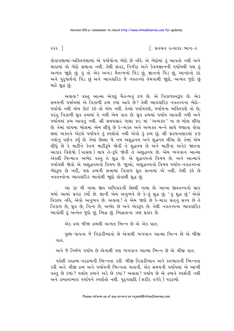કોવાપણામાં-અસ્તિપણામાં એ પર્યાયોના ભેદો છે નહિ. એ ભેદોમાં હું આવતો નથી અને મારામાં એ ભેદો સમાતા નથી. તેથી સંવર, નિર્જરા અને કેવળજ્ઞાનની પર્યાયથી પણ હું અત્યંત જાદો છું. કું તો એક અખંડ ચૈતન્યનો પિંડ છું, જ્ઞાનનો પિંડ છું, આનંદનો કંદ અને પુરૂષાર્થનો પિંડ છું અને વ્યાવહારિક જે નવતત્ત્વો તેમનાથી જાુદો, અત્યંત જુદો છું માટે શહ્ન છં.

અહાહા! વસ્તુ આત્મા એકલું ચૈતન્યનું દળ છે. એ ત્રિકાળસ્વરૂપ છે. એક સમયની પર્યાયમાં એ ત્રિકાળી દ્રવ્ય કર્યા આવે છે? તેથી વ્યાવહારિક નવતત્ત્વના ભેદો-પર્યાયો નથી એમ કોઈ કહે તો એમ નથી. તેઓ પર્યાયપણે, પર્યાયના અસ્તિપણે તો છે, પરંત ત્રિકાળી ઘ્રવ દ્રવ્યમાં તે નથી એમ વાત છે. ઘ્રવ દ્રવ્યમાં પર્યાય આવતી નથી અને પર્યાયમાં દ્રવ્ય આવતં નથી. શ્રી સમયસાર ગાથા ૪૯ માં 'અવ્યક્ત ' ના છ બોલ લીધા છે. તેમાં પાંચમા બોલમાં એમ લીધં છે કે-વ્યક્ત અને અવ્યક્ત બન્ને સાથે જણાતા લોવા છતાં વ્યક્તને એટલે ૫ર્યાયને કું સ્પર્શતો નથી એવો કું દ્રવ્ય છું. શ્રી પ્રવચનસારમાં ૪૭ નયોનું વર્ણન કર્યું છે. તેમાં છેલ્લા બે નય અશુદ્ધનય અને શુદ્ધનય લીધા છે. તેમાં એમ લીધું છે કે માટીને કેવળ માટીરૂપે જોવી તે શુદ્ધનય છે અને માટીના અનેક જાતના આકાર વિશેષો (વાસણ) થાય તે−રૂપે જોવી તે અશ∉નય છે. એમ ભગવાન આત્મા એકલી ચિન્માત્ર અભેદ વસ્તુ તે શુદ્ધ છે. એ શુદ્ધનયનો વિષય છે. અને આત્માને પર્યાયી જોવો એ અશુદ્ધનયનો વિષય છે. જાુઓ, અશુદ્ધનયનો વિષય ૫ર્યાય-નવતત્ત્વના ભેદરૂપ છે ખરી, પણ દ્રવ્યની સત્તામાં ત્રિકાળ ધ્રુવ સત્ત્વમાં એ નથી. તેથી કહે છે નવતત્ત્વોના વ્યાવહારિક ભાવોથી જાદો હોવાથી શદ્ધ છું.

આ ૩૮ મી ગાથા જીવ અધિકારની છેલ્લી ગાથા છે. આખા જીવતત્ત્વનો સાર બધો આમાં પ્રગટ કર્યો છે. જ્ઞાની એમ અનુભવે છે કે–હું શુદ્ધ છું. 'હું શુદ્ધ છું' એવો વિકલ્પ નહિ, એવો અનુભવ છે. અહાહા! તે એમ જાણે છે કે-મારા સતનું સત્ત્વ છે તે ત્રિકાળ છે, ધ્રુવ છે, નિત્ય છે, અભેદ છે અને એકરૂપ છે. તેથી નવતત્ત્વના વ્યાવહારિક ભાવોથી કું અત્યંત જુદો છું, ભિન્ન છું. ભિન્નતાના ત્રણ પ્રકાર છે.

એક દ્રવ્ય બીજા દ્રવ્યથી અત્યંત ભિન્ન છે એ એક વાત.

પુણ્ય-પાપના જે વિકારીભાવો છે એનાથી ભગવાન આત્મા ભિન્ન છે એ બીજી વાત.

અને જે નિર્મળ પર્યાય છે એનાથી પણ ભગવાન આત્મા ભિન્ન છે એ ત્રીજી વાત.

પહેલી સ્વદ્રવ્ય-પરદ્રવ્યની ભિન્નતા કહી. બીજી વિકારીભાવ અને સ્વભાવની ભિન્નતા કઢી અને ત્રીજી દ્રવ્ય અને પર્યાયની ભિન્નતા બતાવી. એક સમયની પર્યાયમાં એ આખી વસ્ત છે કયાં ? ૫ર્યાય દ્રવ્યને અડે છે કયાં ? અલુલ! ૫ર્યાય છે એ દ્રવ્યને સ્પર્શતી નથી અને દ્રવ્યસ્વભાવ પર્યાયને સ્પર્શતો નથી. પુદ્દગલાદિ (શરીર વગેરે) પરદ્રવ્યો

#### ૨૨૨ ી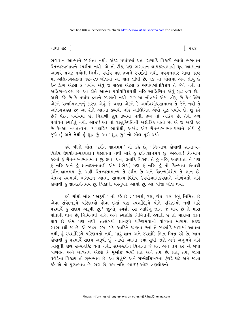ભગવાન આત્માને સ્પર્શતા નથી. અંદર પર્યાયમાં થતા રાગાદિ વિકારી ભાવો ભગવાન ચૈતન્યસ્વભાવને સ્પર્શતા નથી. એ તો ઠીક, પણ ભગવાન જ્ઞાયકસ્વભાવી ધ્રુવ આત્માના આશ્રયે પ્રગટ થએલી નિર્મળ પર્યાય પણ દ્રવ્યને સ્પર્શતી નથી. પ્રવચનસાર ગાથા ૧૭૨ માં અલિંગગ્રહણના ૧૯-૨૦ બોલમાં આ વાત લીધી છે. ૧૯ મા બોલમાં એમ લીધું છે કે-'લિંગ એટલે કે પર્યાય એવં જે ગ્રહણ એટલે કે અર્થાવબોધવિશેષ તે જેને નથી તે અલિંગ-ગ્રહણ છે; આ રીતે આત્મા પર્યાયવિશેષથી નહિ આલિંગિત એવં શદ્ધ દ્રવ્ય છે.' અહીં કહે છે કે પર્યાય દ્રવ્યને સ્પર્શતી નથી. ૨૦ મા બોલમાં એમ લીધું છે કે-'લિંગ એટલે પ્રત્યભિજ્ઞાનનું કારણ એવું જે ગ્રહણ એટલે કે અર્થાવબોધસામાન્ય તે જેને નથી તે અલિંગગ્રહણ છે; આ રીતે આત્મા દ્રવ્યથી નહિ આલિંગિત એવો શુદ્ધ પર્યાય છે. શું કહે છે? વેદન પર્યાયમાં છે, ત્રિકાળી ધ્રુવ દ્રવ્યમાં નથી. દ્રવ્ય તો અક્રિય છે. તેથી દ્રવ્ય પર્યાયને સ્પર્શતું નથી. ભાઈ ! આ તો વસ્તુસ્થિતિની અલૌકિક વાતો છે. એ જ અહીં કહે છે કે-આ નવતત્ત્વના વ્યવહારિક ભાવોથી, અખંડ એક ચૈતન્યસ્વભાવપણાને લીધે હું જુદો છું અને તેથી કું શુદ્ધ છું. આ 'શુદ્ધ છું<sup>,</sup> નો બોલ પૂરો થયો.

ઙ્વે ત્રીજો બોલ 'દર્શન જ્ઞાનમય 'નો કર્લ છે, 'ચિન્માત્ર હોવાથી સામાન્ય− વિશેષ ઉપયોગાત્મકપણાને ઉલ્લંઘતો નથી માટે હું દર્શનજ્ઞાનમય છું. અહાહા ! ચિન્માત્ર કહેતાં હું ચૈતન્યસ્વભાવમાત્ર છું. દયા, દાન, વ્રતાદિ વિકલ્પ તે હું નહિ, અલ્પજ્ઞતા તે પણ હું નહિ અને હું જ્ઞાનદર્શનવાળો એમ (ભેદ) પણ હું નહિ. હું તો ચિન્માત્ર હોવાથી .<br>દર્શન-જ્ઞાનમય છે. અહીં ચૈતન્યસામાન્ય તે દર્શન છે અને ચૈતન્યવિશેષ તે જ્ઞાન છે. ચૈતન્ય-સ્વભાવી ભગવાન આત્મા સામાન્ય-વિશેષ ઉપયોગાત્મકપણાને ઓળંગતો નહિ લેવાથી કું જ્ઞાનદર્શનમય છું. ત્રિકાળી વસ્તુપણે આવો છું. આ ત્રીજો બોલ થયો.

इવે ચોથો બોલ 'અરૂપી ' નો કર્લે છે : ' સ્પર્શ, રસ, ગંધ, વર્ણ જેનું નિમિત્ત છે એવા સંવેદનરૂપે પરિણમ્યો હોવા છતાં પણ સ્પર્શાદિરૂપે પોતે પરિણમ્યો નથી માટે પરમાર્થે હું સદાય અરૂપી છું.' જાુઓ, સ્પર્શ, રસ આદિનું જ્ઞાન જે થાય છે તે મારા પોતાથી થાય છે, નિમિત્તથી નહિ, અને સ્પર્શાદિ નિમિત્તની હયાતી છે તો મારામાં જ્ઞાન થાય છે એમ પણ નથી, તત્સંબંધી જ્ઞાનરૂપે પરિણમવાની યોગ્યતા મારામાં સહજ સ્વભાવથી જ છે. એ સ્પર્શ, રસ, ગંધ આદિને જાણવા છતાં તે સ્પર્શાદિ મારામાં આવતા નથી, હું સ્પર્શાદિરૂપે પરિણમતો નથી. મારું જ્ઞાન અને સ્પર્શાદિ ભિન્ન ભિન્ન રહે છે. આમ હોવાથી હું પરમાર્થે સદાય અરૂપી છું. આવો આત્મા જ્યાં સુધી જાણે અને અનુભવે નહિ ત્યાંસુધી જીવ સમ્યગ્દષ્ટિ થતો નથી. સમ્યગ્દર્શન વિનાનાં જે વ્રત અને તપ કરે એ બધાં બાળવ્રત અને બાળતપ એટલે કે મૂર્ખાઈ ભર્યાં વ્રત અને તપ છે. વ્રત, તપ, જાત્રા વગેરેના વિકલ્પ તો શુભભાવ છે. આ શેત્રુંજો અને સમ્મેદશિખરના ડુંગરે ચઢે અને જાત્રા કરે એ તો પુણ્યભાવ છે, રાગ છે, ધર્મ નહિ, ભાઈ ! અંદર ત્રણલોકનો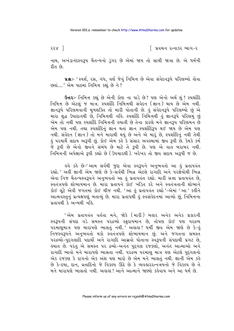२२४ ]

∣ પ્રવચન રત્નાકર ભાગ−ર

નાથ, અખંડાનંદસ્વરૂપ ચૈતન્યનો ડુંગર છે એમાં જાય તો સાચી જાત્રા છે. એ ધર્મની રીત છે.

ua :- ' સ્પર્શ, રસ, ગંધ, વર્ણ જેનું નિમિત્ત છે એવા સંવેદનરૂપે પરિણમ્યો હોવા છતાં.... ' એમ પાઠમાં નિમિત્ત કહ્યું છે ને?

ઉત્તરઃ- નિમિત્ત કહ્યું છે એની કોણ ના પાડે છે? પણ એનો અર્થ શું? સ્પર્શાદિ નિમિત્ત છે એટલં જ માત્ર. સ્પર્શાદિ નિમિત્તથી સંવેદન (જ્ઞાન) થાય છે એમ નથી. જ્ઞાનરૂપે પરિણમવાની મૂળશક્તિ તો મારી પોતાની છે. કું સંવેદનરૂપે પરિણમ્યો છું એ મારા શુદ્ધ ઉપાદાનથી છે, નિમિત્તથી નહિ. સ્પર્શાદિ નિમિત્તથી હું જ્ઞાનરૂપે પરિણમું છું એમ તો નથી પણ સ્પર્શાદિ નિમિત્તની હયાતી છે તેના કારણે મને જ્ઞાનરૂપ પરિણમન છે એમ પણ નથી. તથા સ્પર્શાદિનું જ્ઞાન થતાં જ્ઞાન સ્પર્શાદિરૂપ થઈ જાય છે એમ પણ નથી. સંવેદન (જ્ઞાન ) તો મને મારાથી થયું છે અને એ મારું છે, સ્પર્શાદિનું નથી તેથી<br>હું પરમાર્થે સદાય અરૂપી છું. કોઈ એમ કહે કે સંસાર અવસ્થામાં જીવ રૂપી છે. કેમકે કર્મ .<br>જે રૂપી છે એનો જીવને સંબંધ છે માટે તે રૂપી છે. પણ એ વાત બરાબર નથી. નિમિત્તની અપેક્ષાએ રૂપી કહ્યો છે (ઉપચારથી). ખરેખર તો જીવ સદાય અરૂપી જ છે.

ઙ્વે કહે છે−'આમ સર્વથી જુદા એવા સ્વરૂપને અનુભવતો આ હું પ્રતાપવંત રહ્યો.' અહીં જ્ઞાની એમ જાણે છે કે-સર્વથી ભિન્ન એટલે રાગાદિ અને પરજ્ઞેયોથી ભિન્ન .....<br>એવા નિજ ચૈતન્યસ્વરૂપને અનુભવતો આ હું પ્રતાપવંત રહ્યો. મારી સત્તા પ્રતાપવંત છે, સ્વતંત્રપણે શોભાયમાન છે. મારા પ્રતાપને કોઈ ખંડિત કરે અને સ્વતંત્રતાની શોભાને કોઈ લૂંટે એવી જગતમાં કોઈ ચીજ નથી. 'આ કું પ્રતાપવંત રહ્યો '-એમાં 'આ ' કહીને આત્મવસ્તુનું પ્રત્યક્ષપણું બતાવ્યું છે. મારા પ્રતાપથી કું સ્વસંવેદનમાં આવ્યો છું, નિમિત્તના પ્રતાપથી કે અન્યથી નહિ.

'એમ પ્રતાપવંત વર્તતા મને, જોકે (મારી) બહાર અનેક અનેક પ્રકારની સ્વરૂપની સંપદા વડે સમસ્ત પરદ્રવ્યો સ્ફરાયમાન છે, તોપણ કોઈ પણ પરદ્રવ્ય નિજસ્વરૂપને અનુભવતો થકો સ્વતંત્રપણે શોભાયમાન છું. અને જગતના સમસ્ત ૫૨૬વ્યો-પુદગલાદિ પદાર્થો અને રાગાદિ આસવો પોતાના સ્વરૂપની સંપદાથી પ્રગટ છે, <u>હયાત છે. પરંતુ એ સમસ્ત પર દ્રવ્યો-અનંત પુદ્દગલ ૨જકણો, અનંત આત્માઓ અને</u> રાગાદિ ભાવો મને મારાપણે ભાસતા નથી. પરદ્રવ્ય પરમાણુ માત્ર પણ એટલે પુદ્દગલનો એક રજકણ કે રાગનો એક અંશ પણ મારો છે એમ મને ભાસતું નથી. જ્ઞાની એમ કહે છે કે-દયા, દાન, વ્રતાદિનો જે વિકલ્પ ઊઠે છે કે વ્યવહારરત્નત્રયનો જે વિકલ્પ છે તે મને મારાપણે ભાસતો નથી. અહાહા ! આને આત્માને જાણ્યો કહેવાય અને આ ધર્મ છે.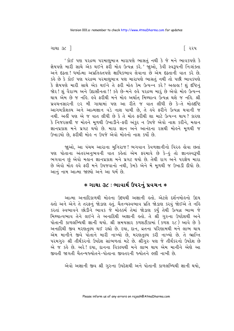ગાથા ૩૮ <sup>1</sup>

' કોઈ પણ પરદ્રવ્ય પરમાણુમાત્ર મારાપણે ભાસતું નથી કે જે મને ભાવકપણે કે જ્ઞેયપણે મારી સાથે એક થઈને ફરી મોહ ઉત્પન્ન કરે.' જાુઓ, કેવી સ્વરૂપની નિઃશંક્તા અને દઢતા! ધર્માત્મા અપ્રતિહ્વતપણે ક્ષાયિકભાવ લેવાના છે એમ દઢતાની વાત કરે છે. કહે છે કે કોઈ પણ પરદ્રવ્ય પરમાણમાત્ર પણ મારાપણે ભાસતં નથી તો પછી ભાવકપણે કે જ્ઞેયપણે મારી સાથે એક થઈને તે ફરી મોહ કેમ ઉત્પન્ન કરે? અહાહા! શું દષ્ટિનું જોર ! શં વૈરાગ્ય અને ઉદાસીનતા !! કહે છે-મને હવે પરદ્રવ્ય મારં છે એવો મોહ ઉત્પન્ન થાય એમ છે જ નહિ. હવે ફરીથી મને મોહ અર્થાત્ મિથ્યાત્વ ઉત્પન્ન થશે જ નહિ. શ્રી પ્રવચનસારની ૯૨ મી ગાથામાં પણ આ રીતે જ વાત લીધી છે કે-તે મોહ્રદષ્ટિ આગમકૌશલ્ય અને આત્મજ્ઞાન વડે નાશ પામી છે, તે હવે ફરીને ઉત્પન્ન થવાની જ નથી. અહીં પણ એ જ વાત લીધી છે કે તે મોહ ફરીથી શા માટે ઉત્પન્ન થાય ? કારણ કે નિજરસથી જ મોહને મૂળથી ઉખાડીને-ફરી અંકુર ન ઉપજે એવો નાશ કરીને, મહાન ્રાનપ્રકાશ મને પ્રગટ થયો છે. મારા જ્ઞાન અને આનંદના રસથી મોલ્ને મૂળથી જ ઉખાડયો છે, ફરીથી મોહ ન ઉપજે એવો મોહનો નાશ કર્યો છે.

જાુઓ, આ પંચમ આરાના મુનિરાજ! ભગવાન કેવળજ્ઞાનીનો વિરહ હોવા છતાં પણ પોતાના અંતરઅનુભવની વાત કહેતાં એમ ફરમાવે છે કે-હું તો જ્ઞાનસ્વરૂપી ભગવાન છું એવો મહાન જ્ઞાનપ્રકાશ મને પ્રગટ થયો છે. તેથી રાગ અને પરજ્ઞેય મારા છે એવો મોહ હવે ફરી મને ઉપજવાનો નથી, કેમકે એને મેં મૂળથી જ ઉખાડી દીધો છે. આનું નામ આત્મા જાણ્યો અને આ ધર્મ છે.

## **∗ ગાથા ૩૮ ∶ભાવાર્થ ઉપરનું પ્રવચન ∗**

આત્મા અનાદિકાળથી મોહના ઉદયથી અજ્ઞાની હતો. એટલે દર્શનમોહનો ઉદય કૂતો અને એને તે તરફનું જોડાણ કર્તુ. ચૈતન્યસ્વભાવ પ્રતિ જોડાણ કરવું જોઈએ તે નકિ કરતાં સ્વભાવને છોડીને ભાવક જે મોહકર્મ તેમાં જોડાણ કર્યું તેથી ઉત્પન્ન ભાવ્ય જે મિથ્યાત્વભાવ તેને લઈને તે અનાદિથી અજ્ઞાની હતો. તે શ્રી ગુરુના ઉપદેશથી અને પોતાની કાળલબ્ધિથી જ્ઞાની થયો. શ્રી સમયસાર કળશટીકામાં (કળશ ૨૮) આવે છે કે અનાદિથી જીવ મરણતુલ્ય થઈ રહ્યો છે. દયા, દાન, વ્રતના પરિણામથી મને લાભ થાય એમ માનીને જીવે પોતાને મારી નાખ્યો છે, મરણતુલ્ય કરી નાખ્યો છે. તે ભ્રાન્તિ પરમગુરુ શ્રી તીર્થંકરનો ઉપદેશ સાંભળતાં મટે છે. શ્રીગુરુ પણ જે તીર્થંકરનો ઉપદેશ છે એ જ કહે છે. અરે! દયા. દાનના વિકલ્પથી મને લાભ થાય એમ માનીને એણે આ જીવતી જાગતી ચૈતન્યજ્યોતને-પોતાના જીવતરની જ્યોતને હણી નાખી છે

એવો અજ્ઞાની જીવ શ્રી ગુરુના ઉપદેશથી અને પોતાની કાળલબ્ધિથી જ્ઞાની થયો,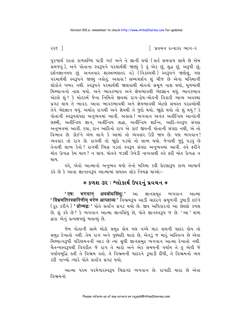રર૬ ી

પુરુષાર્થ કરતાં કાળલબ્ધિ પાકી ગઈ અને તે જ્ઞાની થયો (સર્વ સમવાય સાથે છે એમ ુ<br>સમજવું ), અને પોતાના સ્વરૂપને પરમાર્થથી જાણ્યું કે હું એક છું, શુદ્ધ છું, અરૂપી છું, દર્શનજ્ઞાનમય છું. અનંતવાર શાસ્ત્રભણતર વડે (વિકલ્પથી) સ્વરૂપને જાણેલું, પણ ૫૨માર્થથી સ્વરૂપને જાણ્યું નહોતું. અહાહા! સમ્યગ્દર્શન શું ચીજ છે એના મહિમાની લોકોને ખબર નથી. સ્વરૂપને પરમાર્થથી જાણવાથી મોહનો સમૂળ નાશ થયો, મૂળમાંથી મિથ્યાત્વનો નાશ થયો. અને ભાવકભાવ અને જ્ઞેયભાવથી ભેદજ્ઞાન થયં. ભાવકભાવ એટલે શં ? કે મોલ્ર્કર્મ જેના નિમિત્તે જીવમાં રાગ-દ્વેષ-મોલ્ની વિકારી ભાવ્ય અવસ્થા પ્રગટ થાય તે ભાવક. આવા ભાવકભાવથી અને જ્ઞેયભાવથી એટલે સમસ્ત પરદ્રવ્યોથી તેને ભેદજ્ઞાન થયું. અર્થાત રાગથી અને જ્ઞેયથી તે જુદો થયો. જાુદો થયો તો શું થયું ? કે પોતાની સ્વરૂપસંપદા અનુભવમાં આવી. અહાહા! ભગવાન અનંત અતીન્દ્રિય આનંદની લક્ષ્મી, અતીન્દ્રિય જ્ઞાન, અતીન્દ્રિય શ્રદ્ધા, અતીન્દ્રિય શાન્તિ, આદિ-સ્વરૂપ સંપદા અનુભવમાં આવી. દયા, દાન આદિનો રાગ એ કાંઈ જીવની પોતાની સંપદા નથી, એ તો વિભાવ છે. કોઈને એમ લાગે કે આમાં તો વ્યવહાર ઉડી જાય છે. પણ ભગવાન! વ્યવહાર તો રાગ છે. રાગથી તો જાુદો પડયો તો લાભ થયો. જેનાથી જુદું પડવું છે તેનાથી લાભ કેવો? રાગથી ભિન્ન પડતાં સ્વરૂપ સંપદા અનુભવમાં આવી. હવે ફરીને મોઙ ઉત્પન્ન કેમ થાય ? ન થાય. મોઙુને જડથી ઉખેડી નાખવાથી ઙુવે ફરી મોઙ ઉત્પન્ન ન થાય

ઙ્વે, એવો આત્માનો અનુભવ થયો તેનો મહિમા કહી પ્રેરણારૂપ કાવ્ય આચાર્ય કહે છે કે આવા જ્ઞાનસ્વરૂપ આત્મામાં સમસ્ત લોક નિમગ્ન થાઓઃ-

## **∗ કળશ ૩૨ : શ્લોકાર્થ ઉપરનું પ્રવચન ∗**

भगवान् अवबोधसिंधु:' આ જ્ઞાનસમુદ્ર ભગવાન આત્મા  $'$   $\overline{v}$ ' विभ्रमतिरस्करिणीम् भरेण आप्लाव्य ' વિભ्रम३५ આડી ચાદરને સમૂળગી ડૂબાડી દઈને ( દૂર કરીને ) **' प्रोन्मग्न:'** પોતે સર્વાંગ પ્રગટ થયો છે. જીવ અધિકારનો આ છેલ્લો કળશ છે. શું કહે છે? કે ભગવાન આત્મા જ્ઞાનસિંધુ છે, પોતે જ્ઞાનસ્વરૂપ જ છે. 'આ ' શબ્દ દ્વારા એનું પ્રત્યક્ષપણું બતાવ્યું છે.

જેમ પોતાની સામે મોટો સમુદ્ર હોય પણ વચ્ચે ચાર હાથની ચાદર હોય તો સમુદ્ર દેખાતો નથી. તેમ રાગ અને પુણ્યાદિ મારાં છે, એવડું જ મારૂં અસ્તિત્વ છે એવા મિથ્યાત્વરૂપી પરિણમનની આડ છે ત્યાં સુધી જ્ઞાનસમુદ્ર ભગવાન આત્મા દેખાતો નથી. ચૈતન્યસ્વરૂપથી વિપરીત જે રાગ તે મારો અને એક સમયની પર્યાય તે હું એવી જે પર્યાયબુદ્ધિ હતી તે વિભ્રમ હતો. તે વિભ્રમની ચાદરને ડૂબાડી દીધી, તે વિભ્રમનો વ્યય કરી નાખ્યો ત્યારે પોતે સર્વાંગ પગટ થયો

આત્મા પરમ પરમેશ્વરસ્વરૂપ ચિદાનંદ ભગવાન છે. રાગાદિ મારા છે એવા વિભ્રમનો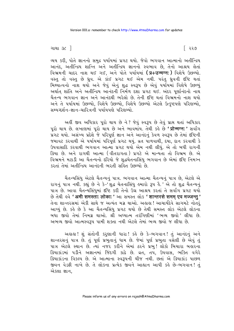વ્યય કરી, પોતે જ્ઞાનનો સમુદ્ર પર્યાયમાં પ્રગટ થયો. જેવો ભગવાન આત્માનો અતીન્દ્રિય આનંદ, અતીન્દ્રિય શાન્તિ અને અતીન્દ્રિય જ્ઞાનનો સ્વભાવ છે, તેનો આશ્રય લેતાં વિભ્રમની ચાદર નાશ થઈ ગઈ, અને પોતે પર્યાયમાં (प्र+उन्मग्न:) વિશેષે ઉછળ્યો. વસ્તુ તો વસ્તુ છે ઘ્રવ. એ કાંઈ પ્રગટ થઈ એમ નથી. પરંતુ ઘ્રવની દષ્ટિ થતાં મિથ્યાત્વનો નાશ થયો અને જેવું એનું શુદ્ધ સ્વરૂપ છે એવું પર્યાયમાં વિશેષે ઉછળ્યું અર્થાત શાંતિ અને અતીન્દ્રિય આનંદની નિર્મળ દશા પ્રગટ થઈ. અંદર પર્ણાનંદનો નાથ ચૈતન્ય ભગવાન જ્ઞાન અને આનંદથી ભરેલો છે. તેની દષ્ટિ થતાં વિભ્રમનો નાશ થયો અને તે પર્યાયમાં ઉછળ્યો. વિશેષે ઉછળ્યો. વિશેષે ઉછળ્યો એટલે ઉત્કૃષ્ટપણે પરિણમ્યો. સમ્યગ્દર્શન–જ્ઞાન–ચારિત્રની પર્યાયપણે પરિણમ્યો

અહીં જીવ અધિકાર પૂરો થાય છે ને ? જેવું સ્વરૂપ છે તેવું પ્રાપ્ત થતાં અધિકાર પૂરો થાય છે. લખાણમાં પૂરો થાય છે અને ભાવમાંય. તેથી કહે છે **' प्रोन्मग्न:'** સર્વાંગ પ્રગટ થયો. અસંખ્ય પ્રદેશે જે પરિપૂર્ણ જ્ઞાન અને આનંદનું કેવળ સ્વરૂપ છે તેમાં દષ્ટિની જમાવટ કરવાથી એ પર્યાયમાં પરિપૂર્ણ પ્રગટ થયું. વ્રત પાળવાથી, દયા, દાન કરવાથી કે ઉપવાસાદિ કરવાથી ભગવાન આત્મો પ્રગટ થયો એમ નથી લીધું. એ તો બધી રાગની ક્રિયા છે. અને રાગથી આત્મા (વીતરાગતા) પ્રગટે એ માન્યતા તો વિભ્રમ છે. એ વિભ્રમને મટાડી આ ચૈતન્યનો દરિયો જે શુદ્ધચેતનાસિંધુ ભગવાન છે એમાં દષ્ટિ નિમગ્ન કરતાં તેમાં અતીન્દિય આનંદની ભરતી સહિત ઉછળ્યો છે

ચૈતન્યસિંધુ એટલે ચૈતન્યનું પાત્ર. ભગવાન આત્મા ચૈતન્યનું પાત્ર છે, એટલે એ રાગનું પાત્ર નથી. કહ્યું છે ને કે-'શુદ્ધ ચેતનાસિંધુ હમારો રૂપ હૈ.' એ તો શુદ્ધ ચૈતન્યનું પાત્ર છે. આવા ચૈતન્યસિંધમાં દૃષ્ટિ કરી તેનો ઉગ્ર આશ્રય કરતાં તે સર્વાંગ પ્રગટ થયો छे तेथी इवे 'अमी समस्ताः लोकाः ' આ समस्त लोड 'शान्तरसे समम् एव मज्जन्तु ' તેના શાન્તરસમાં એકી સાથે જ અત્યંત મગ્ન થાઓ. અલૂહા ! આચાર્યદેવ સાગમટે નોતરૂં આપ્યું છે. કહે છે કે આ ચૈતન્યસિંધ પ્રગટ થયો છે તેથી સમસ્ત લોક એટલે લોકના <u>બધા જીવો તેમાં નિમગ્ર થાઓ. શ્રી અઘ્યાત્મ તરંગિણીમાં 'ભવ્ય જીવો ' લીધા છે.</u> અભવ્ય જીવો આત્મસ્વરૂપ પામી શક્તા નથી એટલે તેમાં ભવ્ય જીવો જ લીધા છે.

અહાહા! શું સંતોની કરશાની ધારા! કહે છે કે-ભગવાન! તું આનંદનું અને શાન્તરસનું પાત્ર છે. તું પૂર્ણ પ્રભુતાનું ધામ છે. જેમાં પૂર્ણ પ્રભુતા વસેલી છે એવું તું પાત્ર એટલે સ્થાન છે. ત્યાં નજર કરીને એમાં ઠરને પ્રભ! લોકો બિચારા બહારના ક્રિયાકાંડમાં ૫ડીને અજ્ઞાનમાં જિંદગી કાઢે છે. વ્રત, તપ, ઉપવાસ, ભક્તિ વગેરે ક્રિયાકાંડના વિકલ્પ છે. એ આત્માના સ્વરૂપની ચીજ નથી. છતાં એ ક્રિયાકાંડ પાછળ જીવન વેડફી નાખે છે. તે લોકના પ્રત્યેક જીવને આહ્વાન આપી કહે છે-ભગવાન! તં એકલા જ્ઞાન.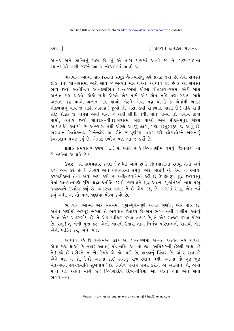આનંદ અને શાન્તિનું ધામ છે. તું એ તારા ધામમાં આવી જા ને. પુણ્ય-પાપના સ્થાનમાંથી ખસી જઈને આ આનંદધામમાં આવી જા.

ભગવાન આત્મા શાન્તરસનો સમુદ્ર ચૈતન્યસિંધુ હવે પ્રગટ થયો છે. તેથી સમસ્ત લોક તેના શાન્તરસમાં એકી સાથે જ અત્યંત મગ્ન થાઓ. આચાર્ય કહે છે કે આ સમસ્ત ભવ્ય જીવો અતીન્દ્રિય આનંદગર્ભિત શાન્તરસમાં એટલે વીતરાગ-રસમાં એકી સાથે અત્યંત મગ્ન થાઓ. એકી સાથે એટલે એક પછી એક એમ નહિ પણ બધાય સાથે અત્યંત મગ્ન થાઓ-અત્યંત મગ્ન થાઓ એટલે એવા મગ્ન થાઓ કે એમાંથી બહાર નીકળવાનું થાય જ નહિ. અહાહા ! જુઓ તો ખરા, કેવી રામબાણ વાણી છે ! નહિ પામી શકે; થોડાક જ પામશે એવી વાત જ અહીં લીધી નથી. પોતે પામ્યા તો બધાય જીવો પામો, બધાય જીવો શાંતરસ-વીતરાગરસમાં મગ્ન થાઓ એમ મીઠો-મધુર સંદેશ આચાર્યદેવે આપ્યો છે. અભ્યાસ નથી એટલે આકરું લાગે, પણ વસ્તુસ્વરૂપ જ આવું છે. ભગવાન ત્રિલોકનાથ જિનેન્દ્રદેવે આ રીતે જ પૂર્ણદશા પ્રગટ કરી, લોકાલોકને જાણનારૂં કેવળજ્ઞાન પ્રગટ કર્ય છે. એમણે ઉપદેશ પણ આ જ કર્યો છે.

u& :- સમયસાર કળશ (૪) માં આવે છે કે જિનવાણીમાં રમવું. જિનવાણી તો બે નયોના આશ્રયે છે?

**ઉત્તર:-** શ્રી સમયસાર કળશ (૪)માં આવે છે કે જિનવાણીમાં રમવું. તેનો અર્થ કોઈ એમ કરે છે કે નિશ્વય અને વ્યવહારમાં રમવં. અરે ભાઈ! એ બેમાં ન રમાય. કળશટીકામાં તેનો એવો અર્થ કર્યો છે કે-દિવ્યધ્વનિમાં કઢી છે ઉપાદેયરૂપ શુદ્ધ જીવવસ્તુ તેમાં સાવધાનપણે રૂચિ-શ્રદ્ધા-પ્રતીતિ કરવી. ભગવાને શદ્ધ આત્મા પર્ણાનંદનો નાથ પ્રભ જીવદ્રવ્યને ઉપાદેય કહ્યું છે. આદરવા લાયક તે છે એમ કહ્યું છે. રાગમાં રમવું એમ ત્યાં કહ્યું નથી. એ તો માત્ર જાણવા યોગ્ય કહ્યો છે.

ભગવાન આત્મા એક સમયમાં પૂર્ણ-પૂર્ણ-પૂર્ણ અનંત ગુણોનું એક પાત્ર છે. અનંત ગુણોથી ભરપુર ભરેલો તે ભગવાન ઉપાદેય છે-એમ ભગવાનની વાણીમાં આવ્યું છે. તે એક આદરણીય છે, તે એક સ્વીકાર કરવા લાયક છે, તે એક સત્કાર કરવા યોગ્ય છે. પ્રભુ ! તું એની પૂજા કર, એની આરતી ઉતાર. તારા નિર્મળ પરિણામની ધારાથી એક એની ભક્તિ કર, એને ભજ.

આચાર્ય કહે છે કે-સમસ્ત લોક આ શાન્તરસમાં અત્યંત અત્યંત મગ્ન થાઓ, એવા મગ્ન થાઓ કે બહાર આવવું પડે નહિ. આ તો જીવ અધિકારની છેલ્લી ગાથા છે ને! કહે છે-શરીરને ન જો, કેમકે એ તો માટી છે, હાડકાનું પિંજર છે. અંદર રાગ છે એને પણ ન જો, કેમકે આત્મા કાંઈ રાગનું પાત્ર-સ્થાન નથી. આત્મા તો શુદ્ધ બુદ્ધ ચૈતન્યઘન સ્વયંજ્યોતિ સુખધામ ' છે. નિર્મળ પર્યાય પ્રગટ કરીને એ આત્માને જો, એમાં મગ્ન થા. આવો માર્ગ છે! જિનેશ્વરદેવ દિવ્યધ્વનિમાં આ કહેતા હતા અને સંતો ભગવાનના

૨૨૮ ી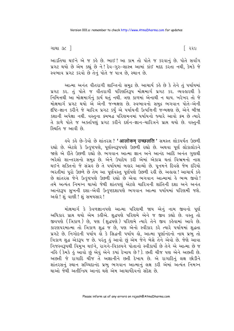િ ૨૨૯

આડતિયા થઈને એ જ કહે છે. ભાઈ! આ કામ તો પોતે જ કરવાનું છે. પોતે સર્વાંગ પ્રગટ થયો છે એમ કહ્યું છે ને! દેવ-ગુરુ-શાસ્ત્ર આમાં કાંઈ મદદ કરતા નથી, કેમકે જે સ્વભાવ પ્રગટ કરવો છે તેનં પોતે જ પાત્ર છે. સ્થાન છે.

આત્મા અનંત વીતરાગી શાન્તિનો સમુદ્ર છે. આચાર્ય કહે છે કે તેને તું પર્યાયમાં પ્રગટ કર. તું પોતે જ વીતરાગી પરિણતિરૂપ મોક્ષમાર્ગ પ્રગટ કર. વ્યવહારથી કે નિમિત્તથી આ મોક્ષમાર્ગનું કાર્ય થતું નથી. ત્રણ કાળમાં એનાથી ન થાય. ખરેખર તો જે મોક્ષમાર્ગ પ્રગટ થયો એ એની જન્મક્ષણ છે. સ્વભાવનો સમુદ્ર ભગવાન પોતે-એની દંષ્ટિ-જ્ઞાન કરીને જે ચારિત્ર પ્રગટ કર્યું એ પર્યાયની ઉત્પત્તિની જન્મક્ષણ છે, એને બીજા કશાની અપેક્ષા નથી. વસ્તુના ક્રમબદ્ધ પરિણમનમાં પર્યાયનો જ્યારે આવો ક્રમ છે ત્યારે તે કાળે પોતે જ અક્તપિણું પ્રગટ કરીને દર્શન-જ્ઞાન-ચારિત્રને પ્રાપ્ત થયો છે. વસ્તુની સ્થિતિ જ આવી છે.

ઙવે કર્કે છે-કેવો છે શાંતરસ ? 'आलोकम् उच्छलति ' સમસ્ત લોકપર્યંત ઉછળી રહ્યો છે. એટલે કે ઉત્કૃષ્ટપણે, પૂર્ણસ્વરૂપપણે ઉછળી રહ્યો છે. અથવા પૂર્ણ લોકાલોકને જાણે એ રીતે ઉછળી રહ્યો છે. ભગવાન આત્મા જ્ઞાન અને આનંદ આદિ અનંત ગુણથી ભરેલો શાન્તરસનો સમુદ્ર છે. એને ઉપાદેય કરી એમાં એકાગ્ર થતાં વિભ્રમનો નાશ થઈને શક્તિનો જે સંગ્રહ છે તે પર્યાયમાં બહાર આવ્યો છે. પૂનમને દિવસે જેમ દરિયો ભરતીમાં પૂરો ઉછળે છે તેમ આ પૂર્ણવસ્તુ પૂર્ણપણે ઉછળી રહી છે. અહાહા ! આચાર્ય કહે છે શાંતરસ જેને ઉત્કૃષ્ટપણે ઉછળી રહ્યો છે એવા ભગવાન આત્મામાં કે ભવ્ય જીવો! તમે અત્યંત નિમગ્ન થાઓ જેથી શાંતપણું એટલે ચારિત્રની શાંતિની દશા અને અનંત આનંદરૂપ સુખની દશા-એવી ઉત્કુષ્ટદશાપણે ભગવાન આત્મા પર્યાયમાં પરિણમી જશે. અહો! શંવાણી ! શંસમયસાર!

મોક્ષમાર્ગ કે કેવળજ્ઞાનપણે આત્મા પરિણમી જાય એનું નામ જીવનો પૂર્ણ અધિકાર પ્રાપ્ત થયો એમ કહીએ. શુદ્ધપણે પરિણમે એને જ જીવ કહ્યો છે. વસ્તુ તો જીવપણે (ત્રિકાળ) છે, પણ (શુદ્ધપણે) પરિણમે ત્યારે તેને જીવ કહેવામાં આવે છે. કારણપરમાત્મા તો ત્રિકાળ શુદ્ધ જ છે, પણ એનો સ્વીકાર કરે ત્યારે પર્યાયમાં શુદ્ધતા પ્રગટે છે. નિગોદની પર્યાય લે કે સિદ્ધની પર્યાય લો, આત્મા પૂર્ણાનંદનો નાથ પ્રભુ તો ત્રિકાળ શુદ્ધ એકરૂપ જ છે. પરંતુ હું આવો છું એમ જેને બેસે તેને એવો છે. જેણે આવા નિજસ્વરૂપથી વિમુખ થઈને, રાગને-વિકલ્પને પોતાનો સ્વીકાર્યો છે તેને એ આત્મા છે જ નહિ (કેમકે હું આવો છું અવું એને કયાં દેખાય છે?). છતી ચીજ પણ એને અછતી છે. અછતી જે રાગાદિ ચીજ તે અજ્ઞાનીને છતી દેખાય છે. એ રાગાદિનું લક્ષ છોડીને શાંતરસનું સ્થાન સચ્ચિદાનંદ પ્રભુ ભગવાન આત્માનું લક્ષ કરી એમાં અત્યંત નિમગ્ન થાઓ જેથી અતીન્દ્રિય આનંદ થશે એમ આચાર્યદેવનો સંદેશ છે.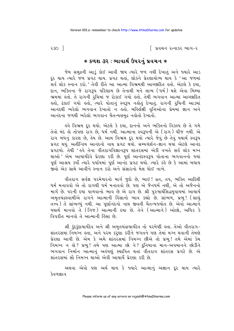$230$  ]

િ પ્રવચન રત્નાકર ભાગ−ર

## $*$  કળશ ૩૨ : ભાવાર્થ ઉપરનું પ્રવચન  $*$

જેમ સમુદ્રની આડું કોઈ આવી જાય ત્યારે જળ નથી દેખાતું અને જ્યારે આડ દૂર થાય ત્યારે જળ પ્રગટ થાય. પ્રગટ થતાં, લોકને પ્રેરણાયોગ્ય થાય કે 'આ જળમાં .<br>સર્વ લોક સ્નાન કરો.' તેવી રીતે આ આત્મા વિભ્રમથી આચ્છાદિત હતો. એટલે કે દયા, દાન, ભક્તિના જે રાગરૂપ પરિણામ છે તેનાથી મને લાભ (ધર્મ) થશે એવા મિથ્યા ભ્રમમાં હતો. તે રાગની રચિમાં જ રોકાઈ ગયો હતો. તેથી ભગવાન આત્મા આચ્છાદિત કતો, ઢંકાઈ ગયો કતો, ત્યારે પોતાનું સ્વરૂપ નકોતું દેખાતું. રાગની રુચિની આડમાં આનંદથી ભરેલો ભગવાન દેખાતો ન હતો. બહિર્લક્ષી વૃત્તિઓના પ્રેમમાં જ્ઞાન અને આનંદના જળથી ભરેલો ભગવાન ચૈતન્યસમદ્ર નહોતો દેખાતો.

इવે વિભ્રમ દૂર થયો. એટલે કે દયા, દાનનો અને ભક્તિનો વિકલ્પ છે તે ગમે તેવો મંદ હો તોપણ રાગ છે. ધર્મ નથી. આત્માના સ્વરૂપની એ (રાગ) ચીજ નથી. એ રાગ બંધનું કારણ છે. હેય છે. આમ વિભ્રમ દર થયો ત્યારે જેવું છે તેવું યથાર્થ સ્વરૂપ પ્રગટ થયું. અતીન્દ્રિય આનંદનો નાથ પ્રગટ થયો. સમ્યગ્દર્શન-જ્ઞાન થયાં એટલે આનંદ પ્રગટયો. તેથી ' હવે તેના વીતરાગવિજ્ઞાનરૂપ શાંતરસમાં એકી વખતે સર્વ લોક મગ્ન થાઓ' એમ આચાર્યદેવે પ્રેરણા કરી છે. પૂર્ણ આનંદસ્વરૂપ પોતાના ભગવાનનો જ્યાં પૂર્ણ આશ્રય કર્યો ત્યારે પર્યાયમાં પૂર્ણ આનંદ પ્રગટ થયો. ત્યારે કહે છે કે આમાં બધાય જીવો એક સાથે આવીને સ્નાન કરો અને સંસારનો મેલ ધોઈ નાખે.

વીતરાગ સર્વજ્ઞ પરમેશ્વરનો માર્ગ જુદો છે, ભાઈ! વ્રત, તપ, ભક્તિ આદિથી ધર્મ મનાવવો એ તો રાગથી ધર્મ મનાવવો છે. પણ એ જૈનધર્મ નથી, એ તો અજૈનનો માર્ગ છે. પરની દયા પાળવાનો ભાવ છે એ રાગ છે. શ્રી પરુષાર્થસિદ્ધયપાયમાં આચાર્ય અમૃતચંદ્રસ્વામીએ રાગને આત્માની હિંસાનો ભાવ કહ્યો છે. સાંભળ, પ્રભુ! (સાચું તત્ત્વ ) તે સાંભળ્યું નથી. આ પુર્ણાનંદનો નાથ જીવતી ચૈતન્યજ્યોત છે. એવો આત્માને યથાર્થ માનવો તે (નિજ) આત્માની દયા છે. તેને (આત્માને) ઓછો, અધિક કે વિપરીત માનવો તે આત્માની હિંસા છે.

શ્રી કુંદકુંદાચાર્યદેવ અને શ્રી અમૃતચંદ્રાચાર્યદેવ તો પરમેષ્ઠી હતા. તેઓ વીતરાગ-શાંતરસમાં નિમગ્ન હતા, અને પરમ કરશુંશા કરીને જગતને પણ તેમાં મગ્ન થવાની તેમણે પ્રેરણા આપી છે. એમ કે અમે શાંતરસમાં નિમગ્ન છીએ તો પ્રભુ! તમે એમાં કેમ નિમગ્ન ન હો ? પ્રભુ ! તમે પણ આત્મા છો ને ? દુનિયાના માન-અપમાનને છોડીને ભગવાન નિર્માન આત્માનું અહંપણું સ્થાપિત થતાં વીતરાગ શાંતરસ પ્રગટે છે. એ શાંતરસમાં સૌ નિમગ્ન થાઓ એવી આચાર્ય પ્રેરણા કરી છે.

અથવા એવો પણ અર્થ થાય કે જ્યારે આત્માનું અજ્ઞાન દૂર થાય ત્યારે કેવળજ્ઞાન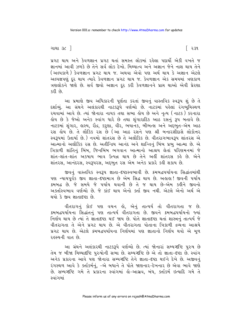પ્રગટ થાય અને કેવળજ્ઞાન પ્રગટ થતાં સમસ્ત લોકમાં રહેલા પદાર્થો એકી વખતે જ જ્ઞાનમાં આવી ઝળકે છે તેને સર્વલોક દેખો. મિથ્યાત્વ અને અજ્ઞાન જેને નાશ થાય તેને (અલ્પકાળે) કેવળજ્ઞાન પ્રગટ થાય જ. અથવા એવો પણ અર્થ થાય કે અજ્ઞાન એટલે અલ્પજ્ઞપણું દર થાય ત્યારે કેવળજ્ઞાન પ્રગટ થાય જ. કેવળજ્ઞાન એક સમયમાં ત્રણકાળ ત્રણલોકને જાણે છે. સર્વ જીવો અજ્ઞાન દૂર કરી કેવળજ્ઞાનને પ્રાપ્ત થાઓ એવી પ્રેરણા કરી છે

આ પ્રમાણે જીવ અધિકારની પૂર્ણતા કરતાં જીવનું વાસ્તવિક સ્વરૂપ શું છે તે દર્શાવ્યું. આ ગ્રંથને અલંકારથી નાટકરૂપે વર્ણવ્યો છે. નાટકમાં પહેલાં રંગભ્મિસ્થળ રચવામાં આવે છે. ત્યાં જોનારા નાયક તથા સભા હોય છે અને નૃત્ય (નાટક) કરનારા હોય છે કે જેઓ અનેક સ્વાંગ ધારે છે તથા શુંગારાદિક આઠ રસનું **રૂ**પ બતાવે છે. નાટકમાં શૃંગાર, હાસ્ય, રૌદ્ર, કરુણા, વીર, ભયાનક, બીભત્સ અને અદ્દભુત-એમ આઠ રસ હોય છે. તે લૌકિક રસ છે (આ આઠ રસને પણ શ્રી બનારસીદાસે લોકોત્તર સ્વરૂપમાં ઉતાર્યા છે.) નવમો શાંતરસ છે તે અલૌકિક છે. વીતરાગભાવરૂપ શાંતરસ એ આત્માનો અલૌકિક રસ છે. અતીન્દ્રિય આનંદ અને શાન્તિનું બિંબ પ્રભુ આત્મા છે. એ ત્રિકાળી શાંતિનું બિંબ, જિનબિંબ ભગવાન આત્માનો આશ્રય લેતાં પરિણમનમાં જે શાંત-શાંત-શાંત અકષાય ભાવ ઉત્પન્ન થાય છે તેને અહીં શાંતરસ કહે છે. એને શાંતરસ, આનંદરસ, સ્વરૂપરસ, અદ્દભુત રસ એમ અનેક પ્રકારે કહી શકાય છે.

જીવનું વાસ્તવિક સ્વરૂપ જ્ઞાતા-દષ્ટાસ્વભાવી છે. ક્રમબદ્ધપર્યાયના સિદ્ધાંતમાંથી ૫ણ ન્યાયપૂર્વક જીવ જ્ઞાતા-દષ્ટામાત્ર છે એમ સિદ્ધ થાય છે. અલલા! જીવની ૫ર્યાય ક્રમબદ્ધ છે. જે સમયે જે પર્યાય થવાની છે તે જ થાય છે-એમ કઢીને જીવનો અક્તસ્વિભાવ વર્ણવ્યો છે. જે કાંઈ થાય એનો ક્ત્ત જીવ નથી. એટલે એનો અર્થ એ થયો કે જીવ જ્ઞાતાદષ્ટા છે.

વીતરાગનું કોઈ પણ વચન હો, એનું તાત્પર્ય તો વીતરાગતા જ છે. ક્મબદ્ધપર્યાયના સિદ્ધાંતનું પણ તાત્પર્ય વીતરાગતા છે. જીવને ક્રમબદ્ધપર્યાયનો જ્યાં નિર્ણય થાય છે ત્યાં તે જ્ઞાતાદષ્ટા થઈ જાય છે. પોતે જ્ઞાતાદષ્ટા થતાં શાસ્ત્રનું તાત્પર્ય જે વીતરાગતા તે એને પ્રગટ થાય છે. એ વીતરાગતા પોતાના ત્રિકાળી દ્રવ્યના આશ્રયે પ્રગટ થાય છે. એટલે ક્રમબદ્ધપર્યાયના નિર્ણયમાં પણ જ્ઞાતાનો નિર્ણય થવો એ મળ રહસ્યની વાત છે.

આ ગ્રંથને અલંકારથી નાટકરૂપે વર્ણવ્યો છે. ત્યાં જોનારાં સમ્યગ્દષ્ટિ પુરુષ છે તેમ જ બીજા મિથ્યાદષ્ટિ પુરુષોની સભા છે. સમ્યગ્દષ્ટિ છે એ તો જ્ઞાતા-દૃષ્ટા છે. સ્વાંગ અનેક પ્રકારના આવે પણ જોનારા સમ્યગ્દષ્ટિ તેને જ્ઞાતા-દષ્ટા થઈને દેખે છે. અજીવનં રંગસ્થળ આવે કે ક્તકિર્મનું, –એ બધાને તે પોતે જાણનાર-દેખનાર છે એવા ભાવે જાણે છે. સમ્યગ્દષ્ટિ ગમે તે પ્રકારના સ્વાંગમાં કો-આસવ. બંધ. ક્તાંકર્મ ઇત્યાદિ ગમે તે સ્વાંગમાં

િ ર૩૧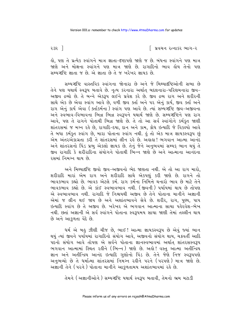૨૩૨ ી

િ પ્રવચન રત્નાકર ભાગ−ર

હો, પણ તે પ્રત્યેક સ્વાંગને માત્ર જ્ઞાતા-દષ્ટાપણે જાણે જ છે. બંધના સ્વાંગને પણ માત્ર જાણે અને મોક્ષના સ્વાંગને પણ માત્ર જાણે છે. રાગાદિનો ભાવ લોય તેનો પણ સમ્યગ્દષ્ટિ જ્ઞાતા જ છે. એ જ્ઞાતા છે તે જ ખરેખર જ્ઞાયક છે.

સમ્યગ્દષ્ટિ વાસ્તવિક સ્વાંગના જોનારા છે અને જે મિથ્યાદૃષ્ટિઓની સભા છે તેને પણ યથાર્થ સ્વરૂપ બતાવે છે. નૃત્ય કરનારા અર્થાત બદલનારા-પરિણમનારા જીવ-અજીવ દ્રવ્યો છે. તે બન્ને એકરૂપ લઈને પ્રવેશ કરે છે. જીવ દ્રવ્ય રાગ અને શરીરની સાથે એક છે એવા સ્વાંગ આવે છે. વળી જીવ ક્ર્તા અને ૫૨ એનં કાર્ય. જીવ ક્ર્તા અને રાગ એનું કાર્ય એવા ( ક્ર્તાકર્મના ) સ્વાંગ પણ આવે છે. ત્યાં સમ્યગ્દષ્ટિ જીવ-અજીવના અને સ્વભાવ-વિભાવના ભિન્ન ભિન્ન સ્વરૂપને યથાર્થ જાણે છે. સમ્યગ્દષ્ટિને પણ રાગ આવે. પણ તે રાગને પોતાથી ભિન્ન જાણે છે. તે તો આ સર્વ સ્વાંગોને કર્મકત જાણી શાંતરસમાં જ મગ્ન રહે છે. રાગાદિ-દયા. દાન અને કામ. ક્રોધ ઇત્યાદિ જે વિકલ્પો આવે તે બધા કર્મકૃત સ્વાંગ છે, મારા પોતાના સ્વાંગ નથી. કું તો એક માત્ર જ્ઞાયકસ્વરૂપ છું એમ અંતરઅંકાગ્રતા કરી તે શાંતરસમાં લીન રહે છે. અંહાહા! ભગવાન આત્મા આનંદ અને શાંતરસનો પિંડ પ્રભુ એકલો જ્ઞાયક છે. તેનું જેને અનુભવમાં સમ્યક ભાન થયું તે જીવ રાગાદિ કે શરીરાદિના સંયોગને પોતાથી ભિન્ન જાણે છે અને આત્માના આનંદના २२भां निभञ्न थाय છे.

અને મિથ્યાદષ્ટિ જીવો જીવ-અજીવનો ભેદ જાણતા નથી. એ તો આ રાગ મારો, શરીરાદિ મારાં એમ રાગ અને શરીરાદિ સાથે એકપણું કરી જાણે છે. રાગને તો ભાવકભાવ કહ્યો છે. ભાવક એટલે કર્મ. રાગ કર્મના નિમિત્તે થનારો ભાવ છે માટે તેને ભાવકભાવ કહ્યો છે. એ કાંઈ સ્વભાવભાવ નથી. (જીવની) પર્યાયમાં થાય છે તોપણ એ સ્વભાવભાવ નથી. રાગાદિ જે નિશ્ચયથી અજીવ છે તેને પોતાના માનીને અજ્ઞાની એમાં જ લીન થઈ જાય છે અને અશાંતભાવને સેવે છે. શરીર, રાગ, પુણ્ય, પાપ ઈત્યાદિ સ્વાંગ છે તે અજીવ છે. ખરેખર એ ભગવાન આત્માના સાચા પહેરવેશ-ભેખ નથી. છતાં અજ્ઞાની એ સર્વ સ્વાંગને પોતાના સ્વરૂપમય સાચા જાણી તેમાં તલ્લીન થાય છે અને આકળતા વેદે છે.

ધર્મ એ બહુ ઝીણી ચીજ છે, ભાઈ ! આત્મા જ્ઞાયકસ્વરૂપ છે એવું જ્યાં ભાન થયું ત્યાં જીવને પર્યાયમાં રાગાદિનો સંયોગ આવે, અજીવનો સંયોગ થાય, ચક્રવર્તી આદિ પદનો સંયોગ આવે તોપણ એ સર્વને પોતાના જ્ઞાનસ્વભાવમાં અર્થાત શાંતરસસ્વરૂપ ભગવાન આત્મામાં સ્થિત રહીને (ભિન્ન) જાણે છે. અહો! વસ્તુ આત્મા અતીન્દ્રિય જ્ઞાન અને અતીન્દ્રિય આનંદ ઇત્યાદિ ગુણોનો પિંડ છે. તેને જેણે નિજ સ્વરૂપપણે અનુભવ્યો છે તે ધર્માત્મા શાંતરસમાં નિમગ્ન રહીને પરને (પરપણે) માત્ર જાણે છે. અજ્ઞાની તેને (પરને) પોતાના માનીને આકુળતામય અશાંતભાવમાં રહે છે.

તેમને (અજ્ઞાનીઓને) સમ્યગ્દષ્ટિ યથાર્થ સ્વરૂપ બતાવી, તેમનો ભ્રમ મટાડી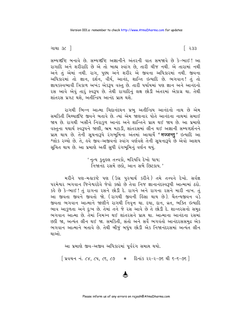િર૩૩

ગાથા ૩૮ <sup>1</sup>

સમ્યગ્દષ્ટિ બનાવે છે. સમ્યગ્દષ્ટિ અજ્ઞાનીને અંતરની વાત સમજાવે છે કે-ભાઈ! આ રાગાદિ અને શરીરાદિ છે એ તો બાહ્ય સ્વાંગ છે, તારી ચીજ નથી. એ તારામાં નથી અને તું એમાં નથી. રાગ, પુણ્ય અને શરીર એ જીવના અધિકારમાં નથી. જીવના અધિકારમાં તો જ્ઞાન, દર્શન, વીર્ય, આનંદ, શાન્તિ ઇત્યાદિ છે. ભગવાન! તું તો જ્ઞાયકસ્વભાવી ત્રિકાળ અખંડ એકરૂપ વસ્તુ છે. તારી પર્યાયમાં પણ જ્ઞાન અને આનંદનો રસ આવે એવું તારૂં સ્વરૂપ છે. તેથી રાગાદિનું લક્ષ છોડી અંતરમાં એકાગ્ર થા. તેથી શાંતરસ પ્રગટ થશે. અતીન્દ્રિય આનંદ પ્રાપ્ત થશે.

રાગથી ભિન્ન આત્મા ચિદાનંદઘન પ્રભુ અતીન્દ્રિય આનંદનો નાથ છે એમ સમકિતી મિથ્યાદૃષ્ટિ જીવને બતાવે છે. ત્યાં એમ જાણનાર પોતે આનંદના નાથમાં સમાઈ જાય છે. રાગથી ખસીને નિરાકુળ આનંદ અને શાન્તિને પ્રાપ્ત થઈ જાય છે. આ પ્રમાણે વસ્તના યથાર્થ સ્વરૂપને જાણી, ભ્રમ મટાડી, શાંતરસમાં લીન થઈ અજ્ઞાની સમ્યગ્દર્શનને પ્રાપ્ત થાય છે. તેની સૂચનારૂપે રંગભૂમિના અંતમાં આચાર્યે **'मज्जन्तु'** ઇત્યાદિ આ શ્લોક રચ્યો છે. તે, હવે જીવ-અજીવનો સ્વાંગ વર્ણવશે તેની સૂચનારૂપે છે એવો આશય સૂચિત થાય છે. આ પ્રમાણે અહીં સુધી રંગભૂમિનું વર્ણન થયું.

> ' નૃત્ય કુતૂહલ તત્ત્વકો, મરિયવિ દેખો ધાય; નિજાનંદ રસમેં છકો, આન સબૈ છિટકાય.'

મરીને પણ-મહાકષ્ટે પણ (ઉગ્ર પુરુષાર્થ કરીને) તમે તત્ત્વને દેખો. સર્વજ્ઞ પરમેશ્વર ભગવાન જિનેશ્વરદેવે જેવો કહ્યો છે તેવા નિજ જ્ઞાનાનંદસ્વરૂપી આત્મામાં ઠરો. કહે છે કે-ભાઈ! તું રાગના રસને છોડી દે. રાગને અને રાગના રસને મારી નાખ. તું આ જીવતા જીવને જીવતો જો. (રાગથી જીવની હિંસા થાય છે). ચૈતન્યજીવન વડે જીવતા ભગવાન આત્માને જાણીને રાગથી નિવૃત્ત થા. દયા, દાન, વ્રત, ભક્તિ ઇત્યાદિ ભાવ આકુળતા અને દુઃખ છે. તેમાં તને જે રસ આવે છે તે છોડી દે. શાન્તરસનો સમુદ્ર ભગવાન આત્મા છે. તેમાં નિમગ્ન થઈ શાંતરસને પ્રાપ્ત થા. આત્માના આનંદના રસમાં છકી જા, અત્યંત લીન થઈ જા. સમકિતી, સંતો અને સર્વે ભગવંતો આનંદરસસમુદ્ર એક ભગવાન આત્માને બતાવે છે. તેથી બીજું બધુંય છોડી એક નિજાનંદરસમાં અત્યંત લીન થાઓ

આ પ્રમાણે જીવ-અજીવ અધિકારમાં પૂર્વરંગ સમાપ્ત થયો.

| પ્રવચન નં. ૮૪, ૮૫, ૮૬, ૮૭ \* દિનાંક ૨૨-૨-૭૬ થી ૬-૬-૭૬ |